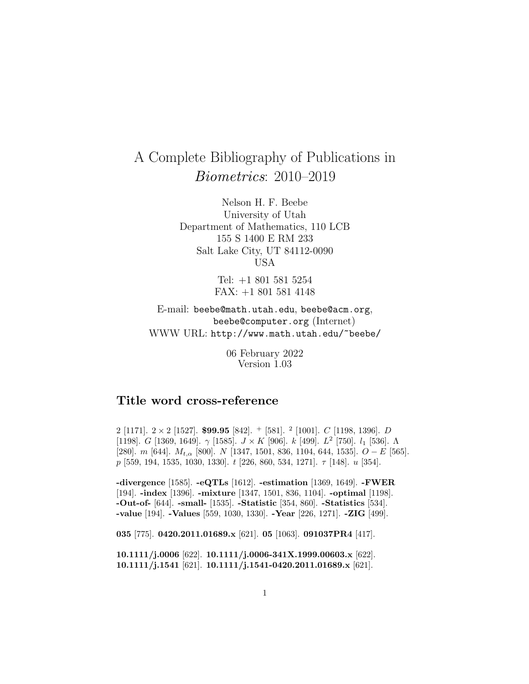# A Complete Bibliography of Publications in Biometrics: 2010–2019

Nelson H. F. Beebe University of Utah Department of Mathematics, 110 LCB 155 S 1400 E RM 233 Salt Lake City, UT 84112-0090 USA

> Tel: +1 801 581 5254 FAX: +1 801 581 4148

E-mail: beebe@math.utah.edu, beebe@acm.org, beebe@computer.org (Internet) WWW URL: http://www.math.utah.edu/~beebe/

> 06 February 2022 Version 1.03

## **Title word cross-reference**

2 [1171]. 2 <sup>×</sup> 2 [1527]. **\$99.95** [842]. <sup>+</sup> [581]. <sup>2</sup> [1001]. <sup>C</sup> [1198, 1396]. <sup>D</sup> [1198]. G [1369, 1649].  $\gamma$  [1585].  $J \times K$  [906].  $k$  [499].  $L^2$  [750].  $l_1$  [536].  $\Lambda$ [280]. m [644].  $M_{t,\alpha}$  [800]. N [1347, 1501, 836, 1104, 644, 1535].  $O-E$  [565]. p [559, 194, 1535, 1030, 1330].  $t$  [226, 860, 534, 1271].  $\tau$  [148]. u [354].

**-divergence** [1585]. **-eQTLs** [1612]. **-estimation** [1369, 1649]. **-FWER** [194]. **-index** [1396]. **-mixture** [1347, 1501, 836, 1104]. **-optimal** [1198]. **-Out-of-** [644]. **-small-** [1535]. **-Statistic** [354, 860]. **-Statistics** [534]. **-value** [194]. **-Values** [559, 1030, 1330]. **-Year** [226, 1271]. **-ZIG** [499].

**035** [775]. **0420.2011.01689.x** [621]. **05** [1063]. **091037PR4** [417].

**10.1111/j.0006** [622]. **10.1111/j.0006-341X.1999.00603.x** [622]. **10.1111/j.1541** [621]. **10.1111/j.1541-0420.2011.01689.x** [621].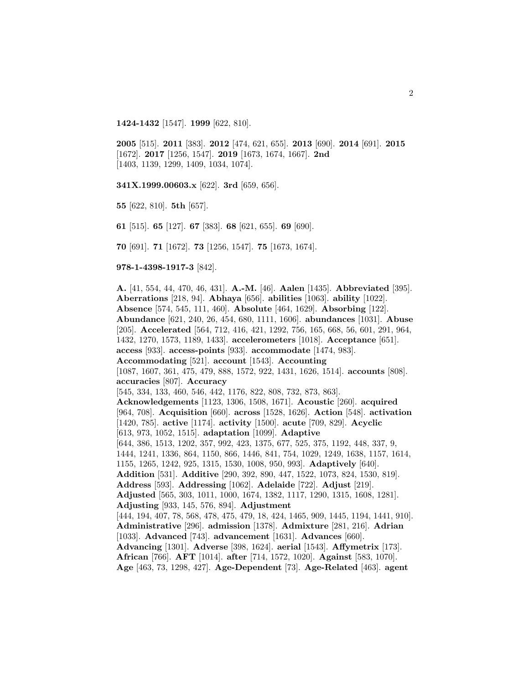**1424-1432** [1547]. **1999** [622, 810].

**2005** [515]. **2011** [383]. **2012** [474, 621, 655]. **2013** [690]. **2014** [691]. **2015** [1672]. **2017** [1256, 1547]. **2019** [1673, 1674, 1667]. **2nd** [1403, 1139, 1299, 1409, 1034, 1074].

**341X.1999.00603.x** [622]. **3rd** [659, 656].

**55** [622, 810]. **5th** [657].

**61** [515]. **65** [127]. **67** [383]. **68** [621, 655]. **69** [690].

**70** [691]. **71** [1672]. **73** [1256, 1547]. **75** [1673, 1674].

#### **978-1-4398-1917-3** [842].

**A.** [41, 554, 44, 470, 46, 431]. **A.-M.** [46]. **Aalen** [1435]. **Abbreviated** [395]. **Aberrations** [218, 94]. **Abhaya** [656]. **abilities** [1063]. **ability** [1022]. **Absence** [574, 545, 111, 460]. **Absolute** [464, 1629]. **Absorbing** [122]. **Abundance** [621, 240, 26, 454, 680, 1111, 1606]. **abundances** [1031]. **Abuse** [205]. **Accelerated** [564, 712, 416, 421, 1292, 756, 165, 668, 56, 601, 291, 964, 1432, 1270, 1573, 1189, 1433]. **accelerometers** [1018]. **Acceptance** [651]. **access** [933]. **access-points** [933]. **accommodate** [1474, 983]. **Accommodating** [521]. **account** [1543]. **Accounting** [1087, 1607, 361, 475, 479, 888, 1572, 922, 1431, 1626, 1514]. **accounts** [808]. **accuracies** [807]. **Accuracy** [545, 334, 133, 460, 546, 442, 1176, 822, 808, 732, 873, 863]. **Acknowledgements** [1123, 1306, 1508, 1671]. **Acoustic** [260]. **acquired** [964, 708]. **Acquisition** [660]. **across** [1528, 1626]. **Action** [548]. **activation** [1420, 785]. **active** [1174]. **activity** [1500]. **acute** [709, 829]. **Acyclic** [613, 973, 1052, 1515]. **adaptation** [1099]. **Adaptive** [644, 386, 1513, 1202, 357, 992, 423, 1375, 677, 525, 375, 1192, 448, 337, 9, 1444, 1241, 1336, 864, 1150, 866, 1446, 841, 754, 1029, 1249, 1638, 1157, 1614, 1155, 1265, 1242, 925, 1315, 1530, 1008, 950, 993]. **Adaptively** [640]. **Addition** [531]. **Additive** [290, 392, 890, 447, 1522, 1073, 824, 1530, 819]. **Address** [593]. **Addressing** [1062]. **Adelaide** [722]. **Adjust** [219]. **Adjusted** [565, 303, 1011, 1000, 1674, 1382, 1117, 1290, 1315, 1608, 1281]. **Adjusting** [933, 145, 576, 894]. **Adjustment** [444, 194, 407, 78, 568, 478, 475, 479, 18, 424, 1465, 909, 1445, 1194, 1441, 910]. **Administrative** [296]. **admission** [1378]. **Admixture** [281, 216]. **Adrian** [1033]. **Advanced** [743]. **advancement** [1631]. **Advances** [660]. **Advancing** [1301]. **Adverse** [398, 1624]. **aerial** [1543]. **Affymetrix** [173]. **African** [766]. **AFT** [1014]. **after** [714, 1572, 1020]. **Against** [583, 1070]. **Age** [463, 73, 1298, 427]. **Age-Dependent** [73]. **Age-Related** [463]. **agent**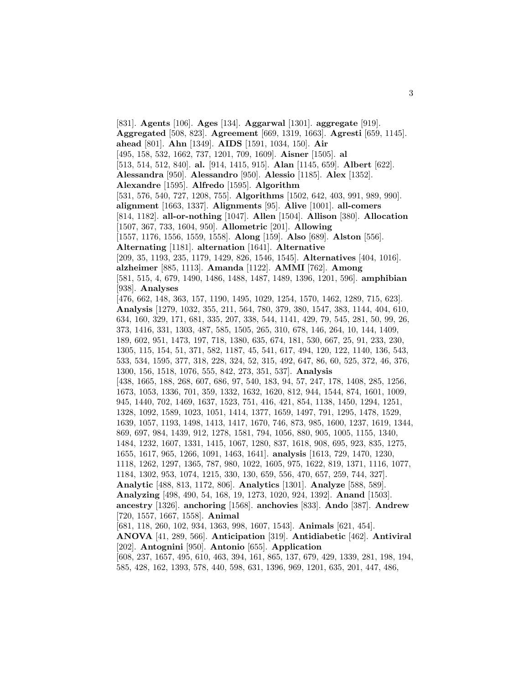[831]. **Agents** [106]. **Ages** [134]. **Aggarwal** [1301]. **aggregate** [919]. **Aggregated** [508, 823]. **Agreement** [669, 1319, 1663]. **Agresti** [659, 1145]. **ahead** [801]. **Ahn** [1349]. **AIDS** [1591, 1034, 150]. **Air** [495, 158, 532, 1662, 737, 1201, 709, 1609]. **Aisner** [1505]. **al** [513, 514, 512, 840]. **al.** [914, 1415, 915]. **Alan** [1145, 659]. **Albert** [622]. **Alessandra** [950]. **Alessandro** [950]. **Alessio** [1185]. **Alex** [1352]. **Alexandre** [1595]. **Alfredo** [1595]. **Algorithm** [531, 576, 540, 727, 1208, 755]. **Algorithms** [1502, 642, 403, 991, 989, 990]. **alignment** [1663, 1337]. **Alignments** [95]. **Alive** [1001]. **all-comers** [814, 1182]. **all-or-nothing** [1047]. **Allen** [1504]. **Allison** [380]. **Allocation** [1507, 367, 733, 1604, 950]. **Allometric** [201]. **Allowing** [1557, 1176, 1556, 1559, 1558]. **Along** [159]. **Also** [689]. **Alston** [556]. **Alternating** [1181]. **alternation** [1641]. **Alternative** [209, 35, 1193, 235, 1179, 1429, 826, 1546, 1545]. **Alternatives** [404, 1016]. **alzheimer** [885, 1113]. **Amanda** [1122]. **AMMI** [762]. **Among** [581, 515, 4, 679, 1490, 1486, 1488, 1487, 1489, 1396, 1201, 596]. **amphibian** [938]. **Analyses** [476, 662, 148, 363, 157, 1190, 1495, 1029, 1254, 1570, 1462, 1289, 715, 623]. **Analysis** [1279, 1032, 355, 211, 564, 780, 379, 380, 1547, 383, 1144, 404, 610, 634, 160, 329, 171, 681, 335, 207, 338, 544, 1141, 429, 79, 545, 281, 50, 99, 26, 373, 1416, 331, 1303, 487, 585, 1505, 265, 310, 678, 146, 264, 10, 144, 1409, 189, 602, 951, 1473, 197, 718, 1380, 635, 674, 181, 530, 667, 25, 91, 233, 230, 1305, 115, 154, 51, 371, 582, 1187, 45, 541, 617, 494, 120, 122, 1140, 136, 543, 533, 534, 1595, 377, 318, 228, 324, 52, 315, 492, 647, 86, 60, 525, 372, 46, 376, 1300, 156, 1518, 1076, 555, 842, 273, 351, 537]. **Analysis** [438, 1665, 188, 268, 607, 686, 97, 540, 183, 94, 57, 247, 178, 1408, 285, 1256, 1673, 1053, 1336, 701, 359, 1332, 1632, 1620, 812, 944, 1544, 874, 1601, 1009, 945, 1440, 702, 1469, 1637, 1523, 751, 416, 421, 854, 1138, 1450, 1294, 1251, 1328, 1092, 1589, 1023, 1051, 1414, 1377, 1659, 1497, 791, 1295, 1478, 1529, 1639, 1057, 1193, 1498, 1413, 1417, 1670, 746, 873, 985, 1600, 1237, 1619, 1344, 869, 697, 984, 1439, 912, 1278, 1581, 794, 1056, 880, 905, 1005, 1155, 1340, 1484, 1232, 1607, 1331, 1415, 1067, 1280, 837, 1618, 908, 695, 923, 835, 1275, 1655, 1617, 965, 1266, 1091, 1463, 1641]. **analysis** [1613, 729, 1470, 1230, 1118, 1262, 1297, 1365, 787, 980, 1022, 1605, 975, 1622, 819, 1371, 1116, 1077, 1184, 1302, 953, 1074, 1215, 330, 130, 659, 556, 470, 657, 259, 744, 327]. **Analytic** [488, 813, 1172, 806]. **Analytics** [1301]. **Analyze** [588, 589]. **Analyzing** [498, 490, 54, 168, 19, 1273, 1020, 924, 1392]. **Anand** [1503]. **ancestry** [1326]. **anchoring** [1568]. **anchovies** [833]. **Ando** [387]. **Andrew** [720, 1557, 1667, 1558]. **Animal** [681, 118, 260, 102, 934, 1363, 998, 1607, 1543]. **Animals** [621, 454]. **ANOVA** [41, 289, 566]. **Anticipation** [319]. **Antidiabetic** [462]. **Antiviral** [202]. **Antognini** [950]. **Antonio** [655]. **Application** [608, 237, 1657, 495, 610, 463, 394, 161, 865, 137, 679, 429, 1339, 281, 198, 194, 585, 428, 162, 1393, 578, 440, 598, 631, 1396, 969, 1201, 635, 201, 447, 486,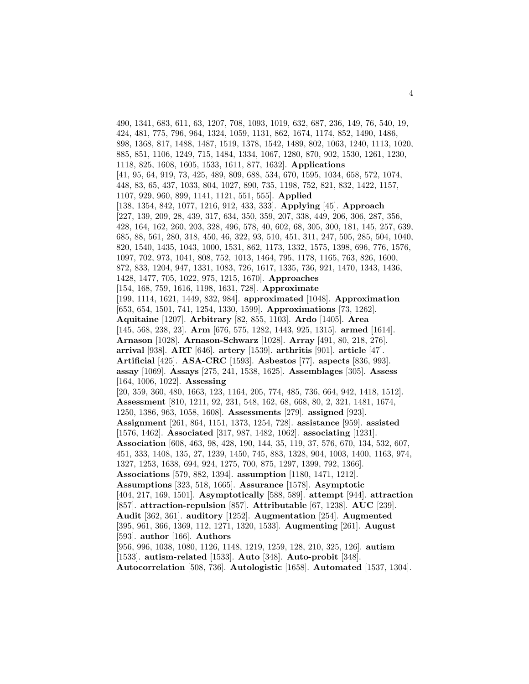490, 1341, 683, 611, 63, 1207, 708, 1093, 1019, 632, 687, 236, 149, 76, 540, 19, 424, 481, 775, 796, 964, 1324, 1059, 1131, 862, 1674, 1174, 852, 1490, 1486, 898, 1368, 817, 1488, 1487, 1519, 1378, 1542, 1489, 802, 1063, 1240, 1113, 1020, 885, 851, 1106, 1249, 715, 1484, 1334, 1067, 1280, 870, 902, 1530, 1261, 1230, 1118, 825, 1608, 1605, 1533, 1611, 877, 1632]. **Applications** [41, 95, 64, 919, 73, 425, 489, 809, 688, 534, 670, 1595, 1034, 658, 572, 1074, 448, 83, 65, 437, 1033, 804, 1027, 890, 735, 1198, 752, 821, 832, 1422, 1157, 1107, 929, 960, 899, 1141, 1121, 551, 555]. **Applied** [138, 1354, 842, 1077, 1216, 912, 433, 333]. **Applying** [45]. **Approach** [227, 139, 209, 28, 439, 317, 634, 350, 359, 207, 338, 449, 206, 306, 287, 356, 428, 164, 162, 260, 203, 328, 496, 578, 40, 602, 68, 305, 300, 181, 145, 257, 639, 685, 88, 561, 280, 318, 450, 46, 322, 93, 510, 451, 311, 247, 505, 285, 504, 1040, 820, 1540, 1435, 1043, 1000, 1531, 862, 1173, 1332, 1575, 1398, 696, 776, 1576, 1097, 702, 973, 1041, 808, 752, 1013, 1464, 795, 1178, 1165, 763, 826, 1600, 872, 833, 1204, 947, 1331, 1083, 726, 1617, 1335, 736, 921, 1470, 1343, 1436, 1428, 1477, 705, 1022, 975, 1215, 1670]. **Approaches** [154, 168, 759, 1616, 1198, 1631, 728]. **Approximate** [199, 1114, 1621, 1449, 832, 984]. **approximated** [1048]. **Approximation** [653, 654, 1501, 741, 1254, 1330, 1599]. **Approximations** [73, 1262]. **Aquitaine** [1207]. **Arbitrary** [82, 855, 1103]. **Ardo** [1405]. **Area** [145, 568, 238, 23]. **Arm** [676, 575, 1282, 1443, 925, 1315]. **armed** [1614]. **Arnason** [1028]. **Arnason-Schwarz** [1028]. **Array** [491, 80, 218, 276]. **arrival** [938]. **ART** [646]. **artery** [1539]. **arthritis** [901]. **article** [47]. **Artificial** [425]. **ASA-CRC** [1593]. **Asbestos** [77]. **aspects** [836, 993]. **assay** [1069]. **Assays** [275, 241, 1538, 1625]. **Assemblages** [305]. **Assess** [164, 1006, 1022]. **Assessing** [20, 359, 360, 480, 1663, 123, 1164, 205, 774, 485, 736, 664, 942, 1418, 1512]. **Assessment** [810, 1211, 92, 231, 548, 162, 68, 668, 80, 2, 321, 1481, 1674, 1250, 1386, 963, 1058, 1608]. **Assessments** [279]. **assigned** [923]. **Assignment** [261, 864, 1151, 1373, 1254, 728]. **assistance** [959]. **assisted** [1576, 1462]. **Associated** [317, 987, 1482, 1062]. **associating** [1231]. **Association** [608, 463, 98, 428, 190, 144, 35, 119, 37, 576, 670, 134, 532, 607, 451, 333, 1408, 135, 27, 1239, 1450, 745, 883, 1328, 904, 1003, 1400, 1163, 974, 1327, 1253, 1638, 694, 924, 1275, 700, 875, 1297, 1399, 792, 1366]. **Associations** [579, 882, 1394]. **assumption** [1180, 1471, 1212]. **Assumptions** [323, 518, 1665]. **Assurance** [1578]. **Asymptotic** [404, 217, 169, 1501]. **Asymptotically** [588, 589]. **attempt** [944]. **attraction** [857]. **attraction-repulsion** [857]. **Attributable** [67, 1238]. **AUC** [239]. **Audit** [362, 361]. **auditory** [1252]. **Augmentation** [254]. **Augmented** [395, 961, 366, 1369, 112, 1271, 1320, 1533]. **Augmenting** [261]. **August** [593]. **author** [166]. **Authors** [956, 996, 1038, 1080, 1126, 1148, 1219, 1259, 128, 210, 325, 126]. **autism** [1533]. **autism-related** [1533]. **Auto** [348]. **Auto-probit** [348]. **Autocorrelation** [508, 736]. **Autologistic** [1658]. **Automated** [1537, 1304].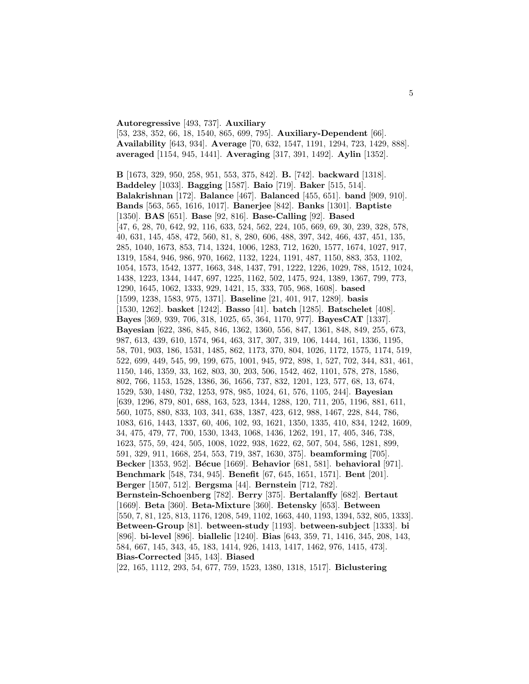#### **Autoregressive** [493, 737]. **Auxiliary**

[53, 238, 352, 66, 18, 1540, 865, 699, 795]. **Auxiliary-Dependent** [66]. **Availability** [643, 934]. **Average** [70, 632, 1547, 1191, 1294, 723, 1429, 888]. **averaged** [1154, 945, 1441]. **Averaging** [317, 391, 1492]. **Aylin** [1352].

**B** [1673, 329, 950, 258, 951, 553, 375, 842]. **B.** [742]. **backward** [1318]. **Baddeley** [1033]. **Bagging** [1587]. **Baio** [719]. **Baker** [515, 514]. **Balakrishnan** [172]. **Balance** [467]. **Balanced** [455, 651]. **band** [909, 910]. **Bands** [563, 565, 1616, 1017]. **Banerjee** [842]. **Banks** [1301]. **Baptiste** [1350]. **BAS** [651]. **Base** [92, 816]. **Base-Calling** [92]. **Based** [47, 6, 28, 70, 642, 92, 116, 633, 524, 562, 224, 105, 669, 69, 30, 239, 328, 578, 40, 631, 145, 458, 472, 560, 81, 8, 280, 606, 488, 397, 342, 466, 437, 451, 135, 285, 1040, 1673, 853, 714, 1324, 1006, 1283, 712, 1620, 1577, 1674, 1027, 917, 1319, 1584, 946, 986, 970, 1662, 1132, 1224, 1191, 487, 1150, 883, 353, 1102, 1054, 1573, 1542, 1377, 1663, 348, 1437, 791, 1222, 1226, 1029, 788, 1512, 1024, 1438, 1223, 1344, 1447, 697, 1225, 1162, 502, 1475, 924, 1389, 1367, 799, 773, 1290, 1645, 1062, 1333, 929, 1421, 15, 333, 705, 968, 1608]. **based** [1599, 1238, 1583, 975, 1371]. **Baseline** [21, 401, 917, 1289]. **basis** [1530, 1262]. **basket** [1242]. **Basso** [41]. **batch** [1285]. **Batschelet** [408]. **Bayes** [369, 939, 706, 318, 1025, 65, 364, 1170, 977]. **BayesCAT** [1337]. **Bayesian** [622, 386, 845, 846, 1362, 1360, 556, 847, 1361, 848, 849, 255, 673, 987, 613, 439, 610, 1574, 964, 463, 317, 307, 319, 106, 1444, 161, 1336, 1195, 58, 701, 903, 186, 1531, 1485, 862, 1173, 370, 804, 1026, 1172, 1575, 1174, 519, 522, 699, 449, 545, 99, 199, 675, 1001, 945, 972, 898, 1, 527, 702, 344, 831, 461, 1150, 146, 1359, 33, 162, 803, 30, 203, 506, 1542, 462, 1101, 578, 278, 1586, 802, 766, 1153, 1528, 1386, 36, 1656, 737, 832, 1201, 123, 577, 68, 13, 674, 1529, 530, 1480, 732, 1253, 978, 985, 1024, 61, 576, 1105, 244]. **Bayesian** [639, 1296, 879, 801, 688, 163, 523, 1344, 1288, 120, 711, 205, 1196, 881, 611, 560, 1075, 880, 833, 103, 341, 638, 1387, 423, 612, 988, 1467, 228, 844, 786, 1083, 616, 1443, 1337, 60, 406, 102, 93, 1621, 1350, 1335, 410, 834, 1242, 1609, 34, 475, 479, 77, 700, 1530, 1343, 1068, 1436, 1262, 191, 17, 405, 346, 738, 1623, 575, 59, 424, 505, 1008, 1022, 938, 1622, 62, 507, 504, 586, 1281, 899, 591, 329, 911, 1668, 254, 553, 719, 387, 1630, 375]. **beamforming** [705]. **Becker** [1353, 952]. **B´ecue** [1669]. **Behavior** [681, 581]. **behavioral** [971]. **Benchmark** [548, 734, 945]. **Benefit** [67, 645, 1651, 1571]. **Bent** [201]. **Berger** [1507, 512]. **Bergsma** [44]. **Bernstein** [712, 782]. **Bernstein-Schoenberg** [782]. **Berry** [375]. **Bertalanffy** [682]. **Bertaut** [1669]. **Beta** [360]. **Beta-Mixture** [360]. **Betensky** [653]. **Between** [550, 7, 81, 125, 813, 1176, 1208, 549, 1102, 1663, 440, 1193, 1394, 532, 805, 1333]. **Between-Group** [81]. **between-study** [1193]. **between-subject** [1333]. **bi** [896]. **bi-level** [896]. **biallelic** [1240]. **Bias** [643, 359, 71, 1416, 345, 208, 143, 584, 667, 145, 343, 45, 183, 1414, 926, 1413, 1417, 1462, 976, 1415, 473]. **Bias-Corrected** [345, 143]. **Biased**

[22, 165, 1112, 293, 54, 677, 759, 1523, 1380, 1318, 1517]. **Biclustering**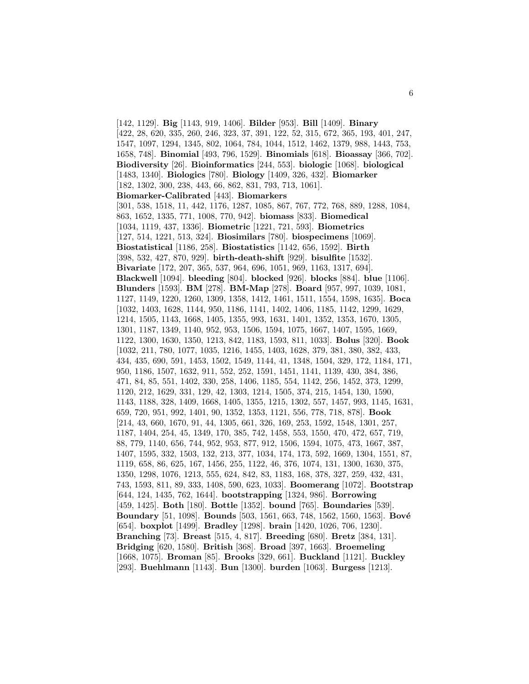[142, 1129]. **Big** [1143, 919, 1406]. **Bilder** [953]. **Bill** [1409]. **Binary** [422, 28, 620, 335, 260, 246, 323, 37, 391, 122, 52, 315, 672, 365, 193, 401, 247, 1547, 1097, 1294, 1345, 802, 1064, 784, 1044, 1512, 1462, 1379, 988, 1443, 753, 1658, 748]. **Binomial** [493, 796, 1529]. **Binomials** [618]. **Bioassay** [366, 702]. **Biodiversity** [26]. **Bioinformatics** [244, 553]. **biologic** [1068]. **biological** [1483, 1340]. **Biologics** [780]. **Biology** [1409, 326, 432]. **Biomarker** [182, 1302, 300, 238, 443, 66, 862, 831, 793, 713, 1061]. **Biomarker-Calibrated** [443]. **Biomarkers** [301, 538, 1518, 11, 442, 1176, 1287, 1085, 867, 767, 772, 768, 889, 1288, 1084, 863, 1652, 1335, 771, 1008, 770, 942]. **biomass** [833]. **Biomedical** [1034, 1119, 437, 1336]. **Biometric** [1221, 721, 593]. **Biometrics** [127, 514, 1221, 513, 324]. **Biosimilars** [780]. **biospecimens** [1069]. **Biostatistical** [1186, 258]. **Biostatistics** [1142, 656, 1592]. **Birth** [398, 532, 427, 870, 929]. **birth-death-shift** [929]. **bisulfite** [1532]. **Bivariate** [172, 207, 365, 537, 964, 696, 1051, 969, 1163, 1317, 694]. **Blackwell** [1094]. **bleeding** [804]. **blocked** [926]. **blocks** [884]. **blue** [1106]. **Blunders** [1593]. **BM** [278]. **BM-Map** [278]. **Board** [957, 997, 1039, 1081, 1127, 1149, 1220, 1260, 1309, 1358, 1412, 1461, 1511, 1554, 1598, 1635]. **Boca** [1032, 1403, 1628, 1144, 950, 1186, 1141, 1402, 1406, 1185, 1142, 1299, 1629, 1214, 1505, 1143, 1668, 1405, 1355, 993, 1631, 1401, 1352, 1353, 1670, 1305, 1301, 1187, 1349, 1140, 952, 953, 1506, 1594, 1075, 1667, 1407, 1595, 1669, 1122, 1300, 1630, 1350, 1213, 842, 1183, 1593, 811, 1033]. **Bolus** [320]. **Book** [1032, 211, 780, 1077, 1035, 1216, 1455, 1403, 1628, 379, 381, 380, 382, 433, 434, 435, 690, 591, 1453, 1502, 1549, 1144, 41, 1348, 1504, 329, 172, 1184, 171, 950, 1186, 1507, 1632, 911, 552, 252, 1591, 1451, 1141, 1139, 430, 384, 386, 471, 84, 85, 551, 1402, 330, 258, 1406, 1185, 554, 1142, 256, 1452, 373, 1299, 1120, 212, 1629, 331, 129, 42, 1303, 1214, 1505, 374, 215, 1454, 130, 1590, 1143, 1188, 328, 1409, 1668, 1405, 1355, 1215, 1302, 557, 1457, 993, 1145, 1631, 659, 720, 951, 992, 1401, 90, 1352, 1353, 1121, 556, 778, 718, 878]. **Book** [214, 43, 660, 1670, 91, 44, 1305, 661, 326, 169, 253, 1592, 1548, 1301, 257, 1187, 1404, 254, 45, 1349, 170, 385, 742, 1458, 553, 1550, 470, 472, 657, 719, 88, 779, 1140, 656, 744, 952, 953, 877, 912, 1506, 1594, 1075, 473, 1667, 387, 1407, 1595, 332, 1503, 132, 213, 377, 1034, 174, 173, 592, 1669, 1304, 1551, 87, 1119, 658, 86, 625, 167, 1456, 255, 1122, 46, 376, 1074, 131, 1300, 1630, 375, 1350, 1298, 1076, 1213, 555, 624, 842, 83, 1183, 168, 378, 327, 259, 432, 431, 743, 1593, 811, 89, 333, 1408, 590, 623, 1033]. **Boomerang** [1072]. **Bootstrap** [644, 124, 1435, 762, 1644]. **bootstrapping** [1324, 986]. **Borrowing** [459, 1425]. **Both** [180]. **Bottle** [1352]. **bound** [765]. **Boundaries** [539]. **Boundary** [51, 1098]. **Bounds** [503, 1561, 663, 748, 1562, 1560, 1563]. **Bové** [654]. **boxplot** [1499]. **Bradley** [1298]. **brain** [1420, 1026, 706, 1230]. **Branching** [73]. **Breast** [515, 4, 817]. **Breeding** [680]. **Bretz** [384, 131]. **Bridging** [620, 1580]. **British** [368]. **Broad** [397, 1663]. **Broemeling** [1668, 1075]. **Broman** [85]. **Brooks** [329, 661]. **Buckland** [1121]. **Buckley** [293]. **Buehlmann** [1143]. **Bun** [1300]. **burden** [1063]. **Burgess** [1213].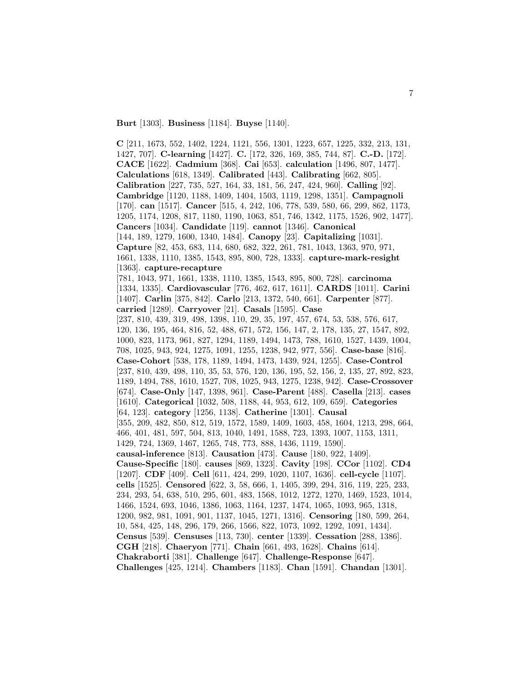**Burt** [1303]. **Business** [1184]. **Buyse** [1140].

**C** [211, 1673, 552, 1402, 1224, 1121, 556, 1301, 1223, 657, 1225, 332, 213, 131, 1427, 707]. **C-learning** [1427]. **C.** [172, 326, 169, 385, 744, 87]. **C.-D.** [172]. **CACE** [1622]. **Cadmium** [368]. **Cai** [653]. **calculation** [1496, 807, 1477]. **Calculations** [618, 1349]. **Calibrated** [443]. **Calibrating** [662, 805]. **Calibration** [227, 735, 527, 164, 33, 181, 56, 247, 424, 960]. **Calling** [92]. **Cambridge** [1120, 1188, 1409, 1404, 1503, 1119, 1298, 1351]. **Campagnoli** [170]. **can** [1517]. **Cancer** [515, 4, 242, 106, 778, 539, 580, 66, 299, 862, 1173, 1205, 1174, 1208, 817, 1180, 1190, 1063, 851, 746, 1342, 1175, 1526, 902, 1477]. **Cancers** [1034]. **Candidate** [119]. **cannot** [1346]. **Canonical** [144, 189, 1279, 1600, 1340, 1484]. **Canopy** [23]. **Capitalizing** [1031]. **Capture** [82, 453, 683, 114, 680, 682, 322, 261, 781, 1043, 1363, 970, 971, 1661, 1338, 1110, 1385, 1543, 895, 800, 728, 1333]. **capture-mark-resight** [1363]. **capture-recapture** [781, 1043, 971, 1661, 1338, 1110, 1385, 1543, 895, 800, 728]. **carcinoma** [1334, 1335]. **Cardiovascular** [776, 462, 617, 1611]. **CARDS** [1011]. **Carini** [1407]. **Carlin** [375, 842]. **Carlo** [213, 1372, 540, 661]. **Carpenter** [877]. **carried** [1289]. **Carryover** [21]. **Casals** [1595]. **Case** [237, 810, 439, 319, 498, 1398, 110, 29, 35, 197, 457, 674, 53, 538, 576, 617, 120, 136, 195, 464, 816, 52, 488, 671, 572, 156, 147, 2, 178, 135, 27, 1547, 892, 1000, 823, 1173, 961, 827, 1294, 1189, 1494, 1473, 788, 1610, 1527, 1439, 1004, 708, 1025, 943, 924, 1275, 1091, 1255, 1238, 942, 977, 556]. **Case-base** [816]. **Case-Cohort** [538, 178, 1189, 1494, 1473, 1439, 924, 1255]. **Case-Control** [237, 810, 439, 498, 110, 35, 53, 576, 120, 136, 195, 52, 156, 2, 135, 27, 892, 823, 1189, 1494, 788, 1610, 1527, 708, 1025, 943, 1275, 1238, 942]. **Case-Crossover** [674]. **Case-Only** [147, 1398, 961]. **Case-Parent** [488]. **Casella** [213]. **cases** [1610]. **Categorical** [1032, 508, 1188, 44, 953, 612, 109, 659]. **Categories** [64, 123]. **category** [1256, 1138]. **Catherine** [1301]. **Causal** [355, 209, 482, 850, 812, 519, 1572, 1589, 1409, 1603, 458, 1604, 1213, 298, 664, 466, 401, 481, 597, 504, 813, 1040, 1491, 1588, 723, 1393, 1007, 1153, 1311, 1429, 724, 1369, 1467, 1265, 748, 773, 888, 1436, 1119, 1590]. **causal-inference** [813]. **Causation** [473]. **Cause** [180, 922, 1409]. **Cause-Specific** [180]. **causes** [869, 1323]. **Cavity** [198]. **CCor** [1102]. **CD4** [1207]. **CDF** [409]. **Cell** [611, 424, 299, 1020, 1107, 1636]. **cell-cycle** [1107]. **cells** [1525]. **Censored** [622, 3, 58, 666, 1, 1405, 399, 294, 316, 119, 225, 233, 234, 293, 54, 638, 510, 295, 601, 483, 1568, 1012, 1272, 1270, 1469, 1523, 1014, 1466, 1524, 693, 1046, 1386, 1063, 1164, 1237, 1474, 1065, 1093, 965, 1318, 1200, 982, 981, 1091, 901, 1137, 1045, 1271, 1316]. **Censoring** [180, 599, 264, 10, 584, 425, 148, 296, 179, 266, 1566, 822, 1073, 1092, 1292, 1091, 1434]. **Census** [539]. **Censuses** [113, 730]. **center** [1339]. **Cessation** [288, 1386]. **CGH** [218]. **Chaeryon** [771]. **Chain** [661, 493, 1628]. **Chains** [614]. **Chakraborti** [381]. **Challenge** [647]. **Challenge-Response** [647]. **Challenges** [425, 1214]. **Chambers** [1183]. **Chan** [1591]. **Chandan** [1301].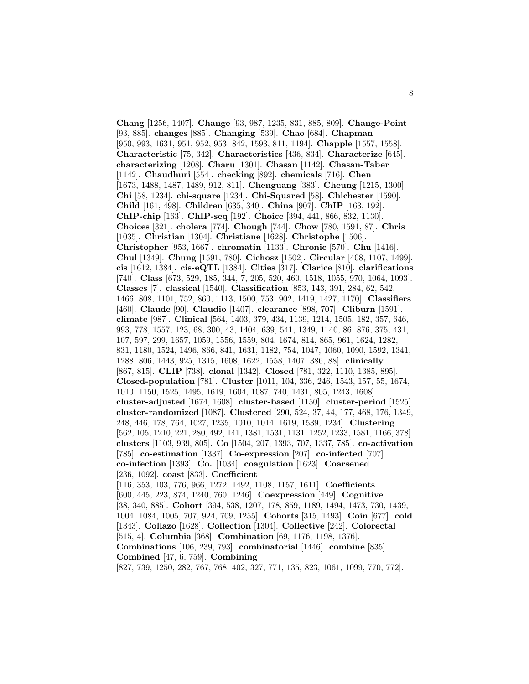**Chang** [1256, 1407]. **Change** [93, 987, 1235, 831, 885, 809]. **Change-Point** [93, 885]. **changes** [885]. **Changing** [539]. **Chao** [684]. **Chapman** [950, 993, 1631, 951, 952, 953, 842, 1593, 811, 1194]. **Chapple** [1557, 1558]. **Characteristic** [75, 342]. **Characteristics** [436, 834]. **Characterize** [645]. **characterizing** [1208]. **Charu** [1301]. **Chasan** [1142]. **Chasan-Taber** [1142]. **Chaudhuri** [554]. **checking** [892]. **chemicals** [716]. **Chen** [1673, 1488, 1487, 1489, 912, 811]. **Chenguang** [383]. **Cheung** [1215, 1300]. **Chi** [58, 1234]. **chi-square** [1234]. **Chi-Squared** [58]. **Chichester** [1590]. **Child** [161, 498]. **Children** [635, 340]. **China** [907]. **ChIP** [163, 192]. **ChIP-chip** [163]. **ChIP-seq** [192]. **Choice** [394, 441, 866, 832, 1130]. **Choices** [321]. **cholera** [774]. **Chough** [744]. **Chow** [780, 1591, 87]. **Chris** [1035]. **Christian** [1304]. **Christiane** [1628]. **Christophe** [1506]. **Christopher** [953, 1667]. **chromatin** [1133]. **Chronic** [570]. **Chu** [1416]. **Chul** [1349]. **Chung** [1591, 780]. **Cichosz** [1502]. **Circular** [408, 1107, 1499]. **cis** [1612, 1384]. **cis-eQTL** [1384]. **Cities** [317]. **Clarice** [810]. **clarifications** [740]. **Class** [673, 529, 185, 344, 7, 205, 520, 460, 1518, 1055, 970, 1064, 1093]. **Classes** [7]. **classical** [1540]. **Classification** [853, 143, 391, 284, 62, 542, 1466, 808, 1101, 752, 860, 1113, 1500, 753, 902, 1419, 1427, 1170]. **Classifiers** [460]. **Claude** [90]. **Claudio** [1407]. **clearance** [898, 707]. **Cliburn** [1591]. **climate** [987]. **Clinical** [564, 1403, 379, 434, 1139, 1214, 1505, 182, 357, 646, 993, 778, 1557, 123, 68, 300, 43, 1404, 639, 541, 1349, 1140, 86, 876, 375, 431, 107, 597, 299, 1657, 1059, 1556, 1559, 804, 1674, 814, 865, 961, 1624, 1282, 831, 1180, 1524, 1496, 866, 841, 1631, 1182, 754, 1047, 1060, 1090, 1592, 1341, 1288, 806, 1443, 925, 1315, 1608, 1622, 1558, 1407, 386, 88]. **clinically** [867, 815]. **CLIP** [738]. **clonal** [1342]. **Closed** [781, 322, 1110, 1385, 895]. **Closed-population** [781]. **Cluster** [1011, 104, 336, 246, 1543, 157, 55, 1674, 1010, 1150, 1525, 1495, 1619, 1604, 1087, 740, 1431, 805, 1243, 1608]. **cluster-adjusted** [1674, 1608]. **cluster-based** [1150]. **cluster-period** [1525]. **cluster-randomized** [1087]. **Clustered** [290, 524, 37, 44, 177, 468, 176, 1349, 248, 446, 178, 764, 1027, 1235, 1010, 1014, 1619, 1539, 1234]. **Clustering** [562, 105, 1210, 221, 280, 492, 141, 1381, 1531, 1131, 1252, 1233, 1581, 1166, 378]. **clusters** [1103, 939, 805]. **Co** [1504, 207, 1393, 707, 1337, 785]. **co-activation** [785]. **co-estimation** [1337]. **Co-expression** [207]. **co-infected** [707]. **co-infection** [1393]. **Co.** [1034]. **coagulation** [1623]. **Coarsened** [236, 1092]. **coast** [833]. **Coefficient** [116, 353, 103, 776, 966, 1272, 1492, 1108, 1157, 1611]. **Coefficients** [600, 445, 223, 874, 1240, 760, 1246]. **Coexpression** [449]. **Cognitive** [38, 340, 885]. **Cohort** [394, 538, 1207, 178, 859, 1189, 1494, 1473, 730, 1439, 1004, 1084, 1005, 707, 924, 709, 1255]. **Cohorts** [315, 1493]. **Coin** [677]. **cold** [1343]. **Collazo** [1628]. **Collection** [1304]. **Collective** [242]. **Colorectal** [515, 4]. **Columbia** [368]. **Combination** [69, 1176, 1198, 1376]. **Combinations** [106, 239, 793]. **combinatorial** [1446]. **combine** [835]. **Combined** [47, 6, 759]. **Combining** [827, 739, 1250, 282, 767, 768, 402, 327, 771, 135, 823, 1061, 1099, 770, 772].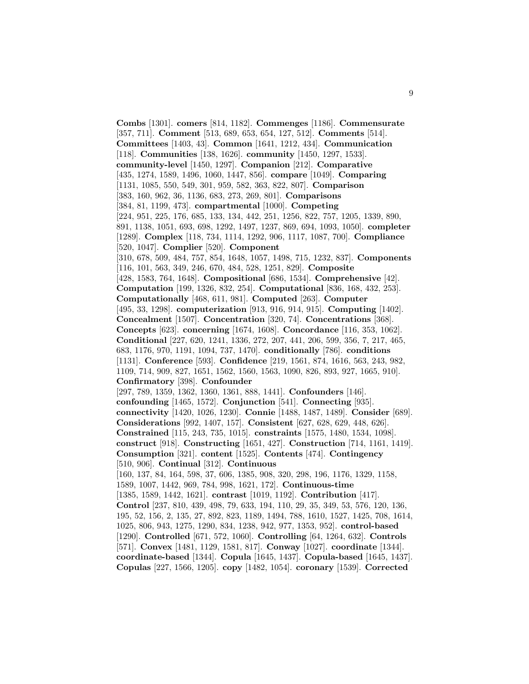**Combs** [1301]. **comers** [814, 1182]. **Commenges** [1186]. **Commensurate** [357, 711]. **Comment** [513, 689, 653, 654, 127, 512]. **Comments** [514]. **Committees** [1403, 43]. **Common** [1641, 1212, 434]. **Communication** [118]. **Communities** [138, 1626]. **community** [1450, 1297, 1533]. **community-level** [1450, 1297]. **Companion** [212]. **Comparative** [435, 1274, 1589, 1496, 1060, 1447, 856]. **compare** [1049]. **Comparing** [1131, 1085, 550, 549, 301, 959, 582, 363, 822, 807]. **Comparison** [383, 160, 962, 36, 1136, 683, 273, 269, 801]. **Comparisons** [384, 81, 1199, 473]. **compartmental** [1000]. **Competing** [224, 951, 225, 176, 685, 133, 134, 442, 251, 1256, 822, 757, 1205, 1339, 890, 891, 1138, 1051, 693, 698, 1292, 1497, 1237, 869, 694, 1093, 1050]. **completer** [1289]. **Complex** [118, 734, 1114, 1292, 906, 1117, 1087, 700]. **Compliance** [520, 1047]. **Complier** [520]. **Component** [310, 678, 509, 484, 757, 854, 1648, 1057, 1498, 715, 1232, 837]. **Components** [116, 101, 563, 349, 246, 670, 484, 528, 1251, 829]. **Composite** [428, 1583, 764, 1648]. **Compositional** [686, 1534]. **Comprehensive** [42]. **Computation** [199, 1326, 832, 254]. **Computational** [836, 168, 432, 253]. **Computationally** [468, 611, 981]. **Computed** [263]. **Computer** [495, 33, 1298]. **computerization** [913, 916, 914, 915]. **Computing** [1402]. **Concealment** [1507]. **Concentration** [320, 74]. **Concentrations** [368]. **Concepts** [623]. **concerning** [1674, 1608]. **Concordance** [116, 353, 1062]. **Conditional** [227, 620, 1241, 1336, 272, 207, 441, 206, 599, 356, 7, 217, 465, 683, 1176, 970, 1191, 1094, 737, 1470]. **conditionally** [786]. **conditions** [1131]. **Conference** [593]. **Confidence** [219, 1561, 874, 1616, 563, 243, 982, 1109, 714, 909, 827, 1651, 1562, 1560, 1563, 1090, 826, 893, 927, 1665, 910]. **Confirmatory** [398]. **Confounder** [297, 789, 1359, 1362, 1360, 1361, 888, 1441]. **Confounders** [146]. **confounding** [1465, 1572]. **Conjunction** [541]. **Connecting** [935]. **connectivity** [1420, 1026, 1230]. **Connie** [1488, 1487, 1489]. **Consider** [689]. **Considerations** [992, 1407, 157]. **Consistent** [627, 628, 629, 448, 626]. **Constrained** [115, 243, 735, 1015]. **constraints** [1575, 1480, 1534, 1098]. **construct** [918]. **Constructing** [1651, 427]. **Construction** [714, 1161, 1419]. **Consumption** [321]. **content** [1525]. **Contents** [474]. **Contingency** [510, 906]. **Continual** [312]. **Continuous** [160, 137, 84, 164, 598, 37, 606, 1385, 908, 320, 298, 196, 1176, 1329, 1158, 1589, 1007, 1442, 969, 784, 998, 1621, 172]. **Continuous-time** [1385, 1589, 1442, 1621]. **contrast** [1019, 1192]. **Contribution** [417]. **Control** [237, 810, 439, 498, 79, 633, 194, 110, 29, 35, 349, 53, 576, 120, 136, 195, 52, 156, 2, 135, 27, 892, 823, 1189, 1494, 788, 1610, 1527, 1425, 708, 1614, 1025, 806, 943, 1275, 1290, 834, 1238, 942, 977, 1353, 952]. **control-based** [1290]. **Controlled** [671, 572, 1060]. **Controlling** [64, 1264, 632]. **Controls** [571]. **Convex** [1481, 1129, 1581, 817]. **Conway** [1027]. **coordinate** [1344]. **coordinate-based** [1344]. **Copula** [1645, 1437]. **Copula-based** [1645, 1437]. **Copulas** [227, 1566, 1205]. **copy** [1482, 1054]. **coronary** [1539]. **Corrected**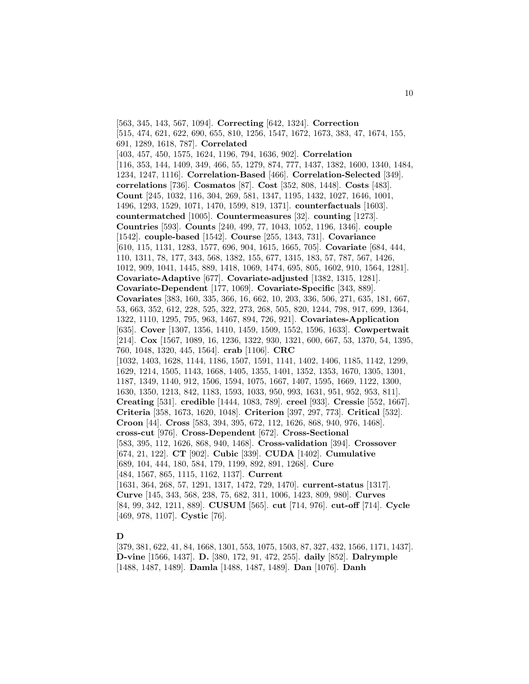[563, 345, 143, 567, 1094]. **Correcting** [642, 1324]. **Correction** [515, 474, 621, 622, 690, 655, 810, 1256, 1547, 1672, 1673, 383, 47, 1674, 155, 691, 1289, 1618, 787]. **Correlated** [403, 457, 450, 1575, 1624, 1196, 794, 1636, 902]. **Correlation** [116, 353, 144, 1409, 349, 466, 55, 1279, 874, 777, 1437, 1382, 1600, 1340, 1484, 1234, 1247, 1116]. **Correlation-Based** [466]. **Correlation-Selected** [349]. **correlations** [736]. **Cosmatos** [87]. **Cost** [352, 808, 1448]. **Costs** [483]. **Count** [245, 1032, 116, 304, 269, 581, 1347, 1195, 1432, 1027, 1646, 1001, 1496, 1293, 1529, 1071, 1470, 1599, 819, 1371]. **counterfactuals** [1603]. **countermatched** [1005]. **Countermeasures** [32]. **counting** [1273]. **Countries** [593]. **Counts** [240, 499, 77, 1043, 1052, 1196, 1346]. **couple** [1542]. **couple-based** [1542]. **Course** [255, 1343, 731]. **Covariance** [610, 115, 1131, 1283, 1577, 696, 904, 1615, 1665, 705]. **Covariate** [684, 444, 110, 1311, 78, 177, 343, 568, 1382, 155, 677, 1315, 183, 57, 787, 567, 1426, 1012, 909, 1041, 1445, 889, 1418, 1069, 1474, 695, 805, 1602, 910, 1564, 1281]. **Covariate-Adaptive** [677]. **Covariate-adjusted** [1382, 1315, 1281]. **Covariate-Dependent** [177, 1069]. **Covariate-Specific** [343, 889]. **Covariates** [383, 160, 335, 366, 16, 662, 10, 203, 336, 506, 271, 635, 181, 667, 53, 663, 352, 612, 228, 525, 322, 273, 268, 505, 820, 1244, 798, 917, 699, 1364, 1322, 1110, 1295, 795, 963, 1467, 894, 726, 921]. **Covariates-Application** [635]. **Cover** [1307, 1356, 1410, 1459, 1509, 1552, 1596, 1633]. **Cowpertwait** [214]. **Cox** [1567, 1089, 16, 1236, 1322, 930, 1321, 600, 667, 53, 1370, 54, 1395, 760, 1048, 1320, 445, 1564]. **crab** [1106]. **CRC** [1032, 1403, 1628, 1144, 1186, 1507, 1591, 1141, 1402, 1406, 1185, 1142, 1299, 1629, 1214, 1505, 1143, 1668, 1405, 1355, 1401, 1352, 1353, 1670, 1305, 1301, 1187, 1349, 1140, 912, 1506, 1594, 1075, 1667, 1407, 1595, 1669, 1122, 1300, 1630, 1350, 1213, 842, 1183, 1593, 1033, 950, 993, 1631, 951, 952, 953, 811]. **Creating** [531]. **credible** [1444, 1083, 789]. **creel** [933]. **Cressie** [552, 1667]. **Criteria** [358, 1673, 1620, 1048]. **Criterion** [397, 297, 773]. **Critical** [532]. **Croon** [44]. **Cross** [583, 394, 395, 672, 112, 1626, 868, 940, 976, 1468]. **cross-cut** [976]. **Cross-Dependent** [672]. **Cross-Sectional** [583, 395, 112, 1626, 868, 940, 1468]. **Cross-validation** [394]. **Crossover** [674, 21, 122]. **CT** [902]. **Cubic** [339]. **CUDA** [1402]. **Cumulative** [689, 104, 444, 180, 584, 179, 1199, 892, 891, 1268]. **Cure** [484, 1567, 865, 1115, 1162, 1137]. **Current** [1631, 364, 268, 57, 1291, 1317, 1472, 729, 1470]. **current-status** [1317]. **Curve** [145, 343, 568, 238, 75, 682, 311, 1006, 1423, 809, 980]. **Curves** [84, 99, 342, 1211, 889]. **CUSUM** [565]. **cut** [714, 976]. **cut-off** [714]. **Cycle** [469, 978, 1107]. **Cystic** [76].

### **D**

[379, 381, 622, 41, 84, 1668, 1301, 553, 1075, 1503, 87, 327, 432, 1566, 1171, 1437]. **D-vine** [1566, 1437]. **D.** [380, 172, 91, 472, 255]. **daily** [852]. **Dalrymple** [1488, 1487, 1489]. **Damla** [1488, 1487, 1489]. **Dan** [1076]. **Danh**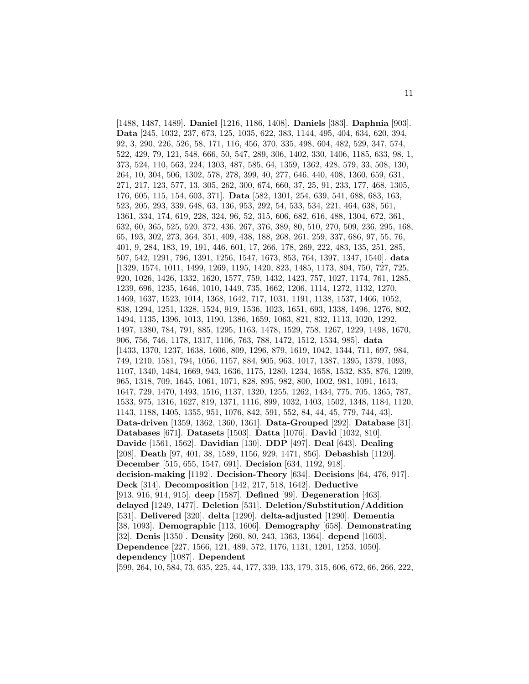[1488, 1487, 1489]. **Daniel** [1216, 1186, 1408]. **Daniels** [383]. **Daphnia** [903]. **Data** [245, 1032, 237, 673, 125, 1035, 622, 383, 1144, 495, 404, 634, 620, 394, 92, 3, 290, 226, 526, 58, 171, 116, 456, 370, 335, 498, 604, 482, 529, 347, 574, 522, 429, 79, 121, 548, 666, 50, 547, 289, 306, 1402, 330, 1406, 1185, 633, 98, 1, 373, 524, 110, 563, 224, 1303, 487, 585, 64, 1359, 1362, 428, 579, 33, 508, 130, 264, 10, 304, 506, 1302, 578, 278, 399, 40, 277, 646, 440, 408, 1360, 659, 631, 271, 217, 123, 577, 13, 305, 262, 300, 674, 660, 37, 25, 91, 233, 177, 468, 1305, 176, 605, 115, 154, 603, 371]. **Data** [582, 1301, 254, 639, 541, 688, 683, 163, 523, 205, 293, 339, 648, 63, 136, 953, 292, 54, 533, 534, 221, 464, 638, 561, 1361, 334, 174, 619, 228, 324, 96, 52, 315, 606, 682, 616, 488, 1304, 672, 361, 632, 60, 365, 525, 520, 372, 436, 267, 376, 389, 80, 510, 270, 509, 236, 295, 168, 65, 193, 302, 273, 364, 351, 409, 438, 188, 268, 261, 259, 337, 686, 97, 55, 76, 401, 9, 284, 183, 19, 191, 446, 601, 17, 266, 178, 269, 222, 483, 135, 251, 285, 507, 542, 1291, 796, 1391, 1256, 1547, 1673, 853, 764, 1397, 1347, 1540]. **data** [1329, 1574, 1011, 1499, 1269, 1195, 1420, 823, 1485, 1173, 804, 750, 727, 725, 920, 1026, 1426, 1332, 1620, 1577, 759, 1432, 1423, 757, 1027, 1174, 761, 1285, 1239, 696, 1235, 1646, 1010, 1449, 735, 1662, 1206, 1114, 1272, 1132, 1270, 1469, 1637, 1523, 1014, 1368, 1642, 717, 1031, 1191, 1138, 1537, 1466, 1052, 838, 1294, 1251, 1328, 1524, 919, 1536, 1023, 1651, 693, 1338, 1496, 1276, 802, 1494, 1135, 1396, 1013, 1190, 1386, 1659, 1063, 821, 832, 1113, 1020, 1292, 1497, 1380, 784, 791, 885, 1295, 1163, 1478, 1529, 758, 1267, 1229, 1498, 1670, 906, 756, 746, 1178, 1317, 1106, 763, 788, 1472, 1512, 1534, 985]. **data** [1433, 1370, 1237, 1638, 1606, 809, 1296, 879, 1619, 1042, 1344, 711, 697, 984, 749, 1210, 1581, 794, 1056, 1157, 884, 905, 963, 1017, 1387, 1395, 1379, 1093, 1107, 1340, 1484, 1669, 943, 1636, 1175, 1280, 1234, 1658, 1532, 835, 876, 1209, 965, 1318, 709, 1645, 1061, 1071, 828, 895, 982, 800, 1002, 981, 1091, 1613, 1647, 729, 1470, 1493, 1516, 1137, 1320, 1255, 1262, 1434, 775, 705, 1365, 787, 1533, 975, 1316, 1627, 819, 1371, 1116, 899, 1032, 1403, 1502, 1348, 1184, 1120, 1143, 1188, 1405, 1355, 951, 1076, 842, 591, 552, 84, 44, 45, 779, 744, 43]. **Data-driven** [1359, 1362, 1360, 1361]. **Data-Grouped** [292]. **Database** [31]. **Databases** [671]. **Datasets** [1503]. **Datta** [1076]. **David** [1032, 810]. **Davide** [1561, 1562]. **Davidian** [130]. **DDP** [497]. **Deal** [643]. **Dealing** [208]. **Death** [97, 401, 38, 1589, 1156, 929, 1471, 856]. **Debashish** [1120]. **December** [515, 655, 1547, 691]. **Decision** [634, 1192, 918]. **decision-making** [1192]. **Decision-Theory** [634]. **Decisions** [64, 476, 917]. **Deck** [314]. **Decomposition** [142, 217, 518, 1642]. **Deductive** [913, 916, 914, 915]. **deep** [1587]. **Defined** [99]. **Degeneration** [463]. **delayed** [1249, 1477]. **Deletion** [531]. **Deletion/Substitution/Addition** [531]. **Delivered** [320]. **delta** [1290]. **delta-adjusted** [1290]. **Dementia** [38, 1093]. **Demographic** [113, 1606]. **Demography** [658]. **Demonstrating** [32]. **Denis** [1350]. **Density** [260, 80, 243, 1363, 1364]. **depend** [1603]. **Dependence** [227, 1566, 121, 489, 572, 1176, 1131, 1201, 1253, 1050]. **dependency** [1087]. **Dependent** [599, 264, 10, 584, 73, 635, 225, 44, 177, 339, 133, 179, 315, 606, 672, 66, 266, 222,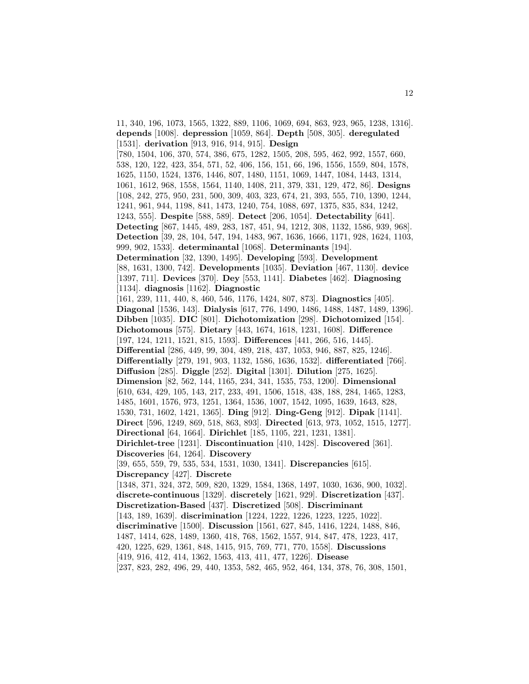11, 340, 196, 1073, 1565, 1322, 889, 1106, 1069, 694, 863, 923, 965, 1238, 1316]. **depends** [1008]. **depression** [1059, 864]. **Depth** [508, 305]. **deregulated** [1531]. **derivation** [913, 916, 914, 915]. **Design** [780, 1504, 106, 370, 574, 386, 675, 1282, 1505, 208, 595, 462, 992, 1557, 660, 538, 120, 122, 423, 354, 571, 52, 406, 156, 151, 66, 196, 1556, 1559, 804, 1578, 1625, 1150, 1524, 1376, 1446, 807, 1480, 1151, 1069, 1447, 1084, 1443, 1314, 1061, 1612, 968, 1558, 1564, 1140, 1408, 211, 379, 331, 129, 472, 86]. **Designs** [108, 242, 275, 950, 231, 500, 309, 403, 323, 674, 21, 393, 555, 710, 1390, 1244, 1241, 961, 944, 1198, 841, 1473, 1240, 754, 1088, 697, 1375, 835, 834, 1242, 1243, 555]. **Despite** [588, 589]. **Detect** [206, 1054]. **Detectability** [641]. **Detecting** [867, 1445, 489, 283, 187, 451, 94, 1212, 308, 1132, 1586, 939, 968]. **Detection** [39, 28, 104, 547, 194, 1483, 967, 1636, 1666, 1171, 928, 1624, 1103, 999, 902, 1533]. **determinantal** [1068]. **Determinants** [194]. **Determination** [32, 1390, 1495]. **Developing** [593]. **Development** [88, 1631, 1300, 742]. **Developments** [1035]. **Deviation** [467, 1130]. **device** [1397, 711]. **Devices** [370]. **Dey** [553, 1141]. **Diabetes** [462]. **Diagnosing** [1134]. **diagnosis** [1162]. **Diagnostic** [161, 239, 111, 440, 8, 460, 546, 1176, 1424, 807, 873]. **Diagnostics** [405]. **Diagonal** [1536, 143]. **Dialysis** [617, 776, 1490, 1486, 1488, 1487, 1489, 1396]. **Dibben** [1035]. **DIC** [801]. **Dichotomization** [298]. **Dichotomized** [154]. **Dichotomous** [575]. **Dietary** [443, 1674, 1618, 1231, 1608]. **Difference** [197, 124, 1211, 1521, 815, 1593]. **Differences** [441, 266, 516, 1445]. **Differential** [286, 449, 99, 304, 489, 218, 437, 1053, 946, 887, 825, 1246]. **Differentially** [279, 191, 903, 1132, 1586, 1636, 1532]. **differentiated** [766]. **Diffusion** [285]. **Diggle** [252]. **Digital** [1301]. **Dilution** [275, 1625]. **Dimension** [82, 562, 144, 1165, 234, 341, 1535, 753, 1200]. **Dimensional** [610, 634, 429, 105, 143, 217, 233, 491, 1506, 1518, 438, 188, 284, 1465, 1283, 1485, 1601, 1576, 973, 1251, 1364, 1536, 1007, 1542, 1095, 1639, 1643, 828, 1530, 731, 1602, 1421, 1365]. **Ding** [912]. **Ding-Geng** [912]. **Dipak** [1141]. **Direct** [596, 1249, 869, 518, 863, 893]. **Directed** [613, 973, 1052, 1515, 1277]. **Directional** [64, 1664]. **Dirichlet** [185, 1105, 221, 1231, 1381]. **Dirichlet-tree** [1231]. **Discontinuation** [410, 1428]. **Discovered** [361]. **Discoveries** [64, 1264]. **Discovery** [39, 655, 559, 79, 535, 534, 1531, 1030, 1341]. **Discrepancies** [615]. **Discrepancy** [427]. **Discrete** [1348, 371, 324, 372, 509, 820, 1329, 1584, 1368, 1497, 1030, 1636, 900, 1032]. **discrete-continuous** [1329]. **discretely** [1621, 929]. **Discretization** [437]. **Discretization-Based** [437]. **Discretized** [508]. **Discriminant** [143, 189, 1639]. **discrimination** [1224, 1222, 1226, 1223, 1225, 1022]. **discriminative** [1500]. **Discussion** [1561, 627, 845, 1416, 1224, 1488, 846, 1487, 1414, 628, 1489, 1360, 418, 768, 1562, 1557, 914, 847, 478, 1223, 417, 420, 1225, 629, 1361, 848, 1415, 915, 769, 771, 770, 1558]. **Discussions** [419, 916, 412, 414, 1362, 1563, 413, 411, 477, 1226]. **Disease** [237, 823, 282, 496, 29, 440, 1353, 582, 465, 952, 464, 134, 378, 76, 308, 1501,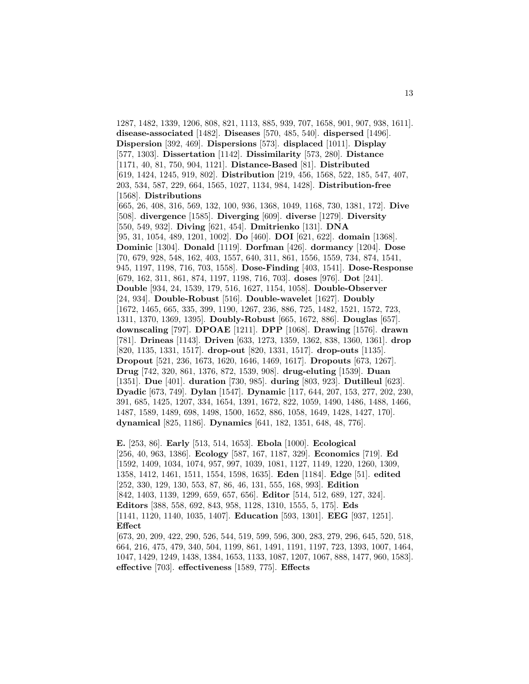1287, 1482, 1339, 1206, 808, 821, 1113, 885, 939, 707, 1658, 901, 907, 938, 1611]. **disease-associated** [1482]. **Diseases** [570, 485, 540]. **dispersed** [1496]. **Dispersion** [392, 469]. **Dispersions** [573]. **displaced** [1011]. **Display** [577, 1303]. **Dissertation** [1142]. **Dissimilarity** [573, 280]. **Distance** [1171, 40, 81, 750, 904, 1121]. **Distance-Based** [81]. **Distributed** [619, 1424, 1245, 919, 802]. **Distribution** [219, 456, 1568, 522, 185, 547, 407, 203, 534, 587, 229, 664, 1565, 1027, 1134, 984, 1428]. **Distribution-free** [1568]. **Distributions** [665, 26, 408, 316, 569, 132, 100, 936, 1368, 1049, 1168, 730, 1381, 172]. **Dive** [508]. **divergence** [1585]. **Diverging** [609]. **diverse** [1279]. **Diversity** [550, 549, 932]. **Diving** [621, 454]. **Dmitrienko** [131]. **DNA** [95, 31, 1054, 489, 1201, 1002]. **Do** [460]. **DOI** [621, 622]. **domain** [1368]. **Dominic** [1304]. **Donald** [1119]. **Dorfman** [426]. **dormancy** [1204]. **Dose** [70, 679, 928, 548, 162, 403, 1557, 640, 311, 861, 1556, 1559, 734, 874, 1541, 945, 1197, 1198, 716, 703, 1558]. **Dose-Finding** [403, 1541]. **Dose-Response** [679, 162, 311, 861, 874, 1197, 1198, 716, 703]. **doses** [976]. **Dot** [241]. **Double** [934, 24, 1539, 179, 516, 1627, 1154, 1058]. **Double-Observer** [24, 934]. **Double-Robust** [516]. **Double-wavelet** [1627]. **Doubly** [1672, 1465, 665, 335, 399, 1190, 1267, 236, 886, 725, 1482, 1521, 1572, 723, 1311, 1370, 1369, 1395]. **Doubly-Robust** [665, 1672, 886]. **Douglas** [657]. **downscaling** [797]. **DPOAE** [1211]. **DPP** [1068]. **Drawing** [1576]. **drawn** [781]. **Drineas** [1143]. **Driven** [633, 1273, 1359, 1362, 838, 1360, 1361]. **drop** [820, 1135, 1331, 1517]. **drop-out** [820, 1331, 1517]. **drop-outs** [1135]. **Dropout** [521, 236, 1673, 1620, 1646, 1469, 1617]. **Dropouts** [673, 1267]. **Drug** [742, 320, 861, 1376, 872, 1539, 908]. **drug-eluting** [1539]. **Duan** [1351]. **Due** [401]. **duration** [730, 985]. **during** [803, 923]. **Dutilleul** [623]. **Dyadic** [673, 749]. **Dylan** [1547]. **Dynamic** [117, 644, 207, 153, 277, 202, 230, 391, 685, 1425, 1207, 334, 1654, 1391, 1672, 822, 1059, 1490, 1486, 1488, 1466, 1487, 1589, 1489, 698, 1498, 1500, 1652, 886, 1058, 1649, 1428, 1427, 170]. **dynamical** [825, 1186]. **Dynamics** [641, 182, 1351, 648, 48, 776].

**E.** [253, 86]. **Early** [513, 514, 1653]. **Ebola** [1000]. **Ecological** [256, 40, 963, 1386]. **Ecology** [587, 167, 1187, 329]. **Economics** [719]. **Ed** [1592, 1409, 1034, 1074, 957, 997, 1039, 1081, 1127, 1149, 1220, 1260, 1309, 1358, 1412, 1461, 1511, 1554, 1598, 1635]. **Eden** [1184]. **Edge** [51]. **edited** [252, 330, 129, 130, 553, 87, 86, 46, 131, 555, 168, 993]. **Edition** [842, 1403, 1139, 1299, 659, 657, 656]. **Editor** [514, 512, 689, 127, 324]. **Editors** [388, 558, 692, 843, 958, 1128, 1310, 1555, 5, 175]. **Eds** [1141, 1120, 1140, 1035, 1407]. **Education** [593, 1301]. **EEG** [937, 1251]. **Effect**

[673, 20, 209, 422, 290, 526, 544, 519, 599, 596, 300, 283, 279, 296, 645, 520, 518, 664, 216, 475, 479, 340, 504, 1199, 861, 1491, 1191, 1197, 723, 1393, 1007, 1464, 1047, 1429, 1249, 1438, 1384, 1653, 1133, 1087, 1207, 1067, 888, 1477, 960, 1583]. **effective** [703]. **effectiveness** [1589, 775]. **Effects**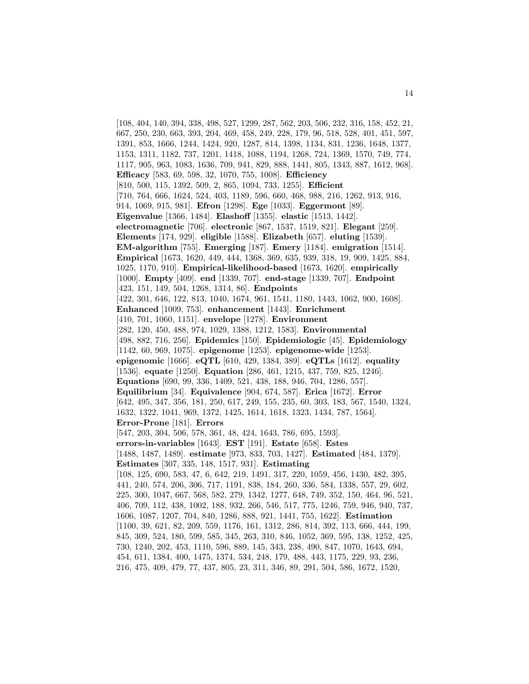[108, 404, 140, 394, 338, 498, 527, 1299, 287, 562, 203, 506, 232, 316, 158, 452, 21, 667, 250, 230, 663, 393, 204, 469, 458, 249, 228, 179, 96, 518, 528, 401, 451, 597, 1391, 853, 1666, 1244, 1424, 920, 1287, 814, 1398, 1134, 831, 1236, 1648, 1377, 1153, 1311, 1182, 737, 1201, 1418, 1088, 1194, 1268, 724, 1369, 1570, 749, 774, 1117, 905, 963, 1083, 1636, 709, 941, 829, 888, 1441, 805, 1343, 887, 1612, 968]. **Efficacy** [583, 69, 598, 32, 1070, 755, 1008]. **Efficiency** [810, 500, 115, 1392, 509, 2, 865, 1094, 733, 1255]. **Efficient** [710, 764, 666, 1624, 524, 403, 1189, 596, 660, 468, 988, 216, 1262, 913, 916, 914, 1069, 915, 981]. **Efron** [1298]. **Ege** [1033]. **Eggermont** [89]. **Eigenvalue** [1366, 1484]. **Elashoff** [1355]. **elastic** [1513, 1442]. **electromagnetic** [706]. **electronic** [867, 1537, 1519, 821]. **Elegant** [259]. **Elements** [174, 929]. **eligible** [1588]. **Elizabeth** [657]. **eluting** [1539]. **EM-algorithm** [755]. **Emerging** [187]. **Emery** [1184]. **emigration** [1514]. **Empirical** [1673, 1620, 449, 444, 1368, 369, 635, 939, 318, 19, 909, 1425, 884, 1025, 1170, 910]. **Empirical-likelihood-based** [1673, 1620]. **empirically** [1000]. **Empty** [409]. **end** [1339, 707]. **end-stage** [1339, 707]. **Endpoint** [423, 151, 149, 504, 1268, 1314, 86]. **Endpoints** [422, 301, 646, 122, 813, 1040, 1674, 961, 1541, 1180, 1443, 1062, 900, 1608]. **Enhanced** [1009, 753]. **enhancement** [1443]. **Enrichment** [410, 701, 1060, 1151]. **envelope** [1278]. **Environment** [282, 120, 450, 488, 974, 1029, 1388, 1212, 1583]. **Environmental** [498, 882, 716, 256]. **Epidemics** [150]. **Epidemiologic** [45]. **Epidemiology** [1142, 60, 969, 1075]. **epigenome** [1253]. **epigenome-wide** [1253]. **epigenomic** [1666]. **eQTL** [610, 429, 1384, 389]. **eQTLs** [1612]. **equality** [1536]. **equate** [1250]. **Equation** [286, 461, 1215, 437, 759, 825, 1246]. **Equations** [690, 99, 336, 1409, 521, 438, 188, 946, 704, 1286, 557]. **Equilibrium** [34]. **Equivalence** [904, 674, 587]. **Erica** [1672]. **Error** [642, 495, 347, 356, 181, 250, 617, 249, 155, 235, 60, 303, 183, 567, 1540, 1324, 1632, 1322, 1041, 969, 1372, 1425, 1614, 1618, 1323, 1434, 787, 1564]. **Error-Prone** [181]. **Errors** [547, 203, 304, 506, 578, 361, 48, 424, 1643, 786, 695, 1593]. **errors-in-variables** [1643]. **EST** [191]. **Estate** [658]. **Estes** [1488, 1487, 1489]. **estimate** [973, 833, 703, 1427]. **Estimated** [484, 1379]. **Estimates** [307, 335, 148, 1517, 931]. **Estimating** [108, 125, 690, 583, 47, 6, 642, 219, 1491, 317, 220, 1059, 456, 1430, 482, 395, 441, 240, 574, 206, 306, 717, 1191, 838, 184, 260, 336, 584, 1338, 557, 29, 602, 225, 300, 1047, 667, 568, 582, 279, 1342, 1277, 648, 749, 352, 150, 464, 96, 521, 406, 709, 112, 438, 1002, 188, 932, 266, 546, 517, 775, 1246, 759, 946, 940, 737, 1606, 1087, 1207, 704, 840, 1286, 888, 921, 1441, 755, 1622]. **Estimation** [1100, 39, 621, 82, 209, 559, 1176, 161, 1312, 286, 814, 392, 113, 666, 444, 199, 845, 309, 524, 180, 599, 585, 345, 263, 310, 846, 1052, 369, 595, 138, 1252, 425, 730, 1240, 202, 453, 1110, 596, 889, 145, 343, 238, 490, 847, 1070, 1643, 694, 454, 611, 1384, 400, 1475, 1374, 534, 248, 179, 488, 443, 1175, 229, 93, 236, 216, 475, 409, 479, 77, 437, 805, 23, 311, 346, 89, 291, 504, 586, 1672, 1520,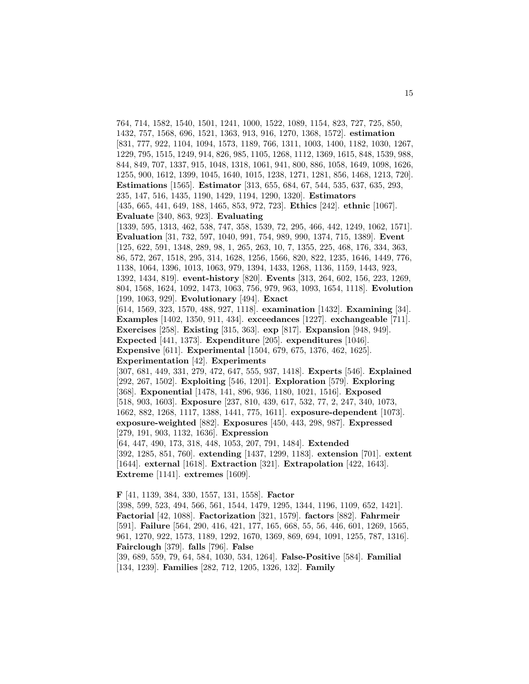764, 714, 1582, 1540, 1501, 1241, 1000, 1522, 1089, 1154, 823, 727, 725, 850, 1432, 757, 1568, 696, 1521, 1363, 913, 916, 1270, 1368, 1572]. **estimation** [831, 777, 922, 1104, 1094, 1573, 1189, 766, 1311, 1003, 1400, 1182, 1030, 1267, 1229, 795, 1515, 1249, 914, 826, 985, 1105, 1268, 1112, 1369, 1615, 848, 1539, 988, 844, 849, 707, 1337, 915, 1048, 1318, 1061, 941, 800, 886, 1058, 1649, 1098, 1626, 1255, 900, 1612, 1399, 1045, 1640, 1015, 1238, 1271, 1281, 856, 1468, 1213, 720]. **Estimations** [1565]. **Estimator** [313, 655, 684, 67, 544, 535, 637, 635, 293, 235, 147, 516, 1435, 1190, 1429, 1194, 1290, 1320]. **Estimators** [435, 665, 441, 649, 188, 1465, 853, 972, 723]. **Ethics** [242]. **ethnic** [1067]. **Evaluate** [340, 863, 923]. **Evaluating** [1339, 595, 1313, 462, 538, 747, 358, 1539, 72, 295, 466, 442, 1249, 1062, 1571]. **Evaluation** [31, 732, 597, 1040, 991, 754, 989, 990, 1374, 715, 1389]. **Event** [125, 622, 591, 1348, 289, 98, 1, 265, 263, 10, 7, 1355, 225, 468, 176, 334, 363, 86, 572, 267, 1518, 295, 314, 1628, 1256, 1566, 820, 822, 1235, 1646, 1449, 776, 1138, 1064, 1396, 1013, 1063, 979, 1394, 1433, 1268, 1136, 1159, 1443, 923, 1392, 1434, 819]. **event-history** [820]. **Events** [313, 264, 602, 156, 223, 1269, 804, 1568, 1624, 1092, 1473, 1063, 756, 979, 963, 1093, 1654, 1118]. **Evolution** [199, 1063, 929]. **Evolutionary** [494]. **Exact** [614, 1569, 323, 1570, 488, 927, 1118]. **examination** [1432]. **Examining** [34]. **Examples** [1402, 1350, 911, 434]. **exceedances** [1227]. **exchangeable** [711]. **Exercises** [258]. **Existing** [315, 363]. **exp** [817]. **Expansion** [948, 949]. **Expected** [441, 1373]. **Expenditure** [205]. **expenditures** [1046]. **Expensive** [611]. **Experimental** [1504, 679, 675, 1376, 462, 1625]. **Experimentation** [42]. **Experiments** [307, 681, 449, 331, 279, 472, 647, 555, 937, 1418]. **Experts** [546]. **Explained** [292, 267, 1502]. **Exploiting** [546, 1201]. **Exploration** [579]. **Exploring** [368]. **Exponential** [1478, 141, 896, 936, 1180, 1021, 1516]. **Exposed** [518, 903, 1603]. **Exposure** [237, 810, 439, 617, 532, 77, 2, 247, 340, 1073, 1662, 882, 1268, 1117, 1388, 1441, 775, 1611]. **exposure-dependent** [1073]. **exposure-weighted** [882]. **Exposures** [450, 443, 298, 987]. **Expressed** [279, 191, 903, 1132, 1636]. **Expression** [64, 447, 490, 173, 318, 448, 1053, 207, 791, 1484]. **Extended** [392, 1285, 851, 760]. **extending** [1437, 1299, 1183]. **extension** [701]. **extent** [1644]. **external** [1618]. **Extraction** [321]. **Extrapolation** [422, 1643]. **Extreme** [1141]. **extremes** [1609].

**F** [41, 1139, 384, 330, 1557, 131, 1558]. **Factor** [398, 599, 523, 494, 566, 561, 1544, 1479, 1295, 1344, 1196, 1109, 652, 1421]. **Factorial** [42, 1088]. **Factorization** [321, 1579]. **factors** [882]. **Fahrmeir** [591]. **Failure** [564, 290, 416, 421, 177, 165, 668, 55, 56, 446, 601, 1269, 1565, 961, 1270, 922, 1573, 1189, 1292, 1670, 1369, 869, 694, 1091, 1255, 787, 1316]. **Fairclough** [379]. **falls** [796]. **False**

[39, 689, 559, 79, 64, 584, 1030, 534, 1264]. **False-Positive** [584]. **Familial** [134, 1239]. **Families** [282, 712, 1205, 1326, 132]. **Family**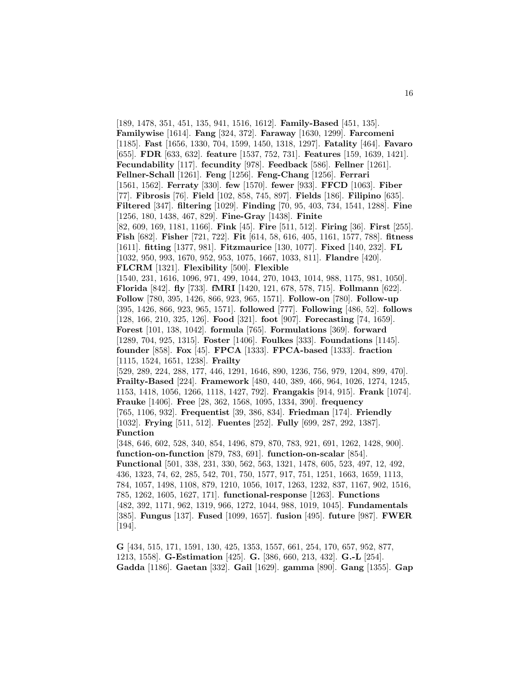[189, 1478, 351, 451, 135, 941, 1516, 1612]. **Family-Based** [451, 135]. **Familywise** [1614]. **Fang** [324, 372]. **Faraway** [1630, 1299]. **Farcomeni** [1185]. **Fast** [1656, 1330, 704, 1599, 1450, 1318, 1297]. **Fatality** [464]. **Favaro** [655]. **FDR** [633, 632]. **feature** [1537, 752, 731]. **Features** [159, 1639, 1421]. **Fecundability** [117]. **fecundity** [978]. **Feedback** [586]. **Fellner** [1261]. **Fellner-Schall** [1261]. **Feng** [1256]. **Feng-Chang** [1256]. **Ferrari** [1561, 1562]. **Ferraty** [330]. **few** [1570]. **fewer** [933]. **FFCD** [1063]. **Fiber** [77]. **Fibrosis** [76]. **Field** [102, 858, 745, 897]. **Fields** [186]. **Filipino** [635]. **Filtered** [347]. **filtering** [1029]. **Finding** [70, 95, 403, 734, 1541, 1288]. **Fine** [1256, 180, 1438, 467, 829]. **Fine-Gray** [1438]. **Finite** [82, 609, 169, 1181, 1166]. **Fink** [45]. **Fire** [511, 512]. **Firing** [36]. **First** [255]. **Fish** [682]. **Fisher** [721, 722]. **Fit** [614, 58, 616, 405, 1161, 1577, 788]. **fitness** [1611]. **fitting** [1377, 981]. **Fitzmaurice** [130, 1077]. **Fixed** [140, 232]. **FL** [1032, 950, 993, 1670, 952, 953, 1075, 1667, 1033, 811]. **Flandre** [420]. **FLCRM** [1321]. **Flexibility** [500]. **Flexible** [1540, 231, 1616, 1096, 971, 499, 1044, 270, 1043, 1014, 988, 1175, 981, 1050]. **Florida** [842]. **fly** [733]. **fMRI** [1420, 121, 678, 578, 715]. **Follmann** [622]. **Follow** [780, 395, 1426, 866, 923, 965, 1571]. **Follow-on** [780]. **Follow-up** [395, 1426, 866, 923, 965, 1571]. **followed** [777]. **Following** [486, 52]. **follows** [128, 166, 210, 325, 126]. **Food** [321]. **foot** [907]. **Forecasting** [74, 1659]. **Forest** [101, 138, 1042]. **formula** [765]. **Formulations** [369]. **forward** [1289, 704, 925, 1315]. **Foster** [1406]. **Foulkes** [333]. **Foundations** [1145]. **founder** [858]. **Fox** [45]. **FPCA** [1333]. **FPCA-based** [1333]. **fraction** [1115, 1524, 1651, 1238]. **Frailty** [529, 289, 224, 288, 177, 446, 1291, 1646, 890, 1236, 756, 979, 1204, 899, 470]. **Frailty-Based** [224]. **Framework** [480, 440, 389, 466, 964, 1026, 1274, 1245, 1153, 1418, 1056, 1266, 1118, 1427, 792]. **Frangakis** [914, 915]. **Frank** [1074]. **Frauke** [1406]. **Free** [28, 362, 1568, 1095, 1334, 390]. **frequency** [765, 1106, 932]. **Frequentist** [39, 386, 834]. **Friedman** [174]. **Friendly** [1032]. **Frying** [511, 512]. **Fuentes** [252]. **Fully** [699, 287, 292, 1387]. **Function** [348, 646, 602, 528, 340, 854, 1496, 879, 870, 783, 921, 691, 1262, 1428, 900]. **function-on-function** [879, 783, 691]. **function-on-scalar** [854]. **Functional** [501, 338, 231, 330, 562, 563, 1321, 1478, 605, 523, 497, 12, 492, 436, 1323, 74, 62, 285, 542, 701, 750, 1577, 917, 751, 1251, 1663, 1659, 1113, 784, 1057, 1498, 1108, 879, 1210, 1056, 1017, 1263, 1232, 837, 1167, 902, 1516, 785, 1262, 1605, 1627, 171]. **functional-response** [1263]. **Functions** [482, 392, 1171, 962, 1319, 966, 1272, 1044, 988, 1019, 1045]. **Fundamentals** [385]. **Fungus** [137]. **Fused** [1099, 1657]. **fusion** [495]. **future** [987]. **FWER** [194].

**G** [434, 515, 171, 1591, 130, 425, 1353, 1557, 661, 254, 170, 657, 952, 877, 1213, 1558]. **G-Estimation** [425]. **G.** [386, 660, 213, 432]. **G.-L** [254]. **Gadda** [1186]. **Gaetan** [332]. **Gail** [1629]. **gamma** [890]. **Gang** [1355]. **Gap**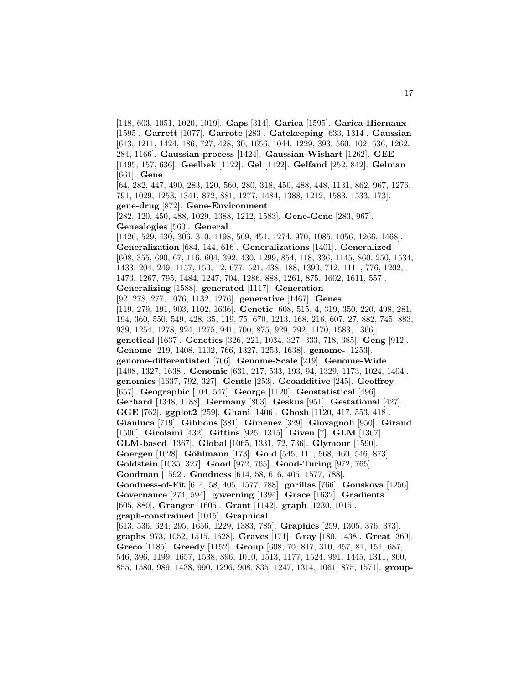[148, 603, 1051, 1020, 1019]. **Gaps** [314]. **Garica** [1595]. **Garica-Hiernaux** [1595]. **Garrett** [1077]. **Garrote** [283]. **Gatekeeping** [633, 1314]. **Gaussian** [613, 1211, 1424, 186, 727, 428, 30, 1656, 1044, 1229, 393, 560, 102, 536, 1262, 284, 1166]. **Gaussian-process** [1424]. **Gaussian-Wishart** [1262]. **GEE** [1495, 157, 636]. **Geelbek** [1122]. **Gel** [1122]. **Gelfand** [252, 842]. **Gelman** [661]. **Gene** [64, 282, 447, 490, 283, 120, 560, 280, 318, 450, 488, 448, 1131, 862, 967, 1276, 791, 1029, 1253, 1341, 872, 881, 1277, 1484, 1388, 1212, 1583, 1533, 173]. **gene-drug** [872]. **Gene-Environment** [282, 120, 450, 488, 1029, 1388, 1212, 1583]. **Gene-Gene** [283, 967]. **Genealogies** [560]. **General** [1426, 529, 430, 306, 310, 1198, 569, 451, 1274, 970, 1085, 1056, 1266, 1468]. **Generalization** [684, 144, 616]. **Generalizations** [1401]. **Generalized** [608, 355, 690, 67, 116, 604, 392, 430, 1299, 854, 118, 336, 1145, 860, 250, 1534, 1433, 204, 249, 1157, 150, 12, 677, 521, 438, 188, 1390, 712, 1111, 776, 1202, 1473, 1267, 795, 1484, 1247, 704, 1286, 888, 1261, 875, 1602, 1611, 557]. **Generalizing** [1588]. **generated** [1117]. **Generation** [92, 278, 277, 1076, 1132, 1276]. **generative** [1467]. **Genes** [119, 279, 191, 903, 1102, 1636]. **Genetic** [608, 515, 4, 319, 350, 220, 498, 281, 194, 360, 550, 549, 428, 35, 119, 75, 670, 1213, 168, 216, 607, 27, 882, 745, 883, 939, 1254, 1278, 924, 1275, 941, 700, 875, 929, 792, 1170, 1583, 1366]. **genetical** [1637]. **Genetics** [326, 221, 1034, 327, 333, 718, 385]. **Geng** [912]. **Genome** [219, 1408, 1102, 766, 1327, 1253, 1638]. **genome-** [1253]. **genome-differentiated** [766]. **Genome-Scale** [219]. **Genome-Wide** [1408, 1327, 1638]. **Genomic** [631, 217, 533, 193, 94, 1329, 1173, 1024, 1404]. **genomics** [1637, 792, 327]. **Gentle** [253]. **Geoadditive** [245]. **Geoffrey** [657]. **Geographic** [104, 547]. **George** [1120]. **Geostatistical** [496]. **Gerhard** [1348, 1188]. **Germany** [803]. **Geskus** [951]. **Gestational** [427]. **GGE** [762]. **ggplot2** [259]. **Ghani** [1406]. **Ghosh** [1120, 417, 553, 418]. **Gianluca** [719]. **Gibbons** [381]. **Gimenez** [329]. **Giovagnoli** [950]. **Giraud** [1506]. **Girolami** [432]. **Gittins** [925, 1315]. **Given** [7]. **GLM** [1367]. **GLM-based** [1367]. **Global** [1065, 1331, 72, 736]. **Glymour** [1590]. **Goergen** [1628]. **G¨ohlmann** [173]. **Gold** [545, 111, 568, 460, 546, 873]. **Goldstein** [1035, 327]. **Good** [972, 765]. **Good-Turing** [972, 765]. **Goodman** [1592]. **Goodness** [614, 58, 616, 405, 1577, 788]. **Goodness-of-Fit** [614, 58, 405, 1577, 788]. **gorillas** [766]. **Gouskova** [1256]. **Governance** [274, 594]. **governing** [1394]. **Grace** [1632]. **Gradients** [605, 880]. **Granger** [1605]. **Grant** [1142]. **graph** [1230, 1015]. **graph-constrained** [1015]. **Graphical** [613, 536, 624, 295, 1656, 1229, 1383, 785]. **Graphics** [259, 1305, 376, 373]. **graphs** [973, 1052, 1515, 1628]. **Graves** [171]. **Gray** [180, 1438]. **Great** [369]. **Greco** [1185]. **Greedy** [1152]. **Group** [608, 70, 817, 310, 457, 81, 151, 687, 546, 396, 1199, 1657, 1538, 896, 1010, 1513, 1177, 1524, 991, 1445, 1311, 860, 855, 1580, 989, 1438, 990, 1296, 908, 835, 1247, 1314, 1061, 875, 1571]. **group-**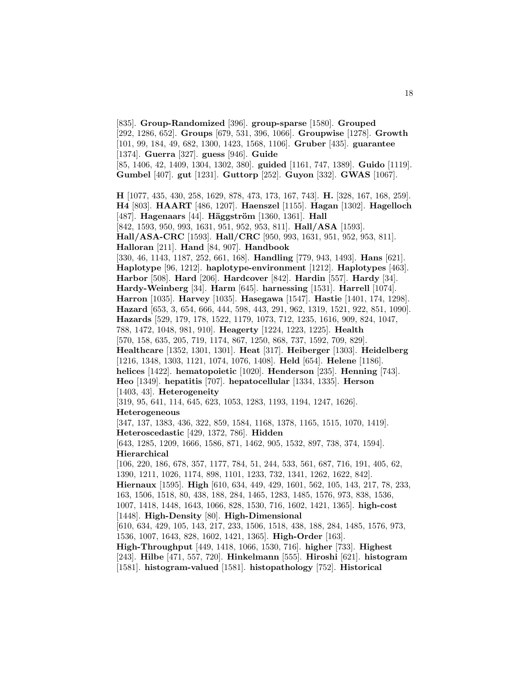[835]. **Group-Randomized** [396]. **group-sparse** [1580]. **Grouped** [292, 1286, 652]. **Groups** [679, 531, 396, 1066]. **Groupwise** [1278]. **Growth** [101, 99, 184, 49, 682, 1300, 1423, 1568, 1106]. **Gruber** [435]. **guarantee** [1374]. **Guerra** [327]. **guess** [946]. **Guide** [85, 1406, 42, 1409, 1304, 1302, 380]. **guided** [1161, 747, 1389]. **Guido** [1119]. **Gumbel** [407]. **gut** [1231]. **Guttorp** [252]. **Guyon** [332]. **GWAS** [1067]. **H** [1077, 435, 430, 258, 1629, 878, 473, 173, 167, 743]. **H.** [328, 167, 168, 259]. **H4** [803]. **HAART** [486, 1207]. **Haenszel** [1155]. **Hagan** [1302]. **Hagelloch** [487]. **Hagenaars** [44]. **Häggström** [1360, 1361]. **Hall** [842, 1593, 950, 993, 1631, 951, 952, 953, 811]. **Hall/ASA** [1593]. **Hall/ASA-CRC** [1593]. **Hall/CRC** [950, 993, 1631, 951, 952, 953, 811]. **Halloran** [211]. **Hand** [84, 907]. **Handbook** [330, 46, 1143, 1187, 252, 661, 168]. **Handling** [779, 943, 1493]. **Hans** [621]. **Haplotype** [96, 1212]. **haplotype-environment** [1212]. **Haplotypes** [463]. **Harbor** [508]. **Hard** [206]. **Hardcover** [842]. **Hardin** [557]. **Hardy** [34]. **Hardy-Weinberg** [34]. **Harm** [645]. **harnessing** [1531]. **Harrell** [1074]. **Harron** [1035]. **Harvey** [1035]. **Hasegawa** [1547]. **Hastie** [1401, 174, 1298]. **Hazard** [653, 3, 654, 666, 444, 598, 443, 291, 962, 1319, 1521, 922, 851, 1090]. **Hazards** [529, 179, 178, 1522, 1179, 1073, 712, 1235, 1616, 909, 824, 1047, 788, 1472, 1048, 981, 910]. **Heagerty** [1224, 1223, 1225]. **Health** [570, 158, 635, 205, 719, 1174, 867, 1250, 868, 737, 1592, 709, 829]. **Healthcare** [1352, 1301, 1301]. **Heat** [317]. **Heiberger** [1303]. **Heidelberg** [1216, 1348, 1303, 1121, 1074, 1076, 1408]. **Held** [654]. **Helene** [1186]. **helices** [1422]. **hematopoietic** [1020]. **Henderson** [235]. **Henning** [743]. **Heo** [1349]. **hepatitis** [707]. **hepatocellular** [1334, 1335]. **Herson** [1403, 43]. **Heterogeneity** [319, 95, 641, 114, 645, 623, 1053, 1283, 1193, 1194, 1247, 1626]. **Heterogeneous** [347, 137, 1383, 436, 322, 859, 1584, 1168, 1378, 1165, 1515, 1070, 1419]. **Heteroscedastic** [429, 1372, 786]. **Hidden** [643, 1285, 1209, 1666, 1586, 871, 1462, 905, 1532, 897, 738, 374, 1594]. **Hierarchical** [106, 220, 186, 678, 357, 1177, 784, 51, 244, 533, 561, 687, 716, 191, 405, 62, 1390, 1211, 1026, 1174, 898, 1101, 1233, 732, 1341, 1262, 1622, 842]. **Hiernaux** [1595]. **High** [610, 634, 449, 429, 1601, 562, 105, 143, 217, 78, 233, 163, 1506, 1518, 80, 438, 188, 284, 1465, 1283, 1485, 1576, 973, 838, 1536, 1007, 1418, 1448, 1643, 1066, 828, 1530, 716, 1602, 1421, 1365]. **high-cost** [1448]. **High-Density** [80]. **High-Dimensional** [610, 634, 429, 105, 143, 217, 233, 1506, 1518, 438, 188, 284, 1485, 1576, 973, 1536, 1007, 1643, 828, 1602, 1421, 1365]. **High-Order** [163]. **High-Throughput** [449, 1418, 1066, 1530, 716]. **higher** [733]. **Highest** [243]. **Hilbe** [471, 557, 720]. **Hinkelmann** [555]. **Hiroshi** [621]. **histogram** [1581]. **histogram-valued** [1581]. **histopathology** [752]. **Historical**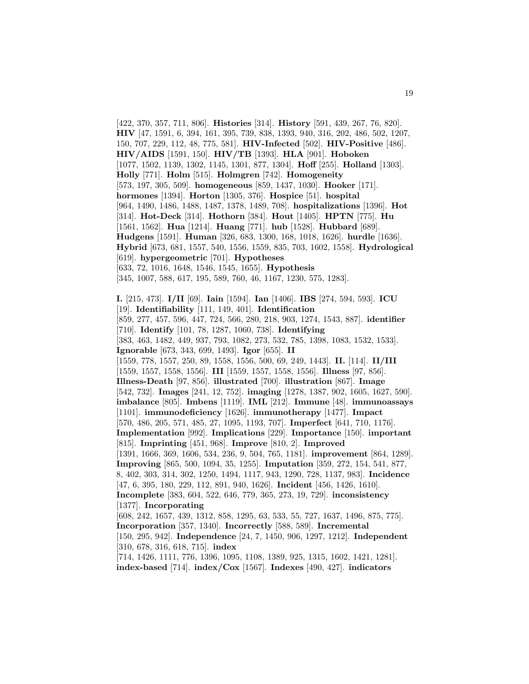[422, 370, 357, 711, 806]. **Histories** [314]. **History** [591, 439, 267, 76, 820]. **HIV** [47, 1591, 6, 394, 161, 395, 739, 838, 1393, 940, 316, 202, 486, 502, 1207, 150, 707, 229, 112, 48, 775, 581]. **HIV-Infected** [502]. **HIV-Positive** [486]. **HIV/AIDS** [1591, 150]. **HIV/TB** [1393]. **HLA** [901]. **Hoboken** [1077, 1502, 1139, 1302, 1145, 1301, 877, 1304]. **Hoff** [255]. **Holland** [1303]. **Holly** [771]. **Holm** [515]. **Holmgren** [742]. **Homogeneity** [573, 197, 305, 509]. **homogeneous** [859, 1437, 1030]. **Hooker** [171]. **hormones** [1394]. **Horton** [1305, 376]. **Hospice** [51]. **hospital** [964, 1490, 1486, 1488, 1487, 1378, 1489, 708]. **hospitalizations** [1396]. **Hot** [314]. **Hot-Deck** [314]. **Hothorn** [384]. **Hout** [1405]. **HPTN** [775]. **Hu** [1561, 1562]. **Hua** [1214]. **Huang** [771]. **hub** [1528]. **Hubbard** [689]. **Hudgens** [1591]. **Human** [326, 683, 1300, 168, 1018, 1626]. **hurdle** [1636]. **Hybrid** [673, 681, 1557, 540, 1556, 1559, 835, 703, 1602, 1558]. **Hydrological** [619]. **hypergeometric** [701]. **Hypotheses** [633, 72, 1016, 1648, 1546, 1545, 1655]. **Hypothesis** [345, 1007, 588, 617, 195, 589, 760, 46, 1167, 1230, 575, 1283]. **I.** [215, 473]. **I/II** [69]. **Iain** [1594]. **Ian** [1406]. **IBS** [274, 594, 593]. **ICU** [19]. **Identifiability** [111, 149, 401]. **Identification** [859, 277, 457, 596, 447, 724, 566, 280, 218, 903, 1274, 1543, 887]. **identifier** [710]. **Identify** [101, 78, 1287, 1060, 738]. **Identifying** [383, 463, 1482, 449, 937, 793, 1082, 273, 532, 785, 1398, 1083, 1532, 1533]. **Ignorable** [673, 343, 699, 1493]. **Igor** [655]. **II** [1559, 778, 1557, 250, 89, 1558, 1556, 500, 69, 249, 1443]. **II.** [114]. **II/III** [1559, 1557, 1558, 1556]. **III** [1559, 1557, 1558, 1556]. **Illness** [97, 856]. **Illness-Death** [97, 856]. **illustrated** [700]. **illustration** [867]. **Image** [542, 732]. **Images** [241, 12, 752]. **imaging** [1278, 1387, 902, 1605, 1627, 590]. **imbalance** [805]. **Imbens** [1119]. **IML** [212]. **Immune** [48]. **immunoassays** [1101]. **immunodeficiency** [1626]. **immunotherapy** [1477]. **Impact** [570, 486, 205, 571, 485, 27, 1095, 1193, 707]. **Imperfect** [641, 710, 1176]. **Implementation** [992]. **Implications** [229]. **Importance** [150]. **important** [815]. **Imprinting** [451, 968]. **Improve** [810, 2]. **Improved** [1391, 1666, 369, 1606, 534, 236, 9, 504, 765, 1181]. **improvement** [864, 1289]. **Improving** [865, 500, 1094, 35, 1255]. **Imputation** [359, 272, 154, 541, 877, 8, 402, 303, 314, 302, 1250, 1494, 1117, 943, 1290, 728, 1137, 983]. **Incidence** [47, 6, 395, 180, 229, 112, 891, 940, 1626]. **Incident** [456, 1426, 1610]. **Incomplete** [383, 604, 522, 646, 779, 365, 273, 19, 729]. **inconsistency** [1377]. **Incorporating** [608, 242, 1657, 439, 1312, 858, 1295, 63, 533, 55, 727, 1637, 1496, 875, 775]. **Incorporation** [357, 1340]. **Incorrectly** [588, 589]. **Incremental** [150, 295, 942]. **Independence** [24, 7, 1450, 906, 1297, 1212]. **Independent** [310, 678, 316, 618, 715]. **index** [714, 1426, 1111, 776, 1396, 1095, 1108, 1389, 925, 1315, 1602, 1421, 1281]. **index-based** [714]. **index/Cox** [1567]. **Indexes** [490, 427]. **indicators**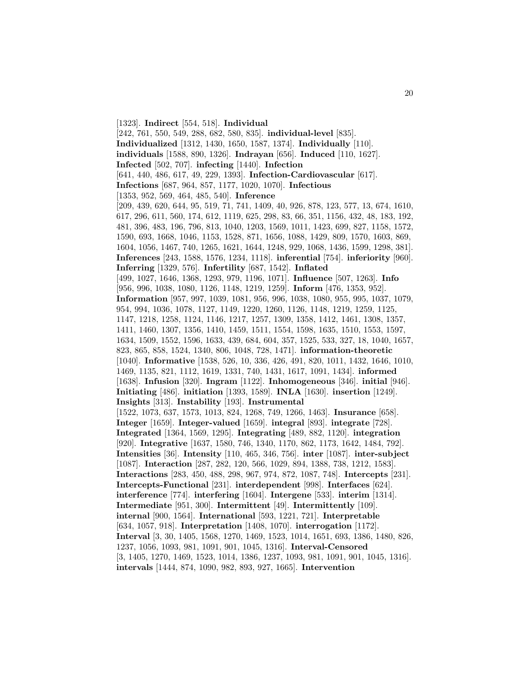[1323]. **Indirect** [554, 518]. **Individual** [242, 761, 550, 549, 288, 682, 580, 835]. **individual-level** [835]. **Individualized** [1312, 1430, 1650, 1587, 1374]. **Individually** [110]. **individuals** [1588, 890, 1326]. **Indrayan** [656]. **Induced** [110, 1627]. **Infected** [502, 707]. **infecting** [1440]. **Infection** [641, 440, 486, 617, 49, 229, 1393]. **Infection-Cardiovascular** [617]. **Infections** [687, 964, 857, 1177, 1020, 1070]. **Infectious** [1353, 952, 569, 464, 485, 540]. **Inference** [209, 439, 620, 644, 95, 519, 71, 741, 1409, 40, 926, 878, 123, 577, 13, 674, 1610, 617, 296, 611, 560, 174, 612, 1119, 625, 298, 83, 66, 351, 1156, 432, 48, 183, 192, 481, 396, 483, 196, 796, 813, 1040, 1203, 1569, 1011, 1423, 699, 827, 1158, 1572, 1590, 693, 1668, 1046, 1153, 1528, 871, 1656, 1088, 1429, 809, 1570, 1603, 869, 1604, 1056, 1467, 740, 1265, 1621, 1644, 1248, 929, 1068, 1436, 1599, 1298, 381]. **Inferences** [243, 1588, 1576, 1234, 1118]. **inferential** [754]. **inferiority** [960]. **Inferring** [1329, 576]. **Infertility** [687, 1542]. **Inflated** [499, 1027, 1646, 1368, 1293, 979, 1196, 1071]. **Influence** [507, 1263]. **Info** [956, 996, 1038, 1080, 1126, 1148, 1219, 1259]. **Inform** [476, 1353, 952]. **Information** [957, 997, 1039, 1081, 956, 996, 1038, 1080, 955, 995, 1037, 1079, 954, 994, 1036, 1078, 1127, 1149, 1220, 1260, 1126, 1148, 1219, 1259, 1125, 1147, 1218, 1258, 1124, 1146, 1217, 1257, 1309, 1358, 1412, 1461, 1308, 1357, 1411, 1460, 1307, 1356, 1410, 1459, 1511, 1554, 1598, 1635, 1510, 1553, 1597, 1634, 1509, 1552, 1596, 1633, 439, 684, 604, 357, 1525, 533, 327, 18, 1040, 1657, 823, 865, 858, 1524, 1340, 806, 1048, 728, 1471]. **information-theoretic** [1040]. **Informative** [1538, 526, 10, 336, 426, 491, 820, 1011, 1432, 1646, 1010, 1469, 1135, 821, 1112, 1619, 1331, 740, 1431, 1617, 1091, 1434]. **informed** [1638]. **Infusion** [320]. **Ingram** [1122]. **Inhomogeneous** [346]. **initial** [946]. **Initiating** [486]. **initiation** [1393, 1589]. **INLA** [1630]. **insertion** [1249]. **Insights** [313]. **Instability** [193]. **Instrumental** [1522, 1073, 637, 1573, 1013, 824, 1268, 749, 1266, 1463]. **Insurance** [658]. **Integer** [1659]. **Integer-valued** [1659]. **integral** [893]. **integrate** [728]. **Integrated** [1364, 1569, 1295]. **Integrating** [489, 882, 1120]. **integration** [920]. **Integrative** [1637, 1580, 746, 1340, 1170, 862, 1173, 1642, 1484, 792]. **Intensities** [36]. **Intensity** [110, 465, 346, 756]. **inter** [1087]. **inter-subject** [1087]. **Interaction** [287, 282, 120, 566, 1029, 894, 1388, 738, 1212, 1583]. **Interactions** [283, 450, 488, 298, 967, 974, 872, 1087, 748]. **Intercepts** [231]. **Intercepts-Functional** [231]. **interdependent** [998]. **Interfaces** [624]. **interference** [774]. **interfering** [1604]. **Intergene** [533]. **interim** [1314]. **Intermediate** [951, 300]. **Intermittent** [49]. **Intermittently** [109]. **internal** [900, 1564]. **International** [593, 1221, 721]. **Interpretable** [634, 1057, 918]. **Interpretation** [1408, 1070]. **interrogation** [1172]. **Interval** [3, 30, 1405, 1568, 1270, 1469, 1523, 1014, 1651, 693, 1386, 1480, 826, 1237, 1056, 1093, 981, 1091, 901, 1045, 1316]. **Interval-Censored** [3, 1405, 1270, 1469, 1523, 1014, 1386, 1237, 1093, 981, 1091, 901, 1045, 1316]. **intervals** [1444, 874, 1090, 982, 893, 927, 1665]. **Intervention**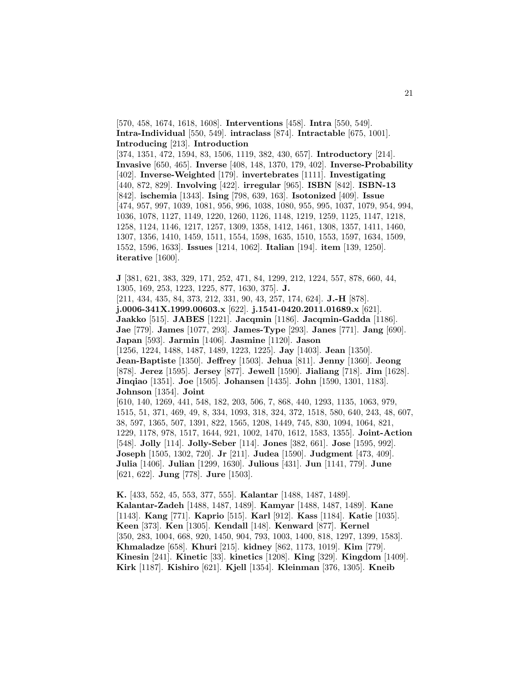[570, 458, 1674, 1618, 1608]. **Interventions** [458]. **Intra** [550, 549]. **Intra-Individual** [550, 549]. **intraclass** [874]. **Intractable** [675, 1001]. **Introducing** [213]. **Introduction** [374, 1351, 472, 1594, 83, 1506, 1119, 382, 430, 657]. **Introductory** [214]. **Invasive** [650, 465]. **Inverse** [408, 148, 1370, 179, 402]. **Inverse-Probability** [402]. **Inverse-Weighted** [179]. **invertebrates** [1111]. **Investigating** [440, 872, 829]. **Involving** [422]. **irregular** [965]. **ISBN** [842]. **ISBN-13** [842]. **ischemia** [1343]. **Ising** [798, 639, 163]. **Isotonized** [409]. **Issue** [474, 957, 997, 1039, 1081, 956, 996, 1038, 1080, 955, 995, 1037, 1079, 954, 994, 1036, 1078, 1127, 1149, 1220, 1260, 1126, 1148, 1219, 1259, 1125, 1147, 1218, 1258, 1124, 1146, 1217, 1257, 1309, 1358, 1412, 1461, 1308, 1357, 1411, 1460, 1307, 1356, 1410, 1459, 1511, 1554, 1598, 1635, 1510, 1553, 1597, 1634, 1509, 1552, 1596, 1633]. **Issues** [1214, 1062]. **Italian** [194]. **item** [139, 1250]. **iterative** [1600].

**J** [381, 621, 383, 329, 171, 252, 471, 84, 1299, 212, 1224, 557, 878, 660, 44, 1305, 169, 253, 1223, 1225, 877, 1630, 375]. **J.**

[211, 434, 435, 84, 373, 212, 331, 90, 43, 257, 174, 624]. **J.-H** [878]. **j.0006-341X.1999.00603.x** [622]. **j.1541-0420.2011.01689.x** [621]. **Jaakko** [515]. **JABES** [1221]. **Jacqmin** [1186]. **Jacqmin-Gadda** [1186]. **Jae** [779]. **James** [1077, 293]. **James-Type** [293]. **Janes** [771]. **Jang** [690]. **Japan** [593]. **Jarmin** [1406]. **Jasmine** [1120]. **Jason** [1256, 1224, 1488, 1487, 1489, 1223, 1225]. **Jay** [1403]. **Jean** [1350]. **Jean-Baptiste** [1350]. **Jeffrey** [1503]. **Jehua** [811]. **Jenny** [1360]. **Jeong** [878]. **Jerez** [1595]. **Jersey** [877]. **Jewell** [1590]. **Jialiang** [718]. **Jim** [1628]. **Jinqiao** [1351]. **Joe** [1505]. **Johansen** [1435]. **John** [1590, 1301, 1183]. **Johnson** [1354]. **Joint** [610, 140, 1269, 441, 548, 182, 203, 506, 7, 868, 440, 1293, 1135, 1063, 979, 1515, 51, 371, 469, 49, 8, 334, 1093, 318, 324, 372, 1518, 580, 640, 243, 48, 607, 38, 597, 1365, 507, 1391, 822, 1565, 1208, 1449, 745, 830, 1094, 1064, 821, 1229, 1178, 978, 1517, 1644, 921, 1002, 1470, 1612, 1583, 1355]. **Joint-Action** [548]. **Jolly** [114]. **Jolly-Seber** [114]. **Jones** [382, 661]. **Jose** [1595, 992]. **Joseph** [1505, 1302, 720]. **Jr** [211]. **Judea** [1590]. **Judgment** [473, 409]. **Julia** [1406]. **Julian** [1299, 1630]. **Julious** [431]. **Jun** [1141, 779]. **June** [621, 622]. **Jung** [778]. **Jure** [1503].

**K.** [433, 552, 45, 553, 377, 555]. **Kalantar** [1488, 1487, 1489]. **Kalantar-Zadeh** [1488, 1487, 1489]. **Kamyar** [1488, 1487, 1489]. **Kane** [1143]. **Kang** [771]. **Kaprio** [515]. **Karl** [912]. **Kass** [1184]. **Katie** [1035]. **Keen** [373]. **Ken** [1305]. **Kendall** [148]. **Kenward** [877]. **Kernel** [350, 283, 1004, 668, 920, 1450, 904, 793, 1003, 1400, 818, 1297, 1399, 1583]. **Khmaladze** [658]. **Khuri** [215]. **kidney** [862, 1173, 1019]. **Kim** [779]. **Kinesin** [241]. **Kinetic** [33]. **kinetics** [1208]. **King** [329]. **Kingdom** [1409]. **Kirk** [1187]. **Kishiro** [621]. **Kjell** [1354]. **Kleinman** [376, 1305]. **Kneib**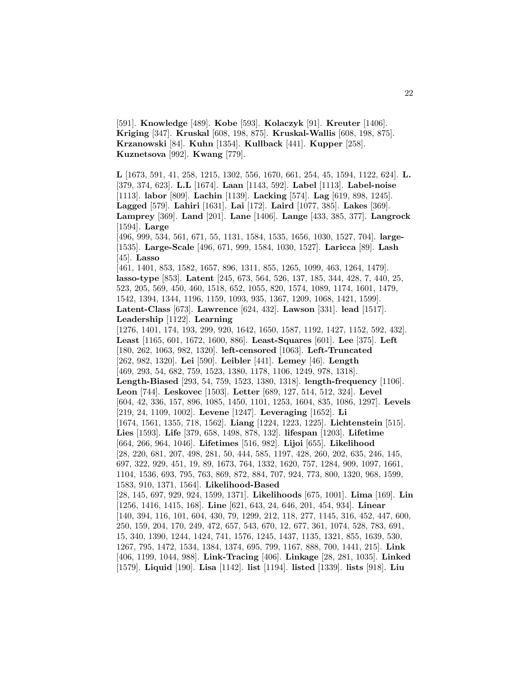[591]. **Knowledge** [489]. **Kobe** [593]. **Kolaczyk** [91]. **Kreuter** [1406]. **Kriging** [347]. **Kruskal** [608, 198, 875]. **Kruskal-Wallis** [608, 198, 875]. **Krzanowski** [84]. **Kuhn** [1354]. **Kullback** [441]. **Kupper** [258]. **Kuznetsova** [992]. **Kwang** [779].

**L** [1673, 591, 41, 258, 1215, 1302, 556, 1670, 661, 254, 45, 1594, 1122, 624]. **L.** [379, 374, 623]. **L.L** [1674]. **Laan** [1143, 592]. **Label** [1113]. **Label-noise** [1113]. **labor** [809]. **Lachin** [1139]. **Lacking** [574]. **Lag** [619, 898, 1245]. **Lagged** [579]. **Lahiri** [1631]. **Lai** [172]. **Laird** [1077, 385]. **Lakes** [369]. **Lamprey** [369]. **Land** [201]. **Lane** [1406]. **Lange** [433, 385, 377]. **Langrock** [1594]. **Large**

[496, 999, 534, 561, 671, 55, 1131, 1584, 1535, 1656, 1030, 1527, 704]. **large-** [1535]. **Large-Scale** [496, 671, 999, 1584, 1030, 1527]. **Laricca** [89]. **Lash** [45]. **Lasso**

[461, 1401, 853, 1582, 1657, 896, 1311, 855, 1265, 1099, 463, 1264, 1479]. **lasso-type** [853]. **Latent** [245, 673, 564, 526, 137, 185, 344, 428, 7, 440, 25, 523, 205, 569, 450, 460, 1518, 652, 1055, 820, 1574, 1089, 1174, 1601, 1479, 1542, 1394, 1344, 1196, 1159, 1093, 935, 1367, 1209, 1068, 1421, 1599]. **Latent-Class** [673]. **Lawrence** [624, 432]. **Lawson** [331]. **lead** [1517]. **Leadership** [1122]. **Learning**

[1276, 1401, 174, 193, 299, 920, 1642, 1650, 1587, 1192, 1427, 1152, 592, 432]. **Least** [1165, 601, 1672, 1600, 886]. **Least-Squares** [601]. **Lee** [375]. **Left** [180, 262, 1063, 982, 1320]. **left-censored** [1063]. **Left-Truncated** [262, 982, 1320]. **Lei** [590]. **Leibler** [441]. **Lemey** [46]. **Length** [469, 293, 54, 682, 759, 1523, 1380, 1178, 1106, 1249, 978, 1318]. **Length-Biased** [293, 54, 759, 1523, 1380, 1318]. **length-frequency** [1106]. **Leon** [744]. **Leskovec** [1503]. **Letter** [689, 127, 514, 512, 324]. **Level** [604, 42, 336, 157, 896, 1085, 1450, 1101, 1253, 1604, 835, 1086, 1297]. **Levels** [219, 24, 1109, 1002]. **Levene** [1247]. **Leveraging** [1652]. **Li** [1674, 1561, 1355, 718, 1562]. **Liang** [1224, 1223, 1225]. **Lichtenstein** [515]. **Lies** [1593]. **Life** [379, 658, 1498, 878, 132]. **lifespan** [1203]. **Lifetime** [664, 266, 964, 1046]. **Lifetimes** [516, 982]. **Lijoi** [655]. **Likelihood** [28, 220, 681, 207, 498, 281, 50, 444, 585, 1197, 428, 260, 202, 635, 246, 145, 697, 322, 929, 451, 19, 89, 1673, 764, 1332, 1620, 757, 1284, 909, 1097, 1661, 1104, 1536, 693, 795, 763, 869, 872, 884, 707, 924, 773, 800, 1320, 968, 1599, 1583, 910, 1371, 1564]. **Likelihood-Based** [28, 145, 697, 929, 924, 1599, 1371]. **Likelihoods** [675, 1001]. **Lima** [169]. **Lin** [1256, 1416, 1415, 168]. **Line** [621, 643, 24, 646, 201, 454, 934]. **Linear** [140, 394, 116, 101, 604, 430, 79, 1299, 212, 118, 277, 1145, 316, 452, 447, 600, 250, 159, 204, 170, 249, 472, 657, 543, 670, 12, 677, 361, 1074, 528, 783, 691, 15, 340, 1390, 1244, 1424, 741, 1576, 1245, 1437, 1135, 1321, 855, 1639, 530, 1267, 795, 1472, 1534, 1384, 1374, 695, 799, 1167, 888, 700, 1441, 215]. **Link** [406, 1199, 1044, 988]. **Link-Tracing** [406]. **Linkage** [28, 281, 1035]. **Linked** [1579]. **Liquid** [190]. **Lisa** [1142]. **list** [1194]. **listed** [1339]. **lists** [918]. **Liu**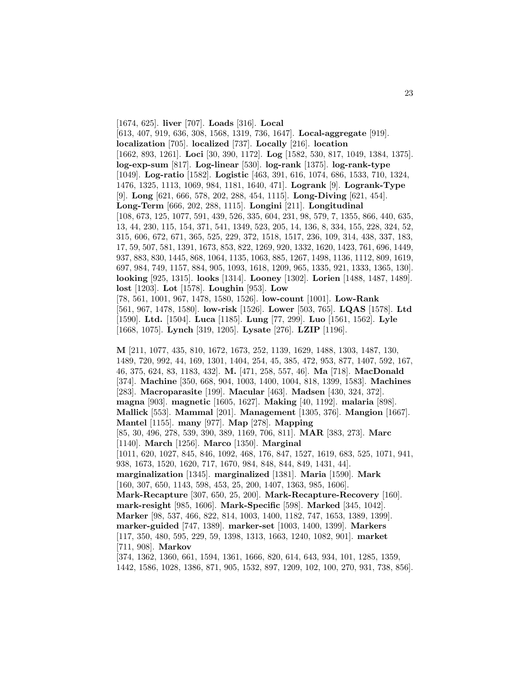[1674, 625]. **liver** [707]. **Loads** [316]. **Local** [613, 407, 919, 636, 308, 1568, 1319, 736, 1647]. **Local-aggregate** [919]. **localization** [705]. **localized** [737]. **Locally** [216]. **location** [1662, 893, 1261]. **Loci** [30, 390, 1172]. **Log** [1582, 530, 817, 1049, 1384, 1375]. **log-exp-sum** [817]. **Log-linear** [530]. **log-rank** [1375]. **log-rank-type** [1049]. **Log-ratio** [1582]. **Logistic** [463, 391, 616, 1074, 686, 1533, 710, 1324, 1476, 1325, 1113, 1069, 984, 1181, 1640, 471]. **Logrank** [9]. **Logrank-Type** [9]. **Long** [621, 666, 578, 202, 288, 454, 1115]. **Long-Diving** [621, 454]. **Long-Term** [666, 202, 288, 1115]. **Longini** [211]. **Longitudinal** [108, 673, 125, 1077, 591, 439, 526, 335, 604, 231, 98, 579, 7, 1355, 866, 440, 635, 13, 44, 230, 115, 154, 371, 541, 1349, 523, 205, 14, 136, 8, 334, 155, 228, 324, 52, 315, 606, 672, 671, 365, 525, 229, 372, 1518, 1517, 236, 109, 314, 438, 337, 183, 17, 59, 507, 581, 1391, 1673, 853, 822, 1269, 920, 1332, 1620, 1423, 761, 696, 1449, 937, 883, 830, 1445, 868, 1064, 1135, 1063, 885, 1267, 1498, 1136, 1112, 809, 1619, 697, 984, 749, 1157, 884, 905, 1093, 1618, 1209, 965, 1335, 921, 1333, 1365, 130]. **looking** [925, 1315]. **looks** [1314]. **Looney** [1302]. **Lorien** [1488, 1487, 1489]. **lost** [1203]. **Lot** [1578]. **Loughin** [953]. **Low** [78, 561, 1001, 967, 1478, 1580, 1526]. **low-count** [1001]. **Low-Rank** [561, 967, 1478, 1580]. **low-risk** [1526]. **Lower** [503, 765]. **LQAS** [1578]. **Ltd** [1590]. **Ltd.** [1504]. **Luca** [1185]. **Lung** [77, 299]. **Luo** [1561, 1562]. **Lyle** [1668, 1075]. **Lynch** [319, 1205]. **Lysate** [276]. **LZIP** [1196].

23

**M** [211, 1077, 435, 810, 1672, 1673, 252, 1139, 1629, 1488, 1303, 1487, 130, 1489, 720, 992, 44, 169, 1301, 1404, 254, 45, 385, 472, 953, 877, 1407, 592, 167, 46, 375, 624, 83, 1183, 432]. **M.** [471, 258, 557, 46]. **Ma** [718]. **MacDonald** [374]. **Machine** [350, 668, 904, 1003, 1400, 1004, 818, 1399, 1583]. **Machines** [283]. **Macroparasite** [199]. **Macular** [463]. **Madsen** [430, 324, 372]. **magna** [903]. **magnetic** [1605, 1627]. **Making** [40, 1192]. **malaria** [898]. **Mallick** [553]. **Mammal** [201]. **Management** [1305, 376]. **Mangion** [1667]. **Mantel** [1155]. **many** [977]. **Map** [278]. **Mapping** [85, 30, 496, 278, 539, 390, 389, 1169, 706, 811]. **MAR** [383, 273]. **Marc** [1140]. **March** [1256]. **Marco** [1350]. **Marginal** [1011, 620, 1027, 845, 846, 1092, 468, 176, 847, 1527, 1619, 683, 525, 1071, 941, 938, 1673, 1520, 1620, 717, 1670, 984, 848, 844, 849, 1431, 44]. **marginalization** [1345]. **marginalized** [1381]. **Maria** [1590]. **Mark** [160, 307, 650, 1143, 598, 453, 25, 200, 1407, 1363, 985, 1606]. **Mark-Recapture** [307, 650, 25, 200]. **Mark-Recapture-Recovery** [160]. **mark-resight** [985, 1606]. **Mark-Specific** [598]. **Marked** [345, 1042]. **Marker** [98, 537, 466, 822, 814, 1003, 1400, 1182, 747, 1653, 1389, 1399]. **marker-guided** [747, 1389]. **marker-set** [1003, 1400, 1399]. **Markers** [117, 350, 480, 595, 229, 59, 1398, 1313, 1663, 1240, 1082, 901]. **market** [711, 908]. **Markov** [374, 1362, 1360, 661, 1594, 1361, 1666, 820, 614, 643, 934, 101, 1285, 1359,

1442, 1586, 1028, 1386, 871, 905, 1532, 897, 1209, 102, 100, 270, 931, 738, 856].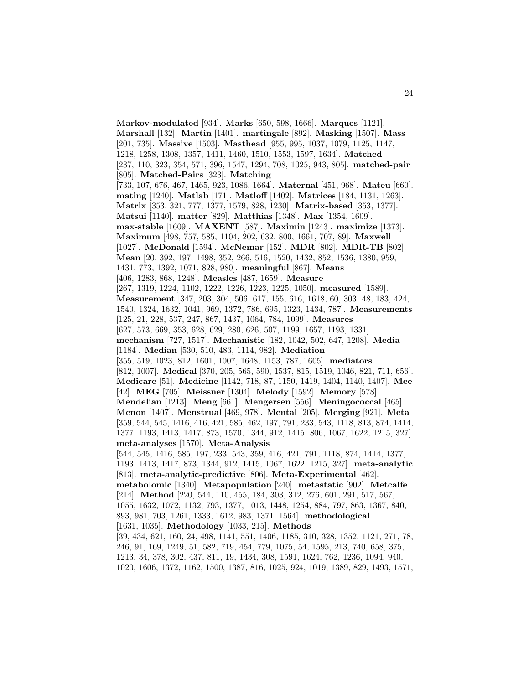**Markov-modulated** [934]. **Marks** [650, 598, 1666]. **Marques** [1121]. **Marshall** [132]. **Martin** [1401]. **martingale** [892]. **Masking** [1507]. **Mass** [201, 735]. **Massive** [1503]. **Masthead** [955, 995, 1037, 1079, 1125, 1147, 1218, 1258, 1308, 1357, 1411, 1460, 1510, 1553, 1597, 1634]. **Matched** [237, 110, 323, 354, 571, 396, 1547, 1294, 708, 1025, 943, 805]. **matched-pair** [805]. **Matched-Pairs** [323]. **Matching** [733, 107, 676, 467, 1465, 923, 1086, 1664]. **Maternal** [451, 968]. **Mateu** [660]. **mating** [1240]. **Matlab** [171]. **Matloff** [1402]. **Matrices** [184, 1131, 1263]. **Matrix** [353, 321, 777, 1377, 1579, 828, 1230]. **Matrix-based** [353, 1377]. **Matsui** [1140]. **matter** [829]. **Matthias** [1348]. **Max** [1354, 1609]. **max-stable** [1609]. **MAXENT** [587]. **Maximin** [1243]. **maximize** [1373]. **Maximum** [498, 757, 585, 1104, 202, 632, 800, 1661, 707, 89]. **Maxwell** [1027]. **McDonald** [1594]. **McNemar** [152]. **MDR** [802]. **MDR-TB** [802]. **Mean** [20, 392, 197, 1498, 352, 266, 516, 1520, 1432, 852, 1536, 1380, 959, 1431, 773, 1392, 1071, 828, 980]. **meaningful** [867]. **Means** [406, 1283, 868, 1248]. **Measles** [487, 1659]. **Measure** [267, 1319, 1224, 1102, 1222, 1226, 1223, 1225, 1050]. **measured** [1589]. **Measurement** [347, 203, 304, 506, 617, 155, 616, 1618, 60, 303, 48, 183, 424, 1540, 1324, 1632, 1041, 969, 1372, 786, 695, 1323, 1434, 787]. **Measurements** [125, 21, 228, 537, 247, 867, 1437, 1064, 784, 1099]. **Measures** [627, 573, 669, 353, 628, 629, 280, 626, 507, 1199, 1657, 1193, 1331]. **mechanism** [727, 1517]. **Mechanistic** [182, 1042, 502, 647, 1208]. **Media** [1184]. **Median** [530, 510, 483, 1114, 982]. **Mediation** [355, 519, 1023, 812, 1601, 1007, 1648, 1153, 787, 1605]. **mediators** [812, 1007]. **Medical** [370, 205, 565, 590, 1537, 815, 1519, 1046, 821, 711, 656]. **Medicare** [51]. **Medicine** [1142, 718, 87, 1150, 1419, 1404, 1140, 1407]. **Mee** [42]. **MEG** [705]. **Meissner** [1304]. **Melody** [1592]. **Memory** [578]. **Mendelian** [1213]. **Meng** [661]. **Mengersen** [556]. **Meningococcal** [465]. **Menon** [1407]. **Menstrual** [469, 978]. **Mental** [205]. **Merging** [921]. **Meta** [359, 544, 545, 1416, 416, 421, 585, 462, 197, 791, 233, 543, 1118, 813, 874, 1414, 1377, 1193, 1413, 1417, 873, 1570, 1344, 912, 1415, 806, 1067, 1622, 1215, 327]. **meta-analyses** [1570]. **Meta-Analysis** [544, 545, 1416, 585, 197, 233, 543, 359, 416, 421, 791, 1118, 874, 1414, 1377, 1193, 1413, 1417, 873, 1344, 912, 1415, 1067, 1622, 1215, 327]. **meta-analytic** [813]. **meta-analytic-predictive** [806]. **Meta-Experimental** [462]. **metabolomic** [1340]. **Metapopulation** [240]. **metastatic** [902]. **Metcalfe** [214]. **Method** [220, 544, 110, 455, 184, 303, 312, 276, 601, 291, 517, 567, 1055, 1632, 1072, 1132, 793, 1377, 1013, 1448, 1254, 884, 797, 863, 1367, 840, 893, 981, 703, 1261, 1333, 1612, 983, 1371, 1564]. **methodological** [1631, 1035]. **Methodology** [1033, 215]. **Methods** [39, 434, 621, 160, 24, 498, 1141, 551, 1406, 1185, 310, 328, 1352, 1121, 271, 78, 246, 91, 169, 1249, 51, 582, 719, 454, 779, 1075, 54, 1595, 213, 740, 658, 375, 1213, 34, 378, 302, 437, 811, 19, 1434, 308, 1591, 1624, 762, 1236, 1094, 940, 1020, 1606, 1372, 1162, 1500, 1387, 816, 1025, 924, 1019, 1389, 829, 1493, 1571,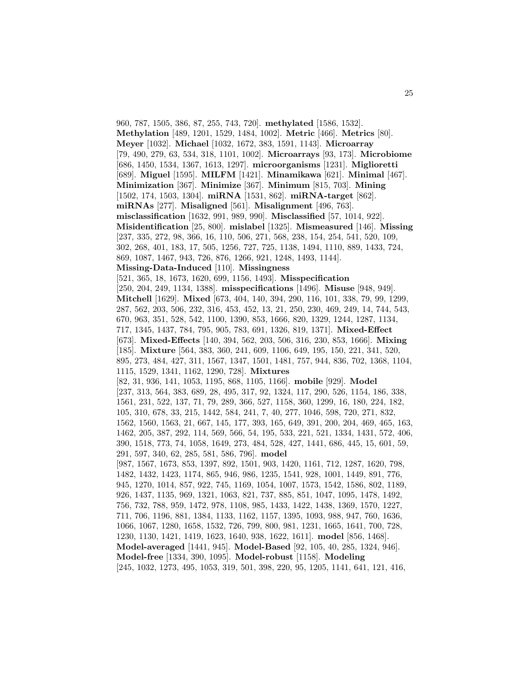960, 787, 1505, 386, 87, 255, 743, 720]. **methylated** [1586, 1532]. **Methylation** [489, 1201, 1529, 1484, 1002]. **Metric** [466]. **Metrics** [80]. **Meyer** [1032]. **Michael** [1032, 1672, 383, 1591, 1143]. **Microarray** [79, 490, 279, 63, 534, 318, 1101, 1002]. **Microarrays** [93, 173]. **Microbiome** [686, 1450, 1534, 1367, 1613, 1297]. **microorganisms** [1231]. **Miglioretti** [689]. **Miguel** [1595]. **MILFM** [1421]. **Minamikawa** [621]. **Minimal** [467]. **Minimization** [367]. **Minimize** [367]. **Minimum** [815, 703]. **Mining** [1502, 174, 1503, 1304]. **miRNA** [1531, 862]. **miRNA-target** [862]. **miRNAs** [277]. **Misaligned** [561]. **Misalignment** [496, 763]. **misclassification** [1632, 991, 989, 990]. **Misclassified** [57, 1014, 922]. **Misidentification** [25, 800]. **mislabel** [1325]. **Mismeasured** [146]. **Missing** [237, 335, 272, 98, 366, 16, 110, 506, 271, 568, 238, 154, 254, 541, 520, 109, 302, 268, 401, 183, 17, 505, 1256, 727, 725, 1138, 1494, 1110, 889, 1433, 724, 869, 1087, 1467, 943, 726, 876, 1266, 921, 1248, 1493, 1144]. **Missing-Data-Induced** [110]. **Missingness** [521, 365, 18, 1673, 1620, 699, 1156, 1493]. **Misspecification** [250, 204, 249, 1134, 1388]. **misspecifications** [1496]. **Misuse** [948, 949]. **Mitchell** [1629]. **Mixed** [673, 404, 140, 394, 290, 116, 101, 338, 79, 99, 1299, 287, 562, 203, 506, 232, 316, 453, 452, 13, 21, 250, 230, 469, 249, 14, 744, 543, 670, 963, 351, 528, 542, 1100, 1390, 853, 1666, 820, 1329, 1244, 1287, 1134, 717, 1345, 1437, 784, 795, 905, 783, 691, 1326, 819, 1371]. **Mixed-Effect** [673]. **Mixed-Effects** [140, 394, 562, 203, 506, 316, 230, 853, 1666]. **Mixing** [185]. **Mixture** [564, 383, 360, 241, 609, 1106, 649, 195, 150, 221, 341, 520, 895, 273, 484, 427, 311, 1567, 1347, 1501, 1481, 757, 944, 836, 702, 1368, 1104, 1115, 1529, 1341, 1162, 1290, 728]. **Mixtures** [82, 31, 936, 141, 1053, 1195, 868, 1105, 1166]. **mobile** [929]. **Model** [237, 313, 564, 383, 689, 28, 495, 317, 92, 1324, 117, 290, 526, 1154, 186, 338, 1561, 231, 522, 137, 71, 79, 289, 366, 527, 1158, 360, 1299, 16, 180, 224, 182, 105, 310, 678, 33, 215, 1442, 584, 241, 7, 40, 277, 1046, 598, 720, 271, 832, 1562, 1560, 1563, 21, 667, 145, 177, 393, 165, 649, 391, 200, 204, 469, 465, 163, 1462, 205, 387, 292, 114, 569, 566, 54, 195, 533, 221, 521, 1334, 1431, 572, 406, 390, 1518, 773, 74, 1058, 1649, 273, 484, 528, 427, 1441, 686, 445, 15, 601, 59, 291, 597, 340, 62, 285, 581, 586, 796]. **model** [987, 1567, 1673, 853, 1397, 892, 1501, 903, 1420, 1161, 712, 1287, 1620, 798, 1482, 1432, 1423, 1174, 865, 946, 986, 1235, 1541, 928, 1001, 1449, 891, 776, 945, 1270, 1014, 857, 922, 745, 1169, 1054, 1007, 1573, 1542, 1586, 802, 1189, 926, 1437, 1135, 969, 1321, 1063, 821, 737, 885, 851, 1047, 1095, 1478, 1492, 756, 732, 788, 959, 1472, 978, 1108, 985, 1433, 1422, 1438, 1369, 1570, 1227, 711, 706, 1196, 881, 1384, 1133, 1162, 1157, 1395, 1093, 988, 947, 760, 1636, 1066, 1067, 1280, 1658, 1532, 726, 799, 800, 981, 1231, 1665, 1641, 700, 728, 1230, 1130, 1421, 1419, 1623, 1640, 938, 1622, 1611]. **model** [856, 1468]. **Model-averaged** [1441, 945]. **Model-Based** [92, 105, 40, 285, 1324, 946]. **Model-free** [1334, 390, 1095]. **Model-robust** [1158]. **Modeling** [245, 1032, 1273, 495, 1053, 319, 501, 398, 220, 95, 1205, 1141, 641, 121, 416,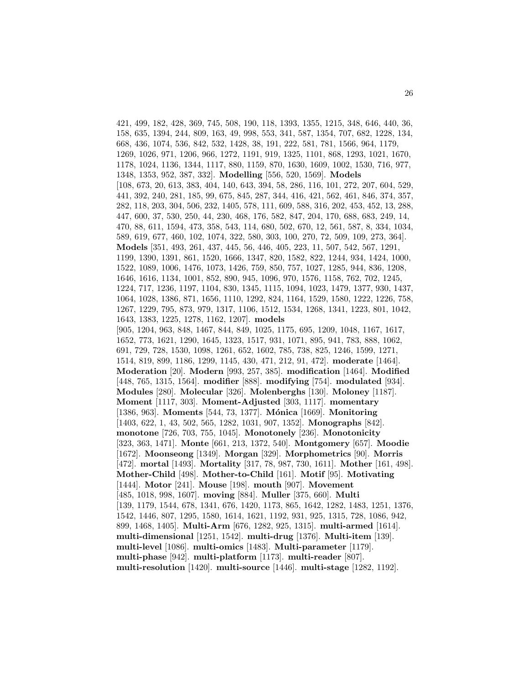421, 499, 182, 428, 369, 745, 508, 190, 118, 1393, 1355, 1215, 348, 646, 440, 36, 158, 635, 1394, 244, 809, 163, 49, 998, 553, 341, 587, 1354, 707, 682, 1228, 134, 668, 436, 1074, 536, 842, 532, 1428, 38, 191, 222, 581, 781, 1566, 964, 1179, 1269, 1026, 971, 1206, 966, 1272, 1191, 919, 1325, 1101, 868, 1293, 1021, 1670, 1178, 1024, 1136, 1344, 1117, 880, 1159, 870, 1630, 1609, 1002, 1530, 716, 977, 1348, 1353, 952, 387, 332]. **Modelling** [556, 520, 1569]. **Models** [108, 673, 20, 613, 383, 404, 140, 643, 394, 58, 286, 116, 101, 272, 207, 604, 529, 441, 392, 240, 281, 185, 99, 675, 845, 287, 344, 416, 421, 562, 461, 846, 374, 357, 282, 118, 203, 304, 506, 232, 1405, 578, 111, 609, 588, 316, 202, 453, 452, 13, 288, 447, 600, 37, 530, 250, 44, 230, 468, 176, 582, 847, 204, 170, 688, 683, 249, 14, 470, 88, 611, 1594, 473, 358, 543, 114, 680, 502, 670, 12, 561, 587, 8, 334, 1034, 589, 619, 677, 460, 102, 1074, 322, 580, 303, 100, 270, 72, 509, 109, 273, 364]. **Models** [351, 493, 261, 437, 445, 56, 446, 405, 223, 11, 507, 542, 567, 1291, 1199, 1390, 1391, 861, 1520, 1666, 1347, 820, 1582, 822, 1244, 934, 1424, 1000, 1522, 1089, 1006, 1476, 1073, 1426, 759, 850, 757, 1027, 1285, 944, 836, 1208, 1646, 1616, 1134, 1001, 852, 890, 945, 1096, 970, 1576, 1158, 762, 702, 1245, 1224, 717, 1236, 1197, 1104, 830, 1345, 1115, 1094, 1023, 1479, 1377, 930, 1437, 1064, 1028, 1386, 871, 1656, 1110, 1292, 824, 1164, 1529, 1580, 1222, 1226, 758, 1267, 1229, 795, 873, 979, 1317, 1106, 1512, 1534, 1268, 1341, 1223, 801, 1042, 1643, 1383, 1225, 1278, 1162, 1207]. **models** [905, 1204, 963, 848, 1467, 844, 849, 1025, 1175, 695, 1209, 1048, 1167, 1617, 1652, 773, 1621, 1290, 1645, 1323, 1517, 931, 1071, 895, 941, 783, 888, 1062, 691, 729, 728, 1530, 1098, 1261, 652, 1602, 785, 738, 825, 1246, 1599, 1271, 1514, 819, 899, 1186, 1299, 1145, 430, 471, 212, 91, 472]. **moderate** [1464]. **Moderation** [20]. **Modern** [993, 257, 385]. **modification** [1464]. **Modified** [448, 765, 1315, 1564]. **modifier** [888]. **modifying** [754]. **modulated** [934]. **Modules** [280]. **Molecular** [326]. **Molenberghs** [130]. **Moloney** [1187]. **Moment** [1117, 303]. **Moment-Adjusted** [303, 1117]. **momentary** [1386, 963]. **Moments** [544, 73, 1377]. **M´onica** [1669]. **Monitoring** [1403, 622, 1, 43, 502, 565, 1282, 1031, 907, 1352]. **Monographs** [842]. **monotone** [726, 703, 755, 1045]. **Monotonely** [236]. **Monotonicity** [323, 363, 1471]. **Monte** [661, 213, 1372, 540]. **Montgomery** [657]. **Moodie** [1672]. **Moonseong** [1349]. **Morgan** [329]. **Morphometrics** [90]. **Morris** [472]. **mortal** [1493]. **Mortality** [317, 78, 987, 730, 1611]. **Mother** [161, 498]. **Mother-Child** [498]. **Mother-to-Child** [161]. **Motif** [95]. **Motivating** [1444]. **Motor** [241]. **Mouse** [198]. **mouth** [907]. **Movement** [485, 1018, 998, 1607]. **moving** [884]. **Muller** [375, 660]. **Multi** [139, 1179, 1544, 678, 1341, 676, 1420, 1173, 865, 1642, 1282, 1483, 1251, 1376, 1542, 1446, 807, 1295, 1580, 1614, 1621, 1192, 931, 925, 1315, 728, 1086, 942, 899, 1468, 1405]. **Multi-Arm** [676, 1282, 925, 1315]. **multi-armed** [1614]. **multi-dimensional** [1251, 1542]. **multi-drug** [1376]. **Multi-item** [139]. **multi-level** [1086]. **multi-omics** [1483]. **Multi-parameter** [1179]. **multi-phase** [942]. **multi-platform** [1173]. **multi-reader** [807]. **multi-resolution** [1420]. **multi-source** [1446]. **multi-stage** [1282, 1192].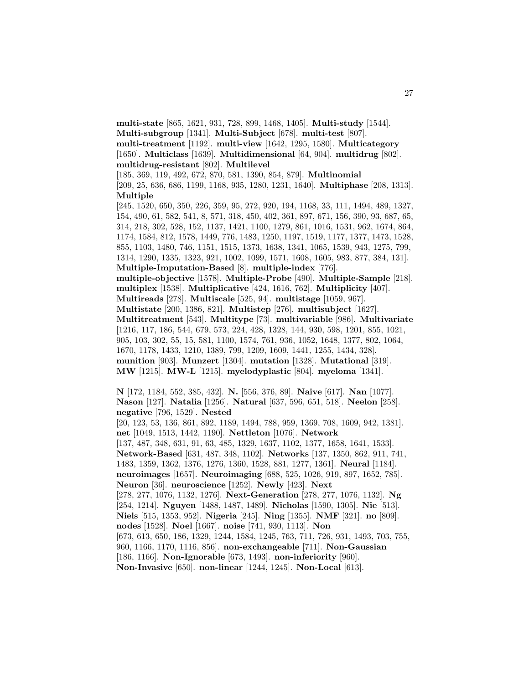**multi-state** [865, 1621, 931, 728, 899, 1468, 1405]. **Multi-study** [1544]. **Multi-subgroup** [1341]. **Multi-Subject** [678]. **multi-test** [807]. **multi-treatment** [1192]. **multi-view** [1642, 1295, 1580]. **Multicategory** [1650]. **Multiclass** [1639]. **Multidimensional** [64, 904]. **multidrug** [802]. **multidrug-resistant** [802]. **Multilevel** [185, 369, 119, 492, 672, 870, 581, 1390, 854, 879]. **Multinomial**

[209, 25, 636, 686, 1199, 1168, 935, 1280, 1231, 1640]. **Multiphase** [208, 1313]. **Multiple**

[245, 1520, 650, 350, 226, 359, 95, 272, 920, 194, 1168, 33, 111, 1494, 489, 1327, 154, 490, 61, 582, 541, 8, 571, 318, 450, 402, 361, 897, 671, 156, 390, 93, 687, 65, 314, 218, 302, 528, 152, 1137, 1421, 1100, 1279, 861, 1016, 1531, 962, 1674, 864, 1174, 1584, 812, 1578, 1449, 776, 1483, 1250, 1197, 1519, 1177, 1377, 1473, 1528, 855, 1103, 1480, 746, 1151, 1515, 1373, 1638, 1341, 1065, 1539, 943, 1275, 799, 1314, 1290, 1335, 1323, 921, 1002, 1099, 1571, 1608, 1605, 983, 877, 384, 131]. **Multiple-Imputation-Based** [8]. **multiple-index** [776]. **multiple-objective** [1578]. **Multiple-Probe** [490]. **Multiple-Sample** [218]. **multiplex** [1538]. **Multiplicative** [424, 1616, 762]. **Multiplicity** [407]. **Multireads** [278]. **Multiscale** [525, 94]. **multistage** [1059, 967]. **Multistate** [200, 1386, 821]. **Multistep** [276]. **multisubject** [1627]. **Multitreatment** [543]. **Multitype** [73]. **multivariable** [986]. **Multivariate**

[1216, 117, 186, 544, 679, 573, 224, 428, 1328, 144, 930, 598, 1201, 855, 1021, 905, 103, 302, 55, 15, 581, 1100, 1574, 761, 936, 1052, 1648, 1377, 802, 1064, 1670, 1178, 1433, 1210, 1389, 799, 1209, 1609, 1441, 1255, 1434, 328]. **munition** [903]. **Munzert** [1304]. **mutation** [1328]. **Mutational** [319]. **MW** [1215]. **MW-L** [1215]. **myelodyplastic** [804]. **myeloma** [1341].

**N** [172, 1184, 552, 385, 432]. **N.** [556, 376, 89]. **Naive** [617]. **Nan** [1077]. **Nason** [127]. **Natalia** [1256]. **Natural** [637, 596, 651, 518]. **Neelon** [258]. **negative** [796, 1529]. **Nested** [20, 123, 53, 136, 861, 892, 1189, 1494, 788, 959, 1369, 708, 1609, 942, 1381]. **net** [1049, 1513, 1442, 1190]. **Nettleton** [1076]. **Network** [137, 487, 348, 631, 91, 63, 485, 1329, 1637, 1102, 1377, 1658, 1641, 1533]. **Network-Based** [631, 487, 348, 1102]. **Networks** [137, 1350, 862, 911, 741, 1483, 1359, 1362, 1376, 1276, 1360, 1528, 881, 1277, 1361]. **Neural** [1184]. **neuroimages** [1657]. **Neuroimaging** [688, 525, 1026, 919, 897, 1652, 785]. **Neuron** [36]. **neuroscience** [1252]. **Newly** [423]. **Next** [278, 277, 1076, 1132, 1276]. **Next-Generation** [278, 277, 1076, 1132]. **Ng** [254, 1214]. **Nguyen** [1488, 1487, 1489]. **Nicholas** [1590, 1305]. **Nie** [513]. **Niels** [515, 1353, 952]. **Nigeria** [245]. **Ning** [1355]. **NMF** [321]. **no** [809]. **nodes** [1528]. **Noel** [1667]. **noise** [741, 930, 1113]. **Non** [673, 613, 650, 186, 1329, 1244, 1584, 1245, 763, 711, 726, 931, 1493, 703, 755, 960, 1166, 1170, 1116, 856]. **non-exchangeable** [711]. **Non-Gaussian** [186, 1166]. **Non-Ignorable** [673, 1493]. **non-inferiority** [960]. **Non-Invasive** [650]. **non-linear** [1244, 1245]. **Non-Local** [613].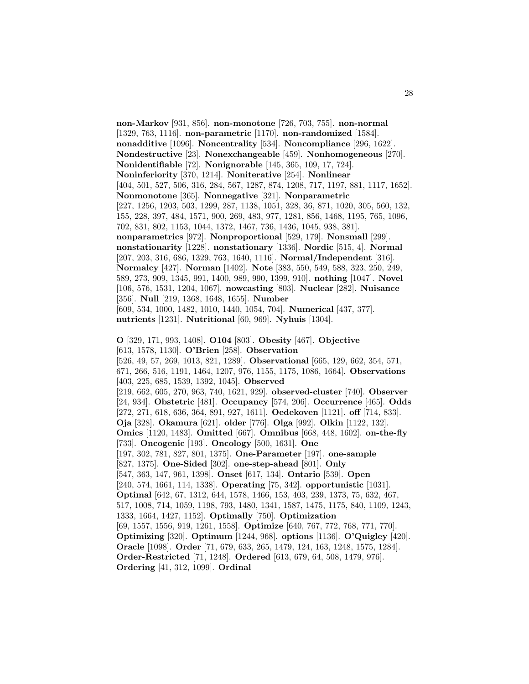**non-Markov** [931, 856]. **non-monotone** [726, 703, 755]. **non-normal** [1329, 763, 1116]. **non-parametric** [1170]. **non-randomized** [1584]. **nonadditive** [1096]. **Noncentrality** [534]. **Noncompliance** [296, 1622]. **Nondestructive** [23]. **Nonexchangeable** [459]. **Nonhomogeneous** [270]. **Nonidentifiable** [72]. **Nonignorable** [145, 365, 109, 17, 724]. **Noninferiority** [370, 1214]. **Noniterative** [254]. **Nonlinear** [404, 501, 527, 506, 316, 284, 567, 1287, 874, 1208, 717, 1197, 881, 1117, 1652]. **Nonmonotone** [365]. **Nonnegative** [321]. **Nonparametric** [227, 1256, 1203, 503, 1299, 287, 1138, 1051, 328, 36, 871, 1020, 305, 560, 132, 155, 228, 397, 484, 1571, 900, 269, 483, 977, 1281, 856, 1468, 1195, 765, 1096, 702, 831, 802, 1153, 1044, 1372, 1467, 736, 1436, 1045, 938, 381]. **nonparametrics** [972]. **Nonproportional** [529, 179]. **Nonsmall** [299]. **nonstationarity** [1228]. **nonstationary** [1336]. **Nordic** [515, 4]. **Normal** [207, 203, 316, 686, 1329, 763, 1640, 1116]. **Normal/Independent** [316]. **Normalcy** [427]. **Norman** [1402]. **Note** [383, 550, 549, 588, 323, 250, 249, 589, 273, 909, 1345, 991, 1400, 989, 990, 1399, 910]. **nothing** [1047]. **Novel** [106, 576, 1531, 1204, 1067]. **nowcasting** [803]. **Nuclear** [282]. **Nuisance** [356]. **Null** [219, 1368, 1648, 1655]. **Number** [609, 534, 1000, 1482, 1010, 1440, 1054, 704]. **Numerical** [437, 377]. **nutrients** [1231]. **Nutritional** [60, 969]. **Nyhuis** [1304]. **O** [329, 171, 993, 1408]. **O104** [803]. **Obesity** [467]. **Objective** [613, 1578, 1130]. **O'Brien** [258]. **Observation** [526, 49, 57, 269, 1013, 821, 1289]. **Observational** [665, 129, 662, 354, 571, 671, 266, 516, 1191, 1464, 1207, 976, 1155, 1175, 1086, 1664]. **Observations** [403, 225, 685, 1539, 1392, 1045]. **Observed** [219, 662, 605, 270, 963, 740, 1621, 929]. **observed-cluster** [740]. **Observer** [24, 934]. **Obstetric** [481]. **Occupancy** [574, 206]. **Occurrence** [465]. **Odds** [272, 271, 618, 636, 364, 891, 927, 1611]. **Oedekoven** [1121]. **off** [714, 833]. **Oja** [328]. **Okamura** [621]. **older** [776]. **Olga** [992]. **Olkin** [1122, 132]. **Omics** [1120, 1483]. **Omitted** [667]. **Omnibus** [668, 448, 1602]. **on-the-fly** [733]. **Oncogenic** [193]. **Oncology** [500, 1631]. **One** [197, 302, 781, 827, 801, 1375]. **One-Parameter** [197]. **one-sample** [827, 1375]. **One-Sided** [302]. **one-step-ahead** [801]. **Only** [547, 363, 147, 961, 1398]. **Onset** [617, 134]. **Ontario** [539]. **Open** [240, 574, 1661, 114, 1338]. **Operating** [75, 342]. **opportunistic** [1031]. **Optimal** [642, 67, 1312, 644, 1578, 1466, 153, 403, 239, 1373, 75, 632, 467, 517, 1008, 714, 1059, 1198, 793, 1480, 1341, 1587, 1475, 1175, 840, 1109, 1243, 1333, 1664, 1427, 1152]. **Optimally** [750]. **Optimization** [69, 1557, 1556, 919, 1261, 1558]. **Optimize** [640, 767, 772, 768, 771, 770]. **Optimizing** [320]. **Optimum** [1244, 968]. **options** [1136]. **O'Quigley** [420]. **Oracle** [1098]. **Order** [71, 679, 633, 265, 1479, 124, 163, 1248, 1575, 1284]. **Order-Restricted** [71, 1248]. **Ordered** [613, 679, 64, 508, 1479, 976]. **Ordering** [41, 312, 1099]. **Ordinal**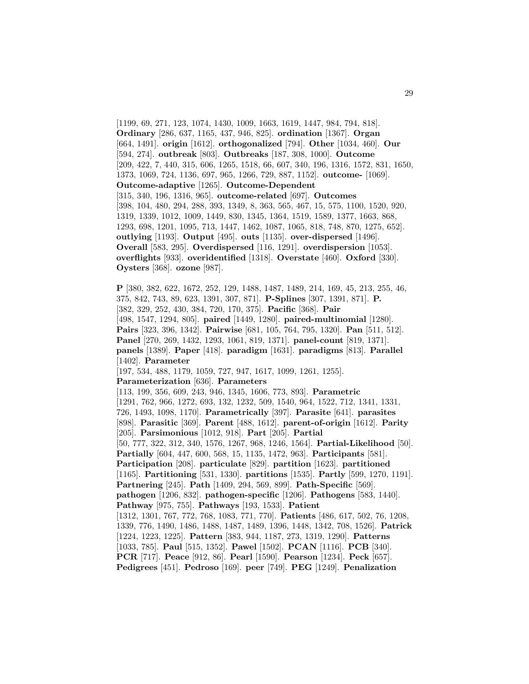```
[1199, 69, 271, 123, 1074, 1430, 1009, 1663, 1619, 1447, 984, 794, 818].
Ordinary [286, 637, 1165, 437, 946, 825]. ordination [1367]. Organ
[664, 1491]. origin [1612]. orthogonalized [794]. Other [1034, 460]. Our
[594, 274]. outbreak [803]. Outbreaks [187, 308, 1000]. Outcome
[209, 422, 7, 440, 315, 606, 1265, 1518, 66, 607, 340, 196, 1316, 1572, 831, 1650,
1373, 1069, 724, 1136, 697, 965, 1266, 729, 887, 1152]. outcome- [1069].
Outcome-adaptive [1265]. Outcome-Dependent
[315, 340, 196, 1316, 965]. outcome-related [697]. Outcomes
[398, 104, 480, 294, 288, 393, 1349, 8, 363, 565, 467, 15, 575, 1100, 1520, 920,
1319, 1339, 1012, 1009, 1449, 830, 1345, 1364, 1519, 1589, 1377, 1663, 868,
1293, 698, 1201, 1095, 713, 1447, 1462, 1087, 1065, 818, 748, 870, 1275, 652].
outlying [1193]. Output [495]. outs [1135]. over-dispersed [1496].
Overall [583, 295]. Overdispersed [116, 1291]. overdispersion [1053].
overflights [933]. overidentified [1318]. Overstate [460]. Oxford [330].
Oysters [368]. ozone [987].
```
**P** [380, 382, 622, 1672, 252, 129, 1488, 1487, 1489, 214, 169, 45, 213, 255, 46, 375, 842, 743, 89, 623, 1391, 307, 871]. **P-Splines** [307, 1391, 871]. **P.** [382, 329, 252, 430, 384, 720, 170, 375]. **Pacific** [368]. **Pair** [498, 1547, 1294, 805]. **paired** [1449, 1280]. **paired-multinomial** [1280]. **Pairs** [323, 396, 1342]. **Pairwise** [681, 105, 764, 795, 1320]. **Pan** [511, 512]. **Panel** [270, 269, 1432, 1293, 1061, 819, 1371]. **panel-count** [819, 1371]. **panels** [1389]. **Paper** [418]. **paradigm** [1631]. **paradigms** [813]. **Parallel** [1402]. **Parameter** [197, 534, 488, 1179, 1059, 727, 947, 1617, 1099, 1261, 1255]. **Parameterization** [636]. **Parameters** [113, 199, 356, 609, 243, 946, 1345, 1606, 773, 893]. **Parametric** [1291, 762, 966, 1272, 693, 132, 1232, 509, 1540, 964, 1522, 712, 1341, 1331, 726, 1493, 1098, 1170]. **Parametrically** [397]. **Parasite** [641]. **parasites** [898]. **Parasitic** [369]. **Parent** [488, 1612]. **parent-of-origin** [1612]. **Parity** [205]. **Parsimonious** [1012, 918]. **Part** [205]. **Partial** [50, 777, 322, 312, 340, 1576, 1267, 968, 1246, 1564]. **Partial-Likelihood** [50]. **Partially** [604, 447, 600, 568, 15, 1135, 1472, 963]. **Participants** [581]. **Participation** [208]. **particulate** [829]. **partition** [1623]. **partitioned** [1165]. **Partitioning** [531, 1330]. **partitions** [1535]. **Partly** [599, 1270, 1191]. **Partnering** [245]. **Path** [1409, 294, 569, 899]. **Path-Specific** [569]. **pathogen** [1206, 832]. **pathogen-specific** [1206]. **Pathogens** [583, 1440]. **Pathway** [975, 755]. **Pathways** [193, 1533]. **Patient** [1312, 1301, 767, 772, 768, 1083, 771, 770]. **Patients** [486, 617, 502, 76, 1208, 1339, 776, 1490, 1486, 1488, 1487, 1489, 1396, 1448, 1342, 708, 1526]. **Patrick** [1224, 1223, 1225]. **Pattern** [383, 944, 1187, 273, 1319, 1290]. **Patterns** [1033, 785]. **Paul** [515, 1352]. **Pawel** [1502]. **PCAN** [1116]. **PCB** [340]. **PCR** [717]. **Peace** [912, 86]. **Pearl** [1590]. **Pearson** [1234]. **Peck** [657]. **Pedigrees** [451]. **Pedroso** [169]. **peer** [749]. **PEG** [1249]. **Penalization**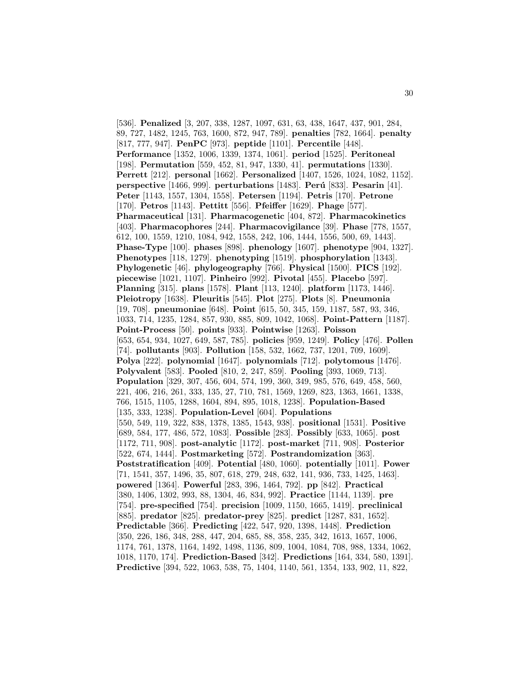[536]. **Penalized** [3, 207, 338, 1287, 1097, 631, 63, 438, 1647, 437, 901, 284, 89, 727, 1482, 1245, 763, 1600, 872, 947, 789]. **penalties** [782, 1664]. **penalty** [817, 777, 947]. **PenPC** [973]. **peptide** [1101]. **Percentile** [448]. **Performance** [1352, 1006, 1339, 1374, 1061]. **period** [1525]. **Peritoneal** [198]. **Permutation** [559, 452, 81, 947, 1330, 41]. **permutations** [1330]. **Perrett** [212]. **personal** [1662]. **Personalized** [1407, 1526, 1024, 1082, 1152]. **perspective** [1466, 999]. **perturbations** [1483]. **Per´u** [833]. **Pesarin** [41]. **Peter** [1143, 1557, 1304, 1558]. **Petersen** [1194]. **Petris** [170]. **Petrone** [170]. **Petros** [1143]. **Pettitt** [556]. **Pfeiffer** [1629]. **Phage** [577]. **Pharmaceutical** [131]. **Pharmacogenetic** [404, 872]. **Pharmacokinetics** [403]. **Pharmacophores** [244]. **Pharmacovigilance** [39]. **Phase** [778, 1557, 612, 100, 1559, 1210, 1084, 942, 1558, 242, 106, 1444, 1556, 500, 69, 1443]. **Phase-Type** [100]. **phases** [898]. **phenology** [1607]. **phenotype** [904, 1327]. **Phenotypes** [118, 1279]. **phenotyping** [1519]. **phosphorylation** [1343]. **Phylogenetic** [46]. **phylogeography** [766]. **Physical** [1500]. **PICS** [192]. **piecewise** [1021, 1107]. **Pinheiro** [992]. **Pivotal** [455]. **Placebo** [597]. **Planning** [315]. **plans** [1578]. **Plant** [113, 1240]. **platform** [1173, 1446]. **Pleiotropy** [1638]. **Pleuritis** [545]. **Plot** [275]. **Plots** [8]. **Pneumonia** [19, 708]. **pneumoniae** [648]. **Point** [615, 50, 345, 159, 1187, 587, 93, 346, 1033, 714, 1235, 1284, 857, 930, 885, 809, 1042, 1068]. **Point-Pattern** [1187]. **Point-Process** [50]. **points** [933]. **Pointwise** [1263]. **Poisson** [653, 654, 934, 1027, 649, 587, 785]. **policies** [959, 1249]. **Policy** [476]. **Pollen** [74]. **pollutants** [903]. **Pollution** [158, 532, 1662, 737, 1201, 709, 1609]. **Polya** [222]. **polynomial** [1647]. **polynomials** [712]. **polytomous** [1476]. **Polyvalent** [583]. **Pooled** [810, 2, 247, 859]. **Pooling** [393, 1069, 713]. **Population** [329, 307, 456, 604, 574, 199, 360, 349, 985, 576, 649, 458, 560, 221, 406, 216, 261, 333, 135, 27, 710, 781, 1569, 1269, 823, 1363, 1661, 1338, 766, 1515, 1105, 1288, 1604, 894, 895, 1018, 1238]. **Population-Based** [135, 333, 1238]. **Population-Level** [604]. **Populations** [550, 549, 119, 322, 838, 1378, 1385, 1543, 938]. **positional** [1531]. **Positive** [689, 584, 177, 486, 572, 1083]. **Possible** [283]. **Possibly** [633, 1065]. **post** [1172, 711, 908]. **post-analytic** [1172]. **post-market** [711, 908]. **Posterior** [522, 674, 1444]. **Postmarketing** [572]. **Postrandomization** [363]. **Poststratification** [409]. **Potential** [480, 1060]. **potentially** [1011]. **Power** [71, 1541, 357, 1496, 35, 807, 618, 279, 248, 632, 141, 936, 733, 1425, 1463]. **powered** [1364]. **Powerful** [283, 396, 1464, 792]. **pp** [842]. **Practical** [380, 1406, 1302, 993, 88, 1304, 46, 834, 992]. **Practice** [1144, 1139]. **pre** [754]. **pre-specified** [754]. **precision** [1009, 1150, 1665, 1419]. **preclinical** [885]. **predator** [825]. **predator-prey** [825]. **predict** [1287, 831, 1652]. **Predictable** [366]. **Predicting** [422, 547, 920, 1398, 1448]. **Prediction** [350, 226, 186, 348, 288, 447, 204, 685, 88, 358, 235, 342, 1613, 1657, 1006, 1174, 761, 1378, 1164, 1492, 1498, 1136, 809, 1004, 1084, 708, 988, 1334, 1062, 1018, 1170, 174]. **Prediction-Based** [342]. **Predictions** [164, 334, 580, 1391]. **Predictive** [394, 522, 1063, 538, 75, 1404, 1140, 561, 1354, 133, 902, 11, 822,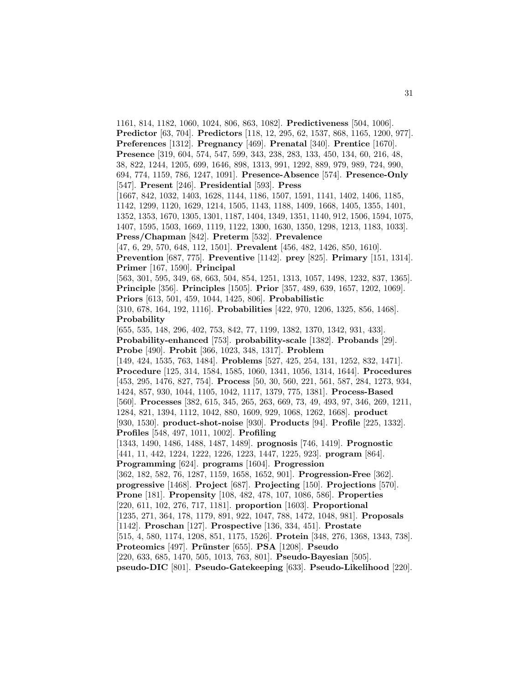1161, 814, 1182, 1060, 1024, 806, 863, 1082]. **Predictiveness** [504, 1006]. **Predictor** [63, 704]. **Predictors** [118, 12, 295, 62, 1537, 868, 1165, 1200, 977]. **Preferences** [1312]. **Pregnancy** [469]. **Prenatal** [340]. **Prentice** [1670]. **Presence** [319, 604, 574, 547, 599, 343, 238, 283, 133, 450, 134, 60, 216, 48, 38, 822, 1244, 1205, 699, 1646, 898, 1313, 991, 1292, 889, 979, 989, 724, 990, 694, 774, 1159, 786, 1247, 1091]. **Presence-Absence** [574]. **Presence-Only** [547]. **Present** [246]. **Presidential** [593]. **Press** [1667, 842, 1032, 1403, 1628, 1144, 1186, 1507, 1591, 1141, 1402, 1406, 1185, 1142, 1299, 1120, 1629, 1214, 1505, 1143, 1188, 1409, 1668, 1405, 1355, 1401, 1352, 1353, 1670, 1305, 1301, 1187, 1404, 1349, 1351, 1140, 912, 1506, 1594, 1075, 1407, 1595, 1503, 1669, 1119, 1122, 1300, 1630, 1350, 1298, 1213, 1183, 1033]. **Press/Chapman** [842]. **Preterm** [532]. **Prevalence** [47, 6, 29, 570, 648, 112, 1501]. **Prevalent** [456, 482, 1426, 850, 1610]. **Prevention** [687, 775]. **Preventive** [1142]. **prey** [825]. **Primary** [151, 1314]. **Primer** [167, 1590]. **Principal** [563, 301, 595, 349, 68, 663, 504, 854, 1251, 1313, 1057, 1498, 1232, 837, 1365]. **Principle** [356]. **Principles** [1505]. **Prior** [357, 489, 639, 1657, 1202, 1069]. **Priors** [613, 501, 459, 1044, 1425, 806]. **Probabilistic** [310, 678, 164, 192, 1116]. **Probabilities** [422, 970, 1206, 1325, 856, 1468]. **Probability** [655, 535, 148, 296, 402, 753, 842, 77, 1199, 1382, 1370, 1342, 931, 433]. **Probability-enhanced** [753]. **probability-scale** [1382]. **Probands** [29]. **Probe** [490]. **Probit** [366, 1023, 348, 1317]. **Problem** [149, 424, 1535, 763, 1484]. **Problems** [527, 425, 254, 131, 1252, 832, 1471]. **Procedure** [125, 314, 1584, 1585, 1060, 1341, 1056, 1314, 1644]. **Procedures** [453, 295, 1476, 827, 754]. **Process** [50, 30, 560, 221, 561, 587, 284, 1273, 934, 1424, 857, 930, 1044, 1105, 1042, 1117, 1379, 775, 1381]. **Process-Based** [560]. **Processes** [382, 615, 345, 265, 263, 669, 73, 49, 493, 97, 346, 269, 1211, 1284, 821, 1394, 1112, 1042, 880, 1609, 929, 1068, 1262, 1668]. **product** [930, 1530]. **product-shot-noise** [930]. **Products** [94]. **Profile** [225, 1332]. **Profiles** [548, 497, 1011, 1002]. **Profiling** [1343, 1490, 1486, 1488, 1487, 1489]. **prognosis** [746, 1419]. **Prognostic** [441, 11, 442, 1224, 1222, 1226, 1223, 1447, 1225, 923]. **program** [864]. **Programming** [624]. **programs** [1604]. **Progression** [362, 182, 582, 76, 1287, 1159, 1658, 1652, 901]. **Progression-Free** [362]. **progressive** [1468]. **Project** [687]. **Projecting** [150]. **Projections** [570]. **Prone** [181]. **Propensity** [108, 482, 478, 107, 1086, 586]. **Properties** [220, 611, 102, 276, 717, 1181]. **proportion** [1603]. **Proportional** [1235, 271, 364, 178, 1179, 891, 922, 1047, 788, 1472, 1048, 981]. **Proposals** [1142]. **Proschan** [127]. **Prospective** [136, 334, 451]. **Prostate** [515, 4, 580, 1174, 1208, 851, 1175, 1526]. **Protein** [348, 276, 1368, 1343, 738]. **Proteomics** [497]. **Pr¨unster** [655]. **PSA** [1208]. **Pseudo** [220, 633, 685, 1470, 505, 1013, 763, 801]. **Pseudo-Bayesian** [505]. **pseudo-DIC** [801]. **Pseudo-Gatekeeping** [633]. **Pseudo-Likelihood** [220].

31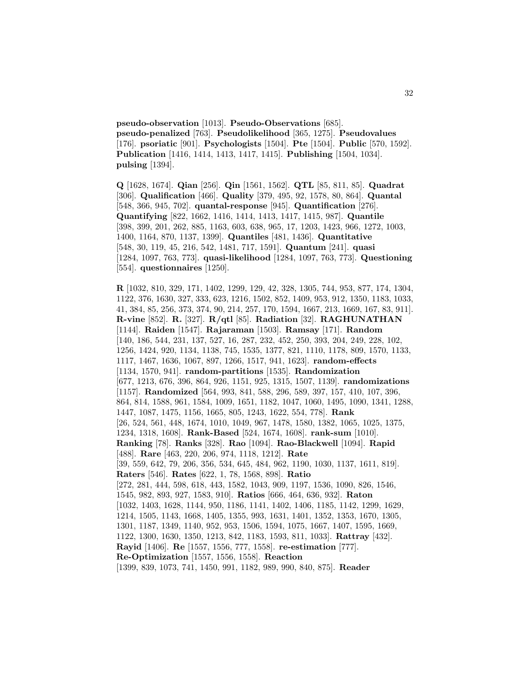**pseudo-observation** [1013]. **Pseudo-Observations** [685]. **pseudo-penalized** [763]. **Pseudolikelihood** [365, 1275]. **Pseudovalues** [176]. **psoriatic** [901]. **Psychologists** [1504]. **Pte** [1504]. **Public** [570, 1592]. **Publication** [1416, 1414, 1413, 1417, 1415]. **Publishing** [1504, 1034]. **pulsing** [1394].

**Q** [1628, 1674]. **Qian** [256]. **Qin** [1561, 1562]. **QTL** [85, 811, 85]. **Quadrat** [306]. **Qualification** [466]. **Quality** [379, 495, 92, 1578, 80, 864]. **Quantal** [548, 366, 945, 702]. **quantal-response** [945]. **Quantification** [276]. **Quantifying** [822, 1662, 1416, 1414, 1413, 1417, 1415, 987]. **Quantile** [398, 399, 201, 262, 885, 1163, 603, 638, 965, 17, 1203, 1423, 966, 1272, 1003, 1400, 1164, 870, 1137, 1399]. **Quantiles** [481, 1436]. **Quantitative** [548, 30, 119, 45, 216, 542, 1481, 717, 1591]. **Quantum** [241]. **quasi** [1284, 1097, 763, 773]. **quasi-likelihood** [1284, 1097, 763, 773]. **Questioning** [554]. **questionnaires** [1250].

**R** [1032, 810, 329, 171, 1402, 1299, 129, 42, 328, 1305, 744, 953, 877, 174, 1304, 1122, 376, 1630, 327, 333, 623, 1216, 1502, 852, 1409, 953, 912, 1350, 1183, 1033, 41, 384, 85, 256, 373, 374, 90, 214, 257, 170, 1594, 1667, 213, 1669, 167, 83, 911]. **R-vine** [852]. **R.** [327]. **R/qtl** [85]. **Radiation** [32]. **RAGHUNATHAN** [1144]. **Raiden** [1547]. **Rajaraman** [1503]. **Ramsay** [171]. **Random** [140, 186, 544, 231, 137, 527, 16, 287, 232, 452, 250, 393, 204, 249, 228, 102, 1256, 1424, 920, 1134, 1138, 745, 1535, 1377, 821, 1110, 1178, 809, 1570, 1133, 1117, 1467, 1636, 1067, 897, 1266, 1517, 941, 1623]. **random-effects** [1134, 1570, 941]. **random-partitions** [1535]. **Randomization** [677, 1213, 676, 396, 864, 926, 1151, 925, 1315, 1507, 1139]. **randomizations** [1157]. **Randomized** [564, 993, 841, 588, 296, 589, 397, 157, 410, 107, 396, 864, 814, 1588, 961, 1584, 1009, 1651, 1182, 1047, 1060, 1495, 1090, 1341, 1288, 1447, 1087, 1475, 1156, 1665, 805, 1243, 1622, 554, 778]. **Rank** [26, 524, 561, 448, 1674, 1010, 1049, 967, 1478, 1580, 1382, 1065, 1025, 1375, 1234, 1318, 1608]. **Rank-Based** [524, 1674, 1608]. **rank-sum** [1010]. **Ranking** [78]. **Ranks** [328]. **Rao** [1094]. **Rao-Blackwell** [1094]. **Rapid** [488]. **Rare** [463, 220, 206, 974, 1118, 1212]. **Rate** [39, 559, 642, 79, 206, 356, 534, 645, 484, 962, 1190, 1030, 1137, 1611, 819]. **Raters** [546]. **Rates** [622, 1, 78, 1568, 898]. **Ratio** [272, 281, 444, 598, 618, 443, 1582, 1043, 909, 1197, 1536, 1090, 826, 1546, 1545, 982, 893, 927, 1583, 910]. **Ratios** [666, 464, 636, 932]. **Raton** [1032, 1403, 1628, 1144, 950, 1186, 1141, 1402, 1406, 1185, 1142, 1299, 1629, 1214, 1505, 1143, 1668, 1405, 1355, 993, 1631, 1401, 1352, 1353, 1670, 1305, 1301, 1187, 1349, 1140, 952, 953, 1506, 1594, 1075, 1667, 1407, 1595, 1669, 1122, 1300, 1630, 1350, 1213, 842, 1183, 1593, 811, 1033]. **Rattray** [432]. **Rayid** [1406]. **Re** [1557, 1556, 777, 1558]. **re-estimation** [777]. **Re-Optimization** [1557, 1556, 1558]. **Reaction** [1399, 839, 1073, 741, 1450, 991, 1182, 989, 990, 840, 875]. **Reader**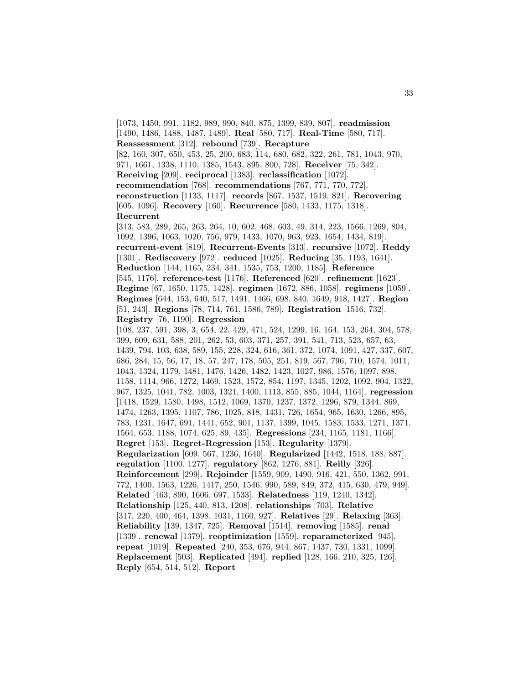[1073, 1450, 991, 1182, 989, 990, 840, 875, 1399, 839, 807]. **readmission** [1490, 1486, 1488, 1487, 1489]. **Real** [580, 717]. **Real-Time** [580, 717]. **Reassessment** [312]. **rebound** [739]. **Recapture** [82, 160, 307, 650, 453, 25, 200, 683, 114, 680, 682, 322, 261, 781, 1043, 970, 971, 1661, 1338, 1110, 1385, 1543, 895, 800, 728]. **Receiver** [75, 342]. **Receiving** [209]. **reciprocal** [1383]. **reclassification** [1072]. **recommendation** [768]. **recommendations** [767, 771, 770, 772]. **reconstruction** [1133, 1117]. **records** [867, 1537, 1519, 821]. **Recovering** [605, 1096]. **Recovery** [160]. **Recurrence** [580, 1433, 1175, 1318]. **Recurrent** [313, 583, 289, 265, 263, 264, 10, 602, 468, 603, 49, 314, 223, 1566, 1269, 804, 1092, 1396, 1063, 1020, 756, 979, 1433, 1070, 963, 923, 1654, 1434, 819]. **recurrent-event** [819]. **Recurrent-Events** [313]. **recursive** [1072]. **Reddy** [1301]. **Rediscovery** [972]. **reduced** [1025]. **Reducing** [35, 1193, 1641]. **Reduction** [144, 1165, 234, 341, 1535, 753, 1200, 1185]. **Reference** [545, 1176]. **reference-test** [1176]. **Referenced** [620]. **refinement** [1623]. **Regime** [67, 1650, 1175, 1428]. **regimen** [1672, 886, 1058]. **regimens** [1059]. **Regimes** [644, 153, 640, 517, 1491, 1466, 698, 840, 1649, 918, 1427]. **Region** [51, 243]. **Regions** [78, 714, 761, 1586, 789]. **Registration** [1516, 732]. **Registry** [76, 1190]. **Regression** [108, 237, 591, 398, 3, 654, 22, 429, 471, 524, 1299, 16, 164, 153, 264, 304, 578, 399, 609, 631, 588, 201, 262, 53, 603, 371, 257, 391, 541, 713, 523, 657, 63, 1439, 794, 103, 638, 589, 155, 228, 324, 616, 361, 372, 1074, 1091, 427, 337, 607, 686, 284, 15, 56, 17, 18, 57, 247, 178, 505, 251, 819, 567, 796, 710, 1574, 1011, 1043, 1324, 1179, 1481, 1476, 1426, 1482, 1423, 1027, 986, 1576, 1097, 898, 1158, 1114, 966, 1272, 1469, 1523, 1572, 854, 1197, 1345, 1202, 1092, 904, 1322, 967, 1325, 1041, 782, 1003, 1321, 1400, 1113, 855, 885, 1044, 1164]. **regression** [1418, 1529, 1580, 1498, 1512, 1069, 1370, 1237, 1372, 1296, 879, 1344, 869, 1474, 1263, 1395, 1107, 786, 1025, 818, 1431, 726, 1654, 965, 1630, 1266, 895, 783, 1231, 1647, 691, 1441, 652, 901, 1137, 1399, 1045, 1583, 1533, 1271, 1371, 1564, 653, 1188, 1074, 625, 89, 435]. **Regressions** [234, 1165, 1181, 1166]. **Regret** [153]. **Regret-Regression** [153]. **Regularity** [1379]. **Regularization** [609, 567, 1236, 1640]. **Regularized** [1442, 1518, 188, 887]. **regulation** [1100, 1277]. **regulatory** [862, 1276, 881]. **Reilly** [326]. **Reinforcement** [299]. **Rejoinder** [1559, 909, 1490, 916, 421, 550, 1362, 991, 772, 1400, 1563, 1226, 1417, 250, 1546, 990, 589, 849, 372, 415, 630, 479, 949]. **Related** [463, 890, 1606, 697, 1533]. **Relatedness** [119, 1240, 1342]. **Relationship** [125, 440, 813, 1208]. **relationships** [703]. **Relative** [317, 220, 400, 464, 1398, 1031, 1160, 927]. **Relatives** [29]. **Relaxing** [363]. **Reliability** [139, 1347, 725]. **Removal** [1514]. **removing** [1585]. **renal** [1339]. **renewal** [1379]. **reoptimization** [1559]. **reparameterized** [945]. **repeat** [1019]. **Repeated** [240, 353, 676, 944, 867, 1437, 730, 1331, 1099]. **Replacement** [503]. **Replicated** [494]. **replied** [128, 166, 210, 325, 126]. **Reply** [654, 514, 512]. **Report**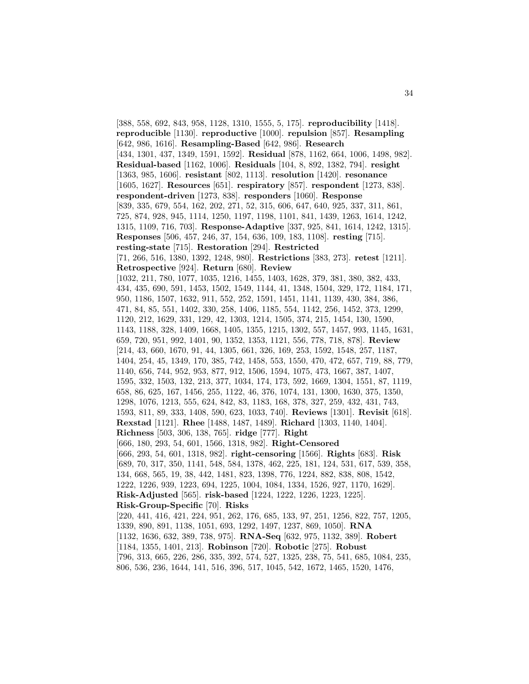[388, 558, 692, 843, 958, 1128, 1310, 1555, 5, 175]. **reproducibility** [1418]. **reproducible** [1130]. **reproductive** [1000]. **repulsion** [857]. **Resampling** [642, 986, 1616]. **Resampling-Based** [642, 986]. **Research** [434, 1301, 437, 1349, 1591, 1592]. **Residual** [878, 1162, 664, 1006, 1498, 982]. **Residual-based** [1162, 1006]. **Residuals** [104, 8, 892, 1382, 794]. **resight** [1363, 985, 1606]. **resistant** [802, 1113]. **resolution** [1420]. **resonance** [1605, 1627]. **Resources** [651]. **respiratory** [857]. **respondent** [1273, 838]. **respondent-driven** [1273, 838]. **responders** [1060]. **Response** [839, 335, 679, 554, 162, 202, 271, 52, 315, 606, 647, 640, 925, 337, 311, 861, 725, 874, 928, 945, 1114, 1250, 1197, 1198, 1101, 841, 1439, 1263, 1614, 1242, 1315, 1109, 716, 703]. **Response-Adaptive** [337, 925, 841, 1614, 1242, 1315]. **Responses** [506, 457, 246, 37, 154, 636, 109, 183, 1108]. **resting** [715]. **resting-state** [715]. **Restoration** [294]. **Restricted** [71, 266, 516, 1380, 1392, 1248, 980]. **Restrictions** [383, 273]. **retest** [1211]. **Retrospective** [924]. **Return** [680]. **Review** [1032, 211, 780, 1077, 1035, 1216, 1455, 1403, 1628, 379, 381, 380, 382, 433, 434, 435, 690, 591, 1453, 1502, 1549, 1144, 41, 1348, 1504, 329, 172, 1184, 171, 950, 1186, 1507, 1632, 911, 552, 252, 1591, 1451, 1141, 1139, 430, 384, 386, 471, 84, 85, 551, 1402, 330, 258, 1406, 1185, 554, 1142, 256, 1452, 373, 1299, 1120, 212, 1629, 331, 129, 42, 1303, 1214, 1505, 374, 215, 1454, 130, 1590, 1143, 1188, 328, 1409, 1668, 1405, 1355, 1215, 1302, 557, 1457, 993, 1145, 1631, 659, 720, 951, 992, 1401, 90, 1352, 1353, 1121, 556, 778, 718, 878]. **Review** [214, 43, 660, 1670, 91, 44, 1305, 661, 326, 169, 253, 1592, 1548, 257, 1187, 1404, 254, 45, 1349, 170, 385, 742, 1458, 553, 1550, 470, 472, 657, 719, 88, 779, 1140, 656, 744, 952, 953, 877, 912, 1506, 1594, 1075, 473, 1667, 387, 1407, 1595, 332, 1503, 132, 213, 377, 1034, 174, 173, 592, 1669, 1304, 1551, 87, 1119, 658, 86, 625, 167, 1456, 255, 1122, 46, 376, 1074, 131, 1300, 1630, 375, 1350, 1298, 1076, 1213, 555, 624, 842, 83, 1183, 168, 378, 327, 259, 432, 431, 743, 1593, 811, 89, 333, 1408, 590, 623, 1033, 740]. **Reviews** [1301]. **Revisit** [618]. **Rexstad** [1121]. **Rhee** [1488, 1487, 1489]. **Richard** [1303, 1140, 1404]. **Richness** [503, 306, 138, 765]. **ridge** [777]. **Right** [666, 180, 293, 54, 601, 1566, 1318, 982]. **Right-Censored** [666, 293, 54, 601, 1318, 982]. **right-censoring** [1566]. **Rights** [683]. **Risk** [689, 70, 317, 350, 1141, 548, 584, 1378, 462, 225, 181, 124, 531, 617, 539, 358, 134, 668, 565, 19, 38, 442, 1481, 823, 1398, 776, 1224, 882, 838, 808, 1542, 1222, 1226, 939, 1223, 694, 1225, 1004, 1084, 1334, 1526, 927, 1170, 1629]. **Risk-Adjusted** [565]. **risk-based** [1224, 1222, 1226, 1223, 1225]. **Risk-Group-Specific** [70]. **Risks** [220, 441, 416, 421, 224, 951, 262, 176, 685, 133, 97, 251, 1256, 822, 757, 1205, 1339, 890, 891, 1138, 1051, 693, 1292, 1497, 1237, 869, 1050]. **RNA** [1132, 1636, 632, 389, 738, 975]. **RNA-Seq** [632, 975, 1132, 389]. **Robert** [1184, 1355, 1401, 213]. **Robinson** [720]. **Robotic** [275]. **Robust** [796, 313, 665, 226, 286, 335, 392, 574, 527, 1325, 238, 75, 541, 685, 1084, 235, 806, 536, 236, 1644, 141, 516, 396, 517, 1045, 542, 1672, 1465, 1520, 1476,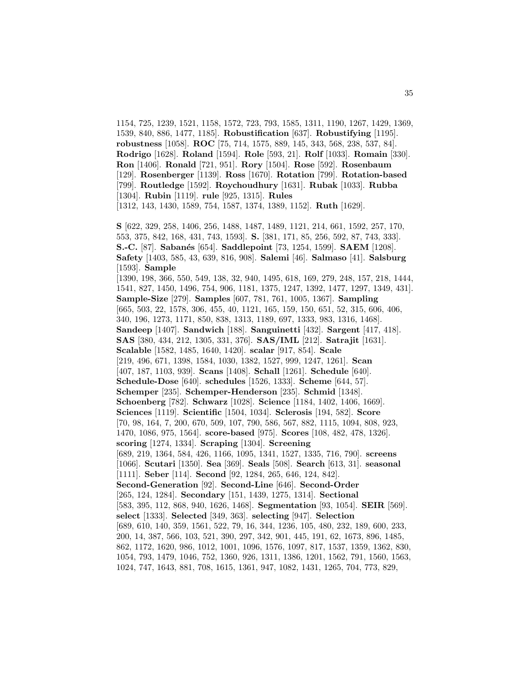1154, 725, 1239, 1521, 1158, 1572, 723, 793, 1585, 1311, 1190, 1267, 1429, 1369, 1539, 840, 886, 1477, 1185]. **Robustification** [637]. **Robustifying** [1195]. **robustness** [1058]. **ROC** [75, 714, 1575, 889, 145, 343, 568, 238, 537, 84]. **Rodrigo** [1628]. **Roland** [1594]. **Role** [593, 21]. **Rolf** [1033]. **Romain** [330]. **Ron** [1406]. **Ronald** [721, 951]. **Rory** [1504]. **Rose** [592]. **Rosenbaum** [129]. **Rosenberger** [1139]. **Ross** [1670]. **Rotation** [799]. **Rotation-based** [799]. **Routledge** [1592]. **Roychoudhury** [1631]. **Rubak** [1033]. **Rubba** [1304]. **Rubin** [1119]. **rule** [925, 1315]. **Rules** [1312, 143, 1430, 1589, 754, 1587, 1374, 1389, 1152]. **Ruth** [1629]. **S** [622, 329, 258, 1406, 256, 1488, 1487, 1489, 1121, 214, 661, 1592, 257, 170, 553, 375, 842, 168, 431, 743, 1593]. **S.** [381, 171, 85, 256, 592, 87, 743, 333]. **S.-C.** [87]. **Saban´es** [654]. **Saddlepoint** [73, 1254, 1599]. **SAEM** [1208]. **Safety** [1403, 585, 43, 639, 816, 908]. **Salemi** [46]. **Salmaso** [41]. **Salsburg** [1593]. **Sample** [1390, 198, 366, 550, 549, 138, 32, 940, 1495, 618, 169, 279, 248, 157, 218, 1444, 1541, 827, 1450, 1496, 754, 906, 1181, 1375, 1247, 1392, 1477, 1297, 1349, 431]. **Sample-Size** [279]. **Samples** [607, 781, 761, 1005, 1367]. **Sampling** [665, 503, 22, 1578, 306, 455, 40, 1121, 165, 159, 150, 651, 52, 315, 606, 406, 340, 196, 1273, 1171, 850, 838, 1313, 1189, 697, 1333, 983, 1316, 1468]. **Sandeep** [1407]. **Sandwich** [188]. **Sanguinetti** [432]. **Sargent** [417, 418]. **SAS** [380, 434, 212, 1305, 331, 376]. **SAS/IML** [212]. **Satrajit** [1631]. **Scalable** [1582, 1485, 1640, 1420]. **scalar** [917, 854]. **Scale** [219, 496, 671, 1398, 1584, 1030, 1382, 1527, 999, 1247, 1261]. **Scan** [407, 187, 1103, 939]. **Scans** [1408]. **Schall** [1261]. **Schedule** [640]. **Schedule-Dose** [640]. **schedules** [1526, 1333]. **Scheme** [644, 57]. **Schemper** [235]. **Schemper-Henderson** [235]. **Schmid** [1348]. **Schoenberg** [782]. **Schwarz** [1028]. **Science** [1184, 1402, 1406, 1669]. **Sciences** [1119]. **Scientific** [1504, 1034]. **Sclerosis** [194, 582]. **Score** [70, 98, 164, 7, 200, 670, 509, 107, 790, 586, 567, 882, 1115, 1094, 808, 923, 1470, 1086, 975, 1564]. **score-based** [975]. **Scores** [108, 482, 478, 1326]. **scoring** [1274, 1334]. **Scraping** [1304]. **Screening** [689, 219, 1364, 584, 426, 1166, 1095, 1341, 1527, 1335, 716, 790]. **screens** [1066]. **Scutari** [1350]. **Sea** [369]. **Seals** [508]. **Search** [613, 31]. **seasonal** [1111]. **Seber** [114]. **Second** [92, 1284, 265, 646, 124, 842]. **Second-Generation** [92]. **Second-Line** [646]. **Second-Order** [265, 124, 1284]. **Secondary** [151, 1439, 1275, 1314]. **Sectional** [583, 395, 112, 868, 940, 1626, 1468]. **Segmentation** [93, 1054]. **SEIR** [569]. **select** [1333]. **Selected** [349, 363]. **selecting** [947]. **Selection** [689, 610, 140, 359, 1561, 522, 79, 16, 344, 1236, 105, 480, 232, 189, 600, 233, 200, 14, 387, 566, 103, 521, 390, 297, 342, 901, 445, 191, 62, 1673, 896, 1485, 862, 1172, 1620, 986, 1012, 1001, 1096, 1576, 1097, 817, 1537, 1359, 1362, 830, 1054, 793, 1479, 1046, 752, 1360, 926, 1311, 1386, 1201, 1562, 791, 1560, 1563, 1024, 747, 1643, 881, 708, 1615, 1361, 947, 1082, 1431, 1265, 704, 773, 829,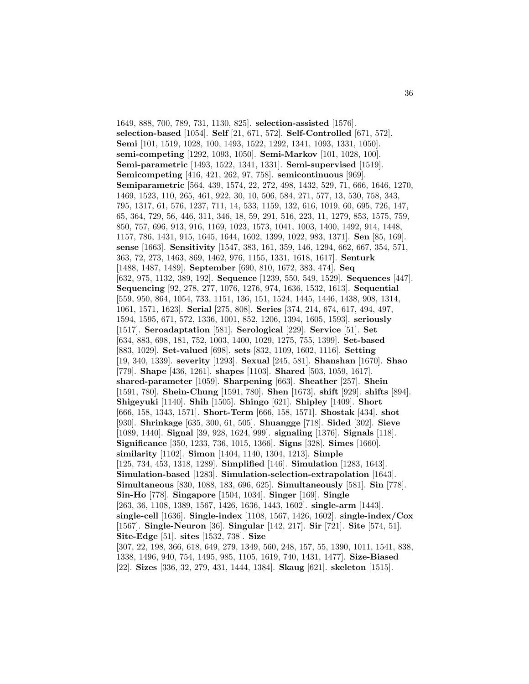1649, 888, 700, 789, 731, 1130, 825]. **selection-assisted** [1576]. **selection-based** [1054]. **Self** [21, 671, 572]. **Self-Controlled** [671, 572]. **Semi** [101, 1519, 1028, 100, 1493, 1522, 1292, 1341, 1093, 1331, 1050]. **semi-competing** [1292, 1093, 1050]. **Semi-Markov** [101, 1028, 100]. **Semi-parametric** [1493, 1522, 1341, 1331]. **Semi-supervised** [1519]. **Semicompeting** [416, 421, 262, 97, 758]. **semicontinuous** [969]. **Semiparametric** [564, 439, 1574, 22, 272, 498, 1432, 529, 71, 666, 1646, 1270, 1469, 1523, 110, 265, 461, 922, 30, 10, 506, 584, 271, 577, 13, 530, 758, 343, 795, 1317, 61, 576, 1237, 711, 14, 533, 1159, 132, 616, 1019, 60, 695, 726, 147, 65, 364, 729, 56, 446, 311, 346, 18, 59, 291, 516, 223, 11, 1279, 853, 1575, 759, 850, 757, 696, 913, 916, 1169, 1023, 1573, 1041, 1003, 1400, 1492, 914, 1448, 1157, 786, 1431, 915, 1645, 1644, 1602, 1399, 1022, 983, 1371]. **Sen** [85, 169]. **sense** [1663]. **Sensitivity** [1547, 383, 161, 359, 146, 1294, 662, 667, 354, 571, 363, 72, 273, 1463, 869, 1462, 976, 1155, 1331, 1618, 1617]. **Senturk** [1488, 1487, 1489]. **September** [690, 810, 1672, 383, 474]. **Seq** [632, 975, 1132, 389, 192]. **Sequence** [1239, 550, 549, 1529]. **Sequences** [447]. **Sequencing** [92, 278, 277, 1076, 1276, 974, 1636, 1532, 1613]. **Sequential** [559, 950, 864, 1054, 733, 1151, 136, 151, 1524, 1445, 1446, 1438, 908, 1314, 1061, 1571, 1623]. **Serial** [275, 808]. **Series** [374, 214, 674, 617, 494, 497, 1594, 1595, 671, 572, 1336, 1001, 852, 1206, 1394, 1605, 1593]. **seriously** [1517]. **Seroadaptation** [581]. **Serological** [229]. **Service** [51]. **Set** [634, 883, 698, 181, 752, 1003, 1400, 1029, 1275, 755, 1399]. **Set-based** [883, 1029]. **Set-valued** [698]. **sets** [832, 1109, 1602, 1116]. **Setting** [19, 340, 1339]. **severity** [1293]. **Sexual** [245, 581]. **Shanshan** [1670]. **Shao** [779]. **Shape** [436, 1261]. **shapes** [1103]. **Shared** [503, 1059, 1617]. **shared-parameter** [1059]. **Sharpening** [663]. **Sheather** [257]. **Shein** [1591, 780]. **Shein-Chung** [1591, 780]. **Shen** [1673]. **shift** [929]. **shifts** [894]. **Shigeyuki** [1140]. **Shih** [1505]. **Shingo** [621]. **Shipley** [1409]. **Short** [666, 158, 1343, 1571]. **Short-Term** [666, 158, 1571]. **Shostak** [434]. **shot** [930]. **Shrinkage** [635, 300, 61, 505]. **Shuangge** [718]. **Sided** [302]. **Sieve** [1089, 1440]. **Signal** [39, 928, 1624, 999]. **signaling** [1376]. **Signals** [118]. **Significance** [350, 1233, 736, 1015, 1366]. **Signs** [328]. **Simes** [1660]. **similarity** [1102]. **Simon** [1404, 1140, 1304, 1213]. **Simple** [125, 734, 453, 1318, 1289]. **Simplified** [146]. **Simulation** [1283, 1643]. **Simulation-based** [1283]. **Simulation-selection-extrapolation** [1643]. **Simultaneous** [830, 1088, 183, 696, 625]. **Simultaneously** [581]. **Sin** [778]. **Sin-Ho** [778]. **Singapore** [1504, 1034]. **Singer** [169]. **Single** [263, 36, 1108, 1389, 1567, 1426, 1636, 1443, 1602]. **single-arm** [1443]. **single-cell** [1636]. **Single-index** [1108, 1567, 1426, 1602]. **single-index/Cox** [1567]. **Single-Neuron** [36]. **Singular** [142, 217]. **Sir** [721]. **Site** [574, 51]. **Site-Edge** [51]. **sites** [1532, 738]. **Size** [307, 22, 198, 366, 618, 649, 279, 1349, 560, 248, 157, 55, 1390, 1011, 1541, 838, 1338, 1496, 940, 754, 1495, 985, 1105, 1619, 740, 1431, 1477]. **Size-Biased** [22]. **Sizes** [336, 32, 279, 431, 1444, 1384]. **Skaug** [621]. **skeleton** [1515].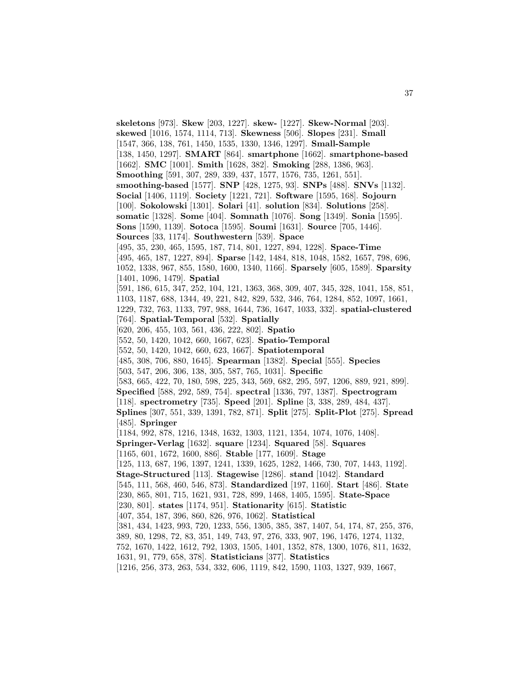**skeletons** [973]. **Skew** [203, 1227]. **skew-** [1227]. **Skew-Normal** [203]. **skewed** [1016, 1574, 1114, 713]. **Skewness** [506]. **Slopes** [231]. **Small** [1547, 366, 138, 761, 1450, 1535, 1330, 1346, 1297]. **Small-Sample** [138, 1450, 1297]. **SMART** [864]. **smartphone** [1662]. **smartphone-based** [1662]. **SMC** [1001]. **Smith** [1628, 382]. **Smoking** [288, 1386, 963]. **Smoothing** [591, 307, 289, 339, 437, 1577, 1576, 735, 1261, 551]. **smoothing-based** [1577]. **SNP** [428, 1275, 93]. **SNPs** [488]. **SNVs** [1132]. **Social** [1406, 1119]. **Society** [1221, 721]. **Software** [1595, 168]. **Sojourn** [100]. **Sokolowski** [1301]. **Solari** [41]. **solution** [834]. **Solutions** [258]. **somatic** [1328]. **Some** [404]. **Somnath** [1076]. **Song** [1349]. **Sonia** [1595]. **Sons** [1590, 1139]. **Sotoca** [1595]. **Soumi** [1631]. **Source** [705, 1446]. **Sources** [33, 1174]. **Southwestern** [539]. **Space** [495, 35, 230, 465, 1595, 187, 714, 801, 1227, 894, 1228]. **Space-Time** [495, 465, 187, 1227, 894]. **Sparse** [142, 1484, 818, 1048, 1582, 1657, 798, 696, 1052, 1338, 967, 855, 1580, 1600, 1340, 1166]. **Sparsely** [605, 1589]. **Sparsity** [1401, 1096, 1479]. **Spatial** [591, 186, 615, 347, 252, 104, 121, 1363, 368, 309, 407, 345, 328, 1041, 158, 851, 1103, 1187, 688, 1344, 49, 221, 842, 829, 532, 346, 764, 1284, 852, 1097, 1661, 1229, 732, 763, 1133, 797, 988, 1644, 736, 1647, 1033, 332]. **spatial-clustered** [764]. **Spatial-Temporal** [532]. **Spatially** [620, 206, 455, 103, 561, 436, 222, 802]. **Spatio** [552, 50, 1420, 1042, 660, 1667, 623]. **Spatio-Temporal** [552, 50, 1420, 1042, 660, 623, 1667]. **Spatiotemporal** [485, 308, 706, 880, 1645]. **Spearman** [1382]. **Special** [555]. **Species** [503, 547, 206, 306, 138, 305, 587, 765, 1031]. **Specific** [583, 665, 422, 70, 180, 598, 225, 343, 569, 682, 295, 597, 1206, 889, 921, 899]. **Specified** [588, 292, 589, 754]. **spectral** [1336, 797, 1387]. **Spectrogram** [118]. **spectrometry** [735]. **Speed** [201]. **Spline** [3, 338, 289, 484, 437]. **Splines** [307, 551, 339, 1391, 782, 871]. **Split** [275]. **Split-Plot** [275]. **Spread** [485]. **Springer** [1184, 992, 878, 1216, 1348, 1632, 1303, 1121, 1354, 1074, 1076, 1408]. **Springer-Verlag** [1632]. **square** [1234]. **Squared** [58]. **Squares** [1165, 601, 1672, 1600, 886]. **Stable** [177, 1609]. **Stage** [125, 113, 687, 196, 1397, 1241, 1339, 1625, 1282, 1466, 730, 707, 1443, 1192]. **Stage-Structured** [113]. **Stagewise** [1286]. **stand** [1042]. **Standard** [545, 111, 568, 460, 546, 873]. **Standardized** [197, 1160]. **Start** [486]. **State** [230, 865, 801, 715, 1621, 931, 728, 899, 1468, 1405, 1595]. **State-Space** [230, 801]. **states** [1174, 951]. **Stationarity** [615]. **Statistic** [407, 354, 187, 396, 860, 826, 976, 1062]. **Statistical** [381, 434, 1423, 993, 720, 1233, 556, 1305, 385, 387, 1407, 54, 174, 87, 255, 376, 389, 80, 1298, 72, 83, 351, 149, 743, 97, 276, 333, 907, 196, 1476, 1274, 1132, 752, 1670, 1422, 1612, 792, 1303, 1505, 1401, 1352, 878, 1300, 1076, 811, 1632, 1631, 91, 779, 658, 378]. **Statisticians** [377]. **Statistics** [1216, 256, 373, 263, 534, 332, 606, 1119, 842, 1590, 1103, 1327, 939, 1667,

37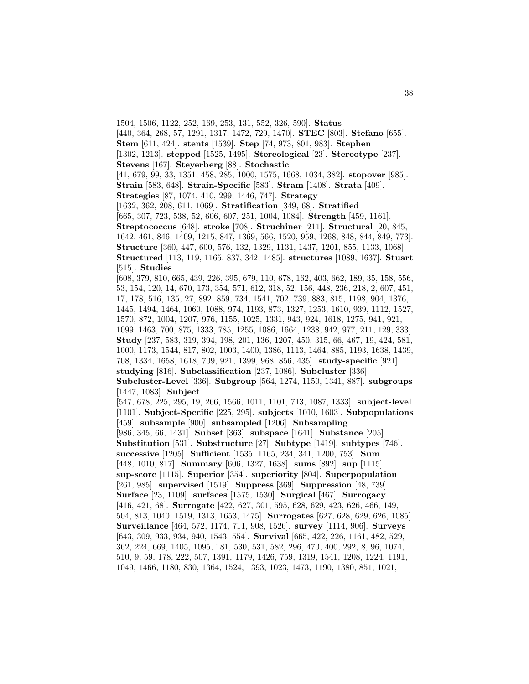1504, 1506, 1122, 252, 169, 253, 131, 552, 326, 590]. **Status** [440, 364, 268, 57, 1291, 1317, 1472, 729, 1470]. **STEC** [803]. **Stefano** [655]. **Stem** [611, 424]. **stents** [1539]. **Step** [74, 973, 801, 983]. **Stephen** [1302, 1213]. **stepped** [1525, 1495]. **Stereological** [23]. **Stereotype** [237]. **Stevens** [167]. **Steyerberg** [88]. **Stochastic** [41, 679, 99, 33, 1351, 458, 285, 1000, 1575, 1668, 1034, 382]. **stopover** [985]. **Strain** [583, 648]. **Strain-Specific** [583]. **Stram** [1408]. **Strata** [409]. **Strategies** [87, 1074, 410, 299, 1446, 747]. **Strategy** [1632, 362, 208, 611, 1069]. **Stratification** [349, 68]. **Stratified** [665, 307, 723, 538, 52, 606, 607, 251, 1004, 1084]. **Strength** [459, 1161]. **Streptococcus** [648]. **stroke** [708]. **Struchiner** [211]. **Structural** [20, 845, 1642, 461, 846, 1409, 1215, 847, 1369, 566, 1520, 959, 1268, 848, 844, 849, 773]. **Structure** [360, 447, 600, 576, 132, 1329, 1131, 1437, 1201, 855, 1133, 1068]. **Structured** [113, 119, 1165, 837, 342, 1485]. **structures** [1089, 1637]. **Stuart** [515]. **Studies** [608, 379, 810, 665, 439, 226, 395, 679, 110, 678, 162, 403, 662, 189, 35, 158, 556, 53, 154, 120, 14, 670, 173, 354, 571, 612, 318, 52, 156, 448, 236, 218, 2, 607, 451, 17, 178, 516, 135, 27, 892, 859, 734, 1541, 702, 739, 883, 815, 1198, 904, 1376, 1445, 1494, 1464, 1060, 1088, 974, 1193, 873, 1327, 1253, 1610, 939, 1112, 1527, 1570, 872, 1004, 1207, 976, 1155, 1025, 1331, 943, 924, 1618, 1275, 941, 921, 1099, 1463, 700, 875, 1333, 785, 1255, 1086, 1664, 1238, 942, 977, 211, 129, 333]. **Study** [237, 583, 319, 394, 198, 201, 136, 1207, 450, 315, 66, 467, 19, 424, 581, 1000, 1173, 1544, 817, 802, 1003, 1400, 1386, 1113, 1464, 885, 1193, 1638, 1439, 708, 1334, 1658, 1618, 709, 921, 1399, 968, 856, 435]. **study-specific** [921]. **studying** [816]. **Subclassification** [237, 1086]. **Subcluster** [336]. **Subcluster-Level** [336]. **Subgroup** [564, 1274, 1150, 1341, 887]. **subgroups** [1447, 1083]. **Subject** [547, 678, 225, 295, 19, 266, 1566, 1011, 1101, 713, 1087, 1333]. **subject-level** [1101]. **Subject-Specific** [225, 295]. **subjects** [1010, 1603]. **Subpopulations** [459]. **subsample** [900]. **subsampled** [1206]. **Subsampling** [986, 345, 66, 1431]. **Subset** [363]. **subspace** [1641]. **Substance** [205]. **Substitution** [531]. **Substructure** [27]. **Subtype** [1419]. **subtypes** [746]. **successive** [1205]. **Sufficient** [1535, 1165, 234, 341, 1200, 753]. **Sum** [448, 1010, 817]. **Summary** [606, 1327, 1638]. **sums** [892]. **sup** [1115]. **sup-score** [1115]. **Superior** [354]. **superiority** [804]. **Superpopulation** [261, 985]. **supervised** [1519]. **Suppress** [369]. **Suppression** [48, 739]. **Surface** [23, 1109]. **surfaces** [1575, 1530]. **Surgical** [467]. **Surrogacy** [416, 421, 68]. **Surrogate** [422, 627, 301, 595, 628, 629, 423, 626, 466, 149, 504, 813, 1040, 1519, 1313, 1653, 1475]. **Surrogates** [627, 628, 629, 626, 1085]. **Surveillance** [464, 572, 1174, 711, 908, 1526]. **survey** [1114, 906]. **Surveys** [643, 309, 933, 934, 940, 1543, 554]. **Survival** [665, 422, 226, 1161, 482, 529, 362, 224, 669, 1405, 1095, 181, 530, 531, 582, 296, 470, 400, 292, 8, 96, 1074, 510, 9, 59, 178, 222, 507, 1391, 1179, 1426, 759, 1319, 1541, 1208, 1224, 1191, 1049, 1466, 1180, 830, 1364, 1524, 1393, 1023, 1473, 1190, 1380, 851, 1021,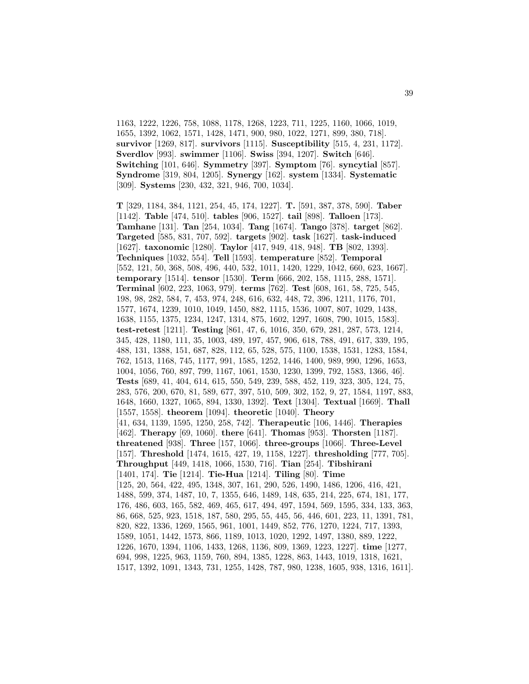1163, 1222, 1226, 758, 1088, 1178, 1268, 1223, 711, 1225, 1160, 1066, 1019, 1655, 1392, 1062, 1571, 1428, 1471, 900, 980, 1022, 1271, 899, 380, 718]. **survivor** [1269, 817]. **survivors** [1115]. **Susceptibility** [515, 4, 231, 1172]. **Sverdlov** [993]. **swimmer** [1106]. **Swiss** [394, 1207]. **Switch** [646]. **Switching** [101, 646]. **Symmetry** [397]. **Symptom** [76]. **syncytial** [857]. **Syndrome** [319, 804, 1205]. **Synergy** [162]. **system** [1334]. **Systematic** [309]. **Systems** [230, 432, 321, 946, 700, 1034].

**T** [329, 1184, 384, 1121, 254, 45, 174, 1227]. **T.** [591, 387, 378, 590]. **Taber** [1142]. **Table** [474, 510]. **tables** [906, 1527]. **tail** [898]. **Talloen** [173]. **Tamhane** [131]. **Tan** [254, 1034]. **Tang** [1674]. **Tango** [378]. **target** [862]. **Targeted** [585, 831, 707, 592]. **targets** [902]. **task** [1627]. **task-induced** [1627]. **taxonomic** [1280]. **Taylor** [417, 949, 418, 948]. **TB** [802, 1393]. **Techniques** [1032, 554]. **Tell** [1593]. **temperature** [852]. **Temporal** [552, 121, 50, 368, 508, 496, 440, 532, 1011, 1420, 1229, 1042, 660, 623, 1667]. **temporary** [1514]. **tensor** [1530]. **Term** [666, 202, 158, 1115, 288, 1571]. **Terminal** [602, 223, 1063, 979]. **terms** [762]. **Test** [608, 161, 58, 725, 545, 198, 98, 282, 584, 7, 453, 974, 248, 616, 632, 448, 72, 396, 1211, 1176, 701, 1577, 1674, 1239, 1010, 1049, 1450, 882, 1115, 1536, 1007, 807, 1029, 1438, 1638, 1155, 1375, 1234, 1247, 1314, 875, 1602, 1297, 1608, 790, 1015, 1583]. **test-retest** [1211]. **Testing** [861, 47, 6, 1016, 350, 679, 281, 287, 573, 1214, 345, 428, 1180, 111, 35, 1003, 489, 197, 457, 906, 618, 788, 491, 617, 339, 195, 488, 131, 1388, 151, 687, 828, 112, 65, 528, 575, 1100, 1538, 1531, 1283, 1584, 762, 1513, 1168, 745, 1177, 991, 1585, 1252, 1446, 1400, 989, 990, 1296, 1653, 1004, 1056, 760, 897, 799, 1167, 1061, 1530, 1230, 1399, 792, 1583, 1366, 46]. **Tests** [689, 41, 404, 614, 615, 550, 549, 239, 588, 452, 119, 323, 305, 124, 75, 283, 576, 200, 670, 81, 589, 677, 397, 510, 509, 302, 152, 9, 27, 1584, 1197, 883, 1648, 1660, 1327, 1065, 894, 1330, 1392]. **Text** [1304]. **Textual** [1669]. **Thall** [1557, 1558]. **theorem** [1094]. **theoretic** [1040]. **Theory** [41, 634, 1139, 1595, 1250, 258, 742]. **Therapeutic** [106, 1446]. **Therapies** [462]. **Therapy** [69, 1060]. **there** [641]. **Thomas** [953]. **Thorsten** [1187]. **threatened** [938]. **Three** [157, 1066]. **three-groups** [1066]. **Three-Level** [157]. **Threshold** [1474, 1615, 427, 19, 1158, 1227]. **thresholding** [777, 705]. **Throughput** [449, 1418, 1066, 1530, 716]. **Tian** [254]. **Tibshirani** [1401, 174]. **Tie** [1214]. **Tie-Hua** [1214]. **Tiling** [80]. **Time** [125, 20, 564, 422, 495, 1348, 307, 161, 290, 526, 1490, 1486, 1206, 416, 421, 1488, 599, 374, 1487, 10, 7, 1355, 646, 1489, 148, 635, 214, 225, 674, 181, 177, 176, 486, 603, 165, 582, 469, 465, 617, 494, 497, 1594, 569, 1595, 334, 133, 363, 86, 668, 525, 923, 1518, 187, 580, 295, 55, 445, 56, 446, 601, 223, 11, 1391, 781, 820, 822, 1336, 1269, 1565, 961, 1001, 1449, 852, 776, 1270, 1224, 717, 1393, 1589, 1051, 1442, 1573, 866, 1189, 1013, 1020, 1292, 1497, 1380, 889, 1222, 1226, 1670, 1394, 1106, 1433, 1268, 1136, 809, 1369, 1223, 1227]. **time** [1277, 694, 998, 1225, 963, 1159, 760, 894, 1385, 1228, 863, 1443, 1019, 1318, 1621, 1517, 1392, 1091, 1343, 731, 1255, 1428, 787, 980, 1238, 1605, 938, 1316, 1611].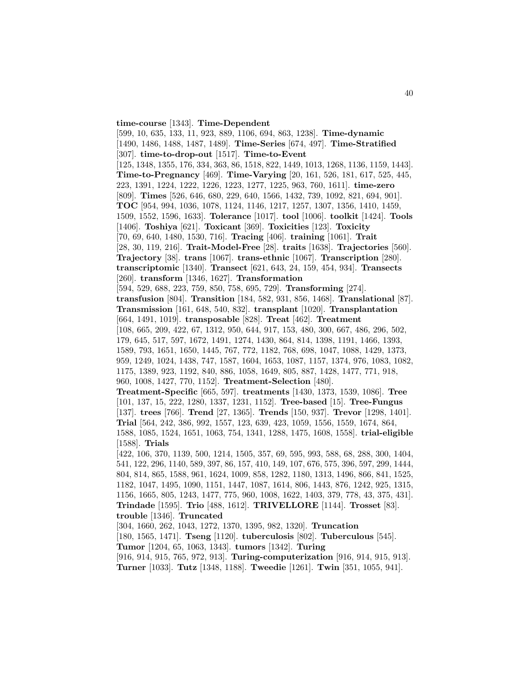**time-course** [1343]. **Time-Dependent** [599, 10, 635, 133, 11, 923, 889, 1106, 694, 863, 1238]. **Time-dynamic** [1490, 1486, 1488, 1487, 1489]. **Time-Series** [674, 497]. **Time-Stratified** [307]. **time-to-drop-out** [1517]. **Time-to-Event** [125, 1348, 1355, 176, 334, 363, 86, 1518, 822, 1449, 1013, 1268, 1136, 1159, 1443]. **Time-to-Pregnancy** [469]. **Time-Varying** [20, 161, 526, 181, 617, 525, 445, 223, 1391, 1224, 1222, 1226, 1223, 1277, 1225, 963, 760, 1611]. **time-zero** [809]. **Times** [526, 646, 680, 229, 640, 1566, 1432, 739, 1092, 821, 694, 901]. **TOC** [954, 994, 1036, 1078, 1124, 1146, 1217, 1257, 1307, 1356, 1410, 1459, 1509, 1552, 1596, 1633]. **Tolerance** [1017]. **tool** [1006]. **toolkit** [1424]. **Tools** [1406]. **Toshiya** [621]. **Toxicant** [369]. **Toxicities** [123]. **Toxicity** [70, 69, 640, 1480, 1530, 716]. **Tracing** [406]. **training** [1061]. **Trait** [28, 30, 119, 216]. **Trait-Model-Free** [28]. **traits** [1638]. **Trajectories** [560]. **Trajectory** [38]. **trans** [1067]. **trans-ethnic** [1067]. **Transcription** [280]. **transcriptomic** [1340]. **Transect** [621, 643, 24, 159, 454, 934]. **Transects** [260]. **transform** [1346, 1627]. **Transformation** [594, 529, 688, 223, 759, 850, 758, 695, 729]. **Transforming** [274]. **transfusion** [804]. **Transition** [184, 582, 931, 856, 1468]. **Translational** [87]. **Transmission** [161, 648, 540, 832]. **transplant** [1020]. **Transplantation** [664, 1491, 1019]. **transposable** [828]. **Treat** [462]. **Treatment** [108, 665, 209, 422, 67, 1312, 950, 644, 917, 153, 480, 300, 667, 486, 296, 502, 179, 645, 517, 597, 1672, 1491, 1274, 1430, 864, 814, 1398, 1191, 1466, 1393, 1589, 793, 1651, 1650, 1445, 767, 772, 1182, 768, 698, 1047, 1088, 1429, 1373, 959, 1249, 1024, 1438, 747, 1587, 1604, 1653, 1087, 1157, 1374, 976, 1083, 1082, 1175, 1389, 923, 1192, 840, 886, 1058, 1649, 805, 887, 1428, 1477, 771, 918, 960, 1008, 1427, 770, 1152]. **Treatment-Selection** [480]. **Treatment-Specific** [665, 597]. **treatments** [1430, 1373, 1539, 1086]. **Tree** [101, 137, 15, 222, 1280, 1337, 1231, 1152]. **Tree-based** [15]. **Tree-Fungus** [137]. **trees** [766]. **Trend** [27, 1365]. **Trends** [150, 937]. **Trevor** [1298, 1401]. **Trial** [564, 242, 386, 992, 1557, 123, 639, 423, 1059, 1556, 1559, 1674, 864, 1588, 1085, 1524, 1651, 1063, 754, 1341, 1288, 1475, 1608, 1558]. **trial-eligible** [1588]. **Trials** [422, 106, 370, 1139, 500, 1214, 1505, 357, 69, 595, 993, 588, 68, 288, 300, 1404, 541, 122, 296, 1140, 589, 397, 86, 157, 410, 149, 107, 676, 575, 396, 597, 299, 1444, 804, 814, 865, 1588, 961, 1624, 1009, 858, 1282, 1180, 1313, 1496, 866, 841, 1525, 1182, 1047, 1495, 1090, 1151, 1447, 1087, 1614, 806, 1443, 876, 1242, 925, 1315, 1156, 1665, 805, 1243, 1477, 775, 960, 1008, 1622, 1403, 379, 778, 43, 375, 431]. **Trindade** [1595]. **Trio** [488, 1612]. **TRIVELLORE** [1144]. **Trosset** [83]. **trouble** [1346]. **Truncated** [304, 1660, 262, 1043, 1272, 1370, 1395, 982, 1320]. **Truncation** [180, 1565, 1471]. **Tseng** [1120]. **tuberculosis** [802]. **Tuberculous** [545]. **Tumor** [1204, 65, 1063, 1343]. **tumors** [1342]. **Turing**

[916, 914, 915, 765, 972, 913]. **Turing-computerization** [916, 914, 915, 913]. **Turner** [1033]. **Tutz** [1348, 1188]. **Tweedie** [1261]. **Twin** [351, 1055, 941].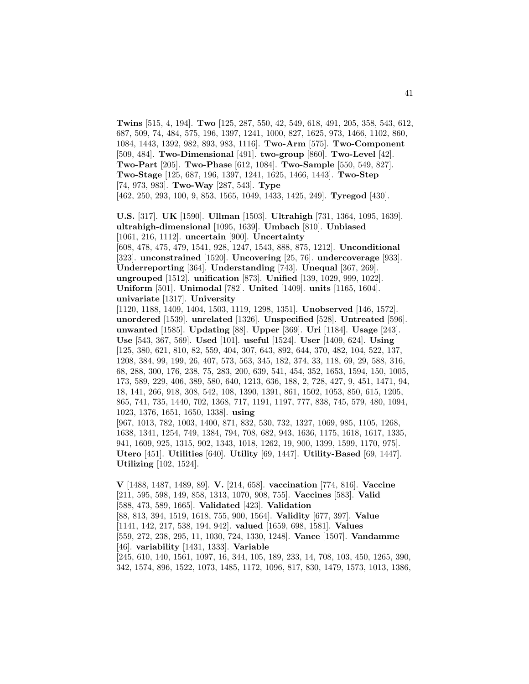**Twins** [515, 4, 194]. **Two** [125, 287, 550, 42, 549, 618, 491, 205, 358, 543, 612, 687, 509, 74, 484, 575, 196, 1397, 1241, 1000, 827, 1625, 973, 1466, 1102, 860, 1084, 1443, 1392, 982, 893, 983, 1116]. **Two-Arm** [575]. **Two-Component** [509, 484]. **Two-Dimensional** [491]. **two-group** [860]. **Two-Level** [42]. **Two-Part** [205]. **Two-Phase** [612, 1084]. **Two-Sample** [550, 549, 827]. **Two-Stage** [125, 687, 196, 1397, 1241, 1625, 1466, 1443]. **Two-Step** [74, 973, 983]. **Two-Way** [287, 543]. **Type** [462, 250, 293, 100, 9, 853, 1565, 1049, 1433, 1425, 249]. **Tyregod** [430].

**U.S.** [317]. **UK** [1590]. **Ullman** [1503]. **Ultrahigh** [731, 1364, 1095, 1639]. **ultrahigh-dimensional** [1095, 1639]. **Umbach** [810]. **Unbiased** [1061, 216, 1112]. **uncertain** [900]. **Uncertainty** [608, 478, 475, 479, 1541, 928, 1247, 1543, 888, 875, 1212]. **Unconditional** [323]. **unconstrained** [1520]. **Uncovering** [25, 76]. **undercoverage** [933].

**Underreporting** [364]. **Understanding** [743]. **Unequal** [367, 269]. **ungrouped** [1512]. **unification** [873]. **Unified** [139, 1029, 999, 1022]. **Uniform** [501]. **Unimodal** [782]. **United** [1409]. **units** [1165, 1604]. **univariate** [1317]. **University**

[1120, 1188, 1409, 1404, 1503, 1119, 1298, 1351]. **Unobserved** [146, 1572]. **unordered** [1539]. **unrelated** [1326]. **Unspecified** [528]. **Untreated** [596]. **unwanted** [1585]. **Updating** [88]. **Upper** [369]. **Uri** [1184]. **Usage** [243]. **Use** [543, 367, 569]. **Used** [101]. **useful** [1524]. **User** [1409, 624]. **Using** [125, 380, 621, 810, 82, 559, 404, 307, 643, 892, 644, 370, 482, 104, 522, 137, 1208, 384, 99, 199, 26, 407, 573, 563, 345, 182, 374, 33, 118, 69, 29, 588, 316, 68, 288, 300, 176, 238, 75, 283, 200, 639, 541, 454, 352, 1653, 1594, 150, 1005, 173, 589, 229, 406, 389, 580, 640, 1213, 636, 188, 2, 728, 427, 9, 451, 1471, 94, 18, 141, 266, 918, 308, 542, 108, 1390, 1391, 861, 1502, 1053, 850, 615, 1205, 865, 741, 735, 1440, 702, 1368, 717, 1191, 1197, 777, 838, 745, 579, 480, 1094, 1023, 1376, 1651, 1650, 1338]. **using**

[967, 1013, 782, 1003, 1400, 871, 832, 530, 732, 1327, 1069, 985, 1105, 1268, 1638, 1341, 1254, 749, 1384, 794, 708, 682, 943, 1636, 1175, 1618, 1617, 1335, 941, 1609, 925, 1315, 902, 1343, 1018, 1262, 19, 900, 1399, 1599, 1170, 975]. **Utero** [451]. **Utilities** [640]. **Utility** [69, 1447]. **Utility-Based** [69, 1447]. **Utilizing** [102, 1524].

**V** [1488, 1487, 1489, 89]. **V.** [214, 658]. **vaccination** [774, 816]. **Vaccine** [211, 595, 598, 149, 858, 1313, 1070, 908, 755]. **Vaccines** [583]. **Valid** [588, 473, 589, 1665]. **Validated** [423]. **Validation** [88, 813, 394, 1519, 1618, 755, 900, 1564]. **Validity** [677, 397]. **Value** [1141, 142, 217, 538, 194, 942]. **valued** [1659, 698, 1581]. **Values** [559, 272, 238, 295, 11, 1030, 724, 1330, 1248]. **Vance** [1507]. **Vandamme** [46]. **variability** [1431, 1333]. **Variable** [245, 610, 140, 1561, 1097, 16, 344, 105, 189, 233, 14, 708, 103, 450, 1265, 390, 342, 1574, 896, 1522, 1073, 1485, 1172, 1096, 817, 830, 1479, 1573, 1013, 1386,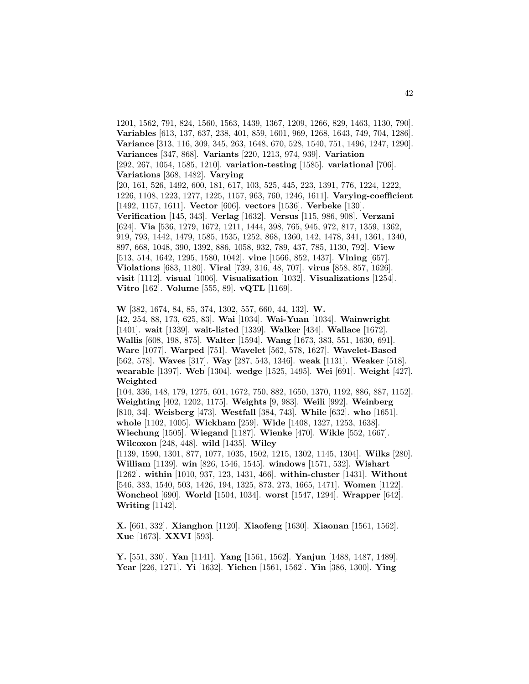1201, 1562, 791, 824, 1560, 1563, 1439, 1367, 1209, 1266, 829, 1463, 1130, 790]. **Variables** [613, 137, 637, 238, 401, 859, 1601, 969, 1268, 1643, 749, 704, 1286]. **Variance** [313, 116, 309, 345, 263, 1648, 670, 528, 1540, 751, 1496, 1247, 1290]. **Variances** [347, 868]. **Variants** [220, 1213, 974, 939]. **Variation** [292, 267, 1054, 1585, 1210]. **variation-testing** [1585]. **variational** [706]. **Variations** [368, 1482]. **Varying** [20, 161, 526, 1492, 600, 181, 617, 103, 525, 445, 223, 1391, 776, 1224, 1222, 1226, 1108, 1223, 1277, 1225, 1157, 963, 760, 1246, 1611]. **Varying-coefficient** [1492, 1157, 1611]. **Vector** [606]. **vectors** [1536]. **Verbeke** [130]. **Verification** [145, 343]. **Verlag** [1632]. **Versus** [115, 986, 908]. **Verzani** [624]. **Via** [536, 1279, 1672, 1211, 1444, 398, 765, 945, 972, 817, 1359, 1362, 919, 793, 1442, 1479, 1585, 1535, 1252, 868, 1360, 142, 1478, 341, 1361, 1340, 897, 668, 1048, 390, 1392, 886, 1058, 932, 789, 437, 785, 1130, 792]. **View** [513, 514, 1642, 1295, 1580, 1042]. **vine** [1566, 852, 1437]. **Vining** [657]. **Violations** [683, 1180]. **Viral** [739, 316, 48, 707]. **virus** [858, 857, 1626]. **visit** [1112]. **visual** [1006]. **Visualization** [1032]. **Visualizations** [1254]. **Vitro** [162]. **Volume** [555, 89]. **vQTL** [1169].

**W** [382, 1674, 84, 85, 374, 1302, 557, 660, 44, 132]. **W.** [42, 254, 88, 173, 625, 83]. **Wai** [1034]. **Wai-Yuan** [1034]. **Wainwright** [1401]. **wait** [1339]. **wait-listed** [1339]. **Walker** [434]. **Wallace** [1672]. **Wallis** [608, 198, 875]. **Walter** [1594]. **Wang** [1673, 383, 551, 1630, 691]. **Ware** [1077]. **Warped** [751]. **Wavelet** [562, 578, 1627]. **Wavelet-Based** [562, 578]. **Waves** [317]. **Way** [287, 543, 1346]. **weak** [1131]. **Weaker** [518]. **wearable** [1397]. **Web** [1304]. **wedge** [1525, 1495]. **Wei** [691]. **Weight** [427]. **Weighted**

[104, 336, 148, 179, 1275, 601, 1672, 750, 882, 1650, 1370, 1192, 886, 887, 1152]. **Weighting** [402, 1202, 1175]. **Weights** [9, 983]. **Weili** [992]. **Weinberg** [810, 34]. **Weisberg** [473]. **Westfall** [384, 743]. **While** [632]. **who** [1651]. **whole** [1102, 1005]. **Wickham** [259]. **Wide** [1408, 1327, 1253, 1638]. **Wiechung** [1505]. **Wiegand** [1187]. **Wienke** [470]. **Wikle** [552, 1667]. **Wilcoxon** [248, 448]. **wild** [1435]. **Wiley** [1139, 1590, 1301, 877, 1077, 1035, 1502, 1215, 1302, 1145, 1304]. **Wilks** [280]. **William** [1139]. **win** [826, 1546, 1545]. **windows** [1571, 532]. **Wishart** [1262]. **within** [1010, 937, 123, 1431, 466]. **within-cluster** [1431]. **Without** [546, 383, 1540, 503, 1426, 194, 1325, 873, 273, 1665, 1471]. **Women** [1122].

**Woncheol** [690]. **World** [1504, 1034]. **worst** [1547, 1294]. **Wrapper** [642]. **Writing** [1142].

**X.** [661, 332]. **Xianghon** [1120]. **Xiaofeng** [1630]. **Xiaonan** [1561, 1562]. **Xue** [1673]. **XXVI** [593].

**Y.** [551, 330]. **Yan** [1141]. **Yang** [1561, 1562]. **Yanjun** [1488, 1487, 1489]. **Year** [226, 1271]. **Yi** [1632]. **Yichen** [1561, 1562]. **Yin** [386, 1300]. **Ying**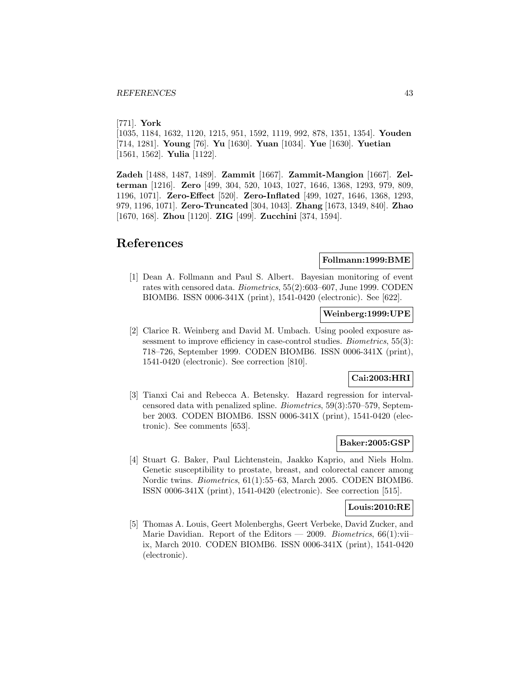[771]. **York**

[1035, 1184, 1632, 1120, 1215, 951, 1592, 1119, 992, 878, 1351, 1354]. **Youden** [714, 1281]. **Young** [76]. **Yu** [1630]. **Yuan** [1034]. **Yue** [1630]. **Yuetian** [1561, 1562]. **Yulia** [1122].

**Zadeh** [1488, 1487, 1489]. **Zammit** [1667]. **Zammit-Mangion** [1667]. **Zelterman** [1216]. **Zero** [499, 304, 520, 1043, 1027, 1646, 1368, 1293, 979, 809, 1196, 1071]. **Zero-Effect** [520]. **Zero-Inflated** [499, 1027, 1646, 1368, 1293, 979, 1196, 1071]. **Zero-Truncated** [304, 1043]. **Zhang** [1673, 1349, 840]. **Zhao** [1670, 168]. **Zhou** [1120]. **ZIG** [499]. **Zucchini** [374, 1594].

# **References**

## **Follmann:1999:BME**

[1] Dean A. Follmann and Paul S. Albert. Bayesian monitoring of event rates with censored data. Biometrics, 55(2):603–607, June 1999. CODEN BIOMB6. ISSN 0006-341X (print), 1541-0420 (electronic). See [622].

## **Weinberg:1999:UPE**

[2] Clarice R. Weinberg and David M. Umbach. Using pooled exposure assessment to improve efficiency in case-control studies. *Biometrics*, 55(3): 718–726, September 1999. CODEN BIOMB6. ISSN 0006-341X (print), 1541-0420 (electronic). See correction [810].

## **Cai:2003:HRI**

[3] Tianxi Cai and Rebecca A. Betensky. Hazard regression for intervalcensored data with penalized spline. Biometrics, 59(3):570–579, September 2003. CODEN BIOMB6. ISSN 0006-341X (print), 1541-0420 (electronic). See comments [653].

## **Baker:2005:GSP**

[4] Stuart G. Baker, Paul Lichtenstein, Jaakko Kaprio, and Niels Holm. Genetic susceptibility to prostate, breast, and colorectal cancer among Nordic twins. Biometrics, 61(1):55–63, March 2005. CODEN BIOMB6. ISSN 0006-341X (print), 1541-0420 (electronic). See correction [515].

### **Louis:2010:RE**

[5] Thomas A. Louis, Geert Molenberghs, Geert Verbeke, David Zucker, and Marie Davidian. Report of the Editors — 2009. Biometrics,  $66(1)$ :viiix, March 2010. CODEN BIOMB6. ISSN 0006-341X (print), 1541-0420 (electronic).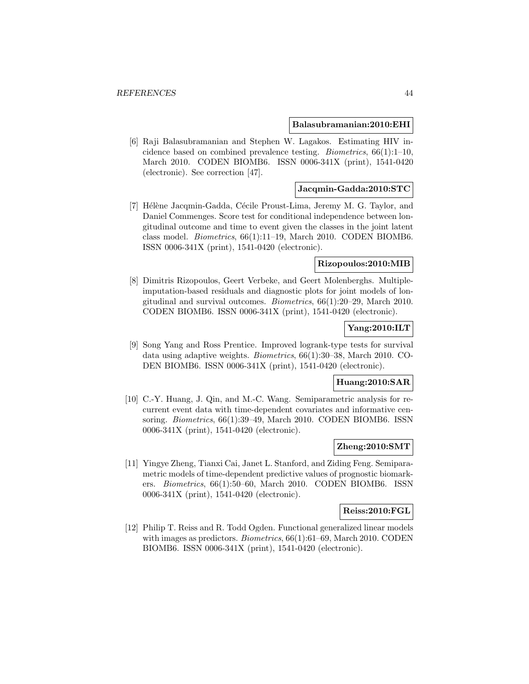#### **Balasubramanian:2010:EHI**

[6] Raji Balasubramanian and Stephen W. Lagakos. Estimating HIV incidence based on combined prevalence testing. Biometrics, 66(1):1–10, March 2010. CODEN BIOMB6. ISSN 0006-341X (print), 1541-0420 (electronic). See correction [47].

### **Jacqmin-Gadda:2010:STC**

[7] Hélène Jacqmin-Gadda, Cécile Proust-Lima, Jeremy M. G. Taylor, and Daniel Commenges. Score test for conditional independence between longitudinal outcome and time to event given the classes in the joint latent class model. Biometrics, 66(1):11–19, March 2010. CODEN BIOMB6. ISSN 0006-341X (print), 1541-0420 (electronic).

#### **Rizopoulos:2010:MIB**

[8] Dimitris Rizopoulos, Geert Verbeke, and Geert Molenberghs. Multipleimputation-based residuals and diagnostic plots for joint models of longitudinal and survival outcomes. Biometrics, 66(1):20–29, March 2010. CODEN BIOMB6. ISSN 0006-341X (print), 1541-0420 (electronic).

## **Yang:2010:ILT**

[9] Song Yang and Ross Prentice. Improved logrank-type tests for survival data using adaptive weights. Biometrics, 66(1):30–38, March 2010. CO-DEN BIOMB6. ISSN 0006-341X (print), 1541-0420 (electronic).

### **Huang:2010:SAR**

[10] C.-Y. Huang, J. Qin, and M.-C. Wang. Semiparametric analysis for recurrent event data with time-dependent covariates and informative censoring. *Biometrics*, 66(1):39–49, March 2010. CODEN BIOMB6. ISSN 0006-341X (print), 1541-0420 (electronic).

### **Zheng:2010:SMT**

[11] Yingye Zheng, Tianxi Cai, Janet L. Stanford, and Ziding Feng. Semiparametric models of time-dependent predictive values of prognostic biomarkers. Biometrics, 66(1):50–60, March 2010. CODEN BIOMB6. ISSN 0006-341X (print), 1541-0420 (electronic).

#### **Reiss:2010:FGL**

[12] Philip T. Reiss and R. Todd Ogden. Functional generalized linear models with images as predictors. *Biometrics*, 66(1):61–69, March 2010. CODEN BIOMB6. ISSN 0006-341X (print), 1541-0420 (electronic).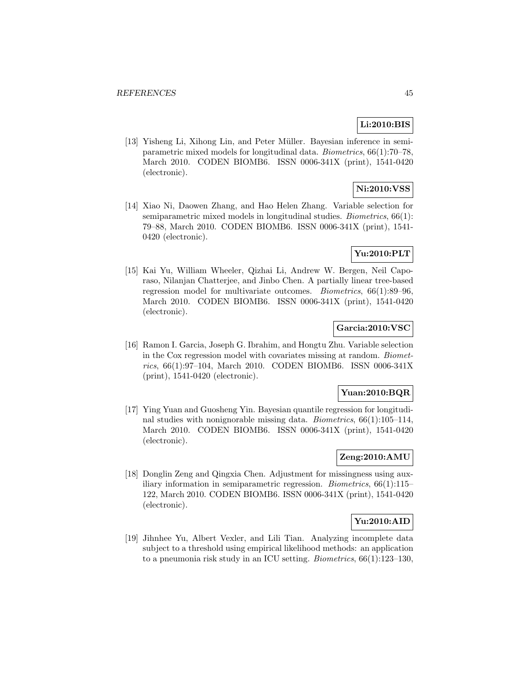## **Li:2010:BIS**

[13] Yisheng Li, Xihong Lin, and Peter Müller. Bayesian inference in semiparametric mixed models for longitudinal data. Biometrics, 66(1):70–78, March 2010. CODEN BIOMB6. ISSN 0006-341X (print), 1541-0420 (electronic).

# **Ni:2010:VSS**

[14] Xiao Ni, Daowen Zhang, and Hao Helen Zhang. Variable selection for semiparametric mixed models in longitudinal studies. Biometrics, 66(1): 79–88, March 2010. CODEN BIOMB6. ISSN 0006-341X (print), 1541- 0420 (electronic).

## **Yu:2010:PLT**

[15] Kai Yu, William Wheeler, Qizhai Li, Andrew W. Bergen, Neil Caporaso, Nilanjan Chatterjee, and Jinbo Chen. A partially linear tree-based regression model for multivariate outcomes. Biometrics, 66(1):89–96, March 2010. CODEN BIOMB6. ISSN 0006-341X (print), 1541-0420 (electronic).

## **Garcia:2010:VSC**

[16] Ramon I. Garcia, Joseph G. Ibrahim, and Hongtu Zhu. Variable selection in the Cox regression model with covariates missing at random. Biometrics, 66(1):97–104, March 2010. CODEN BIOMB6. ISSN 0006-341X (print), 1541-0420 (electronic).

### **Yuan:2010:BQR**

[17] Ying Yuan and Guosheng Yin. Bayesian quantile regression for longitudinal studies with nonignorable missing data. Biometrics, 66(1):105–114, March 2010. CODEN BIOMB6. ISSN 0006-341X (print), 1541-0420 (electronic).

# **Zeng:2010:AMU**

[18] Donglin Zeng and Qingxia Chen. Adjustment for missingness using auxiliary information in semiparametric regression. Biometrics, 66(1):115– 122, March 2010. CODEN BIOMB6. ISSN 0006-341X (print), 1541-0420 (electronic).

## **Yu:2010:AID**

[19] Jihnhee Yu, Albert Vexler, and Lili Tian. Analyzing incomplete data subject to a threshold using empirical likelihood methods: an application to a pneumonia risk study in an ICU setting. Biometrics, 66(1):123–130,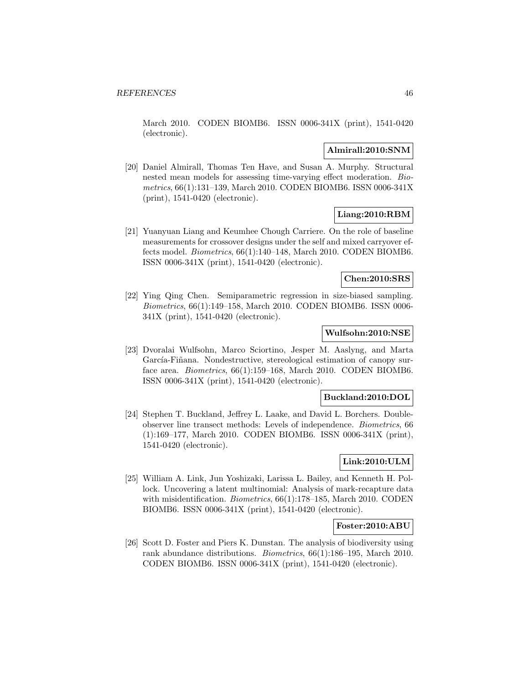March 2010. CODEN BIOMB6. ISSN 0006-341X (print), 1541-0420 (electronic).

## **Almirall:2010:SNM**

[20] Daniel Almirall, Thomas Ten Have, and Susan A. Murphy. Structural nested mean models for assessing time-varying effect moderation. Biometrics, 66(1):131–139, March 2010. CODEN BIOMB6. ISSN 0006-341X (print), 1541-0420 (electronic).

## **Liang:2010:RBM**

[21] Yuanyuan Liang and Keumhee Chough Carriere. On the role of baseline measurements for crossover designs under the self and mixed carryover effects model. Biometrics, 66(1):140–148, March 2010. CODEN BIOMB6. ISSN 0006-341X (print), 1541-0420 (electronic).

### **Chen:2010:SRS**

[22] Ying Qing Chen. Semiparametric regression in size-biased sampling. Biometrics, 66(1):149–158, March 2010. CODEN BIOMB6. ISSN 0006- 341X (print), 1541-0420 (electronic).

## **Wulfsohn:2010:NSE**

[23] Dvoralai Wulfsohn, Marco Sciortino, Jesper M. Aaslyng, and Marta García-Fiñana. Nondestructive, stereological estimation of canopy surface area. Biometrics, 66(1):159–168, March 2010. CODEN BIOMB6. ISSN 0006-341X (print), 1541-0420 (electronic).

## **Buckland:2010:DOL**

[24] Stephen T. Buckland, Jeffrey L. Laake, and David L. Borchers. Doubleobserver line transect methods: Levels of independence. Biometrics, 66 (1):169–177, March 2010. CODEN BIOMB6. ISSN 0006-341X (print), 1541-0420 (electronic).

### **Link:2010:ULM**

[25] William A. Link, Jun Yoshizaki, Larissa L. Bailey, and Kenneth H. Pollock. Uncovering a latent multinomial: Analysis of mark-recapture data with misidentification. Biometrics, 66(1):178–185, March 2010. CODEN BIOMB6. ISSN 0006-341X (print), 1541-0420 (electronic).

### **Foster:2010:ABU**

[26] Scott D. Foster and Piers K. Dunstan. The analysis of biodiversity using rank abundance distributions. Biometrics, 66(1):186–195, March 2010. CODEN BIOMB6. ISSN 0006-341X (print), 1541-0420 (electronic).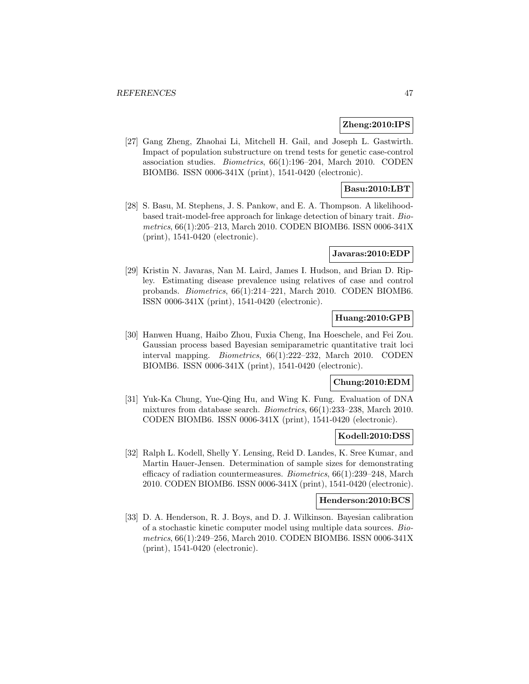### **Zheng:2010:IPS**

[27] Gang Zheng, Zhaohai Li, Mitchell H. Gail, and Joseph L. Gastwirth. Impact of population substructure on trend tests for genetic case-control association studies. Biometrics, 66(1):196–204, March 2010. CODEN BIOMB6. ISSN 0006-341X (print), 1541-0420 (electronic).

## **Basu:2010:LBT**

[28] S. Basu, M. Stephens, J. S. Pankow, and E. A. Thompson. A likelihoodbased trait-model-free approach for linkage detection of binary trait. Biometrics, 66(1):205–213, March 2010. CODEN BIOMB6. ISSN 0006-341X (print), 1541-0420 (electronic).

#### **Javaras:2010:EDP**

[29] Kristin N. Javaras, Nan M. Laird, James I. Hudson, and Brian D. Ripley. Estimating disease prevalence using relatives of case and control probands. Biometrics, 66(1):214–221, March 2010. CODEN BIOMB6. ISSN 0006-341X (print), 1541-0420 (electronic).

## **Huang:2010:GPB**

[30] Hanwen Huang, Haibo Zhou, Fuxia Cheng, Ina Hoeschele, and Fei Zou. Gaussian process based Bayesian semiparametric quantitative trait loci interval mapping. Biometrics, 66(1):222–232, March 2010. CODEN BIOMB6. ISSN 0006-341X (print), 1541-0420 (electronic).

### **Chung:2010:EDM**

[31] Yuk-Ka Chung, Yue-Qing Hu, and Wing K. Fung. Evaluation of DNA mixtures from database search. Biometrics, 66(1):233–238, March 2010. CODEN BIOMB6. ISSN 0006-341X (print), 1541-0420 (electronic).

#### **Kodell:2010:DSS**

[32] Ralph L. Kodell, Shelly Y. Lensing, Reid D. Landes, K. Sree Kumar, and Martin Hauer-Jensen. Determination of sample sizes for demonstrating efficacy of radiation countermeasures. Biometrics, 66(1):239–248, March 2010. CODEN BIOMB6. ISSN 0006-341X (print), 1541-0420 (electronic).

#### **Henderson:2010:BCS**

[33] D. A. Henderson, R. J. Boys, and D. J. Wilkinson. Bayesian calibration of a stochastic kinetic computer model using multiple data sources. Biometrics, 66(1):249–256, March 2010. CODEN BIOMB6. ISSN 0006-341X (print), 1541-0420 (electronic).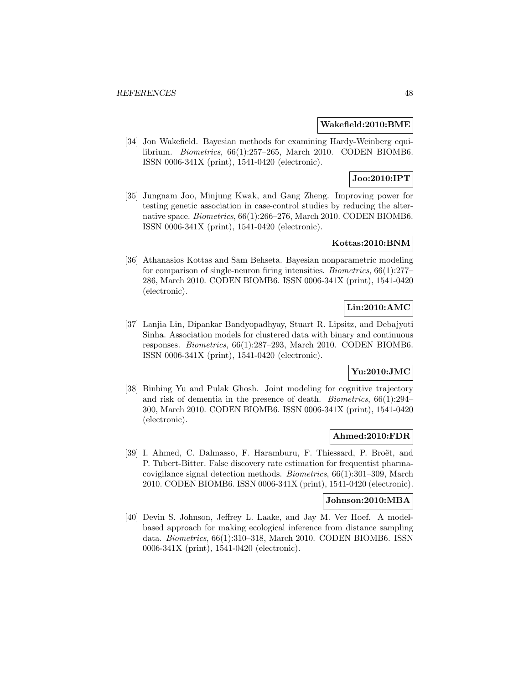### **Wakefield:2010:BME**

[34] Jon Wakefield. Bayesian methods for examining Hardy-Weinberg equilibrium. Biometrics, 66(1):257–265, March 2010. CODEN BIOMB6. ISSN 0006-341X (print), 1541-0420 (electronic).

## **Joo:2010:IPT**

[35] Jungnam Joo, Minjung Kwak, and Gang Zheng. Improving power for testing genetic association in case-control studies by reducing the alternative space. Biometrics, 66(1):266–276, March 2010. CODEN BIOMB6. ISSN 0006-341X (print), 1541-0420 (electronic).

## **Kottas:2010:BNM**

[36] Athanasios Kottas and Sam Behseta. Bayesian nonparametric modeling for comparison of single-neuron firing intensities. Biometrics, 66(1):277– 286, March 2010. CODEN BIOMB6. ISSN 0006-341X (print), 1541-0420 (electronic).

## **Lin:2010:AMC**

[37] Lanjia Lin, Dipankar Bandyopadhyay, Stuart R. Lipsitz, and Debajyoti Sinha. Association models for clustered data with binary and continuous responses. Biometrics, 66(1):287–293, March 2010. CODEN BIOMB6. ISSN 0006-341X (print), 1541-0420 (electronic).

## **Yu:2010:JMC**

[38] Binbing Yu and Pulak Ghosh. Joint modeling for cognitive trajectory and risk of dementia in the presence of death. Biometrics, 66(1):294– 300, March 2010. CODEN BIOMB6. ISSN 0006-341X (print), 1541-0420 (electronic).

### **Ahmed:2010:FDR**

[39] I. Ahmed, C. Dalmasso, F. Haramburu, F. Thiessard, P. Broët, and P. Tubert-Bitter. False discovery rate estimation for frequentist pharmacovigilance signal detection methods. Biometrics, 66(1):301–309, March 2010. CODEN BIOMB6. ISSN 0006-341X (print), 1541-0420 (electronic).

### **Johnson:2010:MBA**

[40] Devin S. Johnson, Jeffrey L. Laake, and Jay M. Ver Hoef. A modelbased approach for making ecological inference from distance sampling data. Biometrics, 66(1):310–318, March 2010. CODEN BIOMB6. ISSN 0006-341X (print), 1541-0420 (electronic).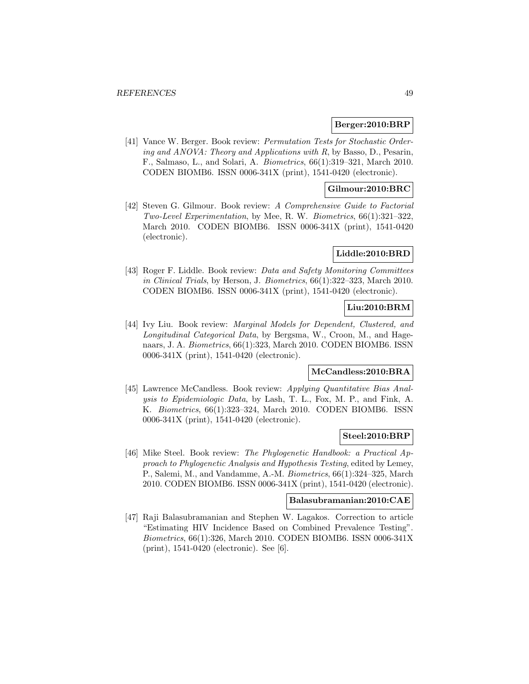### **Berger:2010:BRP**

[41] Vance W. Berger. Book review: Permutation Tests for Stochastic Ordering and ANOVA: Theory and Applications with R, by Basso, D., Pesarin, F., Salmaso, L., and Solari, A. Biometrics, 66(1):319–321, March 2010. CODEN BIOMB6. ISSN 0006-341X (print), 1541-0420 (electronic).

### **Gilmour:2010:BRC**

[42] Steven G. Gilmour. Book review: A Comprehensive Guide to Factorial Two-Level Experimentation, by Mee, R. W. Biometrics, 66(1):321–322, March 2010. CODEN BIOMB6. ISSN 0006-341X (print), 1541-0420 (electronic).

### **Liddle:2010:BRD**

[43] Roger F. Liddle. Book review: *Data and Safety Monitoring Committees* in Clinical Trials, by Herson, J. Biometrics, 66(1):322–323, March 2010. CODEN BIOMB6. ISSN 0006-341X (print), 1541-0420 (electronic).

## **Liu:2010:BRM**

[44] Ivy Liu. Book review: Marginal Models for Dependent, Clustered, and Longitudinal Categorical Data, by Bergsma, W., Croon, M., and Hagenaars, J. A. Biometrics, 66(1):323, March 2010. CODEN BIOMB6. ISSN 0006-341X (print), 1541-0420 (electronic).

## **McCandless:2010:BRA**

[45] Lawrence McCandless. Book review: Applying Quantitative Bias Analysis to Epidemiologic Data, by Lash, T. L., Fox, M. P., and Fink, A. K. Biometrics, 66(1):323–324, March 2010. CODEN BIOMB6. ISSN 0006-341X (print), 1541-0420 (electronic).

### **Steel:2010:BRP**

[46] Mike Steel. Book review: The Phylogenetic Handbook: a Practical Approach to Phylogenetic Analysis and Hypothesis Testing, edited by Lemey, P., Salemi, M., and Vandamme, A.-M. Biometrics, 66(1):324–325, March 2010. CODEN BIOMB6. ISSN 0006-341X (print), 1541-0420 (electronic).

#### **Balasubramanian:2010:CAE**

[47] Raji Balasubramanian and Stephen W. Lagakos. Correction to article "Estimating HIV Incidence Based on Combined Prevalence Testing". Biometrics, 66(1):326, March 2010. CODEN BIOMB6. ISSN 0006-341X (print), 1541-0420 (electronic). See [6].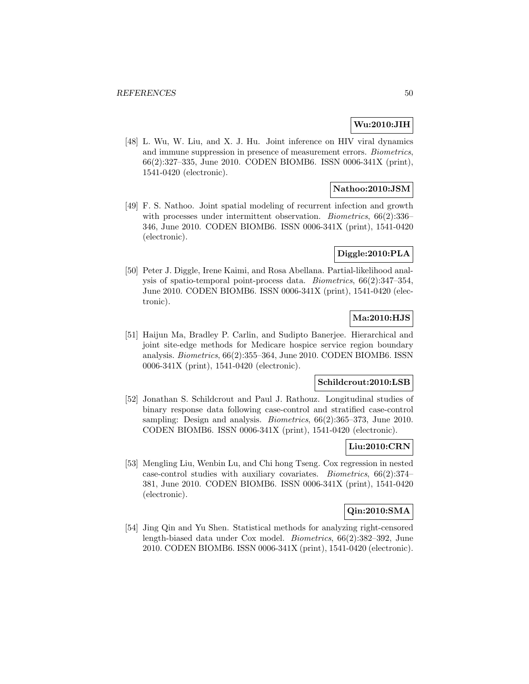## **Wu:2010:JIH**

[48] L. Wu, W. Liu, and X. J. Hu. Joint inference on HIV viral dynamics and immune suppression in presence of measurement errors. Biometrics, 66(2):327–335, June 2010. CODEN BIOMB6. ISSN 0006-341X (print), 1541-0420 (electronic).

## **Nathoo:2010:JSM**

[49] F. S. Nathoo. Joint spatial modeling of recurrent infection and growth with processes under intermittent observation. *Biometrics*, 66(2):336– 346, June 2010. CODEN BIOMB6. ISSN 0006-341X (print), 1541-0420 (electronic).

## **Diggle:2010:PLA**

[50] Peter J. Diggle, Irene Kaimi, and Rosa Abellana. Partial-likelihood analysis of spatio-temporal point-process data. Biometrics, 66(2):347–354, June 2010. CODEN BIOMB6. ISSN 0006-341X (print), 1541-0420 (electronic).

## **Ma:2010:HJS**

[51] Haijun Ma, Bradley P. Carlin, and Sudipto Banerjee. Hierarchical and joint site-edge methods for Medicare hospice service region boundary analysis. Biometrics, 66(2):355–364, June 2010. CODEN BIOMB6. ISSN 0006-341X (print), 1541-0420 (electronic).

#### **Schildcrout:2010:LSB**

[52] Jonathan S. Schildcrout and Paul J. Rathouz. Longitudinal studies of binary response data following case-control and stratified case-control sampling: Design and analysis. *Biometrics*, 66(2):365-373, June 2010. CODEN BIOMB6. ISSN 0006-341X (print), 1541-0420 (electronic).

### **Liu:2010:CRN**

[53] Mengling Liu, Wenbin Lu, and Chi hong Tseng. Cox regression in nested case-control studies with auxiliary covariates. Biometrics, 66(2):374– 381, June 2010. CODEN BIOMB6. ISSN 0006-341X (print), 1541-0420 (electronic).

### **Qin:2010:SMA**

[54] Jing Qin and Yu Shen. Statistical methods for analyzing right-censored length-biased data under Cox model. Biometrics, 66(2):382–392, June 2010. CODEN BIOMB6. ISSN 0006-341X (print), 1541-0420 (electronic).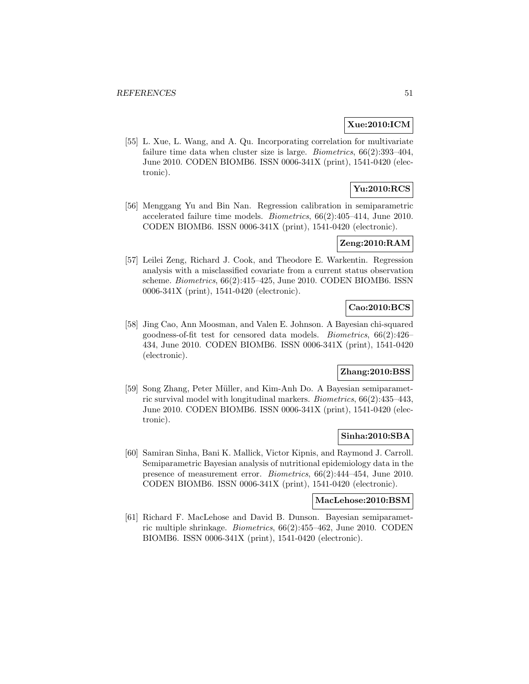## **Xue:2010:ICM**

[55] L. Xue, L. Wang, and A. Qu. Incorporating correlation for multivariate failure time data when cluster size is large. Biometrics, 66(2):393–404, June 2010. CODEN BIOMB6. ISSN 0006-341X (print), 1541-0420 (electronic).

# **Yu:2010:RCS**

[56] Menggang Yu and Bin Nan. Regression calibration in semiparametric accelerated failure time models. Biometrics, 66(2):405–414, June 2010. CODEN BIOMB6. ISSN 0006-341X (print), 1541-0420 (electronic).

### **Zeng:2010:RAM**

[57] Leilei Zeng, Richard J. Cook, and Theodore E. Warkentin. Regression analysis with a misclassified covariate from a current status observation scheme. Biometrics, 66(2):415–425, June 2010. CODEN BIOMB6. ISSN 0006-341X (print), 1541-0420 (electronic).

# **Cao:2010:BCS**

[58] Jing Cao, Ann Moosman, and Valen E. Johnson. A Bayesian chi-squared goodness-of-fit test for censored data models. Biometrics, 66(2):426– 434, June 2010. CODEN BIOMB6. ISSN 0006-341X (print), 1541-0420 (electronic).

## **Zhang:2010:BSS**

[59] Song Zhang, Peter Müller, and Kim-Anh Do. A Bayesian semiparametric survival model with longitudinal markers. Biometrics, 66(2):435–443, June 2010. CODEN BIOMB6. ISSN 0006-341X (print), 1541-0420 (electronic).

### **Sinha:2010:SBA**

[60] Samiran Sinha, Bani K. Mallick, Victor Kipnis, and Raymond J. Carroll. Semiparametric Bayesian analysis of nutritional epidemiology data in the presence of measurement error. Biometrics, 66(2):444–454, June 2010. CODEN BIOMB6. ISSN 0006-341X (print), 1541-0420 (electronic).

## **MacLehose:2010:BSM**

[61] Richard F. MacLehose and David B. Dunson. Bayesian semiparametric multiple shrinkage. Biometrics, 66(2):455–462, June 2010. CODEN BIOMB6. ISSN 0006-341X (print), 1541-0420 (electronic).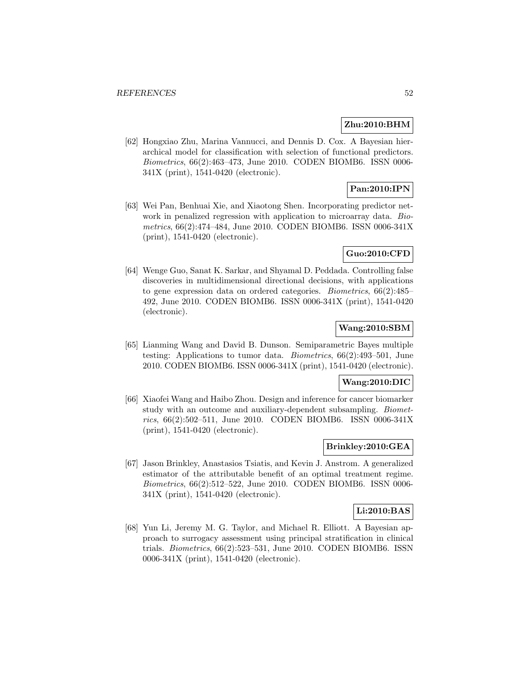### **Zhu:2010:BHM**

[62] Hongxiao Zhu, Marina Vannucci, and Dennis D. Cox. A Bayesian hierarchical model for classification with selection of functional predictors. Biometrics, 66(2):463–473, June 2010. CODEN BIOMB6. ISSN 0006- 341X (print), 1541-0420 (electronic).

# **Pan:2010:IPN**

[63] Wei Pan, Benhuai Xie, and Xiaotong Shen. Incorporating predictor network in penalized regression with application to microarray data. *Bio*metrics, 66(2):474–484, June 2010. CODEN BIOMB6. ISSN 0006-341X (print), 1541-0420 (electronic).

## **Guo:2010:CFD**

[64] Wenge Guo, Sanat K. Sarkar, and Shyamal D. Peddada. Controlling false discoveries in multidimensional directional decisions, with applications to gene expression data on ordered categories. Biometrics, 66(2):485– 492, June 2010. CODEN BIOMB6. ISSN 0006-341X (print), 1541-0420 (electronic).

## **Wang:2010:SBM**

[65] Lianming Wang and David B. Dunson. Semiparametric Bayes multiple testing: Applications to tumor data. Biometrics, 66(2):493–501, June 2010. CODEN BIOMB6. ISSN 0006-341X (print), 1541-0420 (electronic).

#### **Wang:2010:DIC**

[66] Xiaofei Wang and Haibo Zhou. Design and inference for cancer biomarker study with an outcome and auxiliary-dependent subsampling. Biometrics, 66(2):502–511, June 2010. CODEN BIOMB6. ISSN 0006-341X (print), 1541-0420 (electronic).

## **Brinkley:2010:GEA**

[67] Jason Brinkley, Anastasios Tsiatis, and Kevin J. Anstrom. A generalized estimator of the attributable benefit of an optimal treatment regime. Biometrics, 66(2):512–522, June 2010. CODEN BIOMB6. ISSN 0006- 341X (print), 1541-0420 (electronic).

### **Li:2010:BAS**

[68] Yun Li, Jeremy M. G. Taylor, and Michael R. Elliott. A Bayesian approach to surrogacy assessment using principal stratification in clinical trials. Biometrics, 66(2):523–531, June 2010. CODEN BIOMB6. ISSN 0006-341X (print), 1541-0420 (electronic).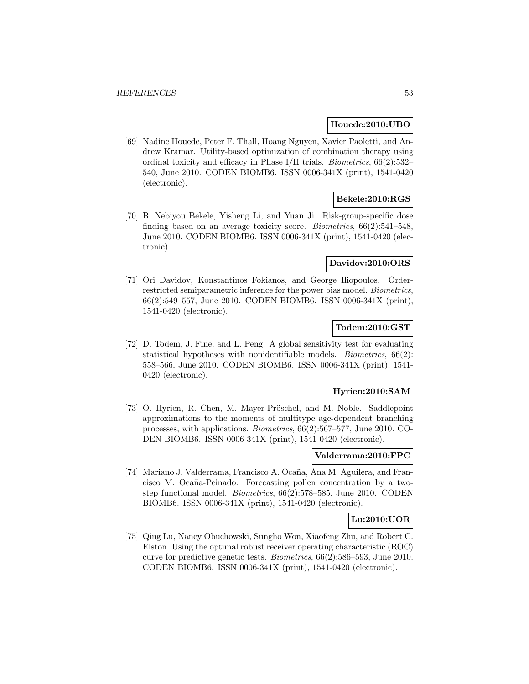### **Houede:2010:UBO**

[69] Nadine Houede, Peter F. Thall, Hoang Nguyen, Xavier Paoletti, and Andrew Kramar. Utility-based optimization of combination therapy using ordinal toxicity and efficacy in Phase I/II trials. Biometrics, 66(2):532– 540, June 2010. CODEN BIOMB6. ISSN 0006-341X (print), 1541-0420 (electronic).

## **Bekele:2010:RGS**

[70] B. Nebiyou Bekele, Yisheng Li, and Yuan Ji. Risk-group-specific dose finding based on an average toxicity score. Biometrics, 66(2):541–548, June 2010. CODEN BIOMB6. ISSN 0006-341X (print), 1541-0420 (electronic).

## **Davidov:2010:ORS**

[71] Ori Davidov, Konstantinos Fokianos, and George Iliopoulos. Orderrestricted semiparametric inference for the power bias model. Biometrics, 66(2):549–557, June 2010. CODEN BIOMB6. ISSN 0006-341X (print), 1541-0420 (electronic).

## **Todem:2010:GST**

[72] D. Todem, J. Fine, and L. Peng. A global sensitivity test for evaluating statistical hypotheses with nonidentifiable models. Biometrics, 66(2): 558–566, June 2010. CODEN BIOMB6. ISSN 0006-341X (print), 1541- 0420 (electronic).

### **Hyrien:2010:SAM**

[73] O. Hyrien, R. Chen, M. Mayer-Pröschel, and M. Noble. Saddlepoint approximations to the moments of multitype age-dependent branching processes, with applications. Biometrics, 66(2):567–577, June 2010. CO-DEN BIOMB6. ISSN 0006-341X (print), 1541-0420 (electronic).

## **Valderrama:2010:FPC**

[74] Mariano J. Valderrama, Francisco A. Ocaña, Ana M. Aguilera, and Francisco M. Ocaña-Peinado. Forecasting pollen concentration by a twostep functional model. Biometrics, 66(2):578–585, June 2010. CODEN BIOMB6. ISSN 0006-341X (print), 1541-0420 (electronic).

### **Lu:2010:UOR**

[75] Qing Lu, Nancy Obuchowski, Sungho Won, Xiaofeng Zhu, and Robert C. Elston. Using the optimal robust receiver operating characteristic (ROC) curve for predictive genetic tests. Biometrics, 66(2):586–593, June 2010. CODEN BIOMB6. ISSN 0006-341X (print), 1541-0420 (electronic).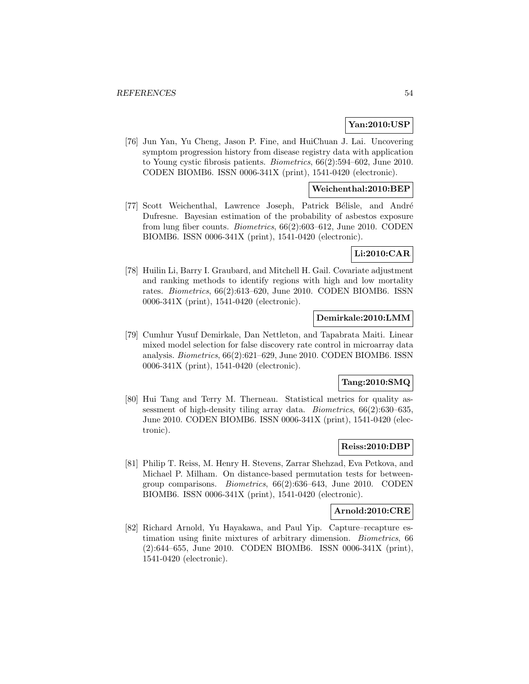## **Yan:2010:USP**

[76] Jun Yan, Yu Cheng, Jason P. Fine, and HuiChuan J. Lai. Uncovering symptom progression history from disease registry data with application to Young cystic fibrosis patients. Biometrics, 66(2):594–602, June 2010. CODEN BIOMB6. ISSN 0006-341X (print), 1541-0420 (electronic).

### **Weichenthal:2010:BEP**

[77] Scott Weichenthal, Lawrence Joseph, Patrick Bélisle, and André Dufresne. Bayesian estimation of the probability of asbestos exposure from lung fiber counts. Biometrics, 66(2):603–612, June 2010. CODEN BIOMB6. ISSN 0006-341X (print), 1541-0420 (electronic).

### **Li:2010:CAR**

[78] Huilin Li, Barry I. Graubard, and Mitchell H. Gail. Covariate adjustment and ranking methods to identify regions with high and low mortality rates. Biometrics, 66(2):613–620, June 2010. CODEN BIOMB6. ISSN 0006-341X (print), 1541-0420 (electronic).

## **Demirkale:2010:LMM**

[79] Cumhur Yusuf Demirkale, Dan Nettleton, and Tapabrata Maiti. Linear mixed model selection for false discovery rate control in microarray data analysis. Biometrics, 66(2):621–629, June 2010. CODEN BIOMB6. ISSN 0006-341X (print), 1541-0420 (electronic).

### **Tang:2010:SMQ**

[80] Hui Tang and Terry M. Therneau. Statistical metrics for quality assessment of high-density tiling array data. Biometrics, 66(2):630–635, June 2010. CODEN BIOMB6. ISSN 0006-341X (print), 1541-0420 (electronic).

### **Reiss:2010:DBP**

[81] Philip T. Reiss, M. Henry H. Stevens, Zarrar Shehzad, Eva Petkova, and Michael P. Milham. On distance-based permutation tests for betweengroup comparisons. Biometrics, 66(2):636–643, June 2010. CODEN BIOMB6. ISSN 0006-341X (print), 1541-0420 (electronic).

#### **Arnold:2010:CRE**

[82] Richard Arnold, Yu Hayakawa, and Paul Yip. Capture–recapture estimation using finite mixtures of arbitrary dimension. Biometrics, 66 (2):644–655, June 2010. CODEN BIOMB6. ISSN 0006-341X (print), 1541-0420 (electronic).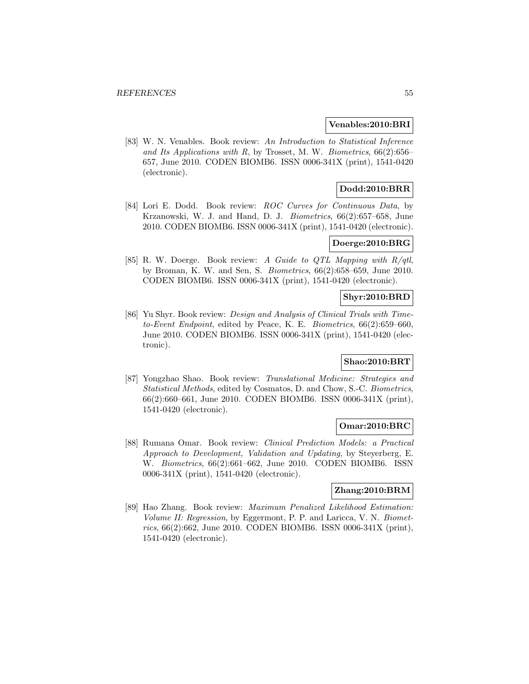#### **Venables:2010:BRI**

[83] W. N. Venables. Book review: An Introduction to Statistical Inference and Its Applications with  $R$ , by Trosset, M. W. Biometrics,  $66(2):656-$ 657, June 2010. CODEN BIOMB6. ISSN 0006-341X (print), 1541-0420 (electronic).

# **Dodd:2010:BRR**

[84] Lori E. Dodd. Book review: ROC Curves for Continuous Data, by Krzanowski, W. J. and Hand, D. J. *Biometrics*, 66(2):657–658, June 2010. CODEN BIOMB6. ISSN 0006-341X (print), 1541-0420 (electronic).

### **Doerge:2010:BRG**

[85] R. W. Doerge. Book review: A Guide to QTL Mapping with R/qtl, by Broman, K. W. and Sen, S. Biometrics, 66(2):658–659, June 2010. CODEN BIOMB6. ISSN 0006-341X (print), 1541-0420 (electronic).

## **Shyr:2010:BRD**

[86] Yu Shyr. Book review: *Design and Analysis of Clinical Trials with Time*to-Event Endpoint, edited by Peace, K. E. Biometrics, 66(2):659–660, June 2010. CODEN BIOMB6. ISSN 0006-341X (print), 1541-0420 (electronic).

### **Shao:2010:BRT**

[87] Yongzhao Shao. Book review: Translational Medicine: Strategies and Statistical Methods, edited by Cosmatos, D. and Chow, S.-C. Biometrics, 66(2):660–661, June 2010. CODEN BIOMB6. ISSN 0006-341X (print), 1541-0420 (electronic).

### **Omar:2010:BRC**

[88] Rumana Omar. Book review: Clinical Prediction Models: a Practical Approach to Development, Validation and Updating, by Steyerberg, E. W. Biometrics, 66(2):661–662, June 2010. CODEN BIOMB6. ISSN 0006-341X (print), 1541-0420 (electronic).

## **Zhang:2010:BRM**

[89] Hao Zhang. Book review: Maximum Penalized Likelihood Estimation: Volume II: Regression, by Eggermont, P. P. and Laricca, V. N. Biometrics, 66(2):662, June 2010. CODEN BIOMB6. ISSN 0006-341X (print), 1541-0420 (electronic).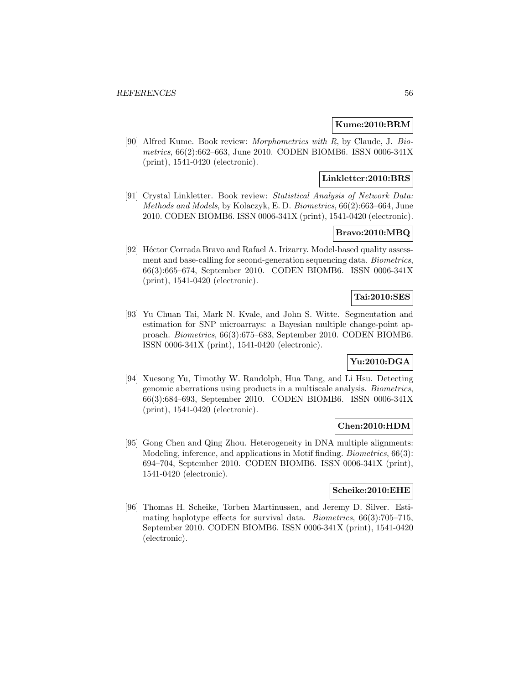## **Kume:2010:BRM**

[90] Alfred Kume. Book review: *Morphometrics with R*, by Claude, J. Biometrics, 66(2):662–663, June 2010. CODEN BIOMB6. ISSN 0006-341X (print), 1541-0420 (electronic).

### **Linkletter:2010:BRS**

[91] Crystal Linkletter. Book review: Statistical Analysis of Network Data: Methods and Models, by Kolaczyk, E. D. Biometrics, 66(2):663–664, June 2010. CODEN BIOMB6. ISSN 0006-341X (print), 1541-0420 (electronic).

## **Bravo:2010:MBQ**

[92] Héctor Corrada Bravo and Rafael A. Irizarry. Model-based quality assessment and base-calling for second-generation sequencing data. Biometrics, 66(3):665–674, September 2010. CODEN BIOMB6. ISSN 0006-341X (print), 1541-0420 (electronic).

### **Tai:2010:SES**

[93] Yu Chuan Tai, Mark N. Kvale, and John S. Witte. Segmentation and estimation for SNP microarrays: a Bayesian multiple change-point approach. Biometrics, 66(3):675–683, September 2010. CODEN BIOMB6. ISSN 0006-341X (print), 1541-0420 (electronic).

## **Yu:2010:DGA**

[94] Xuesong Yu, Timothy W. Randolph, Hua Tang, and Li Hsu. Detecting genomic aberrations using products in a multiscale analysis. Biometrics, 66(3):684–693, September 2010. CODEN BIOMB6. ISSN 0006-341X (print), 1541-0420 (electronic).

### **Chen:2010:HDM**

[95] Gong Chen and Qing Zhou. Heterogeneity in DNA multiple alignments: Modeling, inference, and applications in Motif finding. Biometrics, 66(3): 694–704, September 2010. CODEN BIOMB6. ISSN 0006-341X (print), 1541-0420 (electronic).

### **Scheike:2010:EHE**

[96] Thomas H. Scheike, Torben Martinussen, and Jeremy D. Silver. Estimating haplotype effects for survival data. Biometrics, 66(3):705–715, September 2010. CODEN BIOMB6. ISSN 0006-341X (print), 1541-0420 (electronic).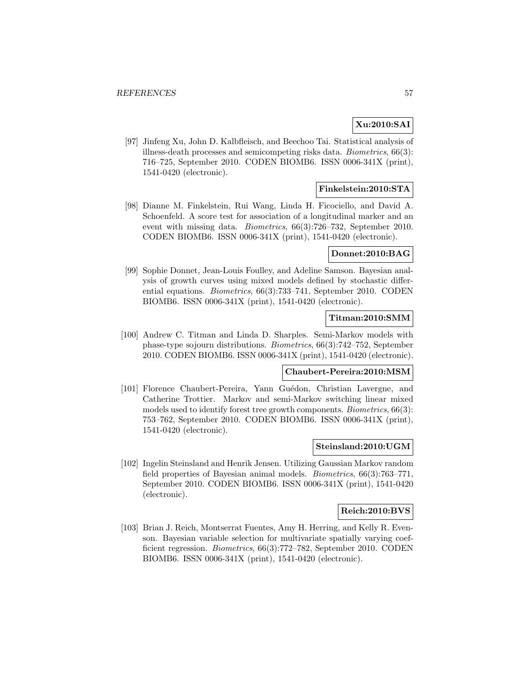## **Xu:2010:SAI**

[97] Jinfeng Xu, John D. Kalbfleisch, and Beechoo Tai. Statistical analysis of illness-death processes and semicompeting risks data. Biometrics, 66(3): 716–725, September 2010. CODEN BIOMB6. ISSN 0006-341X (print), 1541-0420 (electronic).

## **Finkelstein:2010:STA**

[98] Dianne M. Finkelstein, Rui Wang, Linda H. Ficociello, and David A. Schoenfeld. A score test for association of a longitudinal marker and an event with missing data. Biometrics, 66(3):726–732, September 2010. CODEN BIOMB6. ISSN 0006-341X (print), 1541-0420 (electronic).

### **Donnet:2010:BAG**

[99] Sophie Donnet, Jean-Louis Foulley, and Adeline Samson. Bayesian analysis of growth curves using mixed models defined by stochastic differential equations. Biometrics, 66(3):733–741, September 2010. CODEN BIOMB6. ISSN 0006-341X (print), 1541-0420 (electronic).

### **Titman:2010:SMM**

[100] Andrew C. Titman and Linda D. Sharples. Semi-Markov models with phase-type sojourn distributions. Biometrics, 66(3):742–752, September 2010. CODEN BIOMB6. ISSN 0006-341X (print), 1541-0420 (electronic).

## **Chaubert-Pereira:2010:MSM**

[101] Florence Chaubert-Pereira, Yann Guédon, Christian Lavergne, and Catherine Trottier. Markov and semi-Markov switching linear mixed models used to identify forest tree growth components. Biometrics, 66(3): 753–762, September 2010. CODEN BIOMB6. ISSN 0006-341X (print), 1541-0420 (electronic).

#### **Steinsland:2010:UGM**

[102] Ingelin Steinsland and Henrik Jensen. Utilizing Gaussian Markov random field properties of Bayesian animal models. Biometrics, 66(3):763–771, September 2010. CODEN BIOMB6. ISSN 0006-341X (print), 1541-0420 (electronic).

### **Reich:2010:BVS**

[103] Brian J. Reich, Montserrat Fuentes, Amy H. Herring, and Kelly R. Evenson. Bayesian variable selection for multivariate spatially varying coefficient regression. Biometrics, 66(3):772–782, September 2010. CODEN BIOMB6. ISSN 0006-341X (print), 1541-0420 (electronic).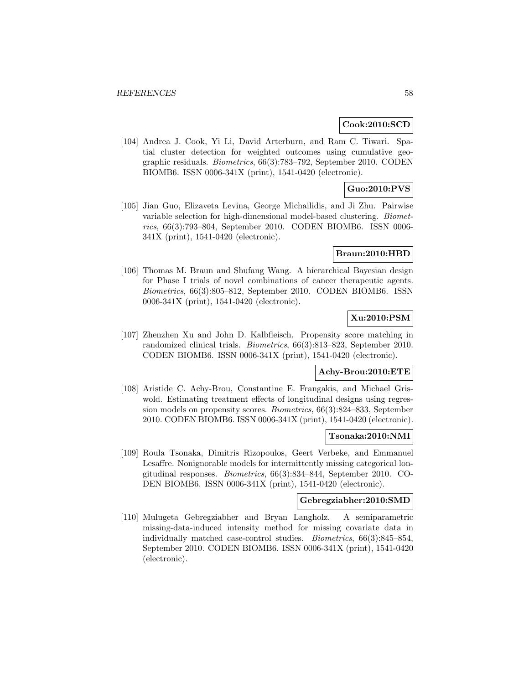#### **Cook:2010:SCD**

[104] Andrea J. Cook, Yi Li, David Arterburn, and Ram C. Tiwari. Spatial cluster detection for weighted outcomes using cumulative geographic residuals. Biometrics, 66(3):783–792, September 2010. CODEN BIOMB6. ISSN 0006-341X (print), 1541-0420 (electronic).

## **Guo:2010:PVS**

[105] Jian Guo, Elizaveta Levina, George Michailidis, and Ji Zhu. Pairwise variable selection for high-dimensional model-based clustering. Biometrics, 66(3):793–804, September 2010. CODEN BIOMB6. ISSN 0006- 341X (print), 1541-0420 (electronic).

#### **Braun:2010:HBD**

[106] Thomas M. Braun and Shufang Wang. A hierarchical Bayesian design for Phase I trials of novel combinations of cancer therapeutic agents. Biometrics, 66(3):805–812, September 2010. CODEN BIOMB6. ISSN 0006-341X (print), 1541-0420 (electronic).

## **Xu:2010:PSM**

[107] Zhenzhen Xu and John D. Kalbfleisch. Propensity score matching in randomized clinical trials. Biometrics, 66(3):813–823, September 2010. CODEN BIOMB6. ISSN 0006-341X (print), 1541-0420 (electronic).

## **Achy-Brou:2010:ETE**

[108] Aristide C. Achy-Brou, Constantine E. Frangakis, and Michael Griswold. Estimating treatment effects of longitudinal designs using regression models on propensity scores. Biometrics, 66(3):824–833, September 2010. CODEN BIOMB6. ISSN 0006-341X (print), 1541-0420 (electronic).

#### **Tsonaka:2010:NMI**

[109] Roula Tsonaka, Dimitris Rizopoulos, Geert Verbeke, and Emmanuel Lesaffre. Nonignorable models for intermittently missing categorical longitudinal responses. Biometrics, 66(3):834–844, September 2010. CO-DEN BIOMB6. ISSN 0006-341X (print), 1541-0420 (electronic).

### **Gebregziabher:2010:SMD**

[110] Mulugeta Gebregziabher and Bryan Langholz. A semiparametric missing-data-induced intensity method for missing covariate data in individually matched case-control studies. Biometrics, 66(3):845–854, September 2010. CODEN BIOMB6. ISSN 0006-341X (print), 1541-0420 (electronic).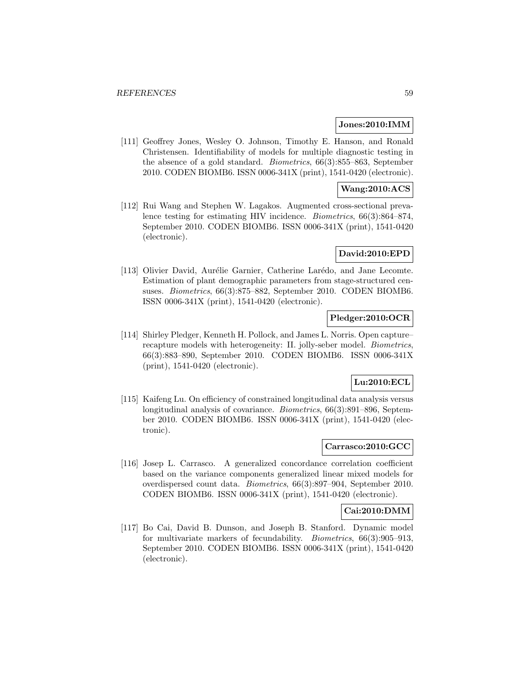### **Jones:2010:IMM**

[111] Geoffrey Jones, Wesley O. Johnson, Timothy E. Hanson, and Ronald Christensen. Identifiability of models for multiple diagnostic testing in the absence of a gold standard. Biometrics, 66(3):855–863, September 2010. CODEN BIOMB6. ISSN 0006-341X (print), 1541-0420 (electronic).

## **Wang:2010:ACS**

[112] Rui Wang and Stephen W. Lagakos. Augmented cross-sectional prevalence testing for estimating HIV incidence. Biometrics, 66(3):864–874, September 2010. CODEN BIOMB6. ISSN 0006-341X (print), 1541-0420 (electronic).

## **David:2010:EPD**

[113] Olivier David, Aurélie Garnier, Catherine Larédo, and Jane Lecomte. Estimation of plant demographic parameters from stage-structured censuses. Biometrics, 66(3):875–882, September 2010. CODEN BIOMB6. ISSN 0006-341X (print), 1541-0420 (electronic).

## **Pledger:2010:OCR**

[114] Shirley Pledger, Kenneth H. Pollock, and James L. Norris. Open capture– recapture models with heterogeneity: II. jolly-seber model. Biometrics, 66(3):883–890, September 2010. CODEN BIOMB6. ISSN 0006-341X (print), 1541-0420 (electronic).

#### **Lu:2010:ECL**

[115] Kaifeng Lu. On efficiency of constrained longitudinal data analysis versus longitudinal analysis of covariance. Biometrics, 66(3):891–896, September 2010. CODEN BIOMB6. ISSN 0006-341X (print), 1541-0420 (electronic).

## **Carrasco:2010:GCC**

[116] Josep L. Carrasco. A generalized concordance correlation coefficient based on the variance components generalized linear mixed models for overdispersed count data. Biometrics, 66(3):897–904, September 2010. CODEN BIOMB6. ISSN 0006-341X (print), 1541-0420 (electronic).

### **Cai:2010:DMM**

[117] Bo Cai, David B. Dunson, and Joseph B. Stanford. Dynamic model for multivariate markers of fecundability. Biometrics, 66(3):905–913, September 2010. CODEN BIOMB6. ISSN 0006-341X (print), 1541-0420 (electronic).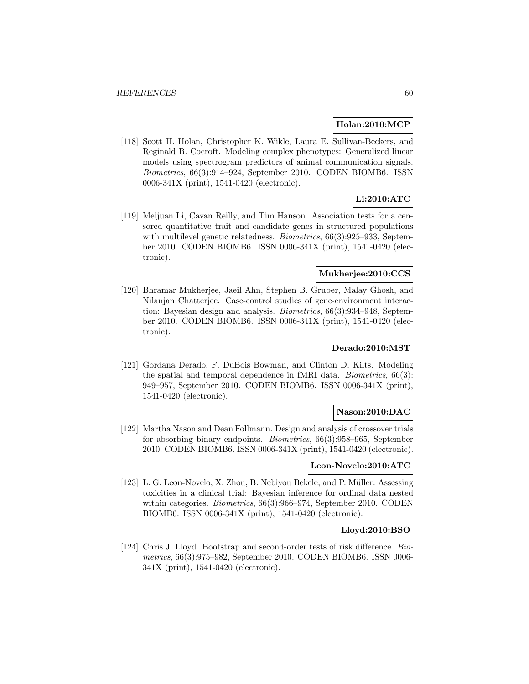### **Holan:2010:MCP**

[118] Scott H. Holan, Christopher K. Wikle, Laura E. Sullivan-Beckers, and Reginald B. Cocroft. Modeling complex phenotypes: Generalized linear models using spectrogram predictors of animal communication signals. Biometrics, 66(3):914–924, September 2010. CODEN BIOMB6. ISSN 0006-341X (print), 1541-0420 (electronic).

# **Li:2010:ATC**

[119] Meijuan Li, Cavan Reilly, and Tim Hanson. Association tests for a censored quantitative trait and candidate genes in structured populations with multilevel genetic relatedness. *Biometrics*, 66(3):925–933, September 2010. CODEN BIOMB6. ISSN 0006-341X (print), 1541-0420 (electronic).

## **Mukherjee:2010:CCS**

[120] Bhramar Mukherjee, Jaeil Ahn, Stephen B. Gruber, Malay Ghosh, and Nilanjan Chatterjee. Case-control studies of gene-environment interaction: Bayesian design and analysis. Biometrics, 66(3):934–948, September 2010. CODEN BIOMB6. ISSN 0006-341X (print), 1541-0420 (electronic).

### **Derado:2010:MST**

[121] Gordana Derado, F. DuBois Bowman, and Clinton D. Kilts. Modeling the spatial and temporal dependence in fMRI data. Biometrics, 66(3): 949–957, September 2010. CODEN BIOMB6. ISSN 0006-341X (print), 1541-0420 (electronic).

## **Nason:2010:DAC**

[122] Martha Nason and Dean Follmann. Design and analysis of crossover trials for absorbing binary endpoints. Biometrics, 66(3):958–965, September 2010. CODEN BIOMB6. ISSN 0006-341X (print), 1541-0420 (electronic).

#### **Leon-Novelo:2010:ATC**

[123] L. G. Leon-Novelo, X. Zhou, B. Nebiyou Bekele, and P. Müller. Assessing toxicities in a clinical trial: Bayesian inference for ordinal data nested within categories. Biometrics, 66(3):966–974, September 2010. CODEN BIOMB6. ISSN 0006-341X (print), 1541-0420 (electronic).

#### **Lloyd:2010:BSO**

[124] Chris J. Lloyd. Bootstrap and second-order tests of risk difference. Biometrics, 66(3):975–982, September 2010. CODEN BIOMB6. ISSN 0006- 341X (print), 1541-0420 (electronic).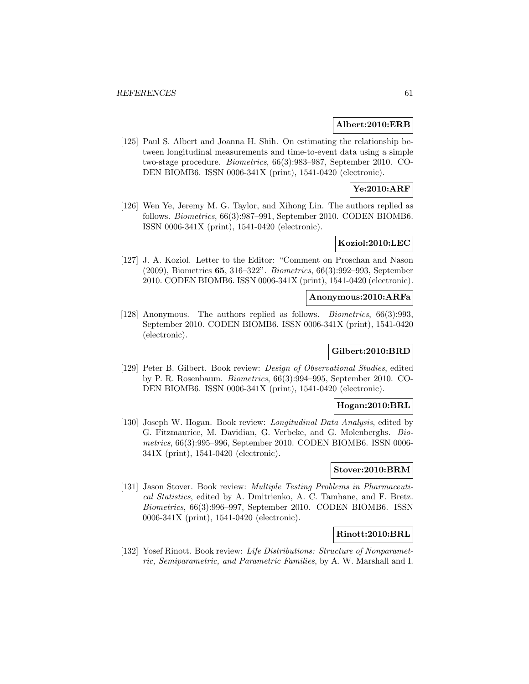### **Albert:2010:ERB**

[125] Paul S. Albert and Joanna H. Shih. On estimating the relationship between longitudinal measurements and time-to-event data using a simple two-stage procedure. Biometrics, 66(3):983–987, September 2010. CO-DEN BIOMB6. ISSN 0006-341X (print), 1541-0420 (electronic).

## **Ye:2010:ARF**

[126] Wen Ye, Jeremy M. G. Taylor, and Xihong Lin. The authors replied as follows. Biometrics, 66(3):987–991, September 2010. CODEN BIOMB6. ISSN 0006-341X (print), 1541-0420 (electronic).

### **Koziol:2010:LEC**

[127] J. A. Koziol. Letter to the Editor: "Comment on Proschan and Nason (2009), Biometrics **65**, 316–322". Biometrics, 66(3):992–993, September 2010. CODEN BIOMB6. ISSN 0006-341X (print), 1541-0420 (electronic).

#### **Anonymous:2010:ARFa**

[128] Anonymous. The authors replied as follows. Biometrics, 66(3):993, September 2010. CODEN BIOMB6. ISSN 0006-341X (print), 1541-0420 (electronic).

#### **Gilbert:2010:BRD**

[129] Peter B. Gilbert. Book review: Design of Observational Studies, edited by P. R. Rosenbaum. Biometrics, 66(3):994–995, September 2010. CO-DEN BIOMB6. ISSN 0006-341X (print), 1541-0420 (electronic).

#### **Hogan:2010:BRL**

[130] Joseph W. Hogan. Book review: *Longitudinal Data Analysis*, edited by G. Fitzmaurice, M. Davidian, G. Verbeke, and G. Molenberghs. Biometrics, 66(3):995–996, September 2010. CODEN BIOMB6. ISSN 0006- 341X (print), 1541-0420 (electronic).

## **Stover:2010:BRM**

[131] Jason Stover. Book review: Multiple Testing Problems in Pharmaceutical Statistics, edited by A. Dmitrienko, A. C. Tamhane, and F. Bretz. Biometrics, 66(3):996–997, September 2010. CODEN BIOMB6. ISSN 0006-341X (print), 1541-0420 (electronic).

#### **Rinott:2010:BRL**

[132] Yosef Rinott. Book review: Life Distributions: Structure of Nonparametric, Semiparametric, and Parametric Families, by A. W. Marshall and I.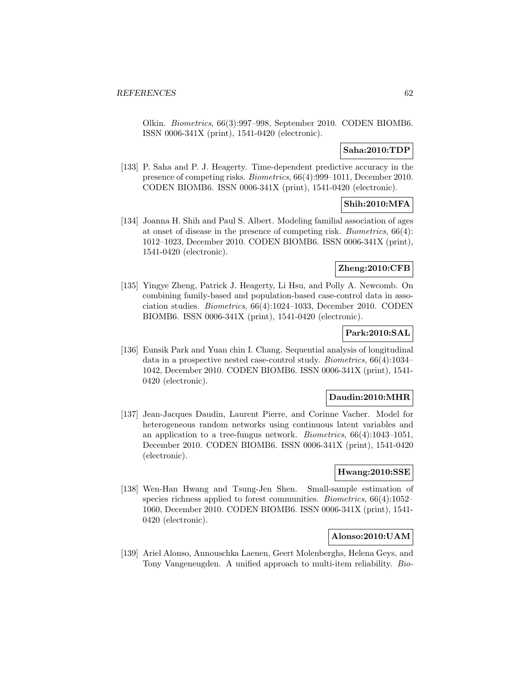Olkin. Biometrics, 66(3):997–998, September 2010. CODEN BIOMB6. ISSN 0006-341X (print), 1541-0420 (electronic).

## **Saha:2010:TDP**

[133] P. Saha and P. J. Heagerty. Time-dependent predictive accuracy in the presence of competing risks. Biometrics, 66(4):999–1011, December 2010. CODEN BIOMB6. ISSN 0006-341X (print), 1541-0420 (electronic).

## **Shih:2010:MFA**

[134] Joanna H. Shih and Paul S. Albert. Modeling familial association of ages at onset of disease in the presence of competing risk. Biometrics, 66(4): 1012–1023, December 2010. CODEN BIOMB6. ISSN 0006-341X (print), 1541-0420 (electronic).

## **Zheng:2010:CFB**

[135] Yingye Zheng, Patrick J. Heagerty, Li Hsu, and Polly A. Newcomb. On combining family-based and population-based case-control data in association studies. Biometrics, 66(4):1024–1033, December 2010. CODEN BIOMB6. ISSN 0006-341X (print), 1541-0420 (electronic).

## **Park:2010:SAL**

[136] Eunsik Park and Yuan chin I. Chang. Sequential analysis of longitudinal data in a prospective nested case-control study. Biometrics, 66(4):1034– 1042, December 2010. CODEN BIOMB6. ISSN 0006-341X (print), 1541- 0420 (electronic).

## **Daudin:2010:MHR**

[137] Jean-Jacques Daudin, Laurent Pierre, and Corinne Vacher. Model for heterogeneous random networks using continuous latent variables and an application to a tree-fungus network. *Biometrics*,  $66(4):1043-1051$ , December 2010. CODEN BIOMB6. ISSN 0006-341X (print), 1541-0420 (electronic).

## **Hwang:2010:SSE**

[138] Wen-Han Hwang and Tsung-Jen Shen. Small-sample estimation of species richness applied to forest communities. *Biometrics*, 66(4):1052– 1060, December 2010. CODEN BIOMB6. ISSN 0006-341X (print), 1541- 0420 (electronic).

## **Alonso:2010:UAM**

[139] Ariel Alonso, Annouschka Laenen, Geert Molenberghs, Helena Geys, and Tony Vangeneugden. A unified approach to multi-item reliability. Bio-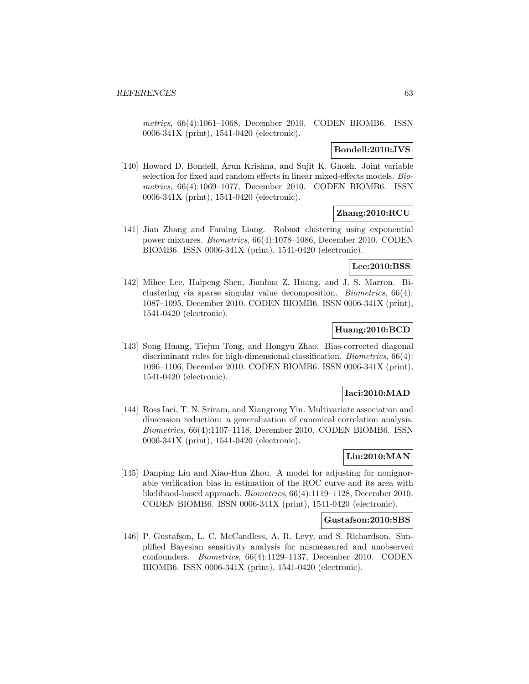metrics, 66(4):1061–1068, December 2010. CODEN BIOMB6. ISSN 0006-341X (print), 1541-0420 (electronic).

## **Bondell:2010:JVS**

[140] Howard D. Bondell, Arun Krishna, and Sujit K. Ghosh. Joint variable selection for fixed and random effects in linear mixed-effects models. Biometrics, 66(4):1069–1077, December 2010. CODEN BIOMB6. ISSN 0006-341X (print), 1541-0420 (electronic).

## **Zhang:2010:RCU**

[141] Jian Zhang and Faming Liang. Robust clustering using exponential power mixtures. Biometrics, 66(4):1078–1086, December 2010. CODEN BIOMB6. ISSN 0006-341X (print), 1541-0420 (electronic).

## **Lee:2010:BSS**

[142] Mihee Lee, Haipeng Shen, Jianhua Z. Huang, and J. S. Marron. Biclustering via sparse singular value decomposition. Biometrics, 66(4): 1087–1095, December 2010. CODEN BIOMB6. ISSN 0006-341X (print), 1541-0420 (electronic).

## **Huang:2010:BCD**

[143] Song Huang, Tiejun Tong, and Hongyu Zhao. Bias-corrected diagonal discriminant rules for high-dimensional classification. *Biometrics*, 66(4): 1096–1106, December 2010. CODEN BIOMB6. ISSN 0006-341X (print), 1541-0420 (electronic).

### **Iaci:2010:MAD**

[144] Ross Iaci, T. N. Sriram, and Xiangrong Yin. Multivariate association and dimension reduction: a generalization of canonical correlation analysis. Biometrics, 66(4):1107–1118, December 2010. CODEN BIOMB6. ISSN 0006-341X (print), 1541-0420 (electronic).

# **Liu:2010:MAN**

[145] Danping Liu and Xiao-Hua Zhou. A model for adjusting for nonignorable verification bias in estimation of the ROC curve and its area with likelihood-based approach. Biometrics, 66(4):1119–1128, December 2010. CODEN BIOMB6. ISSN 0006-341X (print), 1541-0420 (electronic).

### **Gustafson:2010:SBS**

[146] P. Gustafson, L. C. McCandless, A. R. Levy, and S. Richardson. Simplified Bayesian sensitivity analysis for mismeasured and unobserved confounders. Biometrics, 66(4):1129–1137, December 2010. CODEN BIOMB6. ISSN 0006-341X (print), 1541-0420 (electronic).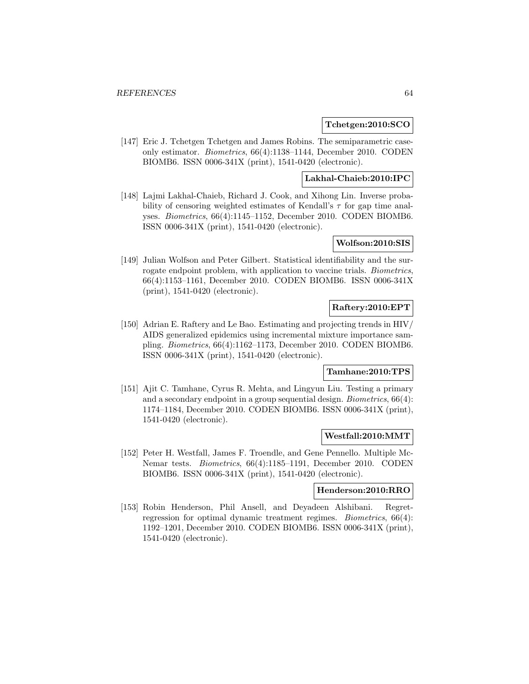### **Tchetgen:2010:SCO**

[147] Eric J. Tchetgen Tchetgen and James Robins. The semiparametric caseonly estimator. Biometrics, 66(4):1138–1144, December 2010. CODEN BIOMB6. ISSN 0006-341X (print), 1541-0420 (electronic).

### **Lakhal-Chaieb:2010:IPC**

[148] Lajmi Lakhal-Chaieb, Richard J. Cook, and Xihong Lin. Inverse probability of censoring weighted estimates of Kendall's  $\tau$  for gap time analyses. Biometrics, 66(4):1145–1152, December 2010. CODEN BIOMB6. ISSN 0006-341X (print), 1541-0420 (electronic).

#### **Wolfson:2010:SIS**

[149] Julian Wolfson and Peter Gilbert. Statistical identifiability and the surrogate endpoint problem, with application to vaccine trials. Biometrics, 66(4):1153–1161, December 2010. CODEN BIOMB6. ISSN 0006-341X (print), 1541-0420 (electronic).

### **Raftery:2010:EPT**

[150] Adrian E. Raftery and Le Bao. Estimating and projecting trends in HIV/ AIDS generalized epidemics using incremental mixture importance sampling. Biometrics, 66(4):1162–1173, December 2010. CODEN BIOMB6. ISSN 0006-341X (print), 1541-0420 (electronic).

## **Tamhane:2010:TPS**

[151] Ajit C. Tamhane, Cyrus R. Mehta, and Lingyun Liu. Testing a primary and a secondary endpoint in a group sequential design. Biometrics, 66(4): 1174–1184, December 2010. CODEN BIOMB6. ISSN 0006-341X (print), 1541-0420 (electronic).

#### **Westfall:2010:MMT**

[152] Peter H. Westfall, James F. Troendle, and Gene Pennello. Multiple Mc-Nemar tests. Biometrics, 66(4):1185–1191, December 2010. CODEN BIOMB6. ISSN 0006-341X (print), 1541-0420 (electronic).

#### **Henderson:2010:RRO**

[153] Robin Henderson, Phil Ansell, and Deyadeen Alshibani. Regretregression for optimal dynamic treatment regimes. Biometrics, 66(4): 1192–1201, December 2010. CODEN BIOMB6. ISSN 0006-341X (print), 1541-0420 (electronic).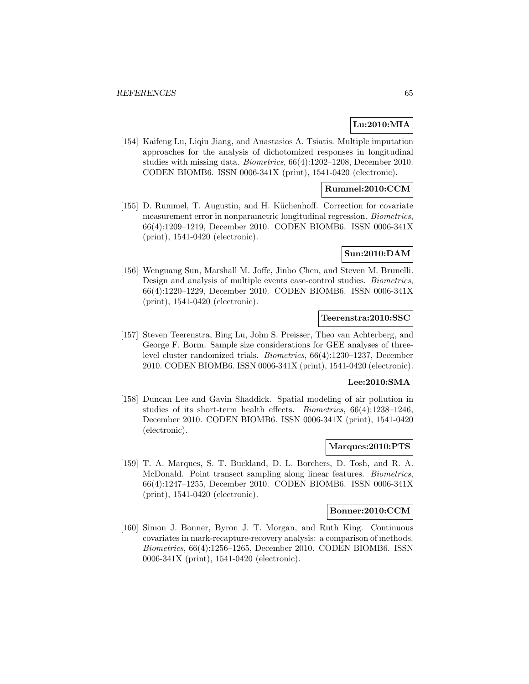## **Lu:2010:MIA**

[154] Kaifeng Lu, Liqiu Jiang, and Anastasios A. Tsiatis. Multiple imputation approaches for the analysis of dichotomized responses in longitudinal studies with missing data. Biometrics, 66(4):1202–1208, December 2010. CODEN BIOMB6. ISSN 0006-341X (print), 1541-0420 (electronic).

## **Rummel:2010:CCM**

[155] D. Rummel, T. Augustin, and H. Küchenhoff. Correction for covariate measurement error in nonparametric longitudinal regression. Biometrics, 66(4):1209–1219, December 2010. CODEN BIOMB6. ISSN 0006-341X (print), 1541-0420 (electronic).

#### **Sun:2010:DAM**

[156] Wenguang Sun, Marshall M. Joffe, Jinbo Chen, and Steven M. Brunelli. Design and analysis of multiple events case-control studies. Biometrics, 66(4):1220–1229, December 2010. CODEN BIOMB6. ISSN 0006-341X (print), 1541-0420 (electronic).

### **Teerenstra:2010:SSC**

[157] Steven Teerenstra, Bing Lu, John S. Preisser, Theo van Achterberg, and George F. Borm. Sample size considerations for GEE analyses of threelevel cluster randomized trials. Biometrics, 66(4):1230–1237, December 2010. CODEN BIOMB6. ISSN 0006-341X (print), 1541-0420 (electronic).

#### **Lee:2010:SMA**

[158] Duncan Lee and Gavin Shaddick. Spatial modeling of air pollution in studies of its short-term health effects. Biometrics, 66(4):1238–1246, December 2010. CODEN BIOMB6. ISSN 0006-341X (print), 1541-0420 (electronic).

### **Marques:2010:PTS**

[159] T. A. Marques, S. T. Buckland, D. L. Borchers, D. Tosh, and R. A. McDonald. Point transect sampling along linear features. Biometrics, 66(4):1247–1255, December 2010. CODEN BIOMB6. ISSN 0006-341X (print), 1541-0420 (electronic).

#### **Bonner:2010:CCM**

[160] Simon J. Bonner, Byron J. T. Morgan, and Ruth King. Continuous covariates in mark-recapture-recovery analysis: a comparison of methods. Biometrics, 66(4):1256–1265, December 2010. CODEN BIOMB6. ISSN 0006-341X (print), 1541-0420 (electronic).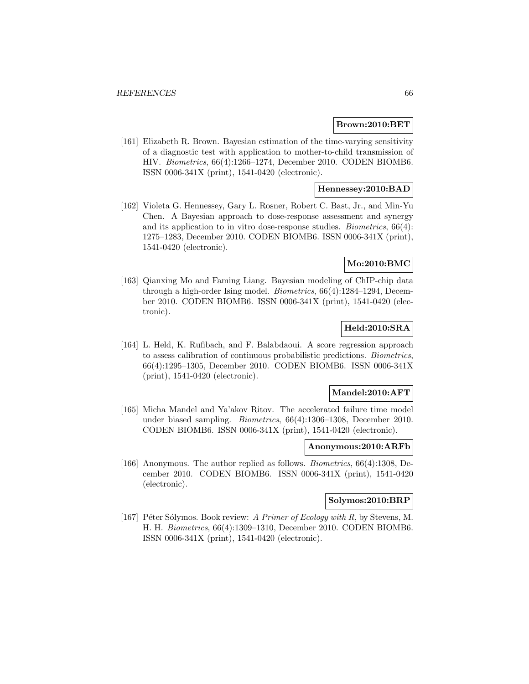#### **Brown:2010:BET**

[161] Elizabeth R. Brown. Bayesian estimation of the time-varying sensitivity of a diagnostic test with application to mother-to-child transmission of HIV. Biometrics, 66(4):1266–1274, December 2010. CODEN BIOMB6. ISSN 0006-341X (print), 1541-0420 (electronic).

## **Hennessey:2010:BAD**

[162] Violeta G. Hennessey, Gary L. Rosner, Robert C. Bast, Jr., and Min-Yu Chen. A Bayesian approach to dose-response assessment and synergy and its application to in vitro dose-response studies. Biometrics, 66(4): 1275–1283, December 2010. CODEN BIOMB6. ISSN 0006-341X (print), 1541-0420 (electronic).

## **Mo:2010:BMC**

[163] Qianxing Mo and Faming Liang. Bayesian modeling of ChIP-chip data through a high-order Ising model. Biometrics, 66(4):1284–1294, December 2010. CODEN BIOMB6. ISSN 0006-341X (print), 1541-0420 (electronic).

## **Held:2010:SRA**

[164] L. Held, K. Rufibach, and F. Balabdaoui. A score regression approach to assess calibration of continuous probabilistic predictions. Biometrics, 66(4):1295–1305, December 2010. CODEN BIOMB6. ISSN 0006-341X (print), 1541-0420 (electronic).

### **Mandel:2010:AFT**

[165] Micha Mandel and Ya'akov Ritov. The accelerated failure time model under biased sampling. Biometrics, 66(4):1306–1308, December 2010. CODEN BIOMB6. ISSN 0006-341X (print), 1541-0420 (electronic).

#### **Anonymous:2010:ARFb**

[166] Anonymous. The author replied as follows. Biometrics, 66(4):1308, December 2010. CODEN BIOMB6. ISSN 0006-341X (print), 1541-0420 (electronic).

## **Solymos:2010:BRP**

[167] Péter Sólymos. Book review: A Primer of Ecology with R, by Stevens, M. H. H. Biometrics, 66(4):1309–1310, December 2010. CODEN BIOMB6. ISSN 0006-341X (print), 1541-0420 (electronic).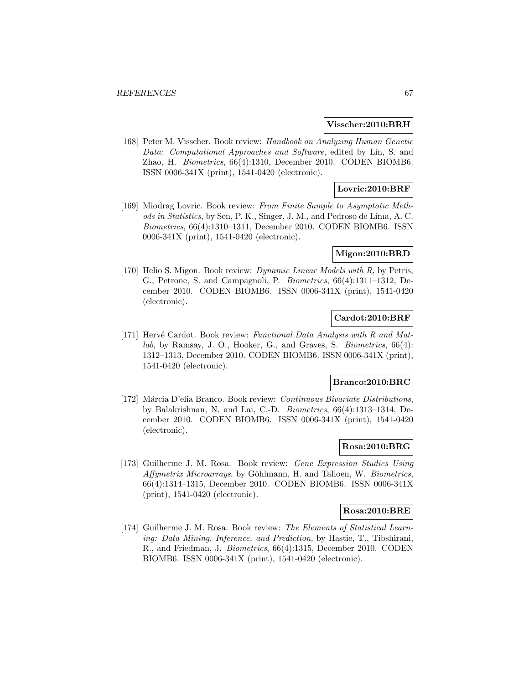#### **Visscher:2010:BRH**

[168] Peter M. Visscher. Book review: Handbook on Analyzing Human Genetic Data: Computational Approaches and Software, edited by Lin, S. and Zhao, H. Biometrics, 66(4):1310, December 2010. CODEN BIOMB6. ISSN 0006-341X (print), 1541-0420 (electronic).

## **Lovric:2010:BRF**

[169] Miodrag Lovric. Book review: From Finite Sample to Asymptotic Methods in Statistics, by Sen, P. K., Singer, J. M., and Pedroso de Lima, A. C. Biometrics, 66(4):1310–1311, December 2010. CODEN BIOMB6. ISSN 0006-341X (print), 1541-0420 (electronic).

#### **Migon:2010:BRD**

[170] Helio S. Migon. Book review: *Dynamic Linear Models with R*, by Petris, G., Petrone, S. and Campagnoli, P. Biometrics, 66(4):1311–1312, December 2010. CODEN BIOMB6. ISSN 0006-341X (print), 1541-0420 (electronic).

## **Cardot:2010:BRF**

[171] Hervé Cardot. Book review: Functional Data Analysis with R and Matlab, by Ramsay, J. O., Hooker, G., and Graves, S. Biometrics, 66(4): 1312–1313, December 2010. CODEN BIOMB6. ISSN 0006-341X (print), 1541-0420 (electronic).

#### **Branco:2010:BRC**

[172] Márcia D'elia Branco. Book review: Continuous Bivariate Distributions, by Balakrishnan, N. and Lai, C.-D. Biometrics, 66(4):1313–1314, December 2010. CODEN BIOMB6. ISSN 0006-341X (print), 1541-0420 (electronic).

### **Rosa:2010:BRG**

[173] Guilherme J. M. Rosa. Book review: Gene Expression Studies Using Affymetrix Microarrays, by Göhlmann, H. and Talloen, W. Biometrics, 66(4):1314–1315, December 2010. CODEN BIOMB6. ISSN 0006-341X (print), 1541-0420 (electronic).

#### **Rosa:2010:BRE**

[174] Guilherme J. M. Rosa. Book review: The Elements of Statistical Learning: Data Mining, Inference, and Prediction, by Hastie, T., Tibshirani, R., and Friedman, J. Biometrics, 66(4):1315, December 2010. CODEN BIOMB6. ISSN 0006-341X (print), 1541-0420 (electronic).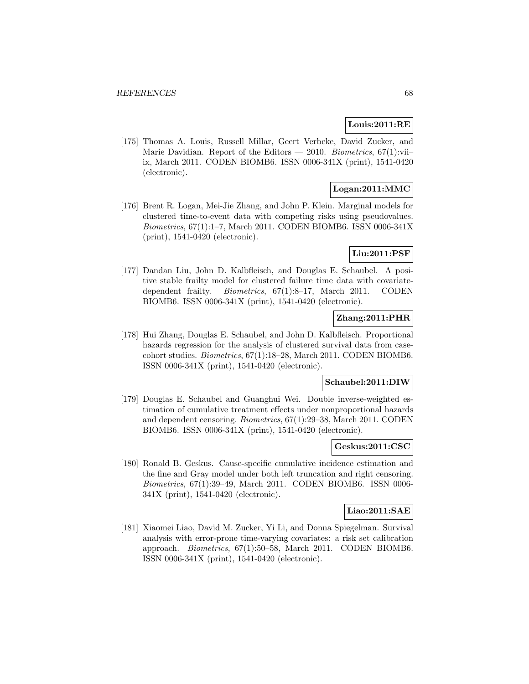### **Louis:2011:RE**

[175] Thomas A. Louis, Russell Millar, Geert Verbeke, David Zucker, and Marie Davidian. Report of the Editors — 2010. Biometrics,  $67(1)$ :viiix, March 2011. CODEN BIOMB6. ISSN 0006-341X (print), 1541-0420 (electronic).

## **Logan:2011:MMC**

[176] Brent R. Logan, Mei-Jie Zhang, and John P. Klein. Marginal models for clustered time-to-event data with competing risks using pseudovalues. Biometrics, 67(1):1–7, March 2011. CODEN BIOMB6. ISSN 0006-341X (print), 1541-0420 (electronic).

### **Liu:2011:PSF**

[177] Dandan Liu, John D. Kalbfleisch, and Douglas E. Schaubel. A positive stable frailty model for clustered failure time data with covariatedependent frailty. Biometrics, 67(1):8–17, March 2011. CODEN BIOMB6. ISSN 0006-341X (print), 1541-0420 (electronic).

## **Zhang:2011:PHR**

[178] Hui Zhang, Douglas E. Schaubel, and John D. Kalbfleisch. Proportional hazards regression for the analysis of clustered survival data from casecohort studies. Biometrics, 67(1):18–28, March 2011. CODEN BIOMB6. ISSN 0006-341X (print), 1541-0420 (electronic).

#### **Schaubel:2011:DIW**

[179] Douglas E. Schaubel and Guanghui Wei. Double inverse-weighted estimation of cumulative treatment effects under nonproportional hazards and dependent censoring. Biometrics, 67(1):29–38, March 2011. CODEN BIOMB6. ISSN 0006-341X (print), 1541-0420 (electronic).

#### **Geskus:2011:CSC**

[180] Ronald B. Geskus. Cause-specific cumulative incidence estimation and the fine and Gray model under both left truncation and right censoring. Biometrics, 67(1):39–49, March 2011. CODEN BIOMB6. ISSN 0006- 341X (print), 1541-0420 (electronic).

#### **Liao:2011:SAE**

[181] Xiaomei Liao, David M. Zucker, Yi Li, and Donna Spiegelman. Survival analysis with error-prone time-varying covariates: a risk set calibration approach. Biometrics, 67(1):50–58, March 2011. CODEN BIOMB6. ISSN 0006-341X (print), 1541-0420 (electronic).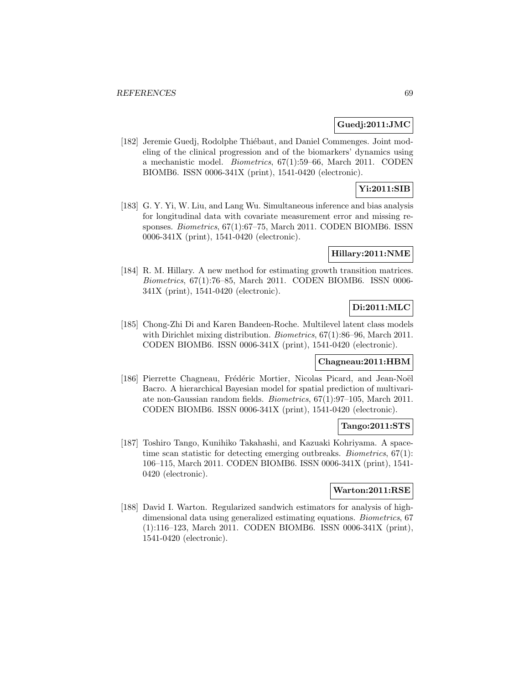## **Guedj:2011:JMC**

[182] Jeremie Guedj, Rodolphe Thiébaut, and Daniel Commenges. Joint modeling of the clinical progression and of the biomarkers' dynamics using a mechanistic model. Biometrics, 67(1):59–66, March 2011. CODEN BIOMB6. ISSN 0006-341X (print), 1541-0420 (electronic).

# **Yi:2011:SIB**

[183] G. Y. Yi, W. Liu, and Lang Wu. Simultaneous inference and bias analysis for longitudinal data with covariate measurement error and missing responses. Biometrics, 67(1):67–75, March 2011. CODEN BIOMB6. ISSN 0006-341X (print), 1541-0420 (electronic).

#### **Hillary:2011:NME**

[184] R. M. Hillary. A new method for estimating growth transition matrices. Biometrics, 67(1):76–85, March 2011. CODEN BIOMB6. ISSN 0006- 341X (print), 1541-0420 (electronic).

## **Di:2011:MLC**

[185] Chong-Zhi Di and Karen Bandeen-Roche. Multilevel latent class models with Dirichlet mixing distribution. *Biometrics*, 67(1):86–96, March 2011. CODEN BIOMB6. ISSN 0006-341X (print), 1541-0420 (electronic).

### **Chagneau:2011:HBM**

[186] Pierrette Chagneau, Frédéric Mortier, Nicolas Picard, and Jean-Noël Bacro. A hierarchical Bayesian model for spatial prediction of multivariate non-Gaussian random fields. Biometrics, 67(1):97–105, March 2011. CODEN BIOMB6. ISSN 0006-341X (print), 1541-0420 (electronic).

## **Tango:2011:STS**

[187] Toshiro Tango, Kunihiko Takahashi, and Kazuaki Kohriyama. A spacetime scan statistic for detecting emerging outbreaks. *Biometrics*,  $67(1)$ : 106–115, March 2011. CODEN BIOMB6. ISSN 0006-341X (print), 1541- 0420 (electronic).

#### **Warton:2011:RSE**

[188] David I. Warton. Regularized sandwich estimators for analysis of highdimensional data using generalized estimating equations. Biometrics, 67 (1):116–123, March 2011. CODEN BIOMB6. ISSN 0006-341X (print), 1541-0420 (electronic).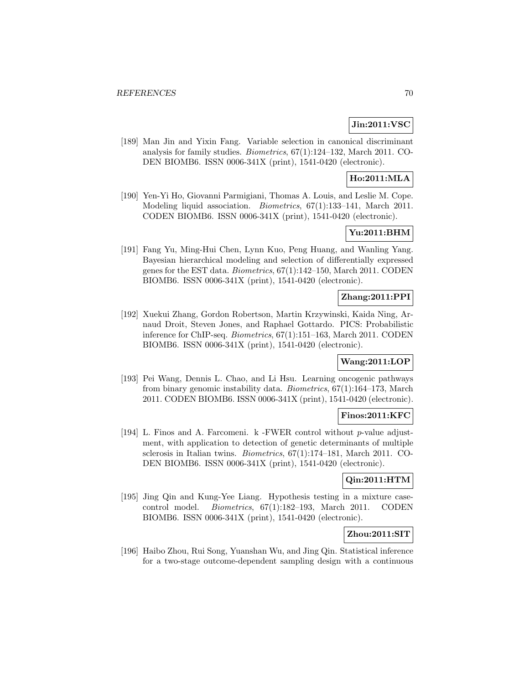# **Jin:2011:VSC**

[189] Man Jin and Yixin Fang. Variable selection in canonical discriminant analysis for family studies. Biometrics, 67(1):124–132, March 2011. CO-DEN BIOMB6. ISSN 0006-341X (print), 1541-0420 (electronic).

# **Ho:2011:MLA**

[190] Yen-Yi Ho, Giovanni Parmigiani, Thomas A. Louis, and Leslie M. Cope. Modeling liquid association. Biometrics, 67(1):133–141, March 2011. CODEN BIOMB6. ISSN 0006-341X (print), 1541-0420 (electronic).

## **Yu:2011:BHM**

[191] Fang Yu, Ming-Hui Chen, Lynn Kuo, Peng Huang, and Wanling Yang. Bayesian hierarchical modeling and selection of differentially expressed genes for the EST data. Biometrics, 67(1):142–150, March 2011. CODEN BIOMB6. ISSN 0006-341X (print), 1541-0420 (electronic).

## **Zhang:2011:PPI**

[192] Xuekui Zhang, Gordon Robertson, Martin Krzywinski, Kaida Ning, Arnaud Droit, Steven Jones, and Raphael Gottardo. PICS: Probabilistic inference for ChIP-seq. Biometrics, 67(1):151–163, March 2011. CODEN BIOMB6. ISSN 0006-341X (print), 1541-0420 (electronic).

### **Wang:2011:LOP**

[193] Pei Wang, Dennis L. Chao, and Li Hsu. Learning oncogenic pathways from binary genomic instability data. Biometrics, 67(1):164–173, March 2011. CODEN BIOMB6. ISSN 0006-341X (print), 1541-0420 (electronic).

### **Finos:2011:KFC**

[194] L. Finos and A. Farcomeni. k -FWER control without p-value adjustment, with application to detection of genetic determinants of multiple sclerosis in Italian twins. Biometrics, 67(1):174–181, March 2011. CO-DEN BIOMB6. ISSN 0006-341X (print), 1541-0420 (electronic).

## **Qin:2011:HTM**

[195] Jing Qin and Kung-Yee Liang. Hypothesis testing in a mixture casecontrol model. Biometrics, 67(1):182–193, March 2011. CODEN BIOMB6. ISSN 0006-341X (print), 1541-0420 (electronic).

## **Zhou:2011:SIT**

[196] Haibo Zhou, Rui Song, Yuanshan Wu, and Jing Qin. Statistical inference for a two-stage outcome-dependent sampling design with a continuous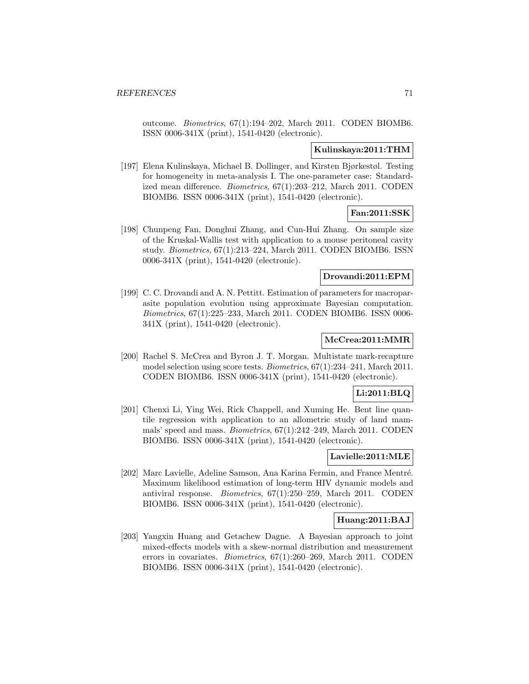outcome. Biometrics, 67(1):194–202, March 2011. CODEN BIOMB6. ISSN 0006-341X (print), 1541-0420 (electronic).

## **Kulinskaya:2011:THM**

[197] Elena Kulinskaya, Michael B. Dollinger, and Kirsten Bjørkestøl. Testing for homogeneity in meta-analysis I. The one-parameter case: Standardized mean difference. Biometrics, 67(1):203–212, March 2011. CODEN BIOMB6. ISSN 0006-341X (print), 1541-0420 (electronic).

# **Fan:2011:SSK**

[198] Chunpeng Fan, Donghui Zhang, and Cun-Hui Zhang. On sample size of the Kruskal-Wallis test with application to a mouse peritoneal cavity study. Biometrics, 67(1):213–224, March 2011. CODEN BIOMB6. ISSN 0006-341X (print), 1541-0420 (electronic).

## **Drovandi:2011:EPM**

[199] C. C. Drovandi and A. N. Pettitt. Estimation of parameters for macroparasite population evolution using approximate Bayesian computation. Biometrics, 67(1):225–233, March 2011. CODEN BIOMB6. ISSN 0006- 341X (print), 1541-0420 (electronic).

## **McCrea:2011:MMR**

[200] Rachel S. McCrea and Byron J. T. Morgan. Multistate mark-recapture model selection using score tests. Biometrics, 67(1):234–241, March 2011. CODEN BIOMB6. ISSN 0006-341X (print), 1541-0420 (electronic).

## **Li:2011:BLQ**

[201] Chenxi Li, Ying Wei, Rick Chappell, and Xuming He. Bent line quantile regression with application to an allometric study of land mammals' speed and mass. Biometrics, 67(1):242–249, March 2011. CODEN BIOMB6. ISSN 0006-341X (print), 1541-0420 (electronic).

### **Lavielle:2011:MLE**

[202] Marc Lavielle, Adeline Samson, Ana Karina Fermin, and France Mentré. Maximum likelihood estimation of long-term HIV dynamic models and antiviral response. Biometrics, 67(1):250–259, March 2011. CODEN BIOMB6. ISSN 0006-341X (print), 1541-0420 (electronic).

## **Huang:2011:BAJ**

[203] Yangxin Huang and Getachew Dagne. A Bayesian approach to joint mixed-effects models with a skew-normal distribution and measurement errors in covariates. Biometrics, 67(1):260–269, March 2011. CODEN BIOMB6. ISSN 0006-341X (print), 1541-0420 (electronic).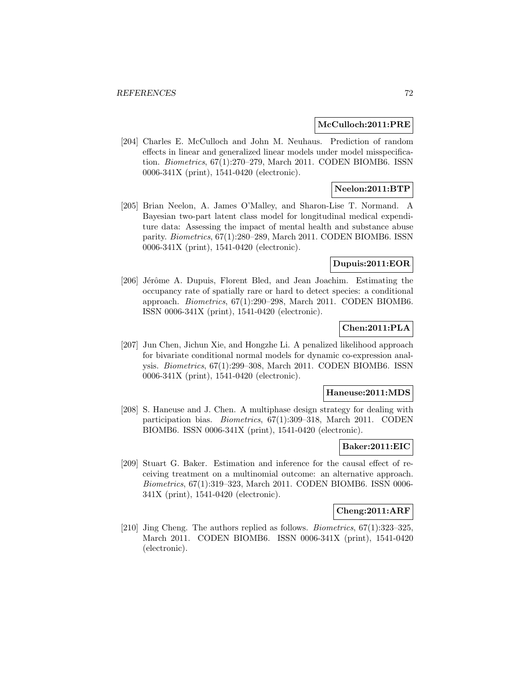#### **McCulloch:2011:PRE**

[204] Charles E. McCulloch and John M. Neuhaus. Prediction of random effects in linear and generalized linear models under model misspecification. Biometrics, 67(1):270–279, March 2011. CODEN BIOMB6. ISSN 0006-341X (print), 1541-0420 (electronic).

## **Neelon:2011:BTP**

[205] Brian Neelon, A. James O'Malley, and Sharon-Lise T. Normand. A Bayesian two-part latent class model for longitudinal medical expenditure data: Assessing the impact of mental health and substance abuse parity. Biometrics, 67(1):280–289, March 2011. CODEN BIOMB6. ISSN 0006-341X (print), 1541-0420 (electronic).

#### **Dupuis:2011:EOR**

[206] Jérôme A. Dupuis, Florent Bled, and Jean Joachim. Estimating the occupancy rate of spatially rare or hard to detect species: a conditional approach. Biometrics, 67(1):290–298, March 2011. CODEN BIOMB6. ISSN 0006-341X (print), 1541-0420 (electronic).

## **Chen:2011:PLA**

[207] Jun Chen, Jichun Xie, and Hongzhe Li. A penalized likelihood approach for bivariate conditional normal models for dynamic co-expression analysis. Biometrics, 67(1):299–308, March 2011. CODEN BIOMB6. ISSN 0006-341X (print), 1541-0420 (electronic).

#### **Haneuse:2011:MDS**

[208] S. Haneuse and J. Chen. A multiphase design strategy for dealing with participation bias. Biometrics, 67(1):309–318, March 2011. CODEN BIOMB6. ISSN 0006-341X (print), 1541-0420 (electronic).

#### **Baker:2011:EIC**

[209] Stuart G. Baker. Estimation and inference for the causal effect of receiving treatment on a multinomial outcome: an alternative approach. Biometrics, 67(1):319–323, March 2011. CODEN BIOMB6. ISSN 0006- 341X (print), 1541-0420 (electronic).

#### **Cheng:2011:ARF**

[210] Jing Cheng. The authors replied as follows. *Biometrics*, 67(1):323-325, March 2011. CODEN BIOMB6. ISSN 0006-341X (print), 1541-0420 (electronic).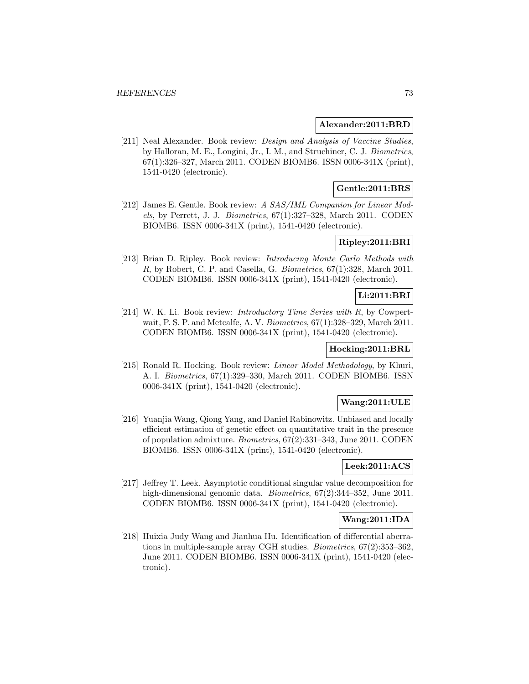#### **Alexander:2011:BRD**

[211] Neal Alexander. Book review: *Design and Analysis of Vaccine Studies*, by Halloran, M. E., Longini, Jr., I. M., and Struchiner, C. J. Biometrics, 67(1):326–327, March 2011. CODEN BIOMB6. ISSN 0006-341X (print), 1541-0420 (electronic).

## **Gentle:2011:BRS**

[212] James E. Gentle. Book review: A SAS/IML Companion for Linear Models, by Perrett, J. J. Biometrics,  $67(1):327-328$ , March 2011. CODEN BIOMB6. ISSN 0006-341X (print), 1541-0420 (electronic).

# **Ripley:2011:BRI**

[213] Brian D. Ripley. Book review: Introducing Monte Carlo Methods with R, by Robert, C. P. and Casella, G. Biometrics, 67(1):328, March 2011. CODEN BIOMB6. ISSN 0006-341X (print), 1541-0420 (electronic).

### **Li:2011:BRI**

[214] W. K. Li. Book review: Introductory Time Series with R, by Cowpertwait, P. S. P. and Metcalfe, A. V. Biometrics, 67(1):328–329, March 2011. CODEN BIOMB6. ISSN 0006-341X (print), 1541-0420 (electronic).

# **Hocking:2011:BRL**

[215] Ronald R. Hocking. Book review: Linear Model Methodology, by Khuri, A. I. Biometrics, 67(1):329–330, March 2011. CODEN BIOMB6. ISSN 0006-341X (print), 1541-0420 (electronic).

### **Wang:2011:ULE**

[216] Yuanjia Wang, Qiong Yang, and Daniel Rabinowitz. Unbiased and locally efficient estimation of genetic effect on quantitative trait in the presence of population admixture. Biometrics, 67(2):331–343, June 2011. CODEN BIOMB6. ISSN 0006-341X (print), 1541-0420 (electronic).

# **Leek:2011:ACS**

[217] Jeffrey T. Leek. Asymptotic conditional singular value decomposition for high-dimensional genomic data. *Biometrics*,  $67(2):344-352$ , June 2011. CODEN BIOMB6. ISSN 0006-341X (print), 1541-0420 (electronic).

# **Wang:2011:IDA**

[218] Huixia Judy Wang and Jianhua Hu. Identification of differential aberrations in multiple-sample array CGH studies. Biometrics, 67(2):353–362, June 2011. CODEN BIOMB6. ISSN 0006-341X (print), 1541-0420 (electronic).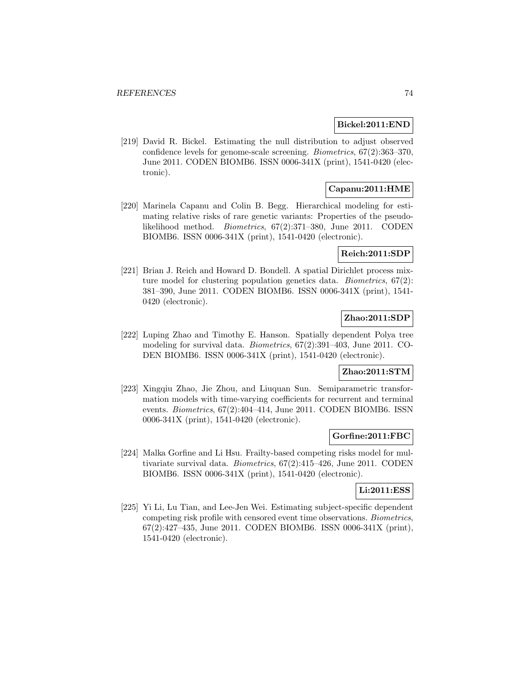#### **Bickel:2011:END**

[219] David R. Bickel. Estimating the null distribution to adjust observed confidence levels for genome-scale screening. Biometrics, 67(2):363–370, June 2011. CODEN BIOMB6. ISSN 0006-341X (print), 1541-0420 (electronic).

# **Capanu:2011:HME**

[220] Marinela Capanu and Colin B. Begg. Hierarchical modeling for estimating relative risks of rare genetic variants: Properties of the pseudolikelihood method. Biometrics, 67(2):371–380, June 2011. CODEN BIOMB6. ISSN 0006-341X (print), 1541-0420 (electronic).

### **Reich:2011:SDP**

[221] Brian J. Reich and Howard D. Bondell. A spatial Dirichlet process mixture model for clustering population genetics data. Biometrics, 67(2): 381–390, June 2011. CODEN BIOMB6. ISSN 0006-341X (print), 1541- 0420 (electronic).

# **Zhao:2011:SDP**

[222] Luping Zhao and Timothy E. Hanson. Spatially dependent Polya tree modeling for survival data. Biometrics, 67(2):391–403, June 2011. CO-DEN BIOMB6. ISSN 0006-341X (print), 1541-0420 (electronic).

# **Zhao:2011:STM**

[223] Xingqiu Zhao, Jie Zhou, and Liuquan Sun. Semiparametric transformation models with time-varying coefficients for recurrent and terminal events. Biometrics, 67(2):404–414, June 2011. CODEN BIOMB6. ISSN 0006-341X (print), 1541-0420 (electronic).

#### **Gorfine:2011:FBC**

[224] Malka Gorfine and Li Hsu. Frailty-based competing risks model for multivariate survival data. Biometrics, 67(2):415–426, June 2011. CODEN BIOMB6. ISSN 0006-341X (print), 1541-0420 (electronic).

# **Li:2011:ESS**

[225] Yi Li, Lu Tian, and Lee-Jen Wei. Estimating subject-specific dependent competing risk profile with censored event time observations. Biometrics, 67(2):427–435, June 2011. CODEN BIOMB6. ISSN 0006-341X (print), 1541-0420 (electronic).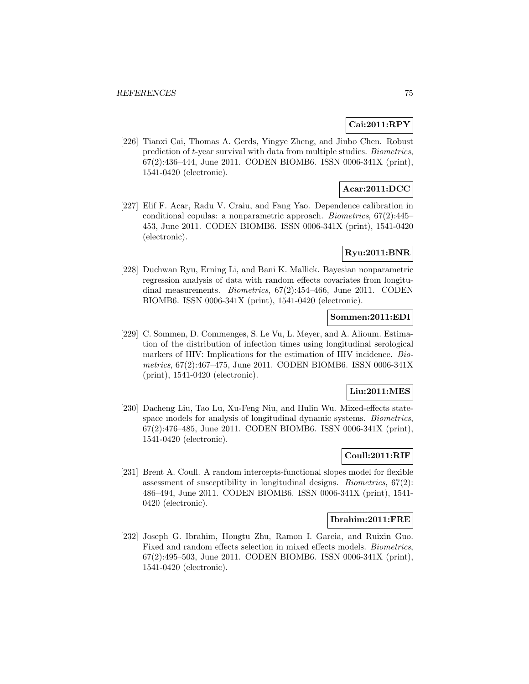## **Cai:2011:RPY**

[226] Tianxi Cai, Thomas A. Gerds, Yingye Zheng, and Jinbo Chen. Robust prediction of t-year survival with data from multiple studies. Biometrics, 67(2):436–444, June 2011. CODEN BIOMB6. ISSN 0006-341X (print), 1541-0420 (electronic).

# **Acar:2011:DCC**

[227] Elif F. Acar, Radu V. Craiu, and Fang Yao. Dependence calibration in conditional copulas: a nonparametric approach. Biometrics, 67(2):445– 453, June 2011. CODEN BIOMB6. ISSN 0006-341X (print), 1541-0420 (electronic).

### **Ryu:2011:BNR**

[228] Duchwan Ryu, Erning Li, and Bani K. Mallick. Bayesian nonparametric regression analysis of data with random effects covariates from longitudinal measurements. Biometrics, 67(2):454–466, June 2011. CODEN BIOMB6. ISSN 0006-341X (print), 1541-0420 (electronic).

### **Sommen:2011:EDI**

[229] C. Sommen, D. Commenges, S. Le Vu, L. Meyer, and A. Alioum. Estimation of the distribution of infection times using longitudinal serological markers of HIV: Implications for the estimation of HIV incidence. Biometrics, 67(2):467–475, June 2011. CODEN BIOMB6. ISSN 0006-341X (print), 1541-0420 (electronic).

#### **Liu:2011:MES**

[230] Dacheng Liu, Tao Lu, Xu-Feng Niu, and Hulin Wu. Mixed-effects statespace models for analysis of longitudinal dynamic systems. Biometrics, 67(2):476–485, June 2011. CODEN BIOMB6. ISSN 0006-341X (print), 1541-0420 (electronic).

# **Coull:2011:RIF**

[231] Brent A. Coull. A random intercepts-functional slopes model for flexible assessment of susceptibility in longitudinal designs. Biometrics, 67(2): 486–494, June 2011. CODEN BIOMB6. ISSN 0006-341X (print), 1541- 0420 (electronic).

#### **Ibrahim:2011:FRE**

[232] Joseph G. Ibrahim, Hongtu Zhu, Ramon I. Garcia, and Ruixin Guo. Fixed and random effects selection in mixed effects models. Biometrics, 67(2):495–503, June 2011. CODEN BIOMB6. ISSN 0006-341X (print), 1541-0420 (electronic).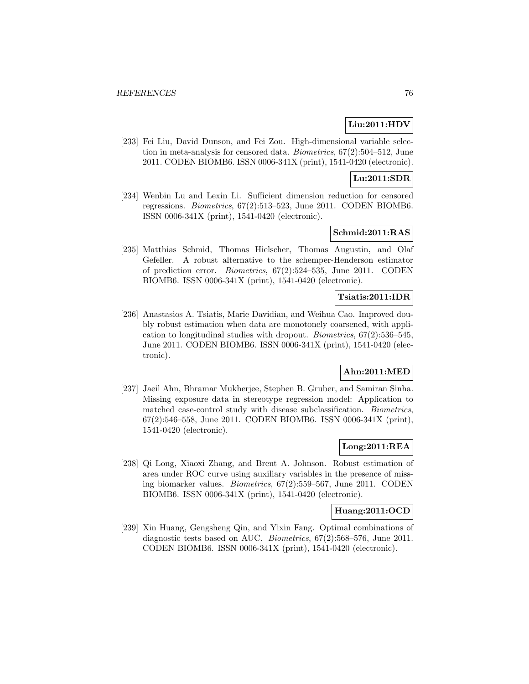# **Liu:2011:HDV**

[233] Fei Liu, David Dunson, and Fei Zou. High-dimensional variable selection in meta-analysis for censored data. Biometrics, 67(2):504–512, June 2011. CODEN BIOMB6. ISSN 0006-341X (print), 1541-0420 (electronic).

# **Lu:2011:SDR**

[234] Wenbin Lu and Lexin Li. Sufficient dimension reduction for censored regressions. Biometrics, 67(2):513–523, June 2011. CODEN BIOMB6. ISSN 0006-341X (print), 1541-0420 (electronic).

## **Schmid:2011:RAS**

[235] Matthias Schmid, Thomas Hielscher, Thomas Augustin, and Olaf Gefeller. A robust alternative to the schemper-Henderson estimator of prediction error. Biometrics, 67(2):524–535, June 2011. CODEN BIOMB6. ISSN 0006-341X (print), 1541-0420 (electronic).

# **Tsiatis:2011:IDR**

[236] Anastasios A. Tsiatis, Marie Davidian, and Weihua Cao. Improved doubly robust estimation when data are monotonely coarsened, with application to longitudinal studies with dropout. Biometrics, 67(2):536–545, June 2011. CODEN BIOMB6. ISSN 0006-341X (print), 1541-0420 (electronic).

# **Ahn:2011:MED**

[237] Jaeil Ahn, Bhramar Mukherjee, Stephen B. Gruber, and Samiran Sinha. Missing exposure data in stereotype regression model: Application to matched case-control study with disease subclassification. Biometrics, 67(2):546–558, June 2011. CODEN BIOMB6. ISSN 0006-341X (print), 1541-0420 (electronic).

## **Long:2011:REA**

[238] Qi Long, Xiaoxi Zhang, and Brent A. Johnson. Robust estimation of area under ROC curve using auxiliary variables in the presence of missing biomarker values. Biometrics, 67(2):559–567, June 2011. CODEN BIOMB6. ISSN 0006-341X (print), 1541-0420 (electronic).

#### **Huang:2011:OCD**

[239] Xin Huang, Gengsheng Qin, and Yixin Fang. Optimal combinations of diagnostic tests based on AUC. Biometrics, 67(2):568–576, June 2011. CODEN BIOMB6. ISSN 0006-341X (print), 1541-0420 (electronic).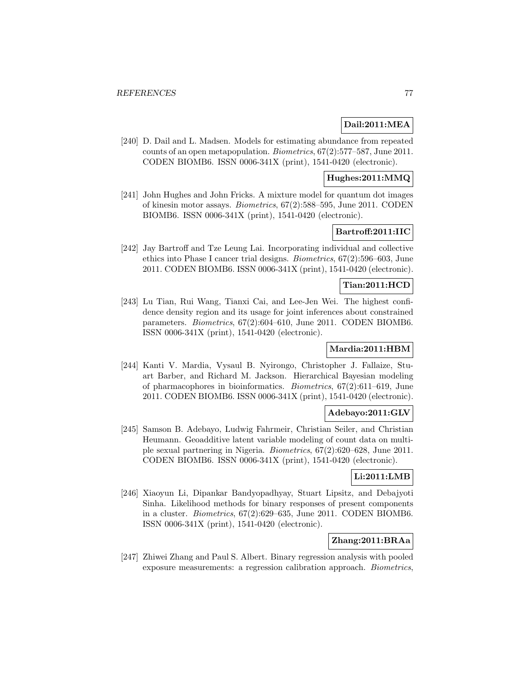### **Dail:2011:MEA**

[240] D. Dail and L. Madsen. Models for estimating abundance from repeated counts of an open metapopulation. Biometrics, 67(2):577–587, June 2011. CODEN BIOMB6. ISSN 0006-341X (print), 1541-0420 (electronic).

## **Hughes:2011:MMQ**

[241] John Hughes and John Fricks. A mixture model for quantum dot images of kinesin motor assays. Biometrics, 67(2):588–595, June 2011. CODEN BIOMB6. ISSN 0006-341X (print), 1541-0420 (electronic).

# **Bartroff:2011:IIC**

[242] Jay Bartroff and Tze Leung Lai. Incorporating individual and collective ethics into Phase I cancer trial designs. Biometrics, 67(2):596–603, June 2011. CODEN BIOMB6. ISSN 0006-341X (print), 1541-0420 (electronic).

### **Tian:2011:HCD**

[243] Lu Tian, Rui Wang, Tianxi Cai, and Lee-Jen Wei. The highest confidence density region and its usage for joint inferences about constrained parameters. Biometrics, 67(2):604–610, June 2011. CODEN BIOMB6. ISSN 0006-341X (print), 1541-0420 (electronic).

# **Mardia:2011:HBM**

[244] Kanti V. Mardia, Vysaul B. Nyirongo, Christopher J. Fallaize, Stuart Barber, and Richard M. Jackson. Hierarchical Bayesian modeling of pharmacophores in bioinformatics. Biometrics, 67(2):611–619, June 2011. CODEN BIOMB6. ISSN 0006-341X (print), 1541-0420 (electronic).

## **Adebayo:2011:GLV**

[245] Samson B. Adebayo, Ludwig Fahrmeir, Christian Seiler, and Christian Heumann. Geoadditive latent variable modeling of count data on multiple sexual partnering in Nigeria. Biometrics, 67(2):620–628, June 2011. CODEN BIOMB6. ISSN 0006-341X (print), 1541-0420 (electronic).

#### **Li:2011:LMB**

[246] Xiaoyun Li, Dipankar Bandyopadhyay, Stuart Lipsitz, and Debajyoti Sinha. Likelihood methods for binary responses of present components in a cluster. Biometrics, 67(2):629–635, June 2011. CODEN BIOMB6. ISSN 0006-341X (print), 1541-0420 (electronic).

# **Zhang:2011:BRAa**

[247] Zhiwei Zhang and Paul S. Albert. Binary regression analysis with pooled exposure measurements: a regression calibration approach. Biometrics,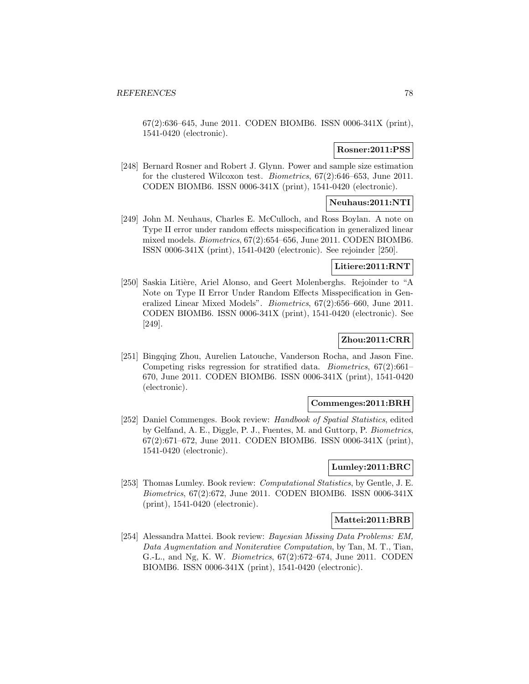67(2):636–645, June 2011. CODEN BIOMB6. ISSN 0006-341X (print), 1541-0420 (electronic).

### **Rosner:2011:PSS**

[248] Bernard Rosner and Robert J. Glynn. Power and sample size estimation for the clustered Wilcoxon test. Biometrics, 67(2):646–653, June 2011. CODEN BIOMB6. ISSN 0006-341X (print), 1541-0420 (electronic).

# **Neuhaus:2011:NTI**

[249] John M. Neuhaus, Charles E. McCulloch, and Ross Boylan. A note on Type II error under random effects misspecification in generalized linear mixed models. Biometrics, 67(2):654–656, June 2011. CODEN BIOMB6. ISSN 0006-341X (print), 1541-0420 (electronic). See rejoinder [250].

# **Litiere:2011:RNT**

[250] Saskia Litière, Ariel Alonso, and Geert Molenberghs. Rejoinder to "A Note on Type II Error Under Random Effects Misspecification in Generalized Linear Mixed Models". Biometrics, 67(2):656–660, June 2011. CODEN BIOMB6. ISSN 0006-341X (print), 1541-0420 (electronic). See [249].

# **Zhou:2011:CRR**

[251] Bingqing Zhou, Aurelien Latouche, Vanderson Rocha, and Jason Fine. Competing risks regression for stratified data. Biometrics, 67(2):661– 670, June 2011. CODEN BIOMB6. ISSN 0006-341X (print), 1541-0420 (electronic).

#### **Commenges:2011:BRH**

[252] Daniel Commenges. Book review: Handbook of Spatial Statistics, edited by Gelfand, A. E., Diggle, P. J., Fuentes, M. and Guttorp, P. Biometrics, 67(2):671–672, June 2011. CODEN BIOMB6. ISSN 0006-341X (print), 1541-0420 (electronic).

#### **Lumley:2011:BRC**

[253] Thomas Lumley. Book review: Computational Statistics, by Gentle, J. E. Biometrics, 67(2):672, June 2011. CODEN BIOMB6. ISSN 0006-341X (print), 1541-0420 (electronic).

#### **Mattei:2011:BRB**

[254] Alessandra Mattei. Book review: Bayesian Missing Data Problems: EM, Data Augmentation and Noniterative Computation, by Tan, M. T., Tian, G.-L., and Ng, K. W. Biometrics, 67(2):672–674, June 2011. CODEN BIOMB6. ISSN 0006-341X (print), 1541-0420 (electronic).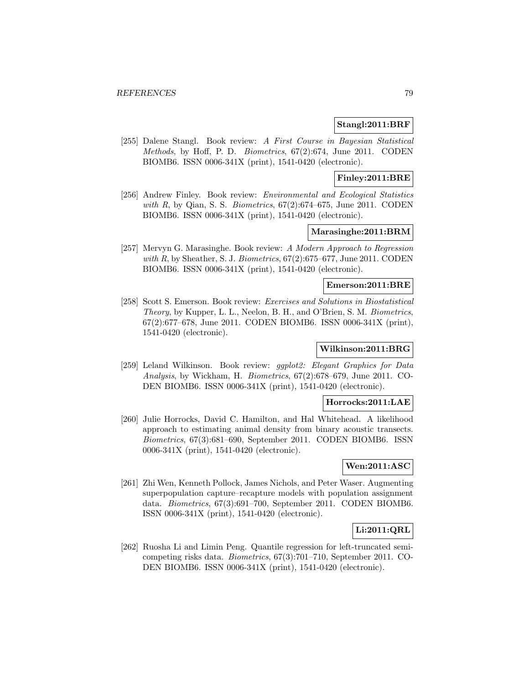#### **Stangl:2011:BRF**

[255] Dalene Stangl. Book review: A First Course in Bayesian Statistical Methods, by Hoff, P. D. Biometrics, 67(2):674, June 2011. CODEN BIOMB6. ISSN 0006-341X (print), 1541-0420 (electronic).

#### **Finley:2011:BRE**

[256] Andrew Finley. Book review: Environmental and Ecological Statistics with R, by Qian, S. S. Biometrics,  $67(2):674-675$ , June 2011. CODEN BIOMB6. ISSN 0006-341X (print), 1541-0420 (electronic).

## **Marasinghe:2011:BRM**

[257] Mervyn G. Marasinghe. Book review: A Modern Approach to Regression with R, by Sheather, S. J. Biometrics,  $67(2):675-677$ , June 2011. CODEN BIOMB6. ISSN 0006-341X (print), 1541-0420 (electronic).

# **Emerson:2011:BRE**

[258] Scott S. Emerson. Book review: Exercises and Solutions in Biostatistical Theory, by Kupper, L. L., Neelon, B. H., and O'Brien, S. M. Biometrics, 67(2):677–678, June 2011. CODEN BIOMB6. ISSN 0006-341X (print), 1541-0420 (electronic).

# **Wilkinson:2011:BRG**

[259] Leland Wilkinson. Book review: ggplot2: Elegant Graphics for Data Analysis, by Wickham, H. Biometrics, 67(2):678–679, June 2011. CO-DEN BIOMB6. ISSN 0006-341X (print), 1541-0420 (electronic).

#### **Horrocks:2011:LAE**

[260] Julie Horrocks, David C. Hamilton, and Hal Whitehead. A likelihood approach to estimating animal density from binary acoustic transects. Biometrics, 67(3):681–690, September 2011. CODEN BIOMB6. ISSN 0006-341X (print), 1541-0420 (electronic).

## **Wen:2011:ASC**

[261] Zhi Wen, Kenneth Pollock, James Nichols, and Peter Waser. Augmenting superpopulation capture–recapture models with population assignment data. Biometrics, 67(3):691–700, September 2011. CODEN BIOMB6. ISSN 0006-341X (print), 1541-0420 (electronic).

# **Li:2011:QRL**

[262] Ruosha Li and Limin Peng. Quantile regression for left-truncated semicompeting risks data. Biometrics, 67(3):701–710, September 2011. CO-DEN BIOMB6. ISSN 0006-341X (print), 1541-0420 (electronic).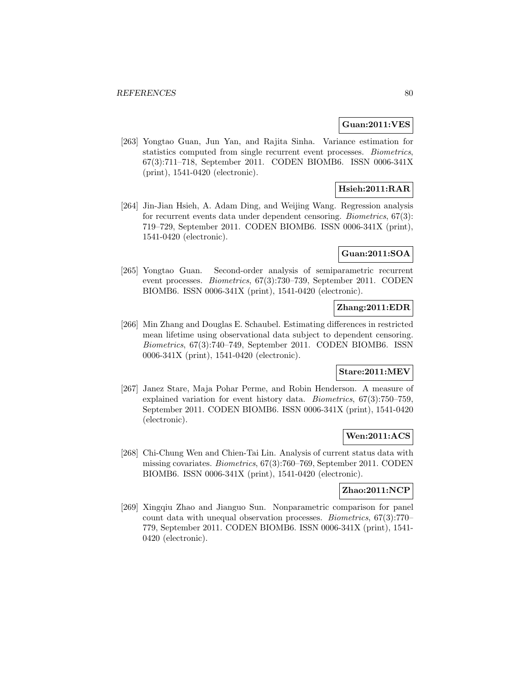#### **Guan:2011:VES**

[263] Yongtao Guan, Jun Yan, and Rajita Sinha. Variance estimation for statistics computed from single recurrent event processes. Biometrics, 67(3):711–718, September 2011. CODEN BIOMB6. ISSN 0006-341X (print), 1541-0420 (electronic).

# **Hsieh:2011:RAR**

[264] Jin-Jian Hsieh, A. Adam Ding, and Weijing Wang. Regression analysis for recurrent events data under dependent censoring. Biometrics, 67(3): 719–729, September 2011. CODEN BIOMB6. ISSN 0006-341X (print), 1541-0420 (electronic).

### **Guan:2011:SOA**

[265] Yongtao Guan. Second-order analysis of semiparametric recurrent event processes. Biometrics, 67(3):730–739, September 2011. CODEN BIOMB6. ISSN 0006-341X (print), 1541-0420 (electronic).

# **Zhang:2011:EDR**

[266] Min Zhang and Douglas E. Schaubel. Estimating differences in restricted mean lifetime using observational data subject to dependent censoring. Biometrics, 67(3):740–749, September 2011. CODEN BIOMB6. ISSN 0006-341X (print), 1541-0420 (electronic).

# **Stare:2011:MEV**

[267] Janez Stare, Maja Pohar Perme, and Robin Henderson. A measure of explained variation for event history data. Biometrics, 67(3):750–759, September 2011. CODEN BIOMB6. ISSN 0006-341X (print), 1541-0420 (electronic).

# **Wen:2011:ACS**

[268] Chi-Chung Wen and Chien-Tai Lin. Analysis of current status data with missing covariates. Biometrics, 67(3):760–769, September 2011. CODEN BIOMB6. ISSN 0006-341X (print), 1541-0420 (electronic).

## **Zhao:2011:NCP**

[269] Xingqiu Zhao and Jianguo Sun. Nonparametric comparison for panel count data with unequal observation processes. Biometrics, 67(3):770– 779, September 2011. CODEN BIOMB6. ISSN 0006-341X (print), 1541- 0420 (electronic).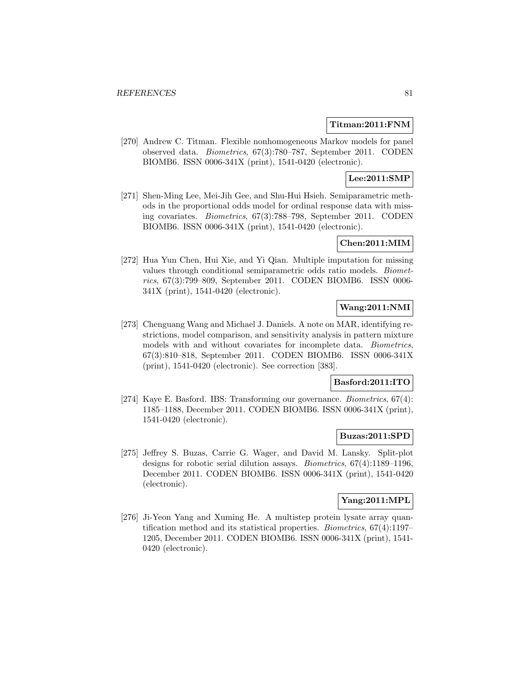#### **Titman:2011:FNM**

[270] Andrew C. Titman. Flexible nonhomogeneous Markov models for panel observed data. Biometrics, 67(3):780–787, September 2011. CODEN BIOMB6. ISSN 0006-341X (print), 1541-0420 (electronic).

# **Lee:2011:SMP**

[271] Shen-Ming Lee, Mei-Jih Gee, and Shu-Hui Hsieh. Semiparametric methods in the proportional odds model for ordinal response data with missing covariates. Biometrics, 67(3):788–798, September 2011. CODEN BIOMB6. ISSN 0006-341X (print), 1541-0420 (electronic).

## **Chen:2011:MIM**

[272] Hua Yun Chen, Hui Xie, and Yi Qian. Multiple imputation for missing values through conditional semiparametric odds ratio models. Biometrics, 67(3):799–809, September 2011. CODEN BIOMB6. ISSN 0006- 341X (print), 1541-0420 (electronic).

# **Wang:2011:NMI**

[273] Chenguang Wang and Michael J. Daniels. A note on MAR, identifying restrictions, model comparison, and sensitivity analysis in pattern mixture models with and without covariates for incomplete data. Biometrics, 67(3):810–818, September 2011. CODEN BIOMB6. ISSN 0006-341X (print), 1541-0420 (electronic). See correction [383].

#### **Basford:2011:ITO**

[274] Kaye E. Basford. IBS: Transforming our governance. Biometrics, 67(4): 1185–1188, December 2011. CODEN BIOMB6. ISSN 0006-341X (print), 1541-0420 (electronic).

#### **Buzas:2011:SPD**

[275] Jeffrey S. Buzas, Carrie G. Wager, and David M. Lansky. Split-plot designs for robotic serial dilution assays. Biometrics, 67(4):1189–1196, December 2011. CODEN BIOMB6. ISSN 0006-341X (print), 1541-0420 (electronic).

# **Yang:2011:MPL**

[276] Ji-Yeon Yang and Xuming He. A multistep protein lysate array quantification method and its statistical properties. Biometrics, 67(4):1197– 1205, December 2011. CODEN BIOMB6. ISSN 0006-341X (print), 1541- 0420 (electronic).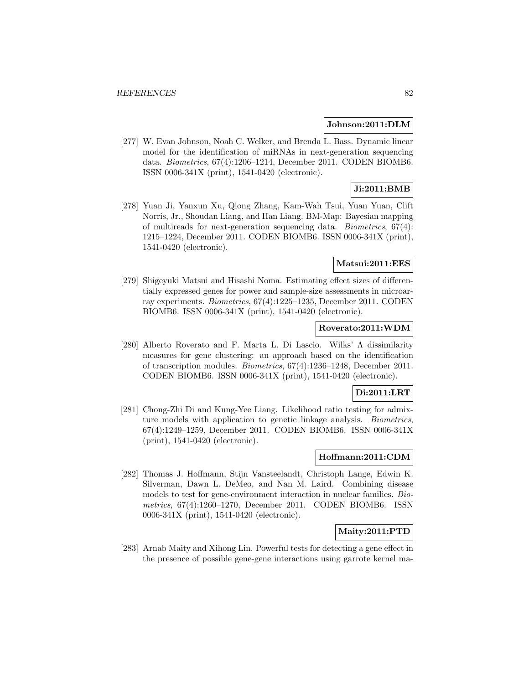#### **Johnson:2011:DLM**

[277] W. Evan Johnson, Noah C. Welker, and Brenda L. Bass. Dynamic linear model for the identification of miRNAs in next-generation sequencing data. Biometrics, 67(4):1206–1214, December 2011. CODEN BIOMB6. ISSN 0006-341X (print), 1541-0420 (electronic).

# **Ji:2011:BMB**

[278] Yuan Ji, Yanxun Xu, Qiong Zhang, Kam-Wah Tsui, Yuan Yuan, Clift Norris, Jr., Shoudan Liang, and Han Liang. BM-Map: Bayesian mapping of multireads for next-generation sequencing data. Biometrics, 67(4): 1215–1224, December 2011. CODEN BIOMB6. ISSN 0006-341X (print), 1541-0420 (electronic).

#### **Matsui:2011:EES**

[279] Shigeyuki Matsui and Hisashi Noma. Estimating effect sizes of differentially expressed genes for power and sample-size assessments in microarray experiments. Biometrics, 67(4):1225–1235, December 2011. CODEN BIOMB6. ISSN 0006-341X (print), 1541-0420 (electronic).

#### **Roverato:2011:WDM**

[280] Alberto Roverato and F. Marta L. Di Lascio. Wilks' Λ dissimilarity measures for gene clustering: an approach based on the identification of transcription modules. Biometrics, 67(4):1236–1248, December 2011. CODEN BIOMB6. ISSN 0006-341X (print), 1541-0420 (electronic).

### **Di:2011:LRT**

[281] Chong-Zhi Di and Kung-Yee Liang. Likelihood ratio testing for admixture models with application to genetic linkage analysis. Biometrics, 67(4):1249–1259, December 2011. CODEN BIOMB6. ISSN 0006-341X (print), 1541-0420 (electronic).

# **Hoffmann:2011:CDM**

[282] Thomas J. Hoffmann, Stijn Vansteelandt, Christoph Lange, Edwin K. Silverman, Dawn L. DeMeo, and Nan M. Laird. Combining disease models to test for gene-environment interaction in nuclear families. Biometrics, 67(4):1260–1270, December 2011. CODEN BIOMB6. ISSN 0006-341X (print), 1541-0420 (electronic).

## **Maity:2011:PTD**

[283] Arnab Maity and Xihong Lin. Powerful tests for detecting a gene effect in the presence of possible gene-gene interactions using garrote kernel ma-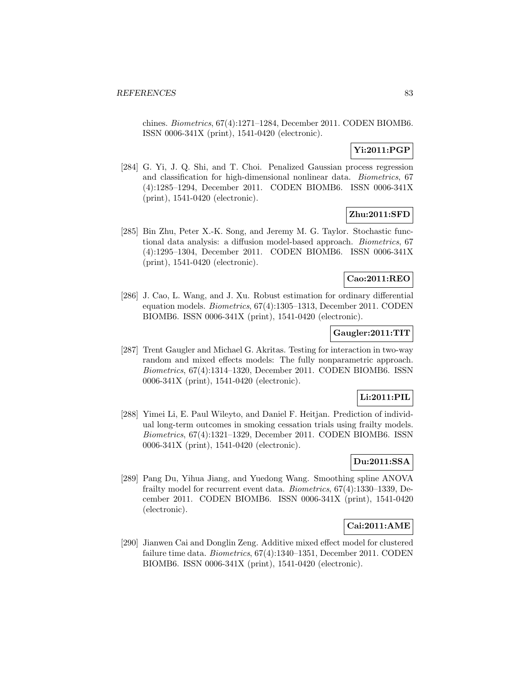chines. Biometrics, 67(4):1271–1284, December 2011. CODEN BIOMB6. ISSN 0006-341X (print), 1541-0420 (electronic).

# **Yi:2011:PGP**

[284] G. Yi, J. Q. Shi, and T. Choi. Penalized Gaussian process regression and classification for high-dimensional nonlinear data. Biometrics, 67 (4):1285–1294, December 2011. CODEN BIOMB6. ISSN 0006-341X (print), 1541-0420 (electronic).

# **Zhu:2011:SFD**

[285] Bin Zhu, Peter X.-K. Song, and Jeremy M. G. Taylor. Stochastic functional data analysis: a diffusion model-based approach. Biometrics, 67 (4):1295–1304, December 2011. CODEN BIOMB6. ISSN 0006-341X (print), 1541-0420 (electronic).

#### **Cao:2011:REO**

[286] J. Cao, L. Wang, and J. Xu. Robust estimation for ordinary differential equation models. Biometrics, 67(4):1305–1313, December 2011. CODEN BIOMB6. ISSN 0006-341X (print), 1541-0420 (electronic).

### **Gaugler:2011:TIT**

[287] Trent Gaugler and Michael G. Akritas. Testing for interaction in two-way random and mixed effects models: The fully nonparametric approach. Biometrics, 67(4):1314–1320, December 2011. CODEN BIOMB6. ISSN 0006-341X (print), 1541-0420 (electronic).

### **Li:2011:PIL**

[288] Yimei Li, E. Paul Wileyto, and Daniel F. Heitjan. Prediction of individual long-term outcomes in smoking cessation trials using frailty models. Biometrics, 67(4):1321–1329, December 2011. CODEN BIOMB6. ISSN 0006-341X (print), 1541-0420 (electronic).

# **Du:2011:SSA**

[289] Pang Du, Yihua Jiang, and Yuedong Wang. Smoothing spline ANOVA frailty model for recurrent event data. Biometrics, 67(4):1330–1339, December 2011. CODEN BIOMB6. ISSN 0006-341X (print), 1541-0420 (electronic).

# **Cai:2011:AME**

[290] Jianwen Cai and Donglin Zeng. Additive mixed effect model for clustered failure time data. Biometrics, 67(4):1340–1351, December 2011. CODEN BIOMB6. ISSN 0006-341X (print), 1541-0420 (electronic).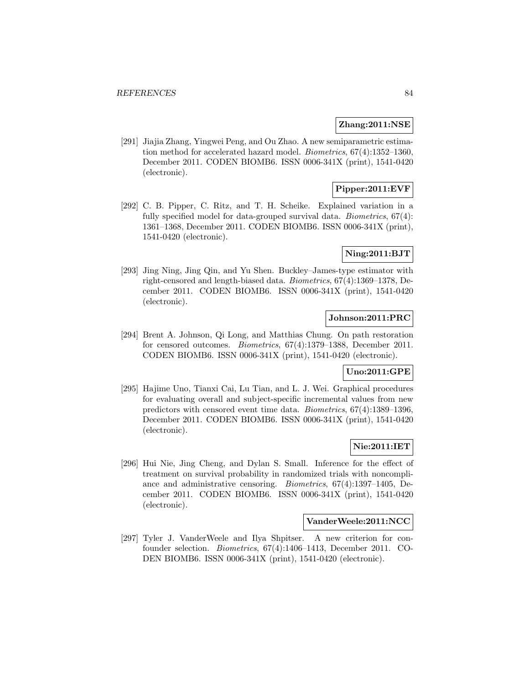### **Zhang:2011:NSE**

[291] Jiajia Zhang, Yingwei Peng, and Ou Zhao. A new semiparametric estimation method for accelerated hazard model. Biometrics, 67(4):1352–1360, December 2011. CODEN BIOMB6. ISSN 0006-341X (print), 1541-0420 (electronic).

# **Pipper:2011:EVF**

[292] C. B. Pipper, C. Ritz, and T. H. Scheike. Explained variation in a fully specified model for data-grouped survival data. Biometrics, 67(4): 1361–1368, December 2011. CODEN BIOMB6. ISSN 0006-341X (print), 1541-0420 (electronic).

## **Ning:2011:BJT**

[293] Jing Ning, Jing Qin, and Yu Shen. Buckley–James-type estimator with right-censored and length-biased data. Biometrics, 67(4):1369–1378, December 2011. CODEN BIOMB6. ISSN 0006-341X (print), 1541-0420 (electronic).

### **Johnson:2011:PRC**

[294] Brent A. Johnson, Qi Long, and Matthias Chung. On path restoration for censored outcomes. Biometrics, 67(4):1379–1388, December 2011. CODEN BIOMB6. ISSN 0006-341X (print), 1541-0420 (electronic).

# **Uno:2011:GPE**

[295] Hajime Uno, Tianxi Cai, Lu Tian, and L. J. Wei. Graphical procedures for evaluating overall and subject-specific incremental values from new predictors with censored event time data. Biometrics, 67(4):1389–1396, December 2011. CODEN BIOMB6. ISSN 0006-341X (print), 1541-0420 (electronic).

## **Nie:2011:IET**

[296] Hui Nie, Jing Cheng, and Dylan S. Small. Inference for the effect of treatment on survival probability in randomized trials with noncompliance and administrative censoring. Biometrics, 67(4):1397–1405, December 2011. CODEN BIOMB6. ISSN 0006-341X (print), 1541-0420 (electronic).

### **VanderWeele:2011:NCC**

[297] Tyler J. VanderWeele and Ilya Shpitser. A new criterion for confounder selection. Biometrics, 67(4):1406–1413, December 2011. CO-DEN BIOMB6. ISSN 0006-341X (print), 1541-0420 (electronic).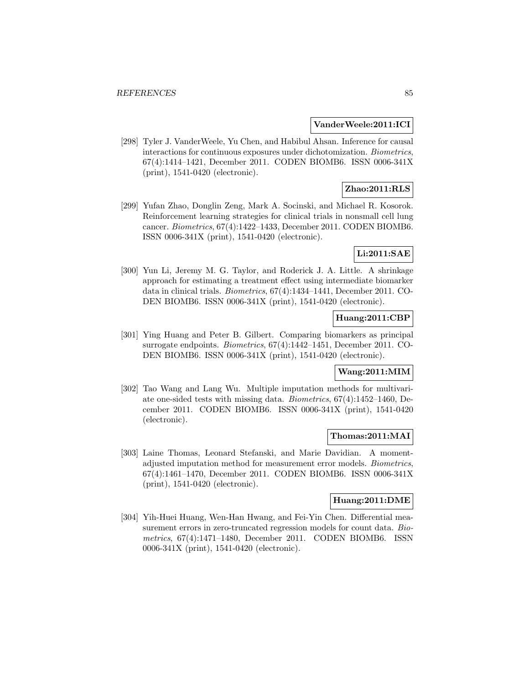#### **VanderWeele:2011:ICI**

[298] Tyler J. VanderWeele, Yu Chen, and Habibul Ahsan. Inference for causal interactions for continuous exposures under dichotomization. Biometrics, 67(4):1414–1421, December 2011. CODEN BIOMB6. ISSN 0006-341X (print), 1541-0420 (electronic).

# **Zhao:2011:RLS**

[299] Yufan Zhao, Donglin Zeng, Mark A. Socinski, and Michael R. Kosorok. Reinforcement learning strategies for clinical trials in nonsmall cell lung cancer. Biometrics, 67(4):1422–1433, December 2011. CODEN BIOMB6. ISSN 0006-341X (print), 1541-0420 (electronic).

# **Li:2011:SAE**

[300] Yun Li, Jeremy M. G. Taylor, and Roderick J. A. Little. A shrinkage approach for estimating a treatment effect using intermediate biomarker data in clinical trials. Biometrics, 67(4):1434–1441, December 2011. CO-DEN BIOMB6. ISSN 0006-341X (print), 1541-0420 (electronic).

## **Huang:2011:CBP**

[301] Ying Huang and Peter B. Gilbert. Comparing biomarkers as principal surrogate endpoints. Biometrics, 67(4):1442–1451, December 2011. CO-DEN BIOMB6. ISSN 0006-341X (print), 1541-0420 (electronic).

## **Wang:2011:MIM**

[302] Tao Wang and Lang Wu. Multiple imputation methods for multivariate one-sided tests with missing data. Biometrics, 67(4):1452–1460, December 2011. CODEN BIOMB6. ISSN 0006-341X (print), 1541-0420 (electronic).

#### **Thomas:2011:MAI**

[303] Laine Thomas, Leonard Stefanski, and Marie Davidian. A momentadjusted imputation method for measurement error models. Biometrics, 67(4):1461–1470, December 2011. CODEN BIOMB6. ISSN 0006-341X (print), 1541-0420 (electronic).

#### **Huang:2011:DME**

[304] Yih-Huei Huang, Wen-Han Hwang, and Fei-Yin Chen. Differential measurement errors in zero-truncated regression models for count data. Biometrics, 67(4):1471–1480, December 2011. CODEN BIOMB6. ISSN 0006-341X (print), 1541-0420 (electronic).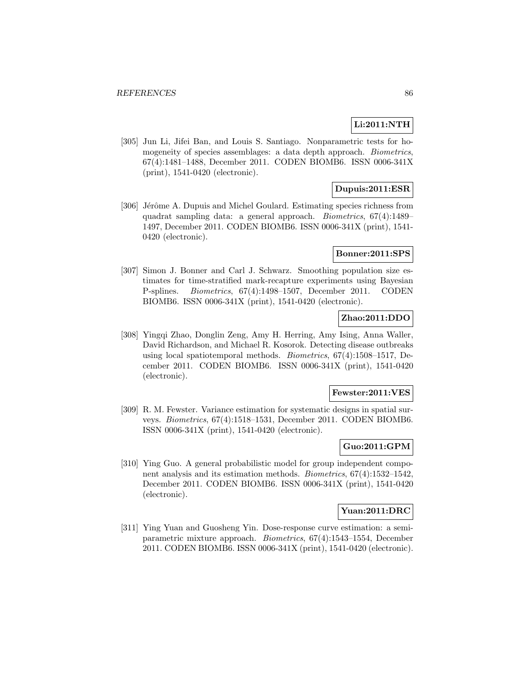#### **Li:2011:NTH**

[305] Jun Li, Jifei Ban, and Louis S. Santiago. Nonparametric tests for homogeneity of species assemblages: a data depth approach. Biometrics, 67(4):1481–1488, December 2011. CODEN BIOMB6. ISSN 0006-341X (print), 1541-0420 (electronic).

# **Dupuis:2011:ESR**

[306] Jérôme A. Dupuis and Michel Goulard. Estimating species richness from quadrat sampling data: a general approach. Biometrics, 67(4):1489– 1497, December 2011. CODEN BIOMB6. ISSN 0006-341X (print), 1541- 0420 (electronic).

## **Bonner:2011:SPS**

[307] Simon J. Bonner and Carl J. Schwarz. Smoothing population size estimates for time-stratified mark-recapture experiments using Bayesian P-splines. Biometrics, 67(4):1498–1507, December 2011. CODEN BIOMB6. ISSN 0006-341X (print), 1541-0420 (electronic).

# **Zhao:2011:DDO**

[308] Yingqi Zhao, Donglin Zeng, Amy H. Herring, Amy Ising, Anna Waller, David Richardson, and Michael R. Kosorok. Detecting disease outbreaks using local spatiotemporal methods. Biometrics, 67(4):1508–1517, December 2011. CODEN BIOMB6. ISSN 0006-341X (print), 1541-0420 (electronic).

#### **Fewster:2011:VES**

[309] R. M. Fewster. Variance estimation for systematic designs in spatial surveys. Biometrics, 67(4):1518–1531, December 2011. CODEN BIOMB6. ISSN 0006-341X (print), 1541-0420 (electronic).

### **Guo:2011:GPM**

[310] Ying Guo. A general probabilistic model for group independent component analysis and its estimation methods. Biometrics, 67(4):1532–1542, December 2011. CODEN BIOMB6. ISSN 0006-341X (print), 1541-0420 (electronic).

#### **Yuan:2011:DRC**

[311] Ying Yuan and Guosheng Yin. Dose-response curve estimation: a semiparametric mixture approach. Biometrics, 67(4):1543–1554, December 2011. CODEN BIOMB6. ISSN 0006-341X (print), 1541-0420 (electronic).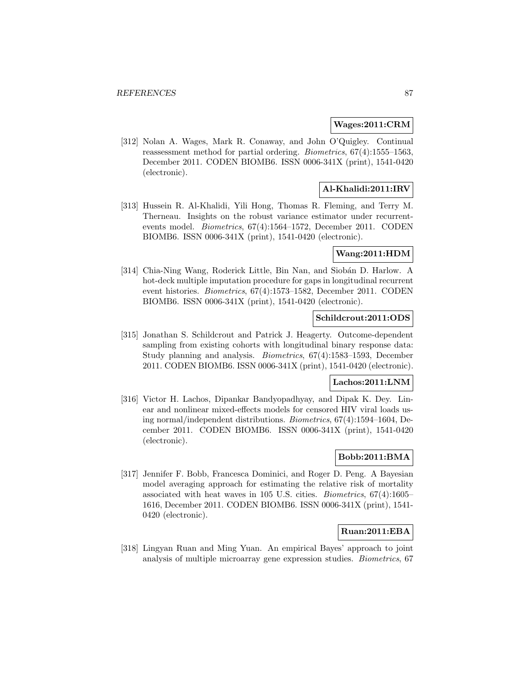#### **Wages:2011:CRM**

[312] Nolan A. Wages, Mark R. Conaway, and John O'Quigley. Continual reassessment method for partial ordering. Biometrics, 67(4):1555–1563, December 2011. CODEN BIOMB6. ISSN 0006-341X (print), 1541-0420 (electronic).

# **Al-Khalidi:2011:IRV**

[313] Hussein R. Al-Khalidi, Yili Hong, Thomas R. Fleming, and Terry M. Therneau. Insights on the robust variance estimator under recurrentevents model. Biometrics, 67(4):1564–1572, December 2011. CODEN BIOMB6. ISSN 0006-341X (print), 1541-0420 (electronic).

### **Wang:2011:HDM**

[314] Chia-Ning Wang, Roderick Little, Bin Nan, and Siobán D. Harlow. A hot-deck multiple imputation procedure for gaps in longitudinal recurrent event histories. Biometrics, 67(4):1573–1582, December 2011. CODEN BIOMB6. ISSN 0006-341X (print), 1541-0420 (electronic).

### **Schildcrout:2011:ODS**

[315] Jonathan S. Schildcrout and Patrick J. Heagerty. Outcome-dependent sampling from existing cohorts with longitudinal binary response data: Study planning and analysis. Biometrics, 67(4):1583–1593, December 2011. CODEN BIOMB6. ISSN 0006-341X (print), 1541-0420 (electronic).

#### **Lachos:2011:LNM**

[316] Victor H. Lachos, Dipankar Bandyopadhyay, and Dipak K. Dey. Linear and nonlinear mixed-effects models for censored HIV viral loads using normal/independent distributions. Biometrics, 67(4):1594–1604, December 2011. CODEN BIOMB6. ISSN 0006-341X (print), 1541-0420 (electronic).

## **Bobb:2011:BMA**

[317] Jennifer F. Bobb, Francesca Dominici, and Roger D. Peng. A Bayesian model averaging approach for estimating the relative risk of mortality associated with heat waves in 105 U.S. cities. Biometrics, 67(4):1605– 1616, December 2011. CODEN BIOMB6. ISSN 0006-341X (print), 1541- 0420 (electronic).

## **Ruan:2011:EBA**

[318] Lingyan Ruan and Ming Yuan. An empirical Bayes' approach to joint analysis of multiple microarray gene expression studies. Biometrics, 67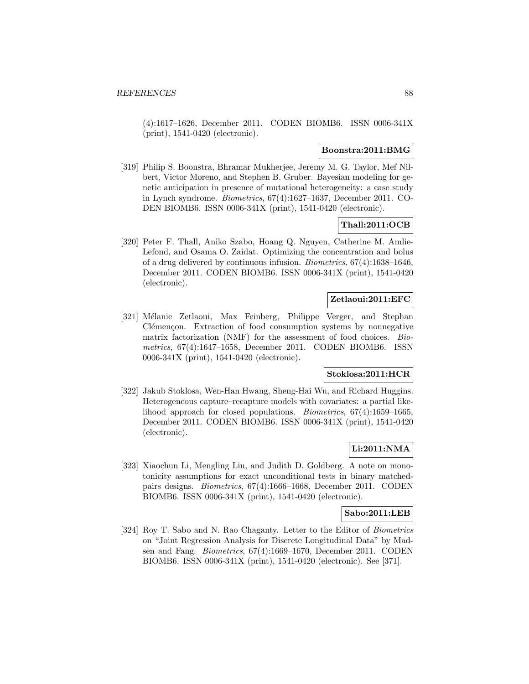(4):1617–1626, December 2011. CODEN BIOMB6. ISSN 0006-341X (print), 1541-0420 (electronic).

#### **Boonstra:2011:BMG**

[319] Philip S. Boonstra, Bhramar Mukherjee, Jeremy M. G. Taylor, Mef Nilbert, Victor Moreno, and Stephen B. Gruber. Bayesian modeling for genetic anticipation in presence of mutational heterogeneity: a case study in Lynch syndrome. Biometrics, 67(4):1627–1637, December 2011. CO-DEN BIOMB6. ISSN 0006-341X (print), 1541-0420 (electronic).

# **Thall:2011:OCB**

[320] Peter F. Thall, Aniko Szabo, Hoang Q. Nguyen, Catherine M. Amlie-Lefond, and Osama O. Zaidat. Optimizing the concentration and bolus of a drug delivered by continuous infusion. Biometrics, 67(4):1638–1646, December 2011. CODEN BIOMB6. ISSN 0006-341X (print), 1541-0420 (electronic).

## **Zetlaoui:2011:EFC**

[321] Mélanie Zetlaoui, Max Feinberg, Philippe Verger, and Stephan Clémençon. Extraction of food consumption systems by nonnegative matrix factorization (NMF) for the assessment of food choices. Biometrics, 67(4):1647–1658, December 2011. CODEN BIOMB6. ISSN 0006-341X (print), 1541-0420 (electronic).

# **Stoklosa:2011:HCR**

[322] Jakub Stoklosa, Wen-Han Hwang, Sheng-Hai Wu, and Richard Huggins. Heterogeneous capture–recapture models with covariates: a partial likelihood approach for closed populations. Biometrics, 67(4):1659–1665, December 2011. CODEN BIOMB6. ISSN 0006-341X (print), 1541-0420 (electronic).

#### **Li:2011:NMA**

[323] Xiaochun Li, Mengling Liu, and Judith D. Goldberg. A note on monotonicity assumptions for exact unconditional tests in binary matchedpairs designs. Biometrics, 67(4):1666–1668, December 2011. CODEN BIOMB6. ISSN 0006-341X (print), 1541-0420 (electronic).

# **Sabo:2011:LEB**

[324] Roy T. Sabo and N. Rao Chaganty. Letter to the Editor of Biometrics on "Joint Regression Analysis for Discrete Longitudinal Data" by Madsen and Fang. Biometrics, 67(4):1669–1670, December 2011. CODEN BIOMB6. ISSN 0006-341X (print), 1541-0420 (electronic). See [371].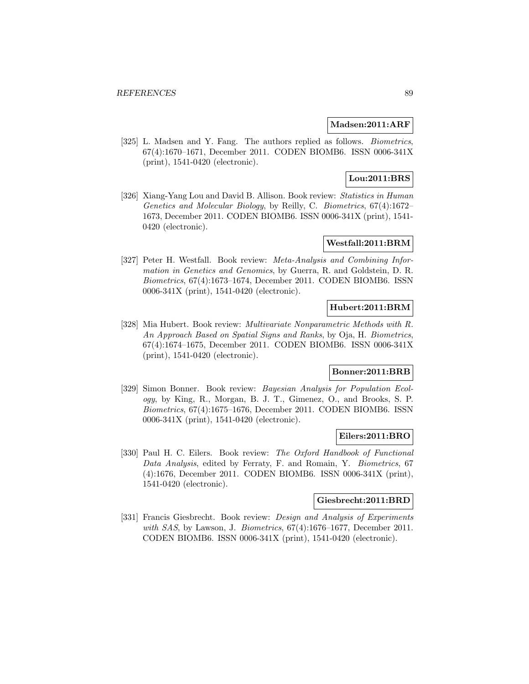#### **Madsen:2011:ARF**

[325] L. Madsen and Y. Fang. The authors replied as follows. Biometrics, 67(4):1670–1671, December 2011. CODEN BIOMB6. ISSN 0006-341X (print), 1541-0420 (electronic).

# **Lou:2011:BRS**

[326] Xiang-Yang Lou and David B. Allison. Book review: Statistics in Human Genetics and Molecular Biology, by Reilly, C. Biometrics, 67(4):1672– 1673, December 2011. CODEN BIOMB6. ISSN 0006-341X (print), 1541- 0420 (electronic).

# **Westfall:2011:BRM**

[327] Peter H. Westfall. Book review: Meta-Analysis and Combining Information in Genetics and Genomics, by Guerra, R. and Goldstein, D. R. Biometrics, 67(4):1673–1674, December 2011. CODEN BIOMB6. ISSN 0006-341X (print), 1541-0420 (electronic).

# **Hubert:2011:BRM**

[328] Mia Hubert. Book review: Multivariate Nonparametric Methods with R. An Approach Based on Spatial Signs and Ranks, by Oja, H. Biometrics, 67(4):1674–1675, December 2011. CODEN BIOMB6. ISSN 0006-341X (print), 1541-0420 (electronic).

# **Bonner:2011:BRB**

[329] Simon Bonner. Book review: Bayesian Analysis for Population Ecology, by King, R., Morgan, B. J. T., Gimenez, O., and Brooks, S. P. Biometrics, 67(4):1675–1676, December 2011. CODEN BIOMB6. ISSN 0006-341X (print), 1541-0420 (electronic).

#### **Eilers:2011:BRO**

[330] Paul H. C. Eilers. Book review: The Oxford Handbook of Functional Data Analysis, edited by Ferraty, F. and Romain, Y. Biometrics, 67 (4):1676, December 2011. CODEN BIOMB6. ISSN 0006-341X (print), 1541-0420 (electronic).

#### **Giesbrecht:2011:BRD**

[331] Francis Giesbrecht. Book review: *Design and Analysis of Experiments* with SAS, by Lawson, J. Biometrics,  $67(4):1676-1677$ , December 2011. CODEN BIOMB6. ISSN 0006-341X (print), 1541-0420 (electronic).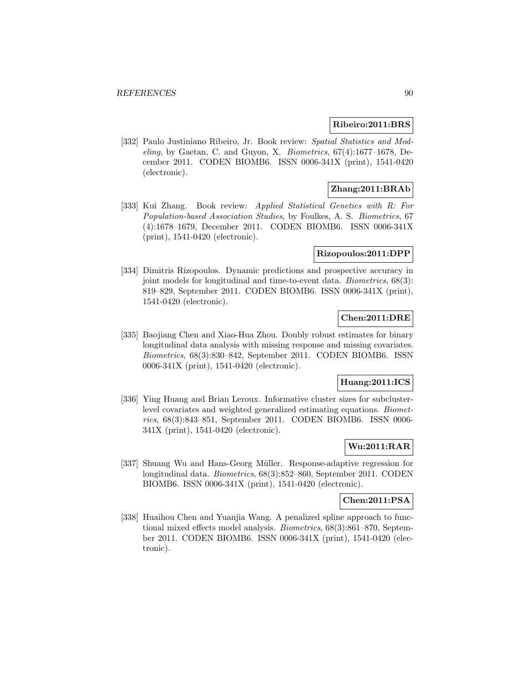#### **Ribeiro:2011:BRS**

[332] Paulo Justiniano Ribeiro, Jr. Book review: Spatial Statistics and Modeling, by Gaetan, C. and Guyon, X. Biometrics, 67(4):1677–1678, December 2011. CODEN BIOMB6. ISSN 0006-341X (print), 1541-0420 (electronic).

# **Zhang:2011:BRAb**

[333] Kui Zhang. Book review: Applied Statistical Genetics with R: For Population-based Association Studies, by Foulkes, A. S. Biometrics, 67 (4):1678–1679, December 2011. CODEN BIOMB6. ISSN 0006-341X (print), 1541-0420 (electronic).

#### **Rizopoulos:2011:DPP**

[334] Dimitris Rizopoulos. Dynamic predictions and prospective accuracy in joint models for longitudinal and time-to-event data. Biometrics, 68(3): 819–829, September 2011. CODEN BIOMB6. ISSN 0006-341X (print), 1541-0420 (electronic).

### **Chen:2011:DRE**

[335] Baojiang Chen and Xiao-Hua Zhou. Doubly robust estimates for binary longitudinal data analysis with missing response and missing covariates. Biometrics, 68(3):830–842, September 2011. CODEN BIOMB6. ISSN 0006-341X (print), 1541-0420 (electronic).

#### **Huang:2011:ICS**

[336] Ying Huang and Brian Leroux. Informative cluster sizes for subclusterlevel covariates and weighted generalized estimating equations. Biometrics, 68(3):843–851, September 2011. CODEN BIOMB6. ISSN 0006- 341X (print), 1541-0420 (electronic).

### **Wu:2011:RAR**

[337] Shuang Wu and Hans-Georg Müller. Response-adaptive regression for longitudinal data. Biometrics, 68(3):852–860, September 2011. CODEN BIOMB6. ISSN 0006-341X (print), 1541-0420 (electronic).

#### **Chen:2011:PSA**

[338] Huaihou Chen and Yuanjia Wang. A penalized spline approach to functional mixed effects model analysis. Biometrics, 68(3):861–870, September 2011. CODEN BIOMB6. ISSN 0006-341X (print), 1541-0420 (electronic).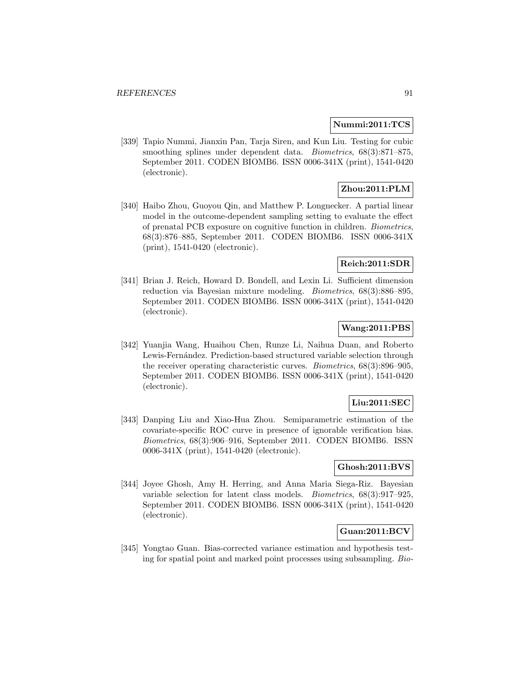#### **Nummi:2011:TCS**

[339] Tapio Nummi, Jianxin Pan, Tarja Siren, and Kun Liu. Testing for cubic smoothing splines under dependent data. *Biometrics*,  $68(3):871-875$ , September 2011. CODEN BIOMB6. ISSN 0006-341X (print), 1541-0420 (electronic).

# **Zhou:2011:PLM**

[340] Haibo Zhou, Guoyou Qin, and Matthew P. Longnecker. A partial linear model in the outcome-dependent sampling setting to evaluate the effect of prenatal PCB exposure on cognitive function in children. Biometrics, 68(3):876–885, September 2011. CODEN BIOMB6. ISSN 0006-341X (print), 1541-0420 (electronic).

#### **Reich:2011:SDR**

[341] Brian J. Reich, Howard D. Bondell, and Lexin Li. Sufficient dimension reduction via Bayesian mixture modeling. Biometrics, 68(3):886–895, September 2011. CODEN BIOMB6. ISSN 0006-341X (print), 1541-0420 (electronic).

# **Wang:2011:PBS**

[342] Yuanjia Wang, Huaihou Chen, Runze Li, Naihua Duan, and Roberto Lewis-Fernández. Prediction-based structured variable selection through the receiver operating characteristic curves. Biometrics, 68(3):896–905, September 2011. CODEN BIOMB6. ISSN 0006-341X (print), 1541-0420 (electronic).

# **Liu:2011:SEC**

[343] Danping Liu and Xiao-Hua Zhou. Semiparametric estimation of the covariate-specific ROC curve in presence of ignorable verification bias. Biometrics, 68(3):906–916, September 2011. CODEN BIOMB6. ISSN 0006-341X (print), 1541-0420 (electronic).

### **Ghosh:2011:BVS**

[344] Joyee Ghosh, Amy H. Herring, and Anna Maria Siega-Riz. Bayesian variable selection for latent class models. Biometrics, 68(3):917–925, September 2011. CODEN BIOMB6. ISSN 0006-341X (print), 1541-0420 (electronic).

# **Guan:2011:BCV**

[345] Yongtao Guan. Bias-corrected variance estimation and hypothesis testing for spatial point and marked point processes using subsampling. Bio-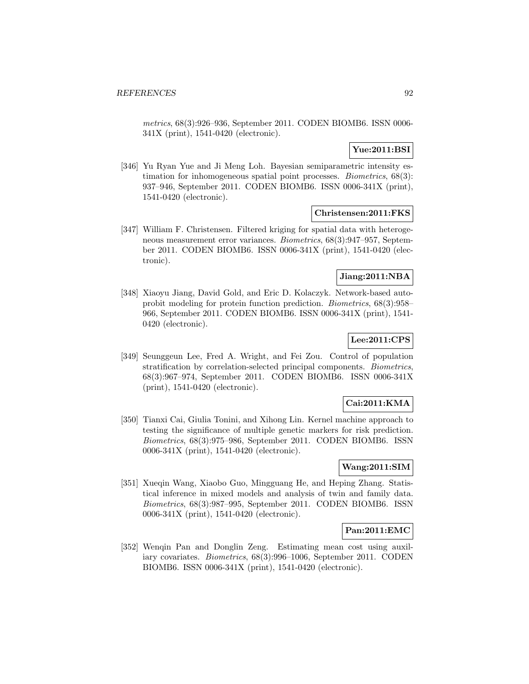metrics, 68(3):926–936, September 2011. CODEN BIOMB6. ISSN 0006- 341X (print), 1541-0420 (electronic).

# **Yue:2011:BSI**

[346] Yu Ryan Yue and Ji Meng Loh. Bayesian semiparametric intensity estimation for inhomogeneous spatial point processes. Biometrics, 68(3): 937–946, September 2011. CODEN BIOMB6. ISSN 0006-341X (print), 1541-0420 (electronic).

### **Christensen:2011:FKS**

[347] William F. Christensen. Filtered kriging for spatial data with heterogeneous measurement error variances. Biometrics, 68(3):947–957, September 2011. CODEN BIOMB6. ISSN 0006-341X (print), 1541-0420 (electronic).

# **Jiang:2011:NBA**

[348] Xiaoyu Jiang, David Gold, and Eric D. Kolaczyk. Network-based autoprobit modeling for protein function prediction. Biometrics, 68(3):958– 966, September 2011. CODEN BIOMB6. ISSN 0006-341X (print), 1541- 0420 (electronic).

# **Lee:2011:CPS**

[349] Seunggeun Lee, Fred A. Wright, and Fei Zou. Control of population stratification by correlation-selected principal components. Biometrics, 68(3):967–974, September 2011. CODEN BIOMB6. ISSN 0006-341X (print), 1541-0420 (electronic).

# **Cai:2011:KMA**

[350] Tianxi Cai, Giulia Tonini, and Xihong Lin. Kernel machine approach to testing the significance of multiple genetic markers for risk prediction. Biometrics, 68(3):975–986, September 2011. CODEN BIOMB6. ISSN 0006-341X (print), 1541-0420 (electronic).

### **Wang:2011:SIM**

[351] Xueqin Wang, Xiaobo Guo, Mingguang He, and Heping Zhang. Statistical inference in mixed models and analysis of twin and family data. Biometrics, 68(3):987–995, September 2011. CODEN BIOMB6. ISSN 0006-341X (print), 1541-0420 (electronic).

#### **Pan:2011:EMC**

[352] Wenqin Pan and Donglin Zeng. Estimating mean cost using auxiliary covariates. Biometrics, 68(3):996–1006, September 2011. CODEN BIOMB6. ISSN 0006-341X (print), 1541-0420 (electronic).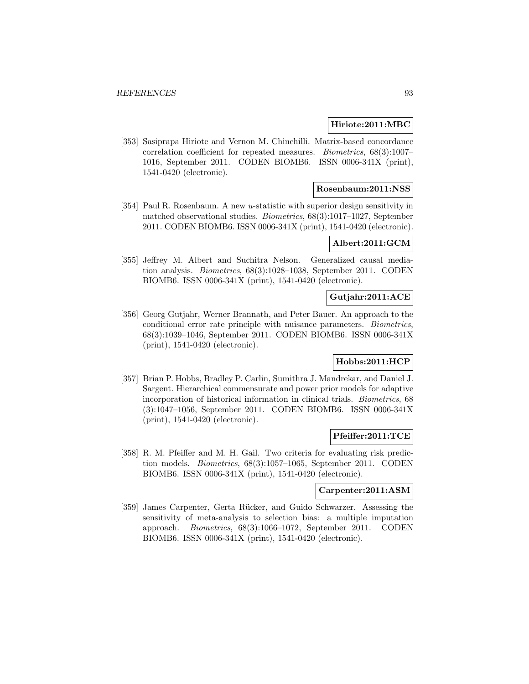#### **Hiriote:2011:MBC**

[353] Sasiprapa Hiriote and Vernon M. Chinchilli. Matrix-based concordance correlation coefficient for repeated measures. Biometrics, 68(3):1007– 1016, September 2011. CODEN BIOMB6. ISSN 0006-341X (print), 1541-0420 (electronic).

## **Rosenbaum:2011:NSS**

[354] Paul R. Rosenbaum. A new u-statistic with superior design sensitivity in matched observational studies. Biometrics, 68(3):1017–1027, September 2011. CODEN BIOMB6. ISSN 0006-341X (print), 1541-0420 (electronic).

#### **Albert:2011:GCM**

[355] Jeffrey M. Albert and Suchitra Nelson. Generalized causal mediation analysis. Biometrics, 68(3):1028–1038, September 2011. CODEN BIOMB6. ISSN 0006-341X (print), 1541-0420 (electronic).

# **Gutjahr:2011:ACE**

[356] Georg Gutjahr, Werner Brannath, and Peter Bauer. An approach to the conditional error rate principle with nuisance parameters. Biometrics, 68(3):1039–1046, September 2011. CODEN BIOMB6. ISSN 0006-341X (print), 1541-0420 (electronic).

#### **Hobbs:2011:HCP**

[357] Brian P. Hobbs, Bradley P. Carlin, Sumithra J. Mandrekar, and Daniel J. Sargent. Hierarchical commensurate and power prior models for adaptive incorporation of historical information in clinical trials. Biometrics, 68 (3):1047–1056, September 2011. CODEN BIOMB6. ISSN 0006-341X (print), 1541-0420 (electronic).

#### **Pfeiffer:2011:TCE**

[358] R. M. Pfeiffer and M. H. Gail. Two criteria for evaluating risk prediction models. Biometrics, 68(3):1057–1065, September 2011. CODEN BIOMB6. ISSN 0006-341X (print), 1541-0420 (electronic).

#### **Carpenter:2011:ASM**

[359] James Carpenter, Gerta Rücker, and Guido Schwarzer. Assessing the sensitivity of meta-analysis to selection bias: a multiple imputation approach. Biometrics, 68(3):1066–1072, September 2011. CODEN BIOMB6. ISSN 0006-341X (print), 1541-0420 (electronic).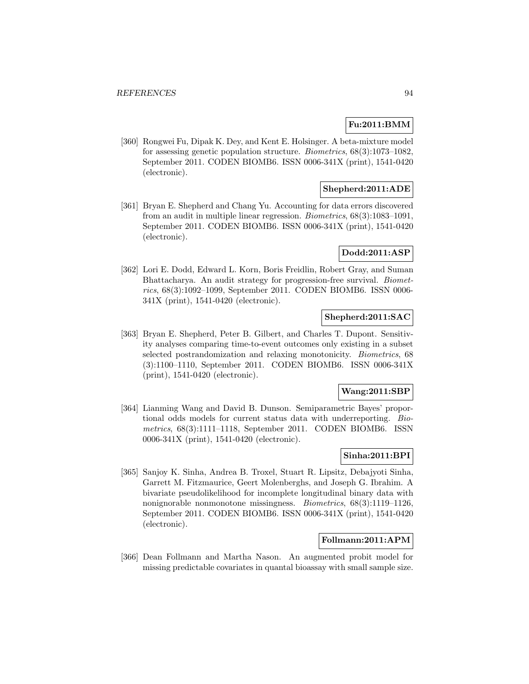# **Fu:2011:BMM**

[360] Rongwei Fu, Dipak K. Dey, and Kent E. Holsinger. A beta-mixture model for assessing genetic population structure. Biometrics, 68(3):1073–1082, September 2011. CODEN BIOMB6. ISSN 0006-341X (print), 1541-0420 (electronic).

### **Shepherd:2011:ADE**

[361] Bryan E. Shepherd and Chang Yu. Accounting for data errors discovered from an audit in multiple linear regression. Biometrics, 68(3):1083–1091, September 2011. CODEN BIOMB6. ISSN 0006-341X (print), 1541-0420 (electronic).

### **Dodd:2011:ASP**

[362] Lori E. Dodd, Edward L. Korn, Boris Freidlin, Robert Gray, and Suman Bhattacharya. An audit strategy for progression-free survival. Biometrics, 68(3):1092–1099, September 2011. CODEN BIOMB6. ISSN 0006- 341X (print), 1541-0420 (electronic).

# **Shepherd:2011:SAC**

[363] Bryan E. Shepherd, Peter B. Gilbert, and Charles T. Dupont. Sensitivity analyses comparing time-to-event outcomes only existing in a subset selected postrandomization and relaxing monotonicity. Biometrics, 68 (3):1100–1110, September 2011. CODEN BIOMB6. ISSN 0006-341X (print), 1541-0420 (electronic).

#### **Wang:2011:SBP**

[364] Lianming Wang and David B. Dunson. Semiparametric Bayes' proportional odds models for current status data with underreporting. Biometrics, 68(3):1111–1118, September 2011. CODEN BIOMB6. ISSN 0006-341X (print), 1541-0420 (electronic).

# **Sinha:2011:BPI**

[365] Sanjoy K. Sinha, Andrea B. Troxel, Stuart R. Lipsitz, Debajyoti Sinha, Garrett M. Fitzmaurice, Geert Molenberghs, and Joseph G. Ibrahim. A bivariate pseudolikelihood for incomplete longitudinal binary data with nonignorable nonmonotone missingness. Biometrics, 68(3):1119–1126, September 2011. CODEN BIOMB6. ISSN 0006-341X (print), 1541-0420 (electronic).

#### **Follmann:2011:APM**

[366] Dean Follmann and Martha Nason. An augmented probit model for missing predictable covariates in quantal bioassay with small sample size.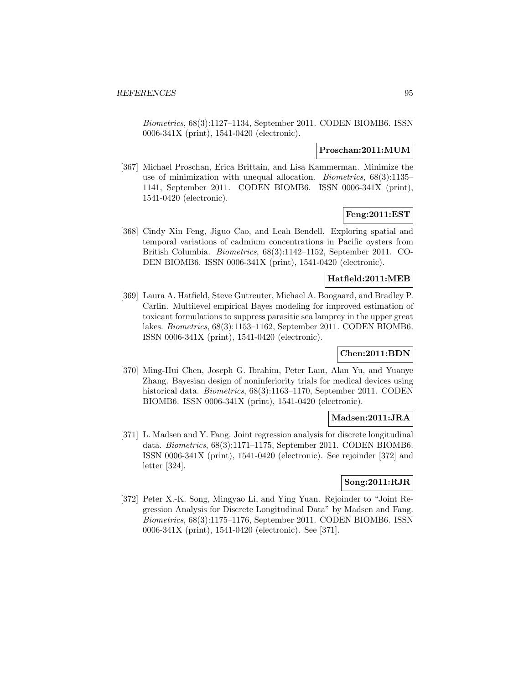Biometrics, 68(3):1127–1134, September 2011. CODEN BIOMB6. ISSN 0006-341X (print), 1541-0420 (electronic).

#### **Proschan:2011:MUM**

[367] Michael Proschan, Erica Brittain, and Lisa Kammerman. Minimize the use of minimization with unequal allocation. Biometrics, 68(3):1135– 1141, September 2011. CODEN BIOMB6. ISSN 0006-341X (print), 1541-0420 (electronic).

### **Feng:2011:EST**

[368] Cindy Xin Feng, Jiguo Cao, and Leah Bendell. Exploring spatial and temporal variations of cadmium concentrations in Pacific oysters from British Columbia. Biometrics, 68(3):1142–1152, September 2011. CO-DEN BIOMB6. ISSN 0006-341X (print), 1541-0420 (electronic).

#### **Hatfield:2011:MEB**

[369] Laura A. Hatfield, Steve Gutreuter, Michael A. Boogaard, and Bradley P. Carlin. Multilevel empirical Bayes modeling for improved estimation of toxicant formulations to suppress parasitic sea lamprey in the upper great lakes. Biometrics, 68(3):1153–1162, September 2011. CODEN BIOMB6. ISSN 0006-341X (print), 1541-0420 (electronic).

# **Chen:2011:BDN**

[370] Ming-Hui Chen, Joseph G. Ibrahim, Peter Lam, Alan Yu, and Yuanye Zhang. Bayesian design of noninferiority trials for medical devices using historical data. Biometrics, 68(3):1163–1170, September 2011. CODEN BIOMB6. ISSN 0006-341X (print), 1541-0420 (electronic).

#### **Madsen:2011:JRA**

[371] L. Madsen and Y. Fang. Joint regression analysis for discrete longitudinal data. Biometrics, 68(3):1171–1175, September 2011. CODEN BIOMB6. ISSN 0006-341X (print), 1541-0420 (electronic). See rejoinder [372] and letter [324].

# **Song:2011:RJR**

[372] Peter X.-K. Song, Mingyao Li, and Ying Yuan. Rejoinder to "Joint Regression Analysis for Discrete Longitudinal Data" by Madsen and Fang. Biometrics, 68(3):1175–1176, September 2011. CODEN BIOMB6. ISSN 0006-341X (print), 1541-0420 (electronic). See [371].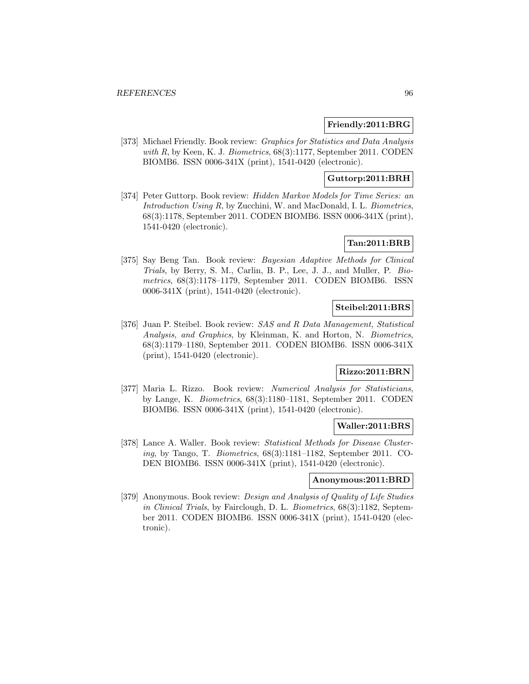### **Friendly:2011:BRG**

[373] Michael Friendly. Book review: Graphics for Statistics and Data Analysis with R, by Keen, K. J. Biometrics,  $68(3):1177$ , September 2011. CODEN BIOMB6. ISSN 0006-341X (print), 1541-0420 (electronic).

### **Guttorp:2011:BRH**

[374] Peter Guttorp. Book review: Hidden Markov Models for Time Series: an Introduction Using R, by Zucchini, W. and MacDonald, I. L. Biometrics, 68(3):1178, September 2011. CODEN BIOMB6. ISSN 0006-341X (print), 1541-0420 (electronic).

### **Tan:2011:BRB**

[375] Say Beng Tan. Book review: Bayesian Adaptive Methods for Clinical Trials, by Berry, S. M., Carlin, B. P., Lee, J. J., and Muller, P. Biometrics, 68(3):1178–1179, September 2011. CODEN BIOMB6. ISSN 0006-341X (print), 1541-0420 (electronic).

# **Steibel:2011:BRS**

[376] Juan P. Steibel. Book review: SAS and R Data Management, Statistical Analysis, and Graphics, by Kleinman, K. and Horton, N. Biometrics, 68(3):1179–1180, September 2011. CODEN BIOMB6. ISSN 0006-341X (print), 1541-0420 (electronic).

# **Rizzo:2011:BRN**

[377] Maria L. Rizzo. Book review: Numerical Analysis for Statisticians, by Lange, K. Biometrics, 68(3):1180–1181, September 2011. CODEN BIOMB6. ISSN 0006-341X (print), 1541-0420 (electronic).

## **Waller:2011:BRS**

[378] Lance A. Waller. Book review: Statistical Methods for Disease Clustering, by Tango, T. Biometrics, 68(3):1181–1182, September 2011. CO-DEN BIOMB6. ISSN 0006-341X (print), 1541-0420 (electronic).

#### **Anonymous:2011:BRD**

[379] Anonymous. Book review: Design and Analysis of Quality of Life Studies in Clinical Trials, by Fairclough, D. L. Biometrics, 68(3):1182, September 2011. CODEN BIOMB6. ISSN 0006-341X (print), 1541-0420 (electronic).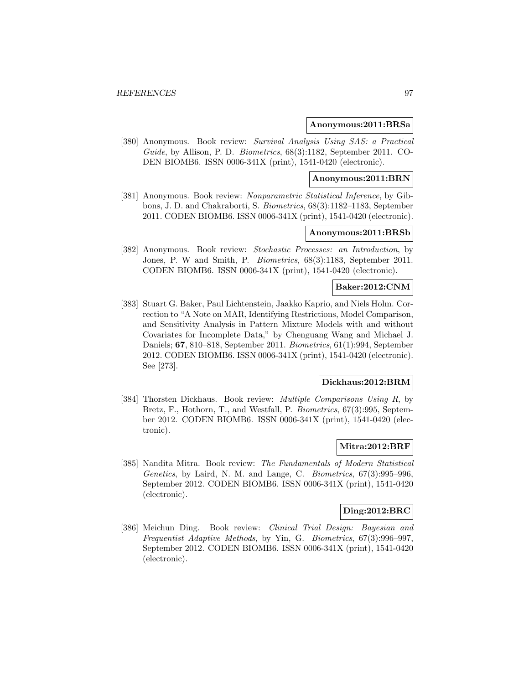#### **Anonymous:2011:BRSa**

[380] Anonymous. Book review: Survival Analysis Using SAS: a Practical Guide, by Allison, P. D. Biometrics, 68(3):1182, September 2011. CO-DEN BIOMB6. ISSN 0006-341X (print), 1541-0420 (electronic).

#### **Anonymous:2011:BRN**

[381] Anonymous. Book review: *Nonparametric Statistical Inference*, by Gibbons, J. D. and Chakraborti, S. Biometrics, 68(3):1182–1183, September 2011. CODEN BIOMB6. ISSN 0006-341X (print), 1541-0420 (electronic).

### **Anonymous:2011:BRSb**

[382] Anonymous. Book review: Stochastic Processes: an Introduction, by Jones, P. W and Smith, P. Biometrics, 68(3):1183, September 2011. CODEN BIOMB6. ISSN 0006-341X (print), 1541-0420 (electronic).

#### **Baker:2012:CNM**

[383] Stuart G. Baker, Paul Lichtenstein, Jaakko Kaprio, and Niels Holm. Correction to "A Note on MAR, Identifying Restrictions, Model Comparison, and Sensitivity Analysis in Pattern Mixture Models with and without Covariates for Incomplete Data," by Chenguang Wang and Michael J. Daniels; **67**, 810–818, September 2011. Biometrics, 61(1):994, September 2012. CODEN BIOMB6. ISSN 0006-341X (print), 1541-0420 (electronic). See [273].

#### **Dickhaus:2012:BRM**

[384] Thorsten Dickhaus. Book review: Multiple Comparisons Using R, by Bretz, F., Hothorn, T., and Westfall, P. Biometrics, 67(3):995, September 2012. CODEN BIOMB6. ISSN 0006-341X (print), 1541-0420 (electronic).

### **Mitra:2012:BRF**

[385] Nandita Mitra. Book review: The Fundamentals of Modern Statistical Genetics, by Laird, N. M. and Lange, C. Biometrics, 67(3):995–996, September 2012. CODEN BIOMB6. ISSN 0006-341X (print), 1541-0420 (electronic).

#### **Ding:2012:BRC**

[386] Meichun Ding. Book review: Clinical Trial Design: Bayesian and Frequentist Adaptive Methods, by Yin, G. Biometrics, 67(3):996–997, September 2012. CODEN BIOMB6. ISSN 0006-341X (print), 1541-0420 (electronic).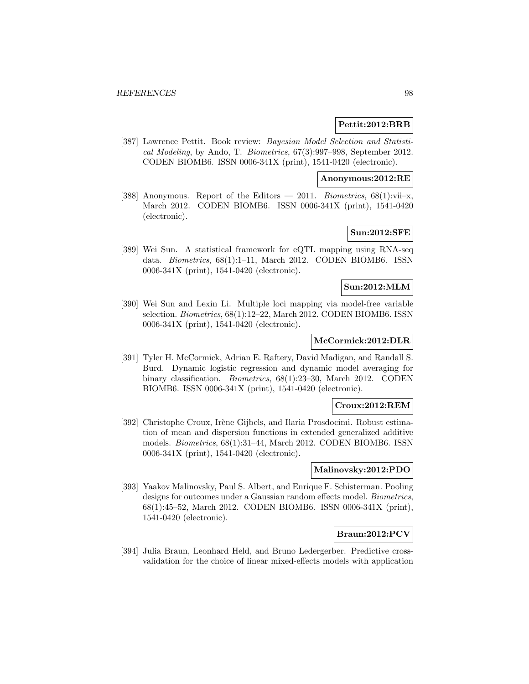#### **Pettit:2012:BRB**

[387] Lawrence Pettit. Book review: Bayesian Model Selection and Statistical Modeling, by Ando, T. Biometrics, 67(3):997–998, September 2012. CODEN BIOMB6. ISSN 0006-341X (print), 1541-0420 (electronic).

#### **Anonymous:2012:RE**

[388] Anonymous. Report of the Editors — 2011. Biometrics,  $68(1):$ vii–x, March 2012. CODEN BIOMB6. ISSN 0006-341X (print), 1541-0420 (electronic).

# **Sun:2012:SFE**

[389] Wei Sun. A statistical framework for eQTL mapping using RNA-seq data. Biometrics, 68(1):1–11, March 2012. CODEN BIOMB6. ISSN 0006-341X (print), 1541-0420 (electronic).

#### **Sun:2012:MLM**

[390] Wei Sun and Lexin Li. Multiple loci mapping via model-free variable selection. Biometrics,  $68(1):12-22$ , March 2012. CODEN BIOMB6. ISSN 0006-341X (print), 1541-0420 (electronic).

# **McCormick:2012:DLR**

[391] Tyler H. McCormick, Adrian E. Raftery, David Madigan, and Randall S. Burd. Dynamic logistic regression and dynamic model averaging for binary classification. Biometrics, 68(1):23–30, March 2012. CODEN BIOMB6. ISSN 0006-341X (print), 1541-0420 (electronic).

#### **Croux:2012:REM**

[392] Christophe Croux, Irène Gijbels, and Ilaria Prosdocimi. Robust estimation of mean and dispersion functions in extended generalized additive models. Biometrics, 68(1):31–44, March 2012. CODEN BIOMB6. ISSN 0006-341X (print), 1541-0420 (electronic).

### **Malinovsky:2012:PDO**

[393] Yaakov Malinovsky, Paul S. Albert, and Enrique F. Schisterman. Pooling designs for outcomes under a Gaussian random effects model. Biometrics, 68(1):45–52, March 2012. CODEN BIOMB6. ISSN 0006-341X (print), 1541-0420 (electronic).

# **Braun:2012:PCV**

[394] Julia Braun, Leonhard Held, and Bruno Ledergerber. Predictive crossvalidation for the choice of linear mixed-effects models with application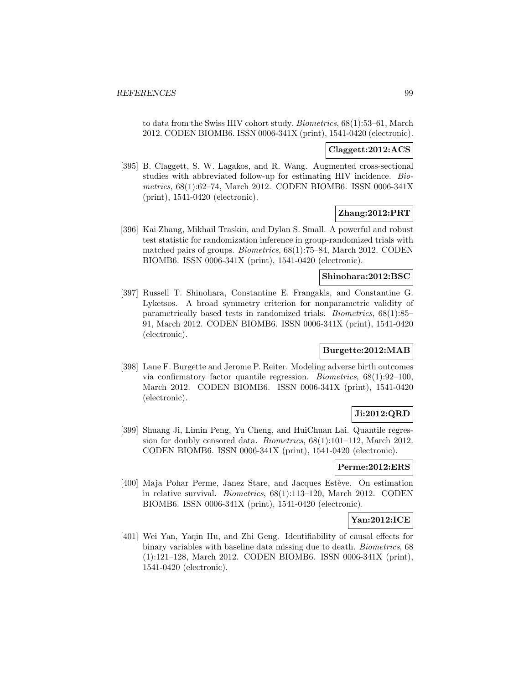to data from the Swiss HIV cohort study. Biometrics, 68(1):53–61, March 2012. CODEN BIOMB6. ISSN 0006-341X (print), 1541-0420 (electronic).

# **Claggett:2012:ACS**

[395] B. Claggett, S. W. Lagakos, and R. Wang. Augmented cross-sectional studies with abbreviated follow-up for estimating HIV incidence. Biometrics, 68(1):62–74, March 2012. CODEN BIOMB6. ISSN 0006-341X (print), 1541-0420 (electronic).

# **Zhang:2012:PRT**

[396] Kai Zhang, Mikhail Traskin, and Dylan S. Small. A powerful and robust test statistic for randomization inference in group-randomized trials with matched pairs of groups. Biometrics, 68(1):75–84, March 2012. CODEN BIOMB6. ISSN 0006-341X (print), 1541-0420 (electronic).

#### **Shinohara:2012:BSC**

[397] Russell T. Shinohara, Constantine E. Frangakis, and Constantine G. Lyketsos. A broad symmetry criterion for nonparametric validity of parametrically based tests in randomized trials. Biometrics, 68(1):85– 91, March 2012. CODEN BIOMB6. ISSN 0006-341X (print), 1541-0420 (electronic).

### **Burgette:2012:MAB**

[398] Lane F. Burgette and Jerome P. Reiter. Modeling adverse birth outcomes via confirmatory factor quantile regression. Biometrics, 68(1):92–100, March 2012. CODEN BIOMB6. ISSN 0006-341X (print), 1541-0420 (electronic).

# **Ji:2012:QRD**

[399] Shuang Ji, Limin Peng, Yu Cheng, and HuiChuan Lai. Quantile regression for doubly censored data. Biometrics, 68(1):101–112, March 2012. CODEN BIOMB6. ISSN 0006-341X (print), 1541-0420 (electronic).

#### **Perme:2012:ERS**

[400] Maja Pohar Perme, Janez Stare, and Jacques Estève. On estimation in relative survival. Biometrics, 68(1):113–120, March 2012. CODEN BIOMB6. ISSN 0006-341X (print), 1541-0420 (electronic).

#### **Yan:2012:ICE**

[401] Wei Yan, Yaqin Hu, and Zhi Geng. Identifiability of causal effects for binary variables with baseline data missing due to death. Biometrics, 68 (1):121–128, March 2012. CODEN BIOMB6. ISSN 0006-341X (print), 1541-0420 (electronic).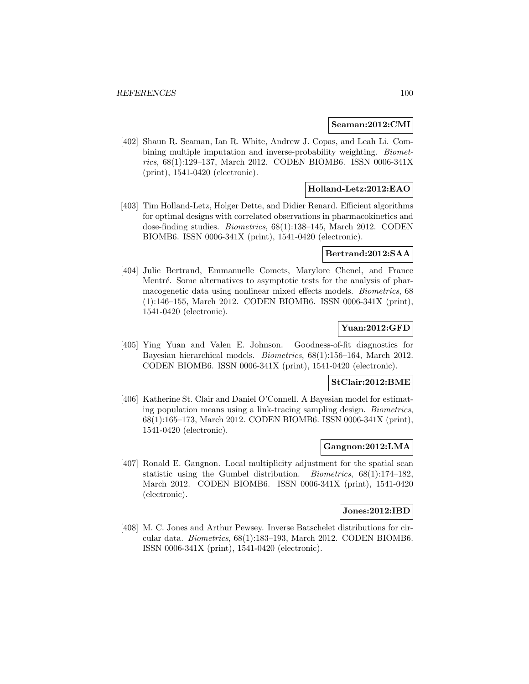#### **Seaman:2012:CMI**

[402] Shaun R. Seaman, Ian R. White, Andrew J. Copas, and Leah Li. Combining multiple imputation and inverse-probability weighting. Biometrics, 68(1):129–137, March 2012. CODEN BIOMB6. ISSN 0006-341X (print), 1541-0420 (electronic).

# **Holland-Letz:2012:EAO**

[403] Tim Holland-Letz, Holger Dette, and Didier Renard. Efficient algorithms for optimal designs with correlated observations in pharmacokinetics and dose-finding studies. Biometrics, 68(1):138–145, March 2012. CODEN BIOMB6. ISSN 0006-341X (print), 1541-0420 (electronic).

#### **Bertrand:2012:SAA**

[404] Julie Bertrand, Emmanuelle Comets, Marylore Chenel, and France Mentré. Some alternatives to asymptotic tests for the analysis of pharmacogenetic data using nonlinear mixed effects models. Biometrics, 68 (1):146–155, March 2012. CODEN BIOMB6. ISSN 0006-341X (print), 1541-0420 (electronic).

## **Yuan:2012:GFD**

[405] Ying Yuan and Valen E. Johnson. Goodness-of-fit diagnostics for Bayesian hierarchical models. Biometrics, 68(1):156–164, March 2012. CODEN BIOMB6. ISSN 0006-341X (print), 1541-0420 (electronic).

#### **StClair:2012:BME**

[406] Katherine St. Clair and Daniel O'Connell. A Bayesian model for estimating population means using a link-tracing sampling design. Biometrics, 68(1):165–173, March 2012. CODEN BIOMB6. ISSN 0006-341X (print), 1541-0420 (electronic).

### **Gangnon:2012:LMA**

[407] Ronald E. Gangnon. Local multiplicity adjustment for the spatial scan statistic using the Gumbel distribution. Biometrics, 68(1):174–182, March 2012. CODEN BIOMB6. ISSN 0006-341X (print), 1541-0420 (electronic).

#### **Jones:2012:IBD**

[408] M. C. Jones and Arthur Pewsey. Inverse Batschelet distributions for circular data. Biometrics, 68(1):183–193, March 2012. CODEN BIOMB6. ISSN 0006-341X (print), 1541-0420 (electronic).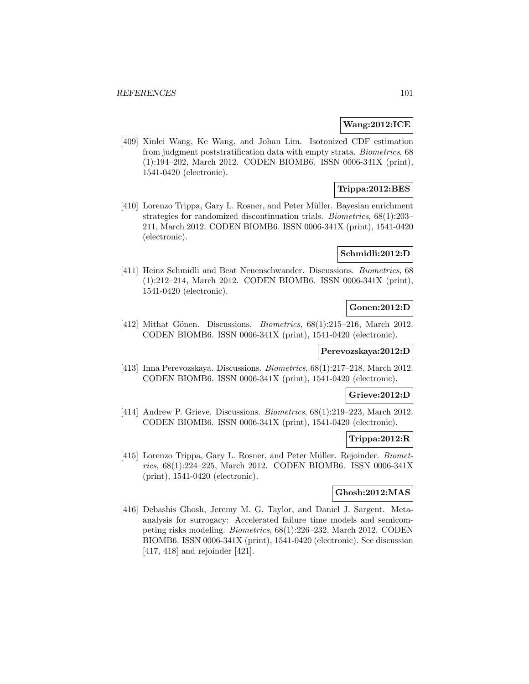#### **Wang:2012:ICE**

[409] Xinlei Wang, Ke Wang, and Johan Lim. Isotonized CDF estimation from judgment poststratification data with empty strata. Biometrics, 68 (1):194–202, March 2012. CODEN BIOMB6. ISSN 0006-341X (print), 1541-0420 (electronic).

# **Trippa:2012:BES**

[410] Lorenzo Trippa, Gary L. Rosner, and Peter Müller. Bayesian enrichment strategies for randomized discontinuation trials. Biometrics, 68(1):203– 211, March 2012. CODEN BIOMB6. ISSN 0006-341X (print), 1541-0420 (electronic).

# **Schmidli:2012:D**

[411] Heinz Schmidli and Beat Neuenschwander. Discussions. Biometrics, 68 (1):212–214, March 2012. CODEN BIOMB6. ISSN 0006-341X (print), 1541-0420 (electronic).

### **Gonen:2012:D**

[412] Mithat Gönen. Discussions. Biometrics,  $68(1):215-216$ , March 2012. CODEN BIOMB6. ISSN 0006-341X (print), 1541-0420 (electronic).

#### **Perevozskaya:2012:D**

[413] Inna Perevozskaya. Discussions. Biometrics, 68(1):217–218, March 2012. CODEN BIOMB6. ISSN 0006-341X (print), 1541-0420 (electronic).

### **Grieve:2012:D**

[414] Andrew P. Grieve. Discussions. *Biometrics*, 68(1):219–223, March 2012. CODEN BIOMB6. ISSN 0006-341X (print), 1541-0420 (electronic).

# **Trippa:2012:R**

[415] Lorenzo Trippa, Gary L. Rosner, and Peter Müller. Rejoinder. Biometrics, 68(1):224–225, March 2012. CODEN BIOMB6. ISSN 0006-341X (print), 1541-0420 (electronic).

### **Ghosh:2012:MAS**

[416] Debashis Ghosh, Jeremy M. G. Taylor, and Daniel J. Sargent. Metaanalysis for surrogacy: Accelerated failure time models and semicompeting risks modeling. Biometrics, 68(1):226–232, March 2012. CODEN BIOMB6. ISSN 0006-341X (print), 1541-0420 (electronic). See discussion [417, 418] and rejoinder [421].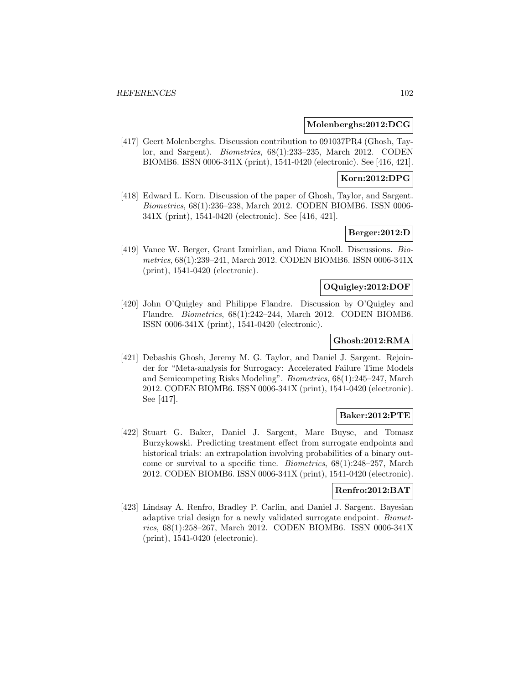#### **Molenberghs:2012:DCG**

[417] Geert Molenberghs. Discussion contribution to 091037PR4 (Ghosh, Taylor, and Sargent). Biometrics, 68(1):233–235, March 2012. CODEN BIOMB6. ISSN 0006-341X (print), 1541-0420 (electronic). See [416, 421].

### **Korn:2012:DPG**

[418] Edward L. Korn. Discussion of the paper of Ghosh, Taylor, and Sargent. Biometrics, 68(1):236–238, March 2012. CODEN BIOMB6. ISSN 0006- 341X (print), 1541-0420 (electronic). See [416, 421].

# **Berger:2012:D**

[419] Vance W. Berger, Grant Izmirlian, and Diana Knoll. Discussions. Biometrics, 68(1):239–241, March 2012. CODEN BIOMB6. ISSN 0006-341X (print), 1541-0420 (electronic).

#### **OQuigley:2012:DOF**

[420] John O'Quigley and Philippe Flandre. Discussion by O'Quigley and Flandre. Biometrics, 68(1):242–244, March 2012. CODEN BIOMB6. ISSN 0006-341X (print), 1541-0420 (electronic).

# **Ghosh:2012:RMA**

[421] Debashis Ghosh, Jeremy M. G. Taylor, and Daniel J. Sargent. Rejoinder for "Meta-analysis for Surrogacy: Accelerated Failure Time Models and Semicompeting Risks Modeling". Biometrics, 68(1):245–247, March 2012. CODEN BIOMB6. ISSN 0006-341X (print), 1541-0420 (electronic). See [417].

# **Baker:2012:PTE**

[422] Stuart G. Baker, Daniel J. Sargent, Marc Buyse, and Tomasz Burzykowski. Predicting treatment effect from surrogate endpoints and historical trials: an extrapolation involving probabilities of a binary outcome or survival to a specific time. Biometrics, 68(1):248–257, March 2012. CODEN BIOMB6. ISSN 0006-341X (print), 1541-0420 (electronic).

### **Renfro:2012:BAT**

[423] Lindsay A. Renfro, Bradley P. Carlin, and Daniel J. Sargent. Bayesian adaptive trial design for a newly validated surrogate endpoint. Biometrics, 68(1):258–267, March 2012. CODEN BIOMB6. ISSN 0006-341X (print), 1541-0420 (electronic).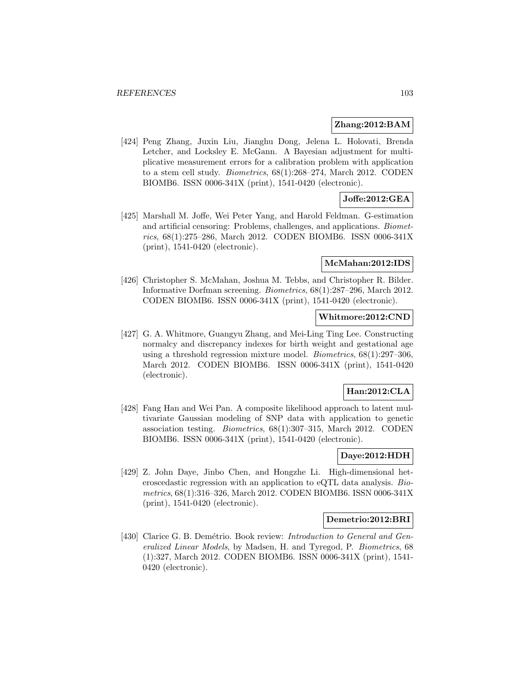#### **Zhang:2012:BAM**

[424] Peng Zhang, Juxin Liu, Jianghu Dong, Jelena L. Holovati, Brenda Letcher, and Locksley E. McGann. A Bayesian adjustment for multiplicative measurement errors for a calibration problem with application to a stem cell study. Biometrics, 68(1):268–274, March 2012. CODEN BIOMB6. ISSN 0006-341X (print), 1541-0420 (electronic).

## **Joffe:2012:GEA**

[425] Marshall M. Joffe, Wei Peter Yang, and Harold Feldman. G-estimation and artificial censoring: Problems, challenges, and applications. Biometrics, 68(1):275–286, March 2012. CODEN BIOMB6. ISSN 0006-341X (print), 1541-0420 (electronic).

#### **McMahan:2012:IDS**

[426] Christopher S. McMahan, Joshua M. Tebbs, and Christopher R. Bilder. Informative Dorfman screening. Biometrics, 68(1):287–296, March 2012. CODEN BIOMB6. ISSN 0006-341X (print), 1541-0420 (electronic).

### **Whitmore:2012:CND**

[427] G. A. Whitmore, Guangyu Zhang, and Mei-Ling Ting Lee. Constructing normalcy and discrepancy indexes for birth weight and gestational age using a threshold regression mixture model. Biometrics, 68(1):297–306, March 2012. CODEN BIOMB6. ISSN 0006-341X (print), 1541-0420 (electronic).

# **Han:2012:CLA**

[428] Fang Han and Wei Pan. A composite likelihood approach to latent multivariate Gaussian modeling of SNP data with application to genetic association testing. Biometrics, 68(1):307–315, March 2012. CODEN BIOMB6. ISSN 0006-341X (print), 1541-0420 (electronic).

# **Daye:2012:HDH**

[429] Z. John Daye, Jinbo Chen, and Hongzhe Li. High-dimensional heteroscedastic regression with an application to eQTL data analysis. Biometrics, 68(1):316–326, March 2012. CODEN BIOMB6. ISSN 0006-341X (print), 1541-0420 (electronic).

#### **Demetrio:2012:BRI**

[430] Clarice G. B. Demétrio. Book review: Introduction to General and Generalized Linear Models, by Madsen, H. and Tyregod, P. Biometrics, 68 (1):327, March 2012. CODEN BIOMB6. ISSN 0006-341X (print), 1541- 0420 (electronic).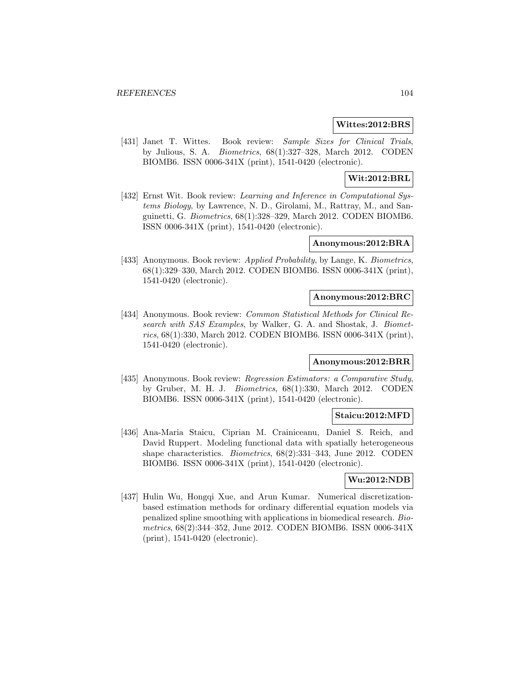#### **Wittes:2012:BRS**

[431] Janet T. Wittes. Book review: Sample Sizes for Clinical Trials, by Julious, S. A. Biometrics, 68(1):327–328, March 2012. CODEN BIOMB6. ISSN 0006-341X (print), 1541-0420 (electronic).

# **Wit:2012:BRL**

[432] Ernst Wit. Book review: Learning and Inference in Computational Systems Biology, by Lawrence, N. D., Girolami, M., Rattray, M., and Sanguinetti, G. Biometrics, 68(1):328–329, March 2012. CODEN BIOMB6. ISSN 0006-341X (print), 1541-0420 (electronic).

#### **Anonymous:2012:BRA**

[433] Anonymous. Book review: Applied Probability, by Lange, K. Biometrics, 68(1):329–330, March 2012. CODEN BIOMB6. ISSN 0006-341X (print), 1541-0420 (electronic).

#### **Anonymous:2012:BRC**

[434] Anonymous. Book review: *Common Statistical Methods for Clinical Re*search with SAS Examples, by Walker, G. A. and Shostak, J. Biometrics, 68(1):330, March 2012. CODEN BIOMB6. ISSN 0006-341X (print), 1541-0420 (electronic).

#### **Anonymous:2012:BRR**

[435] Anonymous. Book review: Regression Estimators: a Comparative Study, by Gruber, M. H. J. Biometrics, 68(1):330, March 2012. CODEN BIOMB6. ISSN 0006-341X (print), 1541-0420 (electronic).

#### **Staicu:2012:MFD**

[436] Ana-Maria Staicu, Ciprian M. Crainiceanu, Daniel S. Reich, and David Ruppert. Modeling functional data with spatially heterogeneous shape characteristics. Biometrics, 68(2):331–343, June 2012. CODEN BIOMB6. ISSN 0006-341X (print), 1541-0420 (electronic).

# **Wu:2012:NDB**

[437] Hulin Wu, Hongqi Xue, and Arun Kumar. Numerical discretizationbased estimation methods for ordinary differential equation models via penalized spline smoothing with applications in biomedical research. Biometrics, 68(2):344–352, June 2012. CODEN BIOMB6. ISSN 0006-341X (print), 1541-0420 (electronic).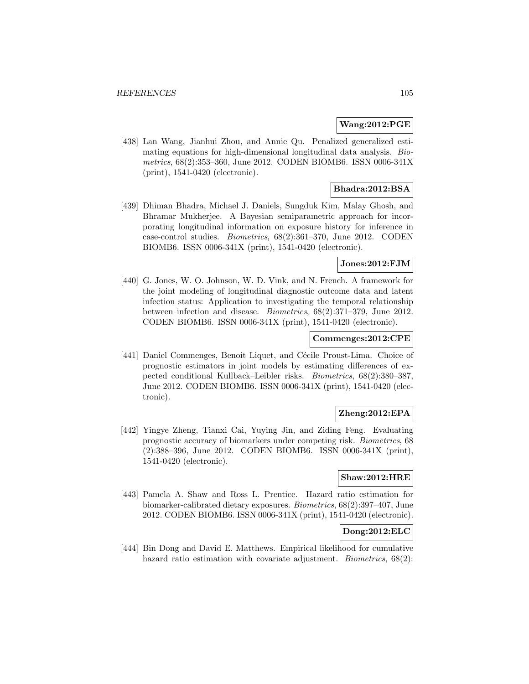#### **Wang:2012:PGE**

[438] Lan Wang, Jianhui Zhou, and Annie Qu. Penalized generalized estimating equations for high-dimensional longitudinal data analysis. Biometrics, 68(2):353–360, June 2012. CODEN BIOMB6. ISSN 0006-341X (print), 1541-0420 (electronic).

## **Bhadra:2012:BSA**

[439] Dhiman Bhadra, Michael J. Daniels, Sungduk Kim, Malay Ghosh, and Bhramar Mukherjee. A Bayesian semiparametric approach for incorporating longitudinal information on exposure history for inference in case-control studies. Biometrics, 68(2):361–370, June 2012. CODEN BIOMB6. ISSN 0006-341X (print), 1541-0420 (electronic).

#### **Jones:2012:FJM**

[440] G. Jones, W. O. Johnson, W. D. Vink, and N. French. A framework for the joint modeling of longitudinal diagnostic outcome data and latent infection status: Application to investigating the temporal relationship between infection and disease. Biometrics, 68(2):371–379, June 2012. CODEN BIOMB6. ISSN 0006-341X (print), 1541-0420 (electronic).

#### **Commenges:2012:CPE**

[441] Daniel Commenges, Benoit Liquet, and Cécile Proust-Lima. Choice of prognostic estimators in joint models by estimating differences of expected conditional Kullback–Leibler risks. Biometrics, 68(2):380–387, June 2012. CODEN BIOMB6. ISSN 0006-341X (print), 1541-0420 (electronic).

# **Zheng:2012:EPA**

[442] Yingye Zheng, Tianxi Cai, Yuying Jin, and Ziding Feng. Evaluating prognostic accuracy of biomarkers under competing risk. Biometrics, 68 (2):388–396, June 2012. CODEN BIOMB6. ISSN 0006-341X (print), 1541-0420 (electronic).

# **Shaw:2012:HRE**

[443] Pamela A. Shaw and Ross L. Prentice. Hazard ratio estimation for biomarker-calibrated dietary exposures. Biometrics, 68(2):397–407, June 2012. CODEN BIOMB6. ISSN 0006-341X (print), 1541-0420 (electronic).

## **Dong:2012:ELC**

[444] Bin Dong and David E. Matthews. Empirical likelihood for cumulative hazard ratio estimation with covariate adjustment. *Biometrics*,  $68(2)$ :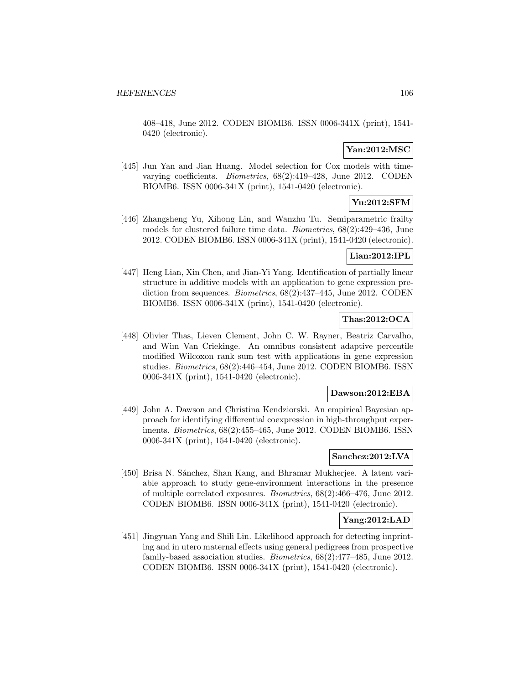408–418, June 2012. CODEN BIOMB6. ISSN 0006-341X (print), 1541- 0420 (electronic).

## **Yan:2012:MSC**

[445] Jun Yan and Jian Huang. Model selection for Cox models with timevarying coefficients. Biometrics, 68(2):419–428, June 2012. CODEN BIOMB6. ISSN 0006-341X (print), 1541-0420 (electronic).

# **Yu:2012:SFM**

[446] Zhangsheng Yu, Xihong Lin, and Wanzhu Tu. Semiparametric frailty models for clustered failure time data. Biometrics, 68(2):429–436, June 2012. CODEN BIOMB6. ISSN 0006-341X (print), 1541-0420 (electronic).

# **Lian:2012:IPL**

[447] Heng Lian, Xin Chen, and Jian-Yi Yang. Identification of partially linear structure in additive models with an application to gene expression prediction from sequences. *Biometrics*,  $68(2):437-445$ , June 2012. CODEN BIOMB6. ISSN 0006-341X (print), 1541-0420 (electronic).

### **Thas:2012:OCA**

[448] Olivier Thas, Lieven Clement, John C. W. Rayner, Beatriz Carvalho, and Wim Van Criekinge. An omnibus consistent adaptive percentile modified Wilcoxon rank sum test with applications in gene expression studies. Biometrics, 68(2):446–454, June 2012. CODEN BIOMB6. ISSN 0006-341X (print), 1541-0420 (electronic).

#### **Dawson:2012:EBA**

[449] John A. Dawson and Christina Kendziorski. An empirical Bayesian approach for identifying differential coexpression in high-throughput experiments. Biometrics, 68(2):455–465, June 2012. CODEN BIOMB6. ISSN 0006-341X (print), 1541-0420 (electronic).

## **Sanchez:2012:LVA**

[450] Brisa N. Sánchez, Shan Kang, and Bhramar Mukherjee. A latent variable approach to study gene-environment interactions in the presence of multiple correlated exposures. Biometrics, 68(2):466–476, June 2012. CODEN BIOMB6. ISSN 0006-341X (print), 1541-0420 (electronic).

#### **Yang:2012:LAD**

[451] Jingyuan Yang and Shili Lin. Likelihood approach for detecting imprinting and in utero maternal effects using general pedigrees from prospective family-based association studies. Biometrics, 68(2):477–485, June 2012. CODEN BIOMB6. ISSN 0006-341X (print), 1541-0420 (electronic).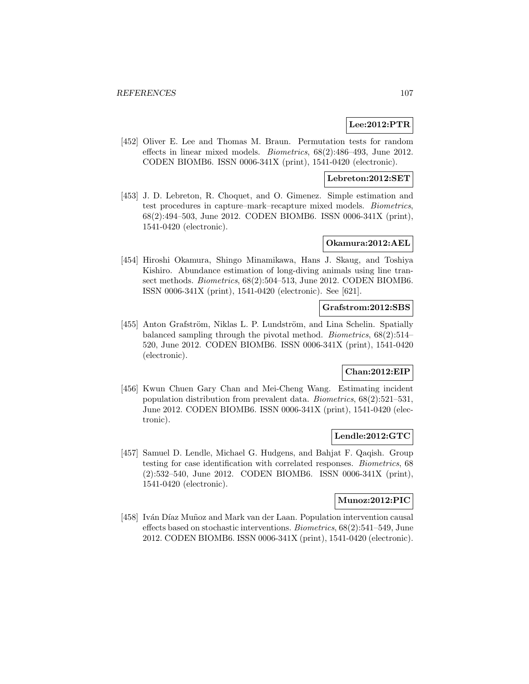## **Lee:2012:PTR**

[452] Oliver E. Lee and Thomas M. Braun. Permutation tests for random effects in linear mixed models. Biometrics, 68(2):486–493, June 2012. CODEN BIOMB6. ISSN 0006-341X (print), 1541-0420 (electronic).

# **Lebreton:2012:SET**

[453] J. D. Lebreton, R. Choquet, and O. Gimenez. Simple estimation and test procedures in capture–mark–recapture mixed models. Biometrics, 68(2):494–503, June 2012. CODEN BIOMB6. ISSN 0006-341X (print), 1541-0420 (electronic).

#### **Okamura:2012:AEL**

[454] Hiroshi Okamura, Shingo Minamikawa, Hans J. Skaug, and Toshiya Kishiro. Abundance estimation of long-diving animals using line transect methods. Biometrics, 68(2):504–513, June 2012. CODEN BIOMB6. ISSN 0006-341X (print), 1541-0420 (electronic). See [621].

#### **Grafstrom:2012:SBS**

[455] Anton Grafström, Niklas L. P. Lundström, and Lina Schelin. Spatially balanced sampling through the pivotal method. Biometrics, 68(2):514– 520, June 2012. CODEN BIOMB6. ISSN 0006-341X (print), 1541-0420 (electronic).

# **Chan:2012:EIP**

[456] Kwun Chuen Gary Chan and Mei-Cheng Wang. Estimating incident population distribution from prevalent data. Biometrics, 68(2):521–531, June 2012. CODEN BIOMB6. ISSN 0006-341X (print), 1541-0420 (electronic).

#### **Lendle:2012:GTC**

[457] Samuel D. Lendle, Michael G. Hudgens, and Bahjat F. Qaqish. Group testing for case identification with correlated responses. Biometrics, 68 (2):532–540, June 2012. CODEN BIOMB6. ISSN 0006-341X (print), 1541-0420 (electronic).

### **Munoz:2012:PIC**

[458] Iván Díaz Muñoz and Mark van der Laan. Population intervention causal effects based on stochastic interventions. Biometrics, 68(2):541–549, June 2012. CODEN BIOMB6. ISSN 0006-341X (print), 1541-0420 (electronic).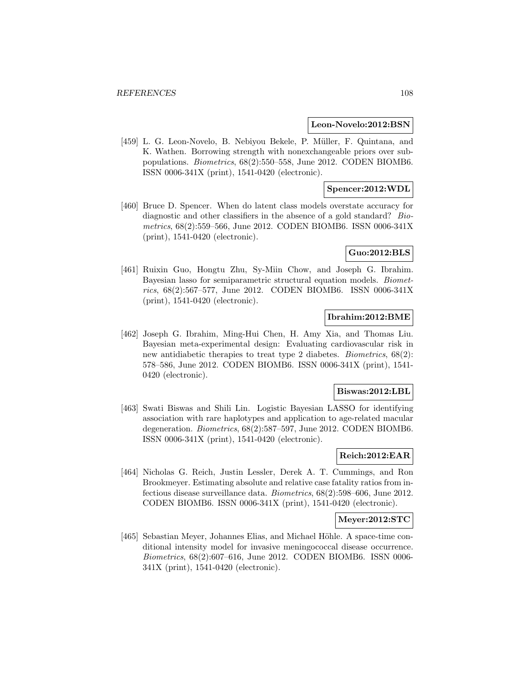#### **Leon-Novelo:2012:BSN**

[459] L. G. Leon-Novelo, B. Nebiyou Bekele, P. Müller, F. Quintana, and K. Wathen. Borrowing strength with nonexchangeable priors over subpopulations. Biometrics, 68(2):550–558, June 2012. CODEN BIOMB6. ISSN 0006-341X (print), 1541-0420 (electronic).

### **Spencer:2012:WDL**

[460] Bruce D. Spencer. When do latent class models overstate accuracy for diagnostic and other classifiers in the absence of a gold standard? Biometrics, 68(2):559–566, June 2012. CODEN BIOMB6. ISSN 0006-341X (print), 1541-0420 (electronic).

### **Guo:2012:BLS**

[461] Ruixin Guo, Hongtu Zhu, Sy-Miin Chow, and Joseph G. Ibrahim. Bayesian lasso for semiparametric structural equation models. Biometrics, 68(2):567–577, June 2012. CODEN BIOMB6. ISSN 0006-341X (print), 1541-0420 (electronic).

### **Ibrahim:2012:BME**

[462] Joseph G. Ibrahim, Ming-Hui Chen, H. Amy Xia, and Thomas Liu. Bayesian meta-experimental design: Evaluating cardiovascular risk in new antidiabetic therapies to treat type 2 diabetes. *Biometrics*, 68(2): 578–586, June 2012. CODEN BIOMB6. ISSN 0006-341X (print), 1541- 0420 (electronic).

#### **Biswas:2012:LBL**

[463] Swati Biswas and Shili Lin. Logistic Bayesian LASSO for identifying association with rare haplotypes and application to age-related macular degeneration. Biometrics, 68(2):587–597, June 2012. CODEN BIOMB6. ISSN 0006-341X (print), 1541-0420 (electronic).

### **Reich:2012:EAR**

[464] Nicholas G. Reich, Justin Lessler, Derek A. T. Cummings, and Ron Brookmeyer. Estimating absolute and relative case fatality ratios from infectious disease surveillance data. Biometrics, 68(2):598–606, June 2012. CODEN BIOMB6. ISSN 0006-341X (print), 1541-0420 (electronic).

### **Meyer:2012:STC**

[465] Sebastian Meyer, Johannes Elias, and Michael Höhle. A space-time conditional intensity model for invasive meningococcal disease occurrence. Biometrics, 68(2):607–616, June 2012. CODEN BIOMB6. ISSN 0006- 341X (print), 1541-0420 (electronic).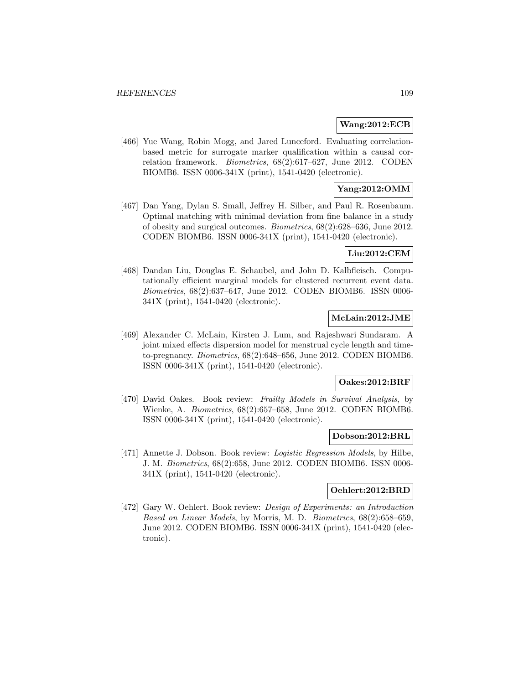### **Wang:2012:ECB**

[466] Yue Wang, Robin Mogg, and Jared Lunceford. Evaluating correlationbased metric for surrogate marker qualification within a causal correlation framework. Biometrics, 68(2):617–627, June 2012. CODEN BIOMB6. ISSN 0006-341X (print), 1541-0420 (electronic).

# **Yang:2012:OMM**

[467] Dan Yang, Dylan S. Small, Jeffrey H. Silber, and Paul R. Rosenbaum. Optimal matching with minimal deviation from fine balance in a study of obesity and surgical outcomes. Biometrics, 68(2):628–636, June 2012. CODEN BIOMB6. ISSN 0006-341X (print), 1541-0420 (electronic).

# **Liu:2012:CEM**

[468] Dandan Liu, Douglas E. Schaubel, and John D. Kalbfleisch. Computationally efficient marginal models for clustered recurrent event data. Biometrics, 68(2):637–647, June 2012. CODEN BIOMB6. ISSN 0006- 341X (print), 1541-0420 (electronic).

### **McLain:2012:JME**

[469] Alexander C. McLain, Kirsten J. Lum, and Rajeshwari Sundaram. A joint mixed effects dispersion model for menstrual cycle length and timeto-pregnancy. Biometrics, 68(2):648–656, June 2012. CODEN BIOMB6. ISSN 0006-341X (print), 1541-0420 (electronic).

#### **Oakes:2012:BRF**

[470] David Oakes. Book review: Frailty Models in Survival Analysis, by Wienke, A. Biometrics, 68(2):657–658, June 2012. CODEN BIOMB6. ISSN 0006-341X (print), 1541-0420 (electronic).

#### **Dobson:2012:BRL**

[471] Annette J. Dobson. Book review: Logistic Regression Models, by Hilbe, J. M. Biometrics, 68(2):658, June 2012. CODEN BIOMB6. ISSN 0006- 341X (print), 1541-0420 (electronic).

### **Oehlert:2012:BRD**

[472] Gary W. Oehlert. Book review: Design of Experiments: an Introduction Based on Linear Models, by Morris, M. D. Biometrics, 68(2):658–659, June 2012. CODEN BIOMB6. ISSN 0006-341X (print), 1541-0420 (electronic).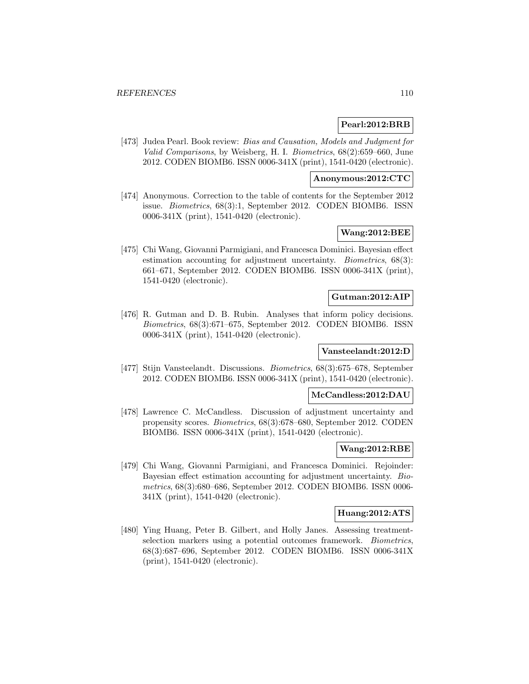### **Pearl:2012:BRB**

[473] Judea Pearl. Book review: Bias and Causation, Models and Judgment for Valid Comparisons, by Weisberg, H. I. Biometrics, 68(2):659–660, June 2012. CODEN BIOMB6. ISSN 0006-341X (print), 1541-0420 (electronic).

#### **Anonymous:2012:CTC**

[474] Anonymous. Correction to the table of contents for the September 2012 issue. Biometrics, 68(3):1, September 2012. CODEN BIOMB6. ISSN 0006-341X (print), 1541-0420 (electronic).

### **Wang:2012:BEE**

[475] Chi Wang, Giovanni Parmigiani, and Francesca Dominici. Bayesian effect estimation accounting for adjustment uncertainty. *Biometrics*, 68(3): 661–671, September 2012. CODEN BIOMB6. ISSN 0006-341X (print), 1541-0420 (electronic).

#### **Gutman:2012:AIP**

[476] R. Gutman and D. B. Rubin. Analyses that inform policy decisions. Biometrics, 68(3):671–675, September 2012. CODEN BIOMB6. ISSN 0006-341X (print), 1541-0420 (electronic).

### **Vansteelandt:2012:D**

[477] Stijn Vansteelandt. Discussions. Biometrics, 68(3):675–678, September 2012. CODEN BIOMB6. ISSN 0006-341X (print), 1541-0420 (electronic).

#### **McCandless:2012:DAU**

[478] Lawrence C. McCandless. Discussion of adjustment uncertainty and propensity scores. Biometrics, 68(3):678–680, September 2012. CODEN BIOMB6. ISSN 0006-341X (print), 1541-0420 (electronic).

#### **Wang:2012:RBE**

[479] Chi Wang, Giovanni Parmigiani, and Francesca Dominici. Rejoinder: Bayesian effect estimation accounting for adjustment uncertainty. Biometrics, 68(3):680–686, September 2012. CODEN BIOMB6. ISSN 0006- 341X (print), 1541-0420 (electronic).

#### **Huang:2012:ATS**

[480] Ying Huang, Peter B. Gilbert, and Holly Janes. Assessing treatmentselection markers using a potential outcomes framework. Biometrics, 68(3):687–696, September 2012. CODEN BIOMB6. ISSN 0006-341X (print), 1541-0420 (electronic).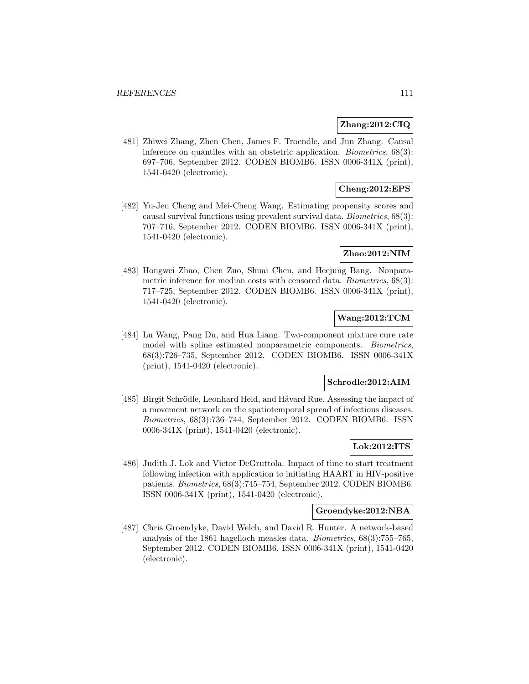### **Zhang:2012:CIQ**

[481] Zhiwei Zhang, Zhen Chen, James F. Troendle, and Jun Zhang. Causal inference on quantiles with an obstetric application. Biometrics, 68(3): 697–706, September 2012. CODEN BIOMB6. ISSN 0006-341X (print), 1541-0420 (electronic).

# **Cheng:2012:EPS**

[482] Yu-Jen Cheng and Mei-Cheng Wang. Estimating propensity scores and causal survival functions using prevalent survival data. Biometrics, 68(3): 707–716, September 2012. CODEN BIOMB6. ISSN 0006-341X (print), 1541-0420 (electronic).

### **Zhao:2012:NIM**

[483] Hongwei Zhao, Chen Zuo, Shuai Chen, and Heejung Bang. Nonparametric inference for median costs with censored data. Biometrics, 68(3): 717–725, September 2012. CODEN BIOMB6. ISSN 0006-341X (print), 1541-0420 (electronic).

# **Wang:2012:TCM**

[484] Lu Wang, Pang Du, and Hua Liang. Two-component mixture cure rate model with spline estimated nonparametric components. Biometrics, 68(3):726–735, September 2012. CODEN BIOMB6. ISSN 0006-341X (print), 1541-0420 (electronic).

#### **Schrodle:2012:AIM**

[485] Birgit Schrödle, Leonhard Held, and Håvard Rue. Assessing the impact of a movement network on the spatiotemporal spread of infectious diseases. Biometrics, 68(3):736–744, September 2012. CODEN BIOMB6. ISSN 0006-341X (print), 1541-0420 (electronic).

### **Lok:2012:ITS**

[486] Judith J. Lok and Victor DeGruttola. Impact of time to start treatment following infection with application to initiating HAART in HIV-positive patients. Biometrics, 68(3):745–754, September 2012. CODEN BIOMB6. ISSN 0006-341X (print), 1541-0420 (electronic).

#### **Groendyke:2012:NBA**

[487] Chris Groendyke, David Welch, and David R. Hunter. A network-based analysis of the 1861 hagelloch measles data. Biometrics, 68(3):755–765, September 2012. CODEN BIOMB6. ISSN 0006-341X (print), 1541-0420 (electronic).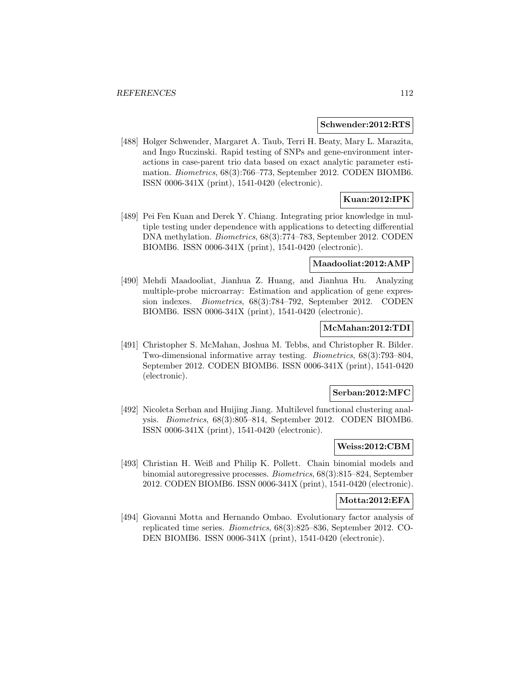#### **Schwender:2012:RTS**

[488] Holger Schwender, Margaret A. Taub, Terri H. Beaty, Mary L. Marazita, and Ingo Ruczinski. Rapid testing of SNPs and gene-environment interactions in case-parent trio data based on exact analytic parameter estimation. Biometrics, 68(3):766–773, September 2012. CODEN BIOMB6. ISSN 0006-341X (print), 1541-0420 (electronic).

# **Kuan:2012:IPK**

[489] Pei Fen Kuan and Derek Y. Chiang. Integrating prior knowledge in multiple testing under dependence with applications to detecting differential DNA methylation. Biometrics, 68(3):774–783, September 2012. CODEN BIOMB6. ISSN 0006-341X (print), 1541-0420 (electronic).

#### **Maadooliat:2012:AMP**

[490] Mehdi Maadooliat, Jianhua Z. Huang, and Jianhua Hu. Analyzing multiple-probe microarray: Estimation and application of gene expression indexes. Biometrics, 68(3):784–792, September 2012. CODEN BIOMB6. ISSN 0006-341X (print), 1541-0420 (electronic).

### **McMahan:2012:TDI**

[491] Christopher S. McMahan, Joshua M. Tebbs, and Christopher R. Bilder. Two-dimensional informative array testing. Biometrics, 68(3):793–804, September 2012. CODEN BIOMB6. ISSN 0006-341X (print), 1541-0420 (electronic).

#### **Serban:2012:MFC**

[492] Nicoleta Serban and Huijing Jiang. Multilevel functional clustering analysis. Biometrics, 68(3):805–814, September 2012. CODEN BIOMB6. ISSN 0006-341X (print), 1541-0420 (electronic).

### **Weiss:2012:CBM**

[493] Christian H. Weiß and Philip K. Pollett. Chain binomial models and binomial autoregressive processes. Biometrics, 68(3):815–824, September 2012. CODEN BIOMB6. ISSN 0006-341X (print), 1541-0420 (electronic).

#### **Motta:2012:EFA**

[494] Giovanni Motta and Hernando Ombao. Evolutionary factor analysis of replicated time series. Biometrics, 68(3):825–836, September 2012. CO-DEN BIOMB6. ISSN 0006-341X (print), 1541-0420 (electronic).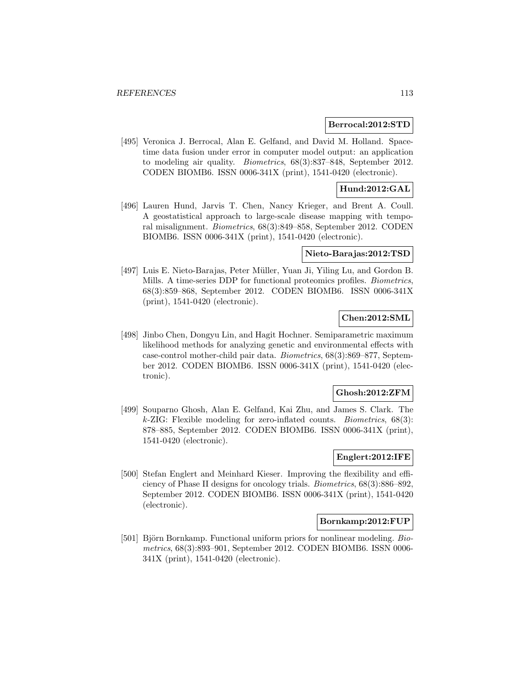### **Berrocal:2012:STD**

[495] Veronica J. Berrocal, Alan E. Gelfand, and David M. Holland. Spacetime data fusion under error in computer model output: an application to modeling air quality. Biometrics, 68(3):837–848, September 2012. CODEN BIOMB6. ISSN 0006-341X (print), 1541-0420 (electronic).

# **Hund:2012:GAL**

[496] Lauren Hund, Jarvis T. Chen, Nancy Krieger, and Brent A. Coull. A geostatistical approach to large-scale disease mapping with temporal misalignment. Biometrics, 68(3):849–858, September 2012. CODEN BIOMB6. ISSN 0006-341X (print), 1541-0420 (electronic).

### **Nieto-Barajas:2012:TSD**

[497] Luis E. Nieto-Barajas, Peter Müller, Yuan Ji, Yiling Lu, and Gordon B. Mills. A time-series DDP for functional proteomics profiles. Biometrics, 68(3):859–868, September 2012. CODEN BIOMB6. ISSN 0006-341X (print), 1541-0420 (electronic).

# **Chen:2012:SML**

[498] Jinbo Chen, Dongyu Lin, and Hagit Hochner. Semiparametric maximum likelihood methods for analyzing genetic and environmental effects with case-control mother-child pair data. Biometrics, 68(3):869–877, September 2012. CODEN BIOMB6. ISSN 0006-341X (print), 1541-0420 (electronic).

### **Ghosh:2012:ZFM**

[499] Souparno Ghosh, Alan E. Gelfand, Kai Zhu, and James S. Clark. The  $k$ -ZIG: Flexible modeling for zero-inflated counts. *Biometrics*,  $68(3)$ : 878–885, September 2012. CODEN BIOMB6. ISSN 0006-341X (print), 1541-0420 (electronic).

## **Englert:2012:IFE**

[500] Stefan Englert and Meinhard Kieser. Improving the flexibility and efficiency of Phase II designs for oncology trials. Biometrics, 68(3):886–892, September 2012. CODEN BIOMB6. ISSN 0006-341X (print), 1541-0420 (electronic).

#### **Bornkamp:2012:FUP**

[501] Björn Bornkamp. Functional uniform priors for nonlinear modeling. Biometrics, 68(3):893–901, September 2012. CODEN BIOMB6. ISSN 0006- 341X (print), 1541-0420 (electronic).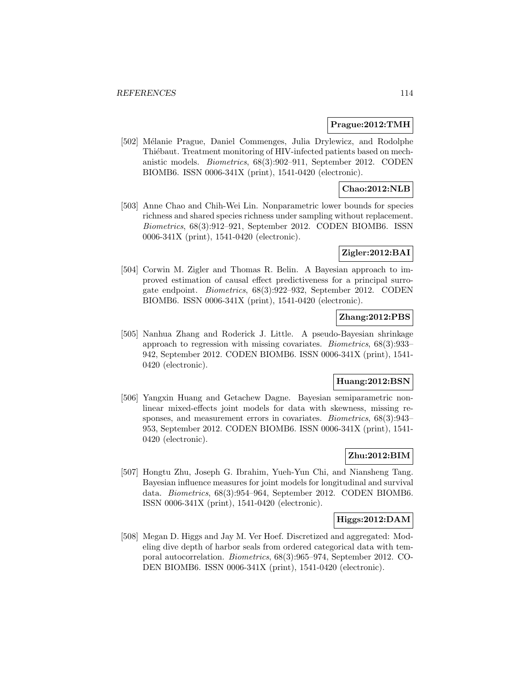#### **Prague:2012:TMH**

[502] Mélanie Prague, Daniel Commenges, Julia Drylewicz, and Rodolphe Thiébaut. Treatment monitoring of HIV-infected patients based on mechanistic models. Biometrics, 68(3):902–911, September 2012. CODEN BIOMB6. ISSN 0006-341X (print), 1541-0420 (electronic).

### **Chao:2012:NLB**

[503] Anne Chao and Chih-Wei Lin. Nonparametric lower bounds for species richness and shared species richness under sampling without replacement. Biometrics, 68(3):912–921, September 2012. CODEN BIOMB6. ISSN 0006-341X (print), 1541-0420 (electronic).

#### **Zigler:2012:BAI**

[504] Corwin M. Zigler and Thomas R. Belin. A Bayesian approach to improved estimation of causal effect predictiveness for a principal surrogate endpoint. Biometrics, 68(3):922–932, September 2012. CODEN BIOMB6. ISSN 0006-341X (print), 1541-0420 (electronic).

### **Zhang:2012:PBS**

[505] Nanhua Zhang and Roderick J. Little. A pseudo-Bayesian shrinkage approach to regression with missing covariates. Biometrics, 68(3):933– 942, September 2012. CODEN BIOMB6. ISSN 0006-341X (print), 1541- 0420 (electronic).

## **Huang:2012:BSN**

[506] Yangxin Huang and Getachew Dagne. Bayesian semiparametric nonlinear mixed-effects joint models for data with skewness, missing responses, and measurement errors in covariates. Biometrics, 68(3):943– 953, September 2012. CODEN BIOMB6. ISSN 0006-341X (print), 1541- 0420 (electronic).

# **Zhu:2012:BIM**

[507] Hongtu Zhu, Joseph G. Ibrahim, Yueh-Yun Chi, and Niansheng Tang. Bayesian influence measures for joint models for longitudinal and survival data. Biometrics, 68(3):954–964, September 2012. CODEN BIOMB6. ISSN 0006-341X (print), 1541-0420 (electronic).

### **Higgs:2012:DAM**

[508] Megan D. Higgs and Jay M. Ver Hoef. Discretized and aggregated: Modeling dive depth of harbor seals from ordered categorical data with temporal autocorrelation. Biometrics, 68(3):965–974, September 2012. CO-DEN BIOMB6. ISSN 0006-341X (print), 1541-0420 (electronic).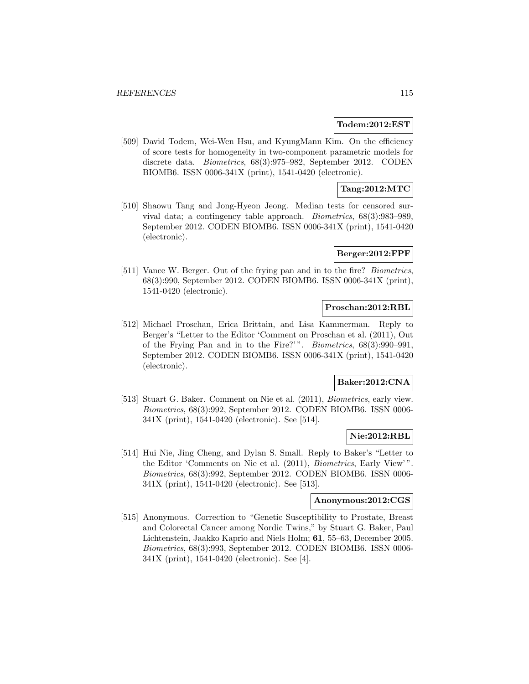#### **Todem:2012:EST**

[509] David Todem, Wei-Wen Hsu, and KyungMann Kim. On the efficiency of score tests for homogeneity in two-component parametric models for discrete data. Biometrics, 68(3):975–982, September 2012. CODEN BIOMB6. ISSN 0006-341X (print), 1541-0420 (electronic).

### **Tang:2012:MTC**

[510] Shaowu Tang and Jong-Hyeon Jeong. Median tests for censored survival data; a contingency table approach. Biometrics, 68(3):983–989, September 2012. CODEN BIOMB6. ISSN 0006-341X (print), 1541-0420 (electronic).

### **Berger:2012:FPF**

[511] Vance W. Berger. Out of the frying pan and in to the fire? *Biometrics*, 68(3):990, September 2012. CODEN BIOMB6. ISSN 0006-341X (print), 1541-0420 (electronic).

### **Proschan:2012:RBL**

[512] Michael Proschan, Erica Brittain, and Lisa Kammerman. Reply to Berger's "Letter to the Editor 'Comment on Proschan et al. (2011), Out of the Frying Pan and in to the Fire?' ". Biometrics, 68(3):990–991, September 2012. CODEN BIOMB6. ISSN 0006-341X (print), 1541-0420 (electronic).

### **Baker:2012:CNA**

[513] Stuart G. Baker. Comment on Nie et al. (2011), Biometrics, early view. Biometrics, 68(3):992, September 2012. CODEN BIOMB6. ISSN 0006- 341X (print), 1541-0420 (electronic). See [514].

# **Nie:2012:RBL**

[514] Hui Nie, Jing Cheng, and Dylan S. Small. Reply to Baker's "Letter to the Editor 'Comments on Nie et al. (2011), Biometrics, Early View' ". Biometrics, 68(3):992, September 2012. CODEN BIOMB6. ISSN 0006- 341X (print), 1541-0420 (electronic). See [513].

#### **Anonymous:2012:CGS**

[515] Anonymous. Correction to "Genetic Susceptibility to Prostate, Breast and Colorectal Cancer among Nordic Twins," by Stuart G. Baker, Paul Lichtenstein, Jaakko Kaprio and Niels Holm; **61**, 55–63, December 2005. Biometrics, 68(3):993, September 2012. CODEN BIOMB6. ISSN 0006- 341X (print), 1541-0420 (electronic). See [4].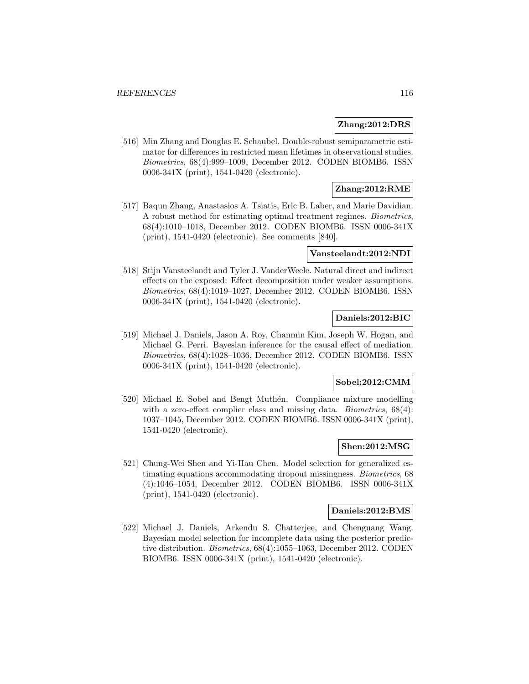#### **Zhang:2012:DRS**

[516] Min Zhang and Douglas E. Schaubel. Double-robust semiparametric estimator for differences in restricted mean lifetimes in observational studies. Biometrics, 68(4):999–1009, December 2012. CODEN BIOMB6. ISSN 0006-341X (print), 1541-0420 (electronic).

# **Zhang:2012:RME**

[517] Baqun Zhang, Anastasios A. Tsiatis, Eric B. Laber, and Marie Davidian. A robust method for estimating optimal treatment regimes. Biometrics, 68(4):1010–1018, December 2012. CODEN BIOMB6. ISSN 0006-341X (print), 1541-0420 (electronic). See comments [840].

## **Vansteelandt:2012:NDI**

[518] Stijn Vansteelandt and Tyler J. VanderWeele. Natural direct and indirect effects on the exposed: Effect decomposition under weaker assumptions. Biometrics, 68(4):1019–1027, December 2012. CODEN BIOMB6. ISSN 0006-341X (print), 1541-0420 (electronic).

### **Daniels:2012:BIC**

[519] Michael J. Daniels, Jason A. Roy, Chanmin Kim, Joseph W. Hogan, and Michael G. Perri. Bayesian inference for the causal effect of mediation. Biometrics, 68(4):1028–1036, December 2012. CODEN BIOMB6. ISSN 0006-341X (print), 1541-0420 (electronic).

#### **Sobel:2012:CMM**

[520] Michael E. Sobel and Bengt Muthén. Compliance mixture modelling with a zero-effect complier class and missing data. *Biometrics*, 68(4): 1037–1045, December 2012. CODEN BIOMB6. ISSN 0006-341X (print), 1541-0420 (electronic).

### **Shen:2012:MSG**

[521] Chung-Wei Shen and Yi-Hau Chen. Model selection for generalized estimating equations accommodating dropout missingness. Biometrics, 68 (4):1046–1054, December 2012. CODEN BIOMB6. ISSN 0006-341X (print), 1541-0420 (electronic).

#### **Daniels:2012:BMS**

[522] Michael J. Daniels, Arkendu S. Chatterjee, and Chenguang Wang. Bayesian model selection for incomplete data using the posterior predictive distribution. Biometrics, 68(4):1055–1063, December 2012. CODEN BIOMB6. ISSN 0006-341X (print), 1541-0420 (electronic).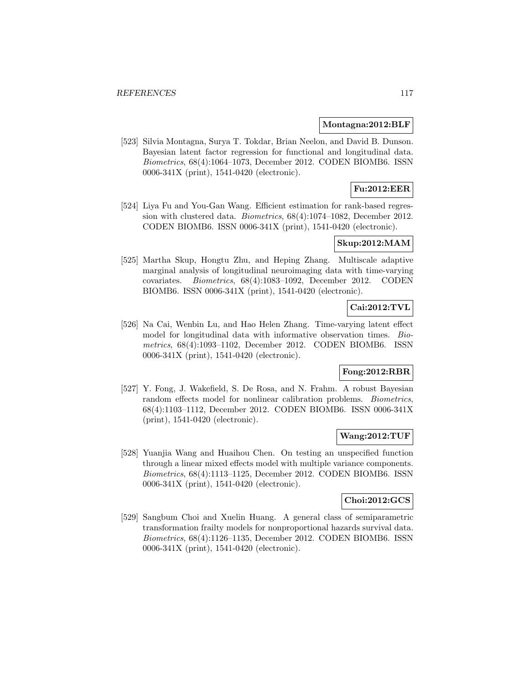#### **Montagna:2012:BLF**

[523] Silvia Montagna, Surya T. Tokdar, Brian Neelon, and David B. Dunson. Bayesian latent factor regression for functional and longitudinal data. Biometrics, 68(4):1064–1073, December 2012. CODEN BIOMB6. ISSN 0006-341X (print), 1541-0420 (electronic).

# **Fu:2012:EER**

[524] Liya Fu and You-Gan Wang. Efficient estimation for rank-based regression with clustered data. Biometrics, 68(4):1074–1082, December 2012. CODEN BIOMB6. ISSN 0006-341X (print), 1541-0420 (electronic).

### **Skup:2012:MAM**

[525] Martha Skup, Hongtu Zhu, and Heping Zhang. Multiscale adaptive marginal analysis of longitudinal neuroimaging data with time-varying covariates. Biometrics, 68(4):1083–1092, December 2012. CODEN BIOMB6. ISSN 0006-341X (print), 1541-0420 (electronic).

# **Cai:2012:TVL**

[526] Na Cai, Wenbin Lu, and Hao Helen Zhang. Time-varying latent effect model for longitudinal data with informative observation times. Biometrics, 68(4):1093–1102, December 2012. CODEN BIOMB6. ISSN 0006-341X (print), 1541-0420 (electronic).

# **Fong:2012:RBR**

[527] Y. Fong, J. Wakefield, S. De Rosa, and N. Frahm. A robust Bayesian random effects model for nonlinear calibration problems. Biometrics, 68(4):1103–1112, December 2012. CODEN BIOMB6. ISSN 0006-341X (print), 1541-0420 (electronic).

### **Wang:2012:TUF**

[528] Yuanjia Wang and Huaihou Chen. On testing an unspecified function through a linear mixed effects model with multiple variance components. Biometrics, 68(4):1113–1125, December 2012. CODEN BIOMB6. ISSN 0006-341X (print), 1541-0420 (electronic).

#### **Choi:2012:GCS**

[529] Sangbum Choi and Xuelin Huang. A general class of semiparametric transformation frailty models for nonproportional hazards survival data. Biometrics, 68(4):1126–1135, December 2012. CODEN BIOMB6. ISSN 0006-341X (print), 1541-0420 (electronic).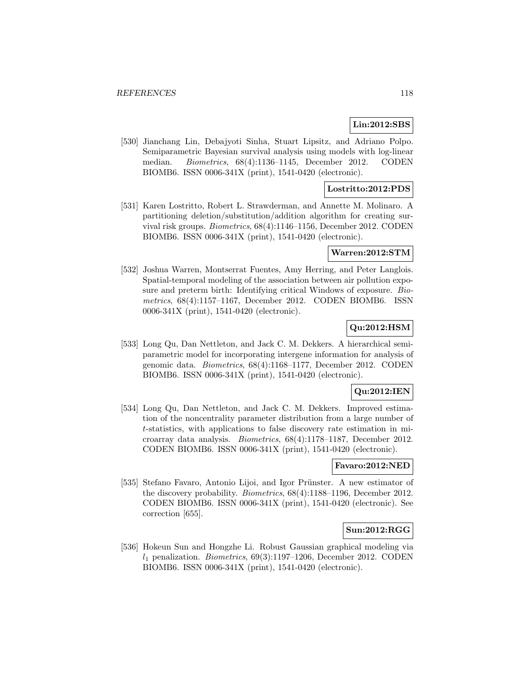### **Lin:2012:SBS**

[530] Jianchang Lin, Debajyoti Sinha, Stuart Lipsitz, and Adriano Polpo. Semiparametric Bayesian survival analysis using models with log-linear median. Biometrics, 68(4):1136–1145, December 2012. CODEN BIOMB6. ISSN 0006-341X (print), 1541-0420 (electronic).

### **Lostritto:2012:PDS**

[531] Karen Lostritto, Robert L. Strawderman, and Annette M. Molinaro. A partitioning deletion/substitution/addition algorithm for creating survival risk groups. Biometrics, 68(4):1146–1156, December 2012. CODEN BIOMB6. ISSN 0006-341X (print), 1541-0420 (electronic).

#### **Warren:2012:STM**

[532] Joshua Warren, Montserrat Fuentes, Amy Herring, and Peter Langlois. Spatial-temporal modeling of the association between air pollution exposure and preterm birth: Identifying critical Windows of exposure. Biometrics, 68(4):1157–1167, December 2012. CODEN BIOMB6. ISSN 0006-341X (print), 1541-0420 (electronic).

# **Qu:2012:HSM**

[533] Long Qu, Dan Nettleton, and Jack C. M. Dekkers. A hierarchical semiparametric model for incorporating intergene information for analysis of genomic data. Biometrics, 68(4):1168–1177, December 2012. CODEN BIOMB6. ISSN 0006-341X (print), 1541-0420 (electronic).

### **Qu:2012:IEN**

[534] Long Qu, Dan Nettleton, and Jack C. M. Dekkers. Improved estimation of the noncentrality parameter distribution from a large number of t-statistics, with applications to false discovery rate estimation in microarray data analysis. Biometrics, 68(4):1178–1187, December 2012. CODEN BIOMB6. ISSN 0006-341X (print), 1541-0420 (electronic).

## **Favaro:2012:NED**

[535] Stefano Favaro, Antonio Lijoi, and Igor Prünster. A new estimator of the discovery probability. Biometrics, 68(4):1188–1196, December 2012. CODEN BIOMB6. ISSN 0006-341X (print), 1541-0420 (electronic). See correction [655].

### **Sun:2012:RGG**

[536] Hokeun Sun and Hongzhe Li. Robust Gaussian graphical modeling via  $l_1$  penalization. *Biometrics*, 69(3):1197–1206, December 2012. CODEN BIOMB6. ISSN 0006-341X (print), 1541-0420 (electronic).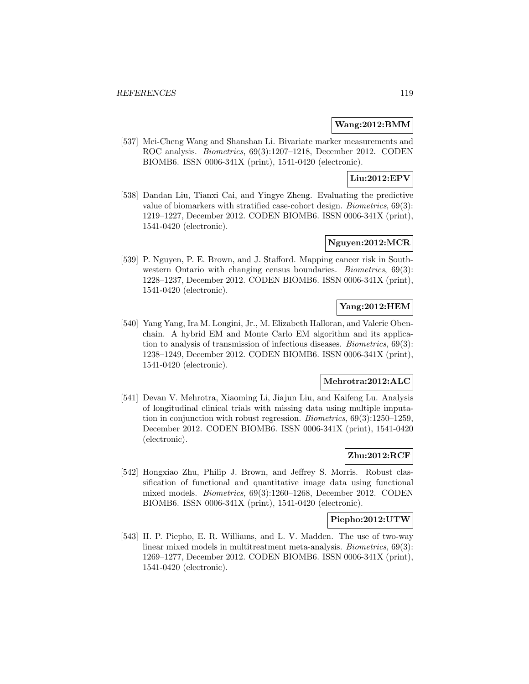### **Wang:2012:BMM**

[537] Mei-Cheng Wang and Shanshan Li. Bivariate marker measurements and ROC analysis. Biometrics, 69(3):1207–1218, December 2012. CODEN BIOMB6. ISSN 0006-341X (print), 1541-0420 (electronic).

# **Liu:2012:EPV**

[538] Dandan Liu, Tianxi Cai, and Yingye Zheng. Evaluating the predictive value of biomarkers with stratified case-cohort design. Biometrics, 69(3): 1219–1227, December 2012. CODEN BIOMB6. ISSN 0006-341X (print), 1541-0420 (electronic).

# **Nguyen:2012:MCR**

[539] P. Nguyen, P. E. Brown, and J. Stafford. Mapping cancer risk in Southwestern Ontario with changing census boundaries. *Biometrics*, 69(3): 1228–1237, December 2012. CODEN BIOMB6. ISSN 0006-341X (print), 1541-0420 (electronic).

# **Yang:2012:HEM**

[540] Yang Yang, Ira M. Longini, Jr., M. Elizabeth Halloran, and Valerie Obenchain. A hybrid EM and Monte Carlo EM algorithm and its application to analysis of transmission of infectious diseases. Biometrics, 69(3): 1238–1249, December 2012. CODEN BIOMB6. ISSN 0006-341X (print), 1541-0420 (electronic).

# **Mehrotra:2012:ALC**

[541] Devan V. Mehrotra, Xiaoming Li, Jiajun Liu, and Kaifeng Lu. Analysis of longitudinal clinical trials with missing data using multiple imputation in conjunction with robust regression. Biometrics, 69(3):1250–1259, December 2012. CODEN BIOMB6. ISSN 0006-341X (print), 1541-0420 (electronic).

# **Zhu:2012:RCF**

[542] Hongxiao Zhu, Philip J. Brown, and Jeffrey S. Morris. Robust classification of functional and quantitative image data using functional mixed models. Biometrics, 69(3):1260–1268, December 2012. CODEN BIOMB6. ISSN 0006-341X (print), 1541-0420 (electronic).

### **Piepho:2012:UTW**

[543] H. P. Piepho, E. R. Williams, and L. V. Madden. The use of two-way linear mixed models in multitreatment meta-analysis. Biometrics, 69(3): 1269–1277, December 2012. CODEN BIOMB6. ISSN 0006-341X (print), 1541-0420 (electronic).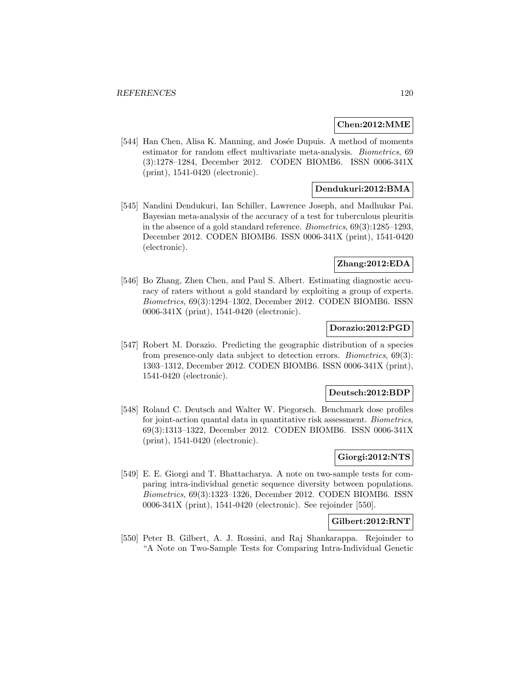#### **Chen:2012:MME**

[544] Han Chen, Alisa K. Manning, and Josée Dupuis. A method of moments estimator for random effect multivariate meta-analysis. Biometrics, 69 (3):1278–1284, December 2012. CODEN BIOMB6. ISSN 0006-341X (print), 1541-0420 (electronic).

# **Dendukuri:2012:BMA**

[545] Nandini Dendukuri, Ian Schiller, Lawrence Joseph, and Madhukar Pai. Bayesian meta-analysis of the accuracy of a test for tuberculous pleuritis in the absence of a gold standard reference. Biometrics, 69(3):1285–1293, December 2012. CODEN BIOMB6. ISSN 0006-341X (print), 1541-0420 (electronic).

### **Zhang:2012:EDA**

[546] Bo Zhang, Zhen Chen, and Paul S. Albert. Estimating diagnostic accuracy of raters without a gold standard by exploiting a group of experts. Biometrics, 69(3):1294–1302, December 2012. CODEN BIOMB6. ISSN 0006-341X (print), 1541-0420 (electronic).

### **Dorazio:2012:PGD**

[547] Robert M. Dorazio. Predicting the geographic distribution of a species from presence-only data subject to detection errors. Biometrics, 69(3): 1303–1312, December 2012. CODEN BIOMB6. ISSN 0006-341X (print), 1541-0420 (electronic).

#### **Deutsch:2012:BDP**

[548] Roland C. Deutsch and Walter W. Piegorsch. Benchmark dose profiles for joint-action quantal data in quantitative risk assessment. *Biometrics*, 69(3):1313–1322, December 2012. CODEN BIOMB6. ISSN 0006-341X (print), 1541-0420 (electronic).

# **Giorgi:2012:NTS**

[549] E. E. Giorgi and T. Bhattacharya. A note on two-sample tests for comparing intra-individual genetic sequence diversity between populations. Biometrics, 69(3):1323–1326, December 2012. CODEN BIOMB6. ISSN 0006-341X (print), 1541-0420 (electronic). See rejoinder [550].

### **Gilbert:2012:RNT**

[550] Peter B. Gilbert, A. J. Rossini, and Raj Shankarappa. Rejoinder to "A Note on Two-Sample Tests for Comparing Intra-Individual Genetic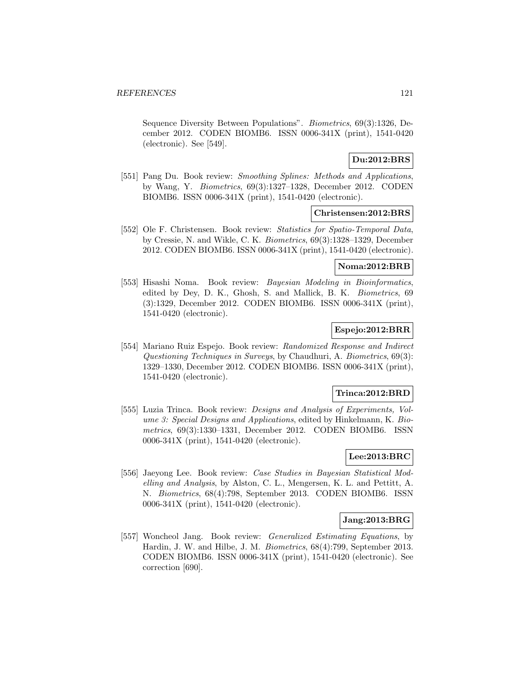Sequence Diversity Between Populations". Biometrics, 69(3):1326, December 2012. CODEN BIOMB6. ISSN 0006-341X (print), 1541-0420 (electronic). See [549].

# **Du:2012:BRS**

[551] Pang Du. Book review: Smoothing Splines: Methods and Applications, by Wang, Y. Biometrics, 69(3):1327–1328, December 2012. CODEN BIOMB6. ISSN 0006-341X (print), 1541-0420 (electronic).

## **Christensen:2012:BRS**

[552] Ole F. Christensen. Book review: Statistics for Spatio-Temporal Data, by Cressie, N. and Wikle, C. K. Biometrics, 69(3):1328–1329, December 2012. CODEN BIOMB6. ISSN 0006-341X (print), 1541-0420 (electronic).

## **Noma:2012:BRB**

[553] Hisashi Noma. Book review: Bayesian Modeling in Bioinformatics, edited by Dey, D. K., Ghosh, S. and Mallick, B. K. Biometrics, 69 (3):1329, December 2012. CODEN BIOMB6. ISSN 0006-341X (print), 1541-0420 (electronic).

# **Espejo:2012:BRR**

[554] Mariano Ruiz Espejo. Book review: Randomized Response and Indirect Questioning Techniques in Surveys, by Chaudhuri, A. Biometrics, 69(3): 1329–1330, December 2012. CODEN BIOMB6. ISSN 0006-341X (print), 1541-0420 (electronic).

### **Trinca:2012:BRD**

[555] Luzia Trinca. Book review: *Designs and Analysis of Experiments*, *Vol*ume 3: Special Designs and Applications, edited by Hinkelmann, K. Biometrics, 69(3):1330–1331, December 2012. CODEN BIOMB6. ISSN 0006-341X (print), 1541-0420 (electronic).

# **Lee:2013:BRC**

[556] Jaeyong Lee. Book review: Case Studies in Bayesian Statistical Modelling and Analysis, by Alston, C. L., Mengersen, K. L. and Pettitt, A. N. Biometrics, 68(4):798, September 2013. CODEN BIOMB6. ISSN 0006-341X (print), 1541-0420 (electronic).

### **Jang:2013:BRG**

[557] Woncheol Jang. Book review: Generalized Estimating Equations, by Hardin, J. W. and Hilbe, J. M. Biometrics, 68(4):799, September 2013. CODEN BIOMB6. ISSN 0006-341X (print), 1541-0420 (electronic). See correction [690].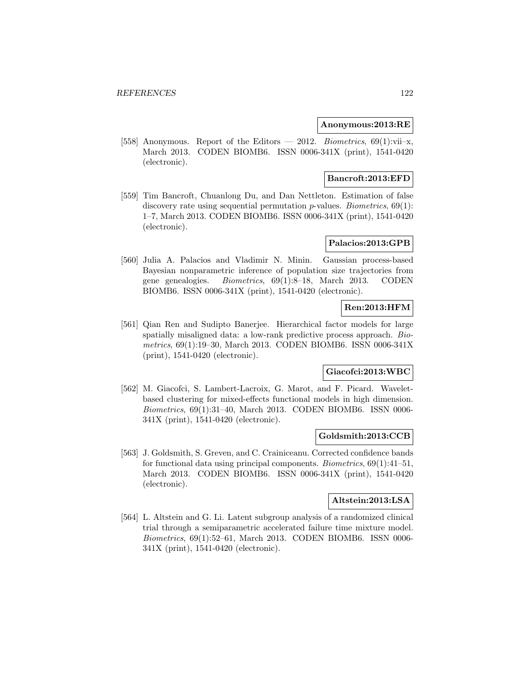#### **Anonymous:2013:RE**

[558] Anonymous. Report of the Editors — 2012. Biometrics,  $69(1)$ :vii-x, March 2013. CODEN BIOMB6. ISSN 0006-341X (print), 1541-0420 (electronic).

### **Bancroft:2013:EFD**

[559] Tim Bancroft, Chuanlong Du, and Dan Nettleton. Estimation of false discovery rate using sequential permutation *p*-values. *Biometrics*, 69(1): 1–7, March 2013. CODEN BIOMB6. ISSN 0006-341X (print), 1541-0420 (electronic).

### **Palacios:2013:GPB**

[560] Julia A. Palacios and Vladimir N. Minin. Gaussian process-based Bayesian nonparametric inference of population size trajectories from gene genealogies. Biometrics, 69(1):8–18, March 2013. CODEN BIOMB6. ISSN 0006-341X (print), 1541-0420 (electronic).

# **Ren:2013:HFM**

[561] Qian Ren and Sudipto Banerjee. Hierarchical factor models for large spatially misaligned data: a low-rank predictive process approach. Biometrics, 69(1):19–30, March 2013. CODEN BIOMB6. ISSN 0006-341X (print), 1541-0420 (electronic).

# **Giacofci:2013:WBC**

[562] M. Giacofci, S. Lambert-Lacroix, G. Marot, and F. Picard. Waveletbased clustering for mixed-effects functional models in high dimension. Biometrics, 69(1):31–40, March 2013. CODEN BIOMB6. ISSN 0006- 341X (print), 1541-0420 (electronic).

### **Goldsmith:2013:CCB**

[563] J. Goldsmith, S. Greven, and C. Crainiceanu. Corrected confidence bands for functional data using principal components. Biometrics, 69(1):41–51, March 2013. CODEN BIOMB6. ISSN 0006-341X (print), 1541-0420 (electronic).

### **Altstein:2013:LSA**

[564] L. Altstein and G. Li. Latent subgroup analysis of a randomized clinical trial through a semiparametric accelerated failure time mixture model. Biometrics, 69(1):52–61, March 2013. CODEN BIOMB6. ISSN 0006- 341X (print), 1541-0420 (electronic).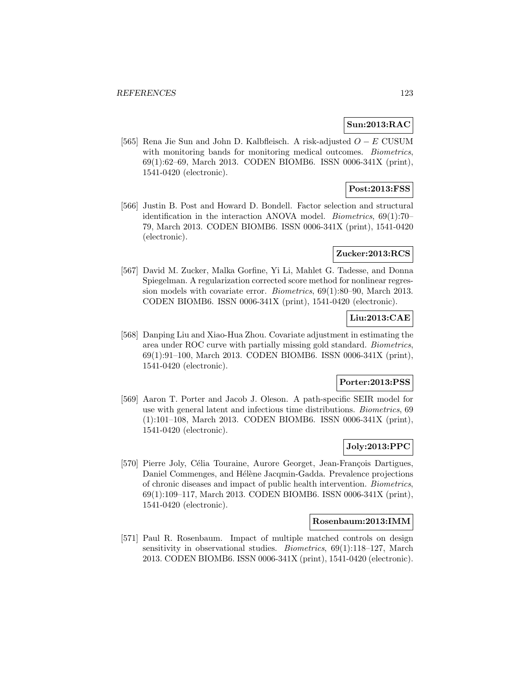### **Sun:2013:RAC**

[565] Rena Jie Sun and John D. Kalbfleisch. A risk-adjusted O − E CUSUM with monitoring bands for monitoring medical outcomes. *Biometrics*, 69(1):62–69, March 2013. CODEN BIOMB6. ISSN 0006-341X (print), 1541-0420 (electronic).

# **Post:2013:FSS**

[566] Justin B. Post and Howard D. Bondell. Factor selection and structural identification in the interaction ANOVA model. *Biometrics*,  $69(1):70-$ 79, March 2013. CODEN BIOMB6. ISSN 0006-341X (print), 1541-0420 (electronic).

## **Zucker:2013:RCS**

[567] David M. Zucker, Malka Gorfine, Yi Li, Mahlet G. Tadesse, and Donna Spiegelman. A regularization corrected score method for nonlinear regression models with covariate error. Biometrics, 69(1):80–90, March 2013. CODEN BIOMB6. ISSN 0006-341X (print), 1541-0420 (electronic).

# **Liu:2013:CAE**

[568] Danping Liu and Xiao-Hua Zhou. Covariate adjustment in estimating the area under ROC curve with partially missing gold standard. Biometrics, 69(1):91–100, March 2013. CODEN BIOMB6. ISSN 0006-341X (print), 1541-0420 (electronic).

### **Porter:2013:PSS**

[569] Aaron T. Porter and Jacob J. Oleson. A path-specific SEIR model for use with general latent and infectious time distributions. Biometrics, 69 (1):101–108, March 2013. CODEN BIOMB6. ISSN 0006-341X (print), 1541-0420 (electronic).

### **Joly:2013:PPC**

[570] Pierre Joly, Célia Touraine, Aurore Georget, Jean-François Dartigues, Daniel Commenges, and Hélène Jacqmin-Gadda. Prevalence projections of chronic diseases and impact of public health intervention. Biometrics, 69(1):109–117, March 2013. CODEN BIOMB6. ISSN 0006-341X (print), 1541-0420 (electronic).

#### **Rosenbaum:2013:IMM**

[571] Paul R. Rosenbaum. Impact of multiple matched controls on design sensitivity in observational studies. Biometrics, 69(1):118–127, March 2013. CODEN BIOMB6. ISSN 0006-341X (print), 1541-0420 (electronic).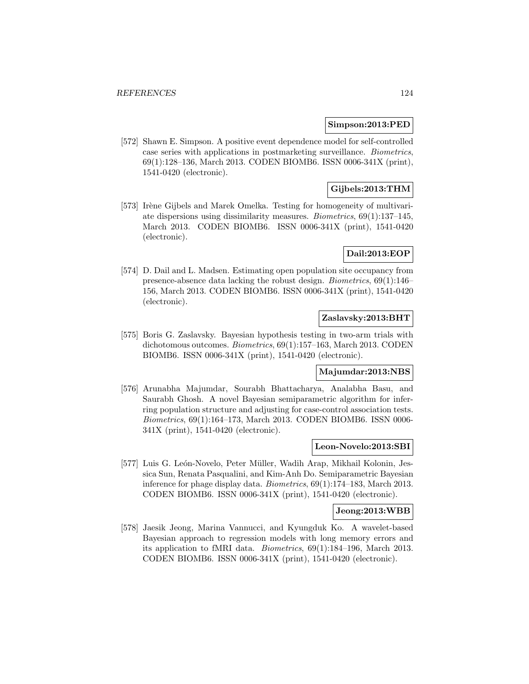#### **Simpson:2013:PED**

[572] Shawn E. Simpson. A positive event dependence model for self-controlled case series with applications in postmarketing surveillance. Biometrics, 69(1):128–136, March 2013. CODEN BIOMB6. ISSN 0006-341X (print), 1541-0420 (electronic).

# **Gijbels:2013:THM**

[573] Irène Gijbels and Marek Omelka. Testing for homogeneity of multivariate dispersions using dissimilarity measures. Biometrics, 69(1):137–145, March 2013. CODEN BIOMB6. ISSN 0006-341X (print), 1541-0420 (electronic).

## **Dail:2013:EOP**

[574] D. Dail and L. Madsen. Estimating open population site occupancy from presence-absence data lacking the robust design. Biometrics, 69(1):146– 156, March 2013. CODEN BIOMB6. ISSN 0006-341X (print), 1541-0420 (electronic).

# **Zaslavsky:2013:BHT**

[575] Boris G. Zaslavsky. Bayesian hypothesis testing in two-arm trials with dichotomous outcomes. Biometrics, 69(1):157–163, March 2013. CODEN BIOMB6. ISSN 0006-341X (print), 1541-0420 (electronic).

# **Majumdar:2013:NBS**

[576] Arunabha Majumdar, Sourabh Bhattacharya, Analabha Basu, and Saurabh Ghosh. A novel Bayesian semiparametric algorithm for inferring population structure and adjusting for case-control association tests. Biometrics, 69(1):164–173, March 2013. CODEN BIOMB6. ISSN 0006- 341X (print), 1541-0420 (electronic).

### **Leon-Novelo:2013:SBI**

[577] Luis G. León-Novelo, Peter Müller, Wadih Arap, Mikhail Kolonin, Jessica Sun, Renata Pasqualini, and Kim-Anh Do. Semiparametric Bayesian inference for phage display data. Biometrics, 69(1):174–183, March 2013. CODEN BIOMB6. ISSN 0006-341X (print), 1541-0420 (electronic).

#### **Jeong:2013:WBB**

[578] Jaesik Jeong, Marina Vannucci, and Kyungduk Ko. A wavelet-based Bayesian approach to regression models with long memory errors and its application to fMRI data. Biometrics, 69(1):184–196, March 2013. CODEN BIOMB6. ISSN 0006-341X (print), 1541-0420 (electronic).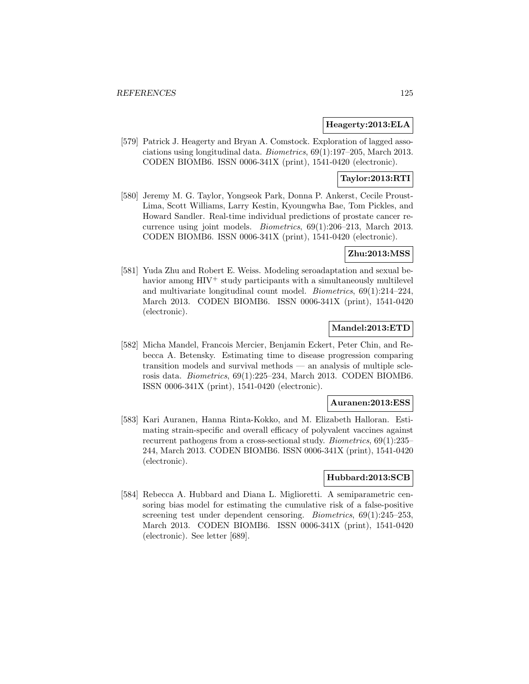### **Heagerty:2013:ELA**

[579] Patrick J. Heagerty and Bryan A. Comstock. Exploration of lagged associations using longitudinal data. Biometrics, 69(1):197–205, March 2013. CODEN BIOMB6. ISSN 0006-341X (print), 1541-0420 (electronic).

# **Taylor:2013:RTI**

[580] Jeremy M. G. Taylor, Yongseok Park, Donna P. Ankerst, Cecile Proust-Lima, Scott Williams, Larry Kestin, Kyoungwha Bae, Tom Pickles, and Howard Sandler. Real-time individual predictions of prostate cancer recurrence using joint models. Biometrics, 69(1):206–213, March 2013. CODEN BIOMB6. ISSN 0006-341X (print), 1541-0420 (electronic).

### **Zhu:2013:MSS**

[581] Yuda Zhu and Robert E. Weiss. Modeling seroadaptation and sexual behavior among  $H I V^+$  study participants with a simultaneously multilevel and multivariate longitudinal count model. Biometrics, 69(1):214–224, March 2013. CODEN BIOMB6. ISSN 0006-341X (print), 1541-0420 (electronic).

## **Mandel:2013:ETD**

[582] Micha Mandel, Francois Mercier, Benjamin Eckert, Peter Chin, and Rebecca A. Betensky. Estimating time to disease progression comparing transition models and survival methods — an analysis of multiple sclerosis data. Biometrics, 69(1):225–234, March 2013. CODEN BIOMB6. ISSN 0006-341X (print), 1541-0420 (electronic).

#### **Auranen:2013:ESS**

[583] Kari Auranen, Hanna Rinta-Kokko, and M. Elizabeth Halloran. Estimating strain-specific and overall efficacy of polyvalent vaccines against recurrent pathogens from a cross-sectional study. Biometrics, 69(1):235– 244, March 2013. CODEN BIOMB6. ISSN 0006-341X (print), 1541-0420 (electronic).

### **Hubbard:2013:SCB**

[584] Rebecca A. Hubbard and Diana L. Miglioretti. A semiparametric censoring bias model for estimating the cumulative risk of a false-positive screening test under dependent censoring. Biometrics, 69(1):245–253, March 2013. CODEN BIOMB6. ISSN 0006-341X (print), 1541-0420 (electronic). See letter [689].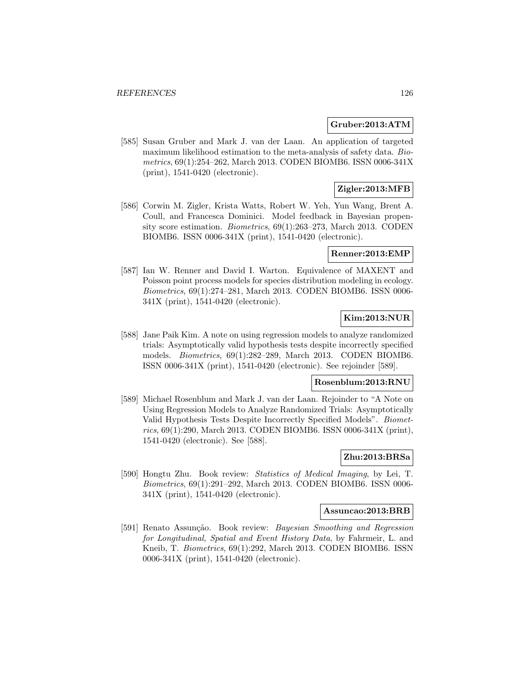#### **Gruber:2013:ATM**

[585] Susan Gruber and Mark J. van der Laan. An application of targeted maximum likelihood estimation to the meta-analysis of safety data. Biometrics, 69(1):254–262, March 2013. CODEN BIOMB6. ISSN 0006-341X (print), 1541-0420 (electronic).

# **Zigler:2013:MFB**

[586] Corwin M. Zigler, Krista Watts, Robert W. Yeh, Yun Wang, Brent A. Coull, and Francesca Dominici. Model feedback in Bayesian propensity score estimation. Biometrics, 69(1):263–273, March 2013. CODEN BIOMB6. ISSN 0006-341X (print), 1541-0420 (electronic).

#### **Renner:2013:EMP**

[587] Ian W. Renner and David I. Warton. Equivalence of MAXENT and Poisson point process models for species distribution modeling in ecology. Biometrics, 69(1):274–281, March 2013. CODEN BIOMB6. ISSN 0006- 341X (print), 1541-0420 (electronic).

### **Kim:2013:NUR**

[588] Jane Paik Kim. A note on using regression models to analyze randomized trials: Asymptotically valid hypothesis tests despite incorrectly specified models. Biometrics, 69(1):282–289, March 2013. CODEN BIOMB6. ISSN 0006-341X (print), 1541-0420 (electronic). See rejoinder [589].

#### **Rosenblum:2013:RNU**

[589] Michael Rosenblum and Mark J. van der Laan. Rejoinder to "A Note on Using Regression Models to Analyze Randomized Trials: Asymptotically Valid Hypothesis Tests Despite Incorrectly Specified Models". Biometrics, 69(1):290, March 2013. CODEN BIOMB6. ISSN 0006-341X (print), 1541-0420 (electronic). See [588].

## **Zhu:2013:BRSa**

[590] Hongtu Zhu. Book review: Statistics of Medical Imaging, by Lei, T. Biometrics, 69(1):291–292, March 2013. CODEN BIOMB6. ISSN 0006- 341X (print), 1541-0420 (electronic).

#### **Assuncao:2013:BRB**

[591] Renato Assunção. Book review: Bayesian Smoothing and Regression for Longitudinal, Spatial and Event History Data, by Fahrmeir, L. and Kneib, T. Biometrics, 69(1):292, March 2013. CODEN BIOMB6. ISSN 0006-341X (print), 1541-0420 (electronic).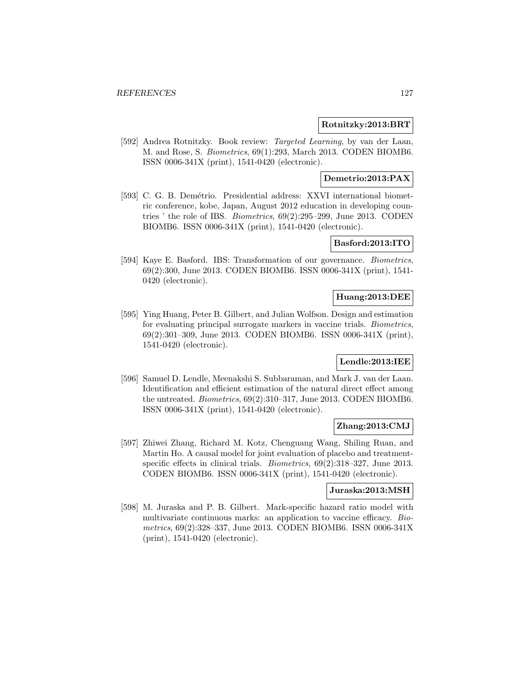### **Rotnitzky:2013:BRT**

[592] Andrea Rotnitzky. Book review: Targeted Learning, by van der Laan, M. and Rose, S. Biometrics, 69(1):293, March 2013. CODEN BIOMB6. ISSN 0006-341X (print), 1541-0420 (electronic).

### **Demetrio:2013:PAX**

[593] C. G. B. Demétrio. Presidential address: XXVI international biometric conference, kobe, Japan, August 2012 education in developing countries ' the role of IBS. Biometrics, 69(2):295–299, June 2013. CODEN BIOMB6. ISSN 0006-341X (print), 1541-0420 (electronic).

### **Basford:2013:ITO**

[594] Kaye E. Basford. IBS: Transformation of our governance. Biometrics, 69(2):300, June 2013. CODEN BIOMB6. ISSN 0006-341X (print), 1541- 0420 (electronic).

### **Huang:2013:DEE**

[595] Ying Huang, Peter B. Gilbert, and Julian Wolfson. Design and estimation for evaluating principal surrogate markers in vaccine trials. Biometrics, 69(2):301–309, June 2013. CODEN BIOMB6. ISSN 0006-341X (print), 1541-0420 (electronic).

### **Lendle:2013:IEE**

[596] Samuel D. Lendle, Meenakshi S. Subbaraman, and Mark J. van der Laan. Identification and efficient estimation of the natural direct effect among the untreated. Biometrics, 69(2):310–317, June 2013. CODEN BIOMB6. ISSN 0006-341X (print), 1541-0420 (electronic).

### **Zhang:2013:CMJ**

[597] Zhiwei Zhang, Richard M. Kotz, Chenguang Wang, Shiling Ruan, and Martin Ho. A causal model for joint evaluation of placebo and treatmentspecific effects in clinical trials. *Biometrics*,  $69(2):318-327$ , June 2013. CODEN BIOMB6. ISSN 0006-341X (print), 1541-0420 (electronic).

#### **Juraska:2013:MSH**

[598] M. Juraska and P. B. Gilbert. Mark-specific hazard ratio model with multivariate continuous marks: an application to vaccine efficacy. Biometrics, 69(2):328–337, June 2013. CODEN BIOMB6. ISSN 0006-341X (print), 1541-0420 (electronic).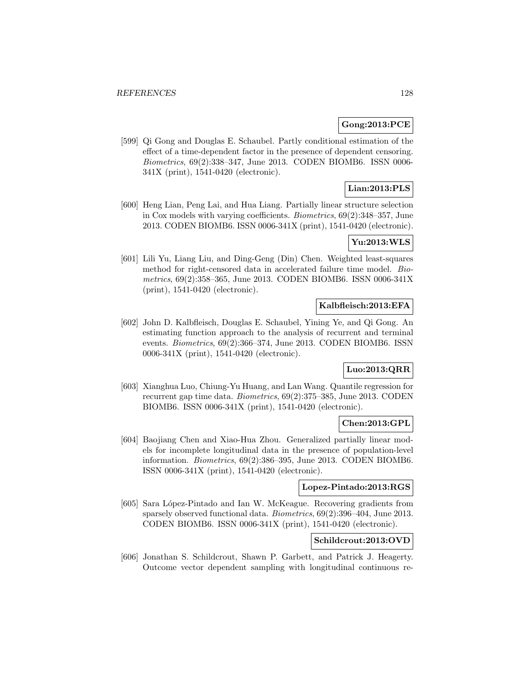# **Gong:2013:PCE**

[599] Qi Gong and Douglas E. Schaubel. Partly conditional estimation of the effect of a time-dependent factor in the presence of dependent censoring. Biometrics, 69(2):338–347, June 2013. CODEN BIOMB6. ISSN 0006- 341X (print), 1541-0420 (electronic).

# **Lian:2013:PLS**

[600] Heng Lian, Peng Lai, and Hua Liang. Partially linear structure selection in Cox models with varying coefficients. Biometrics, 69(2):348–357, June 2013. CODEN BIOMB6. ISSN 0006-341X (print), 1541-0420 (electronic).

# **Yu:2013:WLS**

[601] Lili Yu, Liang Liu, and Ding-Geng (Din) Chen. Weighted least-squares method for right-censored data in accelerated failure time model. Biometrics, 69(2):358–365, June 2013. CODEN BIOMB6. ISSN 0006-341X (print), 1541-0420 (electronic).

## **Kalbfleisch:2013:EFA**

[602] John D. Kalbfleisch, Douglas E. Schaubel, Yining Ye, and Qi Gong. An estimating function approach to the analysis of recurrent and terminal events. Biometrics, 69(2):366–374, June 2013. CODEN BIOMB6. ISSN 0006-341X (print), 1541-0420 (electronic).

# **Luo:2013:QRR**

[603] Xianghua Luo, Chiung-Yu Huang, and Lan Wang. Quantile regression for recurrent gap time data. Biometrics, 69(2):375–385, June 2013. CODEN BIOMB6. ISSN 0006-341X (print), 1541-0420 (electronic).

### **Chen:2013:GPL**

[604] Baojiang Chen and Xiao-Hua Zhou. Generalized partially linear models for incomplete longitudinal data in the presence of population-level information. Biometrics, 69(2):386–395, June 2013. CODEN BIOMB6. ISSN 0006-341X (print), 1541-0420 (electronic).

# **Lopez-Pintado:2013:RGS**

[605] Sara López-Pintado and Ian W. McKeague. Recovering gradients from sparsely observed functional data. Biometrics, 69(2):396–404, June 2013. CODEN BIOMB6. ISSN 0006-341X (print), 1541-0420 (electronic).

# **Schildcrout:2013:OVD**

[606] Jonathan S. Schildcrout, Shawn P. Garbett, and Patrick J. Heagerty. Outcome vector dependent sampling with longitudinal continuous re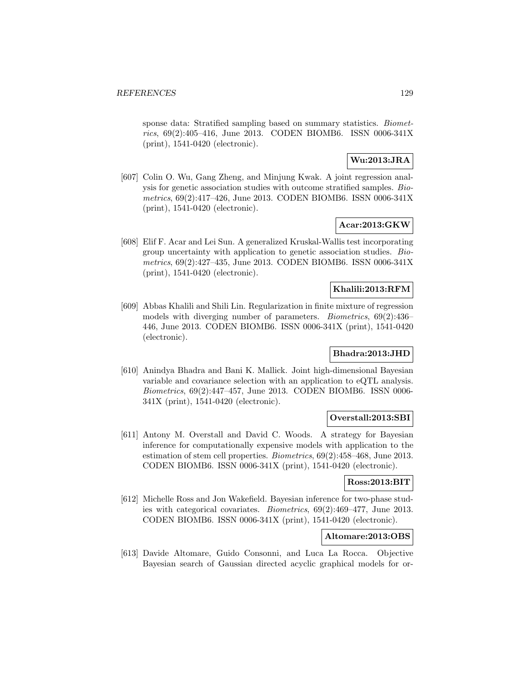sponse data: Stratified sampling based on summary statistics. *Biomet*rics, 69(2):405–416, June 2013. CODEN BIOMB6. ISSN 0006-341X (print), 1541-0420 (electronic).

# **Wu:2013:JRA**

[607] Colin O. Wu, Gang Zheng, and Minjung Kwak. A joint regression analysis for genetic association studies with outcome stratified samples. Biometrics, 69(2):417–426, June 2013. CODEN BIOMB6. ISSN 0006-341X (print), 1541-0420 (electronic).

## **Acar:2013:GKW**

[608] Elif F. Acar and Lei Sun. A generalized Kruskal-Wallis test incorporating group uncertainty with application to genetic association studies. Biometrics, 69(2):427–435, June 2013. CODEN BIOMB6. ISSN 0006-341X (print), 1541-0420 (electronic).

#### **Khalili:2013:RFM**

[609] Abbas Khalili and Shili Lin. Regularization in finite mixture of regression models with diverging number of parameters. Biometrics, 69(2):436– 446, June 2013. CODEN BIOMB6. ISSN 0006-341X (print), 1541-0420 (electronic).

#### **Bhadra:2013:JHD**

[610] Anindya Bhadra and Bani K. Mallick. Joint high-dimensional Bayesian variable and covariance selection with an application to eQTL analysis. Biometrics, 69(2):447–457, June 2013. CODEN BIOMB6. ISSN 0006- 341X (print), 1541-0420 (electronic).

### **Overstall:2013:SBI**

[611] Antony M. Overstall and David C. Woods. A strategy for Bayesian inference for computationally expensive models with application to the estimation of stem cell properties. Biometrics, 69(2):458–468, June 2013. CODEN BIOMB6. ISSN 0006-341X (print), 1541-0420 (electronic).

# **Ross:2013:BIT**

[612] Michelle Ross and Jon Wakefield. Bayesian inference for two-phase studies with categorical covariates. Biometrics, 69(2):469–477, June 2013. CODEN BIOMB6. ISSN 0006-341X (print), 1541-0420 (electronic).

# **Altomare:2013:OBS**

[613] Davide Altomare, Guido Consonni, and Luca La Rocca. Objective Bayesian search of Gaussian directed acyclic graphical models for or-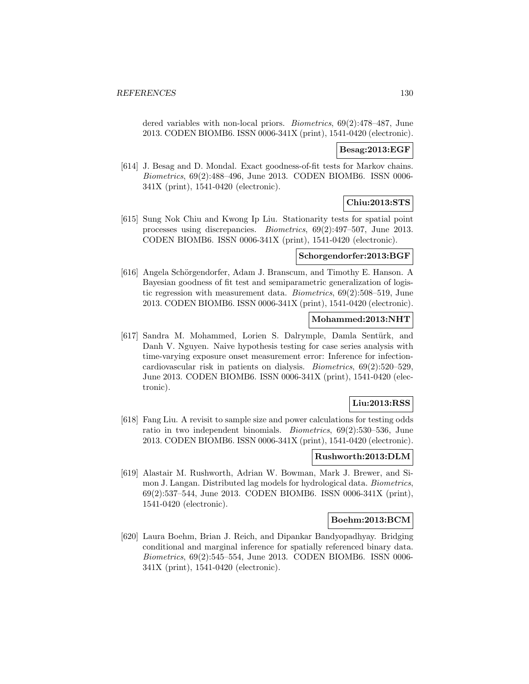dered variables with non-local priors. Biometrics, 69(2):478–487, June 2013. CODEN BIOMB6. ISSN 0006-341X (print), 1541-0420 (electronic).

#### **Besag:2013:EGF**

[614] J. Besag and D. Mondal. Exact goodness-of-fit tests for Markov chains. Biometrics, 69(2):488–496, June 2013. CODEN BIOMB6. ISSN 0006- 341X (print), 1541-0420 (electronic).

### **Chiu:2013:STS**

[615] Sung Nok Chiu and Kwong Ip Liu. Stationarity tests for spatial point processes using discrepancies. Biometrics, 69(2):497–507, June 2013. CODEN BIOMB6. ISSN 0006-341X (print), 1541-0420 (electronic).

### **Schorgendorfer:2013:BGF**

[616] Angela Schörgendorfer, Adam J. Branscum, and Timothy E. Hanson. A Bayesian goodness of fit test and semiparametric generalization of logistic regression with measurement data. Biometrics, 69(2):508–519, June 2013. CODEN BIOMB6. ISSN 0006-341X (print), 1541-0420 (electronic).

### **Mohammed:2013:NHT**

[617] Sandra M. Mohammed, Lorien S. Dalrymple, Damla Sentürk, and Danh V. Nguyen. Naive hypothesis testing for case series analysis with time-varying exposure onset measurement error: Inference for infectioncardiovascular risk in patients on dialysis. Biometrics, 69(2):520–529, June 2013. CODEN BIOMB6. ISSN 0006-341X (print), 1541-0420 (electronic).

### **Liu:2013:RSS**

[618] Fang Liu. A revisit to sample size and power calculations for testing odds ratio in two independent binomials. Biometrics, 69(2):530–536, June 2013. CODEN BIOMB6. ISSN 0006-341X (print), 1541-0420 (electronic).

## **Rushworth:2013:DLM**

[619] Alastair M. Rushworth, Adrian W. Bowman, Mark J. Brewer, and Simon J. Langan. Distributed lag models for hydrological data. Biometrics, 69(2):537–544, June 2013. CODEN BIOMB6. ISSN 0006-341X (print), 1541-0420 (electronic).

### **Boehm:2013:BCM**

[620] Laura Boehm, Brian J. Reich, and Dipankar Bandyopadhyay. Bridging conditional and marginal inference for spatially referenced binary data. Biometrics, 69(2):545–554, June 2013. CODEN BIOMB6. ISSN 0006- 341X (print), 1541-0420 (electronic).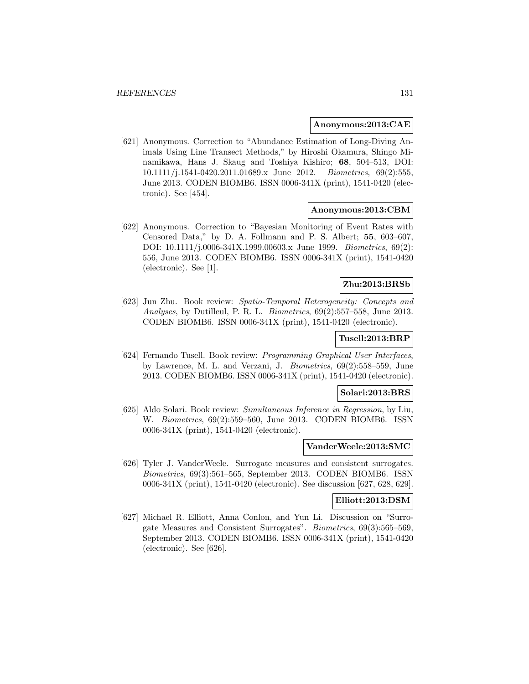#### **Anonymous:2013:CAE**

[621] Anonymous. Correction to "Abundance Estimation of Long-Diving Animals Using Line Transect Methods," by Hiroshi Okamura, Shingo Minamikawa, Hans J. Skaug and Toshiya Kishiro; **68**, 504–513, DOI: 10.1111/j.1541-0420.2011.01689.x June 2012. Biometrics, 69(2):555, June 2013. CODEN BIOMB6. ISSN 0006-341X (print), 1541-0420 (electronic). See [454].

#### **Anonymous:2013:CBM**

[622] Anonymous. Correction to "Bayesian Monitoring of Event Rates with Censored Data," by D. A. Follmann and P. S. Albert; **55**, 603–607, DOI: 10.1111/j.0006-341X.1999.00603.x June 1999. Biometrics, 69(2): 556, June 2013. CODEN BIOMB6. ISSN 0006-341X (print), 1541-0420 (electronic). See [1].

# **Zhu:2013:BRSb**

[623] Jun Zhu. Book review: Spatio-Temporal Heterogeneity: Concepts and Analyses, by Dutilleul, P. R. L. Biometrics, 69(2):557–558, June 2013. CODEN BIOMB6. ISSN 0006-341X (print), 1541-0420 (electronic).

#### **Tusell:2013:BRP**

[624] Fernando Tusell. Book review: Programming Graphical User Interfaces, by Lawrence, M. L. and Verzani, J. Biometrics, 69(2):558–559, June 2013. CODEN BIOMB6. ISSN 0006-341X (print), 1541-0420 (electronic).

#### **Solari:2013:BRS**

[625] Aldo Solari. Book review: Simultaneous Inference in Regression, by Liu, W. Biometrics, 69(2):559–560, June 2013. CODEN BIOMB6. ISSN 0006-341X (print), 1541-0420 (electronic).

#### **VanderWeele:2013:SMC**

[626] Tyler J. VanderWeele. Surrogate measures and consistent surrogates. Biometrics, 69(3):561–565, September 2013. CODEN BIOMB6. ISSN 0006-341X (print), 1541-0420 (electronic). See discussion [627, 628, 629].

#### **Elliott:2013:DSM**

[627] Michael R. Elliott, Anna Conlon, and Yun Li. Discussion on "Surrogate Measures and Consistent Surrogates". Biometrics, 69(3):565–569, September 2013. CODEN BIOMB6. ISSN 0006-341X (print), 1541-0420 (electronic). See [626].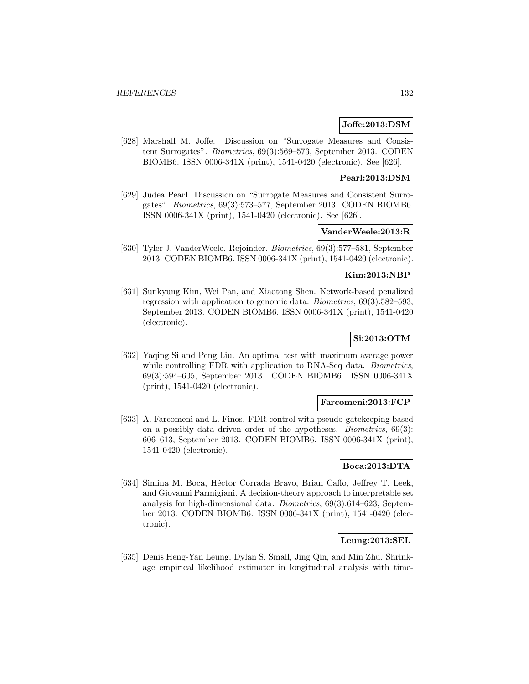#### **Joffe:2013:DSM**

[628] Marshall M. Joffe. Discussion on "Surrogate Measures and Consistent Surrogates". Biometrics, 69(3):569–573, September 2013. CODEN BIOMB6. ISSN 0006-341X (print), 1541-0420 (electronic). See [626].

### **Pearl:2013:DSM**

[629] Judea Pearl. Discussion on "Surrogate Measures and Consistent Surrogates". Biometrics, 69(3):573–577, September 2013. CODEN BIOMB6. ISSN 0006-341X (print), 1541-0420 (electronic). See [626].

# **VanderWeele:2013:R**

[630] Tyler J. VanderWeele. Rejoinder. Biometrics, 69(3):577–581, September 2013. CODEN BIOMB6. ISSN 0006-341X (print), 1541-0420 (electronic).

# **Kim:2013:NBP**

[631] Sunkyung Kim, Wei Pan, and Xiaotong Shen. Network-based penalized regression with application to genomic data. Biometrics, 69(3):582–593, September 2013. CODEN BIOMB6. ISSN 0006-341X (print), 1541-0420 (electronic).

# **Si:2013:OTM**

[632] Yaqing Si and Peng Liu. An optimal test with maximum average power while controlling FDR with application to RNA-Seq data. *Biometrics*, 69(3):594–605, September 2013. CODEN BIOMB6. ISSN 0006-341X (print), 1541-0420 (electronic).

#### **Farcomeni:2013:FCP**

[633] A. Farcomeni and L. Finos. FDR control with pseudo-gatekeeping based on a possibly data driven order of the hypotheses. Biometrics, 69(3): 606–613, September 2013. CODEN BIOMB6. ISSN 0006-341X (print), 1541-0420 (electronic).

## **Boca:2013:DTA**

[634] Simina M. Boca, Héctor Corrada Bravo, Brian Caffo, Jeffrey T. Leek, and Giovanni Parmigiani. A decision-theory approach to interpretable set analysis for high-dimensional data. Biometrics, 69(3):614–623, September 2013. CODEN BIOMB6. ISSN 0006-341X (print), 1541-0420 (electronic).

# **Leung:2013:SEL**

[635] Denis Heng-Yan Leung, Dylan S. Small, Jing Qin, and Min Zhu. Shrinkage empirical likelihood estimator in longitudinal analysis with time-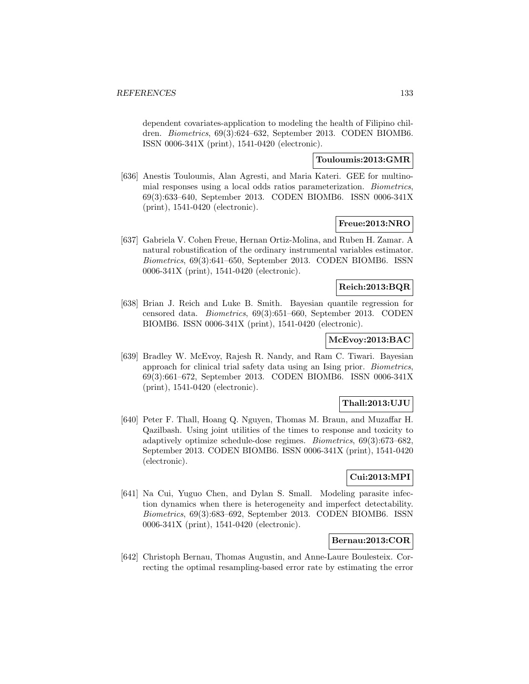dependent covariates-application to modeling the health of Filipino children. Biometrics, 69(3):624–632, September 2013. CODEN BIOMB6. ISSN 0006-341X (print), 1541-0420 (electronic).

# **Touloumis:2013:GMR**

[636] Anestis Touloumis, Alan Agresti, and Maria Kateri. GEE for multinomial responses using a local odds ratios parameterization. Biometrics, 69(3):633–640, September 2013. CODEN BIOMB6. ISSN 0006-341X (print), 1541-0420 (electronic).

# **Freue:2013:NRO**

[637] Gabriela V. Cohen Freue, Hernan Ortiz-Molina, and Ruben H. Zamar. A natural robustification of the ordinary instrumental variables estimator. Biometrics, 69(3):641–650, September 2013. CODEN BIOMB6. ISSN 0006-341X (print), 1541-0420 (electronic).

# **Reich:2013:BQR**

[638] Brian J. Reich and Luke B. Smith. Bayesian quantile regression for censored data. Biometrics, 69(3):651–660, September 2013. CODEN BIOMB6. ISSN 0006-341X (print), 1541-0420 (electronic).

# **McEvoy:2013:BAC**

[639] Bradley W. McEvoy, Rajesh R. Nandy, and Ram C. Tiwari. Bayesian approach for clinical trial safety data using an Ising prior. Biometrics, 69(3):661–672, September 2013. CODEN BIOMB6. ISSN 0006-341X (print), 1541-0420 (electronic).

# **Thall:2013:UJU**

[640] Peter F. Thall, Hoang Q. Nguyen, Thomas M. Braun, and Muzaffar H. Qazilbash. Using joint utilities of the times to response and toxicity to adaptively optimize schedule-dose regimes. Biometrics, 69(3):673–682, September 2013. CODEN BIOMB6. ISSN 0006-341X (print), 1541-0420 (electronic).

# **Cui:2013:MPI**

[641] Na Cui, Yuguo Chen, and Dylan S. Small. Modeling parasite infection dynamics when there is heterogeneity and imperfect detectability. Biometrics, 69(3):683–692, September 2013. CODEN BIOMB6. ISSN 0006-341X (print), 1541-0420 (electronic).

# **Bernau:2013:COR**

[642] Christoph Bernau, Thomas Augustin, and Anne-Laure Boulesteix. Correcting the optimal resampling-based error rate by estimating the error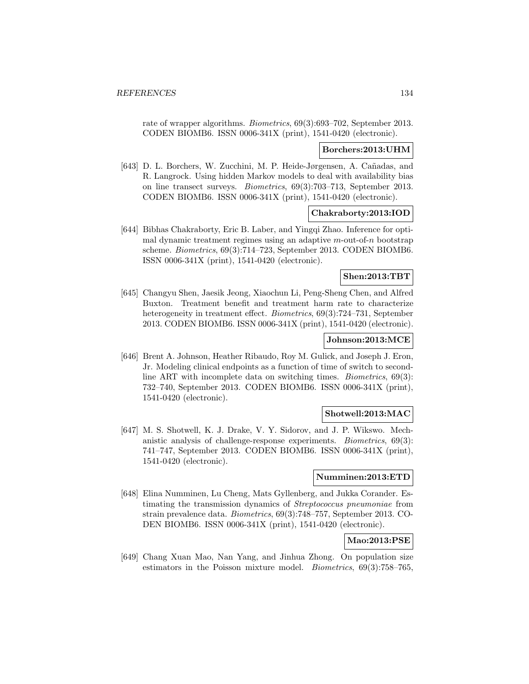rate of wrapper algorithms. Biometrics, 69(3):693–702, September 2013. CODEN BIOMB6. ISSN 0006-341X (print), 1541-0420 (electronic).

#### **Borchers:2013:UHM**

[643] D. L. Borchers, W. Zucchini, M. P. Heide-Jørgensen, A. Cañadas, and R. Langrock. Using hidden Markov models to deal with availability bias on line transect surveys. Biometrics, 69(3):703–713, September 2013. CODEN BIOMB6. ISSN 0006-341X (print), 1541-0420 (electronic).

#### **Chakraborty:2013:IOD**

[644] Bibhas Chakraborty, Eric B. Laber, and Yingqi Zhao. Inference for optimal dynamic treatment regimes using an adaptive  $m$ -out-of-n bootstrap scheme. Biometrics, 69(3):714–723, September 2013. CODEN BIOMB6. ISSN 0006-341X (print), 1541-0420 (electronic).

### **Shen:2013:TBT**

[645] Changyu Shen, Jaesik Jeong, Xiaochun Li, Peng-Sheng Chen, and Alfred Buxton. Treatment benefit and treatment harm rate to characterize heterogeneity in treatment effect. *Biometrics*, 69(3):724–731, September 2013. CODEN BIOMB6. ISSN 0006-341X (print), 1541-0420 (electronic).

## **Johnson:2013:MCE**

[646] Brent A. Johnson, Heather Ribaudo, Roy M. Gulick, and Joseph J. Eron, Jr. Modeling clinical endpoints as a function of time of switch to secondline ART with incomplete data on switching times. Biometrics, 69(3): 732–740, September 2013. CODEN BIOMB6. ISSN 0006-341X (print), 1541-0420 (electronic).

## **Shotwell:2013:MAC**

[647] M. S. Shotwell, K. J. Drake, V. Y. Sidorov, and J. P. Wikswo. Mechanistic analysis of challenge-response experiments. Biometrics, 69(3): 741–747, September 2013. CODEN BIOMB6. ISSN 0006-341X (print), 1541-0420 (electronic).

#### **Numminen:2013:ETD**

[648] Elina Numminen, Lu Cheng, Mats Gyllenberg, and Jukka Corander. Estimating the transmission dynamics of Streptococcus pneumoniae from strain prevalence data. Biometrics, 69(3):748–757, September 2013. CO-DEN BIOMB6. ISSN 0006-341X (print), 1541-0420 (electronic).

### **Mao:2013:PSE**

[649] Chang Xuan Mao, Nan Yang, and Jinhua Zhong. On population size estimators in the Poisson mixture model. Biometrics, 69(3):758–765,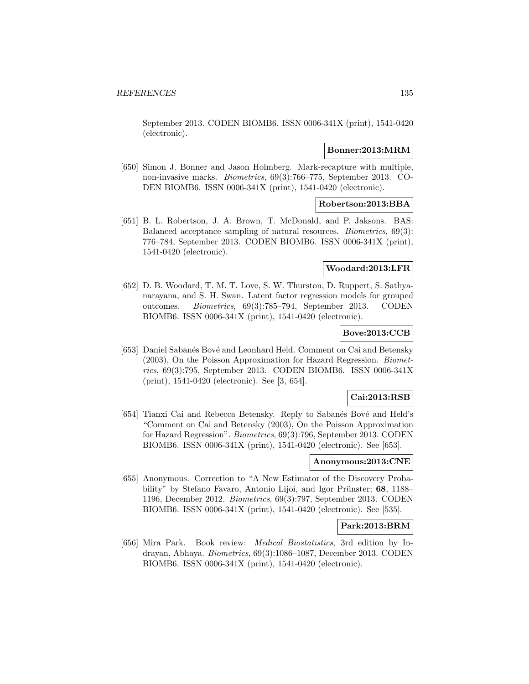September 2013. CODEN BIOMB6. ISSN 0006-341X (print), 1541-0420 (electronic).

### **Bonner:2013:MRM**

[650] Simon J. Bonner and Jason Holmberg. Mark-recapture with multiple, non-invasive marks. Biometrics, 69(3):766–775, September 2013. CO-DEN BIOMB6. ISSN 0006-341X (print), 1541-0420 (electronic).

#### **Robertson:2013:BBA**

[651] B. L. Robertson, J. A. Brown, T. McDonald, and P. Jaksons. BAS: Balanced acceptance sampling of natural resources. Biometrics, 69(3): 776–784, September 2013. CODEN BIOMB6. ISSN 0006-341X (print), 1541-0420 (electronic).

#### **Woodard:2013:LFR**

[652] D. B. Woodard, T. M. T. Love, S. W. Thurston, D. Ruppert, S. Sathyanarayana, and S. H. Swan. Latent factor regression models for grouped outcomes. Biometrics, 69(3):785–794, September 2013. CODEN BIOMB6. ISSN 0006-341X (print), 1541-0420 (electronic).

## **Bove:2013:CCB**

[653] Daniel Sabanés Bové and Leonhard Held. Comment on Cai and Betensky (2003), On the Poisson Approximation for Hazard Regression. Biometrics, 69(3):795, September 2013. CODEN BIOMB6. ISSN 0006-341X (print), 1541-0420 (electronic). See [3, 654].

### **Cai:2013:RSB**

[654] Tianxi Cai and Rebecca Betensky. Reply to Sabanés Bové and Held's "Comment on Cai and Betensky (2003), On the Poisson Approximation for Hazard Regression". Biometrics, 69(3):796, September 2013. CODEN BIOMB6. ISSN 0006-341X (print), 1541-0420 (electronic). See [653].

#### **Anonymous:2013:CNE**

[655] Anonymous. Correction to "A New Estimator of the Discovery Probability" by Stefano Favaro, Antonio Lijoi, and Igor Prünster; 68, 1188– 1196, December 2012. Biometrics, 69(3):797, September 2013. CODEN BIOMB6. ISSN 0006-341X (print), 1541-0420 (electronic). See [535].

# **Park:2013:BRM**

[656] Mira Park. Book review: Medical Biostatistics, 3rd edition by Indrayan, Abhaya. Biometrics, 69(3):1086–1087, December 2013. CODEN BIOMB6. ISSN 0006-341X (print), 1541-0420 (electronic).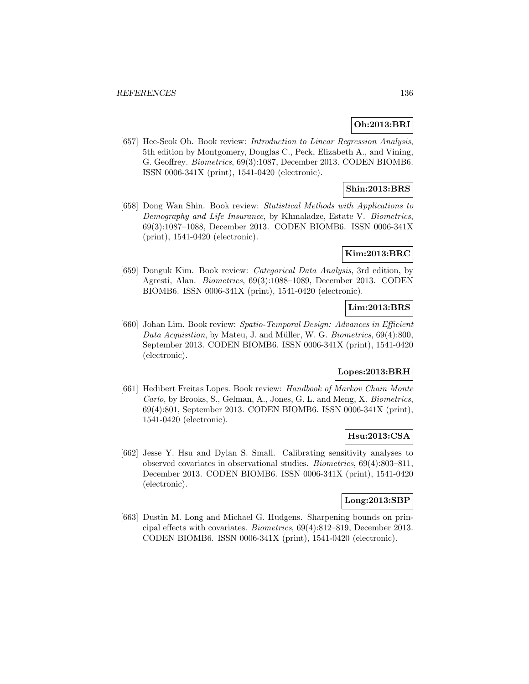# **Oh:2013:BRI**

[657] Hee-Seok Oh. Book review: *Introduction to Linear Regression Analysis*, 5th edition by Montgomery, Douglas C., Peck, Elizabeth A., and Vining, G. Geoffrey. Biometrics, 69(3):1087, December 2013. CODEN BIOMB6. ISSN 0006-341X (print), 1541-0420 (electronic).

# **Shin:2013:BRS**

[658] Dong Wan Shin. Book review: Statistical Methods with Applications to Demography and Life Insurance, by Khmaladze, Estate V. Biometrics, 69(3):1087–1088, December 2013. CODEN BIOMB6. ISSN 0006-341X (print), 1541-0420 (electronic).

### **Kim:2013:BRC**

[659] Donguk Kim. Book review: Categorical Data Analysis, 3rd edition, by Agresti, Alan. Biometrics, 69(3):1088–1089, December 2013. CODEN BIOMB6. ISSN 0006-341X (print), 1541-0420 (electronic).

# **Lim:2013:BRS**

[660] Johan Lim. Book review: Spatio-Temporal Design: Advances in Efficient Data Acquisition, by Mateu, J. and Müller, W. G. Biometrics,  $69(4):800$ , September 2013. CODEN BIOMB6. ISSN 0006-341X (print), 1541-0420 (electronic).

# **Lopes:2013:BRH**

[661] Hedibert Freitas Lopes. Book review: Handbook of Markov Chain Monte Carlo, by Brooks, S., Gelman, A., Jones, G. L. and Meng, X. Biometrics, 69(4):801, September 2013. CODEN BIOMB6. ISSN 0006-341X (print), 1541-0420 (electronic).

### **Hsu:2013:CSA**

[662] Jesse Y. Hsu and Dylan S. Small. Calibrating sensitivity analyses to observed covariates in observational studies. Biometrics, 69(4):803–811, December 2013. CODEN BIOMB6. ISSN 0006-341X (print), 1541-0420 (electronic).

### **Long:2013:SBP**

[663] Dustin M. Long and Michael G. Hudgens. Sharpening bounds on principal effects with covariates. Biometrics, 69(4):812–819, December 2013. CODEN BIOMB6. ISSN 0006-341X (print), 1541-0420 (electronic).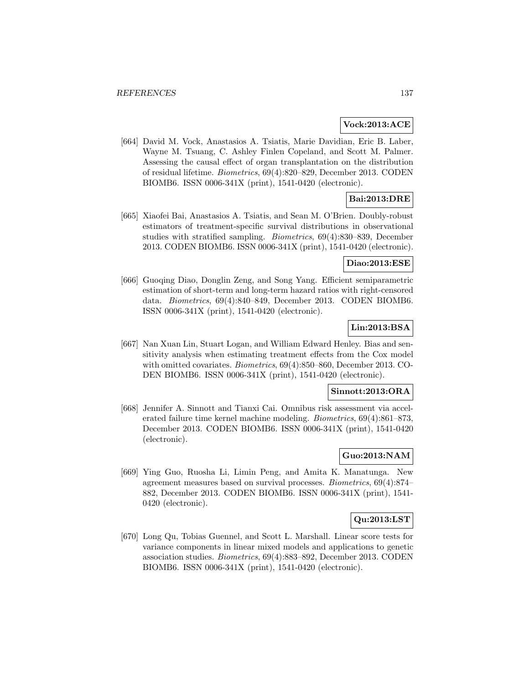#### **Vock:2013:ACE**

[664] David M. Vock, Anastasios A. Tsiatis, Marie Davidian, Eric B. Laber, Wayne M. Tsuang, C. Ashley Finlen Copeland, and Scott M. Palmer. Assessing the causal effect of organ transplantation on the distribution of residual lifetime. Biometrics, 69(4):820–829, December 2013. CODEN BIOMB6. ISSN 0006-341X (print), 1541-0420 (electronic).

# **Bai:2013:DRE**

[665] Xiaofei Bai, Anastasios A. Tsiatis, and Sean M. O'Brien. Doubly-robust estimators of treatment-specific survival distributions in observational studies with stratified sampling. Biometrics, 69(4):830–839, December 2013. CODEN BIOMB6. ISSN 0006-341X (print), 1541-0420 (electronic).

#### **Diao:2013:ESE**

[666] Guoqing Diao, Donglin Zeng, and Song Yang. Efficient semiparametric estimation of short-term and long-term hazard ratios with right-censored data. Biometrics, 69(4):840–849, December 2013. CODEN BIOMB6. ISSN 0006-341X (print), 1541-0420 (electronic).

# **Lin:2013:BSA**

[667] Nan Xuan Lin, Stuart Logan, and William Edward Henley. Bias and sensitivity analysis when estimating treatment effects from the Cox model with omitted covariates. Biometrics, 69(4):850–860, December 2013. CO-DEN BIOMB6. ISSN 0006-341X (print), 1541-0420 (electronic).

#### **Sinnott:2013:ORA**

[668] Jennifer A. Sinnott and Tianxi Cai. Omnibus risk assessment via accelerated failure time kernel machine modeling. Biometrics, 69(4):861–873, December 2013. CODEN BIOMB6. ISSN 0006-341X (print), 1541-0420 (electronic).

# **Guo:2013:NAM**

[669] Ying Guo, Ruosha Li, Limin Peng, and Amita K. Manatunga. New agreement measures based on survival processes. Biometrics, 69(4):874– 882, December 2013. CODEN BIOMB6. ISSN 0006-341X (print), 1541- 0420 (electronic).

### **Qu:2013:LST**

[670] Long Qu, Tobias Guennel, and Scott L. Marshall. Linear score tests for variance components in linear mixed models and applications to genetic association studies. Biometrics, 69(4):883–892, December 2013. CODEN BIOMB6. ISSN 0006-341X (print), 1541-0420 (electronic).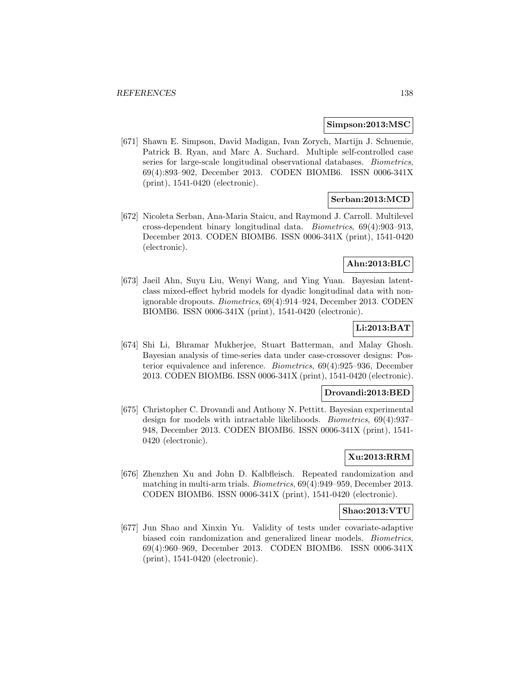#### **Simpson:2013:MSC**

[671] Shawn E. Simpson, David Madigan, Ivan Zorych, Martijn J. Schuemie, Patrick B. Ryan, and Marc A. Suchard. Multiple self-controlled case series for large-scale longitudinal observational databases. Biometrics, 69(4):893–902, December 2013. CODEN BIOMB6. ISSN 0006-341X (print), 1541-0420 (electronic).

### **Serban:2013:MCD**

[672] Nicoleta Serban, Ana-Maria Staicu, and Raymond J. Carroll. Multilevel cross-dependent binary longitudinal data. Biometrics, 69(4):903–913, December 2013. CODEN BIOMB6. ISSN 0006-341X (print), 1541-0420 (electronic).

### **Ahn:2013:BLC**

[673] Jaeil Ahn, Suyu Liu, Wenyi Wang, and Ying Yuan. Bayesian latentclass mixed-effect hybrid models for dyadic longitudinal data with nonignorable dropouts. Biometrics, 69(4):914–924, December 2013. CODEN BIOMB6. ISSN 0006-341X (print), 1541-0420 (electronic).

### **Li:2013:BAT**

[674] Shi Li, Bhramar Mukherjee, Stuart Batterman, and Malay Ghosh. Bayesian analysis of time-series data under case-crossover designs: Posterior equivalence and inference. Biometrics, 69(4):925–936, December 2013. CODEN BIOMB6. ISSN 0006-341X (print), 1541-0420 (electronic).

### **Drovandi:2013:BED**

[675] Christopher C. Drovandi and Anthony N. Pettitt. Bayesian experimental design for models with intractable likelihoods. Biometrics, 69(4):937– 948, December 2013. CODEN BIOMB6. ISSN 0006-341X (print), 1541- 0420 (electronic).

# **Xu:2013:RRM**

[676] Zhenzhen Xu and John D. Kalbfleisch. Repeated randomization and matching in multi-arm trials. Biometrics, 69(4):949–959, December 2013. CODEN BIOMB6. ISSN 0006-341X (print), 1541-0420 (electronic).

### **Shao:2013:VTU**

[677] Jun Shao and Xinxin Yu. Validity of tests under covariate-adaptive biased coin randomization and generalized linear models. Biometrics, 69(4):960–969, December 2013. CODEN BIOMB6. ISSN 0006-341X (print), 1541-0420 (electronic).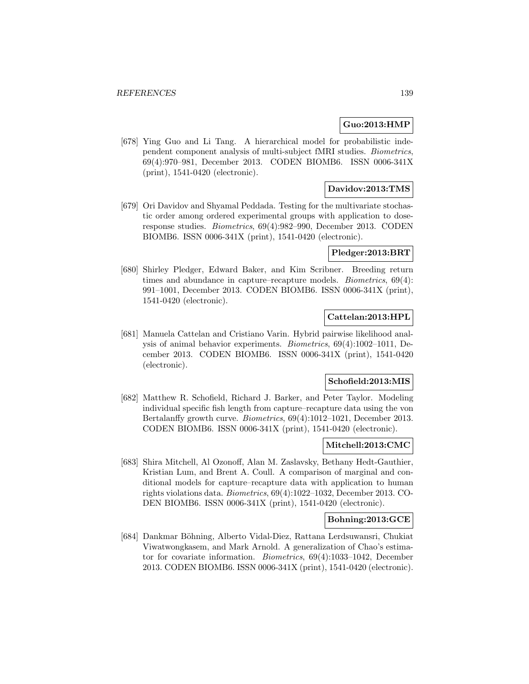### **Guo:2013:HMP**

[678] Ying Guo and Li Tang. A hierarchical model for probabilistic independent component analysis of multi-subject fMRI studies. Biometrics, 69(4):970–981, December 2013. CODEN BIOMB6. ISSN 0006-341X (print), 1541-0420 (electronic).

# **Davidov:2013:TMS**

[679] Ori Davidov and Shyamal Peddada. Testing for the multivariate stochastic order among ordered experimental groups with application to doseresponse studies. Biometrics, 69(4):982–990, December 2013. CODEN BIOMB6. ISSN 0006-341X (print), 1541-0420 (electronic).

### **Pledger:2013:BRT**

[680] Shirley Pledger, Edward Baker, and Kim Scribner. Breeding return times and abundance in capture–recapture models. Biometrics, 69(4): 991–1001, December 2013. CODEN BIOMB6. ISSN 0006-341X (print), 1541-0420 (electronic).

# **Cattelan:2013:HPL**

[681] Manuela Cattelan and Cristiano Varin. Hybrid pairwise likelihood analysis of animal behavior experiments. Biometrics, 69(4):1002–1011, December 2013. CODEN BIOMB6. ISSN 0006-341X (print), 1541-0420 (electronic).

### **Schofield:2013:MIS**

[682] Matthew R. Schofield, Richard J. Barker, and Peter Taylor. Modeling individual specific fish length from capture–recapture data using the von Bertalanffy growth curve. Biometrics, 69(4):1012–1021, December 2013. CODEN BIOMB6. ISSN 0006-341X (print), 1541-0420 (electronic).

### **Mitchell:2013:CMC**

[683] Shira Mitchell, Al Ozonoff, Alan M. Zaslavsky, Bethany Hedt-Gauthier, Kristian Lum, and Brent A. Coull. A comparison of marginal and conditional models for capture–recapture data with application to human rights violations data. Biometrics, 69(4):1022–1032, December 2013. CO-DEN BIOMB6. ISSN 0006-341X (print), 1541-0420 (electronic).

# **Bohning:2013:GCE**

[684] Dankmar Böhning, Alberto Vidal-Diez, Rattana Lerdsuwansri, Chukiat Viwatwongkasem, and Mark Arnold. A generalization of Chao's estimator for covariate information. Biometrics, 69(4):1033–1042, December 2013. CODEN BIOMB6. ISSN 0006-341X (print), 1541-0420 (electronic).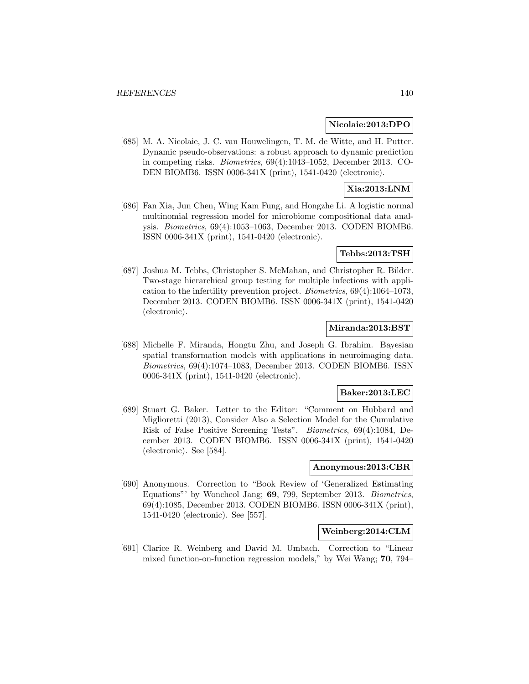#### **Nicolaie:2013:DPO**

[685] M. A. Nicolaie, J. C. van Houwelingen, T. M. de Witte, and H. Putter. Dynamic pseudo-observations: a robust approach to dynamic prediction in competing risks. Biometrics, 69(4):1043–1052, December 2013. CO-DEN BIOMB6. ISSN 0006-341X (print), 1541-0420 (electronic).

## **Xia:2013:LNM**

[686] Fan Xia, Jun Chen, Wing Kam Fung, and Hongzhe Li. A logistic normal multinomial regression model for microbiome compositional data analysis. Biometrics, 69(4):1053–1063, December 2013. CODEN BIOMB6. ISSN 0006-341X (print), 1541-0420 (electronic).

#### **Tebbs:2013:TSH**

[687] Joshua M. Tebbs, Christopher S. McMahan, and Christopher R. Bilder. Two-stage hierarchical group testing for multiple infections with application to the infertility prevention project. Biometrics, 69(4):1064–1073, December 2013. CODEN BIOMB6. ISSN 0006-341X (print), 1541-0420 (electronic).

### **Miranda:2013:BST**

[688] Michelle F. Miranda, Hongtu Zhu, and Joseph G. Ibrahim. Bayesian spatial transformation models with applications in neuroimaging data. Biometrics, 69(4):1074–1083, December 2013. CODEN BIOMB6. ISSN 0006-341X (print), 1541-0420 (electronic).

#### **Baker:2013:LEC**

[689] Stuart G. Baker. Letter to the Editor: "Comment on Hubbard and Miglioretti (2013), Consider Also a Selection Model for the Cumulative Risk of False Positive Screening Tests". Biometrics, 69(4):1084, December 2013. CODEN BIOMB6. ISSN 0006-341X (print), 1541-0420 (electronic). See [584].

## **Anonymous:2013:CBR**

[690] Anonymous. Correction to "Book Review of 'Generalized Estimating Equations"' by Woncheol Jang; **69**, 799, September 2013. Biometrics, 69(4):1085, December 2013. CODEN BIOMB6. ISSN 0006-341X (print), 1541-0420 (electronic). See [557].

## **Weinberg:2014:CLM**

[691] Clarice R. Weinberg and David M. Umbach. Correction to "Linear mixed function-on-function regression models," by Wei Wang; **70**, 794–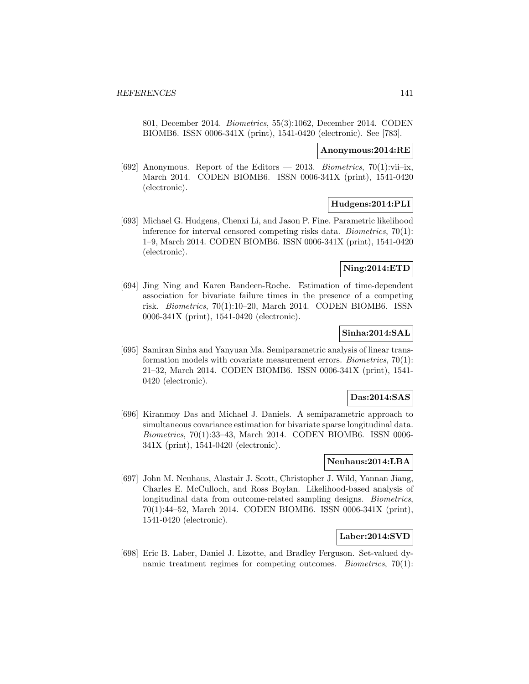801, December 2014. Biometrics, 55(3):1062, December 2014. CODEN BIOMB6. ISSN 0006-341X (print), 1541-0420 (electronic). See [783].

#### **Anonymous:2014:RE**

[692] Anonymous. Report of the Editors — 2013. Biometrics,  $70(1):$ vii–ix, March 2014. CODEN BIOMB6. ISSN 0006-341X (print), 1541-0420 (electronic).

# **Hudgens:2014:PLI**

[693] Michael G. Hudgens, Chenxi Li, and Jason P. Fine. Parametric likelihood inference for interval censored competing risks data. Biometrics, 70(1): 1–9, March 2014. CODEN BIOMB6. ISSN 0006-341X (print), 1541-0420 (electronic).

### **Ning:2014:ETD**

[694] Jing Ning and Karen Bandeen-Roche. Estimation of time-dependent association for bivariate failure times in the presence of a competing risk. Biometrics, 70(1):10–20, March 2014. CODEN BIOMB6. ISSN 0006-341X (print), 1541-0420 (electronic).

## **Sinha:2014:SAL**

[695] Samiran Sinha and Yanyuan Ma. Semiparametric analysis of linear transformation models with covariate measurement errors. Biometrics, 70(1): 21–32, March 2014. CODEN BIOMB6. ISSN 0006-341X (print), 1541- 0420 (electronic).

# **Das:2014:SAS**

[696] Kiranmoy Das and Michael J. Daniels. A semiparametric approach to simultaneous covariance estimation for bivariate sparse longitudinal data. Biometrics, 70(1):33–43, March 2014. CODEN BIOMB6. ISSN 0006- 341X (print), 1541-0420 (electronic).

### **Neuhaus:2014:LBA**

[697] John M. Neuhaus, Alastair J. Scott, Christopher J. Wild, Yannan Jiang, Charles E. McCulloch, and Ross Boylan. Likelihood-based analysis of longitudinal data from outcome-related sampling designs. Biometrics, 70(1):44–52, March 2014. CODEN BIOMB6. ISSN 0006-341X (print), 1541-0420 (electronic).

# **Laber:2014:SVD**

[698] Eric B. Laber, Daniel J. Lizotte, and Bradley Ferguson. Set-valued dynamic treatment regimes for competing outcomes. Biometrics, 70(1):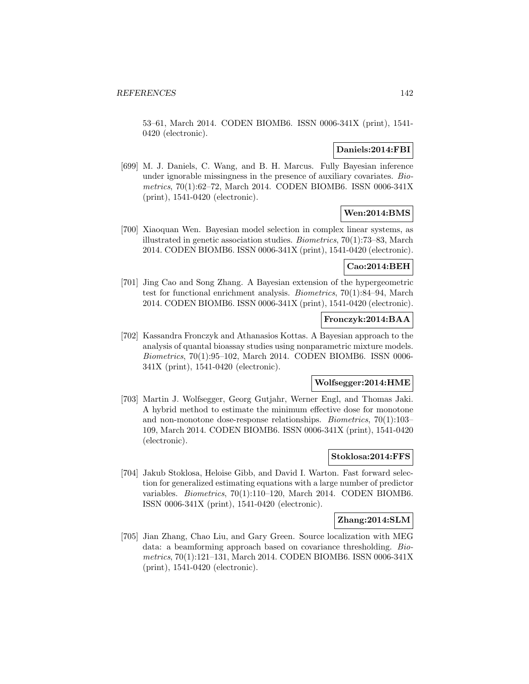53–61, March 2014. CODEN BIOMB6. ISSN 0006-341X (print), 1541- 0420 (electronic).

### **Daniels:2014:FBI**

[699] M. J. Daniels, C. Wang, and B. H. Marcus. Fully Bayesian inference under ignorable missingness in the presence of auxiliary covariates. Biometrics, 70(1):62–72, March 2014. CODEN BIOMB6. ISSN 0006-341X (print), 1541-0420 (electronic).

# **Wen:2014:BMS**

[700] Xiaoquan Wen. Bayesian model selection in complex linear systems, as illustrated in genetic association studies. Biometrics, 70(1):73–83, March 2014. CODEN BIOMB6. ISSN 0006-341X (print), 1541-0420 (electronic).

## **Cao:2014:BEH**

[701] Jing Cao and Song Zhang. A Bayesian extension of the hypergeometric test for functional enrichment analysis. Biometrics, 70(1):84–94, March 2014. CODEN BIOMB6. ISSN 0006-341X (print), 1541-0420 (electronic).

### **Fronczyk:2014:BAA**

[702] Kassandra Fronczyk and Athanasios Kottas. A Bayesian approach to the analysis of quantal bioassay studies using nonparametric mixture models. Biometrics, 70(1):95–102, March 2014. CODEN BIOMB6. ISSN 0006- 341X (print), 1541-0420 (electronic).

#### **Wolfsegger:2014:HME**

[703] Martin J. Wolfsegger, Georg Gutjahr, Werner Engl, and Thomas Jaki. A hybrid method to estimate the minimum effective dose for monotone and non-monotone dose-response relationships. Biometrics, 70(1):103– 109, March 2014. CODEN BIOMB6. ISSN 0006-341X (print), 1541-0420 (electronic).

## **Stoklosa:2014:FFS**

[704] Jakub Stoklosa, Heloise Gibb, and David I. Warton. Fast forward selection for generalized estimating equations with a large number of predictor variables. Biometrics, 70(1):110–120, March 2014. CODEN BIOMB6. ISSN 0006-341X (print), 1541-0420 (electronic).

### **Zhang:2014:SLM**

[705] Jian Zhang, Chao Liu, and Gary Green. Source localization with MEG data: a beamforming approach based on covariance thresholding. Biometrics, 70(1):121–131, March 2014. CODEN BIOMB6. ISSN 0006-341X (print), 1541-0420 (electronic).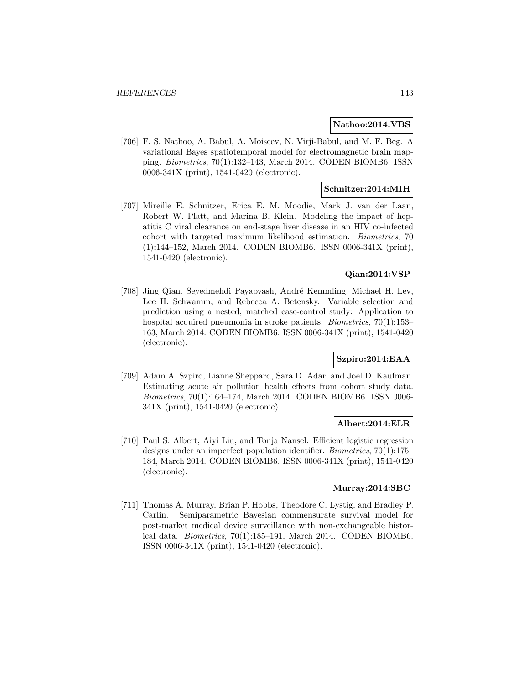#### **Nathoo:2014:VBS**

[706] F. S. Nathoo, A. Babul, A. Moiseev, N. Virji-Babul, and M. F. Beg. A variational Bayes spatiotemporal model for electromagnetic brain mapping. Biometrics, 70(1):132–143, March 2014. CODEN BIOMB6. ISSN 0006-341X (print), 1541-0420 (electronic).

### **Schnitzer:2014:MIH**

[707] Mireille E. Schnitzer, Erica E. M. Moodie, Mark J. van der Laan, Robert W. Platt, and Marina B. Klein. Modeling the impact of hepatitis C viral clearance on end-stage liver disease in an HIV co-infected cohort with targeted maximum likelihood estimation. Biometrics, 70 (1):144–152, March 2014. CODEN BIOMB6. ISSN 0006-341X (print), 1541-0420 (electronic).

# **Qian:2014:VSP**

[708] Jing Qian, Seyedmehdi Payabvash, Andr´e Kemmling, Michael H. Lev, Lee H. Schwamm, and Rebecca A. Betensky. Variable selection and prediction using a nested, matched case-control study: Application to hospital acquired pneumonia in stroke patients. *Biometrics*, 70(1):153– 163, March 2014. CODEN BIOMB6. ISSN 0006-341X (print), 1541-0420 (electronic).

# **Szpiro:2014:EAA**

[709] Adam A. Szpiro, Lianne Sheppard, Sara D. Adar, and Joel D. Kaufman. Estimating acute air pollution health effects from cohort study data. Biometrics, 70(1):164–174, March 2014. CODEN BIOMB6. ISSN 0006- 341X (print), 1541-0420 (electronic).

#### **Albert:2014:ELR**

[710] Paul S. Albert, Aiyi Liu, and Tonja Nansel. Efficient logistic regression designs under an imperfect population identifier. Biometrics, 70(1):175– 184, March 2014. CODEN BIOMB6. ISSN 0006-341X (print), 1541-0420 (electronic).

#### **Murray:2014:SBC**

[711] Thomas A. Murray, Brian P. Hobbs, Theodore C. Lystig, and Bradley P. Carlin. Semiparametric Bayesian commensurate survival model for post-market medical device surveillance with non-exchangeable historical data. Biometrics, 70(1):185–191, March 2014. CODEN BIOMB6. ISSN 0006-341X (print), 1541-0420 (electronic).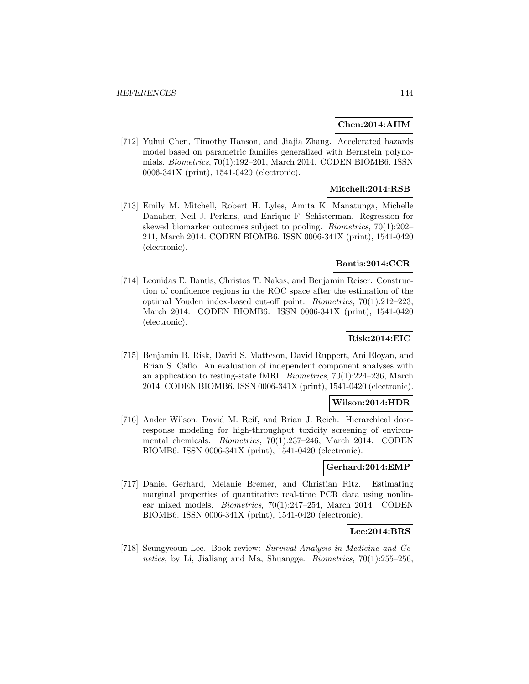#### **Chen:2014:AHM**

[712] Yuhui Chen, Timothy Hanson, and Jiajia Zhang. Accelerated hazards model based on parametric families generalized with Bernstein polynomials. Biometrics, 70(1):192–201, March 2014. CODEN BIOMB6. ISSN 0006-341X (print), 1541-0420 (electronic).

# **Mitchell:2014:RSB**

[713] Emily M. Mitchell, Robert H. Lyles, Amita K. Manatunga, Michelle Danaher, Neil J. Perkins, and Enrique F. Schisterman. Regression for skewed biomarker outcomes subject to pooling. Biometrics, 70(1):202– 211, March 2014. CODEN BIOMB6. ISSN 0006-341X (print), 1541-0420 (electronic).

#### **Bantis:2014:CCR**

[714] Leonidas E. Bantis, Christos T. Nakas, and Benjamin Reiser. Construction of confidence regions in the ROC space after the estimation of the optimal Youden index-based cut-off point. Biometrics, 70(1):212–223, March 2014. CODEN BIOMB6. ISSN 0006-341X (print), 1541-0420 (electronic).

# **Risk:2014:EIC**

[715] Benjamin B. Risk, David S. Matteson, David Ruppert, Ani Eloyan, and Brian S. Caffo. An evaluation of independent component analyses with an application to resting-state fMRI. Biometrics, 70(1):224–236, March 2014. CODEN BIOMB6. ISSN 0006-341X (print), 1541-0420 (electronic).

#### **Wilson:2014:HDR**

[716] Ander Wilson, David M. Reif, and Brian J. Reich. Hierarchical doseresponse modeling for high-throughput toxicity screening of environmental chemicals. Biometrics, 70(1):237–246, March 2014. CODEN BIOMB6. ISSN 0006-341X (print), 1541-0420 (electronic).

### **Gerhard:2014:EMP**

[717] Daniel Gerhard, Melanie Bremer, and Christian Ritz. Estimating marginal properties of quantitative real-time PCR data using nonlinear mixed models. Biometrics, 70(1):247–254, March 2014. CODEN BIOMB6. ISSN 0006-341X (print), 1541-0420 (electronic).

## **Lee:2014:BRS**

[718] Seungyeoun Lee. Book review: Survival Analysis in Medicine and Genetics, by Li, Jialiang and Ma, Shuangge. *Biometrics*,  $70(1):255-256$ ,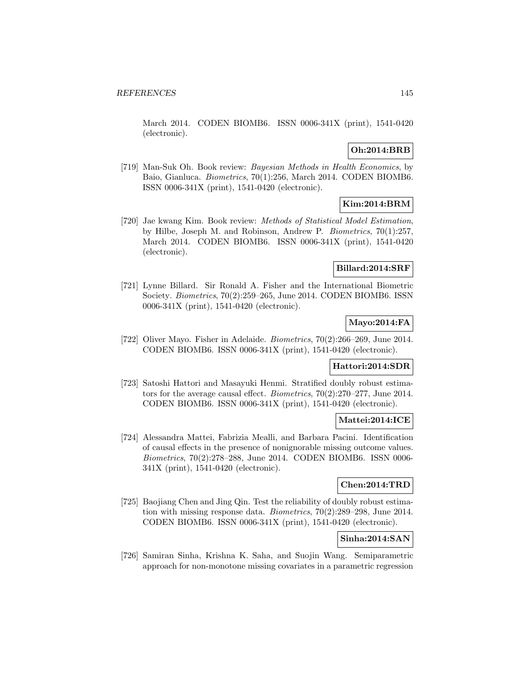March 2014. CODEN BIOMB6. ISSN 0006-341X (print), 1541-0420 (electronic).

# **Oh:2014:BRB**

[719] Man-Suk Oh. Book review: Bayesian Methods in Health Economics, by Baio, Gianluca. Biometrics, 70(1):256, March 2014. CODEN BIOMB6. ISSN 0006-341X (print), 1541-0420 (electronic).

# **Kim:2014:BRM**

[720] Jae kwang Kim. Book review: Methods of Statistical Model Estimation, by Hilbe, Joseph M. and Robinson, Andrew P. Biometrics, 70(1):257, March 2014. CODEN BIOMB6. ISSN 0006-341X (print), 1541-0420 (electronic).

#### **Billard:2014:SRF**

[721] Lynne Billard. Sir Ronald A. Fisher and the International Biometric Society. Biometrics, 70(2):259–265, June 2014. CODEN BIOMB6. ISSN 0006-341X (print), 1541-0420 (electronic).

### **Mayo:2014:FA**

[722] Oliver Mayo. Fisher in Adelaide. Biometrics, 70(2):266–269, June 2014. CODEN BIOMB6. ISSN 0006-341X (print), 1541-0420 (electronic).

#### **Hattori:2014:SDR**

[723] Satoshi Hattori and Masayuki Henmi. Stratified doubly robust estimators for the average causal effect. Biometrics, 70(2):270–277, June 2014. CODEN BIOMB6. ISSN 0006-341X (print), 1541-0420 (electronic).

# **Mattei:2014:ICE**

[724] Alessandra Mattei, Fabrizia Mealli, and Barbara Pacini. Identification of causal effects in the presence of nonignorable missing outcome values. Biometrics, 70(2):278–288, June 2014. CODEN BIOMB6. ISSN 0006- 341X (print), 1541-0420 (electronic).

# **Chen:2014:TRD**

[725] Baojiang Chen and Jing Qin. Test the reliability of doubly robust estimation with missing response data. Biometrics, 70(2):289–298, June 2014. CODEN BIOMB6. ISSN 0006-341X (print), 1541-0420 (electronic).

#### **Sinha:2014:SAN**

[726] Samiran Sinha, Krishna K. Saha, and Suojin Wang. Semiparametric approach for non-monotone missing covariates in a parametric regression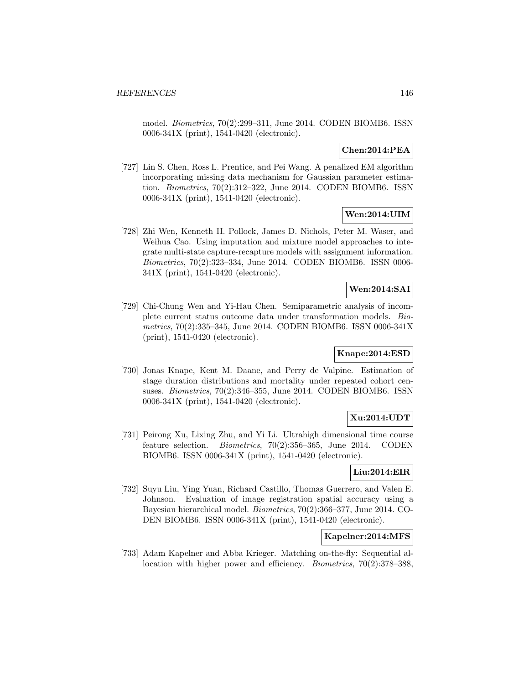model. Biometrics, 70(2):299–311, June 2014. CODEN BIOMB6. ISSN 0006-341X (print), 1541-0420 (electronic).

# **Chen:2014:PEA**

[727] Lin S. Chen, Ross L. Prentice, and Pei Wang. A penalized EM algorithm incorporating missing data mechanism for Gaussian parameter estimation. Biometrics, 70(2):312–322, June 2014. CODEN BIOMB6. ISSN 0006-341X (print), 1541-0420 (electronic).

#### **Wen:2014:UIM**

[728] Zhi Wen, Kenneth H. Pollock, James D. Nichols, Peter M. Waser, and Weihua Cao. Using imputation and mixture model approaches to integrate multi-state capture-recapture models with assignment information. Biometrics, 70(2):323–334, June 2014. CODEN BIOMB6. ISSN 0006- 341X (print), 1541-0420 (electronic).

# **Wen:2014:SAI**

[729] Chi-Chung Wen and Yi-Hau Chen. Semiparametric analysis of incomplete current status outcome data under transformation models. Biometrics, 70(2):335–345, June 2014. CODEN BIOMB6. ISSN 0006-341X (print), 1541-0420 (electronic).

# **Knape:2014:ESD**

[730] Jonas Knape, Kent M. Daane, and Perry de Valpine. Estimation of stage duration distributions and mortality under repeated cohort censuses. Biometrics, 70(2):346–355, June 2014. CODEN BIOMB6. ISSN 0006-341X (print), 1541-0420 (electronic).

# **Xu:2014:UDT**

[731] Peirong Xu, Lixing Zhu, and Yi Li. Ultrahigh dimensional time course feature selection. Biometrics, 70(2):356–365, June 2014. CODEN BIOMB6. ISSN 0006-341X (print), 1541-0420 (electronic).

#### **Liu:2014:EIR**

[732] Suyu Liu, Ying Yuan, Richard Castillo, Thomas Guerrero, and Valen E. Johnson. Evaluation of image registration spatial accuracy using a Bayesian hierarchical model. Biometrics, 70(2):366–377, June 2014. CO-DEN BIOMB6. ISSN 0006-341X (print), 1541-0420 (electronic).

# **Kapelner:2014:MFS**

[733] Adam Kapelner and Abba Krieger. Matching on-the-fly: Sequential allocation with higher power and efficiency. *Biometrics*, 70(2):378–388,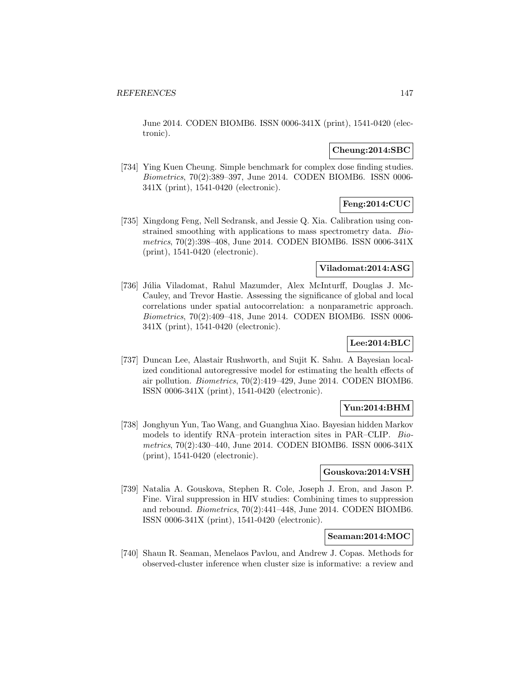June 2014. CODEN BIOMB6. ISSN 0006-341X (print), 1541-0420 (electronic).

### **Cheung:2014:SBC**

[734] Ying Kuen Cheung. Simple benchmark for complex dose finding studies. Biometrics, 70(2):389–397, June 2014. CODEN BIOMB6. ISSN 0006- 341X (print), 1541-0420 (electronic).

# **Feng:2014:CUC**

[735] Xingdong Feng, Nell Sedransk, and Jessie Q. Xia. Calibration using constrained smoothing with applications to mass spectrometry data. Biometrics, 70(2):398–408, June 2014. CODEN BIOMB6. ISSN 0006-341X (print), 1541-0420 (electronic).

#### **Viladomat:2014:ASG**

[736] Júlia Viladomat, Rahul Mazumder, Alex McInturff, Douglas J. Mc-Cauley, and Trevor Hastie. Assessing the significance of global and local correlations under spatial autocorrelation: a nonparametric approach. Biometrics, 70(2):409–418, June 2014. CODEN BIOMB6. ISSN 0006- 341X (print), 1541-0420 (electronic).

# **Lee:2014:BLC**

[737] Duncan Lee, Alastair Rushworth, and Sujit K. Sahu. A Bayesian localized conditional autoregressive model for estimating the health effects of air pollution. Biometrics, 70(2):419–429, June 2014. CODEN BIOMB6. ISSN 0006-341X (print), 1541-0420 (electronic).

### **Yun:2014:BHM**

[738] Jonghyun Yun, Tao Wang, and Guanghua Xiao. Bayesian hidden Markov models to identify RNA–protein interaction sites in PAR–CLIP. Biometrics, 70(2):430–440, June 2014. CODEN BIOMB6. ISSN 0006-341X (print), 1541-0420 (electronic).

### **Gouskova:2014:VSH**

[739] Natalia A. Gouskova, Stephen R. Cole, Joseph J. Eron, and Jason P. Fine. Viral suppression in HIV studies: Combining times to suppression and rebound. Biometrics, 70(2):441–448, June 2014. CODEN BIOMB6. ISSN 0006-341X (print), 1541-0420 (electronic).

#### **Seaman:2014:MOC**

[740] Shaun R. Seaman, Menelaos Pavlou, and Andrew J. Copas. Methods for observed-cluster inference when cluster size is informative: a review and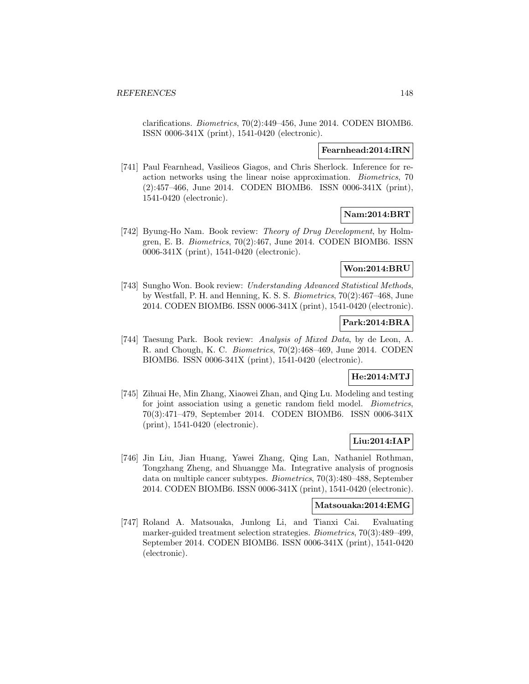clarifications. Biometrics, 70(2):449–456, June 2014. CODEN BIOMB6. ISSN 0006-341X (print), 1541-0420 (electronic).

#### **Fearnhead:2014:IRN**

[741] Paul Fearnhead, Vasilieos Giagos, and Chris Sherlock. Inference for reaction networks using the linear noise approximation. Biometrics, 70 (2):457–466, June 2014. CODEN BIOMB6. ISSN 0006-341X (print), 1541-0420 (electronic).

### **Nam:2014:BRT**

[742] Byung-Ho Nam. Book review: Theory of Drug Development, by Holmgren, E. B. Biometrics, 70(2):467, June 2014. CODEN BIOMB6. ISSN 0006-341X (print), 1541-0420 (electronic).

### **Won:2014:BRU**

[743] Sungho Won. Book review: Understanding Advanced Statistical Methods, by Westfall, P. H. and Henning, K. S. S. Biometrics, 70(2):467–468, June 2014. CODEN BIOMB6. ISSN 0006-341X (print), 1541-0420 (electronic).

### **Park:2014:BRA**

[744] Taesung Park. Book review: Analysis of Mixed Data, by de Leon, A. R. and Chough, K. C. Biometrics, 70(2):468–469, June 2014. CODEN BIOMB6. ISSN 0006-341X (print), 1541-0420 (electronic).

### **He:2014:MTJ**

[745] Zihuai He, Min Zhang, Xiaowei Zhan, and Qing Lu. Modeling and testing for joint association using a genetic random field model. Biometrics, 70(3):471–479, September 2014. CODEN BIOMB6. ISSN 0006-341X (print), 1541-0420 (electronic).

# **Liu:2014:IAP**

[746] Jin Liu, Jian Huang, Yawei Zhang, Qing Lan, Nathaniel Rothman, Tongzhang Zheng, and Shuangge Ma. Integrative analysis of prognosis data on multiple cancer subtypes. Biometrics, 70(3):480–488, September 2014. CODEN BIOMB6. ISSN 0006-341X (print), 1541-0420 (electronic).

#### **Matsouaka:2014:EMG**

[747] Roland A. Matsouaka, Junlong Li, and Tianxi Cai. Evaluating marker-guided treatment selection strategies. Biometrics, 70(3):489–499, September 2014. CODEN BIOMB6. ISSN 0006-341X (print), 1541-0420 (electronic).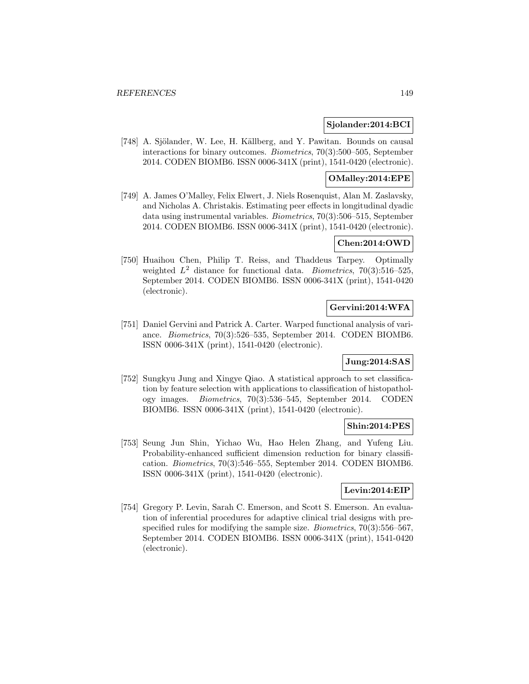#### **Sjolander:2014:BCI**

[748] A. Sjölander, W. Lee, H. Källberg, and Y. Pawitan. Bounds on causal interactions for binary outcomes. Biometrics, 70(3):500–505, September 2014. CODEN BIOMB6. ISSN 0006-341X (print), 1541-0420 (electronic).

# **OMalley:2014:EPE**

[749] A. James O'Malley, Felix Elwert, J. Niels Rosenquist, Alan M. Zaslavsky, and Nicholas A. Christakis. Estimating peer effects in longitudinal dyadic data using instrumental variables. Biometrics, 70(3):506–515, September 2014. CODEN BIOMB6. ISSN 0006-341X (print), 1541-0420 (electronic).

### **Chen:2014:OWD**

[750] Huaihou Chen, Philip T. Reiss, and Thaddeus Tarpey. Optimally weighted  $L^2$  distance for functional data. *Biometrics*, 70(3):516-525, September 2014. CODEN BIOMB6. ISSN 0006-341X (print), 1541-0420 (electronic).

# **Gervini:2014:WFA**

[751] Daniel Gervini and Patrick A. Carter. Warped functional analysis of variance. Biometrics, 70(3):526–535, September 2014. CODEN BIOMB6. ISSN 0006-341X (print), 1541-0420 (electronic).

# **Jung:2014:SAS**

[752] Sungkyu Jung and Xingye Qiao. A statistical approach to set classification by feature selection with applications to classification of histopathology images. Biometrics, 70(3):536–545, September 2014. CODEN BIOMB6. ISSN 0006-341X (print), 1541-0420 (electronic).

### **Shin:2014:PES**

[753] Seung Jun Shin, Yichao Wu, Hao Helen Zhang, and Yufeng Liu. Probability-enhanced sufficient dimension reduction for binary classification. Biometrics, 70(3):546–555, September 2014. CODEN BIOMB6. ISSN 0006-341X (print), 1541-0420 (electronic).

#### **Levin:2014:EIP**

[754] Gregory P. Levin, Sarah C. Emerson, and Scott S. Emerson. An evaluation of inferential procedures for adaptive clinical trial designs with prespecified rules for modifying the sample size. *Biometrics*, 70(3):556–567, September 2014. CODEN BIOMB6. ISSN 0006-341X (print), 1541-0420 (electronic).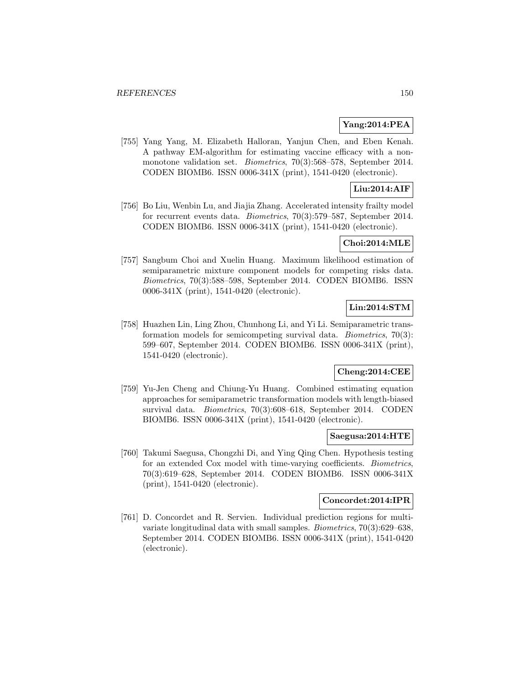### **Yang:2014:PEA**

[755] Yang Yang, M. Elizabeth Halloran, Yanjun Chen, and Eben Kenah. A pathway EM-algorithm for estimating vaccine efficacy with a nonmonotone validation set. Biometrics, 70(3):568–578, September 2014. CODEN BIOMB6. ISSN 0006-341X (print), 1541-0420 (electronic).

# **Liu:2014:AIF**

[756] Bo Liu, Wenbin Lu, and Jiajia Zhang. Accelerated intensity frailty model for recurrent events data. Biometrics, 70(3):579–587, September 2014. CODEN BIOMB6. ISSN 0006-341X (print), 1541-0420 (electronic).

# **Choi:2014:MLE**

[757] Sangbum Choi and Xuelin Huang. Maximum likelihood estimation of semiparametric mixture component models for competing risks data. Biometrics, 70(3):588–598, September 2014. CODEN BIOMB6. ISSN 0006-341X (print), 1541-0420 (electronic).

# **Lin:2014:STM**

[758] Huazhen Lin, Ling Zhou, Chunhong Li, and Yi Li. Semiparametric transformation models for semicompeting survival data. Biometrics, 70(3): 599–607, September 2014. CODEN BIOMB6. ISSN 0006-341X (print), 1541-0420 (electronic).

# **Cheng:2014:CEE**

[759] Yu-Jen Cheng and Chiung-Yu Huang. Combined estimating equation approaches for semiparametric transformation models with length-biased survival data. Biometrics, 70(3):608–618, September 2014. CODEN BIOMB6. ISSN 0006-341X (print), 1541-0420 (electronic).

#### **Saegusa:2014:HTE**

[760] Takumi Saegusa, Chongzhi Di, and Ying Qing Chen. Hypothesis testing for an extended Cox model with time-varying coefficients. Biometrics, 70(3):619–628, September 2014. CODEN BIOMB6. ISSN 0006-341X (print), 1541-0420 (electronic).

#### **Concordet:2014:IPR**

[761] D. Concordet and R. Servien. Individual prediction regions for multivariate longitudinal data with small samples. Biometrics, 70(3):629–638, September 2014. CODEN BIOMB6. ISSN 0006-341X (print), 1541-0420 (electronic).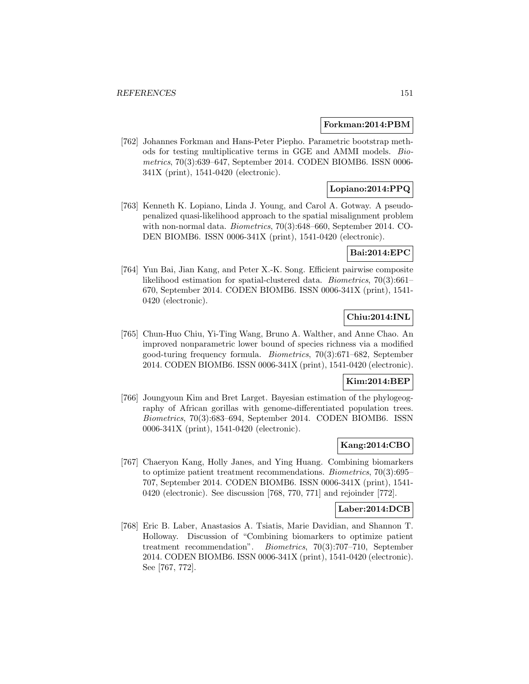#### **Forkman:2014:PBM**

[762] Johannes Forkman and Hans-Peter Piepho. Parametric bootstrap methods for testing multiplicative terms in GGE and AMMI models. Biometrics, 70(3):639–647, September 2014. CODEN BIOMB6. ISSN 0006- 341X (print), 1541-0420 (electronic).

# **Lopiano:2014:PPQ**

[763] Kenneth K. Lopiano, Linda J. Young, and Carol A. Gotway. A pseudopenalized quasi-likelihood approach to the spatial misalignment problem with non-normal data. Biometrics, 70(3):648–660, September 2014. CO-DEN BIOMB6. ISSN 0006-341X (print), 1541-0420 (electronic).

### **Bai:2014:EPC**

[764] Yun Bai, Jian Kang, and Peter X.-K. Song. Efficient pairwise composite likelihood estimation for spatial-clustered data. Biometrics, 70(3):661– 670, September 2014. CODEN BIOMB6. ISSN 0006-341X (print), 1541- 0420 (electronic).

# **Chiu:2014:INL**

[765] Chun-Huo Chiu, Yi-Ting Wang, Bruno A. Walther, and Anne Chao. An improved nonparametric lower bound of species richness via a modified good-turing frequency formula. Biometrics, 70(3):671–682, September 2014. CODEN BIOMB6. ISSN 0006-341X (print), 1541-0420 (electronic).

#### **Kim:2014:BEP**

[766] Joungyoun Kim and Bret Larget. Bayesian estimation of the phylogeography of African gorillas with genome-differentiated population trees. Biometrics, 70(3):683–694, September 2014. CODEN BIOMB6. ISSN 0006-341X (print), 1541-0420 (electronic).

# **Kang:2014:CBO**

[767] Chaeryon Kang, Holly Janes, and Ying Huang. Combining biomarkers to optimize patient treatment recommendations. Biometrics, 70(3):695– 707, September 2014. CODEN BIOMB6. ISSN 0006-341X (print), 1541- 0420 (electronic). See discussion [768, 770, 771] and rejoinder [772].

# **Laber:2014:DCB**

[768] Eric B. Laber, Anastasios A. Tsiatis, Marie Davidian, and Shannon T. Holloway. Discussion of "Combining biomarkers to optimize patient treatment recommendation". Biometrics, 70(3):707–710, September 2014. CODEN BIOMB6. ISSN 0006-341X (print), 1541-0420 (electronic). See [767, 772].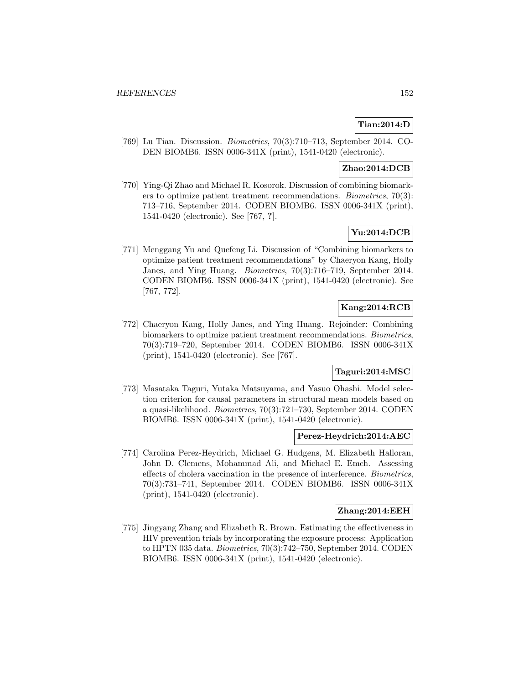# **Tian:2014:D**

[769] Lu Tian. Discussion. Biometrics, 70(3):710–713, September 2014. CO-DEN BIOMB6. ISSN 0006-341X (print), 1541-0420 (electronic).

# **Zhao:2014:DCB**

[770] Ying-Qi Zhao and Michael R. Kosorok. Discussion of combining biomarkers to optimize patient treatment recommendations. Biometrics, 70(3): 713–716, September 2014. CODEN BIOMB6. ISSN 0006-341X (print), 1541-0420 (electronic). See [767, **?**].

# **Yu:2014:DCB**

[771] Menggang Yu and Quefeng Li. Discussion of "Combining biomarkers to optimize patient treatment recommendations" by Chaeryon Kang, Holly Janes, and Ying Huang. Biometrics, 70(3):716–719, September 2014. CODEN BIOMB6. ISSN 0006-341X (print), 1541-0420 (electronic). See [767, 772].

# **Kang:2014:RCB**

[772] Chaeryon Kang, Holly Janes, and Ying Huang. Rejoinder: Combining biomarkers to optimize patient treatment recommendations. Biometrics, 70(3):719–720, September 2014. CODEN BIOMB6. ISSN 0006-341X (print), 1541-0420 (electronic). See [767].

# **Taguri:2014:MSC**

[773] Masataka Taguri, Yutaka Matsuyama, and Yasuo Ohashi. Model selection criterion for causal parameters in structural mean models based on a quasi-likelihood. Biometrics, 70(3):721–730, September 2014. CODEN BIOMB6. ISSN 0006-341X (print), 1541-0420 (electronic).

#### **Perez-Heydrich:2014:AEC**

[774] Carolina Perez-Heydrich, Michael G. Hudgens, M. Elizabeth Halloran, John D. Clemens, Mohammad Ali, and Michael E. Emch. Assessing effects of cholera vaccination in the presence of interference. Biometrics, 70(3):731–741, September 2014. CODEN BIOMB6. ISSN 0006-341X (print), 1541-0420 (electronic).

### **Zhang:2014:EEH**

[775] Jingyang Zhang and Elizabeth R. Brown. Estimating the effectiveness in HIV prevention trials by incorporating the exposure process: Application to HPTN 035 data. Biometrics, 70(3):742–750, September 2014. CODEN BIOMB6. ISSN 0006-341X (print), 1541-0420 (electronic).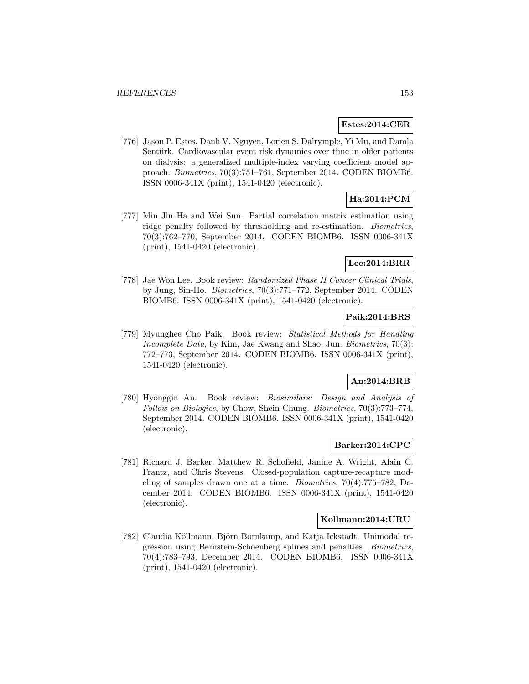#### **Estes:2014:CER**

[776] Jason P. Estes, Danh V. Nguyen, Lorien S. Dalrymple, Yi Mu, and Damla Sentürk. Cardiovascular event risk dynamics over time in older patients on dialysis: a generalized multiple-index varying coefficient model approach. Biometrics, 70(3):751–761, September 2014. CODEN BIOMB6. ISSN 0006-341X (print), 1541-0420 (electronic).

# **Ha:2014:PCM**

[777] Min Jin Ha and Wei Sun. Partial correlation matrix estimation using ridge penalty followed by thresholding and re-estimation. Biometrics, 70(3):762–770, September 2014. CODEN BIOMB6. ISSN 0006-341X (print), 1541-0420 (electronic).

#### **Lee:2014:BRR**

[778] Jae Won Lee. Book review: Randomized Phase II Cancer Clinical Trials, by Jung, Sin-Ho. Biometrics, 70(3):771–772, September 2014. CODEN BIOMB6. ISSN 0006-341X (print), 1541-0420 (electronic).

#### **Paik:2014:BRS**

[779] Myunghee Cho Paik. Book review: Statistical Methods for Handling Incomplete Data, by Kim, Jae Kwang and Shao, Jun. Biometrics, 70(3): 772–773, September 2014. CODEN BIOMB6. ISSN 0006-341X (print), 1541-0420 (electronic).

#### **An:2014:BRB**

[780] Hyonggin An. Book review: Biosimilars: Design and Analysis of Follow-on Biologics, by Chow, Shein-Chung. Biometrics, 70(3):773–774, September 2014. CODEN BIOMB6. ISSN 0006-341X (print), 1541-0420 (electronic).

#### **Barker:2014:CPC**

[781] Richard J. Barker, Matthew R. Schofield, Janine A. Wright, Alain C. Frantz, and Chris Stevens. Closed-population capture-recapture modeling of samples drawn one at a time. Biometrics, 70(4):775–782, December 2014. CODEN BIOMB6. ISSN 0006-341X (print), 1541-0420 (electronic).

#### **Kollmann:2014:URU**

[782] Claudia Köllmann, Björn Bornkamp, and Katja Ickstadt. Unimodal regression using Bernstein-Schoenberg splines and penalties. Biometrics, 70(4):783–793, December 2014. CODEN BIOMB6. ISSN 0006-341X (print), 1541-0420 (electronic).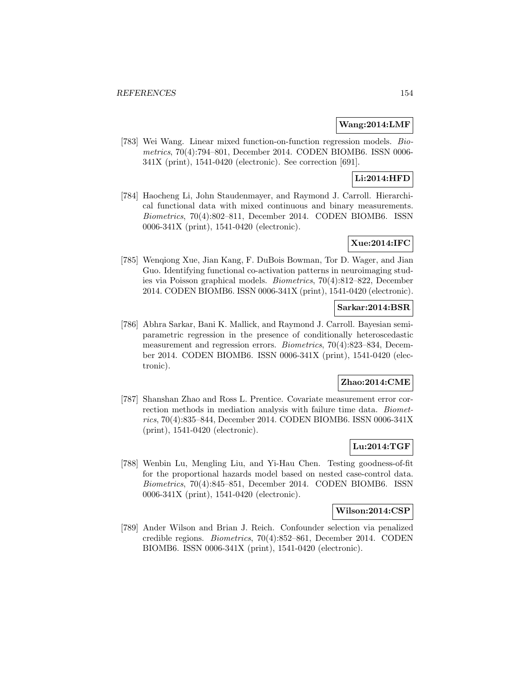### **Wang:2014:LMF**

[783] Wei Wang. Linear mixed function-on-function regression models. Biometrics, 70(4):794–801, December 2014. CODEN BIOMB6. ISSN 0006- 341X (print), 1541-0420 (electronic). See correction [691].

# **Li:2014:HFD**

[784] Haocheng Li, John Staudenmayer, and Raymond J. Carroll. Hierarchical functional data with mixed continuous and binary measurements. Biometrics, 70(4):802–811, December 2014. CODEN BIOMB6. ISSN 0006-341X (print), 1541-0420 (electronic).

# **Xue:2014:IFC**

[785] Wenqiong Xue, Jian Kang, F. DuBois Bowman, Tor D. Wager, and Jian Guo. Identifying functional co-activation patterns in neuroimaging studies via Poisson graphical models. Biometrics, 70(4):812–822, December 2014. CODEN BIOMB6. ISSN 0006-341X (print), 1541-0420 (electronic).

# **Sarkar:2014:BSR**

[786] Abhra Sarkar, Bani K. Mallick, and Raymond J. Carroll. Bayesian semiparametric regression in the presence of conditionally heteroscedastic measurement and regression errors. Biometrics, 70(4):823–834, December 2014. CODEN BIOMB6. ISSN 0006-341X (print), 1541-0420 (electronic).

#### **Zhao:2014:CME**

[787] Shanshan Zhao and Ross L. Prentice. Covariate measurement error correction methods in mediation analysis with failure time data. Biometrics, 70(4):835–844, December 2014. CODEN BIOMB6. ISSN 0006-341X (print), 1541-0420 (electronic).

# **Lu:2014:TGF**

[788] Wenbin Lu, Mengling Liu, and Yi-Hau Chen. Testing goodness-of-fit for the proportional hazards model based on nested case-control data. Biometrics, 70(4):845–851, December 2014. CODEN BIOMB6. ISSN 0006-341X (print), 1541-0420 (electronic).

#### **Wilson:2014:CSP**

[789] Ander Wilson and Brian J. Reich. Confounder selection via penalized credible regions. Biometrics, 70(4):852–861, December 2014. CODEN BIOMB6. ISSN 0006-341X (print), 1541-0420 (electronic).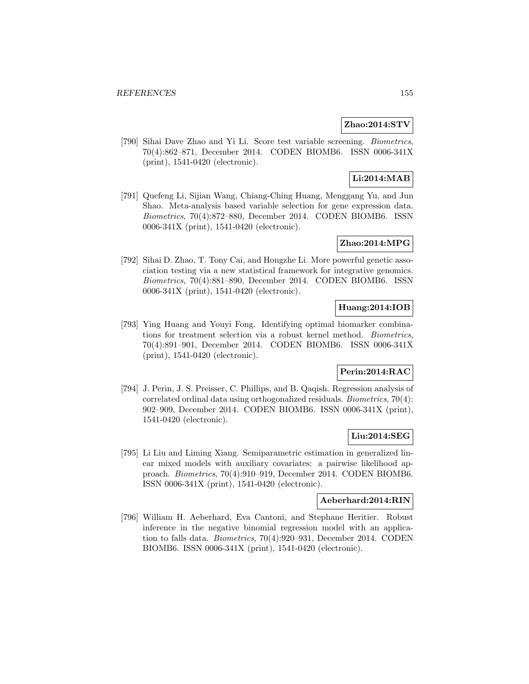#### **Zhao:2014:STV**

[790] Sihai Dave Zhao and Yi Li. Score test variable screening. Biometrics, 70(4):862–871, December 2014. CODEN BIOMB6. ISSN 0006-341X (print), 1541-0420 (electronic).

# **Li:2014:MAB**

[791] Quefeng Li, Sijian Wang, Chiang-Ching Huang, Menggang Yu, and Jun Shao. Meta-analysis based variable selection for gene expression data. Biometrics, 70(4):872–880, December 2014. CODEN BIOMB6. ISSN 0006-341X (print), 1541-0420 (electronic).

### **Zhao:2014:MPG**

[792] Sihai D. Zhao, T. Tony Cai, and Hongzhe Li. More powerful genetic association testing via a new statistical framework for integrative genomics. Biometrics, 70(4):881–890, December 2014. CODEN BIOMB6. ISSN 0006-341X (print), 1541-0420 (electronic).

# **Huang:2014:IOB**

[793] Ying Huang and Youyi Fong. Identifying optimal biomarker combinations for treatment selection via a robust kernel method. Biometrics, 70(4):891–901, December 2014. CODEN BIOMB6. ISSN 0006-341X (print), 1541-0420 (electronic).

# **Perin:2014:RAC**

[794] J. Perin, J. S. Preisser, C. Phillips, and B. Qaqish. Regression analysis of correlated ordinal data using orthogonalized residuals. Biometrics, 70(4): 902–909, December 2014. CODEN BIOMB6. ISSN 0006-341X (print), 1541-0420 (electronic).

# **Liu:2014:SEG**

[795] Li Liu and Liming Xiang. Semiparametric estimation in generalized linear mixed models with auxiliary covariates: a pairwise likelihood approach. Biometrics, 70(4):910–919, December 2014. CODEN BIOMB6. ISSN 0006-341X (print), 1541-0420 (electronic).

#### **Aeberhard:2014:RIN**

[796] William H. Aeberhard, Eva Cantoni, and Stephane Heritier. Robust inference in the negative binomial regression model with an application to falls data. Biometrics, 70(4):920–931, December 2014. CODEN BIOMB6. ISSN 0006-341X (print), 1541-0420 (electronic).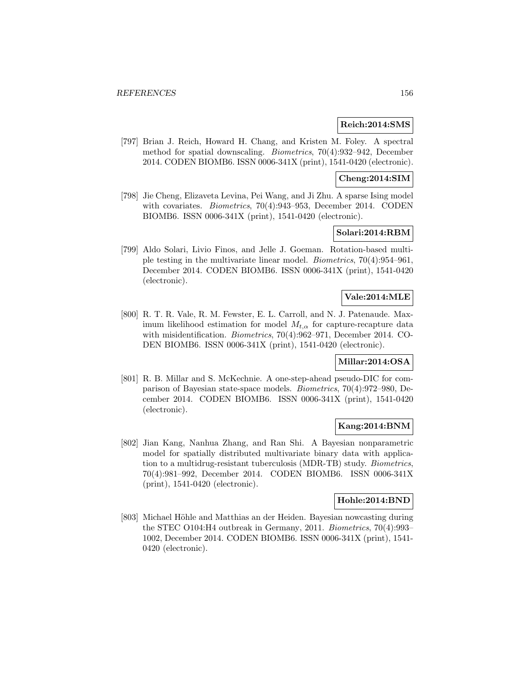#### **Reich:2014:SMS**

[797] Brian J. Reich, Howard H. Chang, and Kristen M. Foley. A spectral method for spatial downscaling. Biometrics, 70(4):932–942, December 2014. CODEN BIOMB6. ISSN 0006-341X (print), 1541-0420 (electronic).

### **Cheng:2014:SIM**

[798] Jie Cheng, Elizaveta Levina, Pei Wang, and Ji Zhu. A sparse Ising model with covariates. Biometrics, 70(4):943–953, December 2014. CODEN BIOMB6. ISSN 0006-341X (print), 1541-0420 (electronic).

# **Solari:2014:RBM**

[799] Aldo Solari, Livio Finos, and Jelle J. Goeman. Rotation-based multiple testing in the multivariate linear model. Biometrics, 70(4):954–961, December 2014. CODEN BIOMB6. ISSN 0006-341X (print), 1541-0420 (electronic).

# **Vale:2014:MLE**

[800] R. T. R. Vale, R. M. Fewster, E. L. Carroll, and N. J. Patenaude. Maximum likelihood estimation for model  $M_{t,\alpha}$  for capture-recapture data with misidentification. *Biometrics*, 70(4):962–971, December 2014. CO-DEN BIOMB6. ISSN 0006-341X (print), 1541-0420 (electronic).

# **Millar:2014:OSA**

[801] R. B. Millar and S. McKechnie. A one-step-ahead pseudo-DIC for comparison of Bayesian state-space models. Biometrics, 70(4):972–980, December 2014. CODEN BIOMB6. ISSN 0006-341X (print), 1541-0420 (electronic).

### **Kang:2014:BNM**

[802] Jian Kang, Nanhua Zhang, and Ran Shi. A Bayesian nonparametric model for spatially distributed multivariate binary data with application to a multidrug-resistant tuberculosis (MDR-TB) study. Biometrics, 70(4):981–992, December 2014. CODEN BIOMB6. ISSN 0006-341X (print), 1541-0420 (electronic).

### **Hohle:2014:BND**

[803] Michael Höhle and Matthias an der Heiden. Bayesian nowcasting during the STEC O104:H4 outbreak in Germany, 2011. Biometrics, 70(4):993– 1002, December 2014. CODEN BIOMB6. ISSN 0006-341X (print), 1541- 0420 (electronic).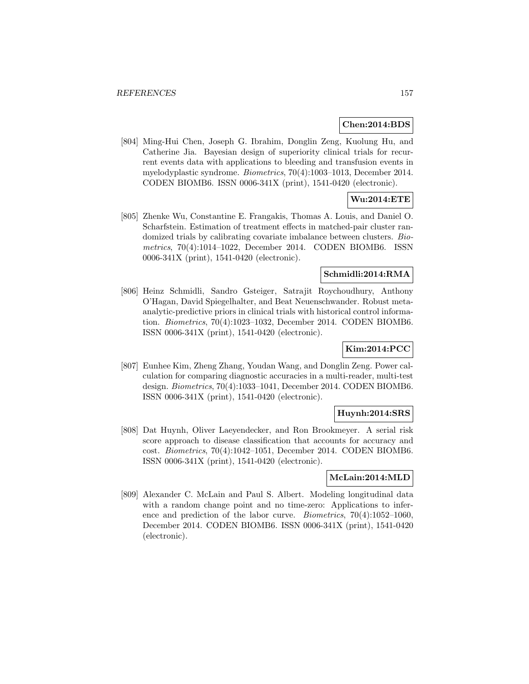#### **Chen:2014:BDS**

[804] Ming-Hui Chen, Joseph G. Ibrahim, Donglin Zeng, Kuolung Hu, and Catherine Jia. Bayesian design of superiority clinical trials for recurrent events data with applications to bleeding and transfusion events in myelodyplastic syndrome. Biometrics, 70(4):1003–1013, December 2014. CODEN BIOMB6. ISSN 0006-341X (print), 1541-0420 (electronic).

# **Wu:2014:ETE**

[805] Zhenke Wu, Constantine E. Frangakis, Thomas A. Louis, and Daniel O. Scharfstein. Estimation of treatment effects in matched-pair cluster randomized trials by calibrating covariate imbalance between clusters. Biometrics, 70(4):1014–1022, December 2014. CODEN BIOMB6. ISSN 0006-341X (print), 1541-0420 (electronic).

# **Schmidli:2014:RMA**

[806] Heinz Schmidli, Sandro Gsteiger, Satrajit Roychoudhury, Anthony O'Hagan, David Spiegelhalter, and Beat Neuenschwander. Robust metaanalytic-predictive priors in clinical trials with historical control information. Biometrics, 70(4):1023–1032, December 2014. CODEN BIOMB6. ISSN 0006-341X (print), 1541-0420 (electronic).

# **Kim:2014:PCC**

[807] Eunhee Kim, Zheng Zhang, Youdan Wang, and Donglin Zeng. Power calculation for comparing diagnostic accuracies in a multi-reader, multi-test design. Biometrics, 70(4):1033–1041, December 2014. CODEN BIOMB6. ISSN 0006-341X (print), 1541-0420 (electronic).

# **Huynh:2014:SRS**

[808] Dat Huynh, Oliver Laeyendecker, and Ron Brookmeyer. A serial risk score approach to disease classification that accounts for accuracy and cost. Biometrics, 70(4):1042–1051, December 2014. CODEN BIOMB6. ISSN 0006-341X (print), 1541-0420 (electronic).

#### **McLain:2014:MLD**

[809] Alexander C. McLain and Paul S. Albert. Modeling longitudinal data with a random change point and no time-zero: Applications to inference and prediction of the labor curve. Biometrics, 70(4):1052–1060, December 2014. CODEN BIOMB6. ISSN 0006-341X (print), 1541-0420 (electronic).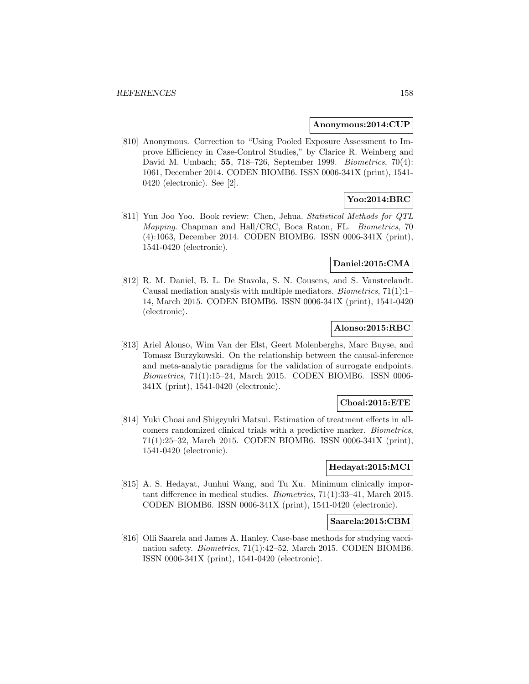#### **Anonymous:2014:CUP**

[810] Anonymous. Correction to "Using Pooled Exposure Assessment to Improve Efficiency in Case-Control Studies," by Clarice R. Weinberg and David M. Umbach; **55**, 718–726, September 1999. Biometrics, 70(4): 1061, December 2014. CODEN BIOMB6. ISSN 0006-341X (print), 1541- 0420 (electronic). See [2].

# **Yoo:2014:BRC**

[811] Yun Joo Yoo. Book review: Chen, Jehua. Statistical Methods for QTL Mapping. Chapman and Hall/CRC, Boca Raton, FL. Biometrics, 70 (4):1063, December 2014. CODEN BIOMB6. ISSN 0006-341X (print), 1541-0420 (electronic).

#### **Daniel:2015:CMA**

[812] R. M. Daniel, B. L. De Stavola, S. N. Cousens, and S. Vansteelandt. Causal mediation analysis with multiple mediators. Biometrics, 71(1):1– 14, March 2015. CODEN BIOMB6. ISSN 0006-341X (print), 1541-0420 (electronic).

# **Alonso:2015:RBC**

[813] Ariel Alonso, Wim Van der Elst, Geert Molenberghs, Marc Buyse, and Tomasz Burzykowski. On the relationship between the causal-inference and meta-analytic paradigms for the validation of surrogate endpoints. Biometrics, 71(1):15–24, March 2015. CODEN BIOMB6. ISSN 0006- 341X (print), 1541-0420 (electronic).

#### **Choai:2015:ETE**

[814] Yuki Choai and Shigeyuki Matsui. Estimation of treatment effects in allcomers randomized clinical trials with a predictive marker. Biometrics, 71(1):25–32, March 2015. CODEN BIOMB6. ISSN 0006-341X (print), 1541-0420 (electronic).

#### **Hedayat:2015:MCI**

[815] A. S. Hedayat, Junhui Wang, and Tu Xu. Minimum clinically important difference in medical studies. Biometrics, 71(1):33–41, March 2015. CODEN BIOMB6. ISSN 0006-341X (print), 1541-0420 (electronic).

#### **Saarela:2015:CBM**

[816] Olli Saarela and James A. Hanley. Case-base methods for studying vaccination safety. Biometrics, 71(1):42–52, March 2015. CODEN BIOMB6. ISSN 0006-341X (print), 1541-0420 (electronic).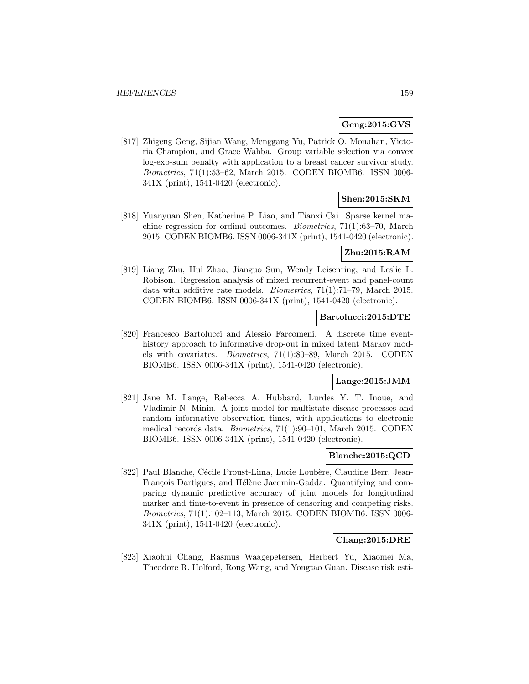### **Geng:2015:GVS**

[817] Zhigeng Geng, Sijian Wang, Menggang Yu, Patrick O. Monahan, Victoria Champion, and Grace Wahba. Group variable selection via convex log-exp-sum penalty with application to a breast cancer survivor study. Biometrics, 71(1):53–62, March 2015. CODEN BIOMB6. ISSN 0006- 341X (print), 1541-0420 (electronic).

### **Shen:2015:SKM**

[818] Yuanyuan Shen, Katherine P. Liao, and Tianxi Cai. Sparse kernel machine regression for ordinal outcomes. Biometrics, 71(1):63–70, March 2015. CODEN BIOMB6. ISSN 0006-341X (print), 1541-0420 (electronic).

#### **Zhu:2015:RAM**

[819] Liang Zhu, Hui Zhao, Jianguo Sun, Wendy Leisenring, and Leslie L. Robison. Regression analysis of mixed recurrent-event and panel-count data with additive rate models. Biometrics, 71(1):71–79, March 2015. CODEN BIOMB6. ISSN 0006-341X (print), 1541-0420 (electronic).

#### **Bartolucci:2015:DTE**

[820] Francesco Bartolucci and Alessio Farcomeni. A discrete time eventhistory approach to informative drop-out in mixed latent Markov models with covariates. Biometrics, 71(1):80–89, March 2015. CODEN BIOMB6. ISSN 0006-341X (print), 1541-0420 (electronic).

#### **Lange:2015:JMM**

[821] Jane M. Lange, Rebecca A. Hubbard, Lurdes Y. T. Inoue, and Vladimir N. Minin. A joint model for multistate disease processes and random informative observation times, with applications to electronic medical records data. Biometrics, 71(1):90–101, March 2015. CODEN BIOMB6. ISSN 0006-341X (print), 1541-0420 (electronic).

# **Blanche:2015:QCD**

[822] Paul Blanche, Cécile Proust-Lima, Lucie Loubère, Claudine Berr, Jean-Francois Dartigues, and Hélène Jacqmin-Gadda. Quantifying and comparing dynamic predictive accuracy of joint models for longitudinal marker and time-to-event in presence of censoring and competing risks. Biometrics, 71(1):102–113, March 2015. CODEN BIOMB6. ISSN 0006- 341X (print), 1541-0420 (electronic).

#### **Chang:2015:DRE**

[823] Xiaohui Chang, Rasmus Waagepetersen, Herbert Yu, Xiaomei Ma, Theodore R. Holford, Rong Wang, and Yongtao Guan. Disease risk esti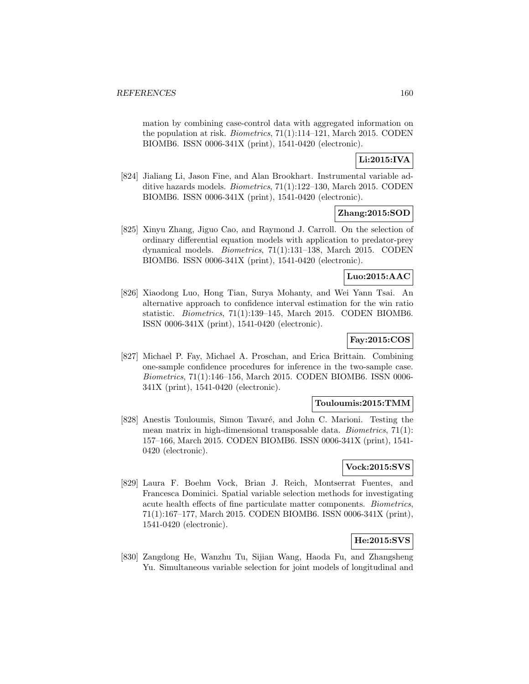mation by combining case-control data with aggregated information on the population at risk. Biometrics, 71(1):114–121, March 2015. CODEN BIOMB6. ISSN 0006-341X (print), 1541-0420 (electronic).

# **Li:2015:IVA**

[824] Jialiang Li, Jason Fine, and Alan Brookhart. Instrumental variable additive hazards models. Biometrics, 71(1):122–130, March 2015. CODEN BIOMB6. ISSN 0006-341X (print), 1541-0420 (electronic).

# **Zhang:2015:SOD**

[825] Xinyu Zhang, Jiguo Cao, and Raymond J. Carroll. On the selection of ordinary differential equation models with application to predator-prey dynamical models. Biometrics, 71(1):131–138, March 2015. CODEN BIOMB6. ISSN 0006-341X (print), 1541-0420 (electronic).

# **Luo:2015:AAC**

[826] Xiaodong Luo, Hong Tian, Surya Mohanty, and Wei Yann Tsai. An alternative approach to confidence interval estimation for the win ratio statistic. Biometrics, 71(1):139–145, March 2015. CODEN BIOMB6. ISSN 0006-341X (print), 1541-0420 (electronic).

# **Fay:2015:COS**

[827] Michael P. Fay, Michael A. Proschan, and Erica Brittain. Combining one-sample confidence procedures for inference in the two-sample case. Biometrics, 71(1):146–156, March 2015. CODEN BIOMB6. ISSN 0006- 341X (print), 1541-0420 (electronic).

# **Touloumis:2015:TMM**

[828] Anestis Touloumis, Simon Tavaré, and John C. Marioni. Testing the mean matrix in high-dimensional transposable data. Biometrics, 71(1): 157–166, March 2015. CODEN BIOMB6. ISSN 0006-341X (print), 1541- 0420 (electronic).

# **Vock:2015:SVS**

[829] Laura F. Boehm Vock, Brian J. Reich, Montserrat Fuentes, and Francesca Dominici. Spatial variable selection methods for investigating acute health effects of fine particulate matter components. Biometrics, 71(1):167–177, March 2015. CODEN BIOMB6. ISSN 0006-341X (print), 1541-0420 (electronic).

# **He:2015:SVS**

[830] Zangdong He, Wanzhu Tu, Sijian Wang, Haoda Fu, and Zhangsheng Yu. Simultaneous variable selection for joint models of longitudinal and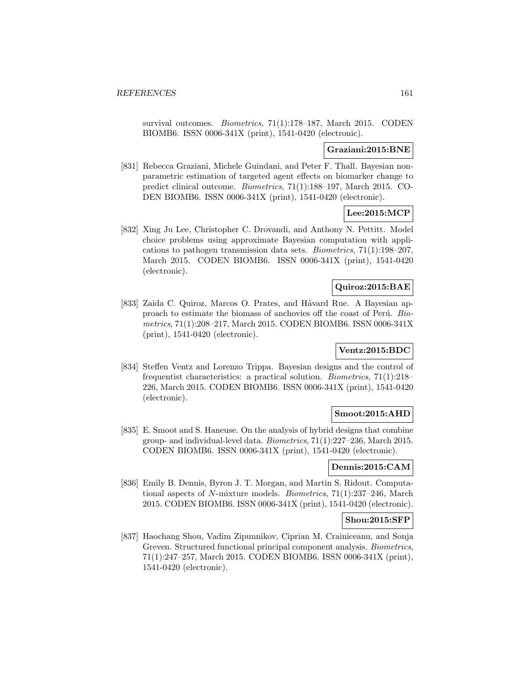survival outcomes. *Biometrics*, 71(1):178-187, March 2015. CODEN BIOMB6. ISSN 0006-341X (print), 1541-0420 (electronic).

#### **Graziani:2015:BNE**

[831] Rebecca Graziani, Michele Guindani, and Peter F. Thall. Bayesian nonparametric estimation of targeted agent effects on biomarker change to predict clinical outcome. Biometrics, 71(1):188–197, March 2015. CO-DEN BIOMB6. ISSN 0006-341X (print), 1541-0420 (electronic).

# **Lee:2015:MCP**

[832] Xing Ju Lee, Christopher C. Drovandi, and Anthony N. Pettitt. Model choice problems using approximate Bayesian computation with applications to pathogen transmission data sets. Biometrics, 71(1):198–207, March 2015. CODEN BIOMB6. ISSN 0006-341X (print), 1541-0420 (electronic).

#### **Quiroz:2015:BAE**

[833] Zaida C. Quiroz, Marcos O. Prates, and Håvard Rue. A Bayesian approach to estimate the biomass of anchovies off the coast of Perú. Biometrics, 71(1):208–217, March 2015. CODEN BIOMB6. ISSN 0006-341X (print), 1541-0420 (electronic).

# **Ventz:2015:BDC**

[834] Steffen Ventz and Lorenzo Trippa. Bayesian designs and the control of frequentist characteristics: a practical solution. Biometrics, 71(1):218– 226, March 2015. CODEN BIOMB6. ISSN 0006-341X (print), 1541-0420 (electronic).

#### **Smoot:2015:AHD**

[835] E. Smoot and S. Haneuse. On the analysis of hybrid designs that combine group- and individual-level data. Biometrics, 71(1):227–236, March 2015. CODEN BIOMB6. ISSN 0006-341X (print), 1541-0420 (electronic).

#### **Dennis:2015:CAM**

[836] Emily B. Dennis, Byron J. T. Morgan, and Martin S. Ridout. Computational aspects of N-mixture models. Biometrics, 71(1):237–246, March 2015. CODEN BIOMB6. ISSN 0006-341X (print), 1541-0420 (electronic).

#### **Shou:2015:SFP**

[837] Haochang Shou, Vadim Zipunnikov, Ciprian M. Crainiceanu, and Sonja Greven. Structured functional principal component analysis. Biometrics, 71(1):247–257, March 2015. CODEN BIOMB6. ISSN 0006-341X (print), 1541-0420 (electronic).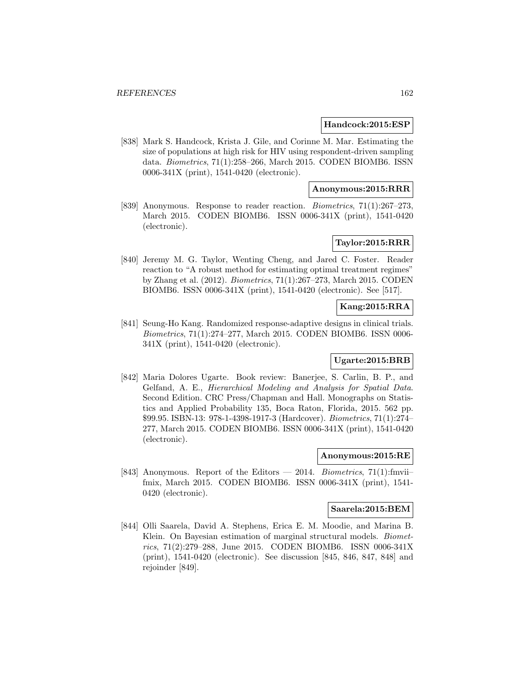#### **Handcock:2015:ESP**

[838] Mark S. Handcock, Krista J. Gile, and Corinne M. Mar. Estimating the size of populations at high risk for HIV using respondent-driven sampling data. Biometrics, 71(1):258–266, March 2015. CODEN BIOMB6. ISSN 0006-341X (print), 1541-0420 (electronic).

#### **Anonymous:2015:RRR**

[839] Anonymous. Response to reader reaction. Biometrics, 71(1):267–273, March 2015. CODEN BIOMB6. ISSN 0006-341X (print), 1541-0420 (electronic).

# **Taylor:2015:RRR**

[840] Jeremy M. G. Taylor, Wenting Cheng, and Jared C. Foster. Reader reaction to "A robust method for estimating optimal treatment regimes" by Zhang et al. (2012). Biometrics, 71(1):267–273, March 2015. CODEN BIOMB6. ISSN 0006-341X (print), 1541-0420 (electronic). See [517].

### **Kang:2015:RRA**

[841] Seung-Ho Kang. Randomized response-adaptive designs in clinical trials. Biometrics, 71(1):274–277, March 2015. CODEN BIOMB6. ISSN 0006- 341X (print), 1541-0420 (electronic).

# **Ugarte:2015:BRB**

[842] Maria Dolores Ugarte. Book review: Banerjee, S. Carlin, B. P., and Gelfand, A. E., Hierarchical Modeling and Analysis for Spatial Data. Second Edition. CRC Press/Chapman and Hall. Monographs on Statistics and Applied Probability 135, Boca Raton, Florida, 2015. 562 pp. \$99.95. ISBN-13: 978-1-4398-1917-3 (Hardcover). Biometrics, 71(1):274– 277, March 2015. CODEN BIOMB6. ISSN 0006-341X (print), 1541-0420 (electronic).

#### **Anonymous:2015:RE**

[843] Anonymous. Report of the Editors — 2014. Biometrics, 71(1): fmviifmix, March 2015. CODEN BIOMB6. ISSN 0006-341X (print), 1541- 0420 (electronic).

#### **Saarela:2015:BEM**

[844] Olli Saarela, David A. Stephens, Erica E. M. Moodie, and Marina B. Klein. On Bayesian estimation of marginal structural models. Biometrics, 71(2):279–288, June 2015. CODEN BIOMB6. ISSN 0006-341X (print), 1541-0420 (electronic). See discussion [845, 846, 847, 848] and rejoinder [849].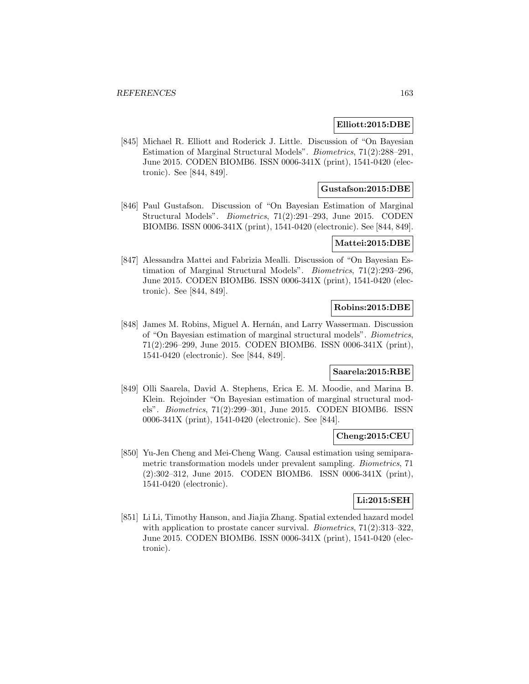#### **Elliott:2015:DBE**

[845] Michael R. Elliott and Roderick J. Little. Discussion of "On Bayesian Estimation of Marginal Structural Models". Biometrics, 71(2):288–291, June 2015. CODEN BIOMB6. ISSN 0006-341X (print), 1541-0420 (electronic). See [844, 849].

### **Gustafson:2015:DBE**

[846] Paul Gustafson. Discussion of "On Bayesian Estimation of Marginal Structural Models". Biometrics, 71(2):291–293, June 2015. CODEN BIOMB6. ISSN 0006-341X (print), 1541-0420 (electronic). See [844, 849].

#### **Mattei:2015:DBE**

[847] Alessandra Mattei and Fabrizia Mealli. Discussion of "On Bayesian Estimation of Marginal Structural Models". Biometrics, 71(2):293–296, June 2015. CODEN BIOMB6. ISSN 0006-341X (print), 1541-0420 (electronic). See [844, 849].

# **Robins:2015:DBE**

[848] James M. Robins, Miguel A. Hernán, and Larry Wasserman. Discussion of "On Bayesian estimation of marginal structural models". Biometrics, 71(2):296–299, June 2015. CODEN BIOMB6. ISSN 0006-341X (print), 1541-0420 (electronic). See [844, 849].

# **Saarela:2015:RBE**

[849] Olli Saarela, David A. Stephens, Erica E. M. Moodie, and Marina B. Klein. Rejoinder "On Bayesian estimation of marginal structural models". Biometrics, 71(2):299–301, June 2015. CODEN BIOMB6. ISSN 0006-341X (print), 1541-0420 (electronic). See [844].

#### **Cheng:2015:CEU**

[850] Yu-Jen Cheng and Mei-Cheng Wang. Causal estimation using semiparametric transformation models under prevalent sampling. Biometrics, 71 (2):302–312, June 2015. CODEN BIOMB6. ISSN 0006-341X (print), 1541-0420 (electronic).

#### **Li:2015:SEH**

[851] Li Li, Timothy Hanson, and Jiajia Zhang. Spatial extended hazard model with application to prostate cancer survival. *Biometrics*,  $71(2):313-322$ , June 2015. CODEN BIOMB6. ISSN 0006-341X (print), 1541-0420 (electronic).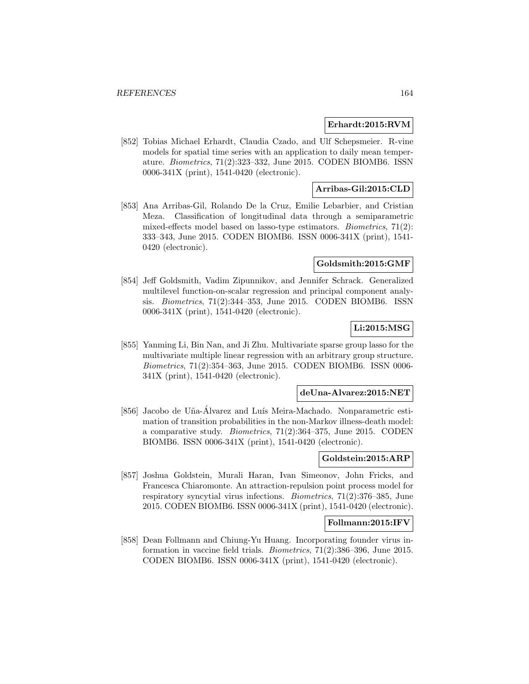### **Erhardt:2015:RVM**

[852] Tobias Michael Erhardt, Claudia Czado, and Ulf Schepsmeier. R-vine models for spatial time series with an application to daily mean temperature. Biometrics, 71(2):323–332, June 2015. CODEN BIOMB6. ISSN 0006-341X (print), 1541-0420 (electronic).

# **Arribas-Gil:2015:CLD**

[853] Ana Arribas-Gil, Rolando De la Cruz, Emilie Lebarbier, and Cristian Meza. Classification of longitudinal data through a semiparametric mixed-effects model based on lasso-type estimators. Biometrics, 71(2): 333–343, June 2015. CODEN BIOMB6. ISSN 0006-341X (print), 1541- 0420 (electronic).

#### **Goldsmith:2015:GMF**

[854] Jeff Goldsmith, Vadim Zipunnikov, and Jennifer Schrack. Generalized multilevel function-on-scalar regression and principal component analysis. Biometrics, 71(2):344–353, June 2015. CODEN BIOMB6. ISSN 0006-341X (print), 1541-0420 (electronic).

# **Li:2015:MSG**

[855] Yanming Li, Bin Nan, and Ji Zhu. Multivariate sparse group lasso for the multivariate multiple linear regression with an arbitrary group structure. Biometrics, 71(2):354–363, June 2015. CODEN BIOMB6. ISSN 0006- 341X (print), 1541-0420 (electronic).

#### **deUna-Alvarez:2015:NET**

[856] Jacobo de Uña-Álvarez and Luís Meira-Machado. Nonparametric estimation of transition probabilities in the non-Markov illness-death model: a comparative study. Biometrics, 71(2):364–375, June 2015. CODEN BIOMB6. ISSN 0006-341X (print), 1541-0420 (electronic).

### **Goldstein:2015:ARP**

[857] Joshua Goldstein, Murali Haran, Ivan Simeonov, John Fricks, and Francesca Chiaromonte. An attraction-repulsion point process model for respiratory syncytial virus infections. Biometrics, 71(2):376–385, June 2015. CODEN BIOMB6. ISSN 0006-341X (print), 1541-0420 (electronic).

#### **Follmann:2015:IFV**

[858] Dean Follmann and Chiung-Yu Huang. Incorporating founder virus information in vaccine field trials. Biometrics, 71(2):386–396, June 2015. CODEN BIOMB6. ISSN 0006-341X (print), 1541-0420 (electronic).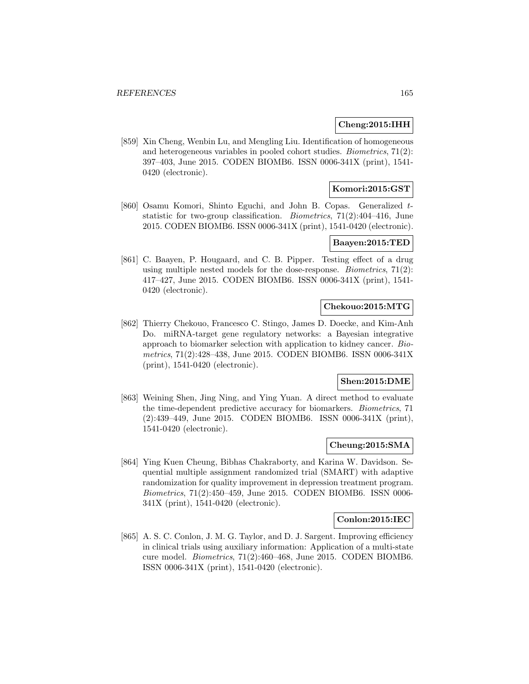#### **Cheng:2015:IHH**

[859] Xin Cheng, Wenbin Lu, and Mengling Liu. Identification of homogeneous and heterogeneous variables in pooled cohort studies. Biometrics, 71(2): 397–403, June 2015. CODEN BIOMB6. ISSN 0006-341X (print), 1541- 0420 (electronic).

### **Komori:2015:GST**

[860] Osamu Komori, Shinto Eguchi, and John B. Copas. Generalized tstatistic for two-group classification. *Biometrics*,  $71(2):404-416$ , June 2015. CODEN BIOMB6. ISSN 0006-341X (print), 1541-0420 (electronic).

#### **Baayen:2015:TED**

[861] C. Baayen, P. Hougaard, and C. B. Pipper. Testing effect of a drug using multiple nested models for the dose-response. Biometrics, 71(2): 417–427, June 2015. CODEN BIOMB6. ISSN 0006-341X (print), 1541- 0420 (electronic).

#### **Chekouo:2015:MTG**

[862] Thierry Chekouo, Francesco C. Stingo, James D. Doecke, and Kim-Anh Do. miRNA-target gene regulatory networks: a Bayesian integrative approach to biomarker selection with application to kidney cancer. Biometrics, 71(2):428–438, June 2015. CODEN BIOMB6. ISSN 0006-341X (print), 1541-0420 (electronic).

# **Shen:2015:DME**

[863] Weining Shen, Jing Ning, and Ying Yuan. A direct method to evaluate the time-dependent predictive accuracy for biomarkers. Biometrics, 71 (2):439–449, June 2015. CODEN BIOMB6. ISSN 0006-341X (print), 1541-0420 (electronic).

#### **Cheung:2015:SMA**

[864] Ying Kuen Cheung, Bibhas Chakraborty, and Karina W. Davidson. Sequential multiple assignment randomized trial (SMART) with adaptive randomization for quality improvement in depression treatment program. Biometrics, 71(2):450–459, June 2015. CODEN BIOMB6. ISSN 0006- 341X (print), 1541-0420 (electronic).

#### **Conlon:2015:IEC**

[865] A. S. C. Conlon, J. M. G. Taylor, and D. J. Sargent. Improving efficiency in clinical trials using auxiliary information: Application of a multi-state cure model. Biometrics, 71(2):460–468, June 2015. CODEN BIOMB6. ISSN 0006-341X (print), 1541-0420 (electronic).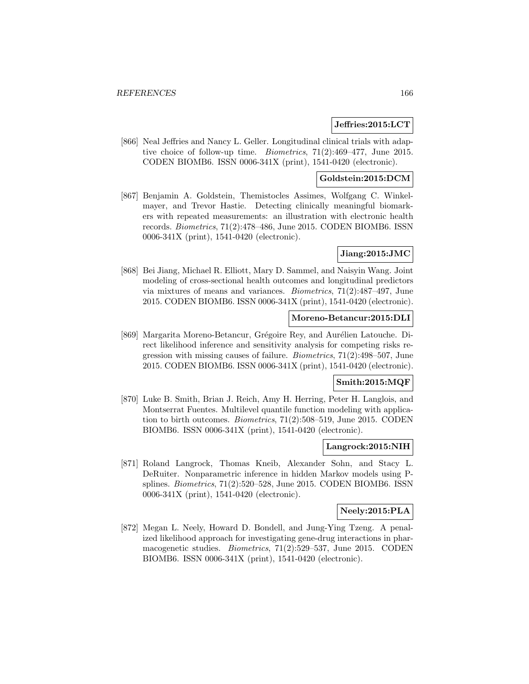#### **Jeffries:2015:LCT**

[866] Neal Jeffries and Nancy L. Geller. Longitudinal clinical trials with adaptive choice of follow-up time. Biometrics, 71(2):469–477, June 2015. CODEN BIOMB6. ISSN 0006-341X (print), 1541-0420 (electronic).

# **Goldstein:2015:DCM**

[867] Benjamin A. Goldstein, Themistocles Assimes, Wolfgang C. Winkelmayer, and Trevor Hastie. Detecting clinically meaningful biomarkers with repeated measurements: an illustration with electronic health records. Biometrics, 71(2):478–486, June 2015. CODEN BIOMB6. ISSN 0006-341X (print), 1541-0420 (electronic).

# **Jiang:2015:JMC**

[868] Bei Jiang, Michael R. Elliott, Mary D. Sammel, and Naisyin Wang. Joint modeling of cross-sectional health outcomes and longitudinal predictors via mixtures of means and variances. Biometrics, 71(2):487–497, June 2015. CODEN BIOMB6. ISSN 0006-341X (print), 1541-0420 (electronic).

### **Moreno-Betancur:2015:DLI**

[869] Margarita Moreno-Betancur, Grégoire Rey, and Aurélien Latouche. Direct likelihood inference and sensitivity analysis for competing risks regression with missing causes of failure. Biometrics, 71(2):498–507, June 2015. CODEN BIOMB6. ISSN 0006-341X (print), 1541-0420 (electronic).

#### **Smith:2015:MQF**

[870] Luke B. Smith, Brian J. Reich, Amy H. Herring, Peter H. Langlois, and Montserrat Fuentes. Multilevel quantile function modeling with application to birth outcomes. Biometrics, 71(2):508–519, June 2015. CODEN BIOMB6. ISSN 0006-341X (print), 1541-0420 (electronic).

### **Langrock:2015:NIH**

[871] Roland Langrock, Thomas Kneib, Alexander Sohn, and Stacy L. DeRuiter. Nonparametric inference in hidden Markov models using Psplines. Biometrics, 71(2):520–528, June 2015. CODEN BIOMB6. ISSN 0006-341X (print), 1541-0420 (electronic).

#### **Neely:2015:PLA**

[872] Megan L. Neely, Howard D. Bondell, and Jung-Ying Tzeng. A penalized likelihood approach for investigating gene-drug interactions in pharmacogenetic studies. Biometrics, 71(2):529–537, June 2015. CODEN BIOMB6. ISSN 0006-341X (print), 1541-0420 (electronic).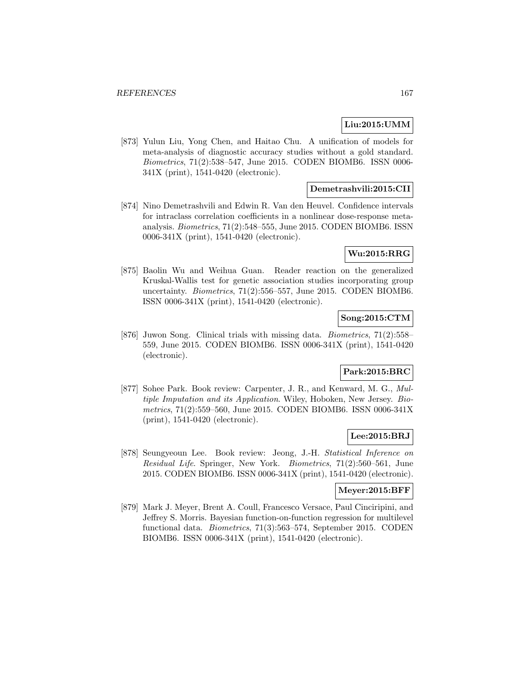### **Liu:2015:UMM**

[873] Yulun Liu, Yong Chen, and Haitao Chu. A unification of models for meta-analysis of diagnostic accuracy studies without a gold standard. Biometrics, 71(2):538–547, June 2015. CODEN BIOMB6. ISSN 0006- 341X (print), 1541-0420 (electronic).

### **Demetrashvili:2015:CII**

[874] Nino Demetrashvili and Edwin R. Van den Heuvel. Confidence intervals for intraclass correlation coefficients in a nonlinear dose-response metaanalysis. Biometrics, 71(2):548–555, June 2015. CODEN BIOMB6. ISSN 0006-341X (print), 1541-0420 (electronic).

#### **Wu:2015:RRG**

[875] Baolin Wu and Weihua Guan. Reader reaction on the generalized Kruskal-Wallis test for genetic association studies incorporating group uncertainty. Biometrics, 71(2):556–557, June 2015. CODEN BIOMB6. ISSN 0006-341X (print), 1541-0420 (electronic).

# **Song:2015:CTM**

[876] Juwon Song. Clinical trials with missing data. Biometrics, 71(2):558– 559, June 2015. CODEN BIOMB6. ISSN 0006-341X (print), 1541-0420 (electronic).

# **Park:2015:BRC**

[877] Sohee Park. Book review: Carpenter, J. R., and Kenward, M. G., Multiple Imputation and its Application. Wiley, Hoboken, New Jersey. Biometrics, 71(2):559–560, June 2015. CODEN BIOMB6. ISSN 0006-341X (print), 1541-0420 (electronic).

#### **Lee:2015:BRJ**

[878] Seungyeoun Lee. Book review: Jeong, J.-H. Statistical Inference on Residual Life. Springer, New York. Biometrics, 71(2):560–561, June 2015. CODEN BIOMB6. ISSN 0006-341X (print), 1541-0420 (electronic).

### **Meyer:2015:BFF**

[879] Mark J. Meyer, Brent A. Coull, Francesco Versace, Paul Cinciripini, and Jeffrey S. Morris. Bayesian function-on-function regression for multilevel functional data. Biometrics, 71(3):563–574, September 2015. CODEN BIOMB6. ISSN 0006-341X (print), 1541-0420 (electronic).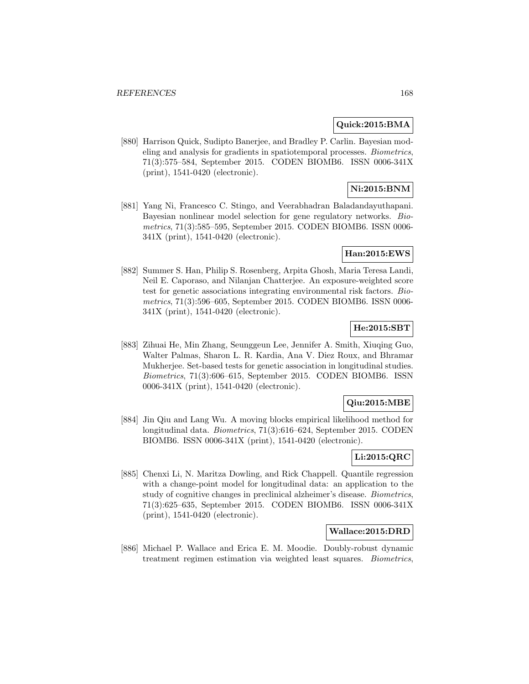#### **Quick:2015:BMA**

[880] Harrison Quick, Sudipto Banerjee, and Bradley P. Carlin. Bayesian modeling and analysis for gradients in spatiotemporal processes. Biometrics, 71(3):575–584, September 2015. CODEN BIOMB6. ISSN 0006-341X (print), 1541-0420 (electronic).

# **Ni:2015:BNM**

[881] Yang Ni, Francesco C. Stingo, and Veerabhadran Baladandayuthapani. Bayesian nonlinear model selection for gene regulatory networks. Biometrics, 71(3):585–595, September 2015. CODEN BIOMB6. ISSN 0006- 341X (print), 1541-0420 (electronic).

#### **Han:2015:EWS**

[882] Summer S. Han, Philip S. Rosenberg, Arpita Ghosh, Maria Teresa Landi, Neil E. Caporaso, and Nilanjan Chatterjee. An exposure-weighted score test for genetic associations integrating environmental risk factors. Biometrics, 71(3):596–605, September 2015. CODEN BIOMB6. ISSN 0006- 341X (print), 1541-0420 (electronic).

#### **He:2015:SBT**

[883] Zihuai He, Min Zhang, Seunggeun Lee, Jennifer A. Smith, Xiuqing Guo, Walter Palmas, Sharon L. R. Kardia, Ana V. Diez Roux, and Bhramar Mukherjee. Set-based tests for genetic association in longitudinal studies. Biometrics, 71(3):606–615, September 2015. CODEN BIOMB6. ISSN 0006-341X (print), 1541-0420 (electronic).

# **Qiu:2015:MBE**

[884] Jin Qiu and Lang Wu. A moving blocks empirical likelihood method for longitudinal data. Biometrics, 71(3):616–624, September 2015. CODEN BIOMB6. ISSN 0006-341X (print), 1541-0420 (electronic).

# **Li:2015:QRC**

[885] Chenxi Li, N. Maritza Dowling, and Rick Chappell. Quantile regression with a change-point model for longitudinal data: an application to the study of cognitive changes in preclinical alzheimer's disease. Biometrics, 71(3):625–635, September 2015. CODEN BIOMB6. ISSN 0006-341X (print), 1541-0420 (electronic).

#### **Wallace:2015:DRD**

[886] Michael P. Wallace and Erica E. M. Moodie. Doubly-robust dynamic treatment regimen estimation via weighted least squares. Biometrics,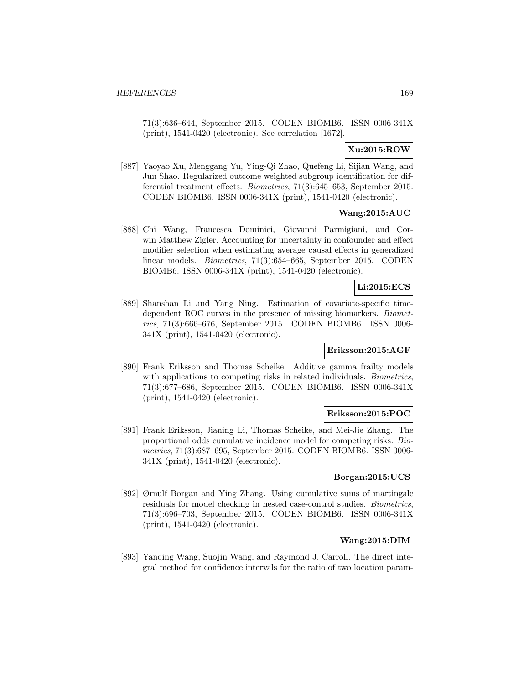71(3):636–644, September 2015. CODEN BIOMB6. ISSN 0006-341X (print), 1541-0420 (electronic). See correlation [1672].

# **Xu:2015:ROW**

[887] Yaoyao Xu, Menggang Yu, Ying-Qi Zhao, Quefeng Li, Sijian Wang, and Jun Shao. Regularized outcome weighted subgroup identification for differential treatment effects. Biometrics, 71(3):645–653, September 2015. CODEN BIOMB6. ISSN 0006-341X (print), 1541-0420 (electronic).

# **Wang:2015:AUC**

[888] Chi Wang, Francesca Dominici, Giovanni Parmigiani, and Corwin Matthew Zigler. Accounting for uncertainty in confounder and effect modifier selection when estimating average causal effects in generalized linear models. Biometrics, 71(3):654–665, September 2015. CODEN BIOMB6. ISSN 0006-341X (print), 1541-0420 (electronic).

# **Li:2015:ECS**

[889] Shanshan Li and Yang Ning. Estimation of covariate-specific timedependent ROC curves in the presence of missing biomarkers. Biometrics, 71(3):666–676, September 2015. CODEN BIOMB6. ISSN 0006- 341X (print), 1541-0420 (electronic).

# **Eriksson:2015:AGF**

[890] Frank Eriksson and Thomas Scheike. Additive gamma frailty models with applications to competing risks in related individuals. *Biometrics*, 71(3):677–686, September 2015. CODEN BIOMB6. ISSN 0006-341X (print), 1541-0420 (electronic).

# **Eriksson:2015:POC**

[891] Frank Eriksson, Jianing Li, Thomas Scheike, and Mei-Jie Zhang. The proportional odds cumulative incidence model for competing risks. Biometrics, 71(3):687–695, September 2015. CODEN BIOMB6. ISSN 0006- 341X (print), 1541-0420 (electronic).

# **Borgan:2015:UCS**

[892] Ørnulf Borgan and Ying Zhang. Using cumulative sums of martingale residuals for model checking in nested case-control studies. Biometrics, 71(3):696–703, September 2015. CODEN BIOMB6. ISSN 0006-341X (print), 1541-0420 (electronic).

# **Wang:2015:DIM**

[893] Yanqing Wang, Suojin Wang, and Raymond J. Carroll. The direct integral method for confidence intervals for the ratio of two location param-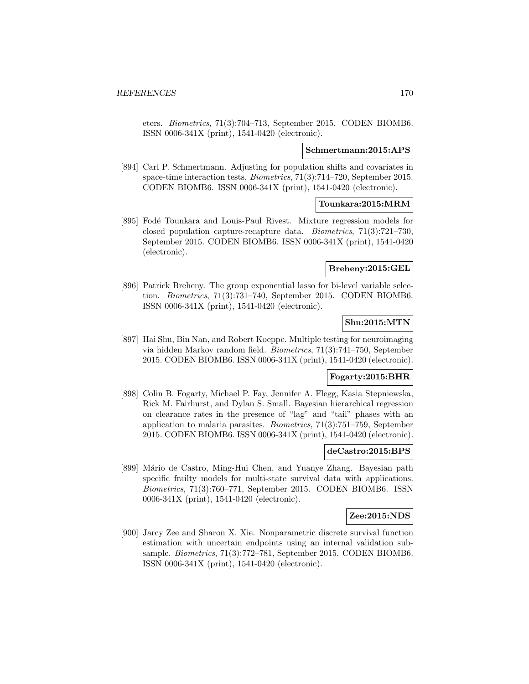eters. Biometrics, 71(3):704–713, September 2015. CODEN BIOMB6. ISSN 0006-341X (print), 1541-0420 (electronic).

#### **Schmertmann:2015:APS**

[894] Carl P. Schmertmann. Adjusting for population shifts and covariates in space-time interaction tests. Biometrics, 71(3):714–720, September 2015. CODEN BIOMB6. ISSN 0006-341X (print), 1541-0420 (electronic).

#### **Tounkara:2015:MRM**

[895] Fodé Tounkara and Louis-Paul Rivest. Mixture regression models for closed population capture-recapture data. Biometrics, 71(3):721–730, September 2015. CODEN BIOMB6. ISSN 0006-341X (print), 1541-0420 (electronic).

#### **Breheny:2015:GEL**

[896] Patrick Breheny. The group exponential lasso for bi-level variable selection. Biometrics, 71(3):731–740, September 2015. CODEN BIOMB6. ISSN 0006-341X (print), 1541-0420 (electronic).

# **Shu:2015:MTN**

[897] Hai Shu, Bin Nan, and Robert Koeppe. Multiple testing for neuroimaging via hidden Markov random field. Biometrics, 71(3):741–750, September 2015. CODEN BIOMB6. ISSN 0006-341X (print), 1541-0420 (electronic).

#### **Fogarty:2015:BHR**

[898] Colin B. Fogarty, Michael P. Fay, Jennifer A. Flegg, Kasia Stepniewska, Rick M. Fairhurst, and Dylan S. Small. Bayesian hierarchical regression on clearance rates in the presence of "lag" and "tail" phases with an application to malaria parasites. Biometrics, 71(3):751–759, September 2015. CODEN BIOMB6. ISSN 0006-341X (print), 1541-0420 (electronic).

#### **deCastro:2015:BPS**

[899] Mário de Castro, Ming-Hui Chen, and Yuanye Zhang. Bayesian path specific frailty models for multi-state survival data with applications. Biometrics, 71(3):760–771, September 2015. CODEN BIOMB6. ISSN 0006-341X (print), 1541-0420 (electronic).

#### **Zee:2015:NDS**

[900] Jarcy Zee and Sharon X. Xie. Nonparametric discrete survival function estimation with uncertain endpoints using an internal validation subsample. Biometrics, 71(3):772–781, September 2015. CODEN BIOMB6. ISSN 0006-341X (print), 1541-0420 (electronic).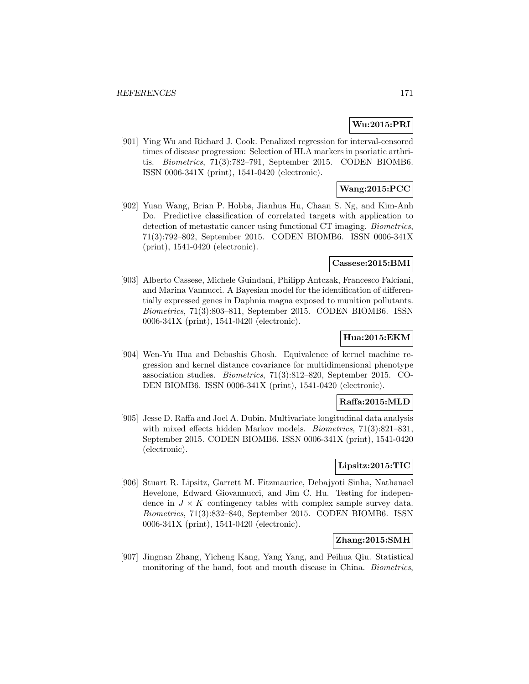### **Wu:2015:PRI**

[901] Ying Wu and Richard J. Cook. Penalized regression for interval-censored times of disease progression: Selection of HLA markers in psoriatic arthritis. Biometrics, 71(3):782–791, September 2015. CODEN BIOMB6. ISSN 0006-341X (print), 1541-0420 (electronic).

# **Wang:2015:PCC**

[902] Yuan Wang, Brian P. Hobbs, Jianhua Hu, Chaan S. Ng, and Kim-Anh Do. Predictive classification of correlated targets with application to detection of metastatic cancer using functional CT imaging. Biometrics, 71(3):792–802, September 2015. CODEN BIOMB6. ISSN 0006-341X (print), 1541-0420 (electronic).

#### **Cassese:2015:BMI**

[903] Alberto Cassese, Michele Guindani, Philipp Antczak, Francesco Falciani, and Marina Vannucci. A Bayesian model for the identification of differentially expressed genes in Daphnia magna exposed to munition pollutants. Biometrics, 71(3):803–811, September 2015. CODEN BIOMB6. ISSN 0006-341X (print), 1541-0420 (electronic).

# **Hua:2015:EKM**

[904] Wen-Yu Hua and Debashis Ghosh. Equivalence of kernel machine regression and kernel distance covariance for multidimensional phenotype association studies. Biometrics, 71(3):812–820, September 2015. CO-DEN BIOMB6. ISSN 0006-341X (print), 1541-0420 (electronic).

# **Raffa:2015:MLD**

[905] Jesse D. Raffa and Joel A. Dubin. Multivariate longitudinal data analysis with mixed effects hidden Markov models. *Biometrics*,  $71(3):821-831$ , September 2015. CODEN BIOMB6. ISSN 0006-341X (print), 1541-0420 (electronic).

# **Lipsitz:2015:TIC**

[906] Stuart R. Lipsitz, Garrett M. Fitzmaurice, Debajyoti Sinha, Nathanael Hevelone, Edward Giovannucci, and Jim C. Hu. Testing for independence in  $J \times K$  contingency tables with complex sample survey data. Biometrics, 71(3):832–840, September 2015. CODEN BIOMB6. ISSN 0006-341X (print), 1541-0420 (electronic).

#### **Zhang:2015:SMH**

[907] Jingnan Zhang, Yicheng Kang, Yang Yang, and Peihua Qiu. Statistical monitoring of the hand, foot and mouth disease in China. Biometrics,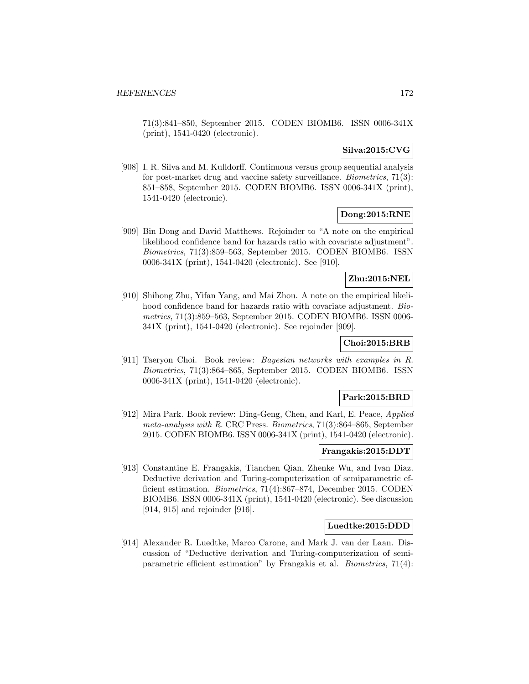71(3):841–850, September 2015. CODEN BIOMB6. ISSN 0006-341X (print), 1541-0420 (electronic).

### **Silva:2015:CVG**

[908] I. R. Silva and M. Kulldorff. Continuous versus group sequential analysis for post-market drug and vaccine safety surveillance. Biometrics, 71(3): 851–858, September 2015. CODEN BIOMB6. ISSN 0006-341X (print), 1541-0420 (electronic).

# **Dong:2015:RNE**

[909] Bin Dong and David Matthews. Rejoinder to "A note on the empirical likelihood confidence band for hazards ratio with covariate adjustment". Biometrics, 71(3):859–563, September 2015. CODEN BIOMB6. ISSN 0006-341X (print), 1541-0420 (electronic). See [910].

# **Zhu:2015:NEL**

[910] Shihong Zhu, Yifan Yang, and Mai Zhou. A note on the empirical likelihood confidence band for hazards ratio with covariate adjustment. Biometrics, 71(3):859–563, September 2015. CODEN BIOMB6. ISSN 0006- 341X (print), 1541-0420 (electronic). See rejoinder [909].

# **Choi:2015:BRB**

[911] Taeryon Choi. Book review: Bayesian networks with examples in R. Biometrics, 71(3):864–865, September 2015. CODEN BIOMB6. ISSN 0006-341X (print), 1541-0420 (electronic).

#### **Park:2015:BRD**

[912] Mira Park. Book review: Ding-Geng, Chen, and Karl, E. Peace, Applied meta-analysis with R. CRC Press. Biometrics, 71(3):864–865, September 2015. CODEN BIOMB6. ISSN 0006-341X (print), 1541-0420 (electronic).

#### **Frangakis:2015:DDT**

[913] Constantine E. Frangakis, Tianchen Qian, Zhenke Wu, and Ivan Diaz. Deductive derivation and Turing-computerization of semiparametric efficient estimation. Biometrics, 71(4):867–874, December 2015. CODEN BIOMB6. ISSN 0006-341X (print), 1541-0420 (electronic). See discussion [914, 915] and rejoinder [916].

### **Luedtke:2015:DDD**

[914] Alexander R. Luedtke, Marco Carone, and Mark J. van der Laan. Discussion of "Deductive derivation and Turing-computerization of semiparametric efficient estimation" by Frangakis et al. Biometrics, 71(4):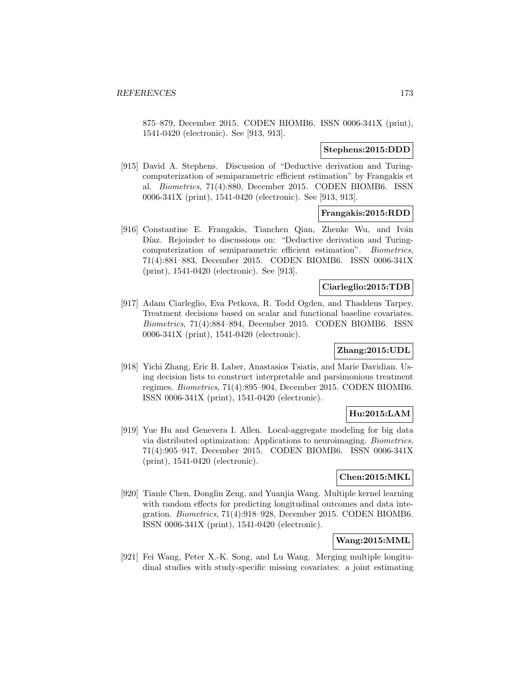875–879, December 2015. CODEN BIOMB6. ISSN 0006-341X (print), 1541-0420 (electronic). See [913, 913].

#### **Stephens:2015:DDD**

[915] David A. Stephens. Discussion of "Deductive derivation and Turingcomputerization of semiparametric efficient estimation" by Frangakis et al. Biometrics, 71(4):880, December 2015. CODEN BIOMB6. ISSN 0006-341X (print), 1541-0420 (electronic). See [913, 913].

# **Frangakis:2015:RDD**

[916] Constantine E. Frangakis, Tianchen Qian, Zhenke Wu, and Iván Díaz. Rejoinder to discussions on: "Deductive derivation and Turingcomputerization of semiparametric efficient estimation". Biometrics, 71(4):881–883, December 2015. CODEN BIOMB6. ISSN 0006-341X (print), 1541-0420 (electronic). See [913].

### **Ciarleglio:2015:TDB**

[917] Adam Ciarleglio, Eva Petkova, R. Todd Ogden, and Thaddeus Tarpey. Treatment decisions based on scalar and functional baseline covariates. Biometrics, 71(4):884–894, December 2015. CODEN BIOMB6. ISSN 0006-341X (print), 1541-0420 (electronic).

# **Zhang:2015:UDL**

[918] Yichi Zhang, Eric B. Laber, Anastasios Tsiatis, and Marie Davidian. Using decision lists to construct interpretable and parsimonious treatment regimes. Biometrics, 71(4):895–904, December 2015. CODEN BIOMB6. ISSN 0006-341X (print), 1541-0420 (electronic).

# **Hu:2015:LAM**

[919] Yue Hu and Genevera I. Allen. Local-aggregate modeling for big data via distributed optimization: Applications to neuroimaging. Biometrics, 71(4):905–917, December 2015. CODEN BIOMB6. ISSN 0006-341X (print), 1541-0420 (electronic).

# **Chen:2015:MKL**

[920] Tianle Chen, Donglin Zeng, and Yuanjia Wang. Multiple kernel learning with random effects for predicting longitudinal outcomes and data integration. Biometrics, 71(4):918–928, December 2015. CODEN BIOMB6. ISSN 0006-341X (print), 1541-0420 (electronic).

# **Wang:2015:MML**

[921] Fei Wang, Peter X.-K. Song, and Lu Wang. Merging multiple longitudinal studies with study-specific missing covariates: a joint estimating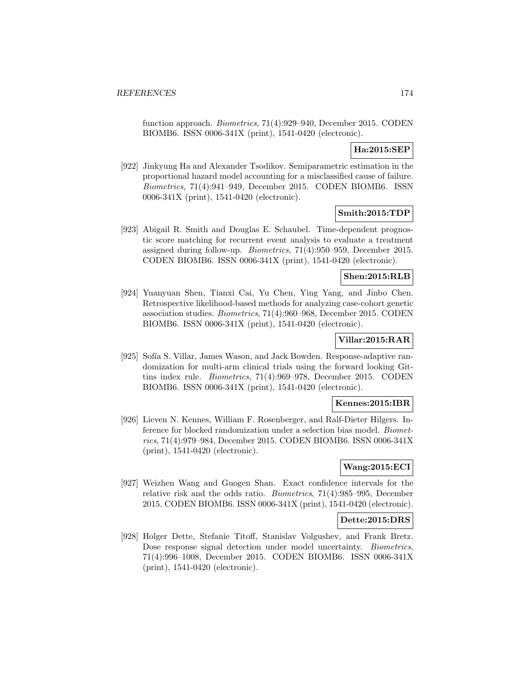function approach. Biometrics, 71(4):929–940, December 2015. CODEN BIOMB6. ISSN 0006-341X (print), 1541-0420 (electronic).

#### **Ha:2015:SEP**

[922] Jinkyung Ha and Alexander Tsodikov. Semiparametric estimation in the proportional hazard model accounting for a misclassified cause of failure. Biometrics, 71(4):941–949, December 2015. CODEN BIOMB6. ISSN 0006-341X (print), 1541-0420 (electronic).

# **Smith:2015:TDP**

[923] Abigail R. Smith and Douglas E. Schaubel. Time-dependent prognostic score matching for recurrent event analysis to evaluate a treatment assigned during follow-up. Biometrics, 71(4):950–959, December 2015. CODEN BIOMB6. ISSN 0006-341X (print), 1541-0420 (electronic).

### **Shen:2015:RLB**

[924] Yuanyuan Shen, Tianxi Cai, Yu Chen, Ying Yang, and Jinbo Chen. Retrospective likelihood-based methods for analyzing case-cohort genetic association studies. Biometrics, 71(4):960–968, December 2015. CODEN BIOMB6. ISSN 0006-341X (print), 1541-0420 (electronic).

# **Villar:2015:RAR**

[925] Sofía S. Villar, James Wason, and Jack Bowden. Response-adaptive randomization for multi-arm clinical trials using the forward looking Gittins index rule. Biometrics, 71(4):969–978, December 2015. CODEN BIOMB6. ISSN 0006-341X (print), 1541-0420 (electronic).

#### **Kennes:2015:IBR**

[926] Lieven N. Kennes, William F. Rosenberger, and Ralf-Dieter Hilgers. Inference for blocked randomization under a selection bias model. Biometrics, 71(4):979–984, December 2015. CODEN BIOMB6. ISSN 0006-341X (print), 1541-0420 (electronic).

#### **Wang:2015:ECI**

[927] Weizhen Wang and Guogen Shan. Exact confidence intervals for the relative risk and the odds ratio. Biometrics, 71(4):985–995, December 2015. CODEN BIOMB6. ISSN 0006-341X (print), 1541-0420 (electronic).

#### **Dette:2015:DRS**

[928] Holger Dette, Stefanie Titoff, Stanislav Volgushev, and Frank Bretz. Dose response signal detection under model uncertainty. *Biometrics*, 71(4):996–1008, December 2015. CODEN BIOMB6. ISSN 0006-341X (print), 1541-0420 (electronic).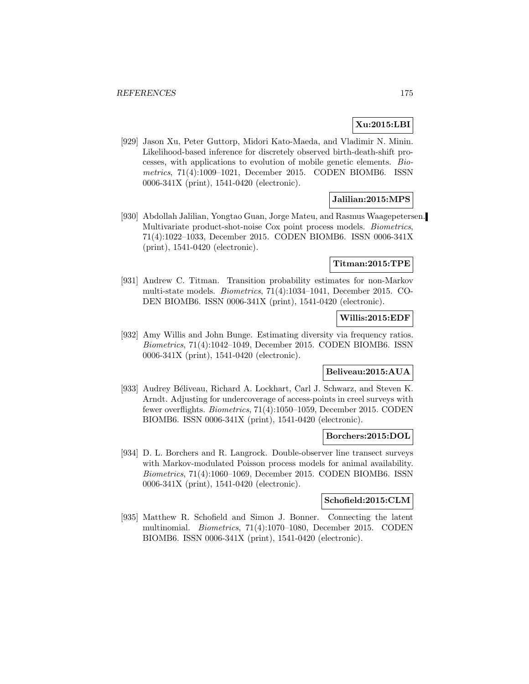# **Xu:2015:LBI**

[929] Jason Xu, Peter Guttorp, Midori Kato-Maeda, and Vladimir N. Minin. Likelihood-based inference for discretely observed birth-death-shift processes, with applications to evolution of mobile genetic elements. Biometrics, 71(4):1009–1021, December 2015. CODEN BIOMB6. ISSN 0006-341X (print), 1541-0420 (electronic).

### **Jalilian:2015:MPS**

[930] Abdollah Jalilian, Yongtao Guan, Jorge Mateu, and Rasmus Waagepetersen. Multivariate product-shot-noise Cox point process models. Biometrics, 71(4):1022–1033, December 2015. CODEN BIOMB6. ISSN 0006-341X (print), 1541-0420 (electronic).

#### **Titman:2015:TPE**

[931] Andrew C. Titman. Transition probability estimates for non-Markov multi-state models. Biometrics, 71(4):1034–1041, December 2015. CO-DEN BIOMB6. ISSN 0006-341X (print), 1541-0420 (electronic).

# **Willis:2015:EDF**

[932] Amy Willis and John Bunge. Estimating diversity via frequency ratios. Biometrics, 71(4):1042–1049, December 2015. CODEN BIOMB6. ISSN 0006-341X (print), 1541-0420 (electronic).

# **Beliveau:2015:AUA**

[933] Audrey Béliveau, Richard A. Lockhart, Carl J. Schwarz, and Steven K. Arndt. Adjusting for undercoverage of access-points in creel surveys with fewer overflights. Biometrics, 71(4):1050–1059, December 2015. CODEN BIOMB6. ISSN 0006-341X (print), 1541-0420 (electronic).

#### **Borchers:2015:DOL**

[934] D. L. Borchers and R. Langrock. Double-observer line transect surveys with Markov-modulated Poisson process models for animal availability. Biometrics, 71(4):1060–1069, December 2015. CODEN BIOMB6. ISSN 0006-341X (print), 1541-0420 (electronic).

#### **Schofield:2015:CLM**

[935] Matthew R. Schofield and Simon J. Bonner. Connecting the latent multinomial. Biometrics, 71(4):1070–1080, December 2015. CODEN BIOMB6. ISSN 0006-341X (print), 1541-0420 (electronic).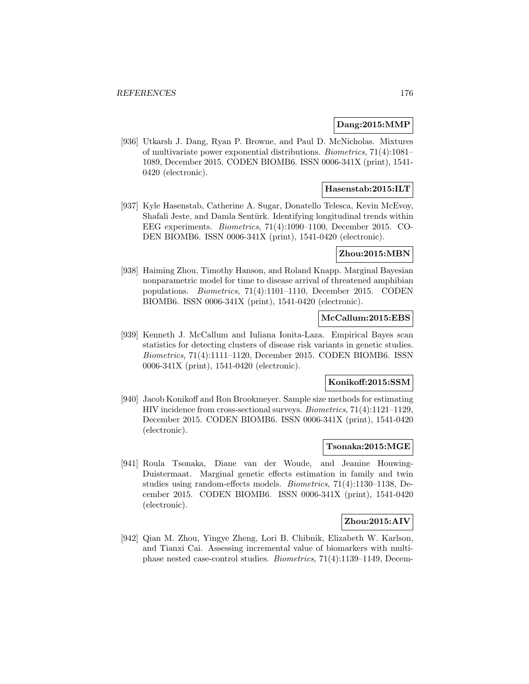#### **Dang:2015:MMP**

[936] Utkarsh J. Dang, Ryan P. Browne, and Paul D. McNicholas. Mixtures of multivariate power exponential distributions. Biometrics, 71(4):1081– 1089, December 2015. CODEN BIOMB6. ISSN 0006-341X (print), 1541- 0420 (electronic).

# **Hasenstab:2015:ILT**

[937] Kyle Hasenstab, Catherine A. Sugar, Donatello Telesca, Kevin McEvoy, Shafali Jeste, and Damla Sentürk. Identifying longitudinal trends within EEG experiments. Biometrics, 71(4):1090–1100, December 2015. CO-DEN BIOMB6. ISSN 0006-341X (print), 1541-0420 (electronic).

# **Zhou:2015:MBN**

[938] Haiming Zhou, Timothy Hanson, and Roland Knapp. Marginal Bayesian nonparametric model for time to disease arrival of threatened amphibian populations. Biometrics, 71(4):1101–1110, December 2015. CODEN BIOMB6. ISSN 0006-341X (print), 1541-0420 (electronic).

# **McCallum:2015:EBS**

[939] Kenneth J. McCallum and Iuliana Ionita-Laza. Empirical Bayes scan statistics for detecting clusters of disease risk variants in genetic studies. Biometrics, 71(4):1111–1120, December 2015. CODEN BIOMB6. ISSN 0006-341X (print), 1541-0420 (electronic).

#### **Konikoff:2015:SSM**

[940] Jacob Konikoff and Ron Brookmeyer. Sample size methods for estimating HIV incidence from cross-sectional surveys. Biometrics, 71(4):1121–1129, December 2015. CODEN BIOMB6. ISSN 0006-341X (print), 1541-0420 (electronic).

### **Tsonaka:2015:MGE**

[941] Roula Tsonaka, Diane van der Woude, and Jeanine Houwing-Duistermaat. Marginal genetic effects estimation in family and twin studies using random-effects models. Biometrics, 71(4):1130–1138, December 2015. CODEN BIOMB6. ISSN 0006-341X (print), 1541-0420 (electronic).

# **Zhou:2015:AIV**

[942] Qian M. Zhou, Yingye Zheng, Lori B. Chibnik, Elizabeth W. Karlson, and Tianxi Cai. Assessing incremental value of biomarkers with multiphase nested case-control studies. Biometrics, 71(4):1139–1149, Decem-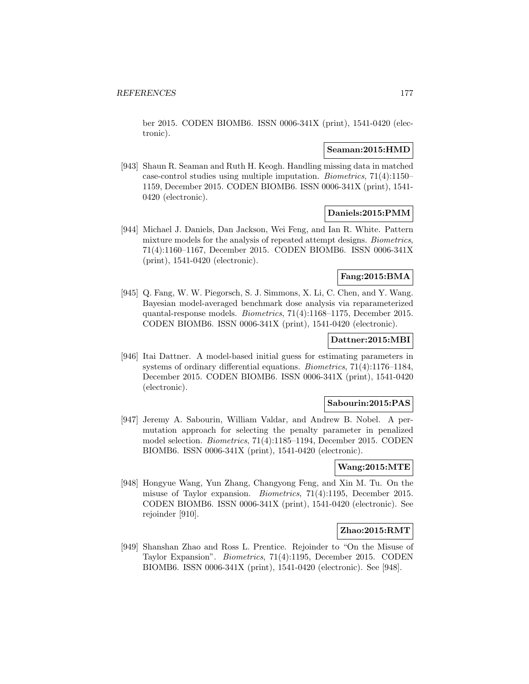ber 2015. CODEN BIOMB6. ISSN 0006-341X (print), 1541-0420 (electronic).

#### **Seaman:2015:HMD**

[943] Shaun R. Seaman and Ruth H. Keogh. Handling missing data in matched case-control studies using multiple imputation. Biometrics, 71(4):1150– 1159, December 2015. CODEN BIOMB6. ISSN 0006-341X (print), 1541- 0420 (electronic).

### **Daniels:2015:PMM**

[944] Michael J. Daniels, Dan Jackson, Wei Feng, and Ian R. White. Pattern mixture models for the analysis of repeated attempt designs. Biometrics, 71(4):1160–1167, December 2015. CODEN BIOMB6. ISSN 0006-341X (print), 1541-0420 (electronic).

### **Fang:2015:BMA**

[945] Q. Fang, W. W. Piegorsch, S. J. Simmons, X. Li, C. Chen, and Y. Wang. Bayesian model-averaged benchmark dose analysis via reparameterized quantal-response models. Biometrics, 71(4):1168–1175, December 2015. CODEN BIOMB6. ISSN 0006-341X (print), 1541-0420 (electronic).

# **Dattner:2015:MBI**

[946] Itai Dattner. A model-based initial guess for estimating parameters in systems of ordinary differential equations. Biometrics, 71(4):1176–1184, December 2015. CODEN BIOMB6. ISSN 0006-341X (print), 1541-0420 (electronic).

#### **Sabourin:2015:PAS**

[947] Jeremy A. Sabourin, William Valdar, and Andrew B. Nobel. A permutation approach for selecting the penalty parameter in penalized model selection. Biometrics, 71(4):1185–1194, December 2015. CODEN BIOMB6. ISSN 0006-341X (print), 1541-0420 (electronic).

#### **Wang:2015:MTE**

[948] Hongyue Wang, Yun Zhang, Changyong Feng, and Xin M. Tu. On the misuse of Taylor expansion. Biometrics, 71(4):1195, December 2015. CODEN BIOMB6. ISSN 0006-341X (print), 1541-0420 (electronic). See rejoinder [910].

#### **Zhao:2015:RMT**

[949] Shanshan Zhao and Ross L. Prentice. Rejoinder to "On the Misuse of Taylor Expansion". Biometrics, 71(4):1195, December 2015. CODEN BIOMB6. ISSN 0006-341X (print), 1541-0420 (electronic). See [948].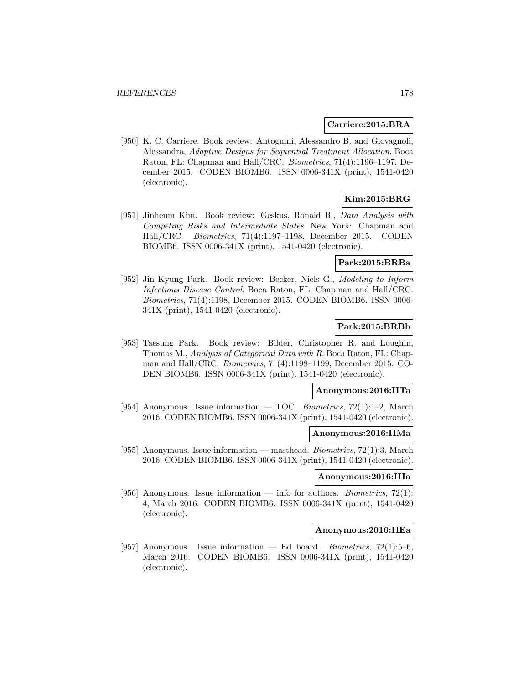#### **Carriere:2015:BRA**

[950] K. C. Carriere. Book review: Antognini, Alessandro B. and Giovagnoli, Alessandra, Adaptive Designs for Sequential Treatment Allocation. Boca Raton, FL: Chapman and Hall/CRC. Biometrics, 71(4):1196–1197, December 2015. CODEN BIOMB6. ISSN 0006-341X (print), 1541-0420 (electronic).

# **Kim:2015:BRG**

[951] Jinheum Kim. Book review: Geskus, Ronald B., Data Analysis with Competing Risks and Intermediate States. New York: Chapman and Hall/CRC. Biometrics, 71(4):1197–1198, December 2015. CODEN BIOMB6. ISSN 0006-341X (print), 1541-0420 (electronic).

#### **Park:2015:BRBa**

[952] Jin Kyung Park. Book review: Becker, Niels G., Modeling to Inform Infectious Disease Control. Boca Raton, FL: Chapman and Hall/CRC. Biometrics, 71(4):1198, December 2015. CODEN BIOMB6. ISSN 0006- 341X (print), 1541-0420 (electronic).

# **Park:2015:BRBb**

[953] Taesung Park. Book review: Bilder, Christopher R. and Loughin, Thomas M., Analysis of Categorical Data with R. Boca Raton, FL: Chapman and Hall/CRC. Biometrics, 71(4):1198–1199, December 2015. CO-DEN BIOMB6. ISSN 0006-341X (print), 1541-0420 (electronic).

#### **Anonymous:2016:IITa**

[954] Anonymous. Issue information — TOC. Biometrics,  $72(1):1-2$ , March 2016. CODEN BIOMB6. ISSN 0006-341X (print), 1541-0420 (electronic).

#### **Anonymous:2016:IIMa**

[955] Anonymous. Issue information — masthead. Biometrics, 72(1):3, March 2016. CODEN BIOMB6. ISSN 0006-341X (print), 1541-0420 (electronic).

# **Anonymous:2016:IIIa**

[956] Anonymous. Issue information — info for authors. *Biometrics*,  $72(1)$ : 4, March 2016. CODEN BIOMB6. ISSN 0006-341X (print), 1541-0420 (electronic).

#### **Anonymous:2016:IIEa**

[957] Anonymous. Issue information — Ed board. Biometrics,  $72(1):5-6$ , March 2016. CODEN BIOMB6. ISSN 0006-341X (print), 1541-0420 (electronic).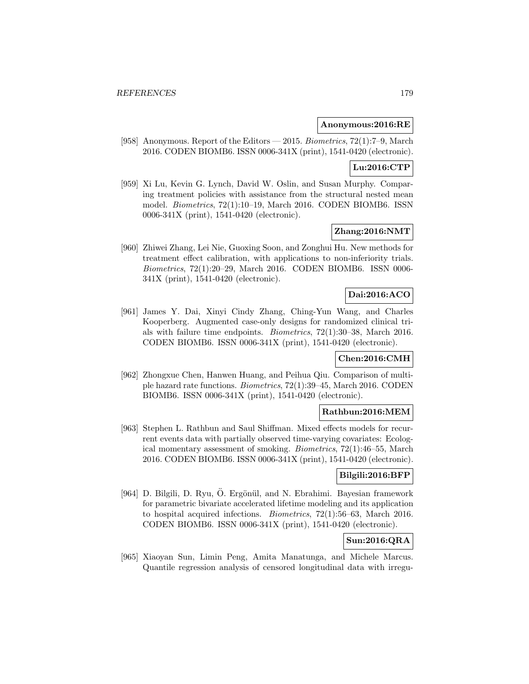#### **Anonymous:2016:RE**

[958] Anonymous. Report of the Editors — 2015. Biometrics, 72(1):7–9, March 2016. CODEN BIOMB6. ISSN 0006-341X (print), 1541-0420 (electronic).

# **Lu:2016:CTP**

[959] Xi Lu, Kevin G. Lynch, David W. Oslin, and Susan Murphy. Comparing treatment policies with assistance from the structural nested mean model. Biometrics, 72(1):10–19, March 2016. CODEN BIOMB6. ISSN 0006-341X (print), 1541-0420 (electronic).

# **Zhang:2016:NMT**

[960] Zhiwei Zhang, Lei Nie, Guoxing Soon, and Zonghui Hu. New methods for treatment effect calibration, with applications to non-inferiority trials. Biometrics, 72(1):20–29, March 2016. CODEN BIOMB6. ISSN 0006- 341X (print), 1541-0420 (electronic).

# **Dai:2016:ACO**

[961] James Y. Dai, Xinyi Cindy Zhang, Ching-Yun Wang, and Charles Kooperberg. Augmented case-only designs for randomized clinical trials with failure time endpoints. Biometrics, 72(1):30–38, March 2016. CODEN BIOMB6. ISSN 0006-341X (print), 1541-0420 (electronic).

#### **Chen:2016:CMH**

[962] Zhongxue Chen, Hanwen Huang, and Peihua Qiu. Comparison of multiple hazard rate functions. Biometrics, 72(1):39–45, March 2016. CODEN BIOMB6. ISSN 0006-341X (print), 1541-0420 (electronic).

#### **Rathbun:2016:MEM**

[963] Stephen L. Rathbun and Saul Shiffman. Mixed effects models for recurrent events data with partially observed time-varying covariates: Ecological momentary assessment of smoking. Biometrics, 72(1):46–55, March 2016. CODEN BIOMB6. ISSN 0006-341X (print), 1541-0420 (electronic).

# **Bilgili:2016:BFP**

[964] D. Bilgili, D. Ryu, Ö. Ergönül, and N. Ebrahimi. Bayesian framework for parametric bivariate accelerated lifetime modeling and its application to hospital acquired infections. Biometrics, 72(1):56–63, March 2016. CODEN BIOMB6. ISSN 0006-341X (print), 1541-0420 (electronic).

# **Sun:2016:QRA**

[965] Xiaoyan Sun, Limin Peng, Amita Manatunga, and Michele Marcus. Quantile regression analysis of censored longitudinal data with irregu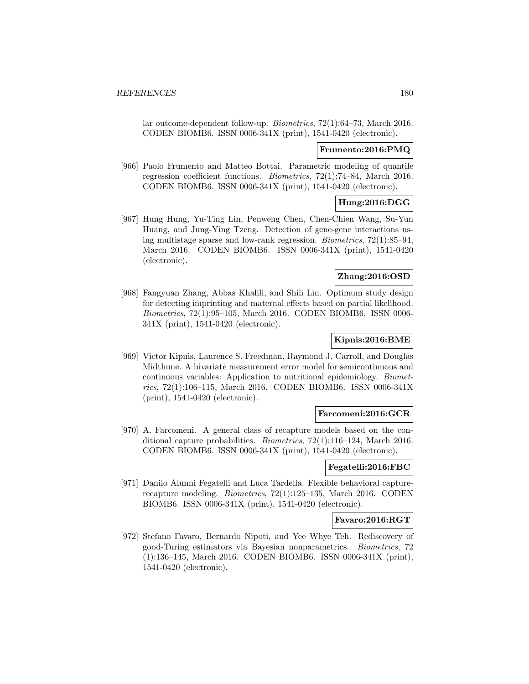lar outcome-dependent follow-up. Biometrics, 72(1):64–73, March 2016. CODEN BIOMB6. ISSN 0006-341X (print), 1541-0420 (electronic).

#### **Frumento:2016:PMQ**

[966] Paolo Frumento and Matteo Bottai. Parametric modeling of quantile regression coefficient functions. Biometrics, 72(1):74–84, March 2016. CODEN BIOMB6. ISSN 0006-341X (print), 1541-0420 (electronic).

# **Hung:2016:DGG**

[967] Hung Hung, Yu-Ting Lin, Penweng Chen, Chen-Chien Wang, Su-Yun Huang, and Jung-Ying Tzeng. Detection of gene-gene interactions using multistage sparse and low-rank regression. Biometrics, 72(1):85–94, March 2016. CODEN BIOMB6. ISSN 0006-341X (print), 1541-0420 (electronic).

# **Zhang:2016:OSD**

[968] Fangyuan Zhang, Abbas Khalili, and Shili Lin. Optimum study design for detecting imprinting and maternal effects based on partial likelihood. Biometrics, 72(1):95–105, March 2016. CODEN BIOMB6. ISSN 0006- 341X (print), 1541-0420 (electronic).

# **Kipnis:2016:BME**

[969] Victor Kipnis, Laurence S. Freedman, Raymond J. Carroll, and Douglas Midthune. A bivariate measurement error model for semicontinuous and continuous variables: Application to nutritional epidemiology. Biometrics, 72(1):106–115, March 2016. CODEN BIOMB6. ISSN 0006-341X (print), 1541-0420 (electronic).

#### **Farcomeni:2016:GCR**

[970] A. Farcomeni. A general class of recapture models based on the conditional capture probabilities. Biometrics, 72(1):116–124, March 2016. CODEN BIOMB6. ISSN 0006-341X (print), 1541-0420 (electronic).

#### **Fegatelli:2016:FBC**

[971] Danilo Alunni Fegatelli and Luca Tardella. Flexible behavioral capturerecapture modeling. Biometrics, 72(1):125–135, March 2016. CODEN BIOMB6. ISSN 0006-341X (print), 1541-0420 (electronic).

# **Favaro:2016:RGT**

[972] Stefano Favaro, Bernardo Nipoti, and Yee Whye Teh. Rediscovery of good-Turing estimators via Bayesian nonparametrics. Biometrics, 72 (1):136–145, March 2016. CODEN BIOMB6. ISSN 0006-341X (print), 1541-0420 (electronic).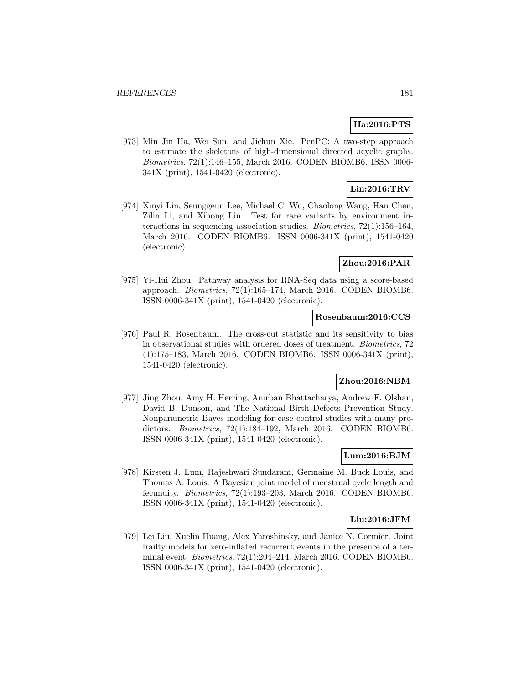### **Ha:2016:PTS**

[973] Min Jin Ha, Wei Sun, and Jichun Xie. PenPC: A two-step approach to estimate the skeletons of high-dimensional directed acyclic graphs. Biometrics, 72(1):146–155, March 2016. CODEN BIOMB6. ISSN 0006- 341X (print), 1541-0420 (electronic).

# **Lin:2016:TRV**

[974] Xinyi Lin, Seunggeun Lee, Michael C. Wu, Chaolong Wang, Han Chen, Zilin Li, and Xihong Lin. Test for rare variants by environment interactions in sequencing association studies. Biometrics, 72(1):156–164, March 2016. CODEN BIOMB6. ISSN 0006-341X (print), 1541-0420 (electronic).

## **Zhou:2016:PAR**

[975] Yi-Hui Zhou. Pathway analysis for RNA-Seq data using a score-based approach. Biometrics, 72(1):165–174, March 2016. CODEN BIOMB6. ISSN 0006-341X (print), 1541-0420 (electronic).

### **Rosenbaum:2016:CCS**

[976] Paul R. Rosenbaum. The cross-cut statistic and its sensitivity to bias in observational studies with ordered doses of treatment. Biometrics, 72 (1):175–183, March 2016. CODEN BIOMB6. ISSN 0006-341X (print), 1541-0420 (electronic).

### **Zhou:2016:NBM**

[977] Jing Zhou, Amy H. Herring, Anirban Bhattacharya, Andrew F. Olshan, David B. Dunson, and The National Birth Defects Prevention Study. Nonparametric Bayes modeling for case control studies with many predictors. Biometrics, 72(1):184–192, March 2016. CODEN BIOMB6. ISSN 0006-341X (print), 1541-0420 (electronic).

### **Lum:2016:BJM**

[978] Kirsten J. Lum, Rajeshwari Sundaram, Germaine M. Buck Louis, and Thomas A. Louis. A Bayesian joint model of menstrual cycle length and fecundity. Biometrics, 72(1):193–203, March 2016. CODEN BIOMB6. ISSN 0006-341X (print), 1541-0420 (electronic).

## **Liu:2016:JFM**

[979] Lei Liu, Xuelin Huang, Alex Yaroshinsky, and Janice N. Cormier. Joint frailty models for zero-inflated recurrent events in the presence of a terminal event. Biometrics, 72(1):204–214, March 2016. CODEN BIOMB6. ISSN 0006-341X (print), 1541-0420 (electronic).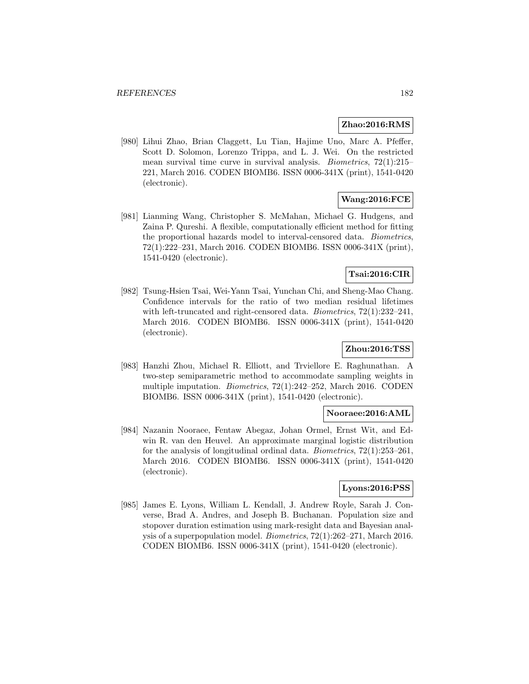#### **Zhao:2016:RMS**

[980] Lihui Zhao, Brian Claggett, Lu Tian, Hajime Uno, Marc A. Pfeffer, Scott D. Solomon, Lorenzo Trippa, and L. J. Wei. On the restricted mean survival time curve in survival analysis. Biometrics, 72(1):215– 221, March 2016. CODEN BIOMB6. ISSN 0006-341X (print), 1541-0420 (electronic).

# **Wang:2016:FCE**

[981] Lianming Wang, Christopher S. McMahan, Michael G. Hudgens, and Zaina P. Qureshi. A flexible, computationally efficient method for fitting the proportional hazards model to interval-censored data. Biometrics, 72(1):222–231, March 2016. CODEN BIOMB6. ISSN 0006-341X (print), 1541-0420 (electronic).

## **Tsai:2016:CIR**

[982] Tsung-Hsien Tsai, Wei-Yann Tsai, Yunchan Chi, and Sheng-Mao Chang. Confidence intervals for the ratio of two median residual lifetimes with left-truncated and right-censored data. *Biometrics*,  $72(1):232-241$ , March 2016. CODEN BIOMB6. ISSN 0006-341X (print), 1541-0420 (electronic).

## **Zhou:2016:TSS**

[983] Hanzhi Zhou, Michael R. Elliott, and Trviellore E. Raghunathan. A two-step semiparametric method to accommodate sampling weights in multiple imputation. Biometrics, 72(1):242–252, March 2016. CODEN BIOMB6. ISSN 0006-341X (print), 1541-0420 (electronic).

## **Nooraee:2016:AML**

[984] Nazanin Nooraee, Fentaw Abegaz, Johan Ormel, Ernst Wit, and Edwin R. van den Heuvel. An approximate marginal logistic distribution for the analysis of longitudinal ordinal data. Biometrics, 72(1):253–261, March 2016. CODEN BIOMB6. ISSN 0006-341X (print), 1541-0420 (electronic).

### **Lyons:2016:PSS**

[985] James E. Lyons, William L. Kendall, J. Andrew Royle, Sarah J. Converse, Brad A. Andres, and Joseph B. Buchanan. Population size and stopover duration estimation using mark-resight data and Bayesian analysis of a superpopulation model. Biometrics, 72(1):262–271, March 2016. CODEN BIOMB6. ISSN 0006-341X (print), 1541-0420 (electronic).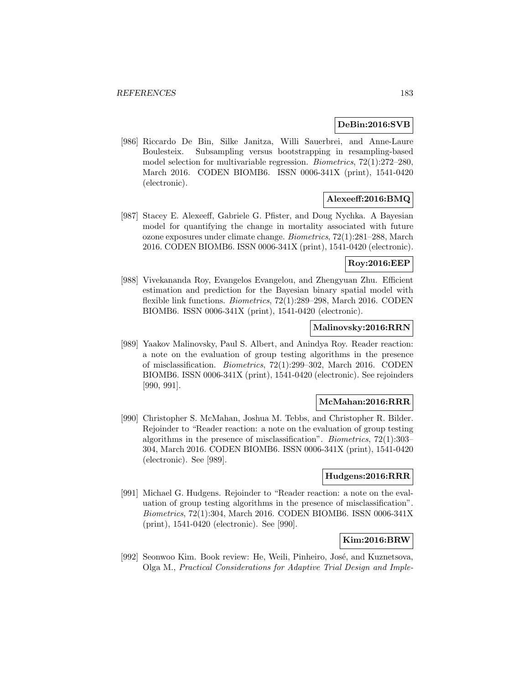### **DeBin:2016:SVB**

[986] Riccardo De Bin, Silke Janitza, Willi Sauerbrei, and Anne-Laure Boulesteix. Subsampling versus bootstrapping in resampling-based model selection for multivariable regression. Biometrics, 72(1):272–280, March 2016. CODEN BIOMB6. ISSN 0006-341X (print), 1541-0420 (electronic).

### **Alexeeff:2016:BMQ**

[987] Stacey E. Alexeeff, Gabriele G. Pfister, and Doug Nychka. A Bayesian model for quantifying the change in mortality associated with future ozone exposures under climate change. Biometrics, 72(1):281–288, March 2016. CODEN BIOMB6. ISSN 0006-341X (print), 1541-0420 (electronic).

### **Roy:2016:EEP**

[988] Vivekananda Roy, Evangelos Evangelou, and Zhengyuan Zhu. Efficient estimation and prediction for the Bayesian binary spatial model with flexible link functions. Biometrics, 72(1):289–298, March 2016. CODEN BIOMB6. ISSN 0006-341X (print), 1541-0420 (electronic).

### **Malinovsky:2016:RRN**

[989] Yaakov Malinovsky, Paul S. Albert, and Anindya Roy. Reader reaction: a note on the evaluation of group testing algorithms in the presence of misclassification. Biometrics, 72(1):299–302, March 2016. CODEN BIOMB6. ISSN 0006-341X (print), 1541-0420 (electronic). See rejoinders [990, 991].

### **McMahan:2016:RRR**

[990] Christopher S. McMahan, Joshua M. Tebbs, and Christopher R. Bilder. Rejoinder to "Reader reaction: a note on the evaluation of group testing algorithms in the presence of misclassification". Biometrics, 72(1):303– 304, March 2016. CODEN BIOMB6. ISSN 0006-341X (print), 1541-0420 (electronic). See [989].

#### **Hudgens:2016:RRR**

[991] Michael G. Hudgens. Rejoinder to "Reader reaction: a note on the evaluation of group testing algorithms in the presence of misclassification". Biometrics, 72(1):304, March 2016. CODEN BIOMB6. ISSN 0006-341X (print), 1541-0420 (electronic). See [990].

### **Kim:2016:BRW**

[992] Seonwoo Kim. Book review: He, Weili, Pinheiro, José, and Kuznetsova, Olga M., Practical Considerations for Adaptive Trial Design and Imple-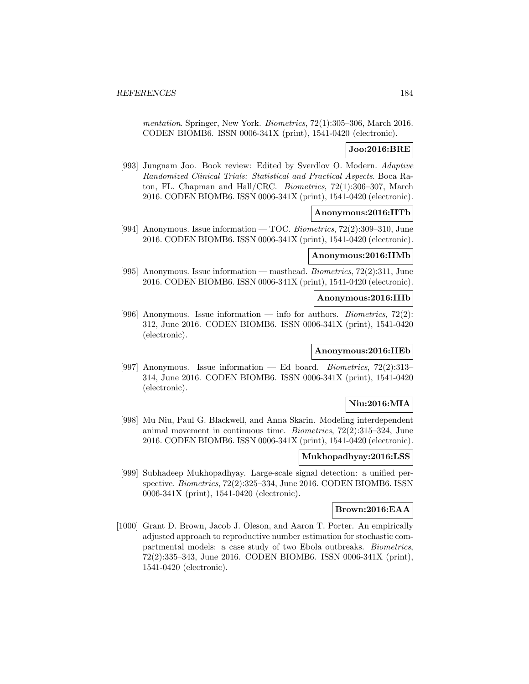mentation. Springer, New York. Biometrics, 72(1):305–306, March 2016. CODEN BIOMB6. ISSN 0006-341X (print), 1541-0420 (electronic).

### **Joo:2016:BRE**

[993] Jungnam Joo. Book review: Edited by Sverdlov O. Modern. Adaptive Randomized Clinical Trials: Statistical and Practical Aspects. Boca Raton, FL. Chapman and Hall/CRC. Biometrics, 72(1):306–307, March 2016. CODEN BIOMB6. ISSN 0006-341X (print), 1541-0420 (electronic).

### **Anonymous:2016:IITb**

[994] Anonymous. Issue information — TOC. Biometrics, 72(2):309–310, June 2016. CODEN BIOMB6. ISSN 0006-341X (print), 1541-0420 (electronic).

## **Anonymous:2016:IIMb**

[995] Anonymous. Issue information — masthead. Biometrics, 72(2):311, June 2016. CODEN BIOMB6. ISSN 0006-341X (print), 1541-0420 (electronic).

## **Anonymous:2016:IIIb**

[996] Anonymous. Issue information — info for authors. *Biometrics*,  $72(2)$ : 312, June 2016. CODEN BIOMB6. ISSN 0006-341X (print), 1541-0420 (electronic).

### **Anonymous:2016:IIEb**

[997] Anonymous. Issue information — Ed board. Biometrics, 72(2):313– 314, June 2016. CODEN BIOMB6. ISSN 0006-341X (print), 1541-0420 (electronic).

## **Niu:2016:MIA**

[998] Mu Niu, Paul G. Blackwell, and Anna Skarin. Modeling interdependent animal movement in continuous time. Biometrics, 72(2):315–324, June 2016. CODEN BIOMB6. ISSN 0006-341X (print), 1541-0420 (electronic).

## **Mukhopadhyay:2016:LSS**

[999] Subhadeep Mukhopadhyay. Large-scale signal detection: a unified perspective. Biometrics, 72(2):325–334, June 2016. CODEN BIOMB6. ISSN 0006-341X (print), 1541-0420 (electronic).

#### **Brown:2016:EAA**

[1000] Grant D. Brown, Jacob J. Oleson, and Aaron T. Porter. An empirically adjusted approach to reproductive number estimation for stochastic compartmental models: a case study of two Ebola outbreaks. Biometrics, 72(2):335–343, June 2016. CODEN BIOMB6. ISSN 0006-341X (print), 1541-0420 (electronic).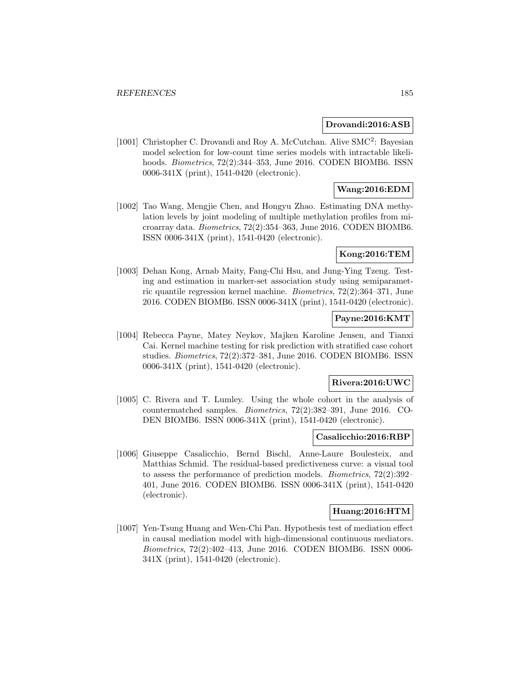### **Drovandi:2016:ASB**

[1001] Christopher C. Drovandi and Roy A. McCutchan. Alive SMC<sup>2</sup>: Bayesian model selection for low-count time series models with intractable likelihoods. *Biometrics*, 72(2):344–353, June 2016. CODEN BIOMB6. ISSN 0006-341X (print), 1541-0420 (electronic).

## **Wang:2016:EDM**

[1002] Tao Wang, Mengjie Chen, and Hongyu Zhao. Estimating DNA methylation levels by joint modeling of multiple methylation profiles from microarray data. Biometrics, 72(2):354–363, June 2016. CODEN BIOMB6. ISSN 0006-341X (print), 1541-0420 (electronic).

## **Kong:2016:TEM**

[1003] Dehan Kong, Arnab Maity, Fang-Chi Hsu, and Jung-Ying Tzeng. Testing and estimation in marker-set association study using semiparametric quantile regression kernel machine. Biometrics, 72(2):364–371, June 2016. CODEN BIOMB6. ISSN 0006-341X (print), 1541-0420 (electronic).

### **Payne:2016:KMT**

[1004] Rebecca Payne, Matey Neykov, Majken Karoline Jensen, and Tianxi Cai. Kernel machine testing for risk prediction with stratified case cohort studies. Biometrics, 72(2):372–381, June 2016. CODEN BIOMB6. ISSN 0006-341X (print), 1541-0420 (electronic).

#### **Rivera:2016:UWC**

[1005] C. Rivera and T. Lumley. Using the whole cohort in the analysis of countermatched samples. Biometrics, 72(2):382–391, June 2016. CO-DEN BIOMB6. ISSN 0006-341X (print), 1541-0420 (electronic).

#### **Casalicchio:2016:RBP**

[1006] Giuseppe Casalicchio, Bernd Bischl, Anne-Laure Boulesteix, and Matthias Schmid. The residual-based predictiveness curve: a visual tool to assess the performance of prediction models. Biometrics, 72(2):392– 401, June 2016. CODEN BIOMB6. ISSN 0006-341X (print), 1541-0420 (electronic).

#### **Huang:2016:HTM**

[1007] Yen-Tsung Huang and Wen-Chi Pan. Hypothesis test of mediation effect in causal mediation model with high-dimensional continuous mediators. Biometrics, 72(2):402–413, June 2016. CODEN BIOMB6. ISSN 0006- 341X (print), 1541-0420 (electronic).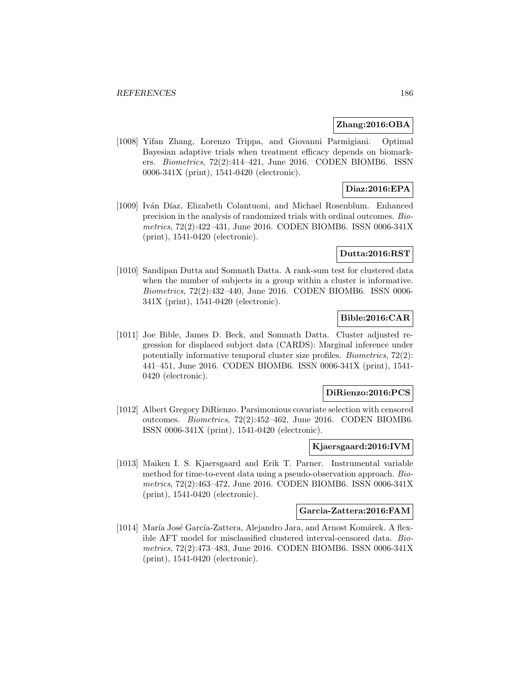#### **Zhang:2016:OBA**

[1008] Yifan Zhang, Lorenzo Trippa, and Giovanni Parmigiani. Optimal Bayesian adaptive trials when treatment efficacy depends on biomarkers. Biometrics, 72(2):414–421, June 2016. CODEN BIOMB6. ISSN 0006-341X (print), 1541-0420 (electronic).

# **Diaz:2016:EPA**

[1009] Iván Díaz, Elizabeth Colantuoni, and Michael Rosenblum. Enhanced precision in the analysis of randomized trials with ordinal outcomes. Biometrics, 72(2):422–431, June 2016. CODEN BIOMB6. ISSN 0006-341X (print), 1541-0420 (electronic).

## **Dutta:2016:RST**

[1010] Sandipan Dutta and Somnath Datta. A rank-sum test for clustered data when the number of subjects in a group within a cluster is informative. Biometrics, 72(2):432–440, June 2016. CODEN BIOMB6. ISSN 0006- 341X (print), 1541-0420 (electronic).

## **Bible:2016:CAR**

[1011] Joe Bible, James D. Beck, and Somnath Datta. Cluster adjusted regression for displaced subject data (CARDS): Marginal inference under potentially informative temporal cluster size profiles. Biometrics, 72(2): 441–451, June 2016. CODEN BIOMB6. ISSN 0006-341X (print), 1541- 0420 (electronic).

#### **DiRienzo:2016:PCS**

[1012] Albert Gregory DiRienzo. Parsimonious covariate selection with censored outcomes. Biometrics, 72(2):452–462, June 2016. CODEN BIOMB6. ISSN 0006-341X (print), 1541-0420 (electronic).

#### **Kjaersgaard:2016:IVM**

[1013] Maiken I. S. Kjaersgaard and Erik T. Parner. Instrumental variable method for time-to-event data using a pseudo-observation approach. Biometrics, 72(2):463–472, June 2016. CODEN BIOMB6. ISSN 0006-341X (print), 1541-0420 (electronic).

#### **Garcia-Zattera:2016:FAM**

[1014] María José García-Zattera, Alejandro Jara, and Arnost Komárek. A flexible AFT model for misclassified clustered interval-censored data. Biometrics, 72(2):473–483, June 2016. CODEN BIOMB6. ISSN 0006-341X (print), 1541-0420 (electronic).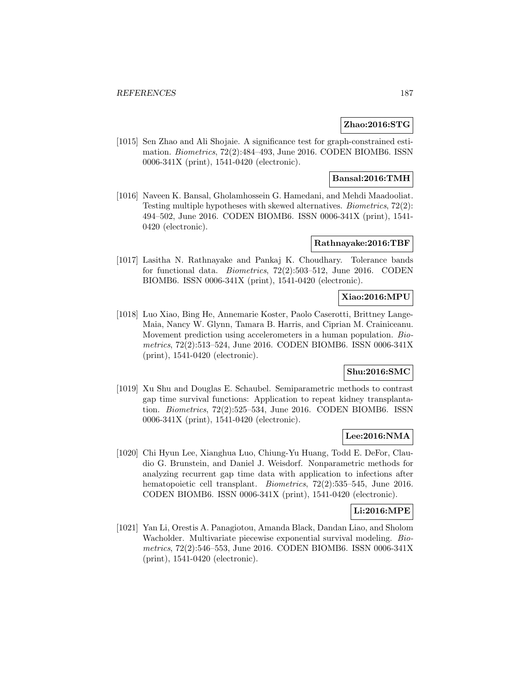#### **Zhao:2016:STG**

[1015] Sen Zhao and Ali Shojaie. A significance test for graph-constrained estimation. Biometrics, 72(2):484–493, June 2016. CODEN BIOMB6. ISSN 0006-341X (print), 1541-0420 (electronic).

### **Bansal:2016:TMH**

[1016] Naveen K. Bansal, Gholamhossein G. Hamedani, and Mehdi Maadooliat. Testing multiple hypotheses with skewed alternatives. Biometrics, 72(2): 494–502, June 2016. CODEN BIOMB6. ISSN 0006-341X (print), 1541- 0420 (electronic).

### **Rathnayake:2016:TBF**

[1017] Lasitha N. Rathnayake and Pankaj K. Choudhary. Tolerance bands for functional data. Biometrics, 72(2):503–512, June 2016. CODEN BIOMB6. ISSN 0006-341X (print), 1541-0420 (electronic).

# **Xiao:2016:MPU**

[1018] Luo Xiao, Bing He, Annemarie Koster, Paolo Caserotti, Brittney Lange-Maia, Nancy W. Glynn, Tamara B. Harris, and Ciprian M. Crainiceanu. Movement prediction using accelerometers in a human population. Biometrics, 72(2):513–524, June 2016. CODEN BIOMB6. ISSN 0006-341X (print), 1541-0420 (electronic).

## **Shu:2016:SMC**

[1019] Xu Shu and Douglas E. Schaubel. Semiparametric methods to contrast gap time survival functions: Application to repeat kidney transplantation. Biometrics, 72(2):525–534, June 2016. CODEN BIOMB6. ISSN 0006-341X (print), 1541-0420 (electronic).

### **Lee:2016:NMA**

[1020] Chi Hyun Lee, Xianghua Luo, Chiung-Yu Huang, Todd E. DeFor, Claudio G. Brunstein, and Daniel J. Weisdorf. Nonparametric methods for analyzing recurrent gap time data with application to infections after hematopoietic cell transplant. *Biometrics*, 72(2):535–545, June 2016. CODEN BIOMB6. ISSN 0006-341X (print), 1541-0420 (electronic).

## **Li:2016:MPE**

[1021] Yan Li, Orestis A. Panagiotou, Amanda Black, Dandan Liao, and Sholom Wacholder. Multivariate piecewise exponential survival modeling. Biometrics, 72(2):546–553, June 2016. CODEN BIOMB6. ISSN 0006-341X (print), 1541-0420 (electronic).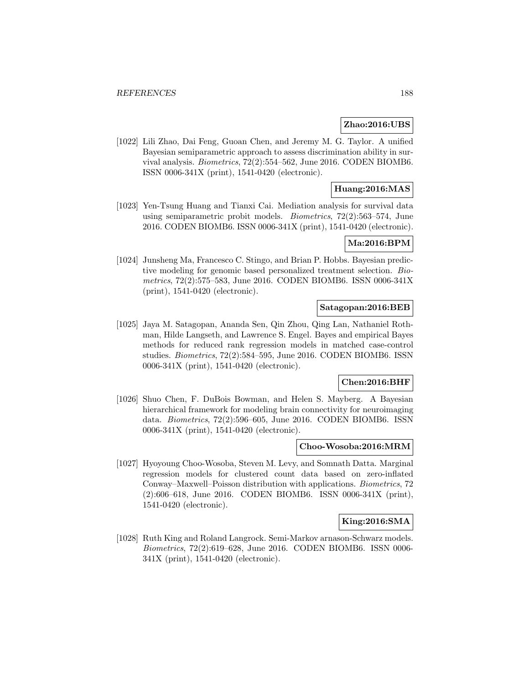#### **Zhao:2016:UBS**

[1022] Lili Zhao, Dai Feng, Guoan Chen, and Jeremy M. G. Taylor. A unified Bayesian semiparametric approach to assess discrimination ability in survival analysis. Biometrics, 72(2):554–562, June 2016. CODEN BIOMB6. ISSN 0006-341X (print), 1541-0420 (electronic).

## **Huang:2016:MAS**

[1023] Yen-Tsung Huang and Tianxi Cai. Mediation analysis for survival data using semiparametric probit models. Biometrics, 72(2):563–574, June 2016. CODEN BIOMB6. ISSN 0006-341X (print), 1541-0420 (electronic).

### **Ma:2016:BPM**

[1024] Junsheng Ma, Francesco C. Stingo, and Brian P. Hobbs. Bayesian predictive modeling for genomic based personalized treatment selection. Biometrics, 72(2):575–583, June 2016. CODEN BIOMB6. ISSN 0006-341X (print), 1541-0420 (electronic).

### **Satagopan:2016:BEB**

[1025] Jaya M. Satagopan, Ananda Sen, Qin Zhou, Qing Lan, Nathaniel Rothman, Hilde Langseth, and Lawrence S. Engel. Bayes and empirical Bayes methods for reduced rank regression models in matched case-control studies. Biometrics, 72(2):584–595, June 2016. CODEN BIOMB6. ISSN 0006-341X (print), 1541-0420 (electronic).

#### **Chen:2016:BHF**

[1026] Shuo Chen, F. DuBois Bowman, and Helen S. Mayberg. A Bayesian hierarchical framework for modeling brain connectivity for neuroimaging data. Biometrics, 72(2):596–605, June 2016. CODEN BIOMB6. ISSN 0006-341X (print), 1541-0420 (electronic).

#### **Choo-Wosoba:2016:MRM**

[1027] Hyoyoung Choo-Wosoba, Steven M. Levy, and Somnath Datta. Marginal regression models for clustered count data based on zero-inflated Conway–Maxwell–Poisson distribution with applications. Biometrics, 72 (2):606–618, June 2016. CODEN BIOMB6. ISSN 0006-341X (print), 1541-0420 (electronic).

### **King:2016:SMA**

[1028] Ruth King and Roland Langrock. Semi-Markov arnason-Schwarz models. Biometrics, 72(2):619–628, June 2016. CODEN BIOMB6. ISSN 0006- 341X (print), 1541-0420 (electronic).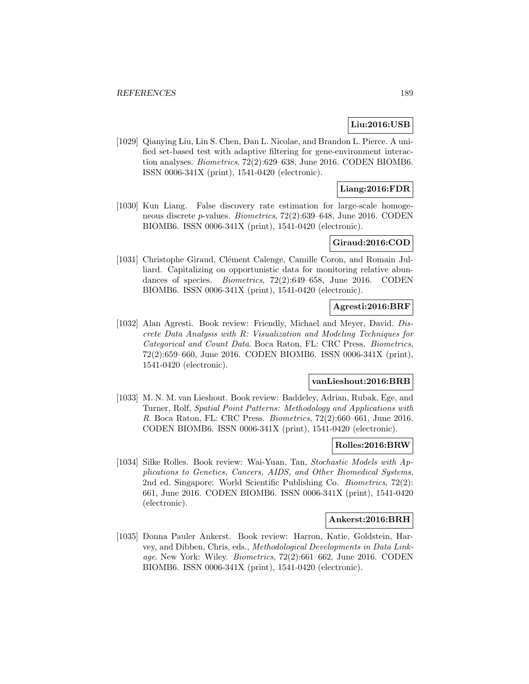# **Liu:2016:USB**

[1029] Qianying Liu, Lin S. Chen, Dan L. Nicolae, and Brandon L. Pierce. A unified set-based test with adaptive filtering for gene-environment interaction analyses. Biometrics, 72(2):629–638, June 2016. CODEN BIOMB6. ISSN 0006-341X (print), 1541-0420 (electronic).

## **Liang:2016:FDR**

[1030] Kun Liang. False discovery rate estimation for large-scale homogeneous discrete p-values. Biometrics, 72(2):639–648, June 2016. CODEN BIOMB6. ISSN 0006-341X (print), 1541-0420 (electronic).

## **Giraud:2016:COD**

[1031] Christophe Giraud, Clément Calenge, Camille Coron, and Romain Julliard. Capitalizing on opportunistic data for monitoring relative abundances of species. *Biometrics*, 72(2):649–658, June 2016. CODEN BIOMB6. ISSN 0006-341X (print), 1541-0420 (electronic).

### **Agresti:2016:BRF**

[1032] Alan Agresti. Book review: Friendly, Michael and Meyer, David. Discrete Data Analysis with R: Visualization and Modeling Techniques for Categorical and Count Data. Boca Raton, FL: CRC Press. Biometrics, 72(2):659–660, June 2016. CODEN BIOMB6. ISSN 0006-341X (print), 1541-0420 (electronic).

### **vanLieshout:2016:BRB**

[1033] M. N. M. van Lieshout. Book review: Baddeley, Adrian, Rubak, Ege, and Turner, Rolf, Spatial Point Patterns: Methodology and Applications with R. Boca Raton, FL: CRC Press. Biometrics, 72(2):660–661, June 2016. CODEN BIOMB6. ISSN 0006-341X (print), 1541-0420 (electronic).

#### **Rolles:2016:BRW**

[1034] Silke Rolles. Book review: Wai-Yuan, Tan, Stochastic Models with Applications to Genetics, Cancers, AIDS, and Other Biomedical Systems, 2nd ed. Singapore: World Scientific Publishing Co. Biometrics, 72(2): 661, June 2016. CODEN BIOMB6. ISSN 0006-341X (print), 1541-0420 (electronic).

#### **Ankerst:2016:BRH**

[1035] Donna Pauler Ankerst. Book review: Harron, Katie, Goldstein, Harvey, and Dibben, Chris, eds., Methodological Developments in Data Linkage. New York: Wiley. Biometrics, 72(2):661–662, June 2016. CODEN BIOMB6. ISSN 0006-341X (print), 1541-0420 (electronic).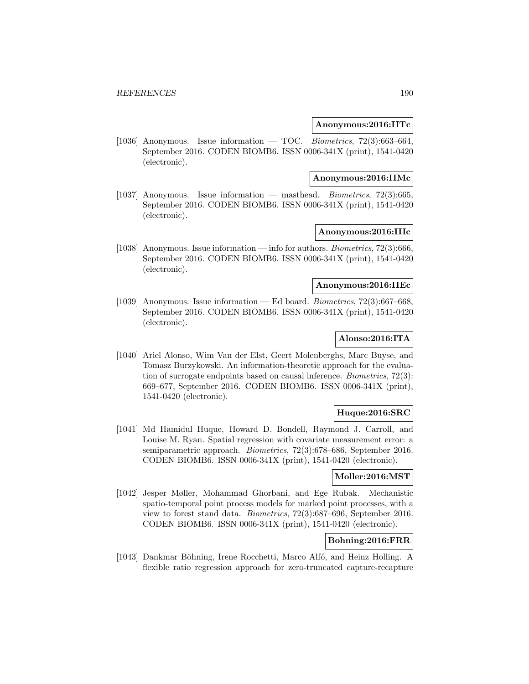#### **Anonymous:2016:IITc**

[1036] Anonymous. Issue information — TOC. Biometrics,  $72(3):663-664$ , September 2016. CODEN BIOMB6. ISSN 0006-341X (print), 1541-0420 (electronic).

#### **Anonymous:2016:IIMc**

[1037] Anonymous. Issue information — masthead. Biometrics, 72(3):665, September 2016. CODEN BIOMB6. ISSN 0006-341X (print), 1541-0420 (electronic).

## **Anonymous:2016:IIIc**

[1038] Anonymous. Issue information — info for authors. Biometrics, 72(3):666, September 2016. CODEN BIOMB6. ISSN 0006-341X (print), 1541-0420 (electronic).

## **Anonymous:2016:IIEc**

[1039] Anonymous. Issue information — Ed board. Biometrics, 72(3):667–668, September 2016. CODEN BIOMB6. ISSN 0006-341X (print), 1541-0420 (electronic).

# **Alonso:2016:ITA**

[1040] Ariel Alonso, Wim Van der Elst, Geert Molenberghs, Marc Buyse, and Tomasz Burzykowski. An information-theoretic approach for the evaluation of surrogate endpoints based on causal inference. Biometrics, 72(3): 669–677, September 2016. CODEN BIOMB6. ISSN 0006-341X (print), 1541-0420 (electronic).

# **Huque:2016:SRC**

[1041] Md Hamidul Huque, Howard D. Bondell, Raymond J. Carroll, and Louise M. Ryan. Spatial regression with covariate measurement error: a semiparametric approach. Biometrics, 72(3):678–686, September 2016. CODEN BIOMB6. ISSN 0006-341X (print), 1541-0420 (electronic).

## **Moller:2016:MST**

[1042] Jesper Møller, Mohammad Ghorbani, and Ege Rubak. Mechanistic spatio-temporal point process models for marked point processes, with a view to forest stand data. Biometrics, 72(3):687–696, September 2016. CODEN BIOMB6. ISSN 0006-341X (print), 1541-0420 (electronic).

# **Bohning:2016:FRR**

[1043] Dankmar Böhning, Irene Rocchetti, Marco Alfó, and Heinz Holling. A flexible ratio regression approach for zero-truncated capture-recapture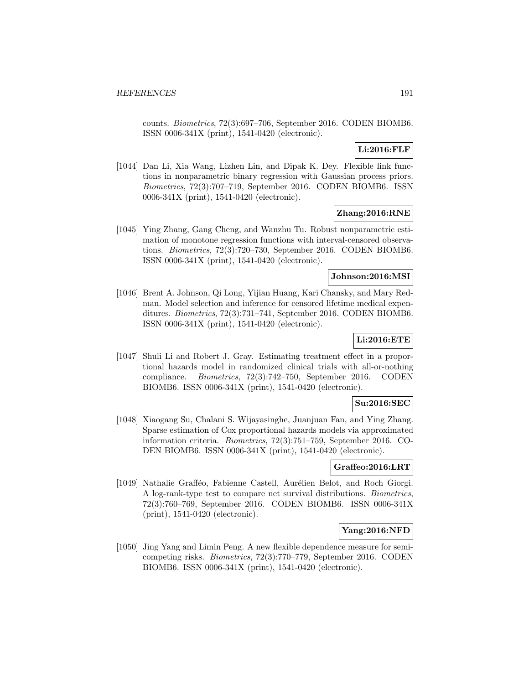counts. Biometrics, 72(3):697–706, September 2016. CODEN BIOMB6. ISSN 0006-341X (print), 1541-0420 (electronic).

# **Li:2016:FLF**

[1044] Dan Li, Xia Wang, Lizhen Lin, and Dipak K. Dey. Flexible link functions in nonparametric binary regression with Gaussian process priors. Biometrics, 72(3):707–719, September 2016. CODEN BIOMB6. ISSN 0006-341X (print), 1541-0420 (electronic).

# **Zhang:2016:RNE**

[1045] Ying Zhang, Gang Cheng, and Wanzhu Tu. Robust nonparametric estimation of monotone regression functions with interval-censored observations. Biometrics, 72(3):720–730, September 2016. CODEN BIOMB6. ISSN 0006-341X (print), 1541-0420 (electronic).

### **Johnson:2016:MSI**

[1046] Brent A. Johnson, Qi Long, Yijian Huang, Kari Chansky, and Mary Redman. Model selection and inference for censored lifetime medical expenditures. Biometrics, 72(3):731–741, September 2016. CODEN BIOMB6. ISSN 0006-341X (print), 1541-0420 (electronic).

# **Li:2016:ETE**

[1047] Shuli Li and Robert J. Gray. Estimating treatment effect in a proportional hazards model in randomized clinical trials with all-or-nothing compliance. Biometrics, 72(3):742–750, September 2016. CODEN BIOMB6. ISSN 0006-341X (print), 1541-0420 (electronic).

## **Su:2016:SEC**

[1048] Xiaogang Su, Chalani S. Wijayasinghe, Juanjuan Fan, and Ying Zhang. Sparse estimation of Cox proportional hazards models via approximated information criteria. Biometrics, 72(3):751–759, September 2016. CO-DEN BIOMB6. ISSN 0006-341X (print), 1541-0420 (electronic).

#### **Graffeo:2016:LRT**

[1049] Nathalie Grafféo, Fabienne Castell, Aurélien Belot, and Roch Giorgi. A log-rank-type test to compare net survival distributions. Biometrics, 72(3):760–769, September 2016. CODEN BIOMB6. ISSN 0006-341X (print), 1541-0420 (electronic).

### **Yang:2016:NFD**

[1050] Jing Yang and Limin Peng. A new flexible dependence measure for semicompeting risks. Biometrics, 72(3):770–779, September 2016. CODEN BIOMB6. ISSN 0006-341X (print), 1541-0420 (electronic).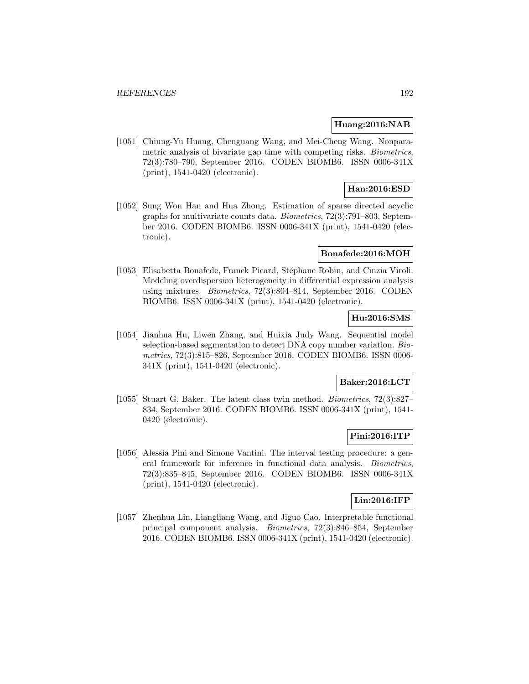#### **Huang:2016:NAB**

[1051] Chiung-Yu Huang, Chenguang Wang, and Mei-Cheng Wang. Nonparametric analysis of bivariate gap time with competing risks. *Biometrics*, 72(3):780–790, September 2016. CODEN BIOMB6. ISSN 0006-341X (print), 1541-0420 (electronic).

# **Han:2016:ESD**

[1052] Sung Won Han and Hua Zhong. Estimation of sparse directed acyclic graphs for multivariate counts data. Biometrics, 72(3):791–803, September 2016. CODEN BIOMB6. ISSN 0006-341X (print), 1541-0420 (electronic).

#### **Bonafede:2016:MOH**

[1053] Elisabetta Bonafede, Franck Picard, Stéphane Robin, and Cinzia Viroli. Modeling overdispersion heterogeneity in differential expression analysis using mixtures. Biometrics, 72(3):804–814, September 2016. CODEN BIOMB6. ISSN 0006-341X (print), 1541-0420 (electronic).

# **Hu:2016:SMS**

[1054] Jianhua Hu, Liwen Zhang, and Huixia Judy Wang. Sequential model selection-based segmentation to detect DNA copy number variation. Biometrics, 72(3):815–826, September 2016. CODEN BIOMB6. ISSN 0006- 341X (print), 1541-0420 (electronic).

### **Baker:2016:LCT**

[1055] Stuart G. Baker. The latent class twin method. Biometrics, 72(3):827– 834, September 2016. CODEN BIOMB6. ISSN 0006-341X (print), 1541- 0420 (electronic).

## **Pini:2016:ITP**

[1056] Alessia Pini and Simone Vantini. The interval testing procedure: a general framework for inference in functional data analysis. Biometrics, 72(3):835–845, September 2016. CODEN BIOMB6. ISSN 0006-341X (print), 1541-0420 (electronic).

### **Lin:2016:IFP**

[1057] Zhenhua Lin, Liangliang Wang, and Jiguo Cao. Interpretable functional principal component analysis. Biometrics, 72(3):846–854, September 2016. CODEN BIOMB6. ISSN 0006-341X (print), 1541-0420 (electronic).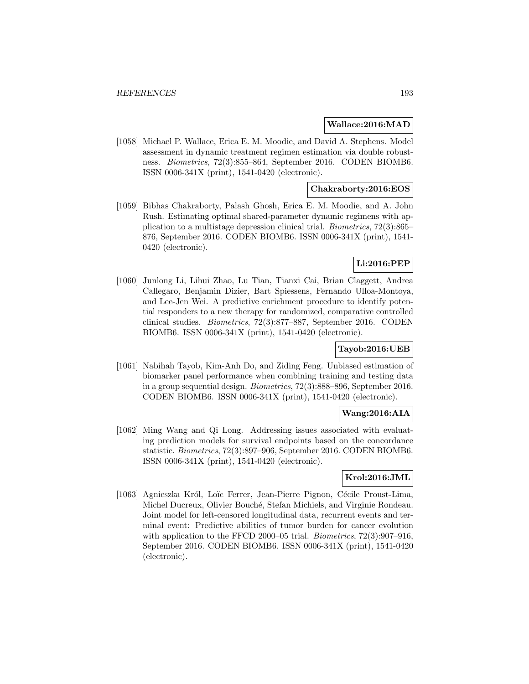### **Wallace:2016:MAD**

[1058] Michael P. Wallace, Erica E. M. Moodie, and David A. Stephens. Model assessment in dynamic treatment regimen estimation via double robustness. Biometrics, 72(3):855–864, September 2016. CODEN BIOMB6. ISSN 0006-341X (print), 1541-0420 (electronic).

### **Chakraborty:2016:EOS**

[1059] Bibhas Chakraborty, Palash Ghosh, Erica E. M. Moodie, and A. John Rush. Estimating optimal shared-parameter dynamic regimens with application to a multistage depression clinical trial. Biometrics, 72(3):865– 876, September 2016. CODEN BIOMB6. ISSN 0006-341X (print), 1541- 0420 (electronic).

## **Li:2016:PEP**

[1060] Junlong Li, Lihui Zhao, Lu Tian, Tianxi Cai, Brian Claggett, Andrea Callegaro, Benjamin Dizier, Bart Spiessens, Fernando Ulloa-Montoya, and Lee-Jen Wei. A predictive enrichment procedure to identify potential responders to a new therapy for randomized, comparative controlled clinical studies. Biometrics, 72(3):877–887, September 2016. CODEN BIOMB6. ISSN 0006-341X (print), 1541-0420 (electronic).

## **Tayob:2016:UEB**

[1061] Nabihah Tayob, Kim-Anh Do, and Ziding Feng. Unbiased estimation of biomarker panel performance when combining training and testing data in a group sequential design. Biometrics, 72(3):888–896, September 2016. CODEN BIOMB6. ISSN 0006-341X (print), 1541-0420 (electronic).

## **Wang:2016:AIA**

[1062] Ming Wang and Qi Long. Addressing issues associated with evaluating prediction models for survival endpoints based on the concordance statistic. Biometrics, 72(3):897–906, September 2016. CODEN BIOMB6. ISSN 0006-341X (print), 1541-0420 (electronic).

## **Krol:2016:JML**

[1063] Agnieszka Król, Loïc Ferrer, Jean-Pierre Pignon, Cécile Proust-Lima, Michel Ducreux, Olivier Bouché, Stefan Michiels, and Virginie Rondeau. Joint model for left-censored longitudinal data, recurrent events and terminal event: Predictive abilities of tumor burden for cancer evolution with application to the FFCD 2000–05 trial. *Biometrics*, 72(3):907–916, September 2016. CODEN BIOMB6. ISSN 0006-341X (print), 1541-0420 (electronic).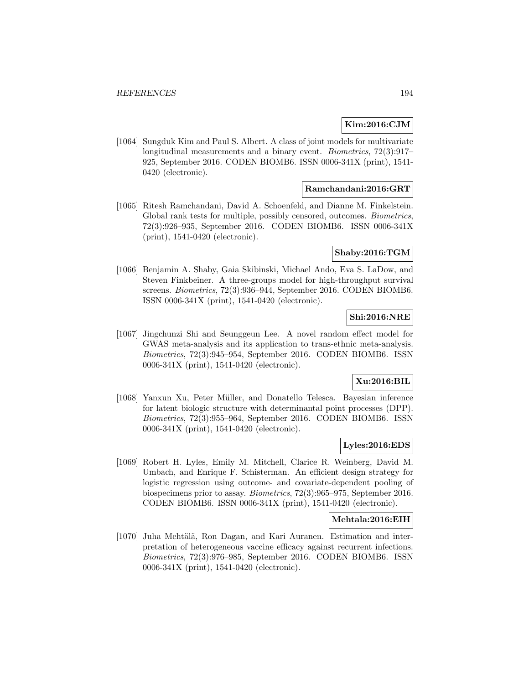### **Kim:2016:CJM**

[1064] Sungduk Kim and Paul S. Albert. A class of joint models for multivariate longitudinal measurements and a binary event. *Biometrics*,  $72(3):917-$ 925, September 2016. CODEN BIOMB6. ISSN 0006-341X (print), 1541- 0420 (electronic).

### **Ramchandani:2016:GRT**

[1065] Ritesh Ramchandani, David A. Schoenfeld, and Dianne M. Finkelstein. Global rank tests for multiple, possibly censored, outcomes. Biometrics, 72(3):926–935, September 2016. CODEN BIOMB6. ISSN 0006-341X (print), 1541-0420 (electronic).

#### **Shaby:2016:TGM**

[1066] Benjamin A. Shaby, Gaia Skibinski, Michael Ando, Eva S. LaDow, and Steven Finkbeiner. A three-groups model for high-throughput survival screens. Biometrics, 72(3):936–944, September 2016. CODEN BIOMB6. ISSN 0006-341X (print), 1541-0420 (electronic).

### **Shi:2016:NRE**

[1067] Jingchunzi Shi and Seunggeun Lee. A novel random effect model for GWAS meta-analysis and its application to trans-ethnic meta-analysis. Biometrics, 72(3):945–954, September 2016. CODEN BIOMB6. ISSN 0006-341X (print), 1541-0420 (electronic).

## **Xu:2016:BIL**

[1068] Yanxun Xu, Peter Müller, and Donatello Telesca. Bayesian inference for latent biologic structure with determinantal point processes (DPP). Biometrics, 72(3):955–964, September 2016. CODEN BIOMB6. ISSN 0006-341X (print), 1541-0420 (electronic).

## **Lyles:2016:EDS**

[1069] Robert H. Lyles, Emily M. Mitchell, Clarice R. Weinberg, David M. Umbach, and Enrique F. Schisterman. An efficient design strategy for logistic regression using outcome- and covariate-dependent pooling of biospecimens prior to assay. Biometrics, 72(3):965–975, September 2016. CODEN BIOMB6. ISSN 0006-341X (print), 1541-0420 (electronic).

#### **Mehtala:2016:EIH**

[1070] Juha Mehtälä, Ron Dagan, and Kari Auranen. Estimation and interpretation of heterogeneous vaccine efficacy against recurrent infections. Biometrics, 72(3):976–985, September 2016. CODEN BIOMB6. ISSN 0006-341X (print), 1541-0420 (electronic).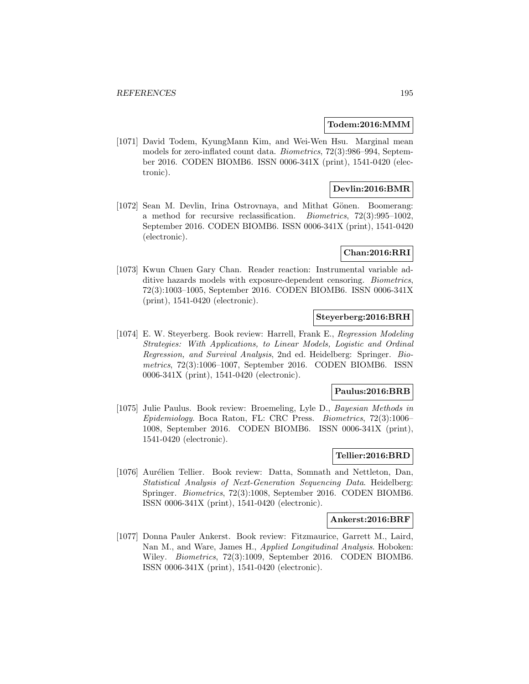#### **Todem:2016:MMM**

[1071] David Todem, KyungMann Kim, and Wei-Wen Hsu. Marginal mean models for zero-inflated count data. Biometrics, 72(3):986–994, September 2016. CODEN BIOMB6. ISSN 0006-341X (print), 1541-0420 (electronic).

### **Devlin:2016:BMR**

[1072] Sean M. Devlin, Irina Ostrovnaya, and Mithat Gönen. Boomerang: a method for recursive reclassification. Biometrics, 72(3):995–1002, September 2016. CODEN BIOMB6. ISSN 0006-341X (print), 1541-0420 (electronic).

### **Chan:2016:RRI**

[1073] Kwun Chuen Gary Chan. Reader reaction: Instrumental variable additive hazards models with exposure-dependent censoring. Biometrics, 72(3):1003–1005, September 2016. CODEN BIOMB6. ISSN 0006-341X (print), 1541-0420 (electronic).

## **Steyerberg:2016:BRH**

[1074] E. W. Steyerberg. Book review: Harrell, Frank E., Regression Modeling Strategies: With Applications, to Linear Models, Logistic and Ordinal Regression, and Survival Analysis, 2nd ed. Heidelberg: Springer. Biometrics, 72(3):1006–1007, September 2016. CODEN BIOMB6. ISSN 0006-341X (print), 1541-0420 (electronic).

#### **Paulus:2016:BRB**

[1075] Julie Paulus. Book review: Broemeling, Lyle D., Bayesian Methods in Epidemiology. Boca Raton, FL: CRC Press. Biometrics, 72(3):1006– 1008, September 2016. CODEN BIOMB6. ISSN 0006-341X (print), 1541-0420 (electronic).

## **Tellier:2016:BRD**

[1076] Aurélien Tellier. Book review: Datta, Somnath and Nettleton, Dan, Statistical Analysis of Next-Generation Sequencing Data. Heidelberg: Springer. Biometrics, 72(3):1008, September 2016. CODEN BIOMB6. ISSN 0006-341X (print), 1541-0420 (electronic).

#### **Ankerst:2016:BRF**

[1077] Donna Pauler Ankerst. Book review: Fitzmaurice, Garrett M., Laird, Nan M., and Ware, James H., Applied Longitudinal Analysis. Hoboken: Wiley. Biometrics, 72(3):1009, September 2016. CODEN BIOMB6. ISSN 0006-341X (print), 1541-0420 (electronic).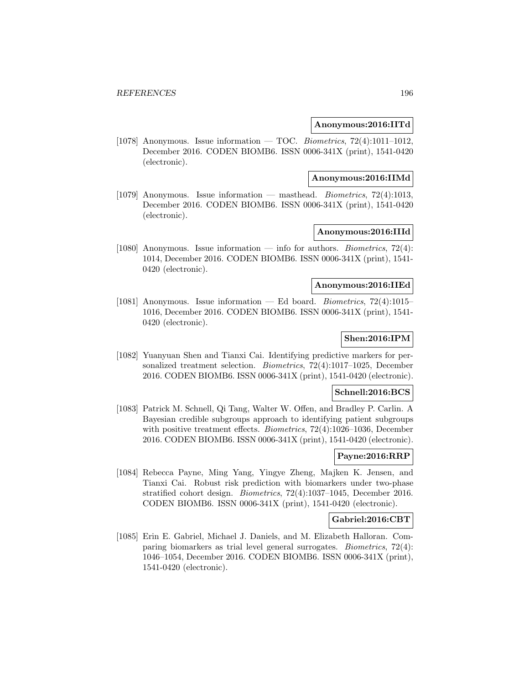#### **Anonymous:2016:IITd**

[1078] Anonymous. Issue information — TOC. Biometrics,  $72(4):1011-1012$ . December 2016. CODEN BIOMB6. ISSN 0006-341X (print), 1541-0420 (electronic).

#### **Anonymous:2016:IIMd**

[1079] Anonymous. Issue information — masthead. Biometrics, 72(4):1013, December 2016. CODEN BIOMB6. ISSN 0006-341X (print), 1541-0420 (electronic).

## **Anonymous:2016:IIId**

[1080] Anonymous. Issue information — info for authors. *Biometrics*,  $72(4)$ : 1014, December 2016. CODEN BIOMB6. ISSN 0006-341X (print), 1541- 0420 (electronic).

## **Anonymous:2016:IIEd**

[1081] Anonymous. Issue information — Ed board. Biometrics, 72(4):1015– 1016, December 2016. CODEN BIOMB6. ISSN 0006-341X (print), 1541- 0420 (electronic).

## **Shen:2016:IPM**

[1082] Yuanyuan Shen and Tianxi Cai. Identifying predictive markers for personalized treatment selection. Biometrics, 72(4):1017–1025, December 2016. CODEN BIOMB6. ISSN 0006-341X (print), 1541-0420 (electronic).

#### **Schnell:2016:BCS**

[1083] Patrick M. Schnell, Qi Tang, Walter W. Offen, and Bradley P. Carlin. A Bayesian credible subgroups approach to identifying patient subgroups with positive treatment effects. Biometrics, 72(4):1026–1036, December 2016. CODEN BIOMB6. ISSN 0006-341X (print), 1541-0420 (electronic).

## **Payne:2016:RRP**

[1084] Rebecca Payne, Ming Yang, Yingye Zheng, Majken K. Jensen, and Tianxi Cai. Robust risk prediction with biomarkers under two-phase stratified cohort design. Biometrics, 72(4):1037–1045, December 2016. CODEN BIOMB6. ISSN 0006-341X (print), 1541-0420 (electronic).

### **Gabriel:2016:CBT**

[1085] Erin E. Gabriel, Michael J. Daniels, and M. Elizabeth Halloran. Comparing biomarkers as trial level general surrogates. Biometrics, 72(4): 1046–1054, December 2016. CODEN BIOMB6. ISSN 0006-341X (print), 1541-0420 (electronic).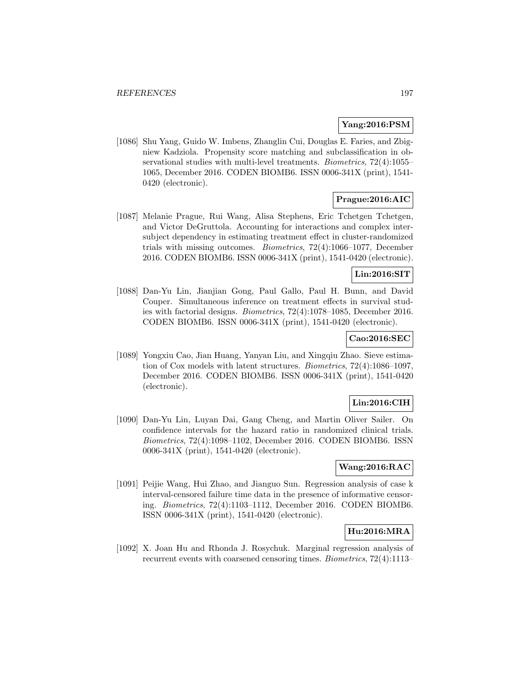### **Yang:2016:PSM**

[1086] Shu Yang, Guido W. Imbens, Zhanglin Cui, Douglas E. Faries, and Zbigniew Kadziola. Propensity score matching and subclassification in observational studies with multi-level treatments. Biometrics, 72(4):1055– 1065, December 2016. CODEN BIOMB6. ISSN 0006-341X (print), 1541- 0420 (electronic).

# **Prague:2016:AIC**

[1087] Melanie Prague, Rui Wang, Alisa Stephens, Eric Tchetgen Tchetgen, and Victor DeGruttola. Accounting for interactions and complex intersubject dependency in estimating treatment effect in cluster-randomized trials with missing outcomes. Biometrics, 72(4):1066–1077, December 2016. CODEN BIOMB6. ISSN 0006-341X (print), 1541-0420 (electronic).

#### **Lin:2016:SIT**

[1088] Dan-Yu Lin, Jianjian Gong, Paul Gallo, Paul H. Bunn, and David Couper. Simultaneous inference on treatment effects in survival studies with factorial designs. Biometrics, 72(4):1078–1085, December 2016. CODEN BIOMB6. ISSN 0006-341X (print), 1541-0420 (electronic).

### **Cao:2016:SEC**

[1089] Yongxiu Cao, Jian Huang, Yanyan Liu, and Xingqiu Zhao. Sieve estimation of Cox models with latent structures. Biometrics, 72(4):1086–1097, December 2016. CODEN BIOMB6. ISSN 0006-341X (print), 1541-0420 (electronic).

## **Lin:2016:CIH**

[1090] Dan-Yu Lin, Luyan Dai, Gang Cheng, and Martin Oliver Sailer. On confidence intervals for the hazard ratio in randomized clinical trials. Biometrics, 72(4):1098–1102, December 2016. CODEN BIOMB6. ISSN 0006-341X (print), 1541-0420 (electronic).

### **Wang:2016:RAC**

[1091] Peijie Wang, Hui Zhao, and Jianguo Sun. Regression analysis of case k interval-censored failure time data in the presence of informative censoring. Biometrics, 72(4):1103–1112, December 2016. CODEN BIOMB6. ISSN 0006-341X (print), 1541-0420 (electronic).

# **Hu:2016:MRA**

[1092] X. Joan Hu and Rhonda J. Rosychuk. Marginal regression analysis of recurrent events with coarsened censoring times. Biometrics, 72(4):1113–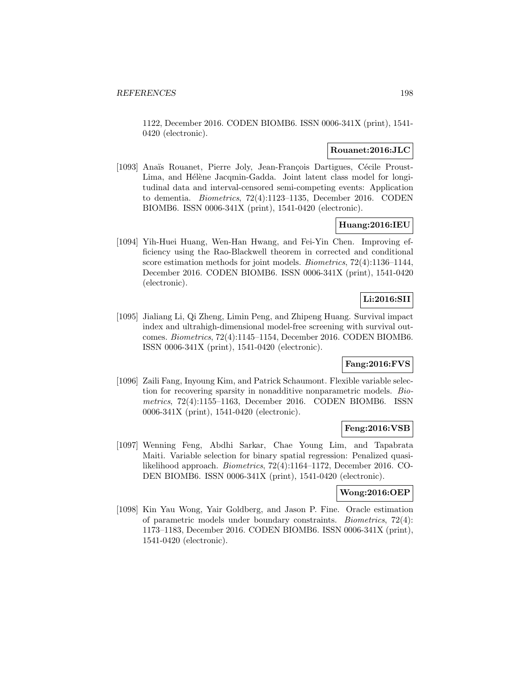1122, December 2016. CODEN BIOMB6. ISSN 0006-341X (print), 1541- 0420 (electronic).

#### **Rouanet:2016:JLC**

[1093] Anaïs Rouanet, Pierre Joly, Jean-François Dartigues, Cécile Proust-Lima, and Hélène Jacqmin-Gadda. Joint latent class model for longitudinal data and interval-censored semi-competing events: Application to dementia. Biometrics, 72(4):1123–1135, December 2016. CODEN BIOMB6. ISSN 0006-341X (print), 1541-0420 (electronic).

## **Huang:2016:IEU**

[1094] Yih-Huei Huang, Wen-Han Hwang, and Fei-Yin Chen. Improving efficiency using the Rao-Blackwell theorem in corrected and conditional score estimation methods for joint models. Biometrics, 72(4):1136–1144, December 2016. CODEN BIOMB6. ISSN 0006-341X (print), 1541-0420 (electronic).

# **Li:2016:SII**

[1095] Jialiang Li, Qi Zheng, Limin Peng, and Zhipeng Huang. Survival impact index and ultrahigh-dimensional model-free screening with survival outcomes. Biometrics, 72(4):1145–1154, December 2016. CODEN BIOMB6. ISSN 0006-341X (print), 1541-0420 (electronic).

### **Fang:2016:FVS**

[1096] Zaili Fang, Inyoung Kim, and Patrick Schaumont. Flexible variable selection for recovering sparsity in nonadditive nonparametric models. Biometrics, 72(4):1155–1163, December 2016. CODEN BIOMB6. ISSN 0006-341X (print), 1541-0420 (electronic).

### **Feng:2016:VSB**

[1097] Wenning Feng, Abdhi Sarkar, Chae Young Lim, and Tapabrata Maiti. Variable selection for binary spatial regression: Penalized quasilikelihood approach. Biometrics, 72(4):1164–1172, December 2016. CO-DEN BIOMB6. ISSN 0006-341X (print), 1541-0420 (electronic).

### **Wong:2016:OEP**

[1098] Kin Yau Wong, Yair Goldberg, and Jason P. Fine. Oracle estimation of parametric models under boundary constraints. Biometrics, 72(4): 1173–1183, December 2016. CODEN BIOMB6. ISSN 0006-341X (print), 1541-0420 (electronic).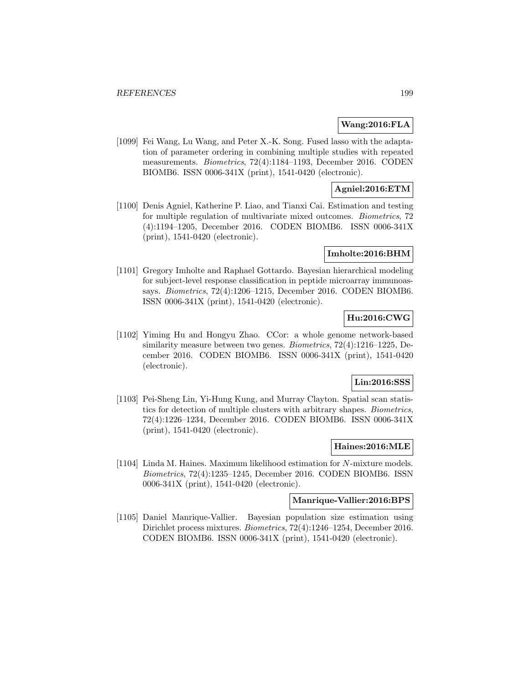### **Wang:2016:FLA**

[1099] Fei Wang, Lu Wang, and Peter X.-K. Song. Fused lasso with the adaptation of parameter ordering in combining multiple studies with repeated measurements. Biometrics, 72(4):1184–1193, December 2016. CODEN BIOMB6. ISSN 0006-341X (print), 1541-0420 (electronic).

## **Agniel:2016:ETM**

[1100] Denis Agniel, Katherine P. Liao, and Tianxi Cai. Estimation and testing for multiple regulation of multivariate mixed outcomes. Biometrics, 72 (4):1194–1205, December 2016. CODEN BIOMB6. ISSN 0006-341X (print), 1541-0420 (electronic).

#### **Imholte:2016:BHM**

[1101] Gregory Imholte and Raphael Gottardo. Bayesian hierarchical modeling for subject-level response classification in peptide microarray immunoassays. Biometrics, 72(4):1206–1215, December 2016. CODEN BIOMB6. ISSN 0006-341X (print), 1541-0420 (electronic).

## **Hu:2016:CWG**

[1102] Yiming Hu and Hongyu Zhao. CCor: a whole genome network-based similarity measure between two genes. Biometrics, 72(4):1216–1225, December 2016. CODEN BIOMB6. ISSN 0006-341X (print), 1541-0420 (electronic).

#### **Lin:2016:SSS**

[1103] Pei-Sheng Lin, Yi-Hung Kung, and Murray Clayton. Spatial scan statistics for detection of multiple clusters with arbitrary shapes. Biometrics, 72(4):1226–1234, December 2016. CODEN BIOMB6. ISSN 0006-341X (print), 1541-0420 (electronic).

## **Haines:2016:MLE**

[1104] Linda M. Haines. Maximum likelihood estimation for N-mixture models. Biometrics, 72(4):1235–1245, December 2016. CODEN BIOMB6. ISSN 0006-341X (print), 1541-0420 (electronic).

#### **Manrique-Vallier:2016:BPS**

[1105] Daniel Manrique-Vallier. Bayesian population size estimation using Dirichlet process mixtures. Biometrics, 72(4):1246–1254, December 2016. CODEN BIOMB6. ISSN 0006-341X (print), 1541-0420 (electronic).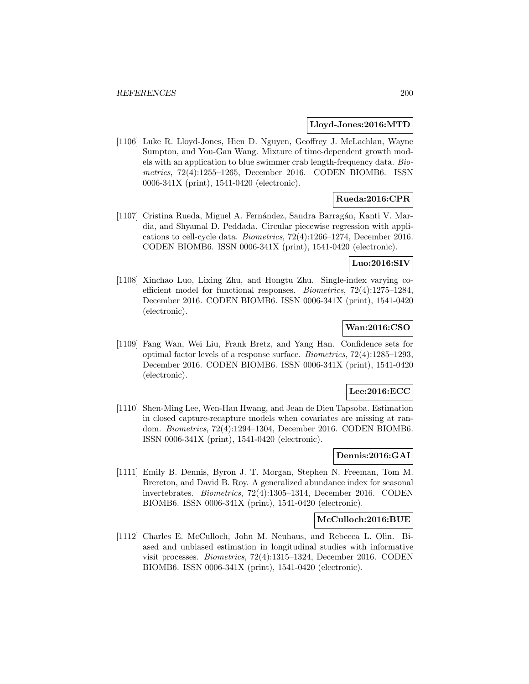#### **Lloyd-Jones:2016:MTD**

[1106] Luke R. Lloyd-Jones, Hien D. Nguyen, Geoffrey J. McLachlan, Wayne Sumpton, and You-Gan Wang. Mixture of time-dependent growth models with an application to blue swimmer crab length-frequency data. Biometrics, 72(4):1255–1265, December 2016. CODEN BIOMB6. ISSN 0006-341X (print), 1541-0420 (electronic).

## **Rueda:2016:CPR**

[1107] Cristina Rueda, Miguel A. Fernández, Sandra Barragán, Kanti V. Mardia, and Shyamal D. Peddada. Circular piecewise regression with applications to cell-cycle data. Biometrics, 72(4):1266–1274, December 2016. CODEN BIOMB6. ISSN 0006-341X (print), 1541-0420 (electronic).

### **Luo:2016:SIV**

[1108] Xinchao Luo, Lixing Zhu, and Hongtu Zhu. Single-index varying coefficient model for functional responses. Biometrics, 72(4):1275–1284, December 2016. CODEN BIOMB6. ISSN 0006-341X (print), 1541-0420 (electronic).

## **Wan:2016:CSO**

[1109] Fang Wan, Wei Liu, Frank Bretz, and Yang Han. Confidence sets for optimal factor levels of a response surface. Biometrics, 72(4):1285–1293, December 2016. CODEN BIOMB6. ISSN 0006-341X (print), 1541-0420 (electronic).

### **Lee:2016:ECC**

[1110] Shen-Ming Lee, Wen-Han Hwang, and Jean de Dieu Tapsoba. Estimation in closed capture-recapture models when covariates are missing at random. Biometrics, 72(4):1294–1304, December 2016. CODEN BIOMB6. ISSN 0006-341X (print), 1541-0420 (electronic).

## **Dennis:2016:GAI**

[1111] Emily B. Dennis, Byron J. T. Morgan, Stephen N. Freeman, Tom M. Brereton, and David B. Roy. A generalized abundance index for seasonal invertebrates. Biometrics, 72(4):1305–1314, December 2016. CODEN BIOMB6. ISSN 0006-341X (print), 1541-0420 (electronic).

### **McCulloch:2016:BUE**

[1112] Charles E. McCulloch, John M. Neuhaus, and Rebecca L. Olin. Biased and unbiased estimation in longitudinal studies with informative visit processes. Biometrics, 72(4):1315–1324, December 2016. CODEN BIOMB6. ISSN 0006-341X (print), 1541-0420 (electronic).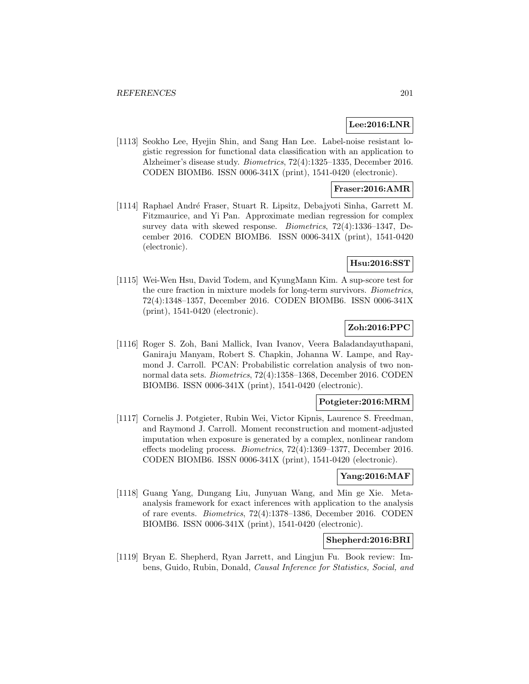### **Lee:2016:LNR**

[1113] Seokho Lee, Hyejin Shin, and Sang Han Lee. Label-noise resistant logistic regression for functional data classification with an application to Alzheimer's disease study. Biometrics, 72(4):1325–1335, December 2016. CODEN BIOMB6. ISSN 0006-341X (print), 1541-0420 (electronic).

### **Fraser:2016:AMR**

[1114] Raphael André Fraser, Stuart R. Lipsitz, Debajyoti Sinha, Garrett M. Fitzmaurice, and Yi Pan. Approximate median regression for complex survey data with skewed response. Biometrics, 72(4):1336–1347, December 2016. CODEN BIOMB6. ISSN 0006-341X (print), 1541-0420 (electronic).

### **Hsu:2016:SST**

[1115] Wei-Wen Hsu, David Todem, and KyungMann Kim. A sup-score test for the cure fraction in mixture models for long-term survivors. Biometrics, 72(4):1348–1357, December 2016. CODEN BIOMB6. ISSN 0006-341X (print), 1541-0420 (electronic).

## **Zoh:2016:PPC**

[1116] Roger S. Zoh, Bani Mallick, Ivan Ivanov, Veera Baladandayuthapani, Ganiraju Manyam, Robert S. Chapkin, Johanna W. Lampe, and Raymond J. Carroll. PCAN: Probabilistic correlation analysis of two nonnormal data sets. Biometrics, 72(4):1358–1368, December 2016. CODEN BIOMB6. ISSN 0006-341X (print), 1541-0420 (electronic).

## **Potgieter:2016:MRM**

[1117] Cornelis J. Potgieter, Rubin Wei, Victor Kipnis, Laurence S. Freedman, and Raymond J. Carroll. Moment reconstruction and moment-adjusted imputation when exposure is generated by a complex, nonlinear random effects modeling process. Biometrics, 72(4):1369–1377, December 2016. CODEN BIOMB6. ISSN 0006-341X (print), 1541-0420 (electronic).

### **Yang:2016:MAF**

[1118] Guang Yang, Dungang Liu, Junyuan Wang, and Min ge Xie. Metaanalysis framework for exact inferences with application to the analysis of rare events. Biometrics, 72(4):1378–1386, December 2016. CODEN BIOMB6. ISSN 0006-341X (print), 1541-0420 (electronic).

## **Shepherd:2016:BRI**

[1119] Bryan E. Shepherd, Ryan Jarrett, and Lingjun Fu. Book review: Imbens, Guido, Rubin, Donald, Causal Inference for Statistics, Social, and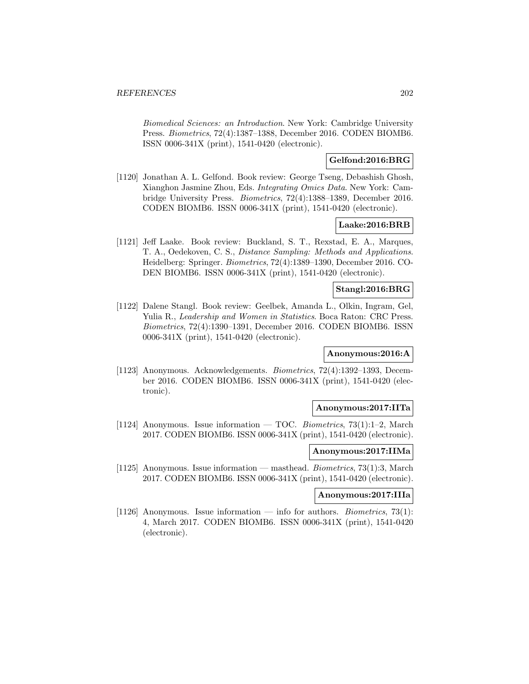Biomedical Sciences: an Introduction. New York: Cambridge University Press. Biometrics, 72(4):1387–1388, December 2016. CODEN BIOMB6. ISSN 0006-341X (print), 1541-0420 (electronic).

## **Gelfond:2016:BRG**

[1120] Jonathan A. L. Gelfond. Book review: George Tseng, Debashish Ghosh, Xianghon Jasmine Zhou, Eds. Integrating Omics Data. New York: Cambridge University Press. Biometrics, 72(4):1388–1389, December 2016. CODEN BIOMB6. ISSN 0006-341X (print), 1541-0420 (electronic).

# **Laake:2016:BRB**

[1121] Jeff Laake. Book review: Buckland, S. T., Rexstad, E. A., Marques, T. A., Oedekoven, C. S., Distance Sampling: Methods and Applications. Heidelberg: Springer. Biometrics, 72(4):1389–1390, December 2016. CO-DEN BIOMB6. ISSN 0006-341X (print), 1541-0420 (electronic).

### **Stangl:2016:BRG**

[1122] Dalene Stangl. Book review: Geelbek, Amanda L., Olkin, Ingram, Gel, Yulia R., Leadership and Women in Statistics. Boca Raton: CRC Press. Biometrics, 72(4):1390–1391, December 2016. CODEN BIOMB6. ISSN 0006-341X (print), 1541-0420 (electronic).

#### **Anonymous:2016:A**

[1123] Anonymous. Acknowledgements. Biometrics, 72(4):1392–1393, December 2016. CODEN BIOMB6. ISSN 0006-341X (print), 1541-0420 (electronic).

#### **Anonymous:2017:IITa**

[1124] Anonymous. Issue information — TOC. Biometrics, 73(1):1–2, March 2017. CODEN BIOMB6. ISSN 0006-341X (print), 1541-0420 (electronic).

### **Anonymous:2017:IIMa**

[1125] Anonymous. Issue information — masthead. Biometrics, 73(1):3, March 2017. CODEN BIOMB6. ISSN 0006-341X (print), 1541-0420 (electronic).

#### **Anonymous:2017:IIIa**

[1126] Anonymous. Issue information — info for authors. *Biometrics*, 73(1): 4, March 2017. CODEN BIOMB6. ISSN 0006-341X (print), 1541-0420 (electronic).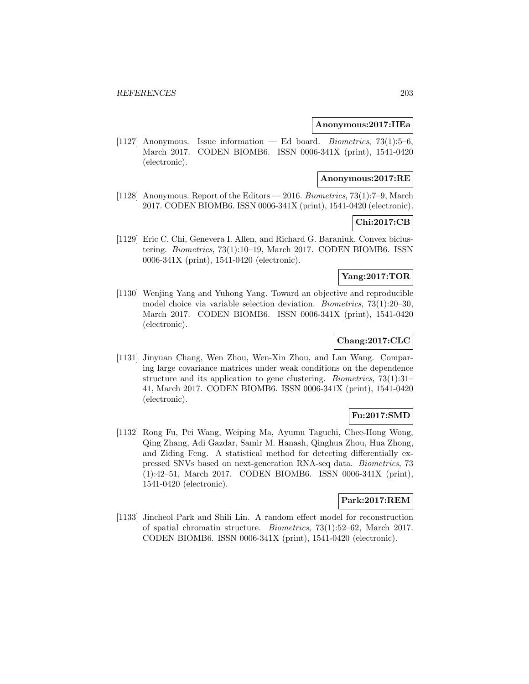#### **Anonymous:2017:IIEa**

[1127] Anonymous. Issue information — Ed board. *Biometrics*,  $73(1):5-6$ , March 2017. CODEN BIOMB6. ISSN 0006-341X (print), 1541-0420 (electronic).

#### **Anonymous:2017:RE**

[1128] Anonymous. Report of the Editors — 2016. Biometrics, 73(1):7–9, March 2017. CODEN BIOMB6. ISSN 0006-341X (print), 1541-0420 (electronic).

## **Chi:2017:CB**

[1129] Eric C. Chi, Genevera I. Allen, and Richard G. Baraniuk. Convex biclustering. Biometrics, 73(1):10–19, March 2017. CODEN BIOMB6. ISSN 0006-341X (print), 1541-0420 (electronic).

## **Yang:2017:TOR**

[1130] Wenjing Yang and Yuhong Yang. Toward an objective and reproducible model choice via variable selection deviation. Biometrics, 73(1):20–30, March 2017. CODEN BIOMB6. ISSN 0006-341X (print), 1541-0420 (electronic).

# **Chang:2017:CLC**

[1131] Jinyuan Chang, Wen Zhou, Wen-Xin Zhou, and Lan Wang. Comparing large covariance matrices under weak conditions on the dependence structure and its application to gene clustering. Biometrics, 73(1):31– 41, March 2017. CODEN BIOMB6. ISSN 0006-341X (print), 1541-0420 (electronic).

## **Fu:2017:SMD**

[1132] Rong Fu, Pei Wang, Weiping Ma, Ayumu Taguchi, Chee-Hong Wong, Qing Zhang, Adi Gazdar, Samir M. Hanash, Qinghua Zhou, Hua Zhong, and Ziding Feng. A statistical method for detecting differentially expressed SNVs based on next-generation RNA-seq data. Biometrics, 73 (1):42–51, March 2017. CODEN BIOMB6. ISSN 0006-341X (print), 1541-0420 (electronic).

#### **Park:2017:REM**

[1133] Jincheol Park and Shili Lin. A random effect model for reconstruction of spatial chromatin structure. Biometrics, 73(1):52–62, March 2017. CODEN BIOMB6. ISSN 0006-341X (print), 1541-0420 (electronic).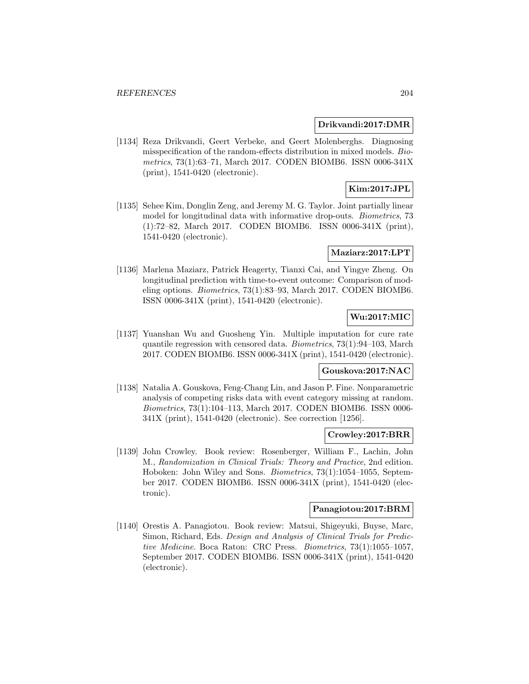#### **Drikvandi:2017:DMR**

[1134] Reza Drikvandi, Geert Verbeke, and Geert Molenberghs. Diagnosing misspecification of the random-effects distribution in mixed models. Biometrics, 73(1):63–71, March 2017. CODEN BIOMB6. ISSN 0006-341X (print), 1541-0420 (electronic).

# **Kim:2017:JPL**

[1135] Sehee Kim, Donglin Zeng, and Jeremy M. G. Taylor. Joint partially linear model for longitudinal data with informative drop-outs. Biometrics, 73 (1):72–82, March 2017. CODEN BIOMB6. ISSN 0006-341X (print), 1541-0420 (electronic).

#### **Maziarz:2017:LPT**

[1136] Marlena Maziarz, Patrick Heagerty, Tianxi Cai, and Yingye Zheng. On longitudinal prediction with time-to-event outcome: Comparison of modeling options. Biometrics, 73(1):83–93, March 2017. CODEN BIOMB6. ISSN 0006-341X (print), 1541-0420 (electronic).

## **Wu:2017:MIC**

[1137] Yuanshan Wu and Guosheng Yin. Multiple imputation for cure rate quantile regression with censored data. Biometrics, 73(1):94–103, March 2017. CODEN BIOMB6. ISSN 0006-341X (print), 1541-0420 (electronic).

#### **Gouskova:2017:NAC**

[1138] Natalia A. Gouskova, Feng-Chang Lin, and Jason P. Fine. Nonparametric analysis of competing risks data with event category missing at random. Biometrics, 73(1):104–113, March 2017. CODEN BIOMB6. ISSN 0006- 341X (print), 1541-0420 (electronic). See correction [1256].

#### **Crowley:2017:BRR**

[1139] John Crowley. Book review: Rosenberger, William F., Lachin, John M., Randomization in Clinical Trials: Theory and Practice, 2nd edition. Hoboken: John Wiley and Sons. Biometrics, 73(1):1054–1055, September 2017. CODEN BIOMB6. ISSN 0006-341X (print), 1541-0420 (electronic).

#### **Panagiotou:2017:BRM**

[1140] Orestis A. Panagiotou. Book review: Matsui, Shigeyuki, Buyse, Marc, Simon, Richard, Eds. Design and Analysis of Clinical Trials for Predictive Medicine. Boca Raton: CRC Press. Biometrics, 73(1):1055–1057, September 2017. CODEN BIOMB6. ISSN 0006-341X (print), 1541-0420 (electronic).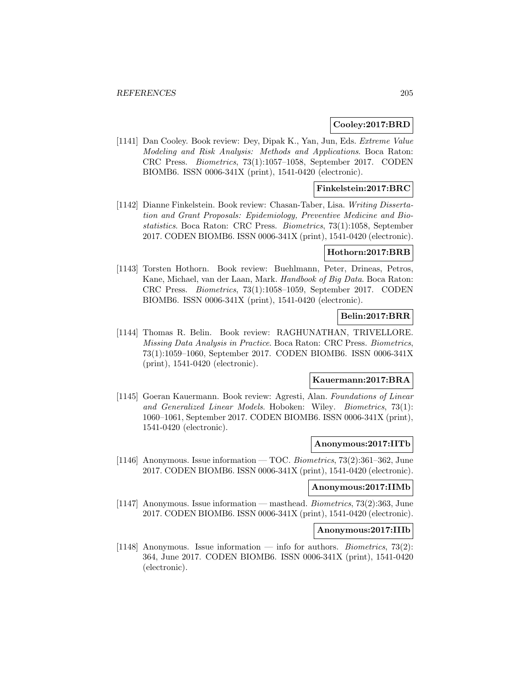#### **Cooley:2017:BRD**

[1141] Dan Cooley. Book review: Dey, Dipak K., Yan, Jun, Eds. Extreme Value Modeling and Risk Analysis: Methods and Applications. Boca Raton: CRC Press. Biometrics, 73(1):1057–1058, September 2017. CODEN BIOMB6. ISSN 0006-341X (print), 1541-0420 (electronic).

#### **Finkelstein:2017:BRC**

[1142] Dianne Finkelstein. Book review: Chasan-Taber, Lisa. Writing Dissertation and Grant Proposals: Epidemiology, Preventive Medicine and Biostatistics. Boca Raton: CRC Press. Biometrics, 73(1):1058, September 2017. CODEN BIOMB6. ISSN 0006-341X (print), 1541-0420 (electronic).

#### **Hothorn:2017:BRB**

[1143] Torsten Hothorn. Book review: Buehlmann, Peter, Drineas, Petros, Kane, Michael, van der Laan, Mark. Handbook of Big Data. Boca Raton: CRC Press. Biometrics, 73(1):1058–1059, September 2017. CODEN BIOMB6. ISSN 0006-341X (print), 1541-0420 (electronic).

## **Belin:2017:BRR**

[1144] Thomas R. Belin. Book review: RAGHUNATHAN, TRIVELLORE. Missing Data Analysis in Practice. Boca Raton: CRC Press. Biometrics, 73(1):1059–1060, September 2017. CODEN BIOMB6. ISSN 0006-341X (print), 1541-0420 (electronic).

### **Kauermann:2017:BRA**

[1145] Goeran Kauermann. Book review: Agresti, Alan. Foundations of Linear and Generalized Linear Models. Hoboken: Wiley. Biometrics, 73(1): 1060–1061, September 2017. CODEN BIOMB6. ISSN 0006-341X (print), 1541-0420 (electronic).

#### **Anonymous:2017:IITb**

[1146] Anonymous. Issue information — TOC. Biometrics, 73(2):361–362, June 2017. CODEN BIOMB6. ISSN 0006-341X (print), 1541-0420 (electronic).

### **Anonymous:2017:IIMb**

[1147] Anonymous. Issue information — masthead. Biometrics, 73(2):363, June 2017. CODEN BIOMB6. ISSN 0006-341X (print), 1541-0420 (electronic).

#### **Anonymous:2017:IIIb**

[1148] Anonymous. Issue information — info for authors. *Biometrics*, 73(2): 364, June 2017. CODEN BIOMB6. ISSN 0006-341X (print), 1541-0420 (electronic).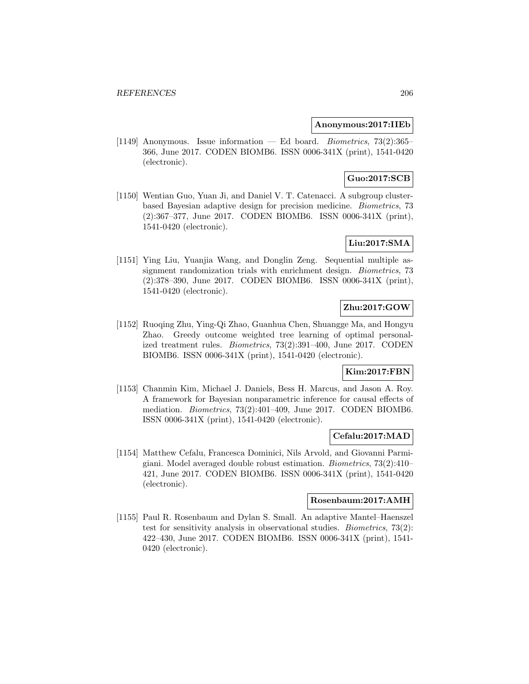### **Anonymous:2017:IIEb**

[1149] Anonymous. Issue information — Ed board. *Biometrics*,  $73(2):365-$ 366, June 2017. CODEN BIOMB6. ISSN 0006-341X (print), 1541-0420 (electronic).

# **Guo:2017:SCB**

[1150] Wentian Guo, Yuan Ji, and Daniel V. T. Catenacci. A subgroup clusterbased Bayesian adaptive design for precision medicine. Biometrics, 73 (2):367–377, June 2017. CODEN BIOMB6. ISSN 0006-341X (print), 1541-0420 (electronic).

# **Liu:2017:SMA**

[1151] Ying Liu, Yuanjia Wang, and Donglin Zeng. Sequential multiple assignment randomization trials with enrichment design. *Biometrics*, 73 (2):378–390, June 2017. CODEN BIOMB6. ISSN 0006-341X (print), 1541-0420 (electronic).

# **Zhu:2017:GOW**

[1152] Ruoqing Zhu, Ying-Qi Zhao, Guanhua Chen, Shuangge Ma, and Hongyu Zhao. Greedy outcome weighted tree learning of optimal personalized treatment rules. Biometrics, 73(2):391–400, June 2017. CODEN BIOMB6. ISSN 0006-341X (print), 1541-0420 (electronic).

## **Kim:2017:FBN**

[1153] Chanmin Kim, Michael J. Daniels, Bess H. Marcus, and Jason A. Roy. A framework for Bayesian nonparametric inference for causal effects of mediation. Biometrics, 73(2):401–409, June 2017. CODEN BIOMB6. ISSN 0006-341X (print), 1541-0420 (electronic).

### **Cefalu:2017:MAD**

[1154] Matthew Cefalu, Francesca Dominici, Nils Arvold, and Giovanni Parmigiani. Model averaged double robust estimation. Biometrics, 73(2):410– 421, June 2017. CODEN BIOMB6. ISSN 0006-341X (print), 1541-0420 (electronic).

### **Rosenbaum:2017:AMH**

[1155] Paul R. Rosenbaum and Dylan S. Small. An adaptive Mantel–Haenszel test for sensitivity analysis in observational studies. Biometrics, 73(2): 422–430, June 2017. CODEN BIOMB6. ISSN 0006-341X (print), 1541- 0420 (electronic).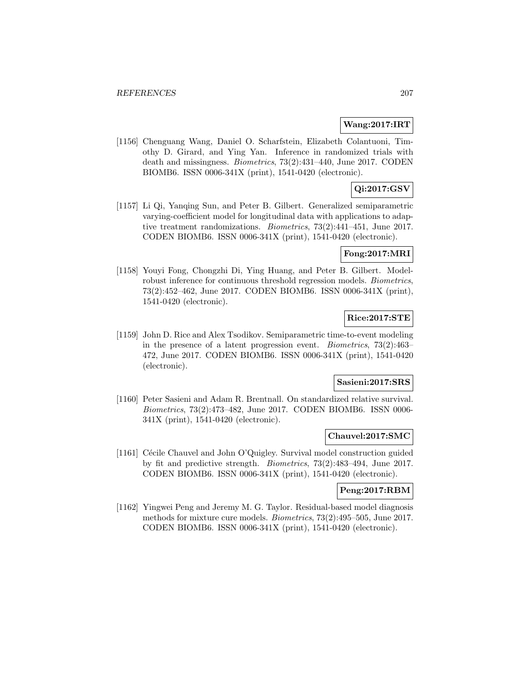#### **Wang:2017:IRT**

[1156] Chenguang Wang, Daniel O. Scharfstein, Elizabeth Colantuoni, Timothy D. Girard, and Ying Yan. Inference in randomized trials with death and missingness. Biometrics, 73(2):431–440, June 2017. CODEN BIOMB6. ISSN 0006-341X (print), 1541-0420 (electronic).

# **Qi:2017:GSV**

[1157] Li Qi, Yanqing Sun, and Peter B. Gilbert. Generalized semiparametric varying-coefficient model for longitudinal data with applications to adaptive treatment randomizations. Biometrics, 73(2):441–451, June 2017. CODEN BIOMB6. ISSN 0006-341X (print), 1541-0420 (electronic).

## **Fong:2017:MRI**

[1158] Youyi Fong, Chongzhi Di, Ying Huang, and Peter B. Gilbert. Modelrobust inference for continuous threshold regression models. Biometrics, 73(2):452–462, June 2017. CODEN BIOMB6. ISSN 0006-341X (print), 1541-0420 (electronic).

### **Rice:2017:STE**

[1159] John D. Rice and Alex Tsodikov. Semiparametric time-to-event modeling in the presence of a latent progression event. Biometrics, 73(2):463– 472, June 2017. CODEN BIOMB6. ISSN 0006-341X (print), 1541-0420 (electronic).

#### **Sasieni:2017:SRS**

[1160] Peter Sasieni and Adam R. Brentnall. On standardized relative survival. Biometrics, 73(2):473–482, June 2017. CODEN BIOMB6. ISSN 0006- 341X (print), 1541-0420 (electronic).

#### **Chauvel:2017:SMC**

[1161] Cécile Chauvel and John O'Quigley. Survival model construction guided by fit and predictive strength. Biometrics, 73(2):483–494, June 2017. CODEN BIOMB6. ISSN 0006-341X (print), 1541-0420 (electronic).

### **Peng:2017:RBM**

[1162] Yingwei Peng and Jeremy M. G. Taylor. Residual-based model diagnosis methods for mixture cure models. Biometrics, 73(2):495–505, June 2017. CODEN BIOMB6. ISSN 0006-341X (print), 1541-0420 (electronic).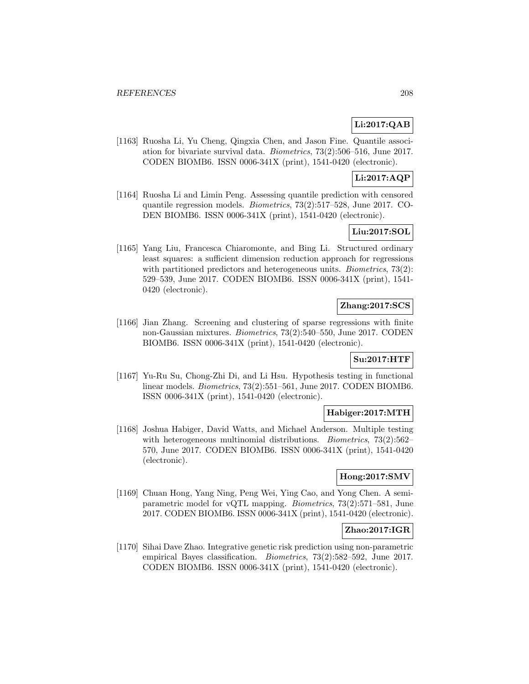## **Li:2017:QAB**

[1163] Ruosha Li, Yu Cheng, Qingxia Chen, and Jason Fine. Quantile association for bivariate survival data. Biometrics, 73(2):506–516, June 2017. CODEN BIOMB6. ISSN 0006-341X (print), 1541-0420 (electronic).

## **Li:2017:AQP**

[1164] Ruosha Li and Limin Peng. Assessing quantile prediction with censored quantile regression models. Biometrics, 73(2):517–528, June 2017. CO-DEN BIOMB6. ISSN 0006-341X (print), 1541-0420 (electronic).

## **Liu:2017:SOL**

[1165] Yang Liu, Francesca Chiaromonte, and Bing Li. Structured ordinary least squares: a sufficient dimension reduction approach for regressions with partitioned predictors and heterogeneous units. *Biometrics*, 73(2): 529–539, June 2017. CODEN BIOMB6. ISSN 0006-341X (print), 1541- 0420 (electronic).

# **Zhang:2017:SCS**

[1166] Jian Zhang. Screening and clustering of sparse regressions with finite non-Gaussian mixtures. Biometrics, 73(2):540–550, June 2017. CODEN BIOMB6. ISSN 0006-341X (print), 1541-0420 (electronic).

## **Su:2017:HTF**

[1167] Yu-Ru Su, Chong-Zhi Di, and Li Hsu. Hypothesis testing in functional linear models. Biometrics, 73(2):551–561, June 2017. CODEN BIOMB6. ISSN 0006-341X (print), 1541-0420 (electronic).

### **Habiger:2017:MTH**

[1168] Joshua Habiger, David Watts, and Michael Anderson. Multiple testing with heterogeneous multinomial distributions. *Biometrics*, 73(2):562– 570, June 2017. CODEN BIOMB6. ISSN 0006-341X (print), 1541-0420 (electronic).

## **Hong:2017:SMV**

[1169] Chuan Hong, Yang Ning, Peng Wei, Ying Cao, and Yong Chen. A semiparametric model for vQTL mapping. Biometrics, 73(2):571–581, June 2017. CODEN BIOMB6. ISSN 0006-341X (print), 1541-0420 (electronic).

### **Zhao:2017:IGR**

[1170] Sihai Dave Zhao. Integrative genetic risk prediction using non-parametric empirical Bayes classification. Biometrics, 73(2):582–592, June 2017. CODEN BIOMB6. ISSN 0006-341X (print), 1541-0420 (electronic).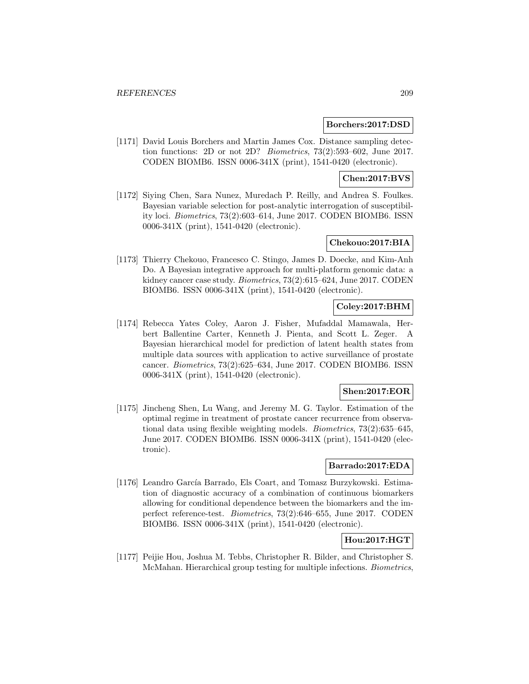### **Borchers:2017:DSD**

[1171] David Louis Borchers and Martin James Cox. Distance sampling detection functions: 2D or not 2D? Biometrics, 73(2):593–602, June 2017. CODEN BIOMB6. ISSN 0006-341X (print), 1541-0420 (electronic).

# **Chen:2017:BVS**

[1172] Siying Chen, Sara Nunez, Muredach P. Reilly, and Andrea S. Foulkes. Bayesian variable selection for post-analytic interrogation of susceptibility loci. Biometrics, 73(2):603–614, June 2017. CODEN BIOMB6. ISSN 0006-341X (print), 1541-0420 (electronic).

## **Chekouo:2017:BIA**

[1173] Thierry Chekouo, Francesco C. Stingo, James D. Doecke, and Kim-Anh Do. A Bayesian integrative approach for multi-platform genomic data: a kidney cancer case study. Biometrics, 73(2):615–624, June 2017. CODEN BIOMB6. ISSN 0006-341X (print), 1541-0420 (electronic).

## **Coley:2017:BHM**

[1174] Rebecca Yates Coley, Aaron J. Fisher, Mufaddal Mamawala, Herbert Ballentine Carter, Kenneth J. Pienta, and Scott L. Zeger. A Bayesian hierarchical model for prediction of latent health states from multiple data sources with application to active surveillance of prostate cancer. Biometrics, 73(2):625–634, June 2017. CODEN BIOMB6. ISSN 0006-341X (print), 1541-0420 (electronic).

### **Shen:2017:EOR**

[1175] Jincheng Shen, Lu Wang, and Jeremy M. G. Taylor. Estimation of the optimal regime in treatment of prostate cancer recurrence from observational data using flexible weighting models. Biometrics, 73(2):635–645, June 2017. CODEN BIOMB6. ISSN 0006-341X (print), 1541-0420 (electronic).

# **Barrado:2017:EDA**

[1176] Leandro García Barrado, Els Coart, and Tomasz Burzykowski. Estimation of diagnostic accuracy of a combination of continuous biomarkers allowing for conditional dependence between the biomarkers and the imperfect reference-test. Biometrics, 73(2):646–655, June 2017. CODEN BIOMB6. ISSN 0006-341X (print), 1541-0420 (electronic).

# **Hou:2017:HGT**

[1177] Peijie Hou, Joshua M. Tebbs, Christopher R. Bilder, and Christopher S. McMahan. Hierarchical group testing for multiple infections. Biometrics,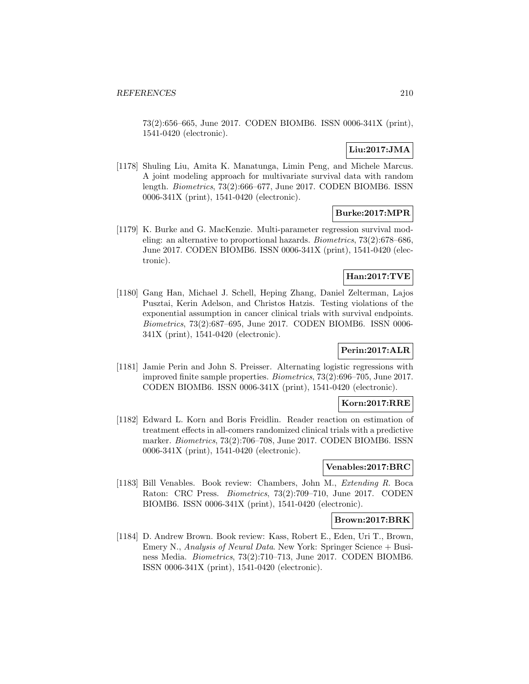73(2):656–665, June 2017. CODEN BIOMB6. ISSN 0006-341X (print), 1541-0420 (electronic).

# **Liu:2017:JMA**

[1178] Shuling Liu, Amita K. Manatunga, Limin Peng, and Michele Marcus. A joint modeling approach for multivariate survival data with random length. Biometrics, 73(2):666–677, June 2017. CODEN BIOMB6. ISSN 0006-341X (print), 1541-0420 (electronic).

## **Burke:2017:MPR**

[1179] K. Burke and G. MacKenzie. Multi-parameter regression survival modeling: an alternative to proportional hazards. Biometrics, 73(2):678–686, June 2017. CODEN BIOMB6. ISSN 0006-341X (print), 1541-0420 (electronic).

# **Han:2017:TVE**

[1180] Gang Han, Michael J. Schell, Heping Zhang, Daniel Zelterman, Lajos Pusztai, Kerin Adelson, and Christos Hatzis. Testing violations of the exponential assumption in cancer clinical trials with survival endpoints. Biometrics, 73(2):687–695, June 2017. CODEN BIOMB6. ISSN 0006- 341X (print), 1541-0420 (electronic).

## **Perin:2017:ALR**

[1181] Jamie Perin and John S. Preisser. Alternating logistic regressions with improved finite sample properties. Biometrics, 73(2):696–705, June 2017. CODEN BIOMB6. ISSN 0006-341X (print), 1541-0420 (electronic).

## **Korn:2017:RRE**

[1182] Edward L. Korn and Boris Freidlin. Reader reaction on estimation of treatment effects in all-comers randomized clinical trials with a predictive marker. Biometrics, 73(2):706–708, June 2017. CODEN BIOMB6. ISSN 0006-341X (print), 1541-0420 (electronic).

#### **Venables:2017:BRC**

[1183] Bill Venables. Book review: Chambers, John M., Extending R. Boca Raton: CRC Press. Biometrics, 73(2):709–710, June 2017. CODEN BIOMB6. ISSN 0006-341X (print), 1541-0420 (electronic).

### **Brown:2017:BRK**

[1184] D. Andrew Brown. Book review: Kass, Robert E., Eden, Uri T., Brown, Emery N., Analysis of Neural Data. New York: Springer Science + Business Media. Biometrics, 73(2):710–713, June 2017. CODEN BIOMB6. ISSN 0006-341X (print), 1541-0420 (electronic).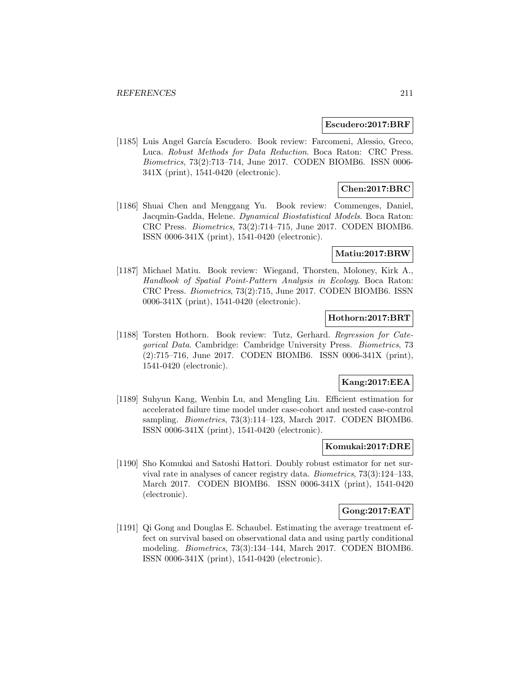#### **Escudero:2017:BRF**

[1185] Luis Angel García Escudero. Book review: Farcomeni, Alessio, Greco, Luca. Robust Methods for Data Reduction. Boca Raton: CRC Press. Biometrics, 73(2):713–714, June 2017. CODEN BIOMB6. ISSN 0006- 341X (print), 1541-0420 (electronic).

# **Chen:2017:BRC**

[1186] Shuai Chen and Menggang Yu. Book review: Commenges, Daniel, Jacqmin-Gadda, Helene. Dynamical Biostatistical Models. Boca Raton: CRC Press. Biometrics, 73(2):714–715, June 2017. CODEN BIOMB6. ISSN 0006-341X (print), 1541-0420 (electronic).

#### **Matiu:2017:BRW**

[1187] Michael Matiu. Book review: Wiegand, Thorsten, Moloney, Kirk A., Handbook of Spatial Point-Pattern Analysis in Ecology. Boca Raton: CRC Press. Biometrics, 73(2):715, June 2017. CODEN BIOMB6. ISSN 0006-341X (print), 1541-0420 (electronic).

### **Hothorn:2017:BRT**

[1188] Torsten Hothorn. Book review: Tutz, Gerhard. Regression for Categorical Data. Cambridge: Cambridge University Press. Biometrics, 73 (2):715–716, June 2017. CODEN BIOMB6. ISSN 0006-341X (print), 1541-0420 (electronic).

### **Kang:2017:EEA**

[1189] Suhyun Kang, Wenbin Lu, and Mengling Liu. Efficient estimation for accelerated failure time model under case-cohort and nested case-control sampling. *Biometrics*, 73(3):114–123, March 2017. CODEN BIOMB6. ISSN 0006-341X (print), 1541-0420 (electronic).

### **Komukai:2017:DRE**

[1190] Sho Komukai and Satoshi Hattori. Doubly robust estimator for net survival rate in analyses of cancer registry data. Biometrics, 73(3):124–133, March 2017. CODEN BIOMB6. ISSN 0006-341X (print), 1541-0420 (electronic).

#### **Gong:2017:EAT**

[1191] Qi Gong and Douglas E. Schaubel. Estimating the average treatment effect on survival based on observational data and using partly conditional modeling. Biometrics, 73(3):134–144, March 2017. CODEN BIOMB6. ISSN 0006-341X (print), 1541-0420 (electronic).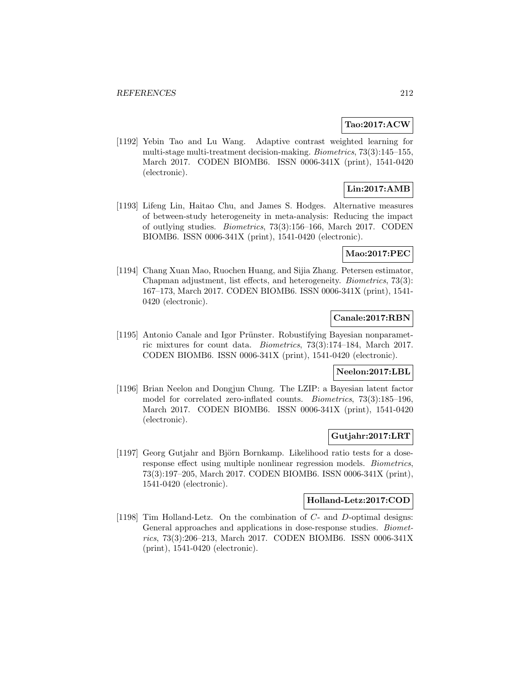#### **Tao:2017:ACW**

[1192] Yebin Tao and Lu Wang. Adaptive contrast weighted learning for multi-stage multi-treatment decision-making. Biometrics, 73(3):145–155, March 2017. CODEN BIOMB6. ISSN 0006-341X (print), 1541-0420 (electronic).

# **Lin:2017:AMB**

[1193] Lifeng Lin, Haitao Chu, and James S. Hodges. Alternative measures of between-study heterogeneity in meta-analysis: Reducing the impact of outlying studies. Biometrics, 73(3):156–166, March 2017. CODEN BIOMB6. ISSN 0006-341X (print), 1541-0420 (electronic).

### **Mao:2017:PEC**

[1194] Chang Xuan Mao, Ruochen Huang, and Sijia Zhang. Petersen estimator, Chapman adjustment, list effects, and heterogeneity. Biometrics, 73(3): 167–173, March 2017. CODEN BIOMB6. ISSN 0006-341X (print), 1541- 0420 (electronic).

## **Canale:2017:RBN**

[1195] Antonio Canale and Igor Prünster. Robustifying Bayesian nonparametric mixtures for count data. Biometrics, 73(3):174–184, March 2017. CODEN BIOMB6. ISSN 0006-341X (print), 1541-0420 (electronic).

### **Neelon:2017:LBL**

[1196] Brian Neelon and Dongjun Chung. The LZIP: a Bayesian latent factor model for correlated zero-inflated counts. Biometrics, 73(3):185–196, March 2017. CODEN BIOMB6. ISSN 0006-341X (print), 1541-0420 (electronic).

### **Gutjahr:2017:LRT**

[1197] Georg Gutjahr and Björn Bornkamp. Likelihood ratio tests for a doseresponse effect using multiple nonlinear regression models. Biometrics, 73(3):197–205, March 2017. CODEN BIOMB6. ISSN 0006-341X (print), 1541-0420 (electronic).

#### **Holland-Letz:2017:COD**

[1198] Tim Holland-Letz. On the combination of C- and D-optimal designs: General approaches and applications in dose-response studies. Biometrics, 73(3):206–213, March 2017. CODEN BIOMB6. ISSN 0006-341X (print), 1541-0420 (electronic).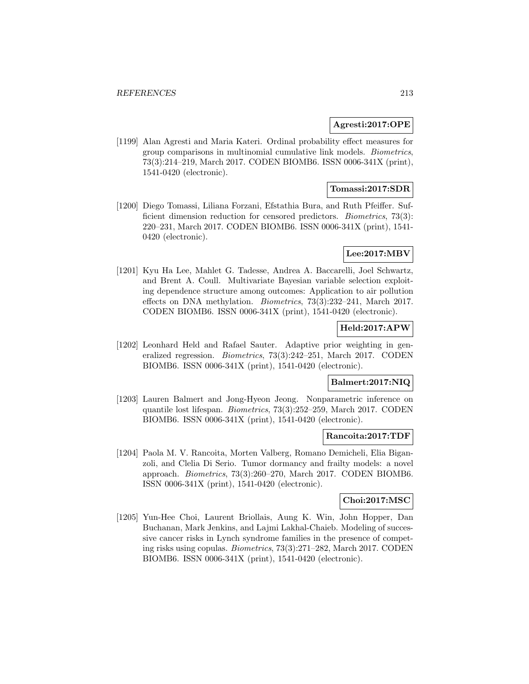### **Agresti:2017:OPE**

[1199] Alan Agresti and Maria Kateri. Ordinal probability effect measures for group comparisons in multinomial cumulative link models. Biometrics, 73(3):214–219, March 2017. CODEN BIOMB6. ISSN 0006-341X (print), 1541-0420 (electronic).

## **Tomassi:2017:SDR**

[1200] Diego Tomassi, Liliana Forzani, Efstathia Bura, and Ruth Pfeiffer. Sufficient dimension reduction for censored predictors. Biometrics, 73(3): 220–231, March 2017. CODEN BIOMB6. ISSN 0006-341X (print), 1541- 0420 (electronic).

# **Lee:2017:MBV**

[1201] Kyu Ha Lee, Mahlet G. Tadesse, Andrea A. Baccarelli, Joel Schwartz, and Brent A. Coull. Multivariate Bayesian variable selection exploiting dependence structure among outcomes: Application to air pollution effects on DNA methylation. Biometrics, 73(3):232–241, March 2017. CODEN BIOMB6. ISSN 0006-341X (print), 1541-0420 (electronic).

### **Held:2017:APW**

[1202] Leonhard Held and Rafael Sauter. Adaptive prior weighting in generalized regression. Biometrics, 73(3):242–251, March 2017. CODEN BIOMB6. ISSN 0006-341X (print), 1541-0420 (electronic).

#### **Balmert:2017:NIQ**

[1203] Lauren Balmert and Jong-Hyeon Jeong. Nonparametric inference on quantile lost lifespan. Biometrics, 73(3):252–259, March 2017. CODEN BIOMB6. ISSN 0006-341X (print), 1541-0420 (electronic).

#### **Rancoita:2017:TDF**

[1204] Paola M. V. Rancoita, Morten Valberg, Romano Demicheli, Elia Biganzoli, and Clelia Di Serio. Tumor dormancy and frailty models: a novel approach. Biometrics, 73(3):260–270, March 2017. CODEN BIOMB6. ISSN 0006-341X (print), 1541-0420 (electronic).

#### **Choi:2017:MSC**

[1205] Yun-Hee Choi, Laurent Briollais, Aung K. Win, John Hopper, Dan Buchanan, Mark Jenkins, and Lajmi Lakhal-Chaieb. Modeling of successive cancer risks in Lynch syndrome families in the presence of competing risks using copulas. Biometrics, 73(3):271–282, March 2017. CODEN BIOMB6. ISSN 0006-341X (print), 1541-0420 (electronic).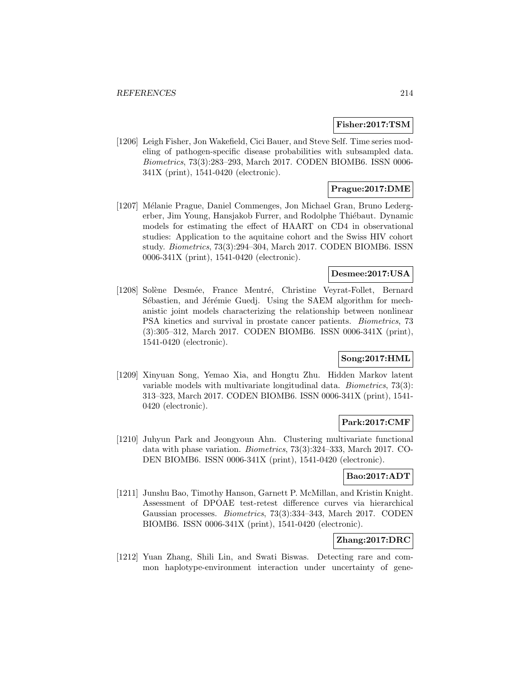#### **Fisher:2017:TSM**

[1206] Leigh Fisher, Jon Wakefield, Cici Bauer, and Steve Self. Time series modeling of pathogen-specific disease probabilities with subsampled data. Biometrics, 73(3):283–293, March 2017. CODEN BIOMB6. ISSN 0006- 341X (print), 1541-0420 (electronic).

## **Prague:2017:DME**

[1207] Mélanie Prague, Daniel Commenges, Jon Michael Gran, Bruno Ledergerber, Jim Young, Hansjakob Furrer, and Rodolphe Thiébaut. Dynamic models for estimating the effect of HAART on CD4 in observational studies: Application to the aquitaine cohort and the Swiss HIV cohort study. Biometrics, 73(3):294–304, March 2017. CODEN BIOMB6. ISSN 0006-341X (print), 1541-0420 (electronic).

## **Desmee:2017:USA**

[1208] Solène Desmée, France Mentré, Christine Veyrat-Follet, Bernard Sébastien, and Jérémie Guedj. Using the SAEM algorithm for mechanistic joint models characterizing the relationship between nonlinear PSA kinetics and survival in prostate cancer patients. Biometrics, 73 (3):305–312, March 2017. CODEN BIOMB6. ISSN 0006-341X (print), 1541-0420 (electronic).

## **Song:2017:HML**

[1209] Xinyuan Song, Yemao Xia, and Hongtu Zhu. Hidden Markov latent variable models with multivariate longitudinal data. Biometrics, 73(3): 313–323, March 2017. CODEN BIOMB6. ISSN 0006-341X (print), 1541- 0420 (electronic).

### **Park:2017:CMF**

[1210] Juhyun Park and Jeongyoun Ahn. Clustering multivariate functional data with phase variation. Biometrics, 73(3):324–333, March 2017. CO-DEN BIOMB6. ISSN 0006-341X (print), 1541-0420 (electronic).

#### **Bao:2017:ADT**

[1211] Junshu Bao, Timothy Hanson, Garnett P. McMillan, and Kristin Knight. Assessment of DPOAE test-retest difference curves via hierarchical Gaussian processes. Biometrics, 73(3):334–343, March 2017. CODEN BIOMB6. ISSN 0006-341X (print), 1541-0420 (electronic).

### **Zhang:2017:DRC**

[1212] Yuan Zhang, Shili Lin, and Swati Biswas. Detecting rare and common haplotype-environment interaction under uncertainty of gene-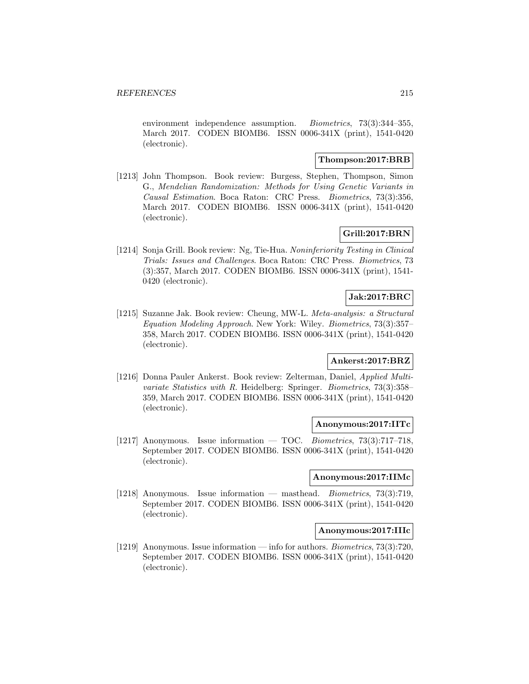environment independence assumption. *Biometrics*, 73(3):344–355, March 2017. CODEN BIOMB6. ISSN 0006-341X (print), 1541-0420 (electronic).

### **Thompson:2017:BRB**

[1213] John Thompson. Book review: Burgess, Stephen, Thompson, Simon G., Mendelian Randomization: Methods for Using Genetic Variants in Causal Estimation. Boca Raton: CRC Press. Biometrics, 73(3):356, March 2017. CODEN BIOMB6. ISSN 0006-341X (print), 1541-0420 (electronic).

# **Grill:2017:BRN**

[1214] Sonja Grill. Book review: Ng, Tie-Hua. Noninferiority Testing in Clinical Trials: Issues and Challenges. Boca Raton: CRC Press. Biometrics, 73 (3):357, March 2017. CODEN BIOMB6. ISSN 0006-341X (print), 1541- 0420 (electronic).

### **Jak:2017:BRC**

[1215] Suzanne Jak. Book review: Cheung, MW-L. Meta-analysis: a Structural Equation Modeling Approach. New York: Wiley. Biometrics, 73(3):357– 358, March 2017. CODEN BIOMB6. ISSN 0006-341X (print), 1541-0420 (electronic).

## **Ankerst:2017:BRZ**

[1216] Donna Pauler Ankerst. Book review: Zelterman, Daniel, Applied Multivariate Statistics with R. Heidelberg: Springer. Biometrics, 73(3):358– 359, March 2017. CODEN BIOMB6. ISSN 0006-341X (print), 1541-0420 (electronic).

#### **Anonymous:2017:IITc**

[1217] Anonymous. Issue information — TOC. Biometrics, 73(3):717-718, September 2017. CODEN BIOMB6. ISSN 0006-341X (print), 1541-0420 (electronic).

### **Anonymous:2017:IIMc**

[1218] Anonymous. Issue information — masthead. Biometrics, 73(3):719, September 2017. CODEN BIOMB6. ISSN 0006-341X (print), 1541-0420 (electronic).

#### **Anonymous:2017:IIIc**

[1219] Anonymous. Issue information — info for authors. Biometrics, 73(3):720, September 2017. CODEN BIOMB6. ISSN 0006-341X (print), 1541-0420 (electronic).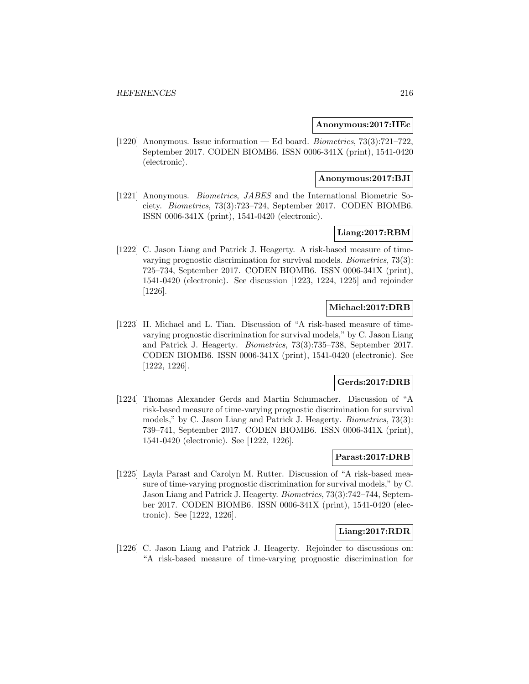#### **Anonymous:2017:IIEc**

[1220] Anonymous. Issue information — Ed board. Biometrics, 73(3):721–722, September 2017. CODEN BIOMB6. ISSN 0006-341X (print), 1541-0420 (electronic).

#### **Anonymous:2017:BJI**

[1221] Anonymous. Biometrics, JABES and the International Biometric Society. Biometrics, 73(3):723–724, September 2017. CODEN BIOMB6. ISSN 0006-341X (print), 1541-0420 (electronic).

### **Liang:2017:RBM**

[1222] C. Jason Liang and Patrick J. Heagerty. A risk-based measure of timevarying prognostic discrimination for survival models. Biometrics, 73(3): 725–734, September 2017. CODEN BIOMB6. ISSN 0006-341X (print), 1541-0420 (electronic). See discussion [1223, 1224, 1225] and rejoinder [1226].

### **Michael:2017:DRB**

[1223] H. Michael and L. Tian. Discussion of "A risk-based measure of timevarying prognostic discrimination for survival models," by C. Jason Liang and Patrick J. Heagerty. Biometrics, 73(3):735–738, September 2017. CODEN BIOMB6. ISSN 0006-341X (print), 1541-0420 (electronic). See [1222, 1226].

### **Gerds:2017:DRB**

[1224] Thomas Alexander Gerds and Martin Schumacher. Discussion of "A risk-based measure of time-varying prognostic discrimination for survival models," by C. Jason Liang and Patrick J. Heagerty. Biometrics, 73(3): 739–741, September 2017. CODEN BIOMB6. ISSN 0006-341X (print), 1541-0420 (electronic). See [1222, 1226].

## **Parast:2017:DRB**

[1225] Layla Parast and Carolyn M. Rutter. Discussion of "A risk-based measure of time-varying prognostic discrimination for survival models," by C. Jason Liang and Patrick J. Heagerty. Biometrics, 73(3):742–744, September 2017. CODEN BIOMB6. ISSN 0006-341X (print), 1541-0420 (electronic). See [1222, 1226].

## **Liang:2017:RDR**

[1226] C. Jason Liang and Patrick J. Heagerty. Rejoinder to discussions on: "A risk-based measure of time-varying prognostic discrimination for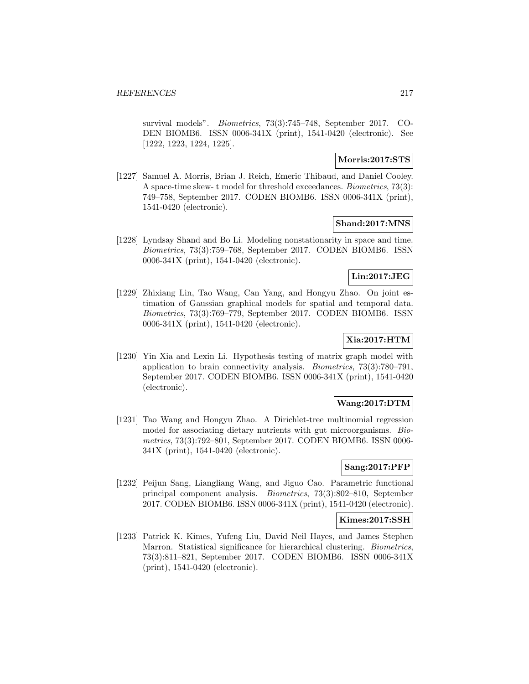survival models". Biometrics, 73(3):745–748, September 2017. CO-DEN BIOMB6. ISSN 0006-341X (print), 1541-0420 (electronic). See [1222, 1223, 1224, 1225].

## **Morris:2017:STS**

[1227] Samuel A. Morris, Brian J. Reich, Emeric Thibaud, and Daniel Cooley. A space-time skew- t model for threshold exceedances. Biometrics, 73(3): 749–758, September 2017. CODEN BIOMB6. ISSN 0006-341X (print), 1541-0420 (electronic).

#### **Shand:2017:MNS**

[1228] Lyndsay Shand and Bo Li. Modeling nonstationarity in space and time. Biometrics, 73(3):759–768, September 2017. CODEN BIOMB6. ISSN 0006-341X (print), 1541-0420 (electronic).

# **Lin:2017:JEG**

[1229] Zhixiang Lin, Tao Wang, Can Yang, and Hongyu Zhao. On joint estimation of Gaussian graphical models for spatial and temporal data. Biometrics, 73(3):769–779, September 2017. CODEN BIOMB6. ISSN 0006-341X (print), 1541-0420 (electronic).

# **Xia:2017:HTM**

[1230] Yin Xia and Lexin Li. Hypothesis testing of matrix graph model with application to brain connectivity analysis. Biometrics, 73(3):780–791, September 2017. CODEN BIOMB6. ISSN 0006-341X (print), 1541-0420 (electronic).

### **Wang:2017:DTM**

[1231] Tao Wang and Hongyu Zhao. A Dirichlet-tree multinomial regression model for associating dietary nutrients with gut microorganisms. Biometrics, 73(3):792–801, September 2017. CODEN BIOMB6. ISSN 0006- 341X (print), 1541-0420 (electronic).

### **Sang:2017:PFP**

[1232] Peijun Sang, Liangliang Wang, and Jiguo Cao. Parametric functional principal component analysis. Biometrics, 73(3):802–810, September 2017. CODEN BIOMB6. ISSN 0006-341X (print), 1541-0420 (electronic).

#### **Kimes:2017:SSH**

[1233] Patrick K. Kimes, Yufeng Liu, David Neil Hayes, and James Stephen Marron. Statistical significance for hierarchical clustering. Biometrics, 73(3):811–821, September 2017. CODEN BIOMB6. ISSN 0006-341X (print), 1541-0420 (electronic).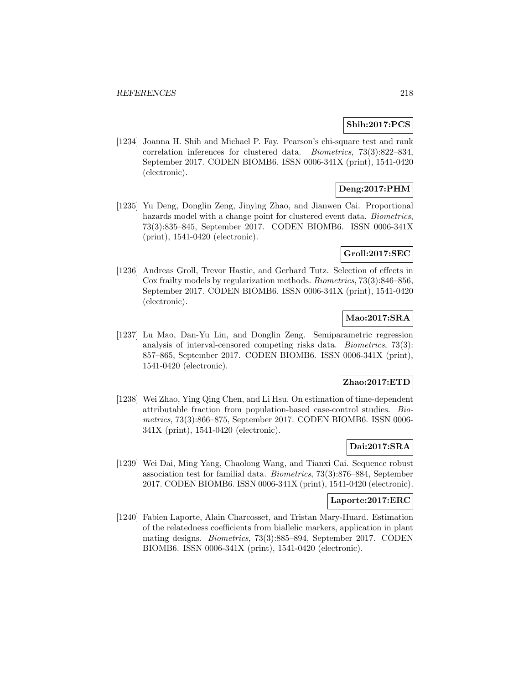## **Shih:2017:PCS**

[1234] Joanna H. Shih and Michael P. Fay. Pearson's chi-square test and rank correlation inferences for clustered data. Biometrics, 73(3):822–834, September 2017. CODEN BIOMB6. ISSN 0006-341X (print), 1541-0420 (electronic).

# **Deng:2017:PHM**

[1235] Yu Deng, Donglin Zeng, Jinying Zhao, and Jianwen Cai. Proportional hazards model with a change point for clustered event data. *Biometrics*, 73(3):835–845, September 2017. CODEN BIOMB6. ISSN 0006-341X (print), 1541-0420 (electronic).

#### **Groll:2017:SEC**

[1236] Andreas Groll, Trevor Hastie, and Gerhard Tutz. Selection of effects in Cox frailty models by regularization methods. Biometrics, 73(3):846–856, September 2017. CODEN BIOMB6. ISSN 0006-341X (print), 1541-0420 (electronic).

# **Mao:2017:SRA**

[1237] Lu Mao, Dan-Yu Lin, and Donglin Zeng. Semiparametric regression analysis of interval-censored competing risks data. Biometrics, 73(3): 857–865, September 2017. CODEN BIOMB6. ISSN 0006-341X (print), 1541-0420 (electronic).

#### **Zhao:2017:ETD**

[1238] Wei Zhao, Ying Qing Chen, and Li Hsu. On estimation of time-dependent attributable fraction from population-based case-control studies. Biometrics, 73(3):866–875, September 2017. CODEN BIOMB6. ISSN 0006- 341X (print), 1541-0420 (electronic).

# **Dai:2017:SRA**

[1239] Wei Dai, Ming Yang, Chaolong Wang, and Tianxi Cai. Sequence robust association test for familial data. Biometrics, 73(3):876–884, September 2017. CODEN BIOMB6. ISSN 0006-341X (print), 1541-0420 (electronic).

#### **Laporte:2017:ERC**

[1240] Fabien Laporte, Alain Charcosset, and Tristan Mary-Huard. Estimation of the relatedness coefficients from biallelic markers, application in plant mating designs. Biometrics, 73(3):885–894, September 2017. CODEN BIOMB6. ISSN 0006-341X (print), 1541-0420 (electronic).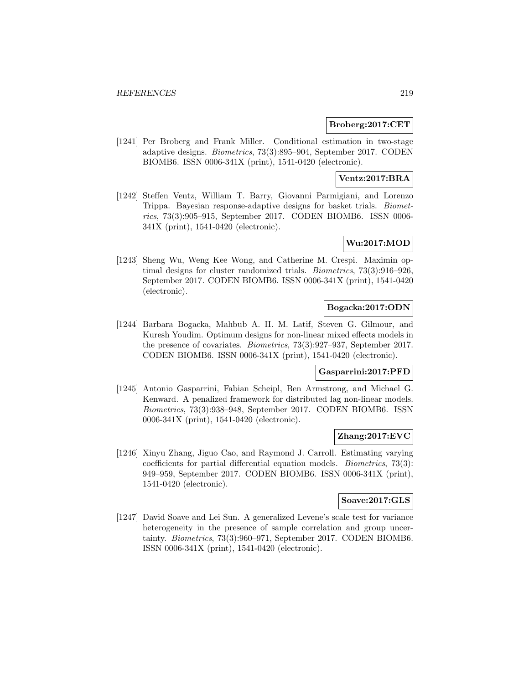#### **Broberg:2017:CET**

[1241] Per Broberg and Frank Miller. Conditional estimation in two-stage adaptive designs. Biometrics, 73(3):895–904, September 2017. CODEN BIOMB6. ISSN 0006-341X (print), 1541-0420 (electronic).

# **Ventz:2017:BRA**

[1242] Steffen Ventz, William T. Barry, Giovanni Parmigiani, and Lorenzo Trippa. Bayesian response-adaptive designs for basket trials. Biometrics, 73(3):905–915, September 2017. CODEN BIOMB6. ISSN 0006- 341X (print), 1541-0420 (electronic).

# **Wu:2017:MOD**

[1243] Sheng Wu, Weng Kee Wong, and Catherine M. Crespi. Maximin optimal designs for cluster randomized trials. Biometrics, 73(3):916–926, September 2017. CODEN BIOMB6. ISSN 0006-341X (print), 1541-0420 (electronic).

### **Bogacka:2017:ODN**

[1244] Barbara Bogacka, Mahbub A. H. M. Latif, Steven G. Gilmour, and Kuresh Youdim. Optimum designs for non-linear mixed effects models in the presence of covariates. Biometrics, 73(3):927–937, September 2017. CODEN BIOMB6. ISSN 0006-341X (print), 1541-0420 (electronic).

# **Gasparrini:2017:PFD**

[1245] Antonio Gasparrini, Fabian Scheipl, Ben Armstrong, and Michael G. Kenward. A penalized framework for distributed lag non-linear models. Biometrics, 73(3):938–948, September 2017. CODEN BIOMB6. ISSN 0006-341X (print), 1541-0420 (electronic).

#### **Zhang:2017:EVC**

[1246] Xinyu Zhang, Jiguo Cao, and Raymond J. Carroll. Estimating varying coefficients for partial differential equation models. Biometrics, 73(3): 949–959, September 2017. CODEN BIOMB6. ISSN 0006-341X (print), 1541-0420 (electronic).

# **Soave:2017:GLS**

[1247] David Soave and Lei Sun. A generalized Levene's scale test for variance heterogeneity in the presence of sample correlation and group uncertainty. Biometrics, 73(3):960–971, September 2017. CODEN BIOMB6. ISSN 0006-341X (print), 1541-0420 (electronic).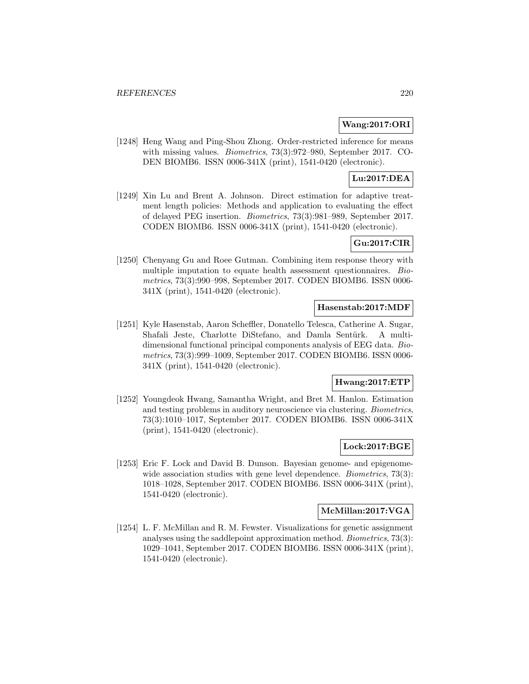### **Wang:2017:ORI**

[1248] Heng Wang and Ping-Shou Zhong. Order-restricted inference for means with missing values. Biometrics, 73(3):972–980, September 2017. CO-DEN BIOMB6. ISSN 0006-341X (print), 1541-0420 (electronic).

# **Lu:2017:DEA**

[1249] Xin Lu and Brent A. Johnson. Direct estimation for adaptive treatment length policies: Methods and application to evaluating the effect of delayed PEG insertion. Biometrics, 73(3):981–989, September 2017. CODEN BIOMB6. ISSN 0006-341X (print), 1541-0420 (electronic).

## **Gu:2017:CIR**

[1250] Chenyang Gu and Roee Gutman. Combining item response theory with multiple imputation to equate health assessment questionnaires. Biometrics, 73(3):990–998, September 2017. CODEN BIOMB6. ISSN 0006- 341X (print), 1541-0420 (electronic).

### **Hasenstab:2017:MDF**

[1251] Kyle Hasenstab, Aaron Scheffler, Donatello Telesca, Catherine A. Sugar, Shafali Jeste, Charlotte DiStefano, and Damla Sentürk. A multidimensional functional principal components analysis of EEG data. Biometrics, 73(3):999–1009, September 2017. CODEN BIOMB6. ISSN 0006- 341X (print), 1541-0420 (electronic).

#### **Hwang:2017:ETP**

[1252] Youngdeok Hwang, Samantha Wright, and Bret M. Hanlon. Estimation and testing problems in auditory neuroscience via clustering. Biometrics, 73(3):1010–1017, September 2017. CODEN BIOMB6. ISSN 0006-341X (print), 1541-0420 (electronic).

### **Lock:2017:BGE**

[1253] Eric F. Lock and David B. Dunson. Bayesian genome- and epigenomewide association studies with gene level dependence. *Biometrics*, 73(3): 1018–1028, September 2017. CODEN BIOMB6. ISSN 0006-341X (print), 1541-0420 (electronic).

### **McMillan:2017:VGA**

[1254] L. F. McMillan and R. M. Fewster. Visualizations for genetic assignment analyses using the saddlepoint approximation method. Biometrics, 73(3): 1029–1041, September 2017. CODEN BIOMB6. ISSN 0006-341X (print), 1541-0420 (electronic).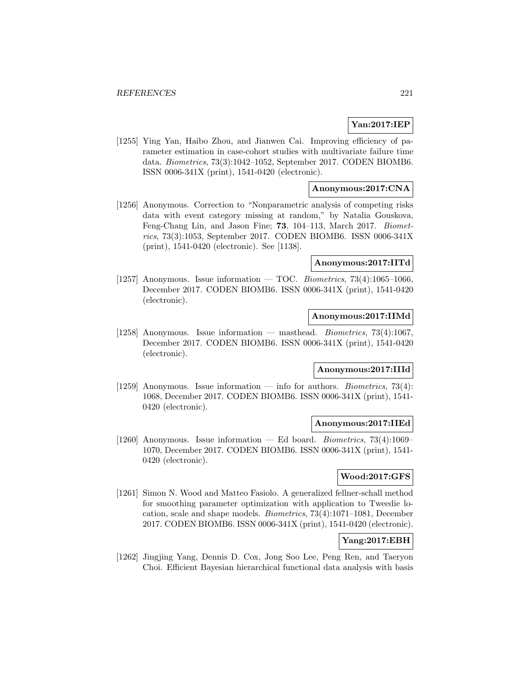# **Yan:2017:IEP**

[1255] Ying Yan, Haibo Zhou, and Jianwen Cai. Improving efficiency of parameter estimation in case-cohort studies with multivariate failure time data. Biometrics, 73(3):1042–1052, September 2017. CODEN BIOMB6. ISSN 0006-341X (print), 1541-0420 (electronic).

# **Anonymous:2017:CNA**

[1256] Anonymous. Correction to "Nonparametric analysis of competing risks data with event category missing at random," by Natalia Gouskova, Feng-Chang Lin, and Jason Fine; **73**, 104–113, March 2017. Biometrics, 73(3):1053, September 2017. CODEN BIOMB6. ISSN 0006-341X (print), 1541-0420 (electronic). See [1138].

### **Anonymous:2017:IITd**

[1257] Anonymous. Issue information — TOC. Biometrics,  $73(4):1065-1066$ , December 2017. CODEN BIOMB6. ISSN 0006-341X (print), 1541-0420 (electronic).

#### **Anonymous:2017:IIMd**

[1258] Anonymous. Issue information — masthead. Biometrics, 73(4):1067, December 2017. CODEN BIOMB6. ISSN 0006-341X (print), 1541-0420 (electronic).

# **Anonymous:2017:IIId**

[1259] Anonymous. Issue information — info for authors. *Biometrics*, 73(4): 1068, December 2017. CODEN BIOMB6. ISSN 0006-341X (print), 1541- 0420 (electronic).

#### **Anonymous:2017:IIEd**

[1260] Anonymous. Issue information — Ed board. Biometrics, 73(4):1069– 1070, December 2017. CODEN BIOMB6. ISSN 0006-341X (print), 1541- 0420 (electronic).

# **Wood:2017:GFS**

[1261] Simon N. Wood and Matteo Fasiolo. A generalized fellner-schall method for smoothing parameter optimization with application to Tweedie location, scale and shape models. Biometrics, 73(4):1071–1081, December 2017. CODEN BIOMB6. ISSN 0006-341X (print), 1541-0420 (electronic).

# **Yang:2017:EBH**

[1262] Jingjing Yang, Dennis D. Cox, Jong Soo Lee, Peng Ren, and Taeryon Choi. Efficient Bayesian hierarchical functional data analysis with basis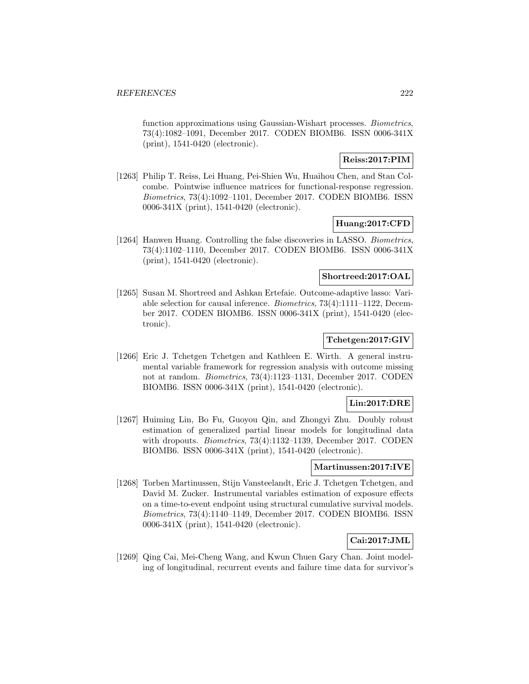function approximations using Gaussian-Wishart processes. *Biometrics*, 73(4):1082–1091, December 2017. CODEN BIOMB6. ISSN 0006-341X (print), 1541-0420 (electronic).

# **Reiss:2017:PIM**

[1263] Philip T. Reiss, Lei Huang, Pei-Shien Wu, Huaihou Chen, and Stan Colcombe. Pointwise influence matrices for functional-response regression. Biometrics, 73(4):1092–1101, December 2017. CODEN BIOMB6. ISSN 0006-341X (print), 1541-0420 (electronic).

#### **Huang:2017:CFD**

[1264] Hanwen Huang. Controlling the false discoveries in LASSO. Biometrics, 73(4):1102–1110, December 2017. CODEN BIOMB6. ISSN 0006-341X (print), 1541-0420 (electronic).

## **Shortreed:2017:OAL**

[1265] Susan M. Shortreed and Ashkan Ertefaie. Outcome-adaptive lasso: Variable selection for causal inference. Biometrics, 73(4):1111–1122, December 2017. CODEN BIOMB6. ISSN 0006-341X (print), 1541-0420 (electronic).

# **Tchetgen:2017:GIV**

[1266] Eric J. Tchetgen Tchetgen and Kathleen E. Wirth. A general instrumental variable framework for regression analysis with outcome missing not at random. Biometrics, 73(4):1123–1131, December 2017. CODEN BIOMB6. ISSN 0006-341X (print), 1541-0420 (electronic).

## **Lin:2017:DRE**

[1267] Huiming Lin, Bo Fu, Guoyou Qin, and Zhongyi Zhu. Doubly robust estimation of generalized partial linear models for longitudinal data with dropouts. *Biometrics*, 73(4):1132-1139, December 2017. CODEN BIOMB6. ISSN 0006-341X (print), 1541-0420 (electronic).

#### **Martinussen:2017:IVE**

[1268] Torben Martinussen, Stijn Vansteelandt, Eric J. Tchetgen Tchetgen, and David M. Zucker. Instrumental variables estimation of exposure effects on a time-to-event endpoint using structural cumulative survival models. Biometrics, 73(4):1140–1149, December 2017. CODEN BIOMB6. ISSN 0006-341X (print), 1541-0420 (electronic).

# **Cai:2017:JML**

[1269] Qing Cai, Mei-Cheng Wang, and Kwun Chuen Gary Chan. Joint modeling of longitudinal, recurrent events and failure time data for survivor's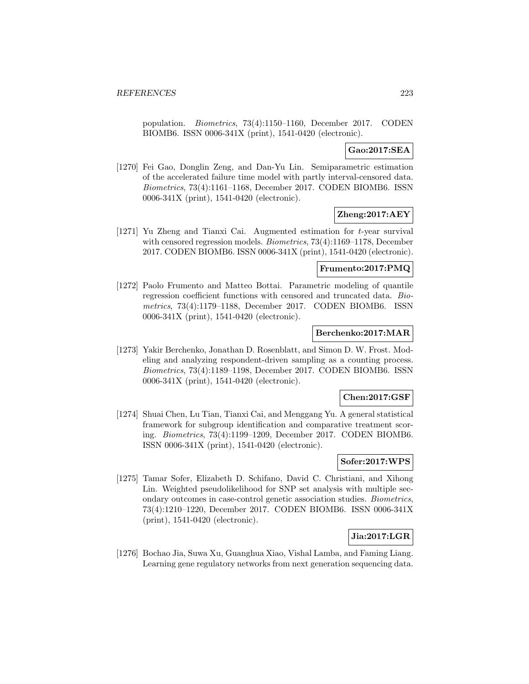population. Biometrics, 73(4):1150–1160, December 2017. CODEN BIOMB6. ISSN 0006-341X (print), 1541-0420 (electronic).

# **Gao:2017:SEA**

[1270] Fei Gao, Donglin Zeng, and Dan-Yu Lin. Semiparametric estimation of the accelerated failure time model with partly interval-censored data. Biometrics, 73(4):1161–1168, December 2017. CODEN BIOMB6. ISSN 0006-341X (print), 1541-0420 (electronic).

# **Zheng:2017:AEY**

[1271] Yu Zheng and Tianxi Cai. Augmented estimation for t-year survival with censored regression models. *Biometrics*, 73(4):1169–1178, December 2017. CODEN BIOMB6. ISSN 0006-341X (print), 1541-0420 (electronic).

#### **Frumento:2017:PMQ**

[1272] Paolo Frumento and Matteo Bottai. Parametric modeling of quantile regression coefficient functions with censored and truncated data. Biometrics, 73(4):1179–1188, December 2017. CODEN BIOMB6. ISSN 0006-341X (print), 1541-0420 (electronic).

## **Berchenko:2017:MAR**

[1273] Yakir Berchenko, Jonathan D. Rosenblatt, and Simon D. W. Frost. Modeling and analyzing respondent-driven sampling as a counting process. Biometrics, 73(4):1189–1198, December 2017. CODEN BIOMB6. ISSN 0006-341X (print), 1541-0420 (electronic).

#### **Chen:2017:GSF**

[1274] Shuai Chen, Lu Tian, Tianxi Cai, and Menggang Yu. A general statistical framework for subgroup identification and comparative treatment scoring. Biometrics, 73(4):1199–1209, December 2017. CODEN BIOMB6. ISSN 0006-341X (print), 1541-0420 (electronic).

#### **Sofer:2017:WPS**

[1275] Tamar Sofer, Elizabeth D. Schifano, David C. Christiani, and Xihong Lin. Weighted pseudolikelihood for SNP set analysis with multiple secondary outcomes in case-control genetic association studies. Biometrics, 73(4):1210–1220, December 2017. CODEN BIOMB6. ISSN 0006-341X (print), 1541-0420 (electronic).

# **Jia:2017:LGR**

[1276] Bochao Jia, Suwa Xu, Guanghua Xiao, Vishal Lamba, and Faming Liang. Learning gene regulatory networks from next generation sequencing data.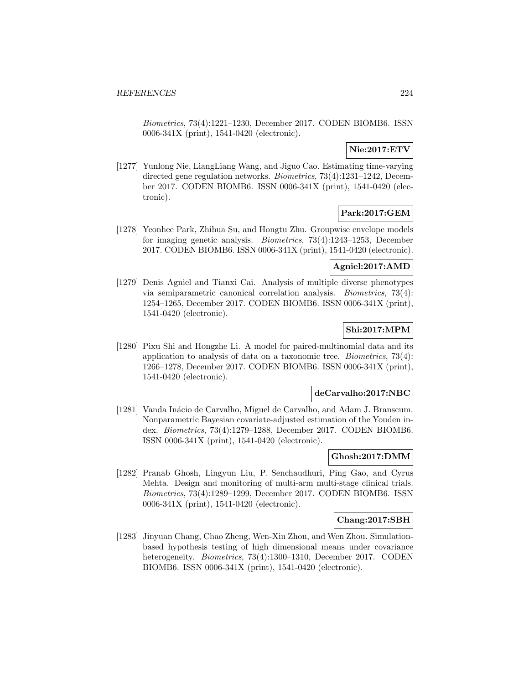Biometrics, 73(4):1221–1230, December 2017. CODEN BIOMB6. ISSN 0006-341X (print), 1541-0420 (electronic).

# **Nie:2017:ETV**

[1277] Yunlong Nie, LiangLiang Wang, and Jiguo Cao. Estimating time-varying directed gene regulation networks. Biometrics, 73(4):1231–1242, December 2017. CODEN BIOMB6. ISSN 0006-341X (print), 1541-0420 (electronic).

# **Park:2017:GEM**

[1278] Yeonhee Park, Zhihua Su, and Hongtu Zhu. Groupwise envelope models for imaging genetic analysis. Biometrics, 73(4):1243–1253, December 2017. CODEN BIOMB6. ISSN 0006-341X (print), 1541-0420 (electronic).

#### **Agniel:2017:AMD**

[1279] Denis Agniel and Tianxi Cai. Analysis of multiple diverse phenotypes via semiparametric canonical correlation analysis. Biometrics, 73(4): 1254–1265, December 2017. CODEN BIOMB6. ISSN 0006-341X (print), 1541-0420 (electronic).

## **Shi:2017:MPM**

[1280] Pixu Shi and Hongzhe Li. A model for paired-multinomial data and its application to analysis of data on a taxonomic tree. Biometrics, 73(4): 1266–1278, December 2017. CODEN BIOMB6. ISSN 0006-341X (print), 1541-0420 (electronic).

#### **deCarvalho:2017:NBC**

[1281] Vanda Inácio de Carvalho, Miguel de Carvalho, and Adam J. Branscum. Nonparametric Bayesian covariate-adjusted estimation of the Youden index. Biometrics, 73(4):1279–1288, December 2017. CODEN BIOMB6. ISSN 0006-341X (print), 1541-0420 (electronic).

### **Ghosh:2017:DMM**

[1282] Pranab Ghosh, Lingyun Liu, P. Senchaudhuri, Ping Gao, and Cyrus Mehta. Design and monitoring of multi-arm multi-stage clinical trials. Biometrics, 73(4):1289–1299, December 2017. CODEN BIOMB6. ISSN 0006-341X (print), 1541-0420 (electronic).

# **Chang:2017:SBH**

[1283] Jinyuan Chang, Chao Zheng, Wen-Xin Zhou, and Wen Zhou. Simulationbased hypothesis testing of high dimensional means under covariance heterogeneity. *Biometrics*, 73(4):1300–1310, December 2017. CODEN BIOMB6. ISSN 0006-341X (print), 1541-0420 (electronic).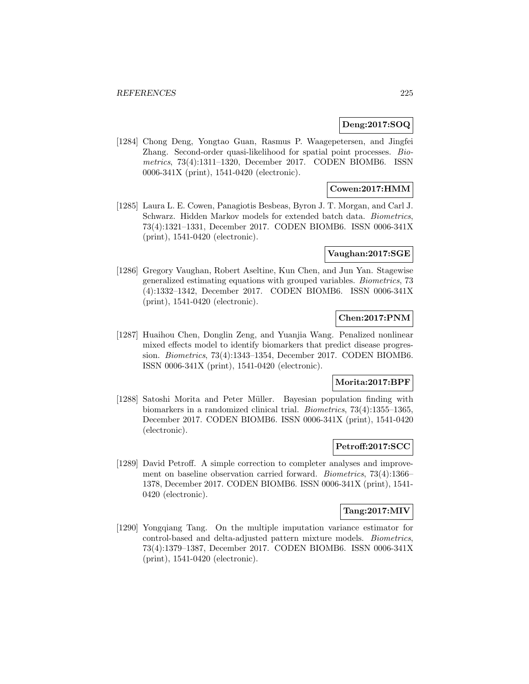### **Deng:2017:SOQ**

[1284] Chong Deng, Yongtao Guan, Rasmus P. Waagepetersen, and Jingfei Zhang. Second-order quasi-likelihood for spatial point processes. Biometrics, 73(4):1311–1320, December 2017. CODEN BIOMB6. ISSN 0006-341X (print), 1541-0420 (electronic).

# **Cowen:2017:HMM**

[1285] Laura L. E. Cowen, Panagiotis Besbeas, Byron J. T. Morgan, and Carl J. Schwarz. Hidden Markov models for extended batch data. Biometrics, 73(4):1321–1331, December 2017. CODEN BIOMB6. ISSN 0006-341X (print), 1541-0420 (electronic).

#### **Vaughan:2017:SGE**

[1286] Gregory Vaughan, Robert Aseltine, Kun Chen, and Jun Yan. Stagewise generalized estimating equations with grouped variables. Biometrics, 73 (4):1332–1342, December 2017. CODEN BIOMB6. ISSN 0006-341X (print), 1541-0420 (electronic).

# **Chen:2017:PNM**

[1287] Huaihou Chen, Donglin Zeng, and Yuanjia Wang. Penalized nonlinear mixed effects model to identify biomarkers that predict disease progression. Biometrics, 73(4):1343–1354, December 2017. CODEN BIOMB6. ISSN 0006-341X (print), 1541-0420 (electronic).

#### **Morita:2017:BPF**

[1288] Satoshi Morita and Peter Müller. Bayesian population finding with biomarkers in a randomized clinical trial. Biometrics, 73(4):1355–1365, December 2017. CODEN BIOMB6. ISSN 0006-341X (print), 1541-0420 (electronic).

### **Petroff:2017:SCC**

[1289] David Petroff. A simple correction to completer analyses and improvement on baseline observation carried forward. Biometrics, 73(4):1366– 1378, December 2017. CODEN BIOMB6. ISSN 0006-341X (print), 1541- 0420 (electronic).

### **Tang:2017:MIV**

[1290] Yongqiang Tang. On the multiple imputation variance estimator for control-based and delta-adjusted pattern mixture models. Biometrics, 73(4):1379–1387, December 2017. CODEN BIOMB6. ISSN 0006-341X (print), 1541-0420 (electronic).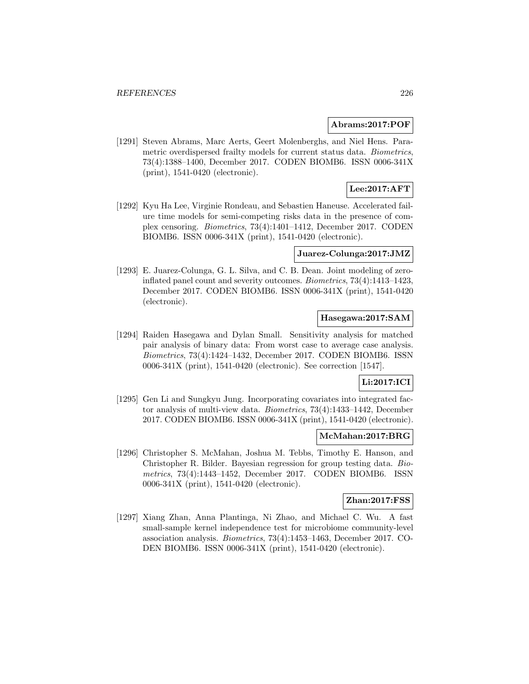#### **Abrams:2017:POF**

[1291] Steven Abrams, Marc Aerts, Geert Molenberghs, and Niel Hens. Parametric overdispersed frailty models for current status data. Biometrics, 73(4):1388–1400, December 2017. CODEN BIOMB6. ISSN 0006-341X (print), 1541-0420 (electronic).

# **Lee:2017:AFT**

[1292] Kyu Ha Lee, Virginie Rondeau, and Sebastien Haneuse. Accelerated failure time models for semi-competing risks data in the presence of complex censoring. Biometrics, 73(4):1401–1412, December 2017. CODEN BIOMB6. ISSN 0006-341X (print), 1541-0420 (electronic).

#### **Juarez-Colunga:2017:JMZ**

[1293] E. Juarez-Colunga, G. L. Silva, and C. B. Dean. Joint modeling of zeroinflated panel count and severity outcomes. Biometrics, 73(4):1413–1423, December 2017. CODEN BIOMB6. ISSN 0006-341X (print), 1541-0420 (electronic).

# **Hasegawa:2017:SAM**

[1294] Raiden Hasegawa and Dylan Small. Sensitivity analysis for matched pair analysis of binary data: From worst case to average case analysis. Biometrics, 73(4):1424–1432, December 2017. CODEN BIOMB6. ISSN 0006-341X (print), 1541-0420 (electronic). See correction [1547].

# **Li:2017:ICI**

[1295] Gen Li and Sungkyu Jung. Incorporating covariates into integrated factor analysis of multi-view data. Biometrics, 73(4):1433–1442, December 2017. CODEN BIOMB6. ISSN 0006-341X (print), 1541-0420 (electronic).

#### **McMahan:2017:BRG**

[1296] Christopher S. McMahan, Joshua M. Tebbs, Timothy E. Hanson, and Christopher R. Bilder. Bayesian regression for group testing data. Biometrics, 73(4):1443–1452, December 2017. CODEN BIOMB6. ISSN 0006-341X (print), 1541-0420 (electronic).

#### **Zhan:2017:FSS**

[1297] Xiang Zhan, Anna Plantinga, Ni Zhao, and Michael C. Wu. A fast small-sample kernel independence test for microbiome community-level association analysis. Biometrics, 73(4):1453–1463, December 2017. CO-DEN BIOMB6. ISSN 0006-341X (print), 1541-0420 (electronic).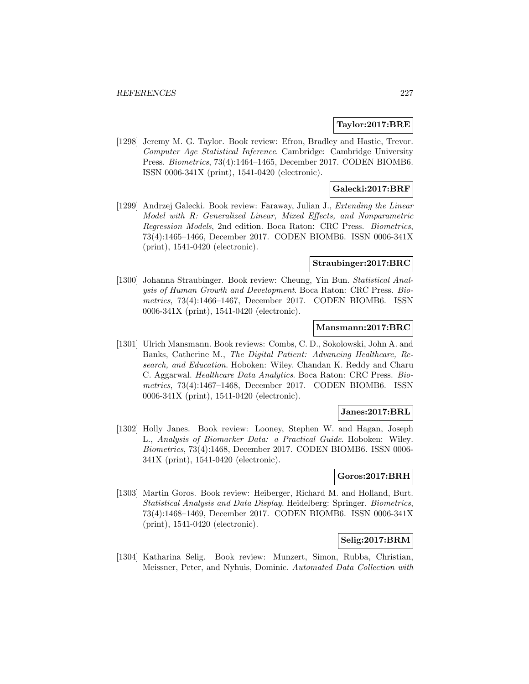#### **Taylor:2017:BRE**

[1298] Jeremy M. G. Taylor. Book review: Efron, Bradley and Hastie, Trevor. Computer Age Statistical Inference. Cambridge: Cambridge University Press. Biometrics, 73(4):1464–1465, December 2017. CODEN BIOMB6. ISSN 0006-341X (print), 1541-0420 (electronic).

### **Galecki:2017:BRF**

[1299] Andrzej Galecki. Book review: Faraway, Julian J., Extending the Linear Model with R: Generalized Linear, Mixed Effects, and Nonparametric Regression Models, 2nd edition. Boca Raton: CRC Press. Biometrics, 73(4):1465–1466, December 2017. CODEN BIOMB6. ISSN 0006-341X (print), 1541-0420 (electronic).

#### **Straubinger:2017:BRC**

[1300] Johanna Straubinger. Book review: Cheung, Yin Bun. Statistical Analysis of Human Growth and Development. Boca Raton: CRC Press. Biometrics, 73(4):1466–1467, December 2017. CODEN BIOMB6. ISSN 0006-341X (print), 1541-0420 (electronic).

#### **Mansmann:2017:BRC**

[1301] Ulrich Mansmann. Book reviews: Combs, C. D., Sokolowski, John A. and Banks, Catherine M., The Digital Patient: Advancing Healthcare, Research, and Education. Hoboken: Wiley. Chandan K. Reddy and Charu C. Aggarwal. Healthcare Data Analytics. Boca Raton: CRC Press. Biometrics, 73(4):1467–1468, December 2017. CODEN BIOMB6. ISSN 0006-341X (print), 1541-0420 (electronic).

# **Janes:2017:BRL**

[1302] Holly Janes. Book review: Looney, Stephen W. and Hagan, Joseph L., Analysis of Biomarker Data: a Practical Guide. Hoboken: Wiley. Biometrics, 73(4):1468, December 2017. CODEN BIOMB6. ISSN 0006- 341X (print), 1541-0420 (electronic).

### **Goros:2017:BRH**

[1303] Martin Goros. Book review: Heiberger, Richard M. and Holland, Burt. Statistical Analysis and Data Display. Heidelberg: Springer. Biometrics, 73(4):1468–1469, December 2017. CODEN BIOMB6. ISSN 0006-341X (print), 1541-0420 (electronic).

## **Selig:2017:BRM**

[1304] Katharina Selig. Book review: Munzert, Simon, Rubba, Christian, Meissner, Peter, and Nyhuis, Dominic. Automated Data Collection with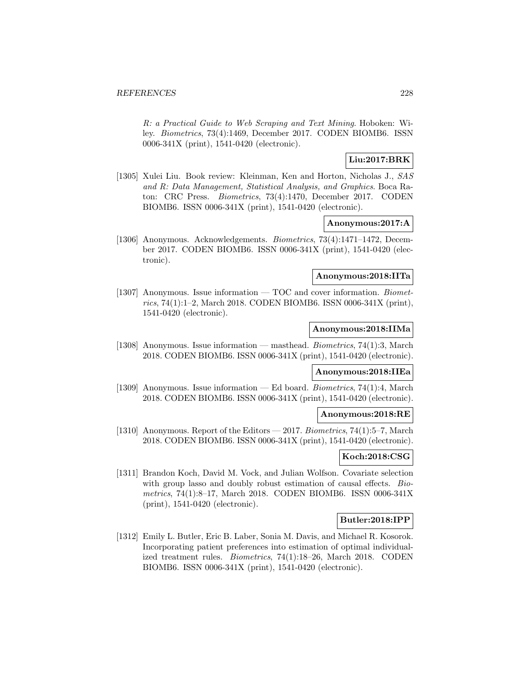R: a Practical Guide to Web Scraping and Text Mining. Hoboken: Wiley. Biometrics, 73(4):1469, December 2017. CODEN BIOMB6. ISSN 0006-341X (print), 1541-0420 (electronic).

# **Liu:2017:BRK**

[1305] Xulei Liu. Book review: Kleinman, Ken and Horton, Nicholas J., SAS and R: Data Management, Statistical Analysis, and Graphics. Boca Raton: CRC Press. Biometrics, 73(4):1470, December 2017. CODEN BIOMB6. ISSN 0006-341X (print), 1541-0420 (electronic).

#### **Anonymous:2017:A**

[1306] Anonymous. Acknowledgements. Biometrics, 73(4):1471–1472, December 2017. CODEN BIOMB6. ISSN 0006-341X (print), 1541-0420 (electronic).

# **Anonymous:2018:IITa**

[1307] Anonymous. Issue information — TOC and cover information. Biometrics, 74(1):1–2, March 2018. CODEN BIOMB6. ISSN 0006-341X (print), 1541-0420 (electronic).

#### **Anonymous:2018:IIMa**

[1308] Anonymous. Issue information — masthead. Biometrics, 74(1):3, March 2018. CODEN BIOMB6. ISSN 0006-341X (print), 1541-0420 (electronic).

# **Anonymous:2018:IIEa**

[1309] Anonymous. Issue information — Ed board. Biometrics, 74(1):4, March 2018. CODEN BIOMB6. ISSN 0006-341X (print), 1541-0420 (electronic).

#### **Anonymous:2018:RE**

[1310] Anonymous. Report of the Editors — 2017. *Biometrics*,  $74(1):5-7$ , March 2018. CODEN BIOMB6. ISSN 0006-341X (print), 1541-0420 (electronic).

# **Koch:2018:CSG**

[1311] Brandon Koch, David M. Vock, and Julian Wolfson. Covariate selection with group lasso and doubly robust estimation of causal effects. Biometrics, 74(1):8–17, March 2018. CODEN BIOMB6. ISSN 0006-341X (print), 1541-0420 (electronic).

#### **Butler:2018:IPP**

[1312] Emily L. Butler, Eric B. Laber, Sonia M. Davis, and Michael R. Kosorok. Incorporating patient preferences into estimation of optimal individualized treatment rules. Biometrics, 74(1):18–26, March 2018. CODEN BIOMB6. ISSN 0006-341X (print), 1541-0420 (electronic).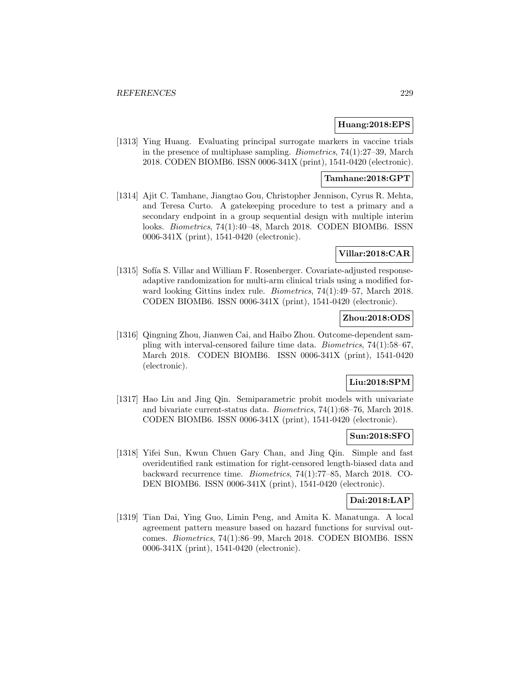#### **Huang:2018:EPS**

[1313] Ying Huang. Evaluating principal surrogate markers in vaccine trials in the presence of multiphase sampling. Biometrics, 74(1):27–39, March 2018. CODEN BIOMB6. ISSN 0006-341X (print), 1541-0420 (electronic).

#### **Tamhane:2018:GPT**

[1314] Ajit C. Tamhane, Jiangtao Gou, Christopher Jennison, Cyrus R. Mehta, and Teresa Curto. A gatekeeping procedure to test a primary and a secondary endpoint in a group sequential design with multiple interim looks. Biometrics, 74(1):40–48, March 2018. CODEN BIOMB6. ISSN 0006-341X (print), 1541-0420 (electronic).

## **Villar:2018:CAR**

[1315] Sofía S. Villar and William F. Rosenberger. Covariate-adjusted responseadaptive randomization for multi-arm clinical trials using a modified forward looking Gittins index rule. Biometrics, 74(1):49–57, March 2018. CODEN BIOMB6. ISSN 0006-341X (print), 1541-0420 (electronic).

# **Zhou:2018:ODS**

[1316] Qingning Zhou, Jianwen Cai, and Haibo Zhou. Outcome-dependent sampling with interval-censored failure time data. Biometrics, 74(1):58–67, March 2018. CODEN BIOMB6. ISSN 0006-341X (print), 1541-0420 (electronic).

#### **Liu:2018:SPM**

[1317] Hao Liu and Jing Qin. Semiparametric probit models with univariate and bivariate current-status data. Biometrics, 74(1):68–76, March 2018. CODEN BIOMB6. ISSN 0006-341X (print), 1541-0420 (electronic).

#### **Sun:2018:SFO**

[1318] Yifei Sun, Kwun Chuen Gary Chan, and Jing Qin. Simple and fast overidentified rank estimation for right-censored length-biased data and backward recurrence time. Biometrics, 74(1):77–85, March 2018. CO-DEN BIOMB6. ISSN 0006-341X (print), 1541-0420 (electronic).

#### **Dai:2018:LAP**

[1319] Tian Dai, Ying Guo, Limin Peng, and Amita K. Manatunga. A local agreement pattern measure based on hazard functions for survival outcomes. Biometrics, 74(1):86–99, March 2018. CODEN BIOMB6. ISSN 0006-341X (print), 1541-0420 (electronic).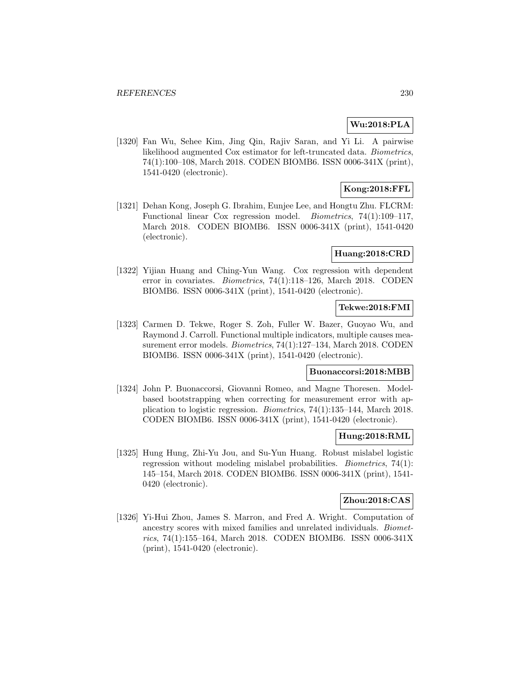# **Wu:2018:PLA**

[1320] Fan Wu, Sehee Kim, Jing Qin, Rajiv Saran, and Yi Li. A pairwise likelihood augmented Cox estimator for left-truncated data. Biometrics, 74(1):100–108, March 2018. CODEN BIOMB6. ISSN 0006-341X (print), 1541-0420 (electronic).

# **Kong:2018:FFL**

[1321] Dehan Kong, Joseph G. Ibrahim, Eunjee Lee, and Hongtu Zhu. FLCRM: Functional linear Cox regression model. Biometrics, 74(1):109–117, March 2018. CODEN BIOMB6. ISSN 0006-341X (print), 1541-0420 (electronic).

#### **Huang:2018:CRD**

[1322] Yijian Huang and Ching-Yun Wang. Cox regression with dependent error in covariates. Biometrics, 74(1):118–126, March 2018. CODEN BIOMB6. ISSN 0006-341X (print), 1541-0420 (electronic).

## **Tekwe:2018:FMI**

[1323] Carmen D. Tekwe, Roger S. Zoh, Fuller W. Bazer, Guoyao Wu, and Raymond J. Carroll. Functional multiple indicators, multiple causes measurement error models. Biometrics, 74(1):127–134, March 2018. CODEN BIOMB6. ISSN 0006-341X (print), 1541-0420 (electronic).

# **Buonaccorsi:2018:MBB**

[1324] John P. Buonaccorsi, Giovanni Romeo, and Magne Thoresen. Modelbased bootstrapping when correcting for measurement error with application to logistic regression. Biometrics, 74(1):135–144, March 2018. CODEN BIOMB6. ISSN 0006-341X (print), 1541-0420 (electronic).

# **Hung:2018:RML**

[1325] Hung Hung, Zhi-Yu Jou, and Su-Yun Huang. Robust mislabel logistic regression without modeling mislabel probabilities. Biometrics, 74(1): 145–154, March 2018. CODEN BIOMB6. ISSN 0006-341X (print), 1541- 0420 (electronic).

# **Zhou:2018:CAS**

[1326] Yi-Hui Zhou, James S. Marron, and Fred A. Wright. Computation of ancestry scores with mixed families and unrelated individuals. Biometrics, 74(1):155–164, March 2018. CODEN BIOMB6. ISSN 0006-341X (print), 1541-0420 (electronic).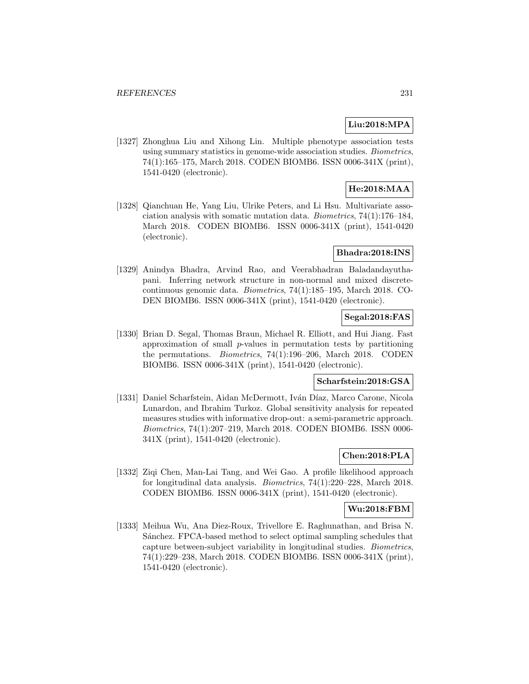# **Liu:2018:MPA**

[1327] Zhonghua Liu and Xihong Lin. Multiple phenotype association tests using summary statistics in genome-wide association studies. Biometrics, 74(1):165–175, March 2018. CODEN BIOMB6. ISSN 0006-341X (print), 1541-0420 (electronic).

# **He:2018:MAA**

[1328] Qianchuan He, Yang Liu, Ulrike Peters, and Li Hsu. Multivariate association analysis with somatic mutation data. Biometrics, 74(1):176–184, March 2018. CODEN BIOMB6. ISSN 0006-341X (print), 1541-0420 (electronic).

### **Bhadra:2018:INS**

[1329] Anindya Bhadra, Arvind Rao, and Veerabhadran Baladandayuthapani. Inferring network structure in non-normal and mixed discretecontinuous genomic data. Biometrics, 74(1):185–195, March 2018. CO-DEN BIOMB6. ISSN 0006-341X (print), 1541-0420 (electronic).

### **Segal:2018:FAS**

[1330] Brian D. Segal, Thomas Braun, Michael R. Elliott, and Hui Jiang. Fast approximation of small p-values in permutation tests by partitioning the permutations. Biometrics, 74(1):196–206, March 2018. CODEN BIOMB6. ISSN 0006-341X (print), 1541-0420 (electronic).

### **Scharfstein:2018:GSA**

[1331] Daniel Scharfstein, Aidan McDermott, Iván Díaz, Marco Carone, Nicola Lunardon, and Ibrahim Turkoz. Global sensitivity analysis for repeated measures studies with informative drop-out: a semi-parametric approach. Biometrics, 74(1):207–219, March 2018. CODEN BIOMB6. ISSN 0006- 341X (print), 1541-0420 (electronic).

# **Chen:2018:PLA**

[1332] Ziqi Chen, Man-Lai Tang, and Wei Gao. A profile likelihood approach for longitudinal data analysis. Biometrics, 74(1):220–228, March 2018. CODEN BIOMB6. ISSN 0006-341X (print), 1541-0420 (electronic).

#### **Wu:2018:FBM**

[1333] Meihua Wu, Ana Diez-Roux, Trivellore E. Raghunathan, and Brisa N. Sánchez. FPCA-based method to select optimal sampling schedules that capture between-subject variability in longitudinal studies. Biometrics, 74(1):229–238, March 2018. CODEN BIOMB6. ISSN 0006-341X (print), 1541-0420 (electronic).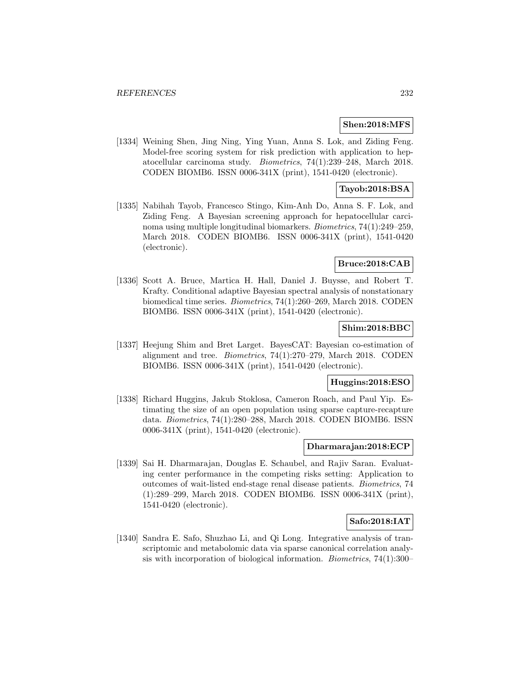#### **Shen:2018:MFS**

[1334] Weining Shen, Jing Ning, Ying Yuan, Anna S. Lok, and Ziding Feng. Model-free scoring system for risk prediction with application to hepatocellular carcinoma study. Biometrics, 74(1):239–248, March 2018. CODEN BIOMB6. ISSN 0006-341X (print), 1541-0420 (electronic).

# **Tayob:2018:BSA**

[1335] Nabihah Tayob, Francesco Stingo, Kim-Anh Do, Anna S. F. Lok, and Ziding Feng. A Bayesian screening approach for hepatocellular carcinoma using multiple longitudinal biomarkers. Biometrics, 74(1):249–259, March 2018. CODEN BIOMB6. ISSN 0006-341X (print), 1541-0420 (electronic).

#### **Bruce:2018:CAB**

[1336] Scott A. Bruce, Martica H. Hall, Daniel J. Buysse, and Robert T. Krafty. Conditional adaptive Bayesian spectral analysis of nonstationary biomedical time series. Biometrics, 74(1):260–269, March 2018. CODEN BIOMB6. ISSN 0006-341X (print), 1541-0420 (electronic).

## **Shim:2018:BBC**

[1337] Heejung Shim and Bret Larget. BayesCAT: Bayesian co-estimation of alignment and tree. Biometrics, 74(1):270–279, March 2018. CODEN BIOMB6. ISSN 0006-341X (print), 1541-0420 (electronic).

# **Huggins:2018:ESO**

[1338] Richard Huggins, Jakub Stoklosa, Cameron Roach, and Paul Yip. Estimating the size of an open population using sparse capture-recapture data. Biometrics, 74(1):280–288, March 2018. CODEN BIOMB6. ISSN 0006-341X (print), 1541-0420 (electronic).

#### **Dharmarajan:2018:ECP**

[1339] Sai H. Dharmarajan, Douglas E. Schaubel, and Rajiv Saran. Evaluating center performance in the competing risks setting: Application to outcomes of wait-listed end-stage renal disease patients. Biometrics, 74 (1):289–299, March 2018. CODEN BIOMB6. ISSN 0006-341X (print), 1541-0420 (electronic).

# **Safo:2018:IAT**

[1340] Sandra E. Safo, Shuzhao Li, and Qi Long. Integrative analysis of transcriptomic and metabolomic data via sparse canonical correlation analysis with incorporation of biological information. Biometrics, 74(1):300–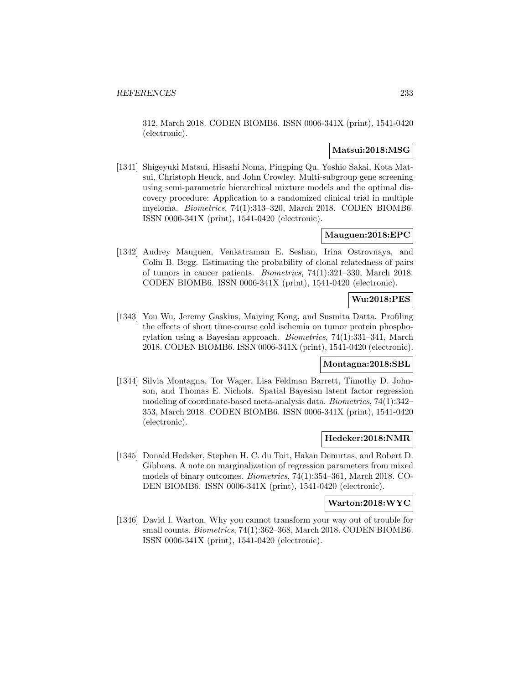312, March 2018. CODEN BIOMB6. ISSN 0006-341X (print), 1541-0420 (electronic).

# **Matsui:2018:MSG**

[1341] Shigeyuki Matsui, Hisashi Noma, Pingping Qu, Yoshio Sakai, Kota Matsui, Christoph Heuck, and John Crowley. Multi-subgroup gene screening using semi-parametric hierarchical mixture models and the optimal discovery procedure: Application to a randomized clinical trial in multiple myeloma. Biometrics, 74(1):313–320, March 2018. CODEN BIOMB6. ISSN 0006-341X (print), 1541-0420 (electronic).

# **Mauguen:2018:EPC**

[1342] Audrey Mauguen, Venkatraman E. Seshan, Irina Ostrovnaya, and Colin B. Begg. Estimating the probability of clonal relatedness of pairs of tumors in cancer patients. Biometrics, 74(1):321–330, March 2018. CODEN BIOMB6. ISSN 0006-341X (print), 1541-0420 (electronic).

# **Wu:2018:PES**

[1343] You Wu, Jeremy Gaskins, Maiying Kong, and Susmita Datta. Profiling the effects of short time-course cold ischemia on tumor protein phosphorylation using a Bayesian approach. Biometrics, 74(1):331–341, March 2018. CODEN BIOMB6. ISSN 0006-341X (print), 1541-0420 (electronic).

#### **Montagna:2018:SBL**

[1344] Silvia Montagna, Tor Wager, Lisa Feldman Barrett, Timothy D. Johnson, and Thomas E. Nichols. Spatial Bayesian latent factor regression modeling of coordinate-based meta-analysis data. Biometrics, 74(1):342– 353, March 2018. CODEN BIOMB6. ISSN 0006-341X (print), 1541-0420 (electronic).

#### **Hedeker:2018:NMR**

[1345] Donald Hedeker, Stephen H. C. du Toit, Hakan Demirtas, and Robert D. Gibbons. A note on marginalization of regression parameters from mixed models of binary outcomes. Biometrics, 74(1):354–361, March 2018. CO-DEN BIOMB6. ISSN 0006-341X (print), 1541-0420 (electronic).

#### **Warton:2018:WYC**

[1346] David I. Warton. Why you cannot transform your way out of trouble for small counts. *Biometrics*, 74(1):362–368, March 2018. CODEN BIOMB6. ISSN 0006-341X (print), 1541-0420 (electronic).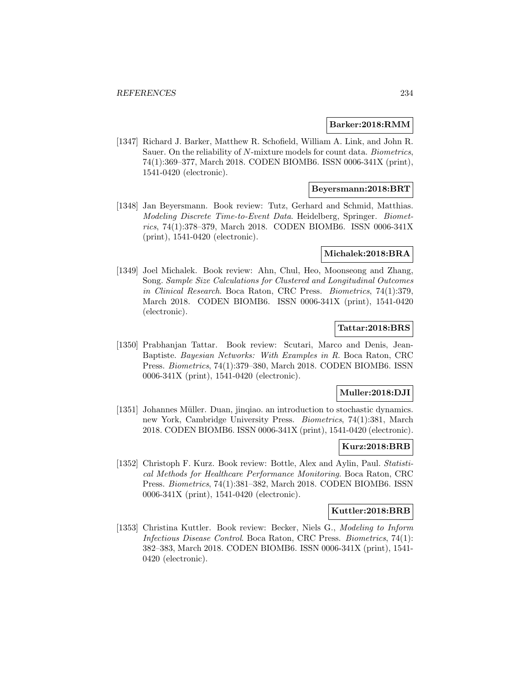#### **Barker:2018:RMM**

[1347] Richard J. Barker, Matthew R. Schofield, William A. Link, and John R. Sauer. On the reliability of N-mixture models for count data. Biometrics, 74(1):369–377, March 2018. CODEN BIOMB6. ISSN 0006-341X (print), 1541-0420 (electronic).

## **Beyersmann:2018:BRT**

[1348] Jan Beyersmann. Book review: Tutz, Gerhard and Schmid, Matthias. Modeling Discrete Time-to-Event Data. Heidelberg, Springer. Biometrics, 74(1):378–379, March 2018. CODEN BIOMB6. ISSN 0006-341X (print), 1541-0420 (electronic).

#### **Michalek:2018:BRA**

[1349] Joel Michalek. Book review: Ahn, Chul, Heo, Moonseong and Zhang, Song. Sample Size Calculations for Clustered and Longitudinal Outcomes in Clinical Research. Boca Raton, CRC Press. Biometrics, 74(1):379, March 2018. CODEN BIOMB6. ISSN 0006-341X (print), 1541-0420 (electronic).

## **Tattar:2018:BRS**

[1350] Prabhanjan Tattar. Book review: Scutari, Marco and Denis, Jean-Baptiste. Bayesian Networks: With Examples in R. Boca Raton, CRC Press. Biometrics, 74(1):379–380, March 2018. CODEN BIOMB6. ISSN 0006-341X (print), 1541-0420 (electronic).

### **Muller:2018:DJI**

[1351] Johannes Müller. Duan, jinqiao. an introduction to stochastic dynamics. new York, Cambridge University Press. Biometrics, 74(1):381, March 2018. CODEN BIOMB6. ISSN 0006-341X (print), 1541-0420 (electronic).

#### **Kurz:2018:BRB**

[1352] Christoph F. Kurz. Book review: Bottle, Alex and Aylin, Paul. Statistical Methods for Healthcare Performance Monitoring. Boca Raton, CRC Press. Biometrics, 74(1):381–382, March 2018. CODEN BIOMB6. ISSN 0006-341X (print), 1541-0420 (electronic).

#### **Kuttler:2018:BRB**

[1353] Christina Kuttler. Book review: Becker, Niels G., Modeling to Inform Infectious Disease Control. Boca Raton, CRC Press. Biometrics, 74(1): 382–383, March 2018. CODEN BIOMB6. ISSN 0006-341X (print), 1541- 0420 (electronic).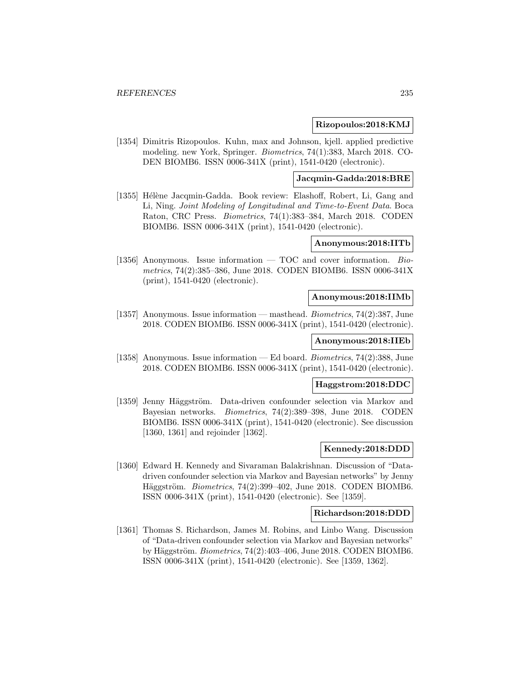#### **Rizopoulos:2018:KMJ**

[1354] Dimitris Rizopoulos. Kuhn, max and Johnson, kjell. applied predictive modeling. new York, Springer. Biometrics, 74(1):383, March 2018. CO-DEN BIOMB6. ISSN 0006-341X (print), 1541-0420 (electronic).

# **Jacqmin-Gadda:2018:BRE**

[1355] Hélène Jacqmin-Gadda. Book review: Elashoff, Robert, Li, Gang and Li, Ning. Joint Modeling of Longitudinal and Time-to-Event Data. Boca Raton, CRC Press. Biometrics, 74(1):383–384, March 2018. CODEN BIOMB6. ISSN 0006-341X (print), 1541-0420 (electronic).

#### **Anonymous:2018:IITb**

[1356] Anonymous. Issue information  $-$  TOC and cover information. Biometrics, 74(2):385–386, June 2018. CODEN BIOMB6. ISSN 0006-341X (print), 1541-0420 (electronic).

#### **Anonymous:2018:IIMb**

[1357] Anonymous. Issue information — masthead. Biometrics, 74(2):387, June 2018. CODEN BIOMB6. ISSN 0006-341X (print), 1541-0420 (electronic).

### **Anonymous:2018:IIEb**

[1358] Anonymous. Issue information — Ed board. Biometrics, 74(2):388, June 2018. CODEN BIOMB6. ISSN 0006-341X (print), 1541-0420 (electronic).

# **Haggstrom:2018:DDC**

[1359] Jenny Häggström. Data-driven confounder selection via Markov and Bayesian networks. Biometrics, 74(2):389–398, June 2018. CODEN BIOMB6. ISSN 0006-341X (print), 1541-0420 (electronic). See discussion [1360, 1361] and rejoinder [1362].

#### **Kennedy:2018:DDD**

[1360] Edward H. Kennedy and Sivaraman Balakrishnan. Discussion of "Datadriven confounder selection via Markov and Bayesian networks" by Jenny Häggström. Biometrics,  $74(2):399-402$ , June 2018. CODEN BIOMB6. ISSN 0006-341X (print), 1541-0420 (electronic). See [1359].

#### **Richardson:2018:DDD**

[1361] Thomas S. Richardson, James M. Robins, and Linbo Wang. Discussion of "Data-driven confounder selection via Markov and Bayesian networks" by Häggström. Biometrics,  $74(2):403-406$ , June 2018. CODEN BIOMB6. ISSN 0006-341X (print), 1541-0420 (electronic). See [1359, 1362].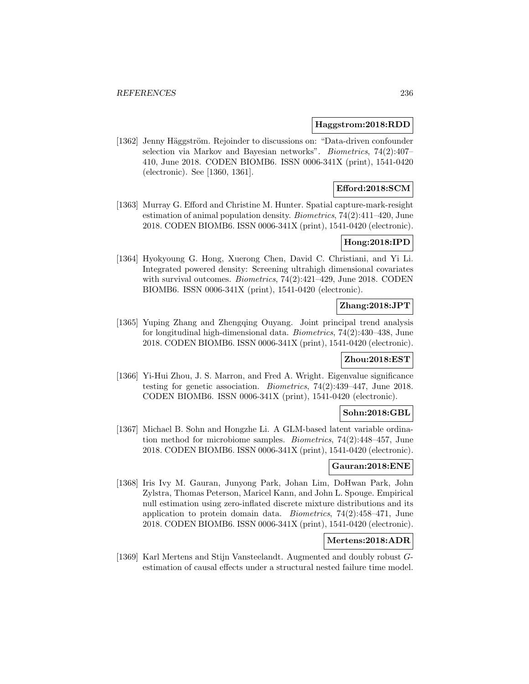### **Haggstrom:2018:RDD**

[1362] Jenny Häggström. Rejoinder to discussions on: "Data-driven confounder selection via Markov and Bayesian networks". Biometrics, 74(2):407– 410, June 2018. CODEN BIOMB6. ISSN 0006-341X (print), 1541-0420 (electronic). See [1360, 1361].

# **Efford:2018:SCM**

[1363] Murray G. Efford and Christine M. Hunter. Spatial capture-mark-resight estimation of animal population density. Biometrics, 74(2):411–420, June 2018. CODEN BIOMB6. ISSN 0006-341X (print), 1541-0420 (electronic).

# **Hong:2018:IPD**

[1364] Hyokyoung G. Hong, Xuerong Chen, David C. Christiani, and Yi Li. Integrated powered density: Screening ultrahigh dimensional covariates with survival outcomes. *Biometrics*, 74(2):421-429, June 2018. CODEN BIOMB6. ISSN 0006-341X (print), 1541-0420 (electronic).

## **Zhang:2018:JPT**

[1365] Yuping Zhang and Zhengqing Ouyang. Joint principal trend analysis for longitudinal high-dimensional data. Biometrics, 74(2):430–438, June 2018. CODEN BIOMB6. ISSN 0006-341X (print), 1541-0420 (electronic).

#### **Zhou:2018:EST**

[1366] Yi-Hui Zhou, J. S. Marron, and Fred A. Wright. Eigenvalue significance testing for genetic association. Biometrics, 74(2):439–447, June 2018. CODEN BIOMB6. ISSN 0006-341X (print), 1541-0420 (electronic).

### **Sohn:2018:GBL**

[1367] Michael B. Sohn and Hongzhe Li. A GLM-based latent variable ordination method for microbiome samples. Biometrics, 74(2):448–457, June 2018. CODEN BIOMB6. ISSN 0006-341X (print), 1541-0420 (electronic).

#### **Gauran:2018:ENE**

[1368] Iris Ivy M. Gauran, Junyong Park, Johan Lim, DoHwan Park, John Zylstra, Thomas Peterson, Maricel Kann, and John L. Spouge. Empirical null estimation using zero-inflated discrete mixture distributions and its application to protein domain data. Biometrics, 74(2):458–471, June 2018. CODEN BIOMB6. ISSN 0006-341X (print), 1541-0420 (electronic).

# **Mertens:2018:ADR**

[1369] Karl Mertens and Stijn Vansteelandt. Augmented and doubly robust Gestimation of causal effects under a structural nested failure time model.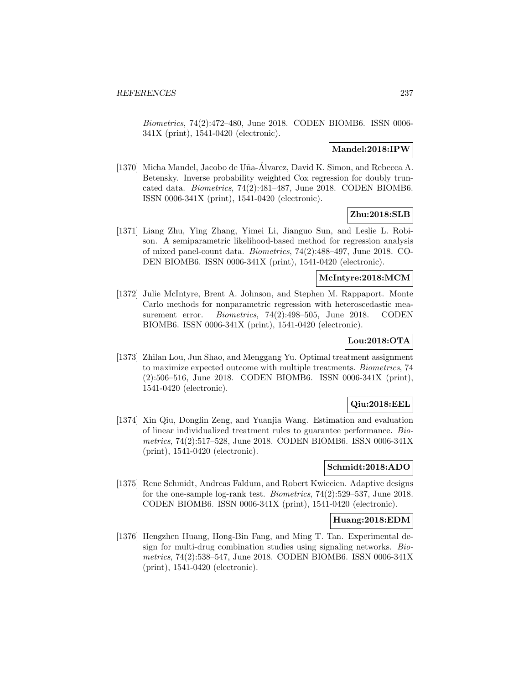Biometrics, 74(2):472–480, June 2018. CODEN BIOMB6. ISSN 0006- 341X (print), 1541-0420 (electronic).

### **Mandel:2018:IPW**

[1370] Micha Mandel, Jacobo de U˜na-Alvarez, David K. Simon, and Rebecca A. ´ Betensky. Inverse probability weighted Cox regression for doubly truncated data. Biometrics, 74(2):481–487, June 2018. CODEN BIOMB6. ISSN 0006-341X (print), 1541-0420 (electronic).

# **Zhu:2018:SLB**

[1371] Liang Zhu, Ying Zhang, Yimei Li, Jianguo Sun, and Leslie L. Robison. A semiparametric likelihood-based method for regression analysis of mixed panel-count data. Biometrics, 74(2):488–497, June 2018. CO-DEN BIOMB6. ISSN 0006-341X (print), 1541-0420 (electronic).

#### **McIntyre:2018:MCM**

[1372] Julie McIntyre, Brent A. Johnson, and Stephen M. Rappaport. Monte Carlo methods for nonparametric regression with heteroscedastic measurement error. *Biometrics*, 74(2):498–505, June 2018. CODEN BIOMB6. ISSN 0006-341X (print), 1541-0420 (electronic).

# **Lou:2018:OTA**

[1373] Zhilan Lou, Jun Shao, and Menggang Yu. Optimal treatment assignment to maximize expected outcome with multiple treatments. Biometrics, 74 (2):506–516, June 2018. CODEN BIOMB6. ISSN 0006-341X (print), 1541-0420 (electronic).

# **Qiu:2018:EEL**

[1374] Xin Qiu, Donglin Zeng, and Yuanjia Wang. Estimation and evaluation of linear individualized treatment rules to guarantee performance. Biometrics, 74(2):517–528, June 2018. CODEN BIOMB6. ISSN 0006-341X (print), 1541-0420 (electronic).

### **Schmidt:2018:ADO**

[1375] Rene Schmidt, Andreas Faldum, and Robert Kwiecien. Adaptive designs for the one-sample log-rank test. Biometrics, 74(2):529–537, June 2018. CODEN BIOMB6. ISSN 0006-341X (print), 1541-0420 (electronic).

#### **Huang:2018:EDM**

[1376] Hengzhen Huang, Hong-Bin Fang, and Ming T. Tan. Experimental design for multi-drug combination studies using signaling networks. Biometrics, 74(2):538–547, June 2018. CODEN BIOMB6. ISSN 0006-341X (print), 1541-0420 (electronic).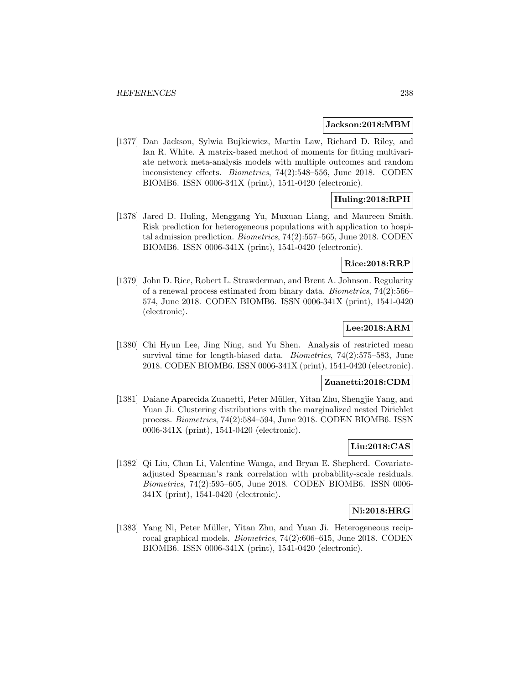#### **Jackson:2018:MBM**

[1377] Dan Jackson, Sylwia Bujkiewicz, Martin Law, Richard D. Riley, and Ian R. White. A matrix-based method of moments for fitting multivariate network meta-analysis models with multiple outcomes and random inconsistency effects. Biometrics, 74(2):548–556, June 2018. CODEN BIOMB6. ISSN 0006-341X (print), 1541-0420 (electronic).

# **Huling:2018:RPH**

[1378] Jared D. Huling, Menggang Yu, Muxuan Liang, and Maureen Smith. Risk prediction for heterogeneous populations with application to hospital admission prediction. Biometrics, 74(2):557–565, June 2018. CODEN BIOMB6. ISSN 0006-341X (print), 1541-0420 (electronic).

#### **Rice:2018:RRP**

[1379] John D. Rice, Robert L. Strawderman, and Brent A. Johnson. Regularity of a renewal process estimated from binary data. Biometrics, 74(2):566– 574, June 2018. CODEN BIOMB6. ISSN 0006-341X (print), 1541-0420 (electronic).

# **Lee:2018:ARM**

[1380] Chi Hyun Lee, Jing Ning, and Yu Shen. Analysis of restricted mean survival time for length-biased data. Biometrics, 74(2):575–583, June 2018. CODEN BIOMB6. ISSN 0006-341X (print), 1541-0420 (electronic).

#### **Zuanetti:2018:CDM**

[1381] Daiane Aparecida Zuanetti, Peter Müller, Yitan Zhu, Shengjie Yang, and Yuan Ji. Clustering distributions with the marginalized nested Dirichlet process. Biometrics, 74(2):584–594, June 2018. CODEN BIOMB6. ISSN 0006-341X (print), 1541-0420 (electronic).

### **Liu:2018:CAS**

[1382] Qi Liu, Chun Li, Valentine Wanga, and Bryan E. Shepherd. Covariateadjusted Spearman's rank correlation with probability-scale residuals. Biometrics, 74(2):595–605, June 2018. CODEN BIOMB6. ISSN 0006- 341X (print), 1541-0420 (electronic).

#### **Ni:2018:HRG**

[1383] Yang Ni, Peter Müller, Yitan Zhu, and Yuan Ji. Heterogeneous reciprocal graphical models. Biometrics, 74(2):606–615, June 2018. CODEN BIOMB6. ISSN 0006-341X (print), 1541-0420 (electronic).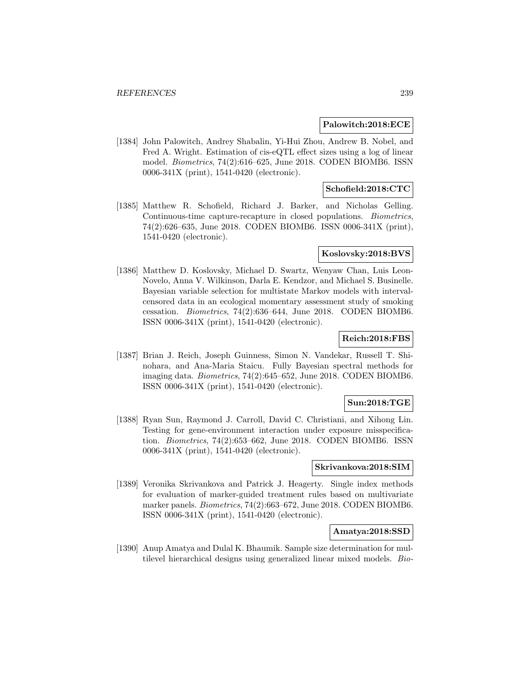#### **Palowitch:2018:ECE**

[1384] John Palowitch, Andrey Shabalin, Yi-Hui Zhou, Andrew B. Nobel, and Fred A. Wright. Estimation of cis-eQTL effect sizes using a log of linear model. Biometrics, 74(2):616–625, June 2018. CODEN BIOMB6. ISSN 0006-341X (print), 1541-0420 (electronic).

## **Schofield:2018:CTC**

[1385] Matthew R. Schofield, Richard J. Barker, and Nicholas Gelling. Continuous-time capture-recapture in closed populations. Biometrics, 74(2):626–635, June 2018. CODEN BIOMB6. ISSN 0006-341X (print), 1541-0420 (electronic).

#### **Koslovsky:2018:BVS**

[1386] Matthew D. Koslovsky, Michael D. Swartz, Wenyaw Chan, Luis Leon-Novelo, Anna V. Wilkinson, Darla E. Kendzor, and Michael S. Businelle. Bayesian variable selection for multistate Markov models with intervalcensored data in an ecological momentary assessment study of smoking cessation. Biometrics, 74(2):636–644, June 2018. CODEN BIOMB6. ISSN 0006-341X (print), 1541-0420 (electronic).

### **Reich:2018:FBS**

[1387] Brian J. Reich, Joseph Guinness, Simon N. Vandekar, Russell T. Shinohara, and Ana-Maria Staicu. Fully Bayesian spectral methods for imaging data. Biometrics, 74(2):645–652, June 2018. CODEN BIOMB6. ISSN 0006-341X (print), 1541-0420 (electronic).

### **Sun:2018:TGE**

[1388] Ryan Sun, Raymond J. Carroll, David C. Christiani, and Xihong Lin. Testing for gene-environment interaction under exposure misspecification. Biometrics, 74(2):653–662, June 2018. CODEN BIOMB6. ISSN 0006-341X (print), 1541-0420 (electronic).

#### **Skrivankova:2018:SIM**

[1389] Veronika Skrivankova and Patrick J. Heagerty. Single index methods for evaluation of marker-guided treatment rules based on multivariate marker panels. Biometrics, 74(2):663–672, June 2018. CODEN BIOMB6. ISSN 0006-341X (print), 1541-0420 (electronic).

#### **Amatya:2018:SSD**

[1390] Anup Amatya and Dulal K. Bhaumik. Sample size determination for multilevel hierarchical designs using generalized linear mixed models. Bio-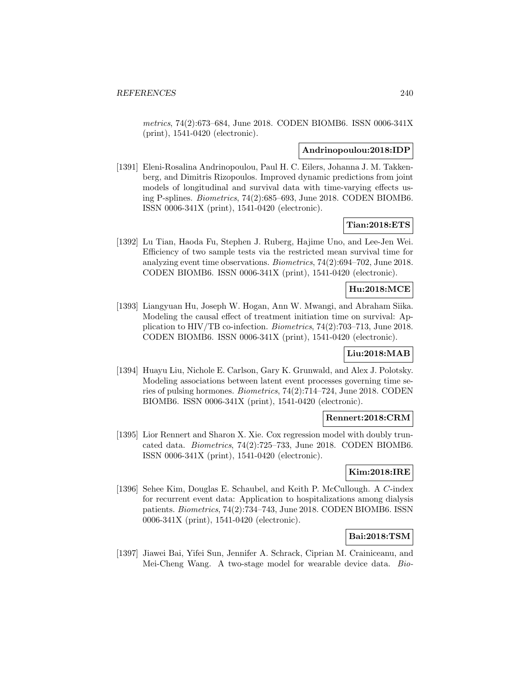metrics, 74(2):673–684, June 2018. CODEN BIOMB6. ISSN 0006-341X (print), 1541-0420 (electronic).

#### **Andrinopoulou:2018:IDP**

[1391] Eleni-Rosalina Andrinopoulou, Paul H. C. Eilers, Johanna J. M. Takkenberg, and Dimitris Rizopoulos. Improved dynamic predictions from joint models of longitudinal and survival data with time-varying effects using P-splines. Biometrics, 74(2):685–693, June 2018. CODEN BIOMB6. ISSN 0006-341X (print), 1541-0420 (electronic).

## **Tian:2018:ETS**

[1392] Lu Tian, Haoda Fu, Stephen J. Ruberg, Hajime Uno, and Lee-Jen Wei. Efficiency of two sample tests via the restricted mean survival time for analyzing event time observations. Biometrics, 74(2):694–702, June 2018. CODEN BIOMB6. ISSN 0006-341X (print), 1541-0420 (electronic).

### **Hu:2018:MCE**

[1393] Liangyuan Hu, Joseph W. Hogan, Ann W. Mwangi, and Abraham Siika. Modeling the causal effect of treatment initiation time on survival: Application to HIV/TB co-infection. Biometrics, 74(2):703–713, June 2018. CODEN BIOMB6. ISSN 0006-341X (print), 1541-0420 (electronic).

# **Liu:2018:MAB**

[1394] Huayu Liu, Nichole E. Carlson, Gary K. Grunwald, and Alex J. Polotsky. Modeling associations between latent event processes governing time series of pulsing hormones. Biometrics, 74(2):714–724, June 2018. CODEN BIOMB6. ISSN 0006-341X (print), 1541-0420 (electronic).

#### **Rennert:2018:CRM**

[1395] Lior Rennert and Sharon X. Xie. Cox regression model with doubly truncated data. Biometrics, 74(2):725–733, June 2018. CODEN BIOMB6. ISSN 0006-341X (print), 1541-0420 (electronic).

#### **Kim:2018:IRE**

[1396] Sehee Kim, Douglas E. Schaubel, and Keith P. McCullough. A C-index for recurrent event data: Application to hospitalizations among dialysis patients. Biometrics, 74(2):734–743, June 2018. CODEN BIOMB6. ISSN 0006-341X (print), 1541-0420 (electronic).

# **Bai:2018:TSM**

[1397] Jiawei Bai, Yifei Sun, Jennifer A. Schrack, Ciprian M. Crainiceanu, and Mei-Cheng Wang. A two-stage model for wearable device data. Bio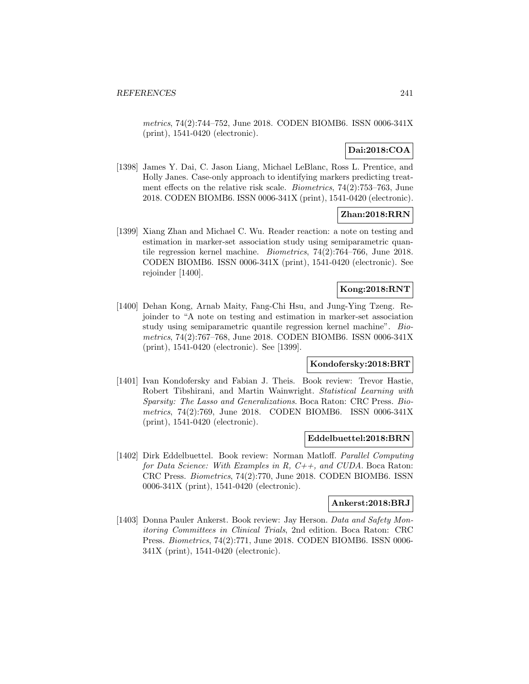metrics, 74(2):744–752, June 2018. CODEN BIOMB6. ISSN 0006-341X (print), 1541-0420 (electronic).

# **Dai:2018:COA**

[1398] James Y. Dai, C. Jason Liang, Michael LeBlanc, Ross L. Prentice, and Holly Janes. Case-only approach to identifying markers predicting treatment effects on the relative risk scale. Biometrics, 74(2):753–763, June 2018. CODEN BIOMB6. ISSN 0006-341X (print), 1541-0420 (electronic).

### **Zhan:2018:RRN**

[1399] Xiang Zhan and Michael C. Wu. Reader reaction: a note on testing and estimation in marker-set association study using semiparametric quantile regression kernel machine. Biometrics, 74(2):764–766, June 2018. CODEN BIOMB6. ISSN 0006-341X (print), 1541-0420 (electronic). See rejoinder [1400].

### **Kong:2018:RNT**

[1400] Dehan Kong, Arnab Maity, Fang-Chi Hsu, and Jung-Ying Tzeng. Rejoinder to "A note on testing and estimation in marker-set association study using semiparametric quantile regression kernel machine". Biometrics, 74(2):767–768, June 2018. CODEN BIOMB6. ISSN 0006-341X (print), 1541-0420 (electronic). See [1399].

#### **Kondofersky:2018:BRT**

[1401] Ivan Kondofersky and Fabian J. Theis. Book review: Trevor Hastie, Robert Tibshirani, and Martin Wainwright. Statistical Learning with Sparsity: The Lasso and Generalizations. Boca Raton: CRC Press. Biometrics, 74(2):769, June 2018. CODEN BIOMB6. ISSN 0006-341X (print), 1541-0420 (electronic).

#### **Eddelbuettel:2018:BRN**

[1402] Dirk Eddelbuettel. Book review: Norman Matloff. Parallel Computing for Data Science: With Examples in R,  $C++,$  and CUDA. Boca Raton: CRC Press. Biometrics, 74(2):770, June 2018. CODEN BIOMB6. ISSN 0006-341X (print), 1541-0420 (electronic).

#### **Ankerst:2018:BRJ**

[1403] Donna Pauler Ankerst. Book review: Jay Herson. Data and Safety Monitoring Committees in Clinical Trials, 2nd edition. Boca Raton: CRC Press. Biometrics, 74(2):771, June 2018. CODEN BIOMB6. ISSN 0006- 341X (print), 1541-0420 (electronic).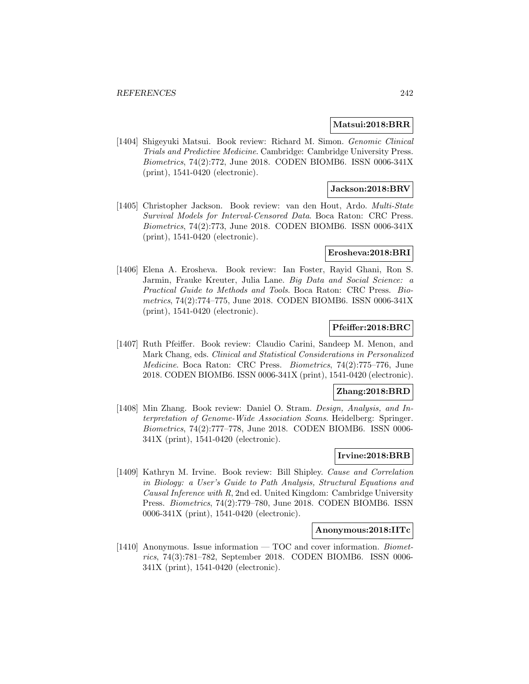#### **Matsui:2018:BRR**

[1404] Shigeyuki Matsui. Book review: Richard M. Simon. Genomic Clinical Trials and Predictive Medicine. Cambridge: Cambridge University Press. Biometrics, 74(2):772, June 2018. CODEN BIOMB6. ISSN 0006-341X (print), 1541-0420 (electronic).

## **Jackson:2018:BRV**

[1405] Christopher Jackson. Book review: van den Hout, Ardo. Multi-State Survival Models for Interval-Censored Data. Boca Raton: CRC Press. Biometrics, 74(2):773, June 2018. CODEN BIOMB6. ISSN 0006-341X (print), 1541-0420 (electronic).

#### **Erosheva:2018:BRI**

[1406] Elena A. Erosheva. Book review: Ian Foster, Rayid Ghani, Ron S. Jarmin, Frauke Kreuter, Julia Lane. Big Data and Social Science: a Practical Guide to Methods and Tools. Boca Raton: CRC Press. Biometrics, 74(2):774–775, June 2018. CODEN BIOMB6. ISSN 0006-341X (print), 1541-0420 (electronic).

#### **Pfeiffer:2018:BRC**

[1407] Ruth Pfeiffer. Book review: Claudio Carini, Sandeep M. Menon, and Mark Chang, eds. Clinical and Statistical Considerations in Personalized Medicine. Boca Raton: CRC Press. Biometrics, 74(2):775–776, June 2018. CODEN BIOMB6. ISSN 0006-341X (print), 1541-0420 (electronic).

#### **Zhang:2018:BRD**

[1408] Min Zhang. Book review: Daniel O. Stram. Design, Analysis, and Interpretation of Genome-Wide Association Scans. Heidelberg: Springer. Biometrics, 74(2):777–778, June 2018. CODEN BIOMB6. ISSN 0006- 341X (print), 1541-0420 (electronic).

### **Irvine:2018:BRB**

[1409] Kathryn M. Irvine. Book review: Bill Shipley. Cause and Correlation in Biology: a User's Guide to Path Analysis, Structural Equations and Causal Inference with R, 2nd ed. United Kingdom: Cambridge University Press. Biometrics, 74(2):779–780, June 2018. CODEN BIOMB6. ISSN 0006-341X (print), 1541-0420 (electronic).

## **Anonymous:2018:IITc**

[1410] Anonymous. Issue information  $-$  TOC and cover information. *Biomet*rics, 74(3):781–782, September 2018. CODEN BIOMB6. ISSN 0006- 341X (print), 1541-0420 (electronic).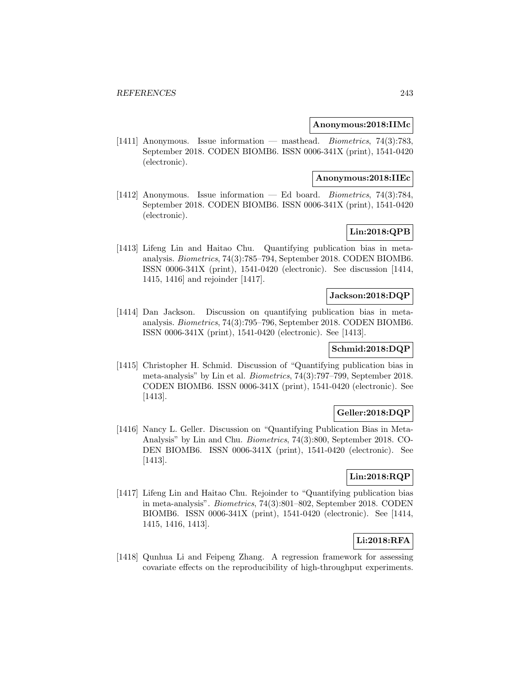#### **Anonymous:2018:IIMc**

[1411] Anonymous. Issue information — masthead. Biometrics, 74(3):783, September 2018. CODEN BIOMB6. ISSN 0006-341X (print), 1541-0420 (electronic).

#### **Anonymous:2018:IIEc**

[1412] Anonymous. Issue information — Ed board. Biometrics, 74(3):784, September 2018. CODEN BIOMB6. ISSN 0006-341X (print), 1541-0420 (electronic).

# **Lin:2018:QPB**

[1413] Lifeng Lin and Haitao Chu. Quantifying publication bias in metaanalysis. Biometrics, 74(3):785–794, September 2018. CODEN BIOMB6. ISSN 0006-341X (print), 1541-0420 (electronic). See discussion [1414, 1415, 1416] and rejoinder [1417].

#### **Jackson:2018:DQP**

[1414] Dan Jackson. Discussion on quantifying publication bias in metaanalysis. Biometrics, 74(3):795–796, September 2018. CODEN BIOMB6. ISSN 0006-341X (print), 1541-0420 (electronic). See [1413].

### **Schmid:2018:DQP**

[1415] Christopher H. Schmid. Discussion of "Quantifying publication bias in meta-analysis" by Lin et al. Biometrics, 74(3):797–799, September 2018. CODEN BIOMB6. ISSN 0006-341X (print), 1541-0420 (electronic). See [1413].

# **Geller:2018:DQP**

[1416] Nancy L. Geller. Discussion on "Quantifying Publication Bias in Meta-Analysis" by Lin and Chu. Biometrics, 74(3):800, September 2018. CO-DEN BIOMB6. ISSN 0006-341X (print), 1541-0420 (electronic). See [1413].

# **Lin:2018:RQP**

[1417] Lifeng Lin and Haitao Chu. Rejoinder to "Quantifying publication bias in meta-analysis". Biometrics, 74(3):801–802, September 2018. CODEN BIOMB6. ISSN 0006-341X (print), 1541-0420 (electronic). See [1414, 1415, 1416, 1413].

# **Li:2018:RFA**

[1418] Qunhua Li and Feipeng Zhang. A regression framework for assessing covariate effects on the reproducibility of high-throughput experiments.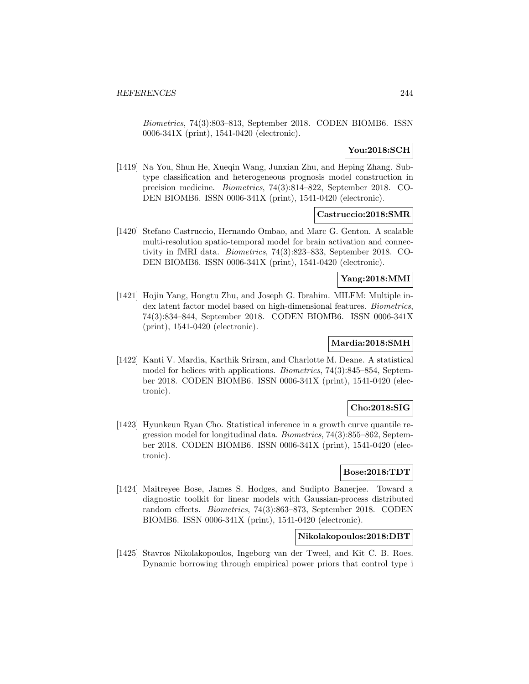Biometrics, 74(3):803–813, September 2018. CODEN BIOMB6. ISSN 0006-341X (print), 1541-0420 (electronic).

# **You:2018:SCH**

[1419] Na You, Shun He, Xueqin Wang, Junxian Zhu, and Heping Zhang. Subtype classification and heterogeneous prognosis model construction in precision medicine. Biometrics, 74(3):814–822, September 2018. CO-DEN BIOMB6. ISSN 0006-341X (print), 1541-0420 (electronic).

### **Castruccio:2018:SMR**

[1420] Stefano Castruccio, Hernando Ombao, and Marc G. Genton. A scalable multi-resolution spatio-temporal model for brain activation and connectivity in fMRI data. Biometrics, 74(3):823–833, September 2018. CO-DEN BIOMB6. ISSN 0006-341X (print), 1541-0420 (electronic).

### **Yang:2018:MMI**

[1421] Hojin Yang, Hongtu Zhu, and Joseph G. Ibrahim. MILFM: Multiple index latent factor model based on high-dimensional features. Biometrics, 74(3):834–844, September 2018. CODEN BIOMB6. ISSN 0006-341X (print), 1541-0420 (electronic).

# **Mardia:2018:SMH**

[1422] Kanti V. Mardia, Karthik Sriram, and Charlotte M. Deane. A statistical model for helices with applications. Biometrics, 74(3):845–854, September 2018. CODEN BIOMB6. ISSN 0006-341X (print), 1541-0420 (electronic).

# **Cho:2018:SIG**

[1423] Hyunkeun Ryan Cho. Statistical inference in a growth curve quantile regression model for longitudinal data. Biometrics, 74(3):855–862, September 2018. CODEN BIOMB6. ISSN 0006-341X (print), 1541-0420 (electronic).

## **Bose:2018:TDT**

[1424] Maitreyee Bose, James S. Hodges, and Sudipto Banerjee. Toward a diagnostic toolkit for linear models with Gaussian-process distributed random effects. Biometrics, 74(3):863–873, September 2018. CODEN BIOMB6. ISSN 0006-341X (print), 1541-0420 (electronic).

# **Nikolakopoulos:2018:DBT**

[1425] Stavros Nikolakopoulos, Ingeborg van der Tweel, and Kit C. B. Roes. Dynamic borrowing through empirical power priors that control type i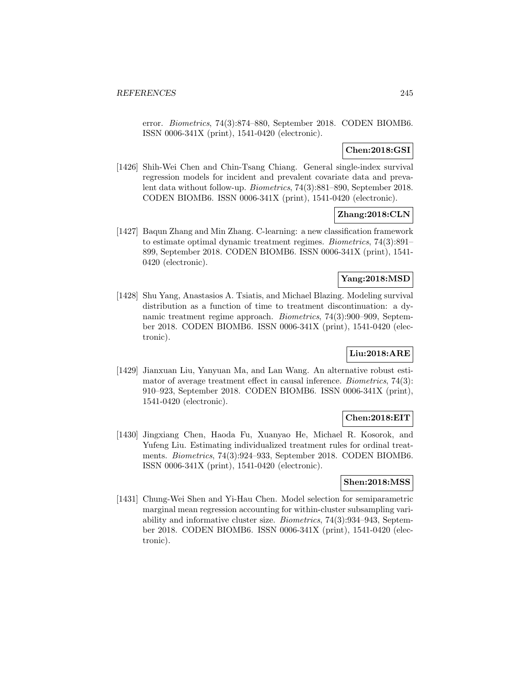error. Biometrics, 74(3):874–880, September 2018. CODEN BIOMB6. ISSN 0006-341X (print), 1541-0420 (electronic).

# **Chen:2018:GSI**

[1426] Shih-Wei Chen and Chin-Tsang Chiang. General single-index survival regression models for incident and prevalent covariate data and prevalent data without follow-up. Biometrics, 74(3):881–890, September 2018. CODEN BIOMB6. ISSN 0006-341X (print), 1541-0420 (electronic).

### **Zhang:2018:CLN**

[1427] Baqun Zhang and Min Zhang. C-learning: a new classification framework to estimate optimal dynamic treatment regimes. Biometrics, 74(3):891– 899, September 2018. CODEN BIOMB6. ISSN 0006-341X (print), 1541- 0420 (electronic).

### **Yang:2018:MSD**

[1428] Shu Yang, Anastasios A. Tsiatis, and Michael Blazing. Modeling survival distribution as a function of time to treatment discontinuation: a dynamic treatment regime approach. Biometrics, 74(3):900–909, September 2018. CODEN BIOMB6. ISSN 0006-341X (print), 1541-0420 (electronic).

# **Liu:2018:ARE**

[1429] Jianxuan Liu, Yanyuan Ma, and Lan Wang. An alternative robust estimator of average treatment effect in causal inference. Biometrics, 74(3): 910–923, September 2018. CODEN BIOMB6. ISSN 0006-341X (print), 1541-0420 (electronic).

#### **Chen:2018:EIT**

[1430] Jingxiang Chen, Haoda Fu, Xuanyao He, Michael R. Kosorok, and Yufeng Liu. Estimating individualized treatment rules for ordinal treatments. Biometrics, 74(3):924–933, September 2018. CODEN BIOMB6. ISSN 0006-341X (print), 1541-0420 (electronic).

#### **Shen:2018:MSS**

[1431] Chung-Wei Shen and Yi-Hau Chen. Model selection for semiparametric marginal mean regression accounting for within-cluster subsampling variability and informative cluster size. Biometrics, 74(3):934–943, September 2018. CODEN BIOMB6. ISSN 0006-341X (print), 1541-0420 (electronic).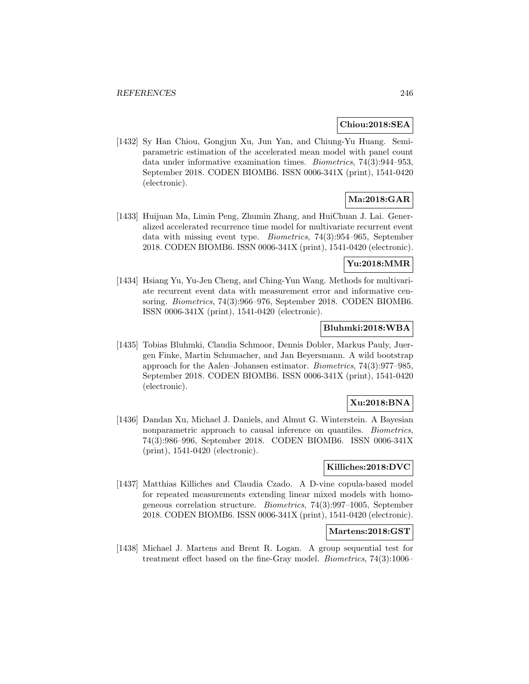#### **Chiou:2018:SEA**

[1432] Sy Han Chiou, Gongjun Xu, Jun Yan, and Chiung-Yu Huang. Semiparametric estimation of the accelerated mean model with panel count data under informative examination times. Biometrics, 74(3):944–953, September 2018. CODEN BIOMB6. ISSN 0006-341X (print), 1541-0420 (electronic).

# **Ma:2018:GAR**

[1433] Huijuan Ma, Limin Peng, Zhumin Zhang, and HuiChuan J. Lai. Generalized accelerated recurrence time model for multivariate recurrent event data with missing event type. Biometrics, 74(3):954–965, September 2018. CODEN BIOMB6. ISSN 0006-341X (print), 1541-0420 (electronic).

#### **Yu:2018:MMR**

[1434] Hsiang Yu, Yu-Jen Cheng, and Ching-Yun Wang. Methods for multivariate recurrent event data with measurement error and informative censoring. Biometrics, 74(3):966–976, September 2018. CODEN BIOMB6. ISSN 0006-341X (print), 1541-0420 (electronic).

### **Bluhmki:2018:WBA**

[1435] Tobias Bluhmki, Claudia Schmoor, Dennis Dobler, Markus Pauly, Juergen Finke, Martin Schumacher, and Jan Beyersmann. A wild bootstrap approach for the Aalen–Johansen estimator. Biometrics, 74(3):977–985, September 2018. CODEN BIOMB6. ISSN 0006-341X (print), 1541-0420 (electronic).

# **Xu:2018:BNA**

[1436] Dandan Xu, Michael J. Daniels, and Almut G. Winterstein. A Bayesian nonparametric approach to causal inference on quantiles. Biometrics, 74(3):986–996, September 2018. CODEN BIOMB6. ISSN 0006-341X (print), 1541-0420 (electronic).

### **Killiches:2018:DVC**

[1437] Matthias Killiches and Claudia Czado. A D-vine copula-based model for repeated measurements extending linear mixed models with homogeneous correlation structure. Biometrics, 74(3):997–1005, September 2018. CODEN BIOMB6. ISSN 0006-341X (print), 1541-0420 (electronic).

## **Martens:2018:GST**

[1438] Michael J. Martens and Brent R. Logan. A group sequential test for treatment effect based on the fine-Gray model. Biometrics, 74(3):1006–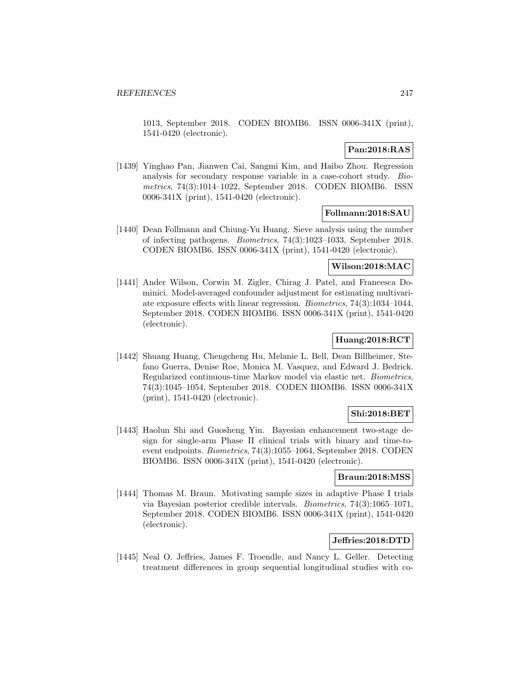1013, September 2018. CODEN BIOMB6. ISSN 0006-341X (print), 1541-0420 (electronic).

# **Pan:2018:RAS**

[1439] Yinghao Pan, Jianwen Cai, Sangmi Kim, and Haibo Zhou. Regression analysis for secondary response variable in a case-cohort study. Biometrics, 74(3):1014–1022, September 2018. CODEN BIOMB6. ISSN 0006-341X (print), 1541-0420 (electronic).

# **Follmann:2018:SAU**

[1440] Dean Follmann and Chiung-Yu Huang. Sieve analysis using the number of infecting pathogens. Biometrics, 74(3):1023–1033, September 2018. CODEN BIOMB6. ISSN 0006-341X (print), 1541-0420 (electronic).

# **Wilson:2018:MAC**

[1441] Ander Wilson, Corwin M. Zigler, Chirag J. Patel, and Francesca Dominici. Model-averaged confounder adjustment for estimating multivariate exposure effects with linear regression. Biometrics, 74(3):1034–1044, September 2018. CODEN BIOMB6. ISSN 0006-341X (print), 1541-0420 (electronic).

# **Huang:2018:RCT**

[1442] Shuang Huang, Chengcheng Hu, Melanie L. Bell, Dean Billheimer, Stefano Guerra, Denise Roe, Monica M. Vasquez, and Edward J. Bedrick. Regularized continuous-time Markov model via elastic net. Biometrics, 74(3):1045–1054, September 2018. CODEN BIOMB6. ISSN 0006-341X (print), 1541-0420 (electronic).

# **Shi:2018:BET**

[1443] Haolun Shi and Guosheng Yin. Bayesian enhancement two-stage design for single-arm Phase II clinical trials with binary and time-toevent endpoints. Biometrics, 74(3):1055–1064, September 2018. CODEN BIOMB6. ISSN 0006-341X (print), 1541-0420 (electronic).

# **Braun:2018:MSS**

[1444] Thomas M. Braun. Motivating sample sizes in adaptive Phase I trials via Bayesian posterior credible intervals. Biometrics, 74(3):1065–1071, September 2018. CODEN BIOMB6. ISSN 0006-341X (print), 1541-0420 (electronic).

## **Jeffries:2018:DTD**

[1445] Neal O. Jeffries, James F. Troendle, and Nancy L. Geller. Detecting treatment differences in group sequential longitudinal studies with co-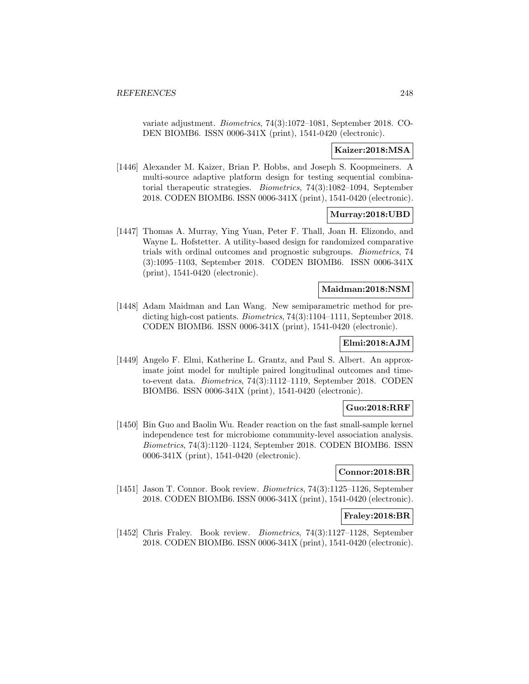variate adjustment. Biometrics, 74(3):1072–1081, September 2018. CO-DEN BIOMB6. ISSN 0006-341X (print), 1541-0420 (electronic).

#### **Kaizer:2018:MSA**

[1446] Alexander M. Kaizer, Brian P. Hobbs, and Joseph S. Koopmeiners. A multi-source adaptive platform design for testing sequential combinatorial therapeutic strategies. Biometrics, 74(3):1082–1094, September 2018. CODEN BIOMB6. ISSN 0006-341X (print), 1541-0420 (electronic).

### **Murray:2018:UBD**

[1447] Thomas A. Murray, Ying Yuan, Peter F. Thall, Joan H. Elizondo, and Wayne L. Hofstetter. A utility-based design for randomized comparative trials with ordinal outcomes and prognostic subgroups. Biometrics, 74 (3):1095–1103, September 2018. CODEN BIOMB6. ISSN 0006-341X (print), 1541-0420 (electronic).

### **Maidman:2018:NSM**

[1448] Adam Maidman and Lan Wang. New semiparametric method for predicting high-cost patients. Biometrics, 74(3):1104–1111, September 2018. CODEN BIOMB6. ISSN 0006-341X (print), 1541-0420 (electronic).

# **Elmi:2018:AJM**

[1449] Angelo F. Elmi, Katherine L. Grantz, and Paul S. Albert. An approximate joint model for multiple paired longitudinal outcomes and timeto-event data. Biometrics, 74(3):1112–1119, September 2018. CODEN BIOMB6. ISSN 0006-341X (print), 1541-0420 (electronic).

#### **Guo:2018:RRF**

[1450] Bin Guo and Baolin Wu. Reader reaction on the fast small-sample kernel independence test for microbiome community-level association analysis. Biometrics, 74(3):1120–1124, September 2018. CODEN BIOMB6. ISSN 0006-341X (print), 1541-0420 (electronic).

# **Connor:2018:BR**

[1451] Jason T. Connor. Book review. Biometrics, 74(3):1125–1126, September 2018. CODEN BIOMB6. ISSN 0006-341X (print), 1541-0420 (electronic).

#### **Fraley:2018:BR**

[1452] Chris Fraley. Book review. Biometrics, 74(3):1127–1128, September 2018. CODEN BIOMB6. ISSN 0006-341X (print), 1541-0420 (electronic).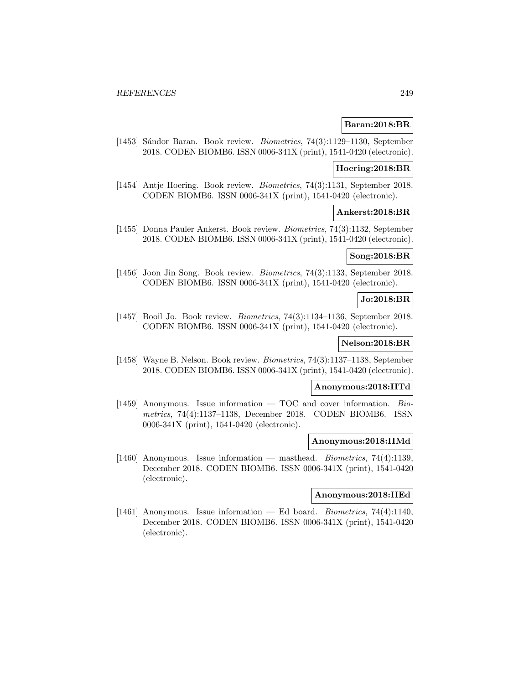### **Baran:2018:BR**

[1453] Sándor Baran. Book review. *Biometrics*, 74(3):1129-1130, September 2018. CODEN BIOMB6. ISSN 0006-341X (print), 1541-0420 (electronic).

#### **Hoering:2018:BR**

[1454] Antje Hoering. Book review. Biometrics, 74(3):1131, September 2018. CODEN BIOMB6. ISSN 0006-341X (print), 1541-0420 (electronic).

#### **Ankerst:2018:BR**

[1455] Donna Pauler Ankerst. Book review. Biometrics, 74(3):1132, September 2018. CODEN BIOMB6. ISSN 0006-341X (print), 1541-0420 (electronic).

# **Song:2018:BR**

[1456] Joon Jin Song. Book review. Biometrics, 74(3):1133, September 2018. CODEN BIOMB6. ISSN 0006-341X (print), 1541-0420 (electronic).

### **Jo:2018:BR**

[1457] Booil Jo. Book review. Biometrics, 74(3):1134–1136, September 2018. CODEN BIOMB6. ISSN 0006-341X (print), 1541-0420 (electronic).

#### **Nelson:2018:BR**

[1458] Wayne B. Nelson. Book review. Biometrics, 74(3):1137–1138, September 2018. CODEN BIOMB6. ISSN 0006-341X (print), 1541-0420 (electronic).

#### **Anonymous:2018:IITd**

[1459] Anonymous. Issue information  $-$  TOC and cover information. Biometrics, 74(4):1137–1138, December 2018. CODEN BIOMB6. ISSN 0006-341X (print), 1541-0420 (electronic).

#### **Anonymous:2018:IIMd**

[1460] Anonymous. Issue information — masthead. Biometrics, 74(4):1139, December 2018. CODEN BIOMB6. ISSN 0006-341X (print), 1541-0420 (electronic).

#### **Anonymous:2018:IIEd**

[1461] Anonymous. Issue information — Ed board. Biometrics, 74(4):1140, December 2018. CODEN BIOMB6. ISSN 0006-341X (print), 1541-0420 (electronic).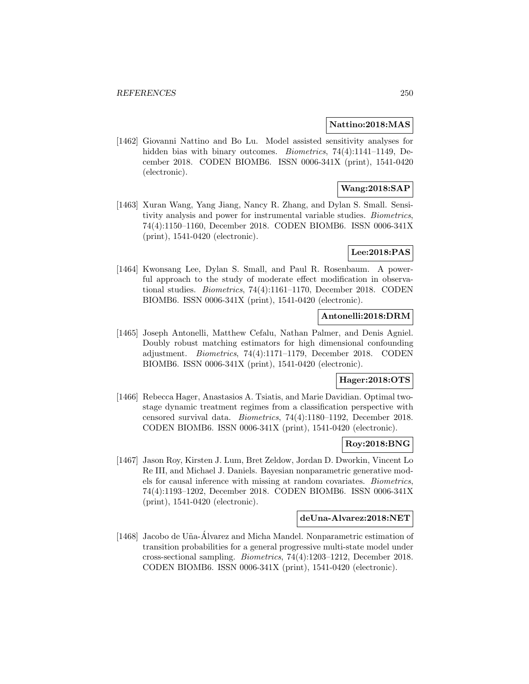#### **Nattino:2018:MAS**

[1462] Giovanni Nattino and Bo Lu. Model assisted sensitivity analyses for hidden bias with binary outcomes. Biometrics, 74(4):1141–1149, December 2018. CODEN BIOMB6. ISSN 0006-341X (print), 1541-0420 (electronic).

# **Wang:2018:SAP**

[1463] Xuran Wang, Yang Jiang, Nancy R. Zhang, and Dylan S. Small. Sensitivity analysis and power for instrumental variable studies. Biometrics, 74(4):1150–1160, December 2018. CODEN BIOMB6. ISSN 0006-341X (print), 1541-0420 (electronic).

## **Lee:2018:PAS**

[1464] Kwonsang Lee, Dylan S. Small, and Paul R. Rosenbaum. A powerful approach to the study of moderate effect modification in observational studies. Biometrics, 74(4):1161–1170, December 2018. CODEN BIOMB6. ISSN 0006-341X (print), 1541-0420 (electronic).

## **Antonelli:2018:DRM**

[1465] Joseph Antonelli, Matthew Cefalu, Nathan Palmer, and Denis Agniel. Doubly robust matching estimators for high dimensional confounding adjustment. Biometrics, 74(4):1171–1179, December 2018. CODEN BIOMB6. ISSN 0006-341X (print), 1541-0420 (electronic).

## **Hager:2018:OTS**

[1466] Rebecca Hager, Anastasios A. Tsiatis, and Marie Davidian. Optimal twostage dynamic treatment regimes from a classification perspective with censored survival data. Biometrics, 74(4):1180–1192, December 2018. CODEN BIOMB6. ISSN 0006-341X (print), 1541-0420 (electronic).

### **Roy:2018:BNG**

[1467] Jason Roy, Kirsten J. Lum, Bret Zeldow, Jordan D. Dworkin, Vincent Lo Re III, and Michael J. Daniels. Bayesian nonparametric generative models for causal inference with missing at random covariates. Biometrics, 74(4):1193–1202, December 2018. CODEN BIOMB6. ISSN 0006-341X (print), 1541-0420 (electronic).

#### **deUna-Alvarez:2018:NET**

[1468] Jacobo de Uña-Álvarez and Micha Mandel. Nonparametric estimation of transition probabilities for a general progressive multi-state model under cross-sectional sampling. Biometrics, 74(4):1203–1212, December 2018. CODEN BIOMB6. ISSN 0006-341X (print), 1541-0420 (electronic).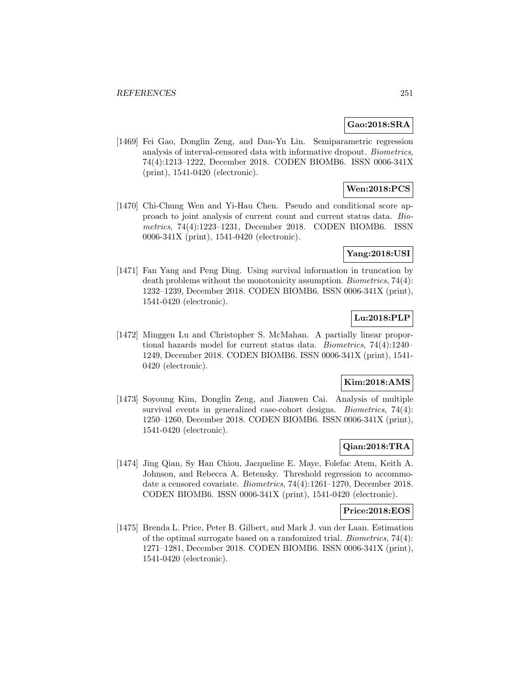# **Gao:2018:SRA**

[1469] Fei Gao, Donglin Zeng, and Dan-Yu Lin. Semiparametric regression analysis of interval-censored data with informative dropout. Biometrics, 74(4):1213–1222, December 2018. CODEN BIOMB6. ISSN 0006-341X (print), 1541-0420 (electronic).

# **Wen:2018:PCS**

[1470] Chi-Chung Wen and Yi-Hau Chen. Pseudo and conditional score approach to joint analysis of current count and current status data. Biometrics, 74(4):1223–1231, December 2018. CODEN BIOMB6. ISSN 0006-341X (print), 1541-0420 (electronic).

## **Yang:2018:USI**

[1471] Fan Yang and Peng Ding. Using survival information in truncation by death problems without the monotonicity assumption. Biometrics, 74(4): 1232–1239, December 2018. CODEN BIOMB6. ISSN 0006-341X (print), 1541-0420 (electronic).

# **Lu:2018:PLP**

[1472] Minggen Lu and Christopher S. McMahan. A partially linear proportional hazards model for current status data. Biometrics, 74(4):1240– 1249, December 2018. CODEN BIOMB6. ISSN 0006-341X (print), 1541- 0420 (electronic).

#### **Kim:2018:AMS**

[1473] Soyoung Kim, Donglin Zeng, and Jianwen Cai. Analysis of multiple survival events in generalized case-cohort designs. *Biometrics*, 74(4): 1250–1260, December 2018. CODEN BIOMB6. ISSN 0006-341X (print), 1541-0420 (electronic).

# **Qian:2018:TRA**

[1474] Jing Qian, Sy Han Chiou, Jacqueline E. Maye, Folefac Atem, Keith A. Johnson, and Rebecca A. Betensky. Threshold regression to accommodate a censored covariate. Biometrics, 74(4):1261–1270, December 2018. CODEN BIOMB6. ISSN 0006-341X (print), 1541-0420 (electronic).

#### **Price:2018:EOS**

[1475] Brenda L. Price, Peter B. Gilbert, and Mark J. van der Laan. Estimation of the optimal surrogate based on a randomized trial. Biometrics, 74(4): 1271–1281, December 2018. CODEN BIOMB6. ISSN 0006-341X (print), 1541-0420 (electronic).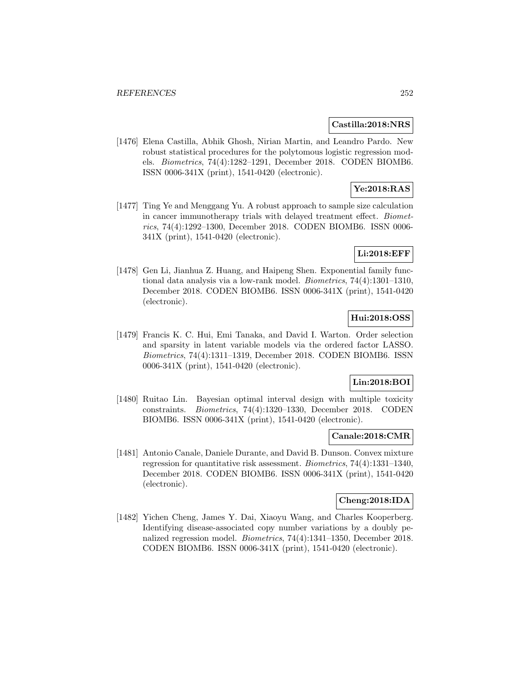#### **Castilla:2018:NRS**

[1476] Elena Castilla, Abhik Ghosh, Nirian Martin, and Leandro Pardo. New robust statistical procedures for the polytomous logistic regression models. Biometrics, 74(4):1282–1291, December 2018. CODEN BIOMB6. ISSN 0006-341X (print), 1541-0420 (electronic).

# **Ye:2018:RAS**

[1477] Ting Ye and Menggang Yu. A robust approach to sample size calculation in cancer immunotherapy trials with delayed treatment effect. Biometrics, 74(4):1292–1300, December 2018. CODEN BIOMB6. ISSN 0006- 341X (print), 1541-0420 (electronic).

# **Li:2018:EFF**

[1478] Gen Li, Jianhua Z. Huang, and Haipeng Shen. Exponential family functional data analysis via a low-rank model. Biometrics, 74(4):1301–1310, December 2018. CODEN BIOMB6. ISSN 0006-341X (print), 1541-0420 (electronic).

# **Hui:2018:OSS**

[1479] Francis K. C. Hui, Emi Tanaka, and David I. Warton. Order selection and sparsity in latent variable models via the ordered factor LASSO. Biometrics, 74(4):1311–1319, December 2018. CODEN BIOMB6. ISSN 0006-341X (print), 1541-0420 (electronic).

#### **Lin:2018:BOI**

[1480] Ruitao Lin. Bayesian optimal interval design with multiple toxicity constraints. Biometrics, 74(4):1320–1330, December 2018. CODEN BIOMB6. ISSN 0006-341X (print), 1541-0420 (electronic).

#### **Canale:2018:CMR**

[1481] Antonio Canale, Daniele Durante, and David B. Dunson. Convex mixture regression for quantitative risk assessment. Biometrics, 74(4):1331–1340, December 2018. CODEN BIOMB6. ISSN 0006-341X (print), 1541-0420 (electronic).

#### **Cheng:2018:IDA**

[1482] Yichen Cheng, James Y. Dai, Xiaoyu Wang, and Charles Kooperberg. Identifying disease-associated copy number variations by a doubly penalized regression model. Biometrics, 74(4):1341–1350, December 2018. CODEN BIOMB6. ISSN 0006-341X (print), 1541-0420 (electronic).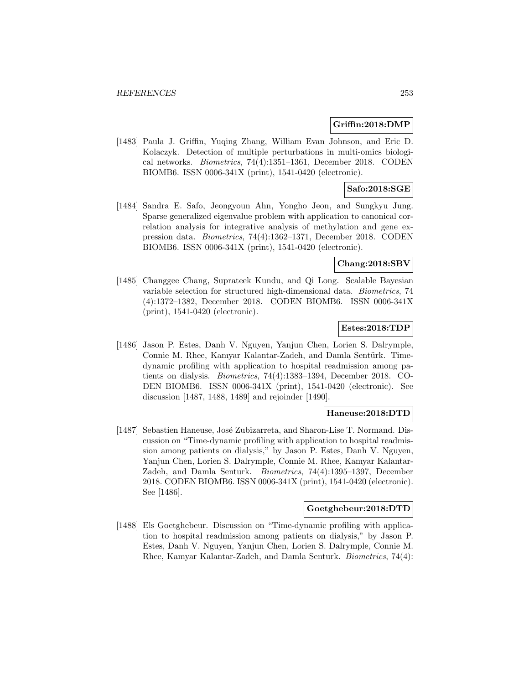#### **Griffin:2018:DMP**

[1483] Paula J. Griffin, Yuqing Zhang, William Evan Johnson, and Eric D. Kolaczyk. Detection of multiple perturbations in multi-omics biological networks. Biometrics, 74(4):1351–1361, December 2018. CODEN BIOMB6. ISSN 0006-341X (print), 1541-0420 (electronic).

## **Safo:2018:SGE**

[1484] Sandra E. Safo, Jeongyoun Ahn, Yongho Jeon, and Sungkyu Jung. Sparse generalized eigenvalue problem with application to canonical correlation analysis for integrative analysis of methylation and gene expression data. Biometrics, 74(4):1362–1371, December 2018. CODEN BIOMB6. ISSN 0006-341X (print), 1541-0420 (electronic).

### **Chang:2018:SBV**

[1485] Changgee Chang, Suprateek Kundu, and Qi Long. Scalable Bayesian variable selection for structured high-dimensional data. Biometrics, 74 (4):1372–1382, December 2018. CODEN BIOMB6. ISSN 0006-341X (print), 1541-0420 (electronic).

## **Estes:2018:TDP**

[1486] Jason P. Estes, Danh V. Nguyen, Yanjun Chen, Lorien S. Dalrymple, Connie M. Rhee, Kamyar Kalantar-Zadeh, and Damla Sentürk. Timedynamic profiling with application to hospital readmission among patients on dialysis. Biometrics, 74(4):1383–1394, December 2018. CO-DEN BIOMB6. ISSN 0006-341X (print), 1541-0420 (electronic). See discussion [1487, 1488, 1489] and rejoinder [1490].

### **Haneuse:2018:DTD**

[1487] Sebastien Haneuse, José Zubizarreta, and Sharon-Lise T. Normand. Discussion on "Time-dynamic profiling with application to hospital readmission among patients on dialysis," by Jason P. Estes, Danh V. Nguyen, Yanjun Chen, Lorien S. Dalrymple, Connie M. Rhee, Kamyar Kalantar-Zadeh, and Damla Senturk. Biometrics, 74(4):1395–1397, December 2018. CODEN BIOMB6. ISSN 0006-341X (print), 1541-0420 (electronic). See [1486].

#### **Goetghebeur:2018:DTD**

[1488] Els Goetghebeur. Discussion on "Time-dynamic profiling with application to hospital readmission among patients on dialysis," by Jason P. Estes, Danh V. Nguyen, Yanjun Chen, Lorien S. Dalrymple, Connie M. Rhee, Kamyar Kalantar-Zadeh, and Damla Senturk. Biometrics, 74(4):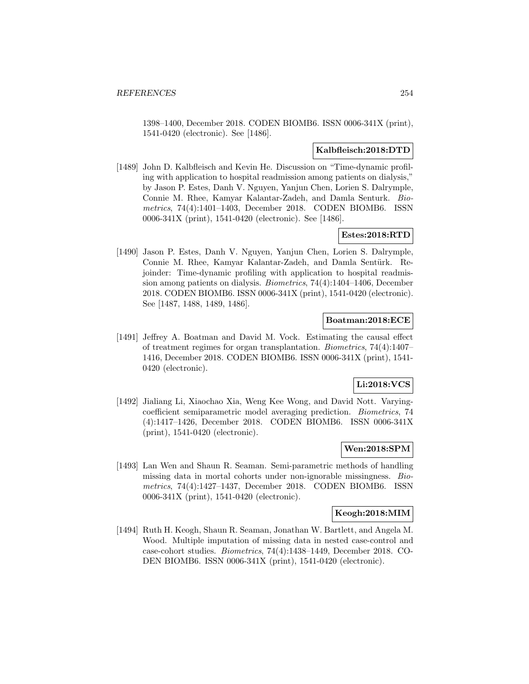1398–1400, December 2018. CODEN BIOMB6. ISSN 0006-341X (print), 1541-0420 (electronic). See [1486].

#### **Kalbfleisch:2018:DTD**

[1489] John D. Kalbfleisch and Kevin He. Discussion on "Time-dynamic profiling with application to hospital readmission among patients on dialysis," by Jason P. Estes, Danh V. Nguyen, Yanjun Chen, Lorien S. Dalrymple, Connie M. Rhee, Kamyar Kalantar-Zadeh, and Damla Senturk. Biometrics, 74(4):1401–1403, December 2018. CODEN BIOMB6. ISSN 0006-341X (print), 1541-0420 (electronic). See [1486].

### **Estes:2018:RTD**

[1490] Jason P. Estes, Danh V. Nguyen, Yanjun Chen, Lorien S. Dalrymple, Connie M. Rhee, Kamyar Kalantar-Zadeh, and Damla Sentürk. Rejoinder: Time-dynamic profiling with application to hospital readmission among patients on dialysis. Biometrics, 74(4):1404–1406, December 2018. CODEN BIOMB6. ISSN 0006-341X (print), 1541-0420 (electronic). See [1487, 1488, 1489, 1486].

### **Boatman:2018:ECE**

[1491] Jeffrey A. Boatman and David M. Vock. Estimating the causal effect of treatment regimes for organ transplantation. Biometrics, 74(4):1407– 1416, December 2018. CODEN BIOMB6. ISSN 0006-341X (print), 1541- 0420 (electronic).

# **Li:2018:VCS**

[1492] Jialiang Li, Xiaochao Xia, Weng Kee Wong, and David Nott. Varyingcoefficient semiparametric model averaging prediction. Biometrics, 74 (4):1417–1426, December 2018. CODEN BIOMB6. ISSN 0006-341X (print), 1541-0420 (electronic).

### **Wen:2018:SPM**

[1493] Lan Wen and Shaun R. Seaman. Semi-parametric methods of handling missing data in mortal cohorts under non-ignorable missingness. Biometrics, 74(4):1427–1437, December 2018. CODEN BIOMB6. ISSN 0006-341X (print), 1541-0420 (electronic).

# **Keogh:2018:MIM**

[1494] Ruth H. Keogh, Shaun R. Seaman, Jonathan W. Bartlett, and Angela M. Wood. Multiple imputation of missing data in nested case-control and case-cohort studies. Biometrics, 74(4):1438–1449, December 2018. CO-DEN BIOMB6. ISSN 0006-341X (print), 1541-0420 (electronic).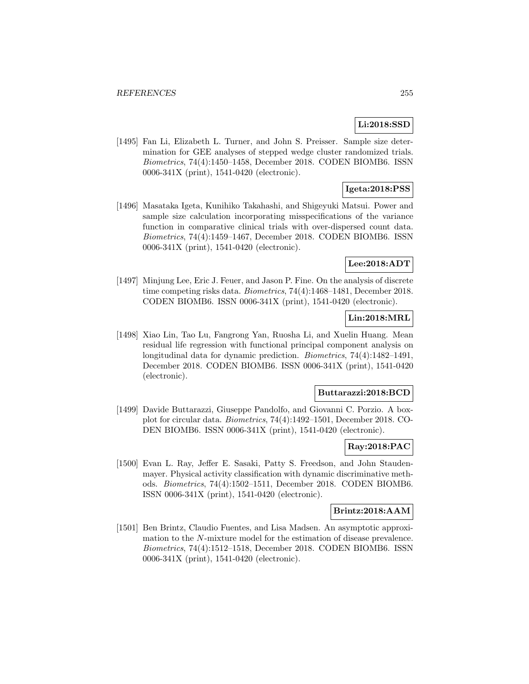## **Li:2018:SSD**

[1495] Fan Li, Elizabeth L. Turner, and John S. Preisser. Sample size determination for GEE analyses of stepped wedge cluster randomized trials. Biometrics, 74(4):1450–1458, December 2018. CODEN BIOMB6. ISSN 0006-341X (print), 1541-0420 (electronic).

# **Igeta:2018:PSS**

[1496] Masataka Igeta, Kunihiko Takahashi, and Shigeyuki Matsui. Power and sample size calculation incorporating misspecifications of the variance function in comparative clinical trials with over-dispersed count data. Biometrics, 74(4):1459–1467, December 2018. CODEN BIOMB6. ISSN 0006-341X (print), 1541-0420 (electronic).

## **Lee:2018:ADT**

[1497] Minjung Lee, Eric J. Feuer, and Jason P. Fine. On the analysis of discrete time competing risks data. Biometrics, 74(4):1468–1481, December 2018. CODEN BIOMB6. ISSN 0006-341X (print), 1541-0420 (electronic).

### **Lin:2018:MRL**

[1498] Xiao Lin, Tao Lu, Fangrong Yan, Ruosha Li, and Xuelin Huang. Mean residual life regression with functional principal component analysis on longitudinal data for dynamic prediction. Biometrics, 74(4):1482–1491, December 2018. CODEN BIOMB6. ISSN 0006-341X (print), 1541-0420 (electronic).

### **Buttarazzi:2018:BCD**

[1499] Davide Buttarazzi, Giuseppe Pandolfo, and Giovanni C. Porzio. A boxplot for circular data. Biometrics, 74(4):1492–1501, December 2018. CO-DEN BIOMB6. ISSN 0006-341X (print), 1541-0420 (electronic).

### **Ray:2018:PAC**

[1500] Evan L. Ray, Jeffer E. Sasaki, Patty S. Freedson, and John Staudenmayer. Physical activity classification with dynamic discriminative methods. Biometrics, 74(4):1502–1511, December 2018. CODEN BIOMB6. ISSN 0006-341X (print), 1541-0420 (electronic).

### **Brintz:2018:AAM**

[1501] Ben Brintz, Claudio Fuentes, and Lisa Madsen. An asymptotic approximation to the N-mixture model for the estimation of disease prevalence. Biometrics, 74(4):1512–1518, December 2018. CODEN BIOMB6. ISSN 0006-341X (print), 1541-0420 (electronic).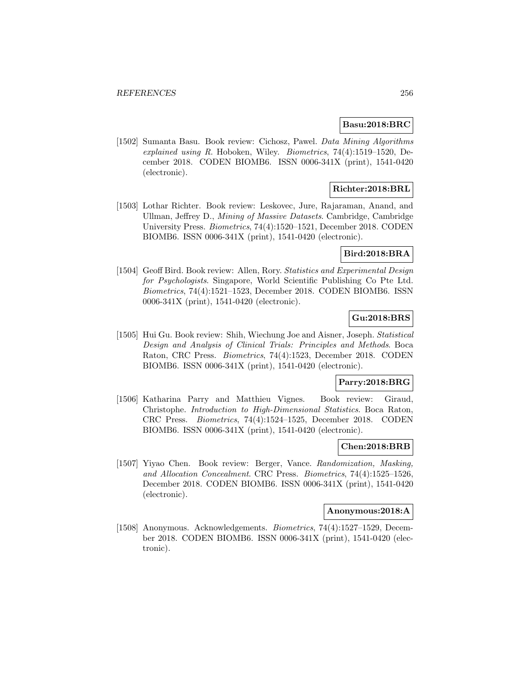#### **Basu:2018:BRC**

[1502] Sumanta Basu. Book review: Cichosz, Pawel. Data Mining Algorithms explained using R. Hoboken, Wiley. Biometrics, 74(4):1519–1520, December 2018. CODEN BIOMB6. ISSN 0006-341X (print), 1541-0420 (electronic).

## **Richter:2018:BRL**

[1503] Lothar Richter. Book review: Leskovec, Jure, Rajaraman, Anand, and Ullman, Jeffrey D., Mining of Massive Datasets. Cambridge, Cambridge University Press. Biometrics, 74(4):1520–1521, December 2018. CODEN BIOMB6. ISSN 0006-341X (print), 1541-0420 (electronic).

### **Bird:2018:BRA**

[1504] Geoff Bird. Book review: Allen, Rory. Statistics and Experimental Design for Psychologists. Singapore, World Scientific Publishing Co Pte Ltd. Biometrics, 74(4):1521–1523, December 2018. CODEN BIOMB6. ISSN 0006-341X (print), 1541-0420 (electronic).

## **Gu:2018:BRS**

[1505] Hui Gu. Book review: Shih, Wiechung Joe and Aisner, Joseph. Statistical Design and Analysis of Clinical Trials: Principles and Methods. Boca Raton, CRC Press. Biometrics, 74(4):1523, December 2018. CODEN BIOMB6. ISSN 0006-341X (print), 1541-0420 (electronic).

#### **Parry:2018:BRG**

[1506] Katharina Parry and Matthieu Vignes. Book review: Giraud, Christophe. Introduction to High-Dimensional Statistics. Boca Raton, CRC Press. Biometrics, 74(4):1524–1525, December 2018. CODEN BIOMB6. ISSN 0006-341X (print), 1541-0420 (electronic).

### **Chen:2018:BRB**

[1507] Yiyao Chen. Book review: Berger, Vance. Randomization, Masking, and Allocation Concealment. CRC Press. Biometrics, 74(4):1525–1526, December 2018. CODEN BIOMB6. ISSN 0006-341X (print), 1541-0420 (electronic).

### **Anonymous:2018:A**

[1508] Anonymous. Acknowledgements. Biometrics, 74(4):1527–1529, December 2018. CODEN BIOMB6. ISSN 0006-341X (print), 1541-0420 (electronic).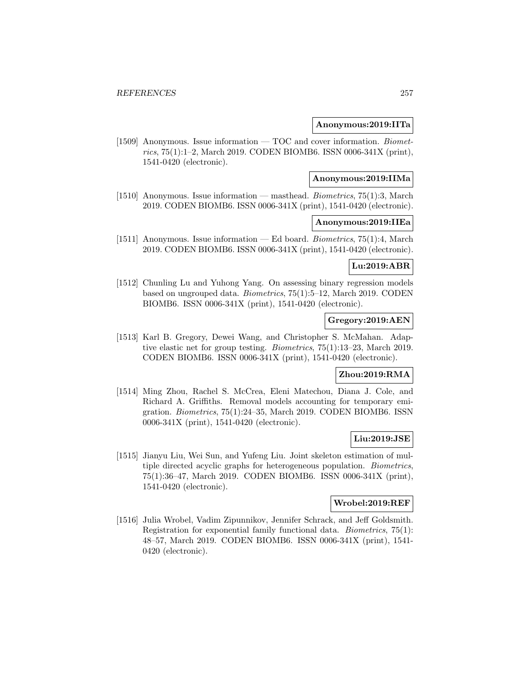### **Anonymous:2019:IITa**

[1509] Anonymous. Issue information — TOC and cover information. Biometrics, 75(1):1–2, March 2019. CODEN BIOMB6. ISSN 0006-341X (print), 1541-0420 (electronic).

#### **Anonymous:2019:IIMa**

[1510] Anonymous. Issue information — masthead. Biometrics, 75(1):3, March 2019. CODEN BIOMB6. ISSN 0006-341X (print), 1541-0420 (electronic).

### **Anonymous:2019:IIEa**

[1511] Anonymous. Issue information — Ed board. Biometrics, 75(1):4, March 2019. CODEN BIOMB6. ISSN 0006-341X (print), 1541-0420 (electronic).

## **Lu:2019:ABR**

[1512] Chunling Lu and Yuhong Yang. On assessing binary regression models based on ungrouped data. Biometrics, 75(1):5–12, March 2019. CODEN BIOMB6. ISSN 0006-341X (print), 1541-0420 (electronic).

## **Gregory:2019:AEN**

[1513] Karl B. Gregory, Dewei Wang, and Christopher S. McMahan. Adaptive elastic net for group testing. Biometrics, 75(1):13–23, March 2019. CODEN BIOMB6. ISSN 0006-341X (print), 1541-0420 (electronic).

## **Zhou:2019:RMA**

[1514] Ming Zhou, Rachel S. McCrea, Eleni Matechou, Diana J. Cole, and Richard A. Griffiths. Removal models accounting for temporary emigration. Biometrics, 75(1):24–35, March 2019. CODEN BIOMB6. ISSN 0006-341X (print), 1541-0420 (electronic).

### **Liu:2019:JSE**

[1515] Jianyu Liu, Wei Sun, and Yufeng Liu. Joint skeleton estimation of multiple directed acyclic graphs for heterogeneous population. Biometrics, 75(1):36–47, March 2019. CODEN BIOMB6. ISSN 0006-341X (print), 1541-0420 (electronic).

## **Wrobel:2019:REF**

[1516] Julia Wrobel, Vadim Zipunnikov, Jennifer Schrack, and Jeff Goldsmith. Registration for exponential family functional data. Biometrics, 75(1): 48–57, March 2019. CODEN BIOMB6. ISSN 0006-341X (print), 1541- 0420 (electronic).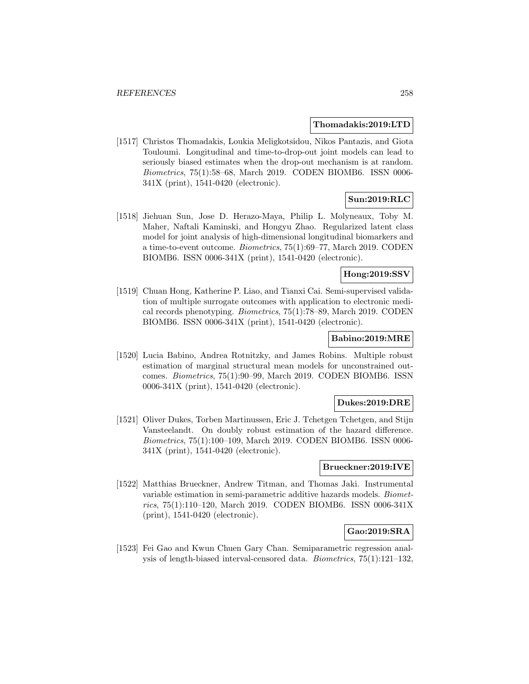#### **Thomadakis:2019:LTD**

[1517] Christos Thomadakis, Loukia Meligkotsidou, Nikos Pantazis, and Giota Touloumi. Longitudinal and time-to-drop-out joint models can lead to seriously biased estimates when the drop-out mechanism is at random. Biometrics, 75(1):58–68, March 2019. CODEN BIOMB6. ISSN 0006- 341X (print), 1541-0420 (electronic).

# **Sun:2019:RLC**

[1518] Jiehuan Sun, Jose D. Herazo-Maya, Philip L. Molyneaux, Toby M. Maher, Naftali Kaminski, and Hongyu Zhao. Regularized latent class model for joint analysis of high-dimensional longitudinal biomarkers and a time-to-event outcome. Biometrics, 75(1):69–77, March 2019. CODEN BIOMB6. ISSN 0006-341X (print), 1541-0420 (electronic).

## **Hong:2019:SSV**

[1519] Chuan Hong, Katherine P. Liao, and Tianxi Cai. Semi-supervised validation of multiple surrogate outcomes with application to electronic medical records phenotyping. Biometrics, 75(1):78–89, March 2019. CODEN BIOMB6. ISSN 0006-341X (print), 1541-0420 (electronic).

### **Babino:2019:MRE**

[1520] Lucia Babino, Andrea Rotnitzky, and James Robins. Multiple robust estimation of marginal structural mean models for unconstrained outcomes. Biometrics, 75(1):90–99, March 2019. CODEN BIOMB6. ISSN 0006-341X (print), 1541-0420 (electronic).

### **Dukes:2019:DRE**

[1521] Oliver Dukes, Torben Martinussen, Eric J. Tchetgen Tchetgen, and Stijn Vansteelandt. On doubly robust estimation of the hazard difference. Biometrics, 75(1):100–109, March 2019. CODEN BIOMB6. ISSN 0006- 341X (print), 1541-0420 (electronic).

### **Brueckner:2019:IVE**

[1522] Matthias Brueckner, Andrew Titman, and Thomas Jaki. Instrumental variable estimation in semi-parametric additive hazards models. Biometrics, 75(1):110–120, March 2019. CODEN BIOMB6. ISSN 0006-341X (print), 1541-0420 (electronic).

## **Gao:2019:SRA**

[1523] Fei Gao and Kwun Chuen Gary Chan. Semiparametric regression analysis of length-biased interval-censored data. Biometrics, 75(1):121–132,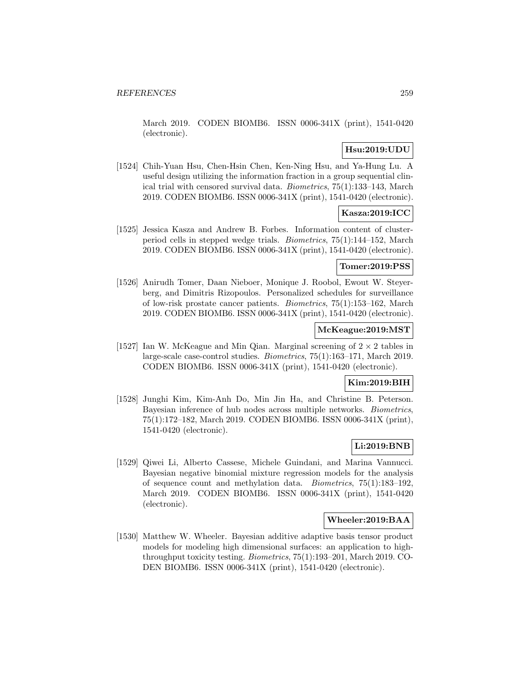March 2019. CODEN BIOMB6. ISSN 0006-341X (print), 1541-0420 (electronic).

## **Hsu:2019:UDU**

[1524] Chih-Yuan Hsu, Chen-Hsin Chen, Ken-Ning Hsu, and Ya-Hung Lu. A useful design utilizing the information fraction in a group sequential clinical trial with censored survival data. Biometrics, 75(1):133–143, March 2019. CODEN BIOMB6. ISSN 0006-341X (print), 1541-0420 (electronic).

# **Kasza:2019:ICC**

[1525] Jessica Kasza and Andrew B. Forbes. Information content of clusterperiod cells in stepped wedge trials. Biometrics, 75(1):144–152, March 2019. CODEN BIOMB6. ISSN 0006-341X (print), 1541-0420 (electronic).

### **Tomer:2019:PSS**

[1526] Anirudh Tomer, Daan Nieboer, Monique J. Roobol, Ewout W. Steyerberg, and Dimitris Rizopoulos. Personalized schedules for surveillance of low-risk prostate cancer patients. Biometrics, 75(1):153–162, March 2019. CODEN BIOMB6. ISSN 0006-341X (print), 1541-0420 (electronic).

## **McKeague:2019:MST**

[1527] Ian W. McKeague and Min Qian. Marginal screening of  $2 \times 2$  tables in large-scale case-control studies. Biometrics, 75(1):163–171, March 2019. CODEN BIOMB6. ISSN 0006-341X (print), 1541-0420 (electronic).

## **Kim:2019:BIH**

[1528] Junghi Kim, Kim-Anh Do, Min Jin Ha, and Christine B. Peterson. Bayesian inference of hub nodes across multiple networks. Biometrics, 75(1):172–182, March 2019. CODEN BIOMB6. ISSN 0006-341X (print), 1541-0420 (electronic).

### **Li:2019:BNB**

[1529] Qiwei Li, Alberto Cassese, Michele Guindani, and Marina Vannucci. Bayesian negative binomial mixture regression models for the analysis of sequence count and methylation data. Biometrics, 75(1):183–192, March 2019. CODEN BIOMB6. ISSN 0006-341X (print), 1541-0420 (electronic).

### **Wheeler:2019:BAA**

[1530] Matthew W. Wheeler. Bayesian additive adaptive basis tensor product models for modeling high dimensional surfaces: an application to highthroughput toxicity testing. Biometrics, 75(1):193–201, March 2019. CO-DEN BIOMB6. ISSN 0006-341X (print), 1541-0420 (electronic).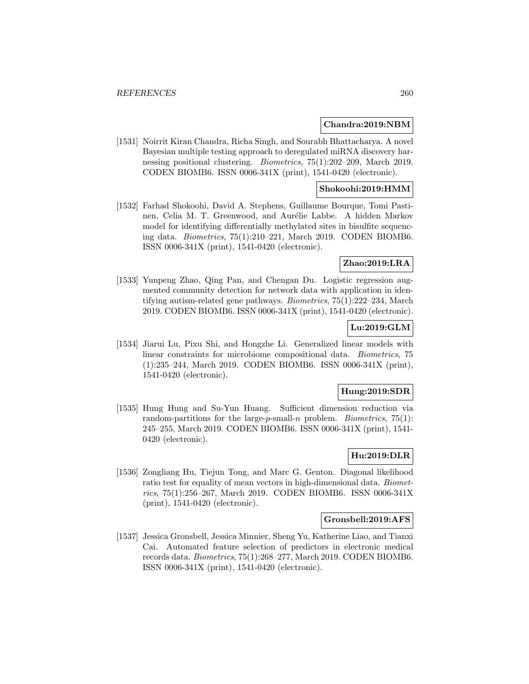### **Chandra:2019:NBM**

[1531] Noirrit Kiran Chandra, Richa Singh, and Sourabh Bhattacharya. A novel Bayesian multiple testing approach to deregulated miRNA discovery harnessing positional clustering. Biometrics, 75(1):202–209, March 2019. CODEN BIOMB6. ISSN 0006-341X (print), 1541-0420 (electronic).

### **Shokoohi:2019:HMM**

[1532] Farhad Shokoohi, David A. Stephens, Guillaume Bourque, Tomi Pastinen, Celia M. T. Greenwood, and Aurélie Labbe. A hidden Markov model for identifying differentially methylated sites in bisulfite sequencing data. Biometrics, 75(1):210–221, March 2019. CODEN BIOMB6. ISSN 0006-341X (print), 1541-0420 (electronic).

## **Zhao:2019:LRA**

[1533] Yunpeng Zhao, Qing Pan, and Chengan Du. Logistic regression augmented community detection for network data with application in identifying autism-related gene pathways. Biometrics, 75(1):222–234, March 2019. CODEN BIOMB6. ISSN 0006-341X (print), 1541-0420 (electronic).

## **Lu:2019:GLM**

[1534] Jiarui Lu, Pixu Shi, and Hongzhe Li. Generalized linear models with linear constraints for microbiome compositional data. Biometrics, 75 (1):235–244, March 2019. CODEN BIOMB6. ISSN 0006-341X (print), 1541-0420 (electronic).

## **Hung:2019:SDR**

[1535] Hung Hung and Su-Yun Huang. Sufficient dimension reduction via random-partitions for the large-p-small-n problem. *Biometrics*,  $75(1)$ : 245–255, March 2019. CODEN BIOMB6. ISSN 0006-341X (print), 1541- 0420 (electronic).

# **Hu:2019:DLR**

[1536] Zongliang Hu, Tiejun Tong, and Marc G. Genton. Diagonal likelihood ratio test for equality of mean vectors in high-dimensional data. Biometrics, 75(1):256–267, March 2019. CODEN BIOMB6. ISSN 0006-341X (print), 1541-0420 (electronic).

### **Gronsbell:2019:AFS**

[1537] Jessica Gronsbell, Jessica Minnier, Sheng Yu, Katherine Liao, and Tianxi Cai. Automated feature selection of predictors in electronic medical records data. Biometrics, 75(1):268–277, March 2019. CODEN BIOMB6. ISSN 0006-341X (print), 1541-0420 (electronic).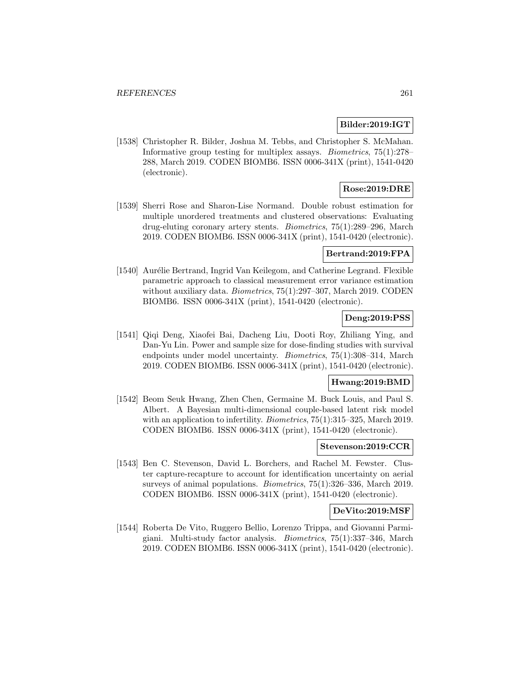## **Bilder:2019:IGT**

[1538] Christopher R. Bilder, Joshua M. Tebbs, and Christopher S. McMahan. Informative group testing for multiplex assays. Biometrics, 75(1):278– 288, March 2019. CODEN BIOMB6. ISSN 0006-341X (print), 1541-0420 (electronic).

# **Rose:2019:DRE**

[1539] Sherri Rose and Sharon-Lise Normand. Double robust estimation for multiple unordered treatments and clustered observations: Evaluating drug-eluting coronary artery stents. Biometrics, 75(1):289–296, March 2019. CODEN BIOMB6. ISSN 0006-341X (print), 1541-0420 (electronic).

# **Bertrand:2019:FPA**

[1540] Aurélie Bertrand, Ingrid Van Keilegom, and Catherine Legrand. Flexible parametric approach to classical measurement error variance estimation without auxiliary data. *Biometrics*, 75(1):297–307, March 2019. CODEN BIOMB6. ISSN 0006-341X (print), 1541-0420 (electronic).

### **Deng:2019:PSS**

[1541] Qiqi Deng, Xiaofei Bai, Dacheng Liu, Dooti Roy, Zhiliang Ying, and Dan-Yu Lin. Power and sample size for dose-finding studies with survival endpoints under model uncertainty. Biometrics, 75(1):308–314, March 2019. CODEN BIOMB6. ISSN 0006-341X (print), 1541-0420 (electronic).

#### **Hwang:2019:BMD**

[1542] Beom Seuk Hwang, Zhen Chen, Germaine M. Buck Louis, and Paul S. Albert. A Bayesian multi-dimensional couple-based latent risk model with an application to infertility. *Biometrics*, 75(1):315–325, March 2019. CODEN BIOMB6. ISSN 0006-341X (print), 1541-0420 (electronic).

#### **Stevenson:2019:CCR**

[1543] Ben C. Stevenson, David L. Borchers, and Rachel M. Fewster. Cluster capture-recapture to account for identification uncertainty on aerial surveys of animal populations. Biometrics, 75(1):326–336, March 2019. CODEN BIOMB6. ISSN 0006-341X (print), 1541-0420 (electronic).

### **DeVito:2019:MSF**

[1544] Roberta De Vito, Ruggero Bellio, Lorenzo Trippa, and Giovanni Parmigiani. Multi-study factor analysis. Biometrics, 75(1):337–346, March 2019. CODEN BIOMB6. ISSN 0006-341X (print), 1541-0420 (electronic).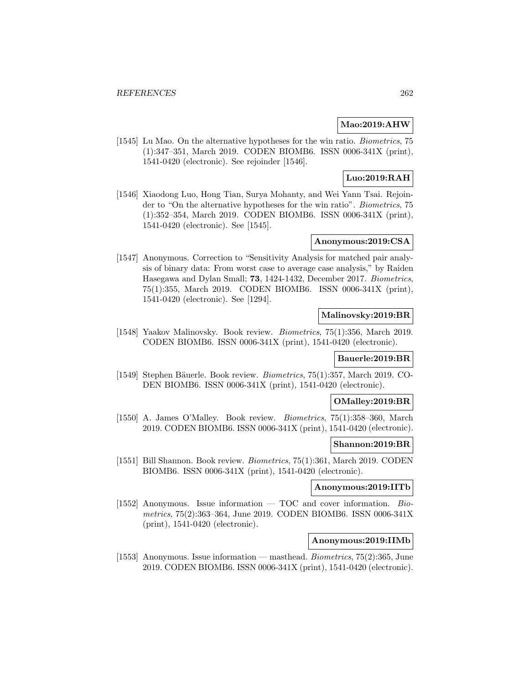## **Mao:2019:AHW**

[1545] Lu Mao. On the alternative hypotheses for the win ratio. Biometrics, 75 (1):347–351, March 2019. CODEN BIOMB6. ISSN 0006-341X (print), 1541-0420 (electronic). See rejoinder [1546].

# **Luo:2019:RAH**

[1546] Xiaodong Luo, Hong Tian, Surya Mohanty, and Wei Yann Tsai. Rejoinder to "On the alternative hypotheses for the win ratio". Biometrics, 75 (1):352–354, March 2019. CODEN BIOMB6. ISSN 0006-341X (print), 1541-0420 (electronic). See [1545].

## **Anonymous:2019:CSA**

[1547] Anonymous. Correction to "Sensitivity Analysis for matched pair analysis of binary data: From worst case to average case analysis," by Raiden Hasegawa and Dylan Small; **73**, 1424-1432, December 2017. Biometrics, 75(1):355, March 2019. CODEN BIOMB6. ISSN 0006-341X (print), 1541-0420 (electronic). See [1294].

## **Malinovsky:2019:BR**

[1548] Yaakov Malinovsky. Book review. Biometrics, 75(1):356, March 2019. CODEN BIOMB6. ISSN 0006-341X (print), 1541-0420 (electronic).

## **Bauerle:2019:BR**

[1549] Stephen Bäuerle. Book review. *Biometrics*, 75(1):357, March 2019. CO-DEN BIOMB6. ISSN 0006-341X (print), 1541-0420 (electronic).

### **OMalley:2019:BR**

[1550] A. James O'Malley. Book review. Biometrics, 75(1):358–360, March 2019. CODEN BIOMB6. ISSN 0006-341X (print), 1541-0420 (electronic).

#### **Shannon:2019:BR**

[1551] Bill Shannon. Book review. Biometrics, 75(1):361, March 2019. CODEN BIOMB6. ISSN 0006-341X (print), 1541-0420 (electronic).

### **Anonymous:2019:IITb**

[1552] Anonymous. Issue information  $-$  TOC and cover information. Biometrics, 75(2):363–364, June 2019. CODEN BIOMB6. ISSN 0006-341X (print), 1541-0420 (electronic).

## **Anonymous:2019:IIMb**

[1553] Anonymous. Issue information — masthead. Biometrics, 75(2):365, June 2019. CODEN BIOMB6. ISSN 0006-341X (print), 1541-0420 (electronic).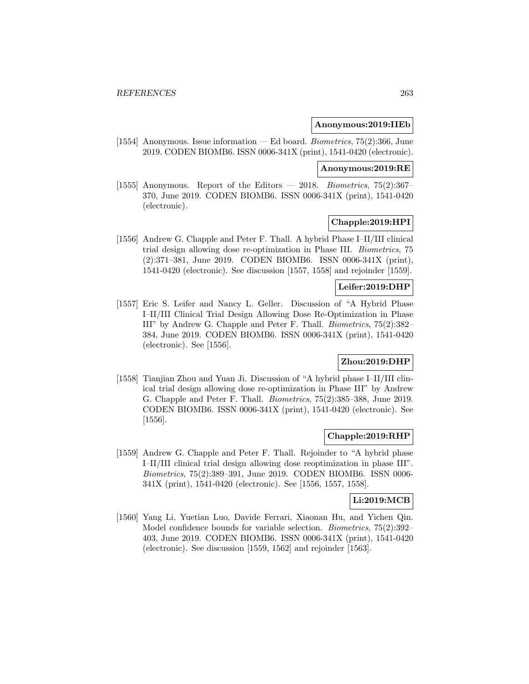### **Anonymous:2019:IIEb**

[1554] Anonymous. Issue information — Ed board. Biometrics, 75(2):366, June 2019. CODEN BIOMB6. ISSN 0006-341X (print), 1541-0420 (electronic).

#### **Anonymous:2019:RE**

[1555] Anonymous. Report of the Editors  $-2018$ . Biometrics, 75(2):367-370, June 2019. CODEN BIOMB6. ISSN 0006-341X (print), 1541-0420 (electronic).

### **Chapple:2019:HPI**

[1556] Andrew G. Chapple and Peter F. Thall. A hybrid Phase I–II/III clinical trial design allowing dose re-optimization in Phase III. Biometrics, 75 (2):371–381, June 2019. CODEN BIOMB6. ISSN 0006-341X (print), 1541-0420 (electronic). See discussion [1557, 1558] and rejoinder [1559].

### **Leifer:2019:DHP**

[1557] Eric S. Leifer and Nancy L. Geller. Discussion of "A Hybrid Phase I–II/III Clinical Trial Design Allowing Dose Re-Optimization in Phase III" by Andrew G. Chapple and Peter F. Thall. Biometrics, 75(2):382– 384, June 2019. CODEN BIOMB6. ISSN 0006-341X (print), 1541-0420 (electronic). See [1556].

### **Zhou:2019:DHP**

[1558] Tianjian Zhou and Yuan Ji. Discussion of "A hybrid phase I–II/III clinical trial design allowing dose re-optimization in Phase III" by Andrew G. Chapple and Peter F. Thall. Biometrics, 75(2):385–388, June 2019. CODEN BIOMB6. ISSN 0006-341X (print), 1541-0420 (electronic). See [1556].

#### **Chapple:2019:RHP**

[1559] Andrew G. Chapple and Peter F. Thall. Rejoinder to "A hybrid phase I–II/III clinical trial design allowing dose reoptimization in phase III". Biometrics, 75(2):389–391, June 2019. CODEN BIOMB6. ISSN 0006- 341X (print), 1541-0420 (electronic). See [1556, 1557, 1558].

#### **Li:2019:MCB**

[1560] Yang Li, Yuetian Luo, Davide Ferrari, Xiaonan Hu, and Yichen Qin. Model confidence bounds for variable selection. Biometrics, 75(2):392– 403, June 2019. CODEN BIOMB6. ISSN 0006-341X (print), 1541-0420 (electronic). See discussion [1559, 1562] and rejoinder [1563].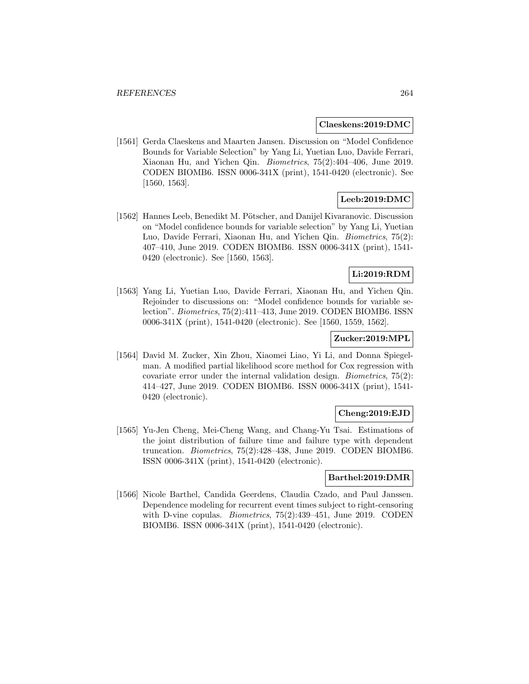#### **Claeskens:2019:DMC**

[1561] Gerda Claeskens and Maarten Jansen. Discussion on "Model Confidence Bounds for Variable Selection" by Yang Li, Yuetian Luo, Davide Ferrari, Xiaonan Hu, and Yichen Qin. Biometrics, 75(2):404–406, June 2019. CODEN BIOMB6. ISSN 0006-341X (print), 1541-0420 (electronic). See [1560, 1563].

# **Leeb:2019:DMC**

[1562] Hannes Leeb, Benedikt M. Pötscher, and Danijel Kivaranovic. Discussion on "Model confidence bounds for variable selection" by Yang Li, Yuetian Luo, Davide Ferrari, Xiaonan Hu, and Yichen Qin. Biometrics, 75(2): 407–410, June 2019. CODEN BIOMB6. ISSN 0006-341X (print), 1541- 0420 (electronic). See [1560, 1563].

## **Li:2019:RDM**

[1563] Yang Li, Yuetian Luo, Davide Ferrari, Xiaonan Hu, and Yichen Qin. Rejoinder to discussions on: "Model confidence bounds for variable selection". Biometrics, 75(2):411–413, June 2019. CODEN BIOMB6. ISSN 0006-341X (print), 1541-0420 (electronic). See [1560, 1559, 1562].

### **Zucker:2019:MPL**

[1564] David M. Zucker, Xin Zhou, Xiaomei Liao, Yi Li, and Donna Spiegelman. A modified partial likelihood score method for Cox regression with covariate error under the internal validation design. Biometrics, 75(2): 414–427, June 2019. CODEN BIOMB6. ISSN 0006-341X (print), 1541- 0420 (electronic).

# **Cheng:2019:EJD**

[1565] Yu-Jen Cheng, Mei-Cheng Wang, and Chang-Yu Tsai. Estimations of the joint distribution of failure time and failure type with dependent truncation. Biometrics, 75(2):428–438, June 2019. CODEN BIOMB6. ISSN 0006-341X (print), 1541-0420 (electronic).

### **Barthel:2019:DMR**

[1566] Nicole Barthel, Candida Geerdens, Claudia Czado, and Paul Janssen. Dependence modeling for recurrent event times subject to right-censoring with D-vine copulas. *Biometrics*, 75(2):439–451, June 2019. CODEN BIOMB6. ISSN 0006-341X (print), 1541-0420 (electronic).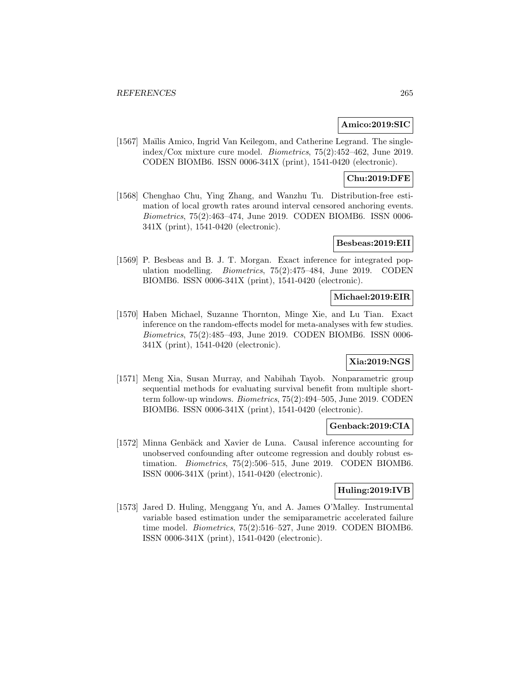### **Amico:2019:SIC**

[1567] Maïlis Amico, Ingrid Van Keilegom, and Catherine Legrand. The singleindex/Cox mixture cure model. Biometrics, 75(2):452–462, June 2019. CODEN BIOMB6. ISSN 0006-341X (print), 1541-0420 (electronic).

# **Chu:2019:DFE**

[1568] Chenghao Chu, Ying Zhang, and Wanzhu Tu. Distribution-free estimation of local growth rates around interval censored anchoring events. Biometrics, 75(2):463–474, June 2019. CODEN BIOMB6. ISSN 0006- 341X (print), 1541-0420 (electronic).

### **Besbeas:2019:EII**

[1569] P. Besbeas and B. J. T. Morgan. Exact inference for integrated population modelling. Biometrics, 75(2):475–484, June 2019. CODEN BIOMB6. ISSN 0006-341X (print), 1541-0420 (electronic).

## **Michael:2019:EIR**

[1570] Haben Michael, Suzanne Thornton, Minge Xie, and Lu Tian. Exact inference on the random-effects model for meta-analyses with few studies. Biometrics, 75(2):485–493, June 2019. CODEN BIOMB6. ISSN 0006- 341X (print), 1541-0420 (electronic).

## **Xia:2019:NGS**

[1571] Meng Xia, Susan Murray, and Nabihah Tayob. Nonparametric group sequential methods for evaluating survival benefit from multiple shortterm follow-up windows. Biometrics, 75(2):494–505, June 2019. CODEN BIOMB6. ISSN 0006-341X (print), 1541-0420 (electronic).

### **Genback:2019:CIA**

[1572] Minna Genbäck and Xavier de Luna. Causal inference accounting for unobserved confounding after outcome regression and doubly robust estimation. Biometrics, 75(2):506–515, June 2019. CODEN BIOMB6. ISSN 0006-341X (print), 1541-0420 (electronic).

### **Huling:2019:IVB**

[1573] Jared D. Huling, Menggang Yu, and A. James O'Malley. Instrumental variable based estimation under the semiparametric accelerated failure time model. Biometrics, 75(2):516–527, June 2019. CODEN BIOMB6. ISSN 0006-341X (print), 1541-0420 (electronic).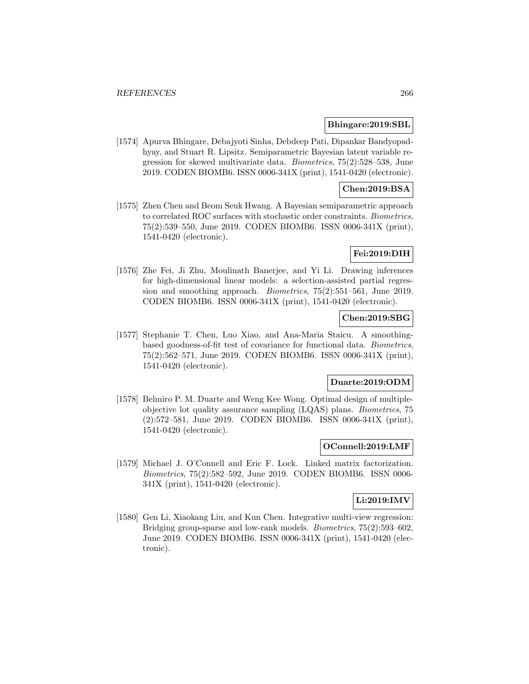### **Bhingare:2019:SBL**

[1574] Apurva Bhingare, Debajyoti Sinha, Debdeep Pati, Dipankar Bandyopadhyay, and Stuart R. Lipsitz. Semiparametric Bayesian latent variable regression for skewed multivariate data. Biometrics, 75(2):528–538, June 2019. CODEN BIOMB6. ISSN 0006-341X (print), 1541-0420 (electronic).

## **Chen:2019:BSA**

[1575] Zhen Chen and Beom Seuk Hwang. A Bayesian semiparametric approach to correlated ROC surfaces with stochastic order constraints. Biometrics, 75(2):539–550, June 2019. CODEN BIOMB6. ISSN 0006-341X (print), 1541-0420 (electronic).

### **Fei:2019:DIH**

[1576] Zhe Fei, Ji Zhu, Moulinath Banerjee, and Yi Li. Drawing inferences for high-dimensional linear models: a selection-assisted partial regression and smoothing approach. Biometrics, 75(2):551–561, June 2019. CODEN BIOMB6. ISSN 0006-341X (print), 1541-0420 (electronic).

## **Chen:2019:SBG**

[1577] Stephanie T. Chen, Luo Xiao, and Ana-Maria Staicu. A smoothingbased goodness-of-fit test of covariance for functional data. Biometrics, 75(2):562–571, June 2019. CODEN BIOMB6. ISSN 0006-341X (print), 1541-0420 (electronic).

#### **Duarte:2019:ODM**

[1578] Belmiro P. M. Duarte and Weng Kee Wong. Optimal design of multipleobjective lot quality assurance sampling (LQAS) plans. Biometrics, 75 (2):572–581, June 2019. CODEN BIOMB6. ISSN 0006-341X (print), 1541-0420 (electronic).

### **OConnell:2019:LMF**

[1579] Michael J. O'Connell and Eric F. Lock. Linked matrix factorization. Biometrics, 75(2):582–592, June 2019. CODEN BIOMB6. ISSN 0006- 341X (print), 1541-0420 (electronic).

### **Li:2019:IMV**

[1580] Gen Li, Xiaokang Liu, and Kun Chen. Integrative multi-view regression: Bridging group-sparse and low-rank models. Biometrics, 75(2):593–602, June 2019. CODEN BIOMB6. ISSN 0006-341X (print), 1541-0420 (electronic).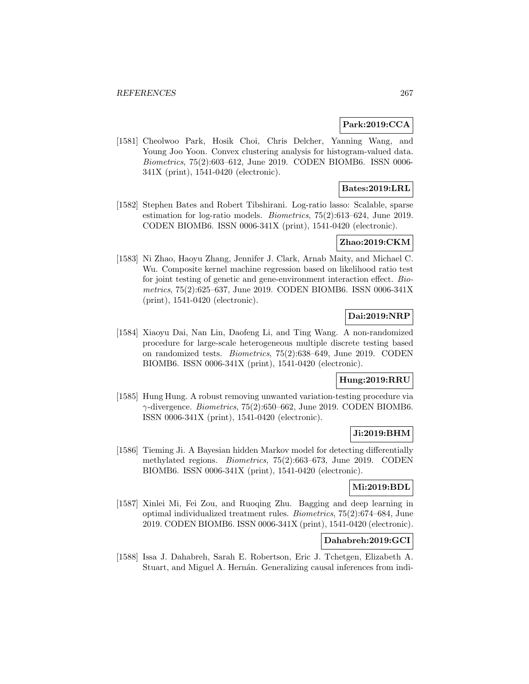### **Park:2019:CCA**

[1581] Cheolwoo Park, Hosik Choi, Chris Delcher, Yanning Wang, and Young Joo Yoon. Convex clustering analysis for histogram-valued data. Biometrics, 75(2):603–612, June 2019. CODEN BIOMB6. ISSN 0006- 341X (print), 1541-0420 (electronic).

## **Bates:2019:LRL**

[1582] Stephen Bates and Robert Tibshirani. Log-ratio lasso: Scalable, sparse estimation for log-ratio models. Biometrics, 75(2):613–624, June 2019. CODEN BIOMB6. ISSN 0006-341X (print), 1541-0420 (electronic).

# **Zhao:2019:CKM**

[1583] Ni Zhao, Haoyu Zhang, Jennifer J. Clark, Arnab Maity, and Michael C. Wu. Composite kernel machine regression based on likelihood ratio test for joint testing of genetic and gene-environment interaction effect. Biometrics, 75(2):625–637, June 2019. CODEN BIOMB6. ISSN 0006-341X (print), 1541-0420 (electronic).

## **Dai:2019:NRP**

[1584] Xiaoyu Dai, Nan Lin, Daofeng Li, and Ting Wang. A non-randomized procedure for large-scale heterogeneous multiple discrete testing based on randomized tests. Biometrics, 75(2):638–649, June 2019. CODEN BIOMB6. ISSN 0006-341X (print), 1541-0420 (electronic).

# **Hung:2019:RRU**

[1585] Hung Hung. A robust removing unwanted variation-testing procedure via  $\gamma$ -divergence. *Biometrics*, 75(2):650–662, June 2019. CODEN BIOMB6. ISSN 0006-341X (print), 1541-0420 (electronic).

### **Ji:2019:BHM**

[1586] Tieming Ji. A Bayesian hidden Markov model for detecting differentially methylated regions. Biometrics, 75(2):663–673, June 2019. CODEN BIOMB6. ISSN 0006-341X (print), 1541-0420 (electronic).

## **Mi:2019:BDL**

[1587] Xinlei Mi, Fei Zou, and Ruoqing Zhu. Bagging and deep learning in optimal individualized treatment rules. Biometrics, 75(2):674–684, June 2019. CODEN BIOMB6. ISSN 0006-341X (print), 1541-0420 (electronic).

## **Dahabreh:2019:GCI**

[1588] Issa J. Dahabreh, Sarah E. Robertson, Eric J. Tchetgen, Elizabeth A. Stuart, and Miguel A. Hernán. Generalizing causal inferences from indi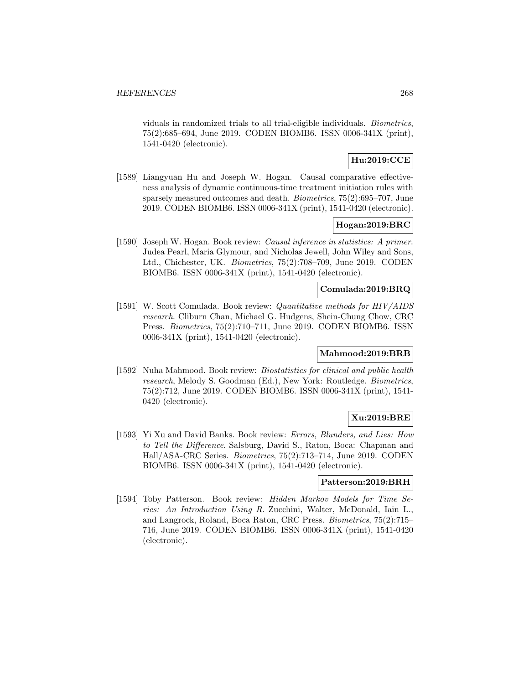viduals in randomized trials to all trial-eligible individuals. Biometrics, 75(2):685–694, June 2019. CODEN BIOMB6. ISSN 0006-341X (print), 1541-0420 (electronic).

# **Hu:2019:CCE**

[1589] Liangyuan Hu and Joseph W. Hogan. Causal comparative effectiveness analysis of dynamic continuous-time treatment initiation rules with sparsely measured outcomes and death. Biometrics, 75(2):695–707, June 2019. CODEN BIOMB6. ISSN 0006-341X (print), 1541-0420 (electronic).

## **Hogan:2019:BRC**

[1590] Joseph W. Hogan. Book review: Causal inference in statistics: A primer. Judea Pearl, Maria Glymour, and Nicholas Jewell, John Wiley and Sons, Ltd., Chichester, UK. Biometrics, 75(2):708–709, June 2019. CODEN BIOMB6. ISSN 0006-341X (print), 1541-0420 (electronic).

### **Comulada:2019:BRQ**

[1591] W. Scott Comulada. Book review: Quantitative methods for HIV/AIDS research. Cliburn Chan, Michael G. Hudgens, Shein-Chung Chow, CRC Press. Biometrics, 75(2):710–711, June 2019. CODEN BIOMB6. ISSN 0006-341X (print), 1541-0420 (electronic).

### **Mahmood:2019:BRB**

[1592] Nuha Mahmood. Book review: Biostatistics for clinical and public health research, Melody S. Goodman (Ed.), New York: Routledge. Biometrics, 75(2):712, June 2019. CODEN BIOMB6. ISSN 0006-341X (print), 1541- 0420 (electronic).

## **Xu:2019:BRE**

[1593] Yi Xu and David Banks. Book review: Errors, Blunders, and Lies: How to Tell the Difference. Salsburg, David S., Raton, Boca: Chapman and Hall/ASA-CRC Series. Biometrics, 75(2):713–714, June 2019. CODEN BIOMB6. ISSN 0006-341X (print), 1541-0420 (electronic).

## **Patterson:2019:BRH**

[1594] Toby Patterson. Book review: Hidden Markov Models for Time Series: An Introduction Using R. Zucchini, Walter, McDonald, Iain L., and Langrock, Roland, Boca Raton, CRC Press. Biometrics, 75(2):715– 716, June 2019. CODEN BIOMB6. ISSN 0006-341X (print), 1541-0420 (electronic).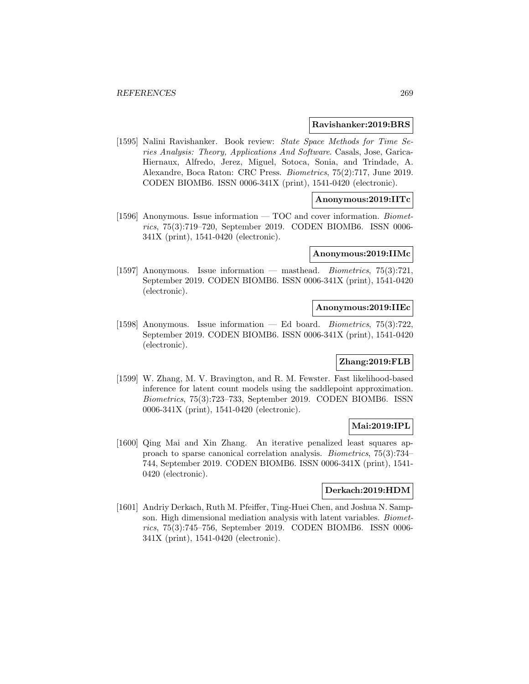#### **Ravishanker:2019:BRS**

[1595] Nalini Ravishanker. Book review: State Space Methods for Time Series Analysis: Theory, Applications And Software. Casals, Jose, Garica-Hiernaux, Alfredo, Jerez, Miguel, Sotoca, Sonia, and Trindade, A. Alexandre, Boca Raton: CRC Press. Biometrics, 75(2):717, June 2019. CODEN BIOMB6. ISSN 0006-341X (print), 1541-0420 (electronic).

## **Anonymous:2019:IITc**

[1596] Anonymous. Issue information — TOC and cover information. Biometrics, 75(3):719–720, September 2019. CODEN BIOMB6. ISSN 0006- 341X (print), 1541-0420 (electronic).

#### **Anonymous:2019:IIMc**

[1597] Anonymous. Issue information — masthead. Biometrics, 75(3):721, September 2019. CODEN BIOMB6. ISSN 0006-341X (print), 1541-0420 (electronic).

#### **Anonymous:2019:IIEc**

[1598] Anonymous. Issue information — Ed board. Biometrics, 75(3):722, September 2019. CODEN BIOMB6. ISSN 0006-341X (print), 1541-0420 (electronic).

### **Zhang:2019:FLB**

[1599] W. Zhang, M. V. Bravington, and R. M. Fewster. Fast likelihood-based inference for latent count models using the saddlepoint approximation. Biometrics, 75(3):723–733, September 2019. CODEN BIOMB6. ISSN 0006-341X (print), 1541-0420 (electronic).

#### **Mai:2019:IPL**

[1600] Qing Mai and Xin Zhang. An iterative penalized least squares approach to sparse canonical correlation analysis. Biometrics, 75(3):734– 744, September 2019. CODEN BIOMB6. ISSN 0006-341X (print), 1541- 0420 (electronic).

### **Derkach:2019:HDM**

[1601] Andriy Derkach, Ruth M. Pfeiffer, Ting-Huei Chen, and Joshua N. Sampson. High dimensional mediation analysis with latent variables. Biometrics, 75(3):745–756, September 2019. CODEN BIOMB6. ISSN 0006- 341X (print), 1541-0420 (electronic).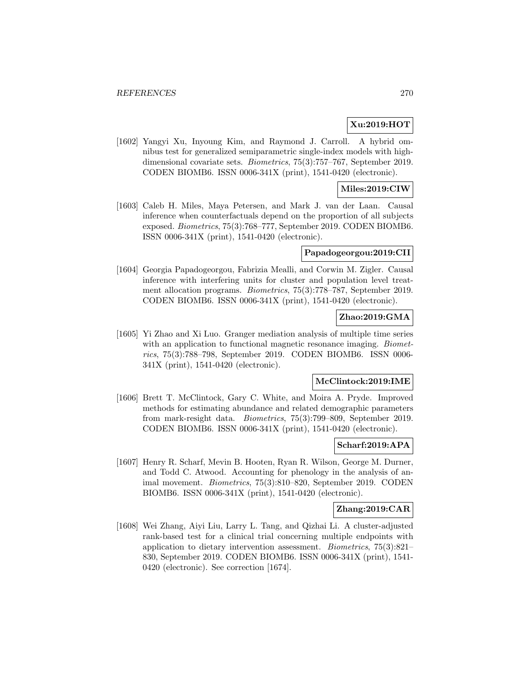## **Xu:2019:HOT**

[1602] Yangyi Xu, Inyoung Kim, and Raymond J. Carroll. A hybrid omnibus test for generalized semiparametric single-index models with highdimensional covariate sets. Biometrics, 75(3):757–767, September 2019. CODEN BIOMB6. ISSN 0006-341X (print), 1541-0420 (electronic).

### **Miles:2019:CIW**

[1603] Caleb H. Miles, Maya Petersen, and Mark J. van der Laan. Causal inference when counterfactuals depend on the proportion of all subjects exposed. Biometrics, 75(3):768–777, September 2019. CODEN BIOMB6. ISSN 0006-341X (print), 1541-0420 (electronic).

### **Papadogeorgou:2019:CII**

[1604] Georgia Papadogeorgou, Fabrizia Mealli, and Corwin M. Zigler. Causal inference with interfering units for cluster and population level treatment allocation programs. Biometrics, 75(3):778–787, September 2019. CODEN BIOMB6. ISSN 0006-341X (print), 1541-0420 (electronic).

## **Zhao:2019:GMA**

[1605] Yi Zhao and Xi Luo. Granger mediation analysis of multiple time series with an application to functional magnetic resonance imaging. *Biomet*rics, 75(3):788–798, September 2019. CODEN BIOMB6. ISSN 0006- 341X (print), 1541-0420 (electronic).

### **McClintock:2019:IME**

[1606] Brett T. McClintock, Gary C. White, and Moira A. Pryde. Improved methods for estimating abundance and related demographic parameters from mark-resight data. Biometrics, 75(3):799–809, September 2019. CODEN BIOMB6. ISSN 0006-341X (print), 1541-0420 (electronic).

### **Scharf:2019:APA**

[1607] Henry R. Scharf, Mevin B. Hooten, Ryan R. Wilson, George M. Durner, and Todd C. Atwood. Accounting for phenology in the analysis of animal movement. Biometrics, 75(3):810–820, September 2019. CODEN BIOMB6. ISSN 0006-341X (print), 1541-0420 (electronic).

#### **Zhang:2019:CAR**

[1608] Wei Zhang, Aiyi Liu, Larry L. Tang, and Qizhai Li. A cluster-adjusted rank-based test for a clinical trial concerning multiple endpoints with application to dietary intervention assessment. Biometrics, 75(3):821– 830, September 2019. CODEN BIOMB6. ISSN 0006-341X (print), 1541- 0420 (electronic). See correction [1674].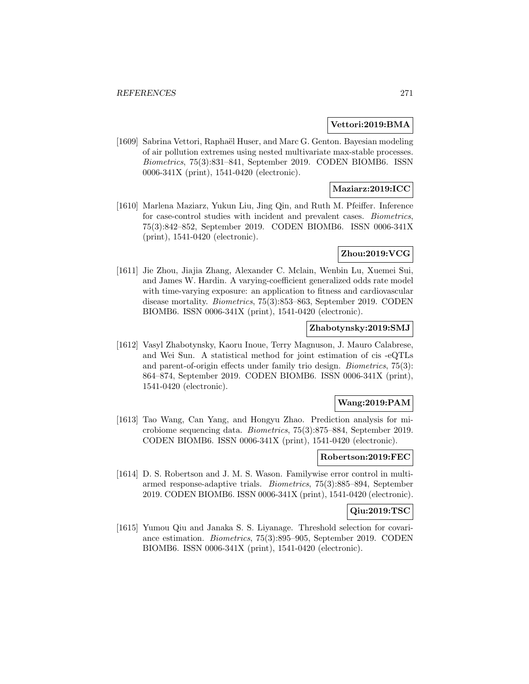### **Vettori:2019:BMA**

[1609] Sabrina Vettori, Raphaël Huser, and Marc G. Genton. Bayesian modeling of air pollution extremes using nested multivariate max-stable processes. Biometrics, 75(3):831–841, September 2019. CODEN BIOMB6. ISSN 0006-341X (print), 1541-0420 (electronic).

## **Maziarz:2019:ICC**

[1610] Marlena Maziarz, Yukun Liu, Jing Qin, and Ruth M. Pfeiffer. Inference for case-control studies with incident and prevalent cases. Biometrics, 75(3):842–852, September 2019. CODEN BIOMB6. ISSN 0006-341X (print), 1541-0420 (electronic).

## **Zhou:2019:VCG**

[1611] Jie Zhou, Jiajia Zhang, Alexander C. Mclain, Wenbin Lu, Xuemei Sui, and James W. Hardin. A varying-coefficient generalized odds rate model with time-varying exposure: an application to fitness and cardiovascular disease mortality. Biometrics, 75(3):853–863, September 2019. CODEN BIOMB6. ISSN 0006-341X (print), 1541-0420 (electronic).

### **Zhabotynsky:2019:SMJ**

[1612] Vasyl Zhabotynsky, Kaoru Inoue, Terry Magnuson, J. Mauro Calabrese, and Wei Sun. A statistical method for joint estimation of cis -eQTLs and parent-of-origin effects under family trio design. Biometrics, 75(3): 864–874, September 2019. CODEN BIOMB6. ISSN 0006-341X (print), 1541-0420 (electronic).

# **Wang:2019:PAM**

[1613] Tao Wang, Can Yang, and Hongyu Zhao. Prediction analysis for microbiome sequencing data. Biometrics, 75(3):875–884, September 2019. CODEN BIOMB6. ISSN 0006-341X (print), 1541-0420 (electronic).

## **Robertson:2019:FEC**

[1614] D. S. Robertson and J. M. S. Wason. Familywise error control in multiarmed response-adaptive trials. Biometrics, 75(3):885–894, September 2019. CODEN BIOMB6. ISSN 0006-341X (print), 1541-0420 (electronic).

### **Qiu:2019:TSC**

[1615] Yumou Qiu and Janaka S. S. Liyanage. Threshold selection for covariance estimation. Biometrics, 75(3):895–905, September 2019. CODEN BIOMB6. ISSN 0006-341X (print), 1541-0420 (electronic).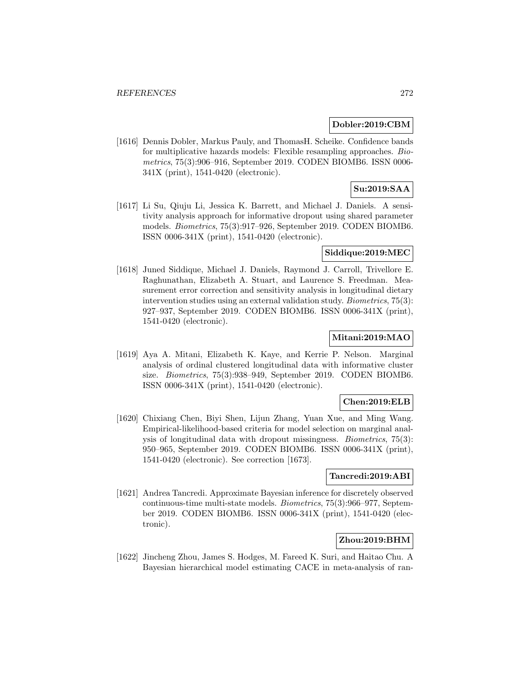### **Dobler:2019:CBM**

[1616] Dennis Dobler, Markus Pauly, and ThomasH. Scheike. Confidence bands for multiplicative hazards models: Flexible resampling approaches. Biometrics, 75(3):906–916, September 2019. CODEN BIOMB6. ISSN 0006- 341X (print), 1541-0420 (electronic).

# **Su:2019:SAA**

[1617] Li Su, Qiuju Li, Jessica K. Barrett, and Michael J. Daniels. A sensitivity analysis approach for informative dropout using shared parameter models. Biometrics, 75(3):917–926, September 2019. CODEN BIOMB6. ISSN 0006-341X (print), 1541-0420 (electronic).

## **Siddique:2019:MEC**

[1618] Juned Siddique, Michael J. Daniels, Raymond J. Carroll, Trivellore E. Raghunathan, Elizabeth A. Stuart, and Laurence S. Freedman. Measurement error correction and sensitivity analysis in longitudinal dietary intervention studies using an external validation study. Biometrics, 75(3): 927–937, September 2019. CODEN BIOMB6. ISSN 0006-341X (print), 1541-0420 (electronic).

## **Mitani:2019:MAO**

[1619] Aya A. Mitani, Elizabeth K. Kaye, and Kerrie P. Nelson. Marginal analysis of ordinal clustered longitudinal data with informative cluster size. Biometrics, 75(3):938–949, September 2019. CODEN BIOMB6. ISSN 0006-341X (print), 1541-0420 (electronic).

### **Chen:2019:ELB**

[1620] Chixiang Chen, Biyi Shen, Lijun Zhang, Yuan Xue, and Ming Wang. Empirical-likelihood-based criteria for model selection on marginal analysis of longitudinal data with dropout missingness. Biometrics, 75(3): 950–965, September 2019. CODEN BIOMB6. ISSN 0006-341X (print), 1541-0420 (electronic). See correction [1673].

### **Tancredi:2019:ABI**

[1621] Andrea Tancredi. Approximate Bayesian inference for discretely observed continuous-time multi-state models. Biometrics, 75(3):966–977, September 2019. CODEN BIOMB6. ISSN 0006-341X (print), 1541-0420 (electronic).

## **Zhou:2019:BHM**

[1622] Jincheng Zhou, James S. Hodges, M. Fareed K. Suri, and Haitao Chu. A Bayesian hierarchical model estimating CACE in meta-analysis of ran-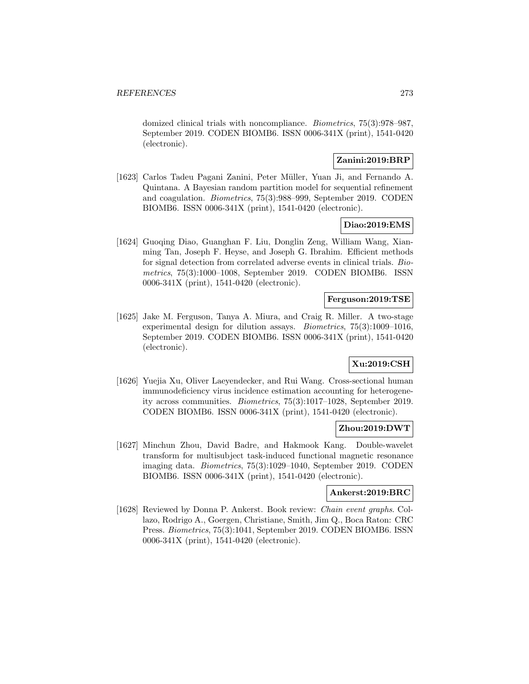domized clinical trials with noncompliance. Biometrics, 75(3):978–987, September 2019. CODEN BIOMB6. ISSN 0006-341X (print), 1541-0420 (electronic).

## **Zanini:2019:BRP**

[1623] Carlos Tadeu Pagani Zanini, Peter Müller, Yuan Ji, and Fernando A. Quintana. A Bayesian random partition model for sequential refinement and coagulation. Biometrics, 75(3):988–999, September 2019. CODEN BIOMB6. ISSN 0006-341X (print), 1541-0420 (electronic).

### **Diao:2019:EMS**

[1624] Guoqing Diao, Guanghan F. Liu, Donglin Zeng, William Wang, Xianming Tan, Joseph F. Heyse, and Joseph G. Ibrahim. Efficient methods for signal detection from correlated adverse events in clinical trials. Biometrics, 75(3):1000–1008, September 2019. CODEN BIOMB6. ISSN 0006-341X (print), 1541-0420 (electronic).

## **Ferguson:2019:TSE**

[1625] Jake M. Ferguson, Tanya A. Miura, and Craig R. Miller. A two-stage experimental design for dilution assays. Biometrics, 75(3):1009–1016, September 2019. CODEN BIOMB6. ISSN 0006-341X (print), 1541-0420 (electronic).

## **Xu:2019:CSH**

[1626] Yuejia Xu, Oliver Laeyendecker, and Rui Wang. Cross-sectional human immunodeficiency virus incidence estimation accounting for heterogeneity across communities. Biometrics, 75(3):1017–1028, September 2019. CODEN BIOMB6. ISSN 0006-341X (print), 1541-0420 (electronic).

## **Zhou:2019:DWT**

[1627] Minchun Zhou, David Badre, and Hakmook Kang. Double-wavelet transform for multisubject task-induced functional magnetic resonance imaging data. Biometrics, 75(3):1029–1040, September 2019. CODEN BIOMB6. ISSN 0006-341X (print), 1541-0420 (electronic).

### **Ankerst:2019:BRC**

[1628] Reviewed by Donna P. Ankerst. Book review: Chain event graphs. Collazo, Rodrigo A., Goergen, Christiane, Smith, Jim Q., Boca Raton: CRC Press. Biometrics, 75(3):1041, September 2019. CODEN BIOMB6. ISSN 0006-341X (print), 1541-0420 (electronic).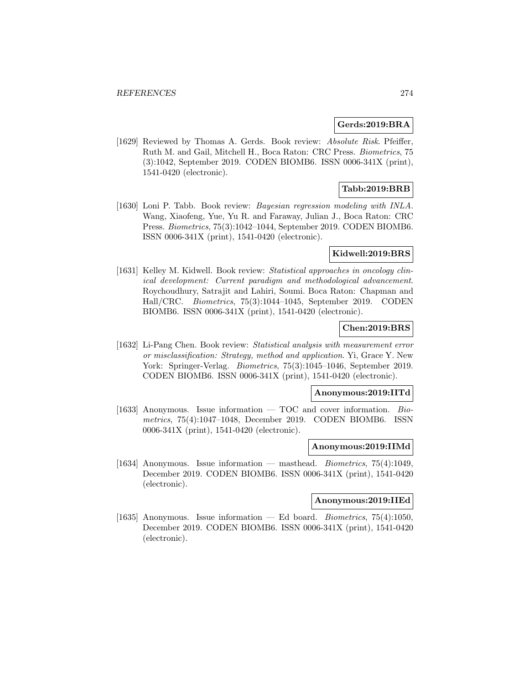#### **Gerds:2019:BRA**

[1629] Reviewed by Thomas A. Gerds. Book review: Absolute Risk. Pfeiffer, Ruth M. and Gail, Mitchell H., Boca Raton: CRC Press. Biometrics, 75 (3):1042, September 2019. CODEN BIOMB6. ISSN 0006-341X (print), 1541-0420 (electronic).

## **Tabb:2019:BRB**

[1630] Loni P. Tabb. Book review: *Bayesian regression modeling with INLA*. Wang, Xiaofeng, Yue, Yu R. and Faraway, Julian J., Boca Raton: CRC Press. Biometrics, 75(3):1042–1044, September 2019. CODEN BIOMB6. ISSN 0006-341X (print), 1541-0420 (electronic).

### **Kidwell:2019:BRS**

[1631] Kelley M. Kidwell. Book review: Statistical approaches in oncology clinical development: Current paradigm and methodological advancement. Roychoudhury, Satrajit and Lahiri, Soumi. Boca Raton: Chapman and Hall/CRC. Biometrics, 75(3):1044–1045, September 2019. CODEN BIOMB6. ISSN 0006-341X (print), 1541-0420 (electronic).

### **Chen:2019:BRS**

[1632] Li-Pang Chen. Book review: Statistical analysis with measurement error or misclassification: Strategy, method and application. Yi, Grace Y. New York: Springer-Verlag. Biometrics, 75(3):1045–1046, September 2019. CODEN BIOMB6. ISSN 0006-341X (print), 1541-0420 (electronic).

### **Anonymous:2019:IITd**

[1633] Anonymous. Issue information  $-$  TOC and cover information. Biometrics, 75(4):1047–1048, December 2019. CODEN BIOMB6. ISSN 0006-341X (print), 1541-0420 (electronic).

### **Anonymous:2019:IIMd**

[1634] Anonymous. Issue information — masthead. Biometrics, 75(4):1049, December 2019. CODEN BIOMB6. ISSN 0006-341X (print), 1541-0420 (electronic).

### **Anonymous:2019:IIEd**

[1635] Anonymous. Issue information — Ed board. Biometrics, 75(4):1050, December 2019. CODEN BIOMB6. ISSN 0006-341X (print), 1541-0420 (electronic).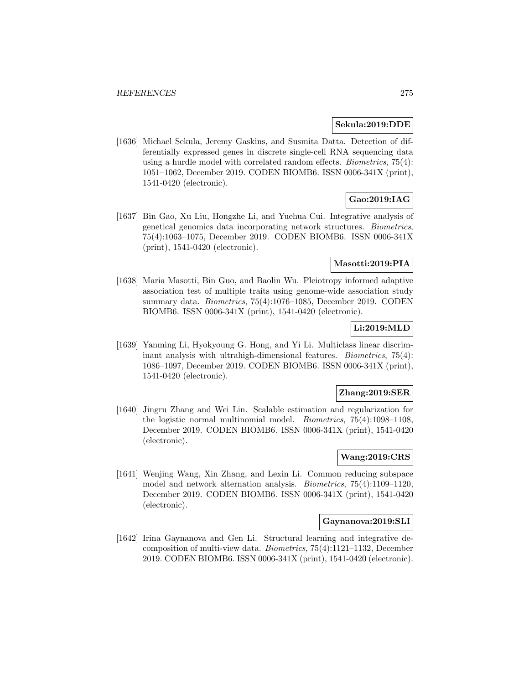#### **Sekula:2019:DDE**

[1636] Michael Sekula, Jeremy Gaskins, and Susmita Datta. Detection of differentially expressed genes in discrete single-cell RNA sequencing data using a hurdle model with correlated random effects. Biometrics, 75(4): 1051–1062, December 2019. CODEN BIOMB6. ISSN 0006-341X (print), 1541-0420 (electronic).

# **Gao:2019:IAG**

[1637] Bin Gao, Xu Liu, Hongzhe Li, and Yuehua Cui. Integrative analysis of genetical genomics data incorporating network structures. Biometrics, 75(4):1063–1075, December 2019. CODEN BIOMB6. ISSN 0006-341X (print), 1541-0420 (electronic).

## **Masotti:2019:PIA**

[1638] Maria Masotti, Bin Guo, and Baolin Wu. Pleiotropy informed adaptive association test of multiple traits using genome-wide association study summary data. Biometrics, 75(4):1076–1085, December 2019. CODEN BIOMB6. ISSN 0006-341X (print), 1541-0420 (electronic).

## **Li:2019:MLD**

[1639] Yanming Li, Hyokyoung G. Hong, and Yi Li. Multiclass linear discriminant analysis with ultrahigh-dimensional features. Biometrics, 75(4): 1086–1097, December 2019. CODEN BIOMB6. ISSN 0006-341X (print), 1541-0420 (electronic).

### **Zhang:2019:SER**

[1640] Jingru Zhang and Wei Lin. Scalable estimation and regularization for the logistic normal multinomial model. Biometrics, 75(4):1098–1108, December 2019. CODEN BIOMB6. ISSN 0006-341X (print), 1541-0420 (electronic).

## **Wang:2019:CRS**

[1641] Wenjing Wang, Xin Zhang, and Lexin Li. Common reducing subspace model and network alternation analysis. Biometrics, 75(4):1109–1120, December 2019. CODEN BIOMB6. ISSN 0006-341X (print), 1541-0420 (electronic).

### **Gaynanova:2019:SLI**

[1642] Irina Gaynanova and Gen Li. Structural learning and integrative decomposition of multi-view data. Biometrics, 75(4):1121–1132, December 2019. CODEN BIOMB6. ISSN 0006-341X (print), 1541-0420 (electronic).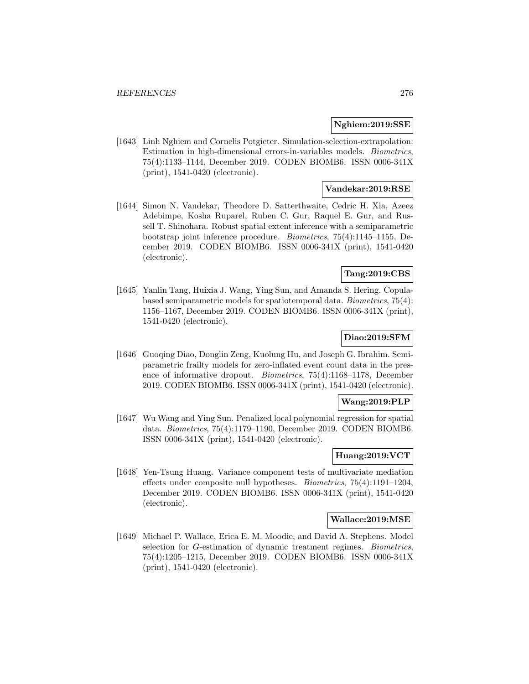#### **Nghiem:2019:SSE**

[1643] Linh Nghiem and Cornelis Potgieter. Simulation-selection-extrapolation: Estimation in high-dimensional errors-in-variables models. Biometrics, 75(4):1133–1144, December 2019. CODEN BIOMB6. ISSN 0006-341X (print), 1541-0420 (electronic).

## **Vandekar:2019:RSE**

[1644] Simon N. Vandekar, Theodore D. Satterthwaite, Cedric H. Xia, Azeez Adebimpe, Kosha Ruparel, Ruben C. Gur, Raquel E. Gur, and Russell T. Shinohara. Robust spatial extent inference with a semiparametric bootstrap joint inference procedure. Biometrics, 75(4):1145–1155, December 2019. CODEN BIOMB6. ISSN 0006-341X (print), 1541-0420 (electronic).

## **Tang:2019:CBS**

[1645] Yanlin Tang, Huixia J. Wang, Ying Sun, and Amanda S. Hering. Copulabased semiparametric models for spatiotemporal data. Biometrics, 75(4): 1156–1167, December 2019. CODEN BIOMB6. ISSN 0006-341X (print), 1541-0420 (electronic).

## **Diao:2019:SFM**

[1646] Guoqing Diao, Donglin Zeng, Kuolung Hu, and Joseph G. Ibrahim. Semiparametric frailty models for zero-inflated event count data in the presence of informative dropout. Biometrics, 75(4):1168–1178, December 2019. CODEN BIOMB6. ISSN 0006-341X (print), 1541-0420 (electronic).

### **Wang:2019:PLP**

[1647] Wu Wang and Ying Sun. Penalized local polynomial regression for spatial data. Biometrics, 75(4):1179–1190, December 2019. CODEN BIOMB6. ISSN 0006-341X (print), 1541-0420 (electronic).

## **Huang:2019:VCT**

[1648] Yen-Tsung Huang. Variance component tests of multivariate mediation effects under composite null hypotheses. Biometrics, 75(4):1191–1204, December 2019. CODEN BIOMB6. ISSN 0006-341X (print), 1541-0420 (electronic).

#### **Wallace:2019:MSE**

[1649] Michael P. Wallace, Erica E. M. Moodie, and David A. Stephens. Model selection for *G*-estimation of dynamic treatment regimes. *Biometrics*, 75(4):1205–1215, December 2019. CODEN BIOMB6. ISSN 0006-341X (print), 1541-0420 (electronic).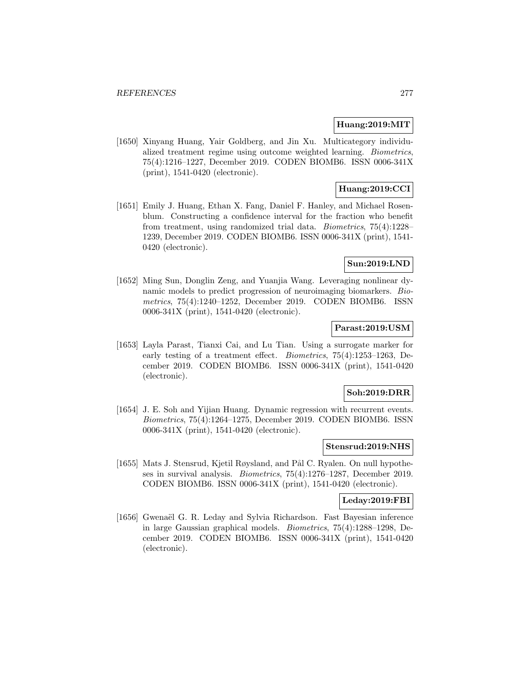#### **Huang:2019:MIT**

[1650] Xinyang Huang, Yair Goldberg, and Jin Xu. Multicategory individualized treatment regime using outcome weighted learning. Biometrics, 75(4):1216–1227, December 2019. CODEN BIOMB6. ISSN 0006-341X (print), 1541-0420 (electronic).

# **Huang:2019:CCI**

[1651] Emily J. Huang, Ethan X. Fang, Daniel F. Hanley, and Michael Rosenblum. Constructing a confidence interval for the fraction who benefit from treatment, using randomized trial data. Biometrics, 75(4):1228– 1239, December 2019. CODEN BIOMB6. ISSN 0006-341X (print), 1541- 0420 (electronic).

### **Sun:2019:LND**

[1652] Ming Sun, Donglin Zeng, and Yuanjia Wang. Leveraging nonlinear dynamic models to predict progression of neuroimaging biomarkers. Biometrics, 75(4):1240–1252, December 2019. CODEN BIOMB6. ISSN 0006-341X (print), 1541-0420 (electronic).

## **Parast:2019:USM**

[1653] Layla Parast, Tianxi Cai, and Lu Tian. Using a surrogate marker for early testing of a treatment effect. Biometrics, 75(4):1253–1263, December 2019. CODEN BIOMB6. ISSN 0006-341X (print), 1541-0420 (electronic).

#### **Soh:2019:DRR**

[1654] J. E. Soh and Yijian Huang. Dynamic regression with recurrent events. Biometrics, 75(4):1264–1275, December 2019. CODEN BIOMB6. ISSN 0006-341X (print), 1541-0420 (electronic).

### **Stensrud:2019:NHS**

[1655] Mats J. Stensrud, Kjetil Røysland, and Pål C. Ryalen. On null hypotheses in survival analysis. Biometrics, 75(4):1276–1287, December 2019. CODEN BIOMB6. ISSN 0006-341X (print), 1541-0420 (electronic).

#### **Leday:2019:FBI**

[1656] Gwenaël G. R. Leday and Sylvia Richardson. Fast Bayesian inference in large Gaussian graphical models. Biometrics, 75(4):1288–1298, December 2019. CODEN BIOMB6. ISSN 0006-341X (print), 1541-0420 (electronic).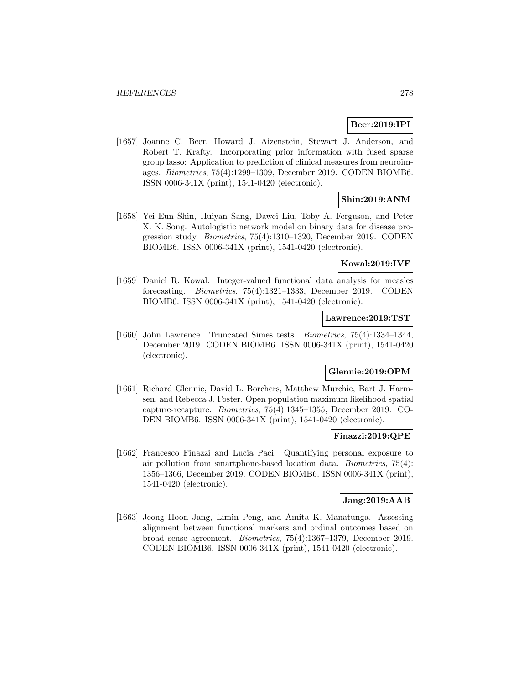### **Beer:2019:IPI**

[1657] Joanne C. Beer, Howard J. Aizenstein, Stewart J. Anderson, and Robert T. Krafty. Incorporating prior information with fused sparse group lasso: Application to prediction of clinical measures from neuroimages. Biometrics, 75(4):1299–1309, December 2019. CODEN BIOMB6. ISSN 0006-341X (print), 1541-0420 (electronic).

## **Shin:2019:ANM**

[1658] Yei Eun Shin, Huiyan Sang, Dawei Liu, Toby A. Ferguson, and Peter X. K. Song. Autologistic network model on binary data for disease progression study. Biometrics, 75(4):1310–1320, December 2019. CODEN BIOMB6. ISSN 0006-341X (print), 1541-0420 (electronic).

## **Kowal:2019:IVF**

[1659] Daniel R. Kowal. Integer-valued functional data analysis for measles forecasting. Biometrics, 75(4):1321–1333, December 2019. CODEN BIOMB6. ISSN 0006-341X (print), 1541-0420 (electronic).

### **Lawrence:2019:TST**

[1660] John Lawrence. Truncated Simes tests. Biometrics, 75(4):1334–1344, December 2019. CODEN BIOMB6. ISSN 0006-341X (print), 1541-0420 (electronic).

# **Glennie:2019:OPM**

[1661] Richard Glennie, David L. Borchers, Matthew Murchie, Bart J. Harmsen, and Rebecca J. Foster. Open population maximum likelihood spatial capture-recapture. Biometrics, 75(4):1345–1355, December 2019. CO-DEN BIOMB6. ISSN 0006-341X (print), 1541-0420 (electronic).

### **Finazzi:2019:QPE**

[1662] Francesco Finazzi and Lucia Paci. Quantifying personal exposure to air pollution from smartphone-based location data. Biometrics, 75(4): 1356–1366, December 2019. CODEN BIOMB6. ISSN 0006-341X (print), 1541-0420 (electronic).

### **Jang:2019:AAB**

[1663] Jeong Hoon Jang, Limin Peng, and Amita K. Manatunga. Assessing alignment between functional markers and ordinal outcomes based on broad sense agreement. Biometrics, 75(4):1367–1379, December 2019. CODEN BIOMB6. ISSN 0006-341X (print), 1541-0420 (electronic).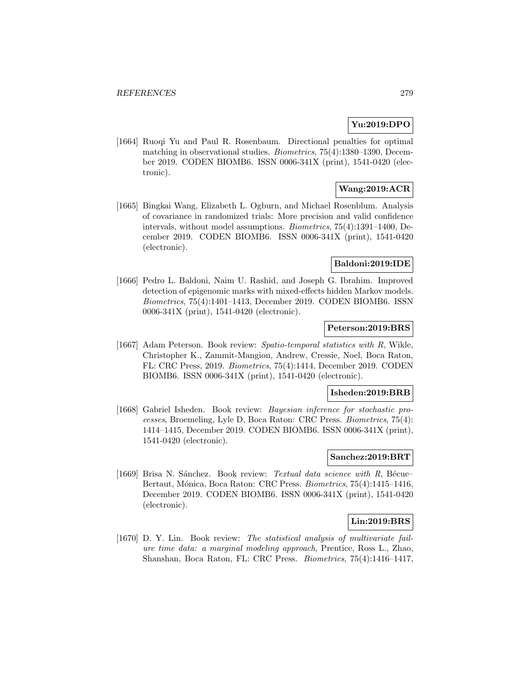## **Yu:2019:DPO**

[1664] Ruoqi Yu and Paul R. Rosenbaum. Directional penalties for optimal matching in observational studies. Biometrics, 75(4):1380–1390, December 2019. CODEN BIOMB6. ISSN 0006-341X (print), 1541-0420 (electronic).

# **Wang:2019:ACR**

[1665] Bingkai Wang, Elizabeth L. Ogburn, and Michael Rosenblum. Analysis of covariance in randomized trials: More precision and valid confidence intervals, without model assumptions. Biometrics, 75(4):1391–1400, December 2019. CODEN BIOMB6. ISSN 0006-341X (print), 1541-0420 (electronic).

## **Baldoni:2019:IDE**

[1666] Pedro L. Baldoni, Naim U. Rashid, and Joseph G. Ibrahim. Improved detection of epigenomic marks with mixed-effects hidden Markov models. Biometrics, 75(4):1401–1413, December 2019. CODEN BIOMB6. ISSN 0006-341X (print), 1541-0420 (electronic).

### **Peterson:2019:BRS**

[1667] Adam Peterson. Book review: Spatio-temporal statistics with R, Wikle, Christopher K., Zammit-Mangion, Andrew, Cressie, Noel, Boca Raton, FL: CRC Press, 2019. Biometrics, 75(4):1414, December 2019. CODEN BIOMB6. ISSN 0006-341X (print), 1541-0420 (electronic).

### **Isheden:2019:BRB**

[1668] Gabriel Isheden. Book review: Bayesian inference for stochastic processes, Broemeling, Lyle D, Boca Raton: CRC Press. Biometrics, 75(4): 1414–1415, December 2019. CODEN BIOMB6. ISSN 0006-341X (print), 1541-0420 (electronic).

## **Sanchez:2019:BRT**

[1669] Brisa N. Sánchez. Book review: Textual data science with  $R$ , Bécue– Bertaut, Mónica, Boca Raton: CRC Press. Biometrics, 75(4):1415-1416, December 2019. CODEN BIOMB6. ISSN 0006-341X (print), 1541-0420 (electronic).

## **Lin:2019:BRS**

[1670] D. Y. Lin. Book review: The statistical analysis of multivariate failure time data: a marginal modeling approach, Prentice, Ross L., Zhao, Shanshan, Boca Raton, FL: CRC Press. Biometrics, 75(4):1416–1417,